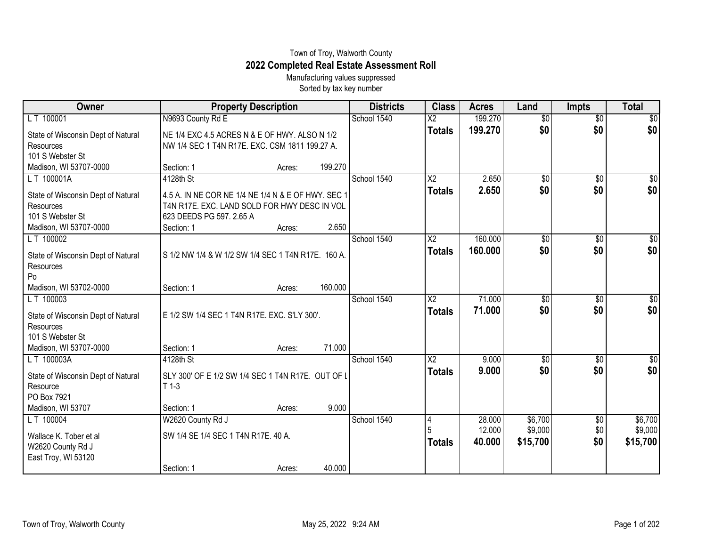## Town of Troy, Walworth County **2022 Completed Real Estate Assessment Roll**

Manufacturing values suppressed Sorted by tax key number

| <b>Owner</b>                       | <b>Property Description</b>                        |        |         | <b>Districts</b> | <b>Class</b>           | <b>Acres</b> | Land            | <b>Impts</b>    | <b>Total</b> |
|------------------------------------|----------------------------------------------------|--------|---------|------------------|------------------------|--------------|-----------------|-----------------|--------------|
| LT 100001                          | N9693 County Rd E                                  |        |         | School 1540      | $\overline{\text{X2}}$ | 199.270      | $\overline{50}$ | $\overline{50}$ | $\sqrt{50}$  |
| State of Wisconsin Dept of Natural | NE 1/4 EXC 4.5 ACRES N & E OF HWY. ALSO N 1/2      |        |         |                  | <b>Totals</b>          | 199.270      | \$0             | \$0             | \$0          |
| Resources                          | NW 1/4 SEC 1 T4N R17E. EXC. CSM 1811 199.27 A.     |        |         |                  |                        |              |                 |                 |              |
| 101 S Webster St                   |                                                    |        |         |                  |                        |              |                 |                 |              |
| Madison, WI 53707-0000             | Section: 1                                         | Acres: | 199.270 |                  |                        |              |                 |                 |              |
| LT 100001A                         | 4128th St                                          |        |         | School 1540      | $\overline{\text{X2}}$ | 2.650        | $\overline{50}$ | $\overline{50}$ | \$0          |
| State of Wisconsin Dept of Natural | 4.5 A. IN NE COR NE 1/4 NE 1/4 N & E OF HWY. SEC 1 |        |         |                  | <b>Totals</b>          | 2.650        | \$0             | \$0             | \$0          |
| Resources                          | T4N R17E. EXC. LAND SOLD FOR HWY DESC IN VOL       |        |         |                  |                        |              |                 |                 |              |
| 101 S Webster St                   | 623 DEEDS PG 597. 2.65 A                           |        |         |                  |                        |              |                 |                 |              |
| Madison, WI 53707-0000             | Section: 1                                         | Acres: | 2.650   |                  |                        |              |                 |                 |              |
| LT 100002                          |                                                    |        |         | School 1540      | $\overline{\text{X2}}$ | 160,000      | $\overline{50}$ | $\overline{50}$ | \$0          |
| State of Wisconsin Dept of Natural | S 1/2 NW 1/4 & W 1/2 SW 1/4 SEC 1 T4N R17E. 160 A. |        |         |                  | <b>Totals</b>          | 160,000      | \$0             | \$0             | \$0          |
| Resources                          |                                                    |        |         |                  |                        |              |                 |                 |              |
| Po                                 |                                                    |        |         |                  |                        |              |                 |                 |              |
| Madison, WI 53702-0000             | Section: 1                                         | Acres: | 160.000 |                  |                        |              |                 |                 |              |
| LT 100003                          |                                                    |        |         | School 1540      | $\overline{\text{X2}}$ | 71.000       | \$0             | $\sqrt[6]{}$    | \$0          |
| State of Wisconsin Dept of Natural | E 1/2 SW 1/4 SEC 1 T4N R17E. EXC. S'LY 300'.       |        |         |                  | <b>Totals</b>          | 71.000       | \$0             | \$0             | \$0          |
| Resources                          |                                                    |        |         |                  |                        |              |                 |                 |              |
| 101 S Webster St                   |                                                    |        |         |                  |                        |              |                 |                 |              |
| Madison, WI 53707-0000             | Section: 1                                         | Acres: | 71.000  |                  |                        |              |                 |                 |              |
| LT 100003A                         | 4128th St                                          |        |         | School 1540      | $\overline{\text{X2}}$ | 9.000        | \$0             | \$0             | $\sqrt{50}$  |
| State of Wisconsin Dept of Natural | SLY 300' OF E 1/2 SW 1/4 SEC 1 T4N R17E. OUT OF L  |        |         |                  | <b>Totals</b>          | 9.000        | \$0             | \$0             | \$0          |
| Resource                           | $T$ 1-3                                            |        |         |                  |                        |              |                 |                 |              |
| PO Box 7921                        |                                                    |        |         |                  |                        |              |                 |                 |              |
| Madison, WI 53707                  | Section: 1                                         | Acres: | 9.000   |                  |                        |              |                 |                 |              |
| LT 100004                          | W2620 County Rd J                                  |        |         | School 1540      | 4                      | 28.000       | \$6,700         | $\sqrt[6]{3}$   | \$6,700      |
| Wallace K. Tober et al             | SW 1/4 SE 1/4 SEC 1 T4N R17E. 40 A.                |        |         |                  | 5                      | 12.000       | \$9,000         | \$0<br>\$0      | \$9,000      |
| W2620 County Rd J                  |                                                    |        |         |                  | <b>Totals</b>          | 40.000       | \$15,700        |                 | \$15,700     |
| East Troy, WI 53120                |                                                    |        |         |                  |                        |              |                 |                 |              |
|                                    | Section: 1                                         | Acres: | 40.000  |                  |                        |              |                 |                 |              |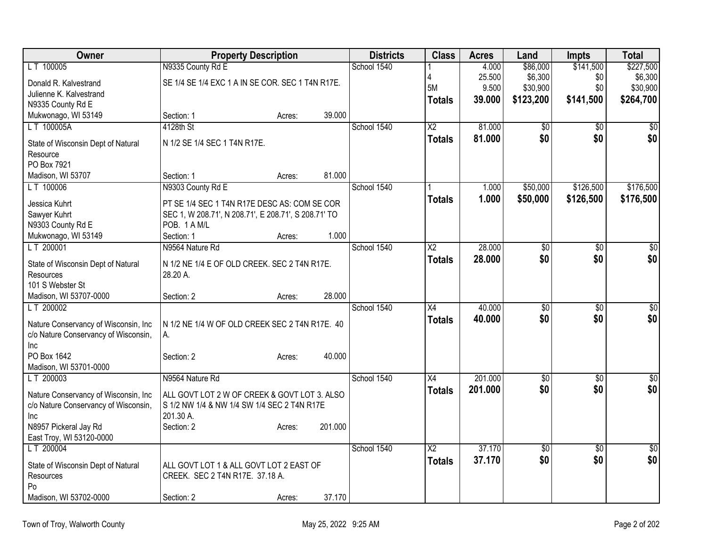| Owner                                 | <b>Property Description</b>                          |        |         | <b>Districts</b> | <b>Class</b>    | <b>Acres</b> | Land            | <b>Impts</b>    | <b>Total</b>     |
|---------------------------------------|------------------------------------------------------|--------|---------|------------------|-----------------|--------------|-----------------|-----------------|------------------|
| LT 100005                             | N9335 County Rd E                                    |        |         | School 1540      |                 | 4.000        | \$86,000        | \$141,500       | \$227,500        |
| Donald R. Kalvestrand                 | SE 1/4 SE 1/4 EXC 1 A IN SE COR. SEC 1 T4N R17E.     |        |         |                  |                 | 25.500       | \$6,300         | \$0             | \$6,300          |
| Julienne K. Kalvestrand               |                                                      |        |         |                  | <b>5M</b>       | 9.500        | \$30,900        | \$0             | \$30,900         |
| N9335 County Rd E                     |                                                      |        |         |                  | Totals          | 39.000       | \$123,200       | \$141,500       | \$264,700        |
| Mukwonago, WI 53149                   | Section: 1                                           | Acres: | 39.000  |                  |                 |              |                 |                 |                  |
| LT 100005A                            | 4128th St                                            |        |         | School 1540      | X <sub>2</sub>  | 81.000       | $\overline{50}$ | \$0             | $\overline{50}$  |
| State of Wisconsin Dept of Natural    | N 1/2 SE 1/4 SEC 1 T4N R17E.                         |        |         |                  | <b>Totals</b>   | 81.000       | \$0             | \$0             | \$0              |
| Resource                              |                                                      |        |         |                  |                 |              |                 |                 |                  |
| PO Box 7921                           |                                                      |        |         |                  |                 |              |                 |                 |                  |
| Madison, WI 53707                     | Section: 1                                           | Acres: | 81.000  |                  |                 |              |                 |                 |                  |
| LT 100006                             | N9303 County Rd E                                    |        |         | School 1540      |                 | 1.000        | \$50,000        | \$126,500       | \$176,500        |
| Jessica Kuhrt                         | PT SE 1/4 SEC 1 T4N R17E DESC AS: COM SE COR         |        |         |                  | <b>Totals</b>   | 1.000        | \$50,000        | \$126,500       | \$176,500        |
| Sawyer Kuhrt                          | SEC 1, W 208.71', N 208.71', E 208.71', S 208.71' TO |        |         |                  |                 |              |                 |                 |                  |
| N9303 County Rd E                     | POB. 1 A M/L                                         |        |         |                  |                 |              |                 |                 |                  |
| Mukwonago, WI 53149                   | Section: 1                                           | Acres: | 1.000   |                  |                 |              |                 |                 |                  |
| LT 200001                             | N9564 Nature Rd                                      |        |         | School 1540      | $\overline{X2}$ | 28.000       | $\overline{50}$ | $\overline{50}$ | $\overline{50}$  |
|                                       |                                                      |        |         |                  | <b>Totals</b>   | 28.000       | \$0             | \$0             | \$0              |
| State of Wisconsin Dept of Natural    | N 1/2 NE 1/4 E OF OLD CREEK. SEC 2 T4N R17E.         |        |         |                  |                 |              |                 |                 |                  |
| Resources<br>101 S Webster St         | 28.20 A.                                             |        |         |                  |                 |              |                 |                 |                  |
| Madison, WI 53707-0000                | Section: 2                                           |        | 28.000  |                  |                 |              |                 |                 |                  |
| LT 200002                             |                                                      | Acres: |         | School 1540      | $\overline{X4}$ | 40.000       | $\overline{50}$ | $\overline{50}$ | \$0              |
|                                       |                                                      |        |         |                  |                 | 40.000       | \$0             | \$0             | \$0              |
| Nature Conservancy of Wisconsin, Inc. | N 1/2 NE 1/4 W OF OLD CREEK SEC 2 T4N R17E. 40       |        |         |                  | Totals          |              |                 |                 |                  |
| c/o Nature Conservancy of Wisconsin,  | А.                                                   |        |         |                  |                 |              |                 |                 |                  |
| <b>Inc</b>                            |                                                      |        |         |                  |                 |              |                 |                 |                  |
| PO Box 1642                           | Section: 2                                           | Acres: | 40.000  |                  |                 |              |                 |                 |                  |
| Madison, WI 53701-0000                |                                                      |        |         |                  |                 |              |                 |                 |                  |
| LT 200003                             | N9564 Nature Rd                                      |        |         | School 1540      | $\overline{X4}$ | 201.000      | $\sqrt{6}$      | $\sqrt{6}$      | $\sqrt{6}$       |
| Nature Conservancy of Wisconsin, Inc  | ALL GOVT LOT 2 W OF CREEK & GOVT LOT 3. ALSO         |        |         |                  | <b>Totals</b>   | 201.000      | \$0             | \$0             | \$0              |
| c/o Nature Conservancy of Wisconsin,  | S 1/2 NW 1/4 & NW 1/4 SW 1/4 SEC 2 T4N R17E          |        |         |                  |                 |              |                 |                 |                  |
| <b>Inc</b>                            | 201.30 A.                                            |        |         |                  |                 |              |                 |                 |                  |
| N8957 Pickeral Jay Rd                 | Section: 2                                           | Acres: | 201.000 |                  |                 |              |                 |                 |                  |
| East Troy, WI 53120-0000              |                                                      |        |         |                  |                 |              |                 |                 |                  |
| LT 200004                             |                                                      |        |         | School 1540      | $\overline{X2}$ | 37.170       | $\overline{50}$ | $\overline{50}$ | $\overline{\$0}$ |
| State of Wisconsin Dept of Natural    | ALL GOVT LOT 1 & ALL GOVT LOT 2 EAST OF              |        |         |                  | Totals          | 37.170       | \$0             | \$0             | \$0              |
| Resources                             | CREEK. SEC 2 T4N R17E. 37.18 A.                      |        |         |                  |                 |              |                 |                 |                  |
| Po                                    |                                                      |        |         |                  |                 |              |                 |                 |                  |
| Madison, WI 53702-0000                | Section: 2                                           | Acres: | 37.170  |                  |                 |              |                 |                 |                  |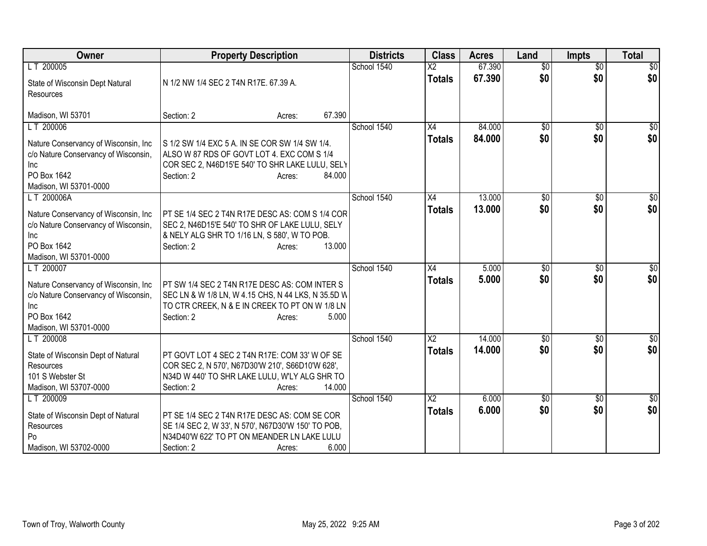| Owner                                              | <b>Property Description</b>                        | <b>Districts</b> | <b>Class</b>           | <b>Acres</b> | Land            | <b>Impts</b>    | <b>Total</b> |
|----------------------------------------------------|----------------------------------------------------|------------------|------------------------|--------------|-----------------|-----------------|--------------|
| LT 200005                                          |                                                    | School 1540      | $\overline{\text{X2}}$ | 67.390       | $\overline{50}$ | $\overline{50}$ | \$0          |
| State of Wisconsin Dept Natural                    | N 1/2 NW 1/4 SEC 2 T4N R17E. 67.39 A.              |                  | <b>Totals</b>          | 67.390       | \$0             | \$0             | \$0          |
| Resources                                          |                                                    |                  |                        |              |                 |                 |              |
|                                                    | 67.390                                             |                  |                        |              |                 |                 |              |
| Madison, WI 53701                                  | Section: 2<br>Acres:                               | School 1540      | X4                     |              |                 |                 |              |
| LT 200006                                          |                                                    |                  |                        | 84.000       | $\overline{50}$ | $\overline{50}$ | \$0          |
| Nature Conservancy of Wisconsin, Inc.              | S 1/2 SW 1/4 EXC 5 A. IN SE COR SW 1/4 SW 1/4.     |                  | <b>Totals</b>          | 84.000       | \$0             | \$0             | \$0          |
| c/o Nature Conservancy of Wisconsin,               | ALSO W 87 RDS OF GOVT LOT 4. EXC COM S 1/4         |                  |                        |              |                 |                 |              |
| Inc                                                | COR SEC 2, N46D15'E 540' TO SHR LAKE LULU, SELY    |                  |                        |              |                 |                 |              |
| PO Box 1642                                        | 84.000<br>Section: 2<br>Acres:                     |                  |                        |              |                 |                 |              |
| Madison, WI 53701-0000                             |                                                    |                  |                        |              |                 |                 |              |
| LT 200006A                                         |                                                    | School 1540      | X4                     | 13.000       | $\sqrt[6]{}$    | $\overline{50}$ | \$0          |
|                                                    | PT SE 1/4 SEC 2 T4N R17E DESC AS: COM S 1/4 COR    |                  | <b>Totals</b>          | 13.000       | \$0             | \$0             | \$0          |
| Nature Conservancy of Wisconsin, Inc               | SEC 2, N46D15'E 540' TO SHR OF LAKE LULU, SELY     |                  |                        |              |                 |                 |              |
| c/o Nature Conservancy of Wisconsin,<br><b>Inc</b> | & NELY ALG SHR TO 1/16 LN, S 580', W TO POB.       |                  |                        |              |                 |                 |              |
| PO Box 1642                                        | 13.000<br>Section: 2<br>Acres:                     |                  |                        |              |                 |                 |              |
| Madison, WI 53701-0000                             |                                                    |                  |                        |              |                 |                 |              |
| LT 200007                                          |                                                    | School 1540      | X4                     | 5.000        | \$0             | \$0             | \$0          |
|                                                    |                                                    |                  |                        | 5.000        | \$0             | \$0             | \$0          |
| Nature Conservancy of Wisconsin, Inc.              | PT SW 1/4 SEC 2 T4N R17E DESC AS: COM INTER S      |                  | <b>Totals</b>          |              |                 |                 |              |
| c/o Nature Conservancy of Wisconsin,               | SEC LN & W 1/8 LN, W 4.15 CHS, N 44 LKS, N 35.5D W |                  |                        |              |                 |                 |              |
| Inc                                                | TO CTR CREEK, N & E IN CREEK TO PT ON W 1/8 LN     |                  |                        |              |                 |                 |              |
| PO Box 1642                                        | 5.000<br>Section: 2<br>Acres:                      |                  |                        |              |                 |                 |              |
| Madison, WI 53701-0000                             |                                                    |                  |                        |              |                 |                 |              |
| LT 200008                                          |                                                    | School 1540      | $\overline{\text{X2}}$ | 14.000       | \$0             | \$0             | $\sqrt{50}$  |
| State of Wisconsin Dept of Natural                 | PT GOVT LOT 4 SEC 2 T4N R17E: COM 33' W OF SE      |                  | <b>Totals</b>          | 14.000       | \$0             | \$0             | \$0          |
| Resources                                          | COR SEC 2, N 570', N67D30'W 210', S66D10'W 628',   |                  |                        |              |                 |                 |              |
| 101 S Webster St                                   | N34D W 440' TO SHR LAKE LULU, W'LY ALG SHR TO      |                  |                        |              |                 |                 |              |
| Madison, WI 53707-0000                             | 14.000<br>Section: 2<br>Acres:                     |                  |                        |              |                 |                 |              |
| LT 200009                                          |                                                    | School 1540      | $\overline{X2}$        | 6.000        | $\overline{50}$ | \$0             | $\sqrt{50}$  |
|                                                    |                                                    |                  | <b>Totals</b>          | 6.000        | \$0             | \$0             | \$0          |
| State of Wisconsin Dept of Natural                 | PT SE 1/4 SEC 2 T4N R17E DESC AS: COM SE COR       |                  |                        |              |                 |                 |              |
| Resources                                          | SE 1/4 SEC 2, W 33', N 570', N67D30'W 150' TO POB, |                  |                        |              |                 |                 |              |
| Po                                                 | N34D40'W 622' TO PT ON MEANDER LN LAKE LULU        |                  |                        |              |                 |                 |              |
| Madison, WI 53702-0000                             | 6.000<br>Section: 2<br>Acres:                      |                  |                        |              |                 |                 |              |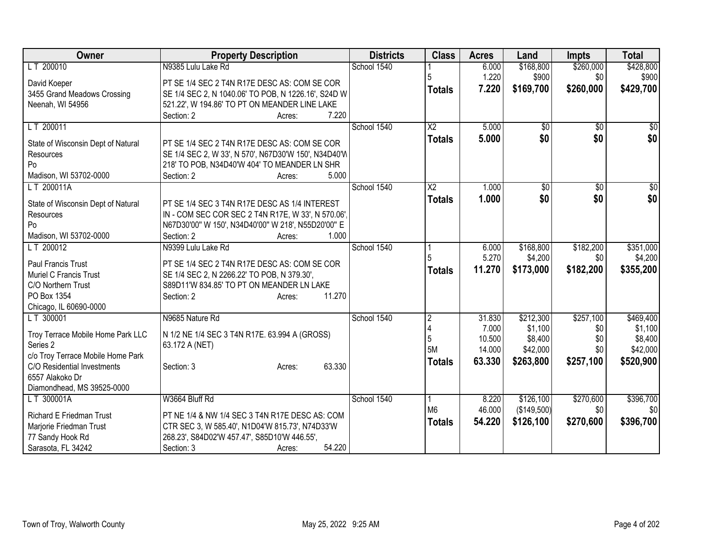| Owner                                                            | <b>Property Description</b>                          | <b>Districts</b> | <b>Class</b>           | <b>Acres</b> | Land         | <b>Impts</b>    | <b>Total</b>   |
|------------------------------------------------------------------|------------------------------------------------------|------------------|------------------------|--------------|--------------|-----------------|----------------|
| LT 200010                                                        | N9385 Lulu Lake Rd                                   | School 1540      |                        | 6.000        | \$168,800    | \$260,000       | \$428,800      |
| David Koeper                                                     | PT SE 1/4 SEC 2 T4N R17E DESC AS: COM SE COR         |                  |                        | 1.220        | \$900        | \$0             | \$900          |
| 3455 Grand Meadows Crossing                                      | SE 1/4 SEC 2, N 1040.06' TO POB, N 1226.16', S24D W  |                  | <b>Totals</b>          | 7.220        | \$169,700    | \$260,000       | \$429,700      |
| Neenah, WI 54956                                                 | 521.22', W 194.86' TO PT ON MEANDER LINE LAKE        |                  |                        |              |              |                 |                |
|                                                                  | 7.220<br>Section: 2<br>Acres:                        |                  |                        |              |              |                 |                |
| LT 200011                                                        |                                                      | School 1540      | $\overline{\text{X2}}$ | 5.000        | \$0          | $\overline{50}$ | \$0            |
| State of Wisconsin Dept of Natural                               | PT SE 1/4 SEC 2 T4N R17E DESC AS: COM SE COR         |                  | <b>Totals</b>          | 5.000        | \$0          | \$0             | \$0            |
| Resources                                                        | SE 1/4 SEC 2, W 33', N 570', N67D30'W 150', N34D40'W |                  |                        |              |              |                 |                |
| Po                                                               | 218' TO POB, N34D40'W 404' TO MEANDER LN SHR         |                  |                        |              |              |                 |                |
| Madison, WI 53702-0000                                           | 5.000<br>Section: 2<br>Acres:                        |                  |                        |              |              |                 |                |
| LT 200011A                                                       |                                                      | School 1540      | $\overline{\text{X2}}$ | 1.000        | $\sqrt[6]{}$ | $\sqrt{6}$      | $\frac{1}{30}$ |
|                                                                  |                                                      |                  | <b>Totals</b>          | 1.000        | \$0          | \$0             | \$0            |
| State of Wisconsin Dept of Natural                               | PT SE 1/4 SEC 3 T4N R17E DESC AS 1/4 INTEREST        |                  |                        |              |              |                 |                |
| Resources                                                        | IN - COM SEC COR SEC 2 T4N R17E, W 33', N 570.06',   |                  |                        |              |              |                 |                |
| Po                                                               | N67D30'00" W 150', N34D40'00" W 218', N55D20'00" E   |                  |                        |              |              |                 |                |
| Madison, WI 53702-0000                                           | 1.000<br>Section: 2<br>Acres:                        |                  |                        |              |              |                 |                |
| LT 200012                                                        | N9399 Lulu Lake Rd                                   | School 1540      |                        | 6.000        | \$168,800    | \$182,200       | \$351,000      |
| Paul Francis Trust                                               | PT SE 1/4 SEC 2 T4N R17E DESC AS: COM SE COR         |                  |                        | 5.270        | \$4,200      | \$0             | \$4,200        |
| <b>Muriel C Francis Trust</b>                                    | SE 1/4 SEC 2, N 2266.22' TO POB, N 379.30',          |                  | <b>Totals</b>          | 11.270       | \$173,000    | \$182,200       | \$355,200      |
| C/O Northern Trust                                               | S89D11'W 834.85' TO PT ON MEANDER LN LAKE            |                  |                        |              |              |                 |                |
| PO Box 1354                                                      | 11.270<br>Section: 2<br>Acres:                       |                  |                        |              |              |                 |                |
| Chicago, IL 60690-0000                                           |                                                      |                  |                        |              |              |                 |                |
| LT 300001                                                        | N9685 Nature Rd                                      | School 1540      | $\overline{2}$         | 31.830       | \$212,300    | \$257,100       | \$469,400      |
|                                                                  |                                                      |                  |                        | 7.000        | \$1,100      | \$0             | \$1,100        |
| Troy Terrace Mobile Home Park LLC                                | N 1/2 NE 1/4 SEC 3 T4N R17E. 63.994 A (GROSS)        |                  | 5                      | 10.500       | \$8,400      | \$0             | \$8,400        |
| Series 2                                                         | 63.172 A (NET)                                       |                  | <b>5M</b>              | 14.000       | \$42,000     | \$0             | \$42,000       |
| c/o Troy Terrace Mobile Home Park<br>C/O Residential Investments | 63.330                                               |                  | <b>Totals</b>          | 63.330       | \$263,800    | \$257,100       | \$520,900      |
| 6557 Alakoko Dr                                                  | Section: 3<br>Acres:                                 |                  |                        |              |              |                 |                |
| Diamondhead, MS 39525-0000                                       |                                                      |                  |                        |              |              |                 |                |
| LT 300001A                                                       | W3664 Bluff Rd                                       | School 1540      |                        | 8.220        | \$126,100    | \$270,600       | \$396,700      |
|                                                                  |                                                      |                  | M <sub>6</sub>         | 46.000       | (\$149,500)  | \$0             | \$0            |
| <b>Richard E Friedman Trust</b>                                  | PT NE 1/4 & NW 1/4 SEC 3 T4N R17E DESC AS: COM       |                  |                        | 54.220       | \$126,100    | \$270,600       | \$396,700      |
| Marjorie Friedman Trust                                          | CTR SEC 3, W 585.40', N1D04'W 815.73', N74D33'W      |                  | <b>Totals</b>          |              |              |                 |                |
| 77 Sandy Hook Rd                                                 | 268.23', S84D02'W 457.47', S85D10'W 446.55',         |                  |                        |              |              |                 |                |
| Sarasota, FL 34242                                               | 54.220<br>Section: 3<br>Acres:                       |                  |                        |              |              |                 |                |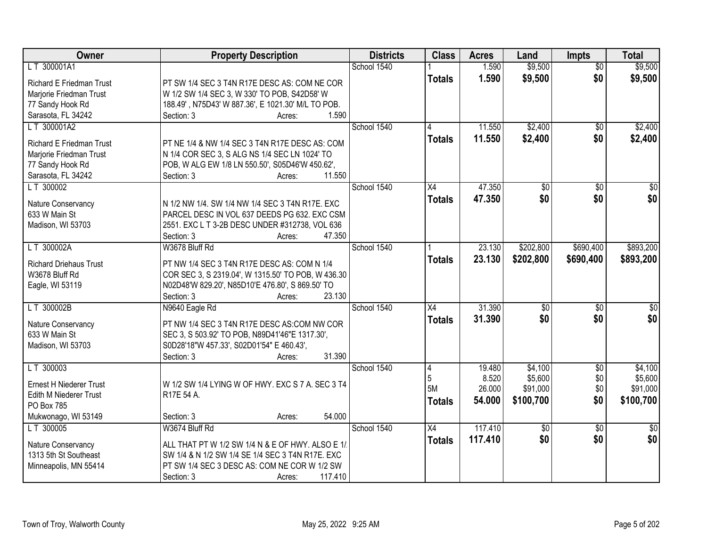| Owner                           | <b>Property Description</b>                                                                      | <b>Districts</b> | <b>Class</b>    | <b>Acres</b> | Land            | <b>Impts</b>    | <b>Total</b>     |
|---------------------------------|--------------------------------------------------------------------------------------------------|------------------|-----------------|--------------|-----------------|-----------------|------------------|
| LT 300001A1                     |                                                                                                  | School 1540      |                 | 1.590        | \$9,500         | $\overline{50}$ | \$9,500          |
| <b>Richard E Friedman Trust</b> | PT SW 1/4 SEC 3 T4N R17E DESC AS: COM NE COR                                                     |                  | <b>Totals</b>   | 1.590        | \$9,500         | \$0             | \$9,500          |
| Marjorie Friedman Trust         | W 1/2 SW 1/4 SEC 3, W 330' TO POB, S42D58' W                                                     |                  |                 |              |                 |                 |                  |
| 77 Sandy Hook Rd                | 188.49', N75D43' W 887.36', E 1021.30' M/L TO POB.                                               |                  |                 |              |                 |                 |                  |
| Sarasota, FL 34242              | 1.590<br>Section: 3<br>Acres:                                                                    |                  |                 |              |                 |                 |                  |
| LT 300001A2                     |                                                                                                  | School 1540      |                 | 11.550       | \$2,400         | $\overline{50}$ | \$2,400          |
|                                 |                                                                                                  |                  | <b>Totals</b>   | 11.550       | \$2,400         | \$0             | \$2,400          |
| <b>Richard E Friedman Trust</b> | PT NE 1/4 & NW 1/4 SEC 3 T4N R17E DESC AS: COM                                                   |                  |                 |              |                 |                 |                  |
| Marjorie Friedman Trust         | N 1/4 COR SEC 3, S ALG NS 1/4 SEC LN 1024' TO                                                    |                  |                 |              |                 |                 |                  |
| 77 Sandy Hook Rd                | POB, W ALG EW 1/8 LN 550.50', S05D46'W 450.62',                                                  |                  |                 |              |                 |                 |                  |
| Sarasota, FL 34242              | 11.550<br>Section: 3<br>Acres:                                                                   |                  |                 |              |                 |                 |                  |
| LT 300002                       |                                                                                                  | School 1540      | X4              | 47.350       | \$0             | \$0             | $\overline{\$0}$ |
| Nature Conservancy              | N 1/2 NW 1/4. SW 1/4 NW 1/4 SEC 3 T4N R17E. EXC                                                  |                  | <b>Totals</b>   | 47.350       | \$0             | \$0             | \$0              |
| 633 W Main St                   | PARCEL DESC IN VOL 637 DEEDS PG 632. EXC CSM                                                     |                  |                 |              |                 |                 |                  |
| Madison, WI 53703               | 2551. EXC L T 3-2B DESC UNDER #312738, VOL 636                                                   |                  |                 |              |                 |                 |                  |
|                                 | Section: 3<br>47.350<br>Acres:                                                                   |                  |                 |              |                 |                 |                  |
| LT 300002A                      | W3678 Bluff Rd                                                                                   | School 1540      |                 | 23.130       | \$202,800       | \$690,400       | \$893,200        |
|                                 |                                                                                                  |                  |                 |              |                 |                 |                  |
| <b>Richard Driehaus Trust</b>   | PT NW 1/4 SEC 3 T4N R17E DESC AS: COM N 1/4                                                      |                  | <b>Totals</b>   | 23.130       | \$202,800       | \$690,400       | \$893,200        |
| W3678 Bluff Rd                  | COR SEC 3, S 2319.04', W 1315.50' TO POB, W 436.30                                               |                  |                 |              |                 |                 |                  |
| Eagle, WI 53119                 | N02D48'W 829.20', N85D10'E 476.80', S 869.50' TO                                                 |                  |                 |              |                 |                 |                  |
|                                 | Section: 3<br>23.130<br>Acres:                                                                   |                  |                 |              |                 |                 |                  |
| LT 300002B                      | N9640 Eagle Rd                                                                                   | School 1540      | $\overline{X4}$ | 31.390       | \$0             | \$0             | $\overline{\$0}$ |
|                                 |                                                                                                  |                  | <b>Totals</b>   | 31,390       | \$0             | \$0             | \$0              |
| Nature Conservancy              | PT NW 1/4 SEC 3 T4N R17E DESC AS:COM NW COR                                                      |                  |                 |              |                 |                 |                  |
| 633 W Main St                   | SEC 3, S 503.92' TO POB, N89D41'46"E 1317.30',                                                   |                  |                 |              |                 |                 |                  |
| Madison, WI 53703               | S0D28'18"W 457.33', S02D01'54" E 460.43',                                                        |                  |                 |              |                 |                 |                  |
|                                 | 31.390<br>Section: 3<br>Acres:                                                                   |                  |                 |              |                 |                 |                  |
| LT 300003                       |                                                                                                  | School 1540      | 4               | 19.480       | \$4,100         | $\sqrt{$0}$     | \$4,100          |
| <b>Ernest H Niederer Trust</b>  | W 1/2 SW 1/4 LYING W OF HWY. EXC S 7 A. SEC 3 T4                                                 |                  | 5               | 8.520        | \$5,600         | \$0             | \$5,600          |
| Edith M Niederer Trust          | R17E 54 A.                                                                                       |                  | 5M              | 26.000       | \$91,000        | \$0             | \$91,000         |
| PO Box 785                      |                                                                                                  |                  | Totals          | 54.000       | \$100,700       | \$0             | \$100,700        |
| Mukwonago, WI 53149             | 54.000<br>Section: 3<br>Acres:                                                                   |                  |                 |              |                 |                 |                  |
| LT 300005                       | W3674 Bluff Rd                                                                                   | School 1540      | $\overline{X4}$ | 117.410      | $\overline{50}$ | $\overline{30}$ | $\overline{30}$  |
|                                 |                                                                                                  |                  | <b>Totals</b>   | 117.410      | \$0             | \$0             | \$0              |
| Nature Conservancy              | ALL THAT PT W 1/2 SW 1/4 N & E OF HWY. ALSO E 1/                                                 |                  |                 |              |                 |                 |                  |
| 1313 5th St Southeast           | SW 1/4 & N 1/2 SW 1/4 SE 1/4 SEC 3 T4N R17E. EXC<br>PT SW 1/4 SEC 3 DESC AS: COM NE COR W 1/2 SW |                  |                 |              |                 |                 |                  |
| Minneapolis, MN 55414           |                                                                                                  |                  |                 |              |                 |                 |                  |
|                                 | 117.410<br>Section: 3<br>Acres:                                                                  |                  |                 |              |                 |                 |                  |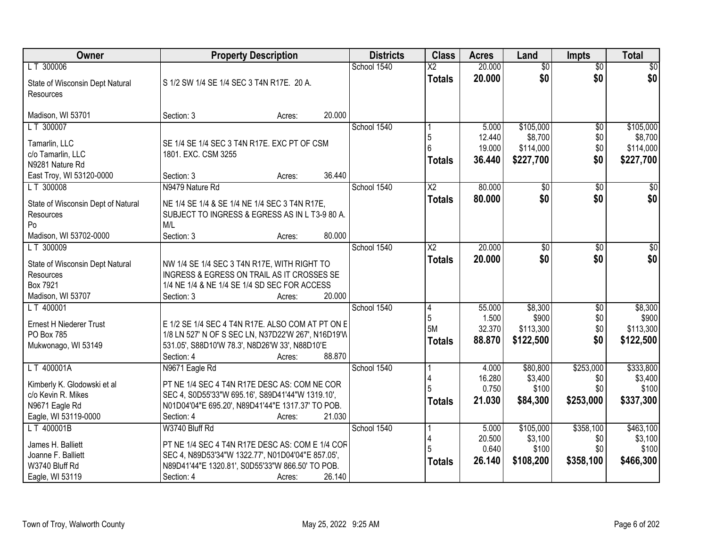| Owner                              |                                                    | <b>Property Description</b> |        | <b>Districts</b> | <b>Class</b>           | <b>Acres</b>    | Land                 | <b>Impts</b>     | <b>Total</b>         |
|------------------------------------|----------------------------------------------------|-----------------------------|--------|------------------|------------------------|-----------------|----------------------|------------------|----------------------|
| LT 300006                          |                                                    |                             |        | School 1540      | $\overline{\text{X2}}$ | 20.000          | $\overline{60}$      | $\overline{50}$  | \$0                  |
| State of Wisconsin Dept Natural    | S 1/2 SW 1/4 SE 1/4 SEC 3 T4N R17E. 20 A.          |                             |        |                  | <b>Totals</b>          | 20.000          | \$0                  | \$0              | \$0                  |
| Resources                          |                                                    |                             |        |                  |                        |                 |                      |                  |                      |
| Madison, WI 53701                  | Section: 3                                         | Acres:                      | 20.000 |                  |                        |                 |                      |                  |                      |
| LT 300007                          |                                                    |                             |        | School 1540      |                        | 5.000           | \$105,000            | $\overline{50}$  | \$105,000            |
| Tamarlin, LLC                      | SE 1/4 SE 1/4 SEC 3 T4N R17E. EXC PT OF CSM        |                             |        |                  | 5                      | 12.440          | \$8,700              | \$0              | \$8,700              |
| c/o Tamarlin, LLC                  | 1801. EXC. CSM 3255                                |                             |        |                  |                        | 19.000          | \$114,000            | \$0              | \$114,000            |
| N9281 Nature Rd                    |                                                    |                             |        |                  | <b>Totals</b>          | 36.440          | \$227,700            | \$0              | \$227,700            |
| East Troy, WI 53120-0000           | Section: 3                                         | Acres:                      | 36.440 |                  |                        |                 |                      |                  |                      |
| LT 300008                          | N9479 Nature Rd                                    |                             |        | School 1540      | $\overline{\text{X2}}$ | 80.000          | $\overline{50}$      | \$0              | $\overline{30}$      |
| State of Wisconsin Dept of Natural | NE 1/4 SE 1/4 & SE 1/4 NE 1/4 SEC 3 T4N R17E,      |                             |        |                  | <b>Totals</b>          | 80.000          | \$0                  | \$0              | \$0                  |
| Resources                          | SUBJECT TO INGRESS & EGRESS AS IN L T3-9 80 A.     |                             |        |                  |                        |                 |                      |                  |                      |
| Po                                 | M/L                                                |                             |        |                  |                        |                 |                      |                  |                      |
| Madison, WI 53702-0000             | Section: 3                                         | Acres:                      | 80.000 |                  |                        |                 |                      |                  |                      |
| LT 300009                          |                                                    |                             |        | School 1540      | $\overline{\text{X2}}$ | 20.000          | \$0                  | $\sqrt[6]{3}$    | $\sqrt{50}$          |
| State of Wisconsin Dept Natural    | NW 1/4 SE 1/4 SEC 3 T4N R17E, WITH RIGHT TO        |                             |        |                  | <b>Totals</b>          | 20.000          | \$0                  | \$0              | \$0                  |
| Resources                          | INGRESS & EGRESS ON TRAIL AS IT CROSSES SE         |                             |        |                  |                        |                 |                      |                  |                      |
| Box 7921                           | 1/4 NE 1/4 & NE 1/4 SE 1/4 SD SEC FOR ACCESS       |                             |        |                  |                        |                 |                      |                  |                      |
| Madison, WI 53707                  | Section: 3                                         | Acres:                      | 20.000 |                  |                        |                 |                      |                  |                      |
| LT 400001                          |                                                    |                             |        | School 1540      | 14<br>5                | 55.000<br>1.500 | \$8,300              | \$0              | \$8,300              |
| Ernest H Niederer Trust            | E 1/2 SE 1/4 SEC 4 T4N R17E. ALSO COM AT PT ON E   |                             |        |                  | 5M                     | 32.370          | \$900<br>\$113,300   | \$0<br>\$0       | \$900<br>\$113,300   |
| PO Box 785                         | 1/8 LN 527' N OF S SEC LN, N37D22'W 267', N16D19'W |                             |        |                  | <b>Totals</b>          | 88.870          | \$122,500            | \$0              | \$122,500            |
| Mukwonago, WI 53149                | 531.05', S88D10'W 78.3', N8D26'W 33', N88D10'E     |                             |        |                  |                        |                 |                      |                  |                      |
|                                    | Section: 4                                         | Acres:                      | 88.870 |                  |                        |                 |                      |                  |                      |
| LT 400001A                         | N9671 Eagle Rd                                     |                             |        | School 1540      |                        | 4.000<br>16.280 | \$80,800<br>\$3,400  | \$253,000<br>\$0 | \$333,800<br>\$3,400 |
| Kimberly K. Glodowski et al        | PT NE 1/4 SEC 4 T4N R17E DESC AS: COM NE COR       |                             |        |                  |                        | 0.750           | \$100                | \$0              | \$100                |
| c/o Kevin R. Mikes                 | SEC 4, S0D55'33"W 695.16', S89D41'44"W 1319.10',   |                             |        |                  | <b>Totals</b>          | 21.030          | \$84,300             | \$253,000        | \$337,300            |
| N9671 Eagle Rd                     | N01D04'04"E 695.20', N89D41'44"E 1317.37' TO POB.  |                             |        |                  |                        |                 |                      |                  |                      |
| Eagle, WI 53119-0000               | Section: 4                                         | Acres:                      | 21.030 |                  |                        |                 |                      |                  |                      |
| LT 400001B                         | W3740 Bluff Rd                                     |                             |        | School 1540      |                        | 5.000<br>20.500 | \$105,000<br>\$3,100 | \$358,100<br>\$0 | \$463,100<br>\$3,100 |
| James H. Balliett                  | PT NE 1/4 SEC 4 T4N R17E DESC AS: COM E 1/4 COF    |                             |        |                  | 5                      | 0.640           | \$100                | \$0              | \$100                |
| Joanne F. Balliett                 | SEC 4, N89D53'34"W 1322.77', N01D04'04"E 857.05',  |                             |        |                  | <b>Totals</b>          | 26.140          | \$108,200            | \$358,100        | \$466,300            |
| W3740 Bluff Rd                     | N89D41'44"E 1320.81', S0D55'33"W 866.50' TO POB.   |                             |        |                  |                        |                 |                      |                  |                      |
| Eagle, WI 53119                    | Section: 4                                         | Acres:                      | 26.140 |                  |                        |                 |                      |                  |                      |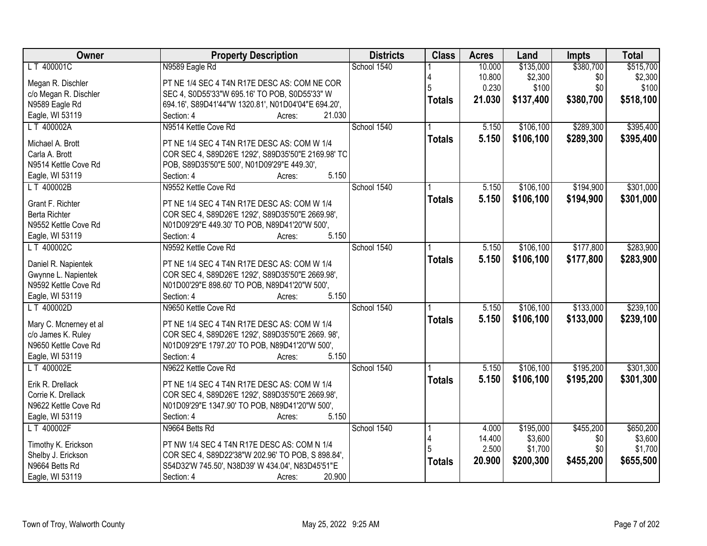| Owner                  | <b>Property Description</b>                         | <b>Districts</b> | <b>Class</b>  | <b>Acres</b> | Land      | <b>Impts</b> | <b>Total</b> |
|------------------------|-----------------------------------------------------|------------------|---------------|--------------|-----------|--------------|--------------|
| LT 400001C             | N9589 Eagle Rd                                      | School 1540      |               | 10.000       | \$135,000 | \$380,700    | \$515,700    |
| Megan R. Dischler      | PT NE 1/4 SEC 4 T4N R17E DESC AS: COM NE COR        |                  |               | 10.800       | \$2,300   | \$0          | \$2,300      |
| c/o Megan R. Dischler  | SEC 4, S0D55'33"W 695.16' TO POB, S0D55'33" W       |                  |               | 0.230        | \$100     | \$0          | \$100        |
| N9589 Eagle Rd         | 694.16', S89D41'44"W 1320.81', N01D04'04"E 694.20', |                  | <b>Totals</b> | 21.030       | \$137,400 | \$380,700    | \$518,100    |
| Eagle, WI 53119        | 21.030<br>Section: 4<br>Acres:                      |                  |               |              |           |              |              |
| LT 400002A             | N9514 Kettle Cove Rd                                | School 1540      |               | 5.150        | \$106,100 | \$289,300    | \$395,400    |
|                        |                                                     |                  | <b>Totals</b> | 5.150        | \$106,100 | \$289,300    | \$395,400    |
| Michael A. Brott       | PT NE 1/4 SEC 4 T4N R17E DESC AS: COM W 1/4         |                  |               |              |           |              |              |
| Carla A. Brott         | COR SEC 4, S89D26'E 1292', S89D35'50"E 2169.98' TC  |                  |               |              |           |              |              |
| N9514 Kettle Cove Rd   | POB, S89D35'50"E 500', N01D09'29"E 449.30',         |                  |               |              |           |              |              |
| Eagle, WI 53119        | 5.150<br>Section: 4<br>Acres:                       |                  |               |              |           |              |              |
| LT 400002B             | N9552 Kettle Cove Rd                                | School 1540      |               | 5.150        | \$106,100 | \$194,900    | \$301,000    |
| Grant F. Richter       | PT NE 1/4 SEC 4 T4N R17E DESC AS: COM W 1/4         |                  | <b>Totals</b> | 5.150        | \$106,100 | \$194,900    | \$301,000    |
| <b>Berta Richter</b>   | COR SEC 4, S89D26'E 1292', S89D35'50"E 2669.98',    |                  |               |              |           |              |              |
| N9552 Kettle Cove Rd   | N01D09'29"E 449.30' TO POB, N89D41'20"W 500',       |                  |               |              |           |              |              |
| Eagle, WI 53119        | 5.150<br>Section: 4<br>Acres:                       |                  |               |              |           |              |              |
| LT 400002C             | N9592 Kettle Cove Rd                                | School 1540      |               | 5.150        | \$106,100 | \$177,800    | \$283,900    |
|                        |                                                     |                  | <b>Totals</b> | 5.150        | \$106,100 | \$177,800    | \$283,900    |
| Daniel R. Napientek    | PT NE 1/4 SEC 4 T4N R17E DESC AS: COM W 1/4         |                  |               |              |           |              |              |
| Gwynne L. Napientek    | COR SEC 4, S89D26'E 1292', S89D35'50"E 2669.98',    |                  |               |              |           |              |              |
| N9592 Kettle Cove Rd   | N01D00'29"E 898.60' TO POB, N89D41'20"W 500',       |                  |               |              |           |              |              |
| Eagle, WI 53119        | Section: 4<br>5.150<br>Acres:                       |                  |               |              |           |              |              |
| LT 400002D             | N9650 Kettle Cove Rd                                | School 1540      |               | 5.150        | \$106,100 | \$133,000    | \$239,100    |
| Mary C. Mcnerney et al | PT NE 1/4 SEC 4 T4N R17E DESC AS: COM W 1/4         |                  | <b>Totals</b> | 5.150        | \$106,100 | \$133,000    | \$239,100    |
| c/o James K. Ruley     | COR SEC 4, S89D26'E 1292', S89D35'50"E 2669. 98',   |                  |               |              |           |              |              |
| N9650 Kettle Cove Rd   | N01D09'29"E 1797.20' TO POB, N89D41'20"W 500',      |                  |               |              |           |              |              |
| Eagle, WI 53119        | 5.150<br>Section: 4<br>Acres:                       |                  |               |              |           |              |              |
| LT 400002E             | N9622 Kettle Cove Rd                                | School 1540      |               | 5.150        | \$106,100 | \$195,200    | \$301,300    |
|                        |                                                     |                  | <b>Totals</b> | 5.150        | \$106,100 | \$195,200    | \$301,300    |
| Erik R. Drellack       | PT NE 1/4 SEC 4 T4N R17E DESC AS: COM W 1/4         |                  |               |              |           |              |              |
| Corrie K. Drellack     | COR SEC 4, S89D26'E 1292', S89D35'50"E 2669.98',    |                  |               |              |           |              |              |
| N9622 Kettle Cove Rd   | N01D09'29"E 1347.90' TO POB, N89D41'20"W 500',      |                  |               |              |           |              |              |
| Eagle, WI 53119        | Section: 4<br>5.150<br>Acres:                       |                  |               |              |           |              |              |
| LT 400002F             | N9664 Betts Rd                                      | School 1540      |               | 4.000        | \$195,000 | \$455,200    | \$650,200    |
| Timothy K. Erickson    | PT NW 1/4 SEC 4 T4N R17E DESC AS: COM N 1/4         |                  |               | 14.400       | \$3,600   | \$0          | \$3,600      |
| Shelby J. Erickson     | COR SEC 4, S89D22'38"W 202.96' TO POB, S 898.84',   |                  |               | 2.500        | \$1,700   | \$0          | \$1,700      |
| N9664 Betts Rd         | S54D32'W 745.50', N38D39' W 434.04', N83D45'51"E    |                  | <b>Totals</b> | 20.900       | \$200,300 | \$455,200    | \$655,500    |
| Eagle, WI 53119        | 20.900<br>Section: 4<br>Acres:                      |                  |               |              |           |              |              |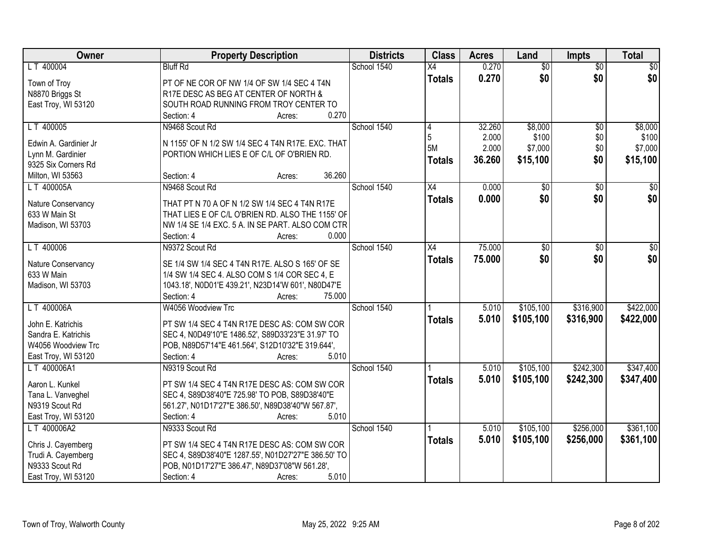| Owner                 | <b>Property Description</b>                         | <b>Districts</b> | <b>Class</b>  | <b>Acres</b> | Land            | <b>Impts</b>    | <b>Total</b>     |
|-----------------------|-----------------------------------------------------|------------------|---------------|--------------|-----------------|-----------------|------------------|
| LT 400004             | <b>Bluff Rd</b>                                     | School 1540      | X4            | 0.270        | $\overline{50}$ | $\overline{50}$ | $\overline{30}$  |
| Town of Troy          | PT OF NE COR OF NW 1/4 OF SW 1/4 SEC 4 T4N          |                  | <b>Totals</b> | 0.270        | \$0             | \$0             | \$0              |
| N8870 Briggs St       | R17E DESC AS BEG AT CENTER OF NORTH &               |                  |               |              |                 |                 |                  |
| East Troy, WI 53120   | SOUTH ROAD RUNNING FROM TROY CENTER TO              |                  |               |              |                 |                 |                  |
|                       | 0.270<br>Section: 4<br>Acres:                       |                  |               |              |                 |                 |                  |
| LT 400005             | N9468 Scout Rd                                      | School 1540      | 4             | 32.260       | \$8,000         | $\overline{50}$ | \$8,000          |
| Edwin A. Gardinier Jr | N 1155' OF N 1/2 SW 1/4 SEC 4 T4N R17E. EXC. THAT   |                  | 5             | 2.000        | \$100           | \$0             | \$100            |
| Lynn M. Gardinier     | PORTION WHICH LIES E OF C/L OF O'BRIEN RD.          |                  | 5M            | 2.000        | \$7,000         | \$0             | \$7,000          |
| 9325 Six Corners Rd   |                                                     |                  | <b>Totals</b> | 36.260       | \$15,100        | \$0             | \$15,100         |
| Milton, WI 53563      | 36.260<br>Section: 4<br>Acres:                      |                  |               |              |                 |                 |                  |
| LT 400005A            | N9468 Scout Rd                                      | School 1540      | X4            | 0.000        | \$0             | \$0             | $\overline{\$0}$ |
|                       |                                                     |                  |               | 0.000        | \$0             | \$0             | \$0              |
| Nature Conservancy    | THAT PT N 70 A OF N 1/2 SW 1/4 SEC 4 T4N R17E       |                  | <b>Totals</b> |              |                 |                 |                  |
| 633 W Main St         | THAT LIES E OF C/L O'BRIEN RD. ALSO THE 1155' OF    |                  |               |              |                 |                 |                  |
| Madison, WI 53703     | NW 1/4 SE 1/4 EXC. 5 A. IN SE PART. ALSO COM CTR    |                  |               |              |                 |                 |                  |
|                       | Section: 4<br>0.000<br>Acres:                       |                  |               |              |                 |                 |                  |
| LT 400006             | N9372 Scout Rd                                      | School 1540      | X4            | 75.000       | $\overline{50}$ | \$0             | \$0              |
| Nature Conservancy    | SE 1/4 SW 1/4 SEC 4 T4N R17E. ALSO S 165' OF SE     |                  | <b>Totals</b> | 75.000       | \$0             | \$0             | \$0              |
| 633 W Main            | 1/4 SW 1/4 SEC 4. ALSO COM S 1/4 COR SEC 4, E       |                  |               |              |                 |                 |                  |
| Madison, WI 53703     | 1043.18', N0D01'E 439.21', N23D14'W 601', N80D47'E  |                  |               |              |                 |                 |                  |
|                       | Section: 4<br>75.000<br>Acres:                      |                  |               |              |                 |                 |                  |
| LT 400006A            | W4056 Woodview Trc                                  | School 1540      |               | 5.010        | \$105,100       | \$316,900       | \$422,000        |
|                       |                                                     |                  | <b>Totals</b> | 5.010        | \$105,100       | \$316,900       | \$422,000        |
| John E. Katrichis     | PT SW 1/4 SEC 4 T4N R17E DESC AS: COM SW COR        |                  |               |              |                 |                 |                  |
| Sandra E. Katrichis   | SEC 4, N0D49'10"E 1486.52', S89D33'23"E 31.97' TO   |                  |               |              |                 |                 |                  |
| W4056 Woodview Trc    | POB, N89D57'14"E 461.564', S12D10'32"E 319.644',    |                  |               |              |                 |                 |                  |
| East Troy, WI 53120   | 5.010<br>Section: 4<br>Acres:                       |                  |               |              |                 |                 |                  |
| LT 400006A1           | N9319 Scout Rd                                      | School 1540      |               | 5.010        | \$105,100       | \$242,300       | \$347,400        |
| Aaron L. Kunkel       | PT SW 1/4 SEC 4 T4N R17E DESC AS: COM SW COR        |                  | <b>Totals</b> | 5.010        | \$105,100       | \$242,300       | \$347,400        |
| Tana L. Vanveghel     | SEC 4, S89D38'40"E 725.98' TO POB, S89D38'40"E      |                  |               |              |                 |                 |                  |
| N9319 Scout Rd        | 561.27', N01D17'27"E 386.50', N89D38'40"W 567.87',  |                  |               |              |                 |                 |                  |
| East Troy, WI 53120   | 5.010<br>Section: 4<br>Acres:                       |                  |               |              |                 |                 |                  |
| LT 400006A2           | N9333 Scout Rd                                      | School 1540      |               | 5.010        | \$105,100       | \$256,000       | \$361,100        |
|                       |                                                     |                  | <b>Totals</b> | 5.010        | \$105,100       | \$256,000       | \$361,100        |
| Chris J. Cayemberg    | PT SW 1/4 SEC 4 T4N R17E DESC AS: COM SW COR        |                  |               |              |                 |                 |                  |
| Trudi A. Cayemberg    | SEC 4, S89D38'40"E 1287.55', N01D27'27"E 386.50' TO |                  |               |              |                 |                 |                  |
| N9333 Scout Rd        | POB, N01D17'27"E 386.47', N89D37'08"W 561.28',      |                  |               |              |                 |                 |                  |
| East Troy, WI 53120   | 5.010<br>Section: 4<br>Acres:                       |                  |               |              |                 |                 |                  |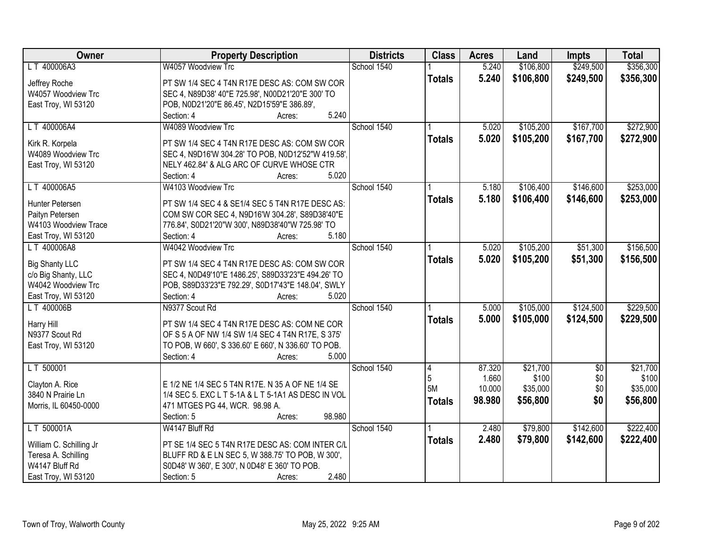| Owner                   | <b>Property Description</b>                         | <b>Districts</b> | <b>Class</b>   | <b>Acres</b> | Land      | <b>Impts</b>    | <b>Total</b> |
|-------------------------|-----------------------------------------------------|------------------|----------------|--------------|-----------|-----------------|--------------|
| LT 400006A3             | W4057 Woodview Trc                                  | School 1540      |                | 5.240        | \$106,800 | \$249,500       | \$356,300    |
| Jeffrey Roche           | PT SW 1/4 SEC 4 T4N R17E DESC AS: COM SW COR        |                  | <b>Totals</b>  | 5.240        | \$106,800 | \$249,500       | \$356,300    |
| W4057 Woodview Trc      | SEC 4, N89D38' 40"E 725.98', N00D21'20"E 300' TO    |                  |                |              |           |                 |              |
| East Troy, WI 53120     | POB, N0D21'20"E 86.45', N2D15'59"E 386.89',         |                  |                |              |           |                 |              |
|                         | 5.240<br>Section: 4<br>Acres:                       |                  |                |              |           |                 |              |
| LT 400006A4             | W4089 Woodview Trc                                  | School 1540      |                | 5.020        | \$105,200 | \$167,700       | \$272,900    |
|                         |                                                     |                  | <b>Totals</b>  | 5.020        | \$105,200 | \$167,700       | \$272,900    |
| Kirk R. Korpela         | PT SW 1/4 SEC 4 T4N R17E DESC AS: COM SW COR        |                  |                |              |           |                 |              |
| W4089 Woodview Trc      | SEC 4, N9D16'W 304.28' TO POB, N0D12'52"W 419.58',  |                  |                |              |           |                 |              |
| East Troy, WI 53120     | NELY 462.84' & ALG ARC OF CURVE WHOSE CTR           |                  |                |              |           |                 |              |
|                         | 5.020<br>Section: 4<br>Acres:                       |                  |                |              |           |                 |              |
| LT 400006A5             | W4103 Woodview Trc                                  | School 1540      |                | 5.180        | \$106,400 | \$146,600       | \$253,000    |
| Hunter Petersen         | PT SW 1/4 SEC 4 & SE1/4 SEC 5 T4N R17E DESC AS:     |                  | <b>Totals</b>  | 5.180        | \$106,400 | \$146,600       | \$253,000    |
| Paityn Petersen         | COM SW COR SEC 4, N9D16'W 304.28', S89D38'40"E      |                  |                |              |           |                 |              |
| W4103 Woodview Trace    | 776.84', S0D21'20"W 300', N89D38'40"W 725.98' TO    |                  |                |              |           |                 |              |
| East Troy, WI 53120     | Section: 4<br>5.180<br>Acres:                       |                  |                |              |           |                 |              |
| LT 400006A8             | W4042 Woodview Trc                                  | School 1540      |                | 5.020        | \$105,200 | \$51,300        | \$156,500    |
|                         |                                                     |                  | <b>Totals</b>  | 5.020        | \$105,200 | \$51,300        | \$156,500    |
| <b>Big Shanty LLC</b>   | PT SW 1/4 SEC 4 T4N R17E DESC AS: COM SW COR        |                  |                |              |           |                 |              |
| c/o Big Shanty, LLC     | SEC 4, N0D49'10"E 1486.25', S89D33'23"E 494.26' TO  |                  |                |              |           |                 |              |
| W4042 Woodview Trc      | POB, S89D33'23"E 792.29', S0D17'43"E 148.04', SWLY  |                  |                |              |           |                 |              |
| East Troy, WI 53120     | Section: 4<br>5.020<br>Acres:                       |                  |                |              |           |                 |              |
| LT 400006B              | N9377 Scout Rd                                      | School 1540      |                | 5.000        | \$105,000 | \$124,500       | \$229,500    |
| Harry Hill              | PT SW 1/4 SEC 4 T4N R17E DESC AS: COM NE COR        |                  | <b>Totals</b>  | 5.000        | \$105,000 | \$124,500       | \$229,500    |
| N9377 Scout Rd          | OF S 5 A OF NW 1/4 SW 1/4 SEC 4 T4N R17E, S 375'    |                  |                |              |           |                 |              |
| East Troy, WI 53120     | TO POB, W 660', S 336.60' E 660', N 336.60' TO POB. |                  |                |              |           |                 |              |
|                         | 5.000<br>Section: 4<br>Acres:                       |                  |                |              |           |                 |              |
| LT 500001               |                                                     | School 1540      | $\overline{4}$ | 87.320       | \$21,700  | $\overline{50}$ | \$21,700     |
|                         |                                                     |                  | 5              | 1.660        | \$100     | \$0             | \$100        |
| Clayton A. Rice         | E 1/2 NE 1/4 SEC 5 T4N R17E. N 35 A OF NE 1/4 SE    |                  | 5M             | 10.000       | \$35,000  | \$0             | \$35,000     |
| 3840 N Prairie Ln       | 1/4 SEC 5. EXC L T 5-1A & L T 5-1A1 AS DESC IN VOL  |                  | <b>Totals</b>  | 98.980       | \$56,800  | \$0             | \$56,800     |
| Morris, IL 60450-0000   | 471 MTGES PG 44, WCR. 98.98 A.                      |                  |                |              |           |                 |              |
|                         | 98.980<br>Section: 5<br>Acres:                      |                  |                |              |           |                 |              |
| LT 500001A              | W4147 Bluff Rd                                      | School 1540      |                | 2.480        | \$79,800  | \$142,600       | \$222,400    |
| William C. Schilling Jr | PT SE 1/4 SEC 5 T4N R17E DESC AS: COM INTER C/L     |                  | <b>Totals</b>  | 2.480        | \$79,800  | \$142,600       | \$222,400    |
| Teresa A. Schilling     | BLUFF RD & E LN SEC 5, W 388.75' TO POB, W 300',    |                  |                |              |           |                 |              |
| W4147 Bluff Rd          | S0D48' W 360', E 300', N 0D48' E 360' TO POB.       |                  |                |              |           |                 |              |
| East Troy, WI 53120     | 2.480<br>Section: 5<br>Acres:                       |                  |                |              |           |                 |              |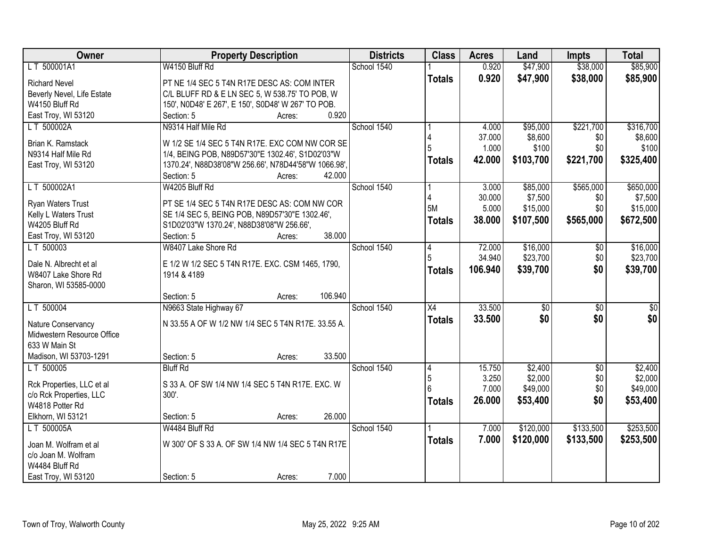| Owner                      | <b>Property Description</b>                          | <b>Districts</b> | <b>Class</b>    | <b>Acres</b> | Land            | Impts           | <b>Total</b> |
|----------------------------|------------------------------------------------------|------------------|-----------------|--------------|-----------------|-----------------|--------------|
| LT 500001A1                | W4150 Bluff Rd                                       | School 1540      |                 | 0.920        | \$47,900        | \$38,000        | \$85,900     |
| <b>Richard Nevel</b>       | PT NE 1/4 SEC 5 T4N R17E DESC AS: COM INTER          |                  | <b>Totals</b>   | 0.920        | \$47,900        | \$38,000        | \$85,900     |
| Beverly Nevel, Life Estate | C/L BLUFF RD & E LN SEC 5, W 538.75' TO POB, W       |                  |                 |              |                 |                 |              |
| W4150 Bluff Rd             | 150', N0D48' E 267', E 150', S0D48' W 267' TO POB.   |                  |                 |              |                 |                 |              |
| East Troy, WI 53120        | 0.920<br>Section: 5<br>Acres:                        |                  |                 |              |                 |                 |              |
| LT 500002A                 | N9314 Half Mile Rd                                   | School 1540      |                 | 4.000        | \$95,000        | \$221,700       | \$316,700    |
|                            |                                                      |                  |                 | 37.000       | \$8,600         | \$0             | \$8,600      |
| Brian K. Ramstack          | W 1/2 SE 1/4 SEC 5 T4N R17E. EXC COM NW COR SE       |                  |                 | 1.000        | \$100           | \$0             | \$100        |
| N9314 Half Mile Rd         | 1/4, BEING POB, N89D57'30"E 1302.46', S1D02'03"W     |                  | <b>Totals</b>   | 42.000       | \$103,700       | \$221,700       | \$325,400    |
| East Troy, WI 53120        | 1370.24', N88D38'08"W 256.66', N78D44'58"W 1066.98', |                  |                 |              |                 |                 |              |
|                            | 42.000<br>Section: 5<br>Acres:                       |                  |                 |              |                 |                 |              |
| LT 500002A1                | W4205 Bluff Rd                                       | School 1540      |                 | 3.000        | \$85,000        | \$565,000       | \$650,000    |
| Ryan Waters Trust          | PT SE 1/4 SEC 5 T4N R17E DESC AS: COM NW COR         |                  | 5M              | 30.000       | \$7,500         | \$0             | \$7,500      |
| Kelly L Waters Trust       | SE 1/4 SEC 5, BEING POB, N89D57'30"E 1302.46',       |                  |                 | 5.000        | \$15,000        | \$0             | \$15,000     |
| W4205 Bluff Rd             | S1D02'03"W 1370.24', N88D38'08"W 256.66',            |                  | <b>Totals</b>   | 38.000       | \$107,500       | \$565,000       | \$672,500    |
| East Troy, WI 53120        | 38.000<br>Section: 5<br>Acres:                       |                  |                 |              |                 |                 |              |
| LT 500003                  | W8407 Lake Shore Rd                                  | School 1540      | 4               | 72.000       | \$16,000        | \$0             | \$16,000     |
|                            |                                                      |                  |                 | 34.940       | \$23,700        | \$0             | \$23,700     |
| Dale N. Albrecht et al     | E 1/2 W 1/2 SEC 5 T4N R17E. EXC. CSM 1465, 1790,     |                  | Totals          | 106.940      | \$39,700        | \$0             | \$39,700     |
| W8407 Lake Shore Rd        | 1914 & 4189                                          |                  |                 |              |                 |                 |              |
| Sharon, WI 53585-0000      |                                                      |                  |                 |              |                 |                 |              |
|                            | 106.940<br>Section: 5<br>Acres:                      |                  |                 |              |                 |                 |              |
| LT 500004                  | N9663 State Highway 67                               | School 1540      | $\overline{X4}$ | 33.500       | $\overline{50}$ | $\overline{50}$ | \$0          |
| Nature Conservancy         | N 33.55 A OF W 1/2 NW 1/4 SEC 5 T4N R17E. 33.55 A.   |                  | <b>Totals</b>   | 33.500       | \$0             | \$0             | \$0          |
| Midwestern Resource Office |                                                      |                  |                 |              |                 |                 |              |
| 633 W Main St              |                                                      |                  |                 |              |                 |                 |              |
| Madison, WI 53703-1291     | 33.500<br>Section: 5<br>Acres:                       |                  |                 |              |                 |                 |              |
| LT 500005                  | <b>Bluff Rd</b>                                      | School 1540      | 4               | 15.750       | \$2,400         | $\sqrt{6}$      | \$2,400      |
|                            |                                                      |                  | 5               | 3.250        | \$2,000         | \$0             | \$2,000      |
| Rck Properties, LLC et al  | S 33 A. OF SW 1/4 NW 1/4 SEC 5 T4N R17E. EXC. W      |                  |                 | 7.000        | \$49,000        | \$0             | \$49,000     |
| c/o Rck Properties, LLC    | 300'.                                                |                  | <b>Totals</b>   | 26.000       | \$53,400        | \$0             | \$53,400     |
| W4818 Potter Rd            |                                                      |                  |                 |              |                 |                 |              |
| Elkhorn, WI 53121          | 26.000<br>Section: 5<br>Acres:                       |                  |                 |              |                 |                 |              |
| LT 500005A                 | W4484 Bluff Rd                                       | School 1540      |                 | 7.000        | \$120,000       | \$133,500       | \$253,500    |
| Joan M. Wolfram et al      | W 300' OF S 33 A. OF SW 1/4 NW 1/4 SEC 5 T4N R17E    |                  | <b>Totals</b>   | 7.000        | \$120,000       | \$133,500       | \$253,500    |
| c/o Joan M. Wolfram        |                                                      |                  |                 |              |                 |                 |              |
| W4484 Bluff Rd             |                                                      |                  |                 |              |                 |                 |              |
| East Troy, WI 53120        | 7.000<br>Section: 5<br>Acres:                        |                  |                 |              |                 |                 |              |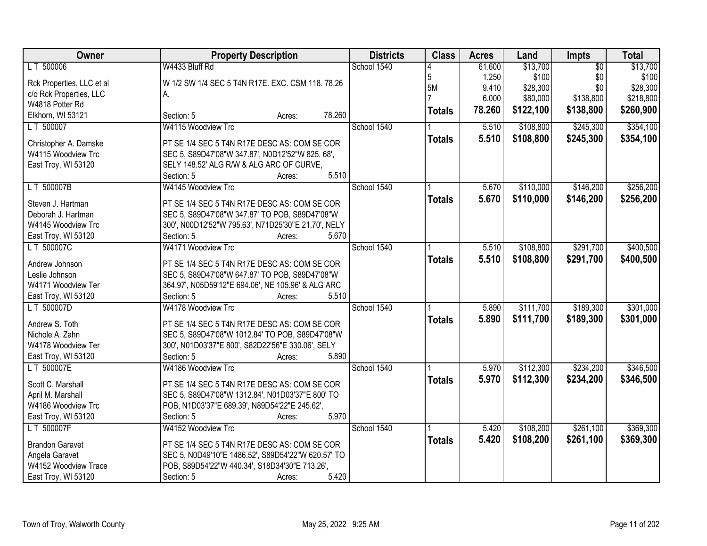| Owner                     | <b>Property Description</b>                         | <b>Districts</b> | <b>Class</b>  | <b>Acres</b> | Land      | Impts           | <b>Total</b> |
|---------------------------|-----------------------------------------------------|------------------|---------------|--------------|-----------|-----------------|--------------|
| LT 500006                 | W4433 Bluff Rd                                      | School 1540      |               | 61.600       | \$13,700  | $\overline{30}$ | \$13,700     |
| Rck Properties, LLC et al | W 1/2 SW 1/4 SEC 5 T4N R17E. EXC. CSM 118. 78.26    |                  | 5             | 1.250        | \$100     | \$0             | \$100        |
| c/o Rck Properties, LLC   | А.                                                  |                  | 5M            | 9.410        | \$28,300  | \$0             | \$28,300     |
| W4818 Potter Rd           |                                                     |                  |               | 6.000        | \$80,000  | \$138,800       | \$218,800    |
| Elkhorn, WI 53121         | 78.260<br>Section: 5<br>Acres:                      |                  | <b>Totals</b> | 78.260       | \$122,100 | \$138,800       | \$260,900    |
| LT 500007                 | W4115 Woodview Trc                                  | School 1540      |               | 5.510        | \$108,800 | \$245,300       | \$354,100    |
|                           |                                                     |                  | <b>Totals</b> | 5.510        | \$108,800 | \$245,300       | \$354,100    |
| Christopher A. Damske     | PT SE 1/4 SEC 5 T4N R17E DESC AS: COM SE COR        |                  |               |              |           |                 |              |
| W4115 Woodview Trc        | SEC 5, S89D47'08"W 347.87', N0D12'52"W 825. 68',    |                  |               |              |           |                 |              |
| East Troy, WI 53120       | SELY 148.52' ALG R/W & ALG ARC OF CURVE,            |                  |               |              |           |                 |              |
|                           | 5.510<br>Section: 5<br>Acres:                       |                  |               |              |           |                 |              |
| LT 500007B                | W4145 Woodview Trc                                  | School 1540      |               | 5.670        | \$110,000 | \$146,200       | \$256,200    |
| Steven J. Hartman         | PT SE 1/4 SEC 5 T4N R17E DESC AS: COM SE COR        |                  | <b>Totals</b> | 5.670        | \$110,000 | \$146,200       | \$256,200    |
| Deborah J. Hartman        | SEC 5, S89D47'08"W 347.87' TO POB, S89D47'08"W      |                  |               |              |           |                 |              |
| W4145 Woodview Trc        | 300', N00D12'52"W 795.63', N71D25'30"E 21.70', NELY |                  |               |              |           |                 |              |
| East Troy, WI 53120       | Section: 5<br>5.670<br>Acres:                       |                  |               |              |           |                 |              |
| LT 500007C                | W4171 Woodview Trc                                  | School 1540      |               | 5.510        | \$108,800 | \$291,700       | \$400,500    |
|                           |                                                     |                  | <b>Totals</b> | 5.510        | \$108,800 | \$291,700       | \$400,500    |
| Andrew Johnson            | PT SE 1/4 SEC 5 T4N R17E DESC AS: COM SE COR        |                  |               |              |           |                 |              |
| Leslie Johnson            | SEC 5, S89D47'08"W 647.87' TO POB, S89D47'08"W      |                  |               |              |           |                 |              |
| W4171 Woodview Ter        | 364.97', N05D59'12"E 694.06', NE 105.96' & ALG ARC  |                  |               |              |           |                 |              |
| East Troy, WI 53120       | 5.510<br>Section: 5<br>Acres:                       |                  |               |              |           |                 |              |
| LT 500007D                | W4178 Woodview Trc                                  | School 1540      |               | 5.890        | \$111,700 | \$189,300       | \$301,000    |
| Andrew S. Toth            | PT SE 1/4 SEC 5 T4N R17E DESC AS: COM SE COR        |                  | <b>Totals</b> | 5.890        | \$111,700 | \$189,300       | \$301,000    |
| Nichole A. Zahn           | SEC 5, S89D47'08"W 1012.84' TO POB, S89D47'08"W     |                  |               |              |           |                 |              |
| W4178 Woodview Ter        | 300', N01D03'37"E 800', S82D22'56"E 330.06', SELY   |                  |               |              |           |                 |              |
| East Troy, WI 53120       | 5.890<br>Section: 5                                 |                  |               |              |           |                 |              |
|                           | Acres:                                              | School 1540      |               |              |           |                 |              |
| LT 500007E                | W4186 Woodview Trc                                  |                  |               | 5.970        | \$112,300 | \$234,200       | \$346,500    |
| Scott C. Marshall         | PT SE 1/4 SEC 5 T4N R17E DESC AS: COM SE COR        |                  | <b>Totals</b> | 5.970        | \$112,300 | \$234,200       | \$346,500    |
| April M. Marshall         | SEC 5, S89D47'08"W 1312.84', N01D03'37"E 800' TO    |                  |               |              |           |                 |              |
| W4186 Woodview Trc        | POB, N1D03'37"E 689.39', N89D54'22"E 245.62',       |                  |               |              |           |                 |              |
| East Troy, WI 53120       | 5.970<br>Section: 5<br>Acres:                       |                  |               |              |           |                 |              |
| LT 500007F                | W4152 Woodview Trc                                  | School 1540      |               | 5.420        | \$108,200 | \$261,100       | \$369,300    |
| <b>Brandon Garavet</b>    |                                                     |                  | <b>Totals</b> | 5.420        | \$108,200 | \$261,100       | \$369,300    |
|                           | PT SE 1/4 SEC 5 T4N R17E DESC AS: COM SE COR        |                  |               |              |           |                 |              |
| Angela Garavet            | SEC 5, N0D49'10"E 1486.52', S89D54'22"W 620.57' TO  |                  |               |              |           |                 |              |
| W4152 Woodview Trace      | POB, S89D54'22"W 440.34', S18D34'30"E 713.26',      |                  |               |              |           |                 |              |
| East Troy, WI 53120       | 5.420<br>Section: 5<br>Acres:                       |                  |               |              |           |                 |              |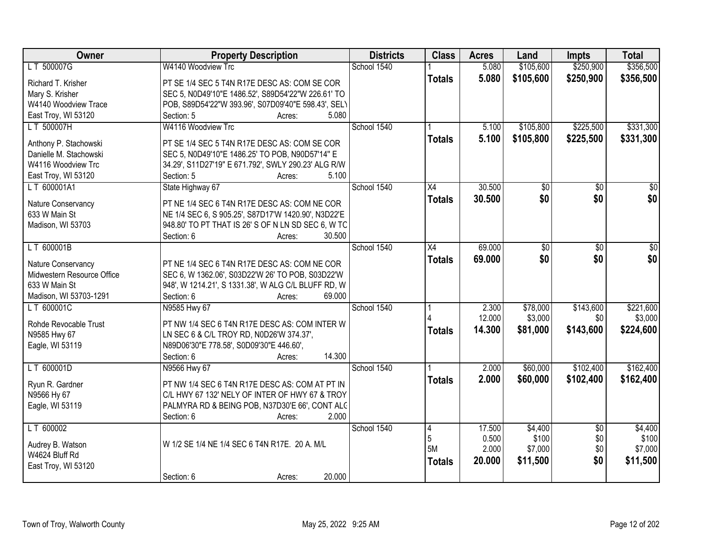| Owner                      | <b>Property Description</b>                                  | <b>Districts</b> | <b>Class</b>    | <b>Acres</b> | Land      | <b>Impts</b>    | <b>Total</b>    |
|----------------------------|--------------------------------------------------------------|------------------|-----------------|--------------|-----------|-----------------|-----------------|
| LT 500007G                 | W4140 Woodview Trc                                           | School 1540      |                 | 5.080        | \$105,600 | \$250,900       | \$356,500       |
| Richard T. Krisher         | PT SE 1/4 SEC 5 T4N R17E DESC AS: COM SE COR                 |                  | <b>Totals</b>   | 5.080        | \$105,600 | \$250,900       | \$356,500       |
| Mary S. Krisher            | SEC 5, N0D49'10"E 1486.52', S89D54'22"W 226.61' TO           |                  |                 |              |           |                 |                 |
| W4140 Woodview Trace       | POB, S89D54'22"W 393.96', S07D09'40"E 598.43', SELY          |                  |                 |              |           |                 |                 |
| East Troy, WI 53120        | 5.080<br>Section: 5<br>Acres:                                |                  |                 |              |           |                 |                 |
| LT 500007H                 | W4116 Woodview Trc                                           | School 1540      |                 | 5.100        | \$105,800 | \$225,500       | \$331,300       |
|                            |                                                              |                  | <b>Totals</b>   | 5.100        | \$105,800 | \$225,500       | \$331,300       |
| Anthony P. Stachowski      | PT SE 1/4 SEC 5 T4N R17E DESC AS: COM SE COR                 |                  |                 |              |           |                 |                 |
| Danielle M. Stachowski     | SEC 5, N0D49'10"E 1486.25' TO POB, N90D57'14" E              |                  |                 |              |           |                 |                 |
| W4116 Woodview Trc         | 34.29', S11D27'19" E 671.792', SWLY 290.23' ALG R/W<br>5.100 |                  |                 |              |           |                 |                 |
| East Troy, WI 53120        | Section: 5<br>Acres:                                         |                  |                 | 30.500       |           |                 | $\overline{50}$ |
| LT 600001A1                | State Highway 67                                             | School 1540      | X4              |              | \$0       | \$0             |                 |
| Nature Conservancy         | PT NE 1/4 SEC 6 T4N R17E DESC AS: COM NE COR                 |                  | <b>Totals</b>   | 30.500       | \$0       | \$0             | \$0             |
| 633 W Main St              | NE 1/4 SEC 6, S 905.25', S87D17'W 1420.90', N3D22'E          |                  |                 |              |           |                 |                 |
| Madison, WI 53703          | 948.80' TO PT THAT IS 26' S OF N LN SD SEC 6, W TC           |                  |                 |              |           |                 |                 |
|                            | Section: 6<br>30.500<br>Acres:                               |                  |                 |              |           |                 |                 |
| LT 600001B                 |                                                              | School 1540      | $\overline{X4}$ | 69.000       | \$0       | \$0             | \$0             |
| Nature Conservancy         | PT NE 1/4 SEC 6 T4N R17E DESC AS: COM NE COR                 |                  | <b>Totals</b>   | 69.000       | \$0       | \$0             | \$0             |
| Midwestern Resource Office | SEC 6, W 1362.06', S03D22'W 26' TO POB, S03D22'W             |                  |                 |              |           |                 |                 |
| 633 W Main St              | 948', W 1214.21', S 1331.38', W ALG C/L BLUFF RD, W          |                  |                 |              |           |                 |                 |
| Madison, WI 53703-1291     | 69.000<br>Section: 6<br>Acres:                               |                  |                 |              |           |                 |                 |
| LT 600001C                 | N9585 Hwy 67                                                 | School 1540      |                 | 2.300        | \$78,000  | \$143,600       | \$221,600       |
|                            |                                                              |                  |                 | 12.000       | \$3,000   | \$0             | \$3,000         |
| Rohde Revocable Trust      | PT NW 1/4 SEC 6 T4N R17E DESC AS: COM INTER W                |                  | <b>Totals</b>   | 14.300       | \$81,000  | \$143,600       | \$224,600       |
| N9585 Hwy 67               | LN SEC 6 & C/L TROY RD, N0D26'W 374.37',                     |                  |                 |              |           |                 |                 |
| Eagle, WI 53119            | N89D06'30"E 778.58', S0D09'30"E 446.60',                     |                  |                 |              |           |                 |                 |
|                            | 14.300<br>Section: 6<br>Acres:                               |                  |                 |              |           |                 |                 |
| LT 600001D                 | N9566 Hwy 67                                                 | School 1540      |                 | 2.000        | \$60,000  | \$102,400       | \$162,400       |
| Ryun R. Gardner            | PT NW 1/4 SEC 6 T4N R17E DESC AS: COM AT PT IN               |                  | <b>Totals</b>   | 2.000        | \$60,000  | \$102,400       | \$162,400       |
| N9566 Hy 67                | C/L HWY 67 132' NELY OF INTER OF HWY 67 & TROY               |                  |                 |              |           |                 |                 |
| Eagle, WI 53119            | PALMYRA RD & BEING POB, N37D30'E 66', CONT ALC               |                  |                 |              |           |                 |                 |
|                            | 2.000<br>Section: 6<br>Acres:                                |                  |                 |              |           |                 |                 |
| LT 600002                  |                                                              | School 1540      | 14              | 17.500       | \$4,400   | $\overline{50}$ | \$4,400         |
| Audrey B. Watson           | W 1/2 SE 1/4 NE 1/4 SEC 6 T4N R17E. 20 A. M/L                |                  | 5               | 0.500        | \$100     | \$0             | \$100           |
| W4624 Bluff Rd             |                                                              |                  | 5M              | 2.000        | \$7,000   | \$0\$           | \$7,000         |
| East Troy, WI 53120        |                                                              |                  | <b>Totals</b>   | 20.000       | \$11,500  | \$0             | \$11,500        |
|                            | 20.000<br>Section: 6<br>Acres:                               |                  |                 |              |           |                 |                 |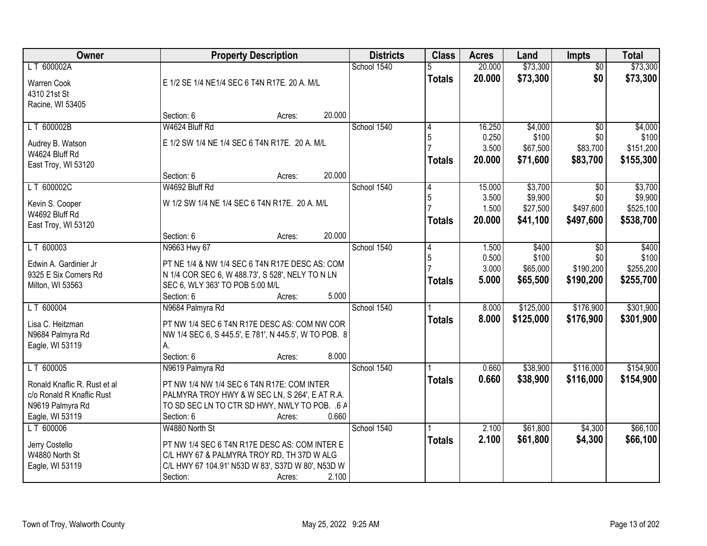| Owner                        |                                                       | <b>Property Description</b> |        | <b>Districts</b> | <b>Class</b>  | <b>Acres</b> | Land      | Impts           | <b>Total</b> |
|------------------------------|-------------------------------------------------------|-----------------------------|--------|------------------|---------------|--------------|-----------|-----------------|--------------|
| LT 600002A                   |                                                       |                             |        | School 1540      |               | 20.000       | \$73,300  | $\overline{50}$ | \$73,300     |
| <b>Warren Cook</b>           | E 1/2 SE 1/4 NE1/4 SEC 6 T4N R17E. 20 A. M/L          |                             |        |                  | <b>Totals</b> | 20.000       | \$73,300  | \$0             | \$73,300     |
| 4310 21st St                 |                                                       |                             |        |                  |               |              |           |                 |              |
| Racine, WI 53405             |                                                       |                             |        |                  |               |              |           |                 |              |
|                              | Section: 6                                            | Acres:                      | 20.000 |                  |               |              |           |                 |              |
| LT 600002B                   | W4624 Bluff Rd                                        |                             |        | School 1540      | 4             | 16.250       | \$4,000   | $\overline{30}$ | \$4,000      |
| Audrey B. Watson             | E 1/2 SW 1/4 NE 1/4 SEC 6 T4N R17E. 20 A. M/L         |                             |        |                  | 5             | 0.250        | \$100     | \$0             | \$100        |
| W4624 Bluff Rd               |                                                       |                             |        |                  |               | 3.500        | \$67,500  | \$83,700        | \$151,200    |
| East Troy, WI 53120          |                                                       |                             |        |                  | <b>Totals</b> | 20.000       | \$71,600  | \$83,700        | \$155,300    |
|                              | Section: 6                                            | Acres:                      | 20.000 |                  |               |              |           |                 |              |
| LT 600002C                   | W4692 Bluff Rd                                        |                             |        | School 1540      | 4             | 15.000       | \$3,700   | \$0             | \$3,700      |
| Kevin S. Cooper              | W 1/2 SW 1/4 NE 1/4 SEC 6 T4N R17E. 20 A. M/L         |                             |        |                  | 5             | 3.500        | \$9,900   | \$0             | \$9,900      |
| W4692 Bluff Rd               |                                                       |                             |        |                  |               | 1.500        | \$27,500  | \$497,600       | \$525,100    |
| East Troy, WI 53120          |                                                       |                             |        |                  | <b>Totals</b> | 20,000       | \$41,100  | \$497,600       | \$538,700    |
|                              | Section: 6                                            | Acres:                      | 20.000 |                  |               |              |           |                 |              |
| LT 600003                    | N9663 Hwy 67                                          |                             |        | School 1540      | 4             | 1.500        | \$400     | \$0             | \$400        |
| Edwin A. Gardinier Jr        | PT NE 1/4 & NW 1/4 SEC 6 T4N R17E DESC AS: COM        |                             |        |                  | 5             | 0.500        | \$100     | \$0             | \$100        |
| 9325 E Six Corners Rd        | N 1/4 COR SEC 6, W 488.73', S 528', NELY TO N LN      |                             |        |                  |               | 3.000        | \$65,000  | \$190,200       | \$255,200    |
| Milton, WI 53563             | SEC 6, WLY 363' TO POB 5:00 M/L                       |                             |        |                  | <b>Totals</b> | 5.000        | \$65,500  | \$190,200       | \$255,700    |
|                              | Section: 6                                            | Acres:                      | 5.000  |                  |               |              |           |                 |              |
| LT 600004                    | N9684 Palmyra Rd                                      |                             |        | School 1540      |               | 8.000        | \$125,000 | \$176,900       | \$301,900    |
| Lisa C. Heitzman             | PT NW 1/4 SEC 6 T4N R17E DESC AS: COM NW COR          |                             |        |                  | <b>Totals</b> | 8.000        | \$125,000 | \$176,900       | \$301,900    |
| N9684 Palmyra Rd             | NW 1/4 SEC 6, S 445.5', E 781', N 445.5', W TO POB. 8 |                             |        |                  |               |              |           |                 |              |
| Eagle, WI 53119              | А.                                                    |                             |        |                  |               |              |           |                 |              |
|                              | Section: 6                                            | Acres:                      | 8.000  |                  |               |              |           |                 |              |
| LT 600005                    | N9619 Palmyra Rd                                      |                             |        | School 1540      |               | 0.660        | \$38,900  | \$116,000       | \$154,900    |
| Ronald Knaflic R. Rust et al | PT NW 1/4 NW 1/4 SEC 6 T4N R17E: COM INTER            |                             |        |                  | <b>Totals</b> | 0.660        | \$38,900  | \$116,000       | \$154,900    |
| c/o Ronald R Knaflic Rust    | PALMYRA TROY HWY & W SEC LN, S 264', E AT R.A.        |                             |        |                  |               |              |           |                 |              |
| N9619 Palmyra Rd             | TO SD SEC LN TO CTR SD HWY, NWLY TO POB. .6 A         |                             |        |                  |               |              |           |                 |              |
| Eagle, WI 53119              | Section: 6                                            | Acres:                      | 0.660  |                  |               |              |           |                 |              |
| LT 600006                    | W4880 North St                                        |                             |        | School 1540      |               | 2.100        | \$61,800  | \$4,300         | \$66,100     |
| Jerry Costello               | PT NW 1/4 SEC 6 T4N R17E DESC AS: COM INTER E         |                             |        |                  | <b>Totals</b> | 2.100        | \$61,800  | \$4,300         | \$66,100     |
| W4880 North St               | C/L HWY 67 & PALMYRA TROY RD, TH 37D W ALG            |                             |        |                  |               |              |           |                 |              |
| Eagle, WI 53119              | C/L HWY 67 104.91' N53D W 83', S37D W 80', N53D W     |                             |        |                  |               |              |           |                 |              |
|                              | Section:                                              | Acres:                      | 2.100  |                  |               |              |           |                 |              |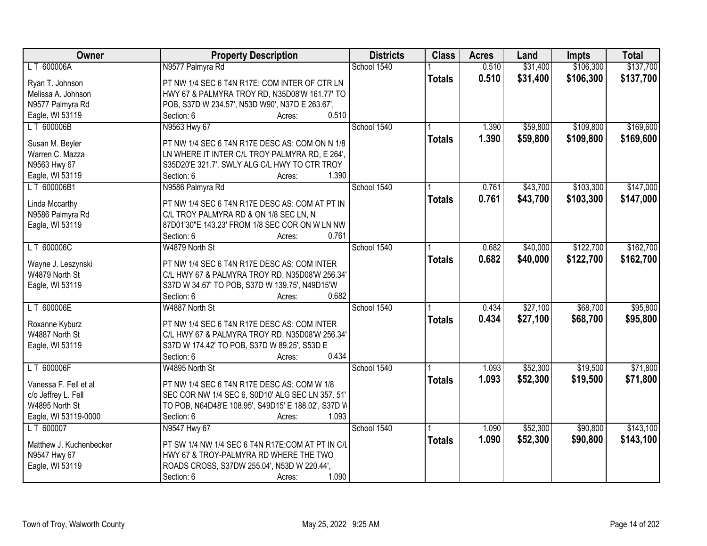| Owner                   | <b>Property Description</b>                         | <b>Districts</b> | <b>Class</b>  | <b>Acres</b> | Land     | <b>Impts</b> | <b>Total</b> |
|-------------------------|-----------------------------------------------------|------------------|---------------|--------------|----------|--------------|--------------|
| LT 600006A              | N9577 Palmyra Rd                                    | School 1540      |               | 0.510        | \$31,400 | \$106,300    | \$137,700    |
| Ryan T. Johnson         | PT NW 1/4 SEC 6 T4N R17E: COM INTER OF CTR LN       |                  | <b>Totals</b> | 0.510        | \$31,400 | \$106,300    | \$137,700    |
| Melissa A. Johnson      | HWY 67 & PALMYRA TROY RD, N35D08'W 161.77' TO       |                  |               |              |          |              |              |
| N9577 Palmyra Rd        | POB, S37D W 234.57', N53D W90', N37D E 263.67',     |                  |               |              |          |              |              |
| Eagle, WI 53119         | 0.510<br>Section: 6<br>Acres:                       |                  |               |              |          |              |              |
| LT 600006B              | N9563 Hwy 67                                        | School 1540      |               | 1.390        | \$59,800 | \$109,800    | \$169,600    |
|                         |                                                     |                  | <b>Totals</b> | 1.390        | \$59,800 | \$109,800    | \$169,600    |
| Susan M. Beyler         | PT NW 1/4 SEC 6 T4N R17E DESC AS: COM ON N 1/8      |                  |               |              |          |              |              |
| Warren C. Mazza         | LN WHERE IT INTER C/L TROY PALMYRA RD, E 264',      |                  |               |              |          |              |              |
| N9563 Hwy 67            | S35D20'E 321.7', SWLY ALG C/L HWY TO CTR TROY       |                  |               |              |          |              |              |
| Eagle, WI 53119         | 1.390<br>Section: 6<br>Acres:                       |                  |               |              |          |              |              |
| LT 600006B1             | N9586 Palmyra Rd                                    | School 1540      |               | 0.761        | \$43,700 | \$103,300    | \$147,000    |
| Linda Mccarthy          | PT NW 1/4 SEC 6 T4N R17E DESC AS: COM AT PT IN      |                  | <b>Totals</b> | 0.761        | \$43,700 | \$103,300    | \$147,000    |
| N9586 Palmyra Rd        | C/L TROY PALMYRA RD & ON 1/8 SEC LN, N              |                  |               |              |          |              |              |
| Eagle, WI 53119         | 87D01'30"E 143.23' FROM 1/8 SEC COR ON W LN NW      |                  |               |              |          |              |              |
|                         | 0.761<br>Section: 6<br>Acres:                       |                  |               |              |          |              |              |
| LT 600006C              | W4879 North St                                      | School 1540      |               | 0.682        | \$40,000 | \$122,700    | \$162,700    |
|                         |                                                     |                  | <b>Totals</b> | 0.682        | \$40,000 | \$122,700    | \$162,700    |
| Wayne J. Leszynski      | PT NW 1/4 SEC 6 T4N R17E DESC AS: COM INTER         |                  |               |              |          |              |              |
| W4879 North St          | C/L HWY 67 & PALMYRA TROY RD, N35D08'W 256.34'      |                  |               |              |          |              |              |
| Eagle, WI 53119         | S37D W 34.67' TO POB, S37D W 139.75', N49D15'W      |                  |               |              |          |              |              |
|                         | 0.682<br>Section: 6<br>Acres:                       |                  |               |              |          |              |              |
| LT 600006E              | W4887 North St                                      | School 1540      |               | 0.434        | \$27,100 | \$68,700     | \$95,800     |
| Roxanne Kyburz          | PT NW 1/4 SEC 6 T4N R17E DESC AS: COM INTER         |                  | <b>Totals</b> | 0.434        | \$27,100 | \$68,700     | \$95,800     |
| W4887 North St          | C/L HWY 67 & PALMYRA TROY RD, N35D08'W 256.34'      |                  |               |              |          |              |              |
| Eagle, WI 53119         | S37D W 174.42' TO POB, S37D W 89.25', S53D E        |                  |               |              |          |              |              |
|                         | 0.434<br>Section: 6<br>Acres:                       |                  |               |              |          |              |              |
| LT 600006F              | W4895 North St                                      | School 1540      |               | 1.093        | \$52,300 | \$19,500     | \$71,800     |
|                         |                                                     |                  |               |              |          |              |              |
| Vanessa F. Fell et al   | PT NW 1/4 SEC 6 T4N R17E DESC AS: COM W 1/8         |                  | <b>Totals</b> | 1.093        | \$52,300 | \$19,500     | \$71,800     |
| c/o Jeffrey L. Fell     | SEC COR NW 1/4 SEC 6, S0D10' ALG SEC LN 357.51'     |                  |               |              |          |              |              |
| W4895 North St          | TO POB, N64D48'E 108.95', S49D15' E 188.02', S37D W |                  |               |              |          |              |              |
| Eagle, WI 53119-0000    | Section: 6<br>1.093<br>Acres:                       |                  |               |              |          |              |              |
| LT 600007               | N9547 Hwy 67                                        | School 1540      |               | 1.090        | \$52,300 | \$90,800     | \$143,100    |
|                         |                                                     |                  | <b>Totals</b> | 1.090        | \$52,300 | \$90,800     | \$143,100    |
| Matthew J. Kuchenbecker | PT SW 1/4 NW 1/4 SEC 6 T4N R17E:COM AT PT IN C/L    |                  |               |              |          |              |              |
| N9547 Hwy 67            | HWY 67 & TROY-PALMYRA RD WHERE THE TWO              |                  |               |              |          |              |              |
| Eagle, WI 53119         | ROADS CROSS, S37DW 255.04', N53D W 220.44',         |                  |               |              |          |              |              |
|                         | 1.090<br>Section: 6<br>Acres:                       |                  |               |              |          |              |              |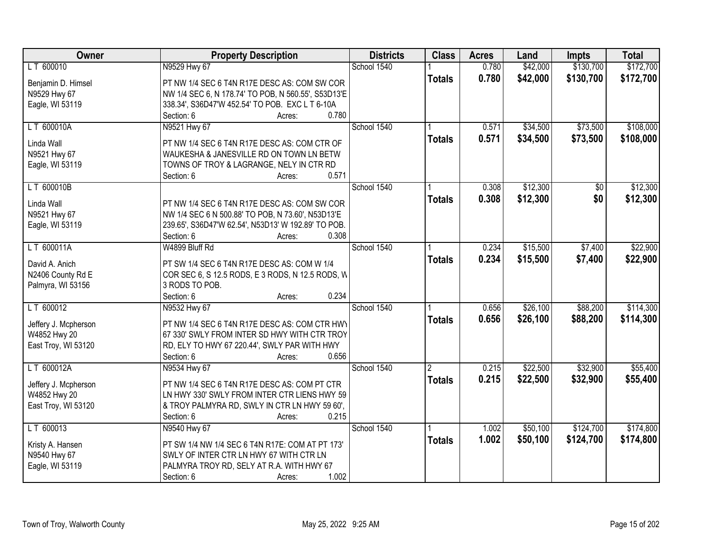| Owner                | <b>Property Description</b>                         | <b>Districts</b> | <b>Class</b>   | <b>Acres</b> | Land     | <b>Impts</b>    | <b>Total</b> |
|----------------------|-----------------------------------------------------|------------------|----------------|--------------|----------|-----------------|--------------|
| LT 600010            | N9529 Hwy 67                                        | School 1540      |                | 0.780        | \$42,000 | \$130,700       | \$172,700    |
| Benjamin D. Himsel   | PT NW 1/4 SEC 6 T4N R17E DESC AS: COM SW COR        |                  | <b>Totals</b>  | 0.780        | \$42,000 | \$130,700       | \$172,700    |
| N9529 Hwy 67         | NW 1/4 SEC 6, N 178.74' TO POB, N 560.55', S53D13'E |                  |                |              |          |                 |              |
| Eagle, WI 53119      | 338.34', S36D47'W 452.54' TO POB. EXC L T 6-10A     |                  |                |              |          |                 |              |
|                      | 0.780<br>Section: 6<br>Acres:                       |                  |                |              |          |                 |              |
| LT 600010A           | N9521 Hwy 67                                        | School 1540      |                | 0.571        | \$34,500 | \$73,500        | \$108,000    |
|                      |                                                     |                  | <b>Totals</b>  | 0.571        | \$34,500 | \$73,500        | \$108,000    |
| Linda Wall           | PT NW 1/4 SEC 6 T4N R17E DESC AS: COM CTR OF        |                  |                |              |          |                 |              |
| N9521 Hwy 67         | WAUKESHA & JANESVILLE RD ON TOWN LN BETW            |                  |                |              |          |                 |              |
| Eagle, WI 53119      | TOWNS OF TROY & LAGRANGE, NELY IN CTR RD            |                  |                |              |          |                 |              |
|                      | 0.571<br>Section: 6<br>Acres:                       |                  |                |              |          |                 |              |
| LT 600010B           |                                                     | School 1540      |                | 0.308        | \$12,300 | $\overline{50}$ | \$12,300     |
| Linda Wall           | PT NW 1/4 SEC 6 T4N R17E DESC AS: COM SW COR        |                  | <b>Totals</b>  | 0.308        | \$12,300 | \$0             | \$12,300     |
| N9521 Hwy 67         | NW 1/4 SEC 6 N 500.88' TO POB, N 73.60', N53D13'E   |                  |                |              |          |                 |              |
| Eagle, WI 53119      | 239.65', S36D47'W 62.54', N53D13' W 192.89' TO POB. |                  |                |              |          |                 |              |
|                      | 0.308<br>Section: 6<br>Acres:                       |                  |                |              |          |                 |              |
| LT 600011A           | W4899 Bluff Rd                                      | School 1540      |                | 0.234        | \$15,500 | \$7,400         | \$22,900     |
|                      |                                                     |                  | <b>Totals</b>  | 0.234        | \$15,500 | \$7,400         | \$22,900     |
| David A. Anich       | PT SW 1/4 SEC 6 T4N R17E DESC AS: COM W 1/4         |                  |                |              |          |                 |              |
| N2406 County Rd E    | COR SEC 6, S 12.5 RODS, E 3 RODS, N 12.5 RODS, W    |                  |                |              |          |                 |              |
| Palmyra, WI 53156    | 3 RODS TO POB.                                      |                  |                |              |          |                 |              |
|                      | 0.234<br>Section: 6<br>Acres:                       |                  |                |              |          |                 |              |
| LT 600012            | N9532 Hwy 67                                        | School 1540      |                | 0.656        | \$26,100 | \$88,200        | \$114,300    |
| Jeffery J. Mcpherson | PT NW 1/4 SEC 6 T4N R17E DESC AS: COM CTR HWY       |                  | <b>Totals</b>  | 0.656        | \$26,100 | \$88,200        | \$114,300    |
| W4852 Hwy 20         | 67 330' SWLY FROM INTER SD HWY WITH CTR TROY        |                  |                |              |          |                 |              |
| East Troy, WI 53120  | RD, ELY TO HWY 67 220.44', SWLY PAR WITH HWY        |                  |                |              |          |                 |              |
|                      | Section: 6<br>0.656<br>Acres:                       |                  |                |              |          |                 |              |
| LT 600012A           | N9534 Hwy 67                                        | School 1540      | $\overline{2}$ | 0.215        | \$22,500 | \$32,900        | \$55,400     |
|                      |                                                     |                  | <b>Totals</b>  | 0.215        | \$22,500 | \$32,900        | \$55,400     |
| Jeffery J. Mcpherson | PT NW 1/4 SEC 6 T4N R17E DESC AS: COM PT CTR        |                  |                |              |          |                 |              |
| W4852 Hwy 20         | LN HWY 330' SWLY FROM INTER CTR LIENS HWY 59        |                  |                |              |          |                 |              |
| East Troy, WI 53120  | & TROY PALMYRA RD, SWLY IN CTR LN HWY 59 60',       |                  |                |              |          |                 |              |
|                      | 0.215<br>Section: 6<br>Acres:                       |                  |                |              |          |                 |              |
| LT 600013            | N9540 Hwy 67                                        | School 1540      |                | 1.002        | \$50,100 | \$124,700       | \$174,800    |
| Kristy A. Hansen     | PT SW 1/4 NW 1/4 SEC 6 T4N R17E: COM AT PT 173'     |                  | <b>Totals</b>  | 1.002        | \$50,100 | \$124,700       | \$174,800    |
| N9540 Hwy 67         | SWLY OF INTER CTR LN HWY 67 WITH CTR LN             |                  |                |              |          |                 |              |
| Eagle, WI 53119      | PALMYRA TROY RD, SELY AT R.A. WITH HWY 67           |                  |                |              |          |                 |              |
|                      | 1.002<br>Section: 6<br>Acres:                       |                  |                |              |          |                 |              |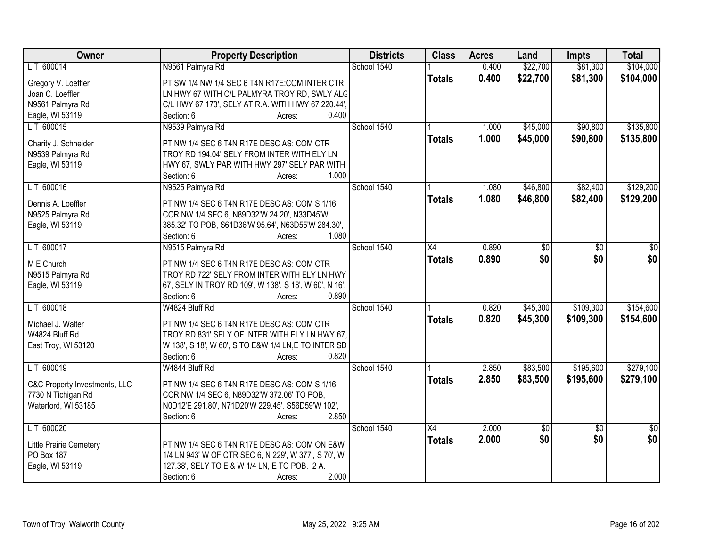| Owner                         | <b>Property Description</b>                            | <b>Districts</b> | <b>Class</b>  | <b>Acres</b> | Land          | Impts           | <b>Total</b>    |
|-------------------------------|--------------------------------------------------------|------------------|---------------|--------------|---------------|-----------------|-----------------|
| LT 600014                     | N9561 Palmyra Rd                                       | School 1540      |               | 0.400        | \$22,700      | \$81,300        | \$104,000       |
| Gregory V. Loeffler           | PT SW 1/4 NW 1/4 SEC 6 T4N R17E:COM INTER CTR          |                  | <b>Totals</b> | 0.400        | \$22,700      | \$81,300        | \$104,000       |
| Joan C. Loeffler              | LN HWY 67 WITH C/L PALMYRA TROY RD, SWLY ALC           |                  |               |              |               |                 |                 |
| N9561 Palmyra Rd              | C/L HWY 67 173', SELY AT R.A. WITH HWY 67 220.44',     |                  |               |              |               |                 |                 |
| Eagle, WI 53119               | 0.400<br>Section: 6<br>Acres:                          |                  |               |              |               |                 |                 |
| LT 600015                     | N9539 Palmyra Rd                                       | School 1540      |               | 1.000        | \$45,000      | \$90,800        | \$135,800       |
|                               |                                                        |                  | <b>Totals</b> | 1.000        | \$45,000      | \$90,800        | \$135,800       |
| Charity J. Schneider          | PT NW 1/4 SEC 6 T4N R17E DESC AS: COM CTR              |                  |               |              |               |                 |                 |
| N9539 Palmyra Rd              | TROY RD 194.04' SELY FROM INTER WITH ELY LN            |                  |               |              |               |                 |                 |
| Eagle, WI 53119               | HWY 67, SWLY PAR WITH HWY 297' SELY PAR WITH           |                  |               |              |               |                 |                 |
|                               | 1.000<br>Section: 6<br>Acres:                          |                  |               |              |               |                 |                 |
| LT 600016                     | N9525 Palmyra Rd                                       | School 1540      |               | 1.080        | \$46,800      | \$82,400        | \$129,200       |
| Dennis A. Loeffler            | PT NW 1/4 SEC 6 T4N R17E DESC AS: COM S 1/16           |                  | <b>Totals</b> | 1.080        | \$46,800      | \$82,400        | \$129,200       |
| N9525 Palmyra Rd              | COR NW 1/4 SEC 6, N89D32'W 24.20', N33D45'W            |                  |               |              |               |                 |                 |
| Eagle, WI 53119               | 385.32' TO POB, S61D36'W 95.64', N63D55'W 284.30',     |                  |               |              |               |                 |                 |
|                               | 1.080<br>Section: 6<br>Acres:                          |                  |               |              |               |                 |                 |
| LT 600017                     | N9515 Palmyra Rd                                       | School 1540      | X4            | 0.890        | $\sqrt[6]{3}$ | \$0             | \$0             |
|                               |                                                        |                  | <b>Totals</b> | 0.890        | \$0           | \$0             | \$0             |
| M E Church                    | PT NW 1/4 SEC 6 T4N R17E DESC AS: COM CTR              |                  |               |              |               |                 |                 |
| N9515 Palmyra Rd              | TROY RD 722' SELY FROM INTER WITH ELY LN HWY           |                  |               |              |               |                 |                 |
| Eagle, WI 53119               | 67, SELY IN TROY RD 109', W 138', S 18', W 60', N 16', |                  |               |              |               |                 |                 |
|                               | Section: 6<br>0.890<br>Acres:                          |                  |               |              |               |                 |                 |
| LT 600018                     | W4824 Bluff Rd                                         | School 1540      |               | 0.820        | \$45,300      | \$109,300       | \$154,600       |
| Michael J. Walter             | PT NW 1/4 SEC 6 T4N R17E DESC AS: COM CTR              |                  | <b>Totals</b> | 0.820        | \$45,300      | \$109,300       | \$154,600       |
| W4824 Bluff Rd                | TROY RD 831' SELY OF INTER WITH ELY LN HWY 67.         |                  |               |              |               |                 |                 |
| East Troy, WI 53120           | W 138', S 18', W 60', S TO E&W 1/4 LN, E TO INTER SD   |                  |               |              |               |                 |                 |
|                               | Section: 6<br>0.820<br>Acres:                          |                  |               |              |               |                 |                 |
| LT 600019                     | W4844 Bluff Rd                                         | School 1540      |               | 2.850        | \$83,500      | \$195,600       | \$279,100       |
|                               |                                                        |                  | <b>Totals</b> | 2.850        | \$83,500      | \$195,600       | \$279,100       |
| C&C Property Investments, LLC | PT NW 1/4 SEC 6 T4N R17E DESC AS: COM S 1/16           |                  |               |              |               |                 |                 |
| 7730 N Tichigan Rd            | COR NW 1/4 SEC 6, N89D32'W 372.06' TO POB,             |                  |               |              |               |                 |                 |
| Waterford, WI 53185           | N0D12'E 291.80', N71D20'W 229.45', S56D59'W 102',      |                  |               |              |               |                 |                 |
|                               | Section: 6<br>2.850<br>Acres:                          |                  |               |              |               |                 |                 |
| LT 600020                     |                                                        | School 1540      | X4            | 2.000        | $\sqrt{$0}$   | $\overline{50}$ | $\overline{50}$ |
| Little Prairie Cemetery       | PT NW 1/4 SEC 6 T4N R17E DESC AS: COM ON E&W           |                  | <b>Totals</b> | 2.000        | \$0           | \$0             | \$0             |
| <b>PO Box 187</b>             | 1/4 LN 943' W OF CTR SEC 6, N 229', W 377', S 70', W   |                  |               |              |               |                 |                 |
| Eagle, WI 53119               | 127.38', SELY TO E & W 1/4 LN, E TO POB. 2 A.          |                  |               |              |               |                 |                 |
|                               | 2.000<br>Section: 6<br>Acres:                          |                  |               |              |               |                 |                 |
|                               |                                                        |                  |               |              |               |                 |                 |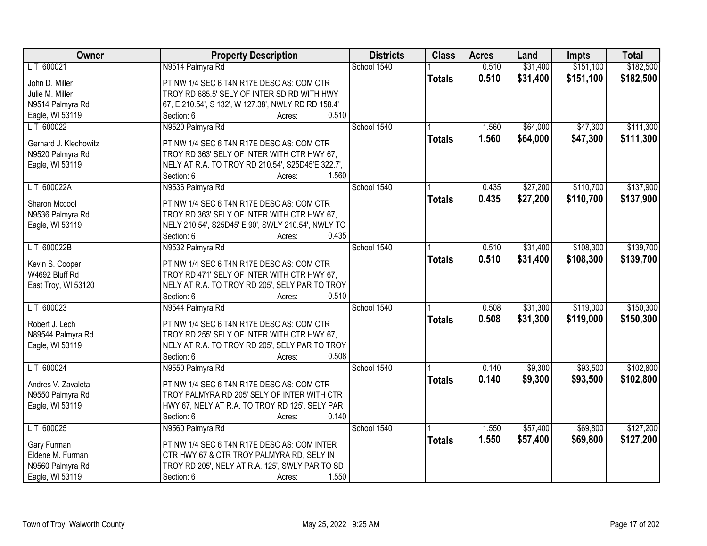| <b>Owner</b>          | <b>Property Description</b>                                                              | <b>Districts</b> | <b>Class</b>  | <b>Acres</b> | Land     | <b>Impts</b> | <b>Total</b> |
|-----------------------|------------------------------------------------------------------------------------------|------------------|---------------|--------------|----------|--------------|--------------|
| LT 600021             | N9514 Palmyra Rd                                                                         | School 1540      |               | 0.510        | \$31,400 | \$151,100    | \$182,500    |
| John D. Miller        | PT NW 1/4 SEC 6 T4N R17E DESC AS: COM CTR                                                |                  | <b>Totals</b> | 0.510        | \$31,400 | \$151,100    | \$182,500    |
| Julie M. Miller       | TROY RD 685.5' SELY OF INTER SD RD WITH HWY                                              |                  |               |              |          |              |              |
| N9514 Palmyra Rd      | 67, E 210.54', S 132', W 127.38', NWLY RD RD 158.4'                                      |                  |               |              |          |              |              |
| Eagle, WI 53119       | 0.510<br>Section: 6<br>Acres:                                                            |                  |               |              |          |              |              |
| LT 600022             | N9520 Palmyra Rd                                                                         | School 1540      |               | 1.560        | \$64,000 | \$47,300     | \$111,300    |
|                       |                                                                                          |                  | <b>Totals</b> | 1.560        | \$64,000 | \$47,300     | \$111,300    |
| Gerhard J. Klechowitz | PT NW 1/4 SEC 6 T4N R17E DESC AS: COM CTR                                                |                  |               |              |          |              |              |
| N9520 Palmyra Rd      | TROY RD 363' SELY OF INTER WITH CTR HWY 67,                                              |                  |               |              |          |              |              |
| Eagle, WI 53119       | NELY AT R.A. TO TROY RD 210.54', S25D45'E 322.7',                                        |                  |               |              |          |              |              |
|                       | 1.560<br>Section: 6<br>Acres:                                                            |                  |               |              |          |              |              |
| LT 600022A            | N9536 Palmyra Rd                                                                         | School 1540      |               | 0.435        | \$27,200 | \$110,700    | \$137,900    |
| Sharon Mccool         | PT NW 1/4 SEC 6 T4N R17E DESC AS: COM CTR                                                |                  | <b>Totals</b> | 0.435        | \$27,200 | \$110,700    | \$137,900    |
| N9536 Palmyra Rd      | TROY RD 363' SELY OF INTER WITH CTR HWY 67,                                              |                  |               |              |          |              |              |
| Eagle, WI 53119       | NELY 210.54', S25D45' E 90', SWLY 210.54', NWLY TO                                       |                  |               |              |          |              |              |
|                       | 0.435<br>Section: 6<br>Acres:                                                            |                  |               |              |          |              |              |
| LT 600022B            | N9532 Palmyra Rd                                                                         | School 1540      |               | 0.510        | \$31,400 | \$108,300    | \$139,700    |
|                       |                                                                                          |                  | <b>Totals</b> | 0.510        | \$31,400 | \$108,300    | \$139,700    |
| Kevin S. Cooper       | PT NW 1/4 SEC 6 T4N R17E DESC AS: COM CTR                                                |                  |               |              |          |              |              |
| W4692 Bluff Rd        | TROY RD 471' SELY OF INTER WITH CTR HWY 67,                                              |                  |               |              |          |              |              |
| East Troy, WI 53120   | NELY AT R.A. TO TROY RD 205', SELY PAR TO TROY                                           |                  |               |              |          |              |              |
|                       | 0.510<br>Section: 6<br>Acres:                                                            |                  |               |              |          |              |              |
| LT 600023             | N9544 Palmyra Rd                                                                         | School 1540      |               | 0.508        | \$31,300 | \$119,000    | \$150,300    |
| Robert J. Lech        | PT NW 1/4 SEC 6 T4N R17E DESC AS: COM CTR                                                |                  | <b>Totals</b> | 0.508        | \$31,300 | \$119,000    | \$150,300    |
| N89544 Palmyra Rd     | TROY RD 255' SELY OF INTER WITH CTR HWY 67,                                              |                  |               |              |          |              |              |
| Eagle, WI 53119       | NELY AT R.A. TO TROY RD 205', SELY PAR TO TROY                                           |                  |               |              |          |              |              |
|                       | 0.508<br>Section: 6<br>Acres:                                                            |                  |               |              |          |              |              |
| LT 600024             | N9550 Palmyra Rd                                                                         | School 1540      |               | 0.140        | \$9,300  | \$93,500     | \$102,800    |
|                       |                                                                                          |                  | <b>Totals</b> | 0.140        | \$9,300  | \$93,500     | \$102,800    |
| Andres V. Zavaleta    | PT NW 1/4 SEC 6 T4N R17E DESC AS: COM CTR<br>TROY PALMYRA RD 205' SELY OF INTER WITH CTR |                  |               |              |          |              |              |
| N9550 Palmyra Rd      | HWY 67, NELY AT R.A. TO TROY RD 125', SELY PAR                                           |                  |               |              |          |              |              |
| Eagle, WI 53119       | 0.140<br>Section: 6<br>Acres:                                                            |                  |               |              |          |              |              |
| LT 600025             | N9560 Palmyra Rd                                                                         | School 1540      |               | 1.550        | \$57,400 | \$69,800     | \$127,200    |
|                       |                                                                                          |                  |               |              |          |              |              |
| Gary Furman           | PT NW 1/4 SEC 6 T4N R17E DESC AS: COM INTER                                              |                  | <b>Totals</b> | 1.550        | \$57,400 | \$69,800     | \$127,200    |
| Eldene M. Furman      | CTR HWY 67 & CTR TROY PALMYRA RD, SELY IN                                                |                  |               |              |          |              |              |
| N9560 Palmyra Rd      | TROY RD 205', NELY AT R.A. 125', SWLY PAR TO SD                                          |                  |               |              |          |              |              |
| Eagle, WI 53119       | 1.550<br>Section: 6<br>Acres:                                                            |                  |               |              |          |              |              |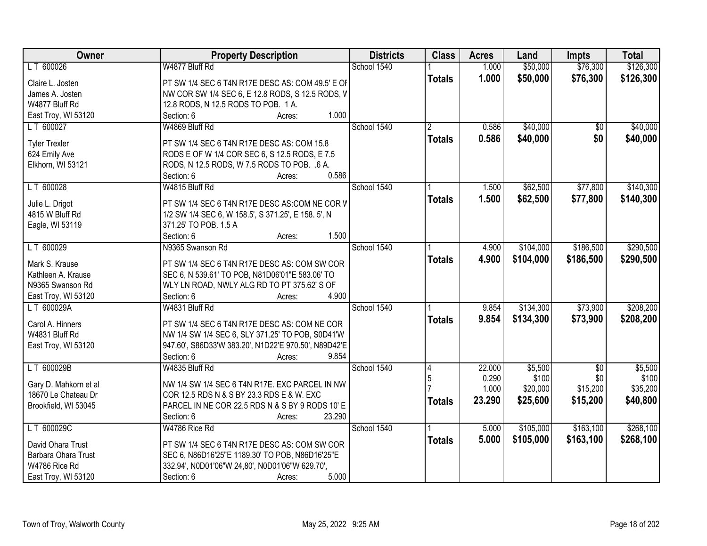| Owner                                        | <b>Property Description</b>                                                                 | <b>Districts</b> | <b>Class</b>   | <b>Acres</b> | Land      | <b>Impts</b>    | <b>Total</b> |
|----------------------------------------------|---------------------------------------------------------------------------------------------|------------------|----------------|--------------|-----------|-----------------|--------------|
| LT 600026                                    | W4877 Bluff Rd                                                                              | School 1540      |                | 1.000        | \$50,000  | \$76,300        | \$126,300    |
| Claire L. Josten                             | PT SW 1/4 SEC 6 T4N R17E DESC AS: COM 49.5' E OF                                            |                  | <b>Totals</b>  | 1.000        | \$50,000  | \$76,300        | \$126,300    |
| James A. Josten                              | NW COR SW 1/4 SEC 6, E 12.8 RODS, S 12.5 RODS, V                                            |                  |                |              |           |                 |              |
| W4877 Bluff Rd                               | 12.8 RODS, N 12.5 RODS TO POB. 1 A.                                                         |                  |                |              |           |                 |              |
| East Troy, WI 53120                          | 1.000<br>Section: 6<br>Acres:                                                               |                  |                |              |           |                 |              |
| LT 600027                                    | W4869 Bluff Rd                                                                              | School 1540      | $\overline{2}$ | 0.586        | \$40,000  | \$0             | \$40,000     |
|                                              |                                                                                             |                  | <b>Totals</b>  | 0.586        | \$40,000  | \$0             | \$40,000     |
| <b>Tyler Trexler</b>                         | PT SW 1/4 SEC 6 T4N R17E DESC AS: COM 15.8                                                  |                  |                |              |           |                 |              |
| 624 Emily Ave                                | RODS E OF W 1/4 COR SEC 6, S 12.5 RODS, E 7.5                                               |                  |                |              |           |                 |              |
| Elkhorn, WI 53121                            | RODS, N 12.5 RODS, W 7.5 RODS TO POB. .6 A.                                                 |                  |                |              |           |                 |              |
|                                              | 0.586<br>Section: 6<br>Acres:                                                               |                  |                |              |           |                 |              |
| LT 600028                                    | W4815 Bluff Rd                                                                              | School 1540      |                | 1.500        | \$62,500  | \$77,800        | \$140,300    |
| Julie L. Drigot                              | PT SW 1/4 SEC 6 T4N R17E DESC AS:COM NE COR V                                               |                  | <b>Totals</b>  | 1.500        | \$62,500  | \$77,800        | \$140,300    |
| 4815 W Bluff Rd                              | 1/2 SW 1/4 SEC 6, W 158.5', S 371.25', E 158. 5', N                                         |                  |                |              |           |                 |              |
| Eagle, WI 53119                              | 371.25' TO POB. 1.5 A                                                                       |                  |                |              |           |                 |              |
|                                              | 1.500<br>Section: 6<br>Acres:                                                               |                  |                |              |           |                 |              |
| LT 600029                                    | N9365 Swanson Rd                                                                            | School 1540      |                | 4.900        | \$104,000 | \$186,500       | \$290,500    |
|                                              |                                                                                             |                  | <b>Totals</b>  | 4.900        | \$104,000 | \$186,500       | \$290,500    |
| Mark S. Krause                               | PT SW 1/4 SEC 6 T4N R17E DESC AS: COM SW COR                                                |                  |                |              |           |                 |              |
| Kathleen A. Krause                           | SEC 6, N 539.61' TO POB, N81D06'01"E 583.06' TO                                             |                  |                |              |           |                 |              |
| N9365 Swanson Rd                             | WLY LN ROAD, NWLY ALG RD TO PT 375.62' S OF                                                 |                  |                |              |           |                 |              |
| East Troy, WI 53120                          | 4.900<br>Section: 6<br>Acres:                                                               |                  |                |              |           |                 |              |
| LT 600029A                                   | W4831 Bluff Rd                                                                              | School 1540      |                | 9.854        | \$134,300 | \$73,900        | \$208,200    |
| Carol A. Hinners                             | PT SW 1/4 SEC 6 T4N R17E DESC AS: COM NE COR                                                |                  | <b>Totals</b>  | 9.854        | \$134,300 | \$73,900        | \$208,200    |
| W4831 Bluff Rd                               | NW 1/4 SW 1/4 SEC 6, SLY 371.25' TO POB, S0D41'W                                            |                  |                |              |           |                 |              |
| East Troy, WI 53120                          | 947.60', S86D33'W 383.20', N1D22'E 970.50', N89D42'E                                        |                  |                |              |           |                 |              |
|                                              | Section: 6<br>9.854<br>Acres:                                                               |                  |                |              |           |                 |              |
| LT 600029B                                   | W4835 Bluff Rd                                                                              | School 1540      | 14             | 22.000       | \$5,500   | $\overline{50}$ | \$5,500      |
|                                              |                                                                                             |                  | 5              | 0.290        | \$100     | \$0             | \$100        |
| Gary D. Mahkorn et al<br>18670 Le Chateau Dr | NW 1/4 SW 1/4 SEC 6 T4N R17E. EXC PARCEL IN NW<br>COR 12.5 RDS N & S BY 23.3 RDS E & W. EXC |                  |                | 1.000        | \$20,000  | \$15,200        | \$35,200     |
|                                              | PARCEL IN NE COR 22.5 RDS N & S BY 9 RODS 10' E                                             |                  | <b>Totals</b>  | 23.290       | \$25,600  | \$15,200        | \$40,800     |
| Brookfield, WI 53045                         | 23.290<br>Section: 6<br>Acres:                                                              |                  |                |              |           |                 |              |
| LT 600029C                                   | W4786 Rice Rd                                                                               | School 1540      |                | 5.000        | \$105,000 | \$163,100       | \$268,100    |
|                                              |                                                                                             |                  |                |              |           |                 |              |
| David Ohara Trust                            | PT SW 1/4 SEC 6 T4N R17E DESC AS: COM SW COR                                                |                  | <b>Totals</b>  | 5.000        | \$105,000 | \$163,100       | \$268,100    |
| Barbara Ohara Trust                          | SEC 6, N86D16'25"E 1189.30' TO POB, N86D16'25"E                                             |                  |                |              |           |                 |              |
| W4786 Rice Rd                                | 332.94', N0D01'06"W 24,80', N0D01'06"W 629.70',                                             |                  |                |              |           |                 |              |
| East Troy, WI 53120                          | 5.000<br>Section: 6<br>Acres:                                                               |                  |                |              |           |                 |              |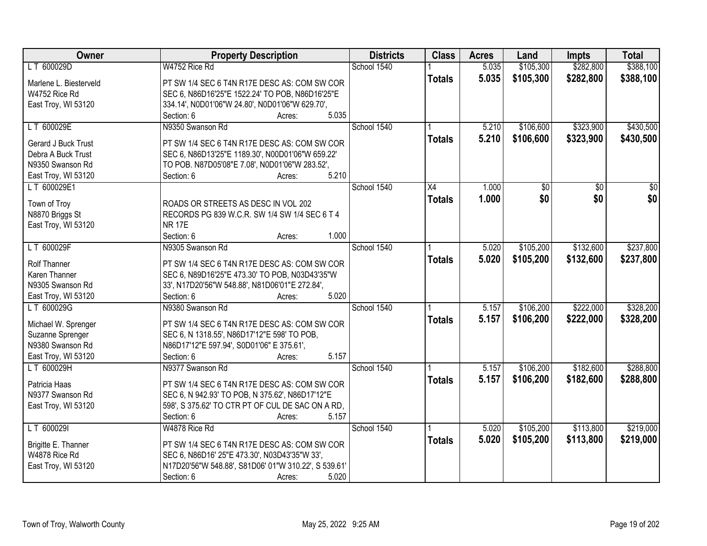| Owner                  | <b>Property Description</b>                             | <b>Districts</b> | <b>Class</b>    | <b>Acres</b> | Land            | <b>Impts</b>    | <b>Total</b>    |
|------------------------|---------------------------------------------------------|------------------|-----------------|--------------|-----------------|-----------------|-----------------|
| LT 600029D             | W4752 Rice Rd                                           | School 1540      |                 | 5.035        | \$105,300       | \$282,800       | \$388,100       |
| Marlene L. Biesterveld | PT SW 1/4 SEC 6 T4N R17E DESC AS: COM SW COR            |                  | <b>Totals</b>   | 5.035        | \$105,300       | \$282,800       | \$388,100       |
| W4752 Rice Rd          | SEC 6, N86D16'25"E 1522.24' TO POB, N86D16'25"E         |                  |                 |              |                 |                 |                 |
| East Troy, WI 53120    | 334.14', N0D01'06"W 24.80', N0D01'06"W 629.70',         |                  |                 |              |                 |                 |                 |
|                        | 5.035<br>Section: 6<br>Acres:                           |                  |                 |              |                 |                 |                 |
| LT 600029E             | N9350 Swanson Rd                                        | School 1540      |                 | 5.210        | \$106,600       | \$323,900       | \$430,500       |
|                        |                                                         |                  | <b>Totals</b>   | 5.210        | \$106,600       | \$323,900       | \$430,500       |
| Gerard J Buck Trust    | PT SW 1/4 SEC 6 T4N R17E DESC AS: COM SW COR            |                  |                 |              |                 |                 |                 |
| Debra A Buck Trust     | SEC 6, N86D13'25"E 1189.30', N00D01'06"W 659.22'        |                  |                 |              |                 |                 |                 |
| N9350 Swanson Rd       | TO POB. N87D05'08"E 7.08', N0D01'06"W 283.52',<br>5.210 |                  |                 |              |                 |                 |                 |
| East Troy, WI 53120    | Section: 6<br>Acres:                                    |                  |                 |              |                 |                 |                 |
| LT 600029E1            |                                                         | School 1540      | $\overline{X4}$ | 1.000        | $\overline{50}$ | $\overline{50}$ | $\overline{50}$ |
| Town of Troy           | ROADS OR STREETS AS DESC IN VOL 202                     |                  | <b>Totals</b>   | 1.000        | \$0             | \$0             | \$0             |
| N8870 Briggs St        | RECORDS PG 839 W.C.R. SW 1/4 SW 1/4 SEC 6 T 4           |                  |                 |              |                 |                 |                 |
| East Troy, WI 53120    | <b>NR 17E</b>                                           |                  |                 |              |                 |                 |                 |
|                        | Section: 6<br>1.000<br>Acres:                           |                  |                 |              |                 |                 |                 |
| LT 600029F             | N9305 Swanson Rd                                        | School 1540      |                 | 5.020        | \$105,200       | \$132,600       | \$237,800       |
|                        |                                                         |                  | <b>Totals</b>   | 5.020        | \$105,200       | \$132,600       | \$237,800       |
| <b>Rolf Thanner</b>    | PT SW 1/4 SEC 6 T4N R17E DESC AS: COM SW COR            |                  |                 |              |                 |                 |                 |
| Karen Thanner          | SEC 6, N89D16'25"E 473.30' TO POB, N03D43'35"W          |                  |                 |              |                 |                 |                 |
| N9305 Swanson Rd       | 33', N17D20'56"W 548.88', N81D06'01"E 272.84',          |                  |                 |              |                 |                 |                 |
| East Troy, WI 53120    | 5.020<br>Section: 6<br>Acres:                           |                  |                 |              |                 |                 |                 |
| LT 600029G             | N9380 Swanson Rd                                        | School 1540      |                 | 5.157        | \$106,200       | \$222,000       | \$328,200       |
| Michael W. Sprenger    | PT SW 1/4 SEC 6 T4N R17E DESC AS: COM SW COR            |                  | <b>Totals</b>   | 5.157        | \$106,200       | \$222,000       | \$328,200       |
| Suzanne Sprenger       | SEC 6, N 1318.55', N86D17'12"E 598' TO POB,             |                  |                 |              |                 |                 |                 |
| N9380 Swanson Rd       | N86D17'12"E 597.94', S0D01'06" E 375.61',               |                  |                 |              |                 |                 |                 |
| East Troy, WI 53120    | 5.157<br>Section: 6<br>Acres:                           |                  |                 |              |                 |                 |                 |
| LT 600029H             | N9377 Swanson Rd                                        | School 1540      |                 | 5.157        | \$106,200       | \$182,600       | \$288,800       |
|                        |                                                         |                  | <b>Totals</b>   | 5.157        | \$106,200       | \$182,600       | \$288,800       |
| Patricia Haas          | PT SW 1/4 SEC 6 T4N R17E DESC AS: COM SW COR            |                  |                 |              |                 |                 |                 |
| N9377 Swanson Rd       | SEC 6, N 942.93' TO POB, N 375.62', N86D17'12"E         |                  |                 |              |                 |                 |                 |
| East Troy, WI 53120    | 598', S 375.62' TO CTR PT OF CUL DE SAC ON A RD,        |                  |                 |              |                 |                 |                 |
|                        | Section: 6<br>5.157<br>Acres:                           |                  |                 |              |                 |                 |                 |
| LT 600029I             | W4878 Rice Rd                                           | School 1540      |                 | 5.020        | \$105,200       | \$113,800       | \$219,000       |
| Brigitte E. Thanner    | PT SW 1/4 SEC 6 T4N R17E DESC AS: COM SW COR            |                  | <b>Totals</b>   | 5.020        | \$105,200       | \$113,800       | \$219,000       |
| W4878 Rice Rd          | SEC 6, N86D16' 25"E 473.30', N03D43'35"W 33',           |                  |                 |              |                 |                 |                 |
| East Troy, WI 53120    | N17D20'56"W 548.88', S81D06' 01"W 310.22', S 539.61'    |                  |                 |              |                 |                 |                 |
|                        | Section: 6<br>5.020<br>Acres:                           |                  |                 |              |                 |                 |                 |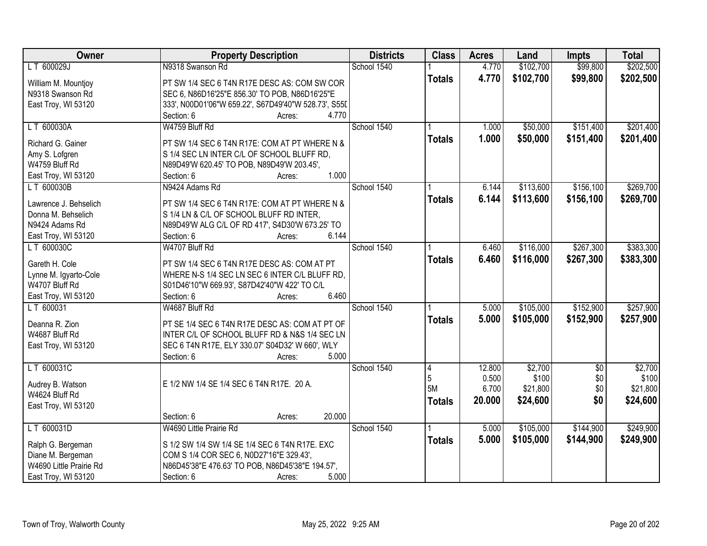| Owner                   | <b>Property Description</b>                          | <b>Districts</b> | <b>Class</b>  | <b>Acres</b> | Land      | <b>Impts</b>    | <b>Total</b> |
|-------------------------|------------------------------------------------------|------------------|---------------|--------------|-----------|-----------------|--------------|
| LT 600029J              | N9318 Swanson Rd                                     | School 1540      |               | 4.770        | \$102,700 | \$99,800        | \$202,500    |
| William M. Mountjoy     | PT SW 1/4 SEC 6 T4N R17E DESC AS: COM SW COR         |                  | <b>Totals</b> | 4.770        | \$102,700 | \$99,800        | \$202,500    |
| N9318 Swanson Rd        | SEC 6, N86D16'25"E 856.30' TO POB, N86D16'25"E       |                  |               |              |           |                 |              |
| East Troy, WI 53120     | 333', N00D01'06"W 659.22', S67D49'40"W 528.73', S55I |                  |               |              |           |                 |              |
|                         | 4.770<br>Section: 6<br>Acres:                        |                  |               |              |           |                 |              |
| LT 600030A              | W4759 Bluff Rd                                       | School 1540      |               | 1.000        | \$50,000  | \$151,400       | \$201,400    |
|                         |                                                      |                  | <b>Totals</b> | 1.000        | \$50,000  | \$151,400       | \$201,400    |
| Richard G. Gainer       | PT SW 1/4 SEC 6 T4N R17E: COM AT PT WHERE N &        |                  |               |              |           |                 |              |
| Amy S. Lofgren          | S 1/4 SEC LN INTER C/L OF SCHOOL BLUFF RD,           |                  |               |              |           |                 |              |
| W4759 Bluff Rd          | N89D49'W 620.45' TO POB, N89D49'W 203.45',           |                  |               |              |           |                 |              |
| East Troy, WI 53120     | 1.000<br>Section: 6<br>Acres:                        |                  |               |              |           |                 |              |
| LT 600030B              | N9424 Adams Rd                                       | School 1540      |               | 6.144        | \$113,600 | \$156,100       | \$269,700    |
| Lawrence J. Behselich   | PT SW 1/4 SEC 6 T4N R17E: COM AT PT WHERE N &        |                  | <b>Totals</b> | 6.144        | \$113,600 | \$156,100       | \$269,700    |
| Donna M. Behselich      | S 1/4 LN & C/L OF SCHOOL BLUFF RD INTER,             |                  |               |              |           |                 |              |
| N9424 Adams Rd          | N89D49'W ALG C/L OF RD 417', S4D30'W 673.25' TO      |                  |               |              |           |                 |              |
| East Troy, WI 53120     | 6.144<br>Section: 6<br>Acres:                        |                  |               |              |           |                 |              |
| LT 600030C              | W4707 Bluff Rd                                       | School 1540      |               | 6.460        | \$116,000 | \$267,300       | \$383,300    |
|                         |                                                      |                  | <b>Totals</b> | 6.460        | \$116,000 | \$267,300       | \$383,300    |
| Gareth H. Cole          | PT SW 1/4 SEC 6 T4N R17E DESC AS: COM AT PT          |                  |               |              |           |                 |              |
| Lynne M. Igyarto-Cole   | WHERE N-S 1/4 SEC LN SEC 6 INTER C/L BLUFF RD,       |                  |               |              |           |                 |              |
| W4707 Bluff Rd          | S01D46'10"W 669.93', S87D42'40"W 422' TO C/L         |                  |               |              |           |                 |              |
| East Troy, WI 53120     | 6.460<br>Section: 6<br>Acres:                        |                  |               |              |           |                 |              |
| LT 600031               | W4687 Bluff Rd                                       | School 1540      |               | 5.000        | \$105,000 | \$152,900       | \$257,900    |
| Deanna R. Zion          | PT SE 1/4 SEC 6 T4N R17E DESC AS: COM AT PT OF       |                  | <b>Totals</b> | 5.000        | \$105,000 | \$152,900       | \$257,900    |
| W4687 Bluff Rd          | INTER C/L OF SCHOOL BLUFF RD & N&S 1/4 SEC LN        |                  |               |              |           |                 |              |
| East Troy, WI 53120     | SEC 6 T4N R17E, ELY 330.07' S04D32' W 660', WLY      |                  |               |              |           |                 |              |
|                         | 5.000<br>Section: 6<br>Acres:                        |                  |               |              |           |                 |              |
| LT 600031C              |                                                      | School 1540      | 4             | 12.800       | \$2,700   | $\overline{50}$ | \$2,700      |
|                         |                                                      |                  | 5             | 0.500        | \$100     | \$0             | \$100        |
| Audrey B. Watson        | E 1/2 NW 1/4 SE 1/4 SEC 6 T4N R17E. 20 A.            |                  | 5M            | 6.700        | \$21,800  | \$0             | \$21,800     |
| W4624 Bluff Rd          |                                                      |                  | <b>Totals</b> | 20.000       | \$24,600  | \$0             | \$24,600     |
| East Troy, WI 53120     |                                                      |                  |               |              |           |                 |              |
|                         | 20.000<br>Section: 6<br>Acres:                       |                  |               |              |           |                 |              |
| LT 600031D              | W4690 Little Prairie Rd                              | School 1540      |               | 5.000        | \$105,000 | \$144,900       | \$249,900    |
| Ralph G. Bergeman       | S 1/2 SW 1/4 SW 1/4 SE 1/4 SEC 6 T4N R17E. EXC       |                  | <b>Totals</b> | 5.000        | \$105,000 | \$144,900       | \$249,900    |
| Diane M. Bergeman       | COM S 1/4 COR SEC 6, N0D27'16"E 329.43',             |                  |               |              |           |                 |              |
| W4690 Little Prairie Rd | N86D45'38"E 476.63' TO POB, N86D45'38"E 194.57',     |                  |               |              |           |                 |              |
| East Troy, WI 53120     | 5.000<br>Section: 6<br>Acres:                        |                  |               |              |           |                 |              |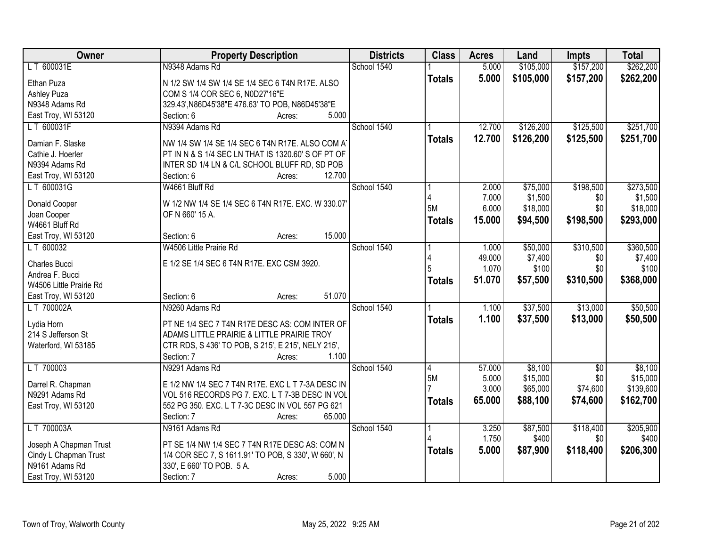| LT 600031E<br>N9348 Adams Rd<br>School 1540<br>\$105,000<br>5.000<br>5.000<br>\$105,000<br>\$157,200<br>\$262,200<br><b>Totals</b><br>Ethan Puza<br>N 1/2 SW 1/4 SW 1/4 SE 1/4 SEC 6 T4N R17E. ALSO<br><b>Ashley Puza</b><br>COM S 1/4 COR SEC 6, N0D27'16"E<br>329.43', N86D45'38"E 476.63' TO POB, N86D45'38"E<br>N9348 Adams Rd<br>5.000<br>East Troy, WI 53120<br>Section: 6<br>Acres:<br>\$251,700<br>LT 600031F<br>N9394 Adams Rd<br>School 1540<br>12.700<br>\$126,200<br>\$125,500<br>12.700<br>\$126,200<br>\$125,500<br>\$251,700<br><b>Totals</b><br>Damian F. Slaske<br>NW 1/4 SW 1/4 SE 1/4 SEC 6 T4N R17E. ALSO COM A<br>PT IN N & S 1/4 SEC LN THAT IS 1320.60' S OF PT OF<br>Cathie J. Hoerler<br>N9394 Adams Rd<br>INTER SD 1/4 LN & C/L SCHOOL BLUFF RD, SD POB<br>12.700<br>East Troy, WI 53120<br>Section: 6<br>Acres:<br>W4661 Bluff Rd<br>School 1540<br>\$198,500<br>\$273,500<br>LT 600031G<br>\$75,000<br>2.000<br>7.000<br>\$1,500<br>\$1,500<br>\$0<br>W 1/2 NW 1/4 SE 1/4 SEC 6 T4N R17E. EXC. W 330.07<br>Donald Cooper<br>5M<br>6.000<br>\$18,000<br>\$0<br>\$18,000<br>Joan Cooper<br>OF N 660' 15 A.<br>\$198,500<br>\$293,000<br><b>Totals</b><br>15.000<br>\$94,500<br>W4661 Bluff Rd<br>15.000<br>Section: 6<br>East Troy, WI 53120<br>Acres:<br>LT 600032<br>W4506 Little Prairie Rd<br>School 1540<br>\$50,000<br>\$310,500<br>\$360,500<br>1.000<br>\$7,400<br>49.000<br>\$7,400<br>\$0<br>E 1/2 SE 1/4 SEC 6 T4N R17E. EXC CSM 3920.<br>Charles Bucci<br>1.070<br>\$100<br>\$0<br>\$100<br>5<br>Andrea F. Bucci<br>51.070<br>\$57,500<br>\$310,500<br>\$368,000<br><b>Totals</b><br>W4506 Little Prairie Rd<br>51.070<br>Section: 6<br>East Troy, WI 53120<br>Acres:<br>\$37,500<br>\$13,000<br>LT 700002A<br>N9260 Adams Rd<br>School 1540<br>1.100<br>1.100<br>\$13,000<br>\$37,500<br>\$50,500<br><b>Totals</b><br>Lydia Horn<br>PT NE 1/4 SEC 7 T4N R17E DESC AS: COM INTER OF<br>214 S Jefferson St<br>ADAMS LITTLE PRAIRIE & LITTLE PRAIRIE TROY<br>Waterford, WI 53185<br>CTR RDS, S 436' TO POB, S 215', E 215', NELY 215',<br>1.100<br>Section: 7<br>Acres:<br>School 1540<br>\$8,100<br>LT 700003<br>N9291 Adams Rd<br>57.000<br>$\overline{60}$<br>$\overline{4}$<br>5M<br>\$15,000<br>\$0<br>5.000<br>Darrel R. Chapman<br>E 1/2 NW 1/4 SEC 7 T4N R17E. EXC L T 7-3A DESC IN<br>3.000<br>\$65,000<br>\$74,600<br>N9291 Adams Rd<br>VOL 516 RECORDS PG 7. EXC. L T 7-3B DESC IN VOL<br>65.000<br>\$88,100<br>\$74,600<br>\$162,700<br><b>Totals</b><br>552 PG 350. EXC. L T 7-3C DESC IN VOL 557 PG 621<br>East Troy, WI 53120 | Owner | <b>Property Description</b>    | <b>Districts</b> | <b>Class</b> | <b>Acres</b> | Land | Impts     | <b>Total</b> |
|----------------------------------------------------------------------------------------------------------------------------------------------------------------------------------------------------------------------------------------------------------------------------------------------------------------------------------------------------------------------------------------------------------------------------------------------------------------------------------------------------------------------------------------------------------------------------------------------------------------------------------------------------------------------------------------------------------------------------------------------------------------------------------------------------------------------------------------------------------------------------------------------------------------------------------------------------------------------------------------------------------------------------------------------------------------------------------------------------------------------------------------------------------------------------------------------------------------------------------------------------------------------------------------------------------------------------------------------------------------------------------------------------------------------------------------------------------------------------------------------------------------------------------------------------------------------------------------------------------------------------------------------------------------------------------------------------------------------------------------------------------------------------------------------------------------------------------------------------------------------------------------------------------------------------------------------------------------------------------------------------------------------------------------------------------------------------------------------------------------------------------------------------------------------------------------------------------------------------------------------------------------------------------------------------------------------------------------------------------------------------------------------------------------------------------------------------------------------------------------------------------------------------------------------------------------------------------|-------|--------------------------------|------------------|--------------|--------------|------|-----------|--------------|
|                                                                                                                                                                                                                                                                                                                                                                                                                                                                                                                                                                                                                                                                                                                                                                                                                                                                                                                                                                                                                                                                                                                                                                                                                                                                                                                                                                                                                                                                                                                                                                                                                                                                                                                                                                                                                                                                                                                                                                                                                                                                                                                                                                                                                                                                                                                                                                                                                                                                                                                                                                                  |       |                                |                  |              |              |      | \$157,200 | \$262,200    |
|                                                                                                                                                                                                                                                                                                                                                                                                                                                                                                                                                                                                                                                                                                                                                                                                                                                                                                                                                                                                                                                                                                                                                                                                                                                                                                                                                                                                                                                                                                                                                                                                                                                                                                                                                                                                                                                                                                                                                                                                                                                                                                                                                                                                                                                                                                                                                                                                                                                                                                                                                                                  |       |                                |                  |              |              |      |           |              |
|                                                                                                                                                                                                                                                                                                                                                                                                                                                                                                                                                                                                                                                                                                                                                                                                                                                                                                                                                                                                                                                                                                                                                                                                                                                                                                                                                                                                                                                                                                                                                                                                                                                                                                                                                                                                                                                                                                                                                                                                                                                                                                                                                                                                                                                                                                                                                                                                                                                                                                                                                                                  |       |                                |                  |              |              |      |           |              |
|                                                                                                                                                                                                                                                                                                                                                                                                                                                                                                                                                                                                                                                                                                                                                                                                                                                                                                                                                                                                                                                                                                                                                                                                                                                                                                                                                                                                                                                                                                                                                                                                                                                                                                                                                                                                                                                                                                                                                                                                                                                                                                                                                                                                                                                                                                                                                                                                                                                                                                                                                                                  |       |                                |                  |              |              |      |           |              |
|                                                                                                                                                                                                                                                                                                                                                                                                                                                                                                                                                                                                                                                                                                                                                                                                                                                                                                                                                                                                                                                                                                                                                                                                                                                                                                                                                                                                                                                                                                                                                                                                                                                                                                                                                                                                                                                                                                                                                                                                                                                                                                                                                                                                                                                                                                                                                                                                                                                                                                                                                                                  |       |                                |                  |              |              |      |           |              |
|                                                                                                                                                                                                                                                                                                                                                                                                                                                                                                                                                                                                                                                                                                                                                                                                                                                                                                                                                                                                                                                                                                                                                                                                                                                                                                                                                                                                                                                                                                                                                                                                                                                                                                                                                                                                                                                                                                                                                                                                                                                                                                                                                                                                                                                                                                                                                                                                                                                                                                                                                                                  |       |                                |                  |              |              |      |           |              |
|                                                                                                                                                                                                                                                                                                                                                                                                                                                                                                                                                                                                                                                                                                                                                                                                                                                                                                                                                                                                                                                                                                                                                                                                                                                                                                                                                                                                                                                                                                                                                                                                                                                                                                                                                                                                                                                                                                                                                                                                                                                                                                                                                                                                                                                                                                                                                                                                                                                                                                                                                                                  |       |                                |                  |              |              |      |           |              |
|                                                                                                                                                                                                                                                                                                                                                                                                                                                                                                                                                                                                                                                                                                                                                                                                                                                                                                                                                                                                                                                                                                                                                                                                                                                                                                                                                                                                                                                                                                                                                                                                                                                                                                                                                                                                                                                                                                                                                                                                                                                                                                                                                                                                                                                                                                                                                                                                                                                                                                                                                                                  |       |                                |                  |              |              |      |           |              |
|                                                                                                                                                                                                                                                                                                                                                                                                                                                                                                                                                                                                                                                                                                                                                                                                                                                                                                                                                                                                                                                                                                                                                                                                                                                                                                                                                                                                                                                                                                                                                                                                                                                                                                                                                                                                                                                                                                                                                                                                                                                                                                                                                                                                                                                                                                                                                                                                                                                                                                                                                                                  |       |                                |                  |              |              |      |           |              |
|                                                                                                                                                                                                                                                                                                                                                                                                                                                                                                                                                                                                                                                                                                                                                                                                                                                                                                                                                                                                                                                                                                                                                                                                                                                                                                                                                                                                                                                                                                                                                                                                                                                                                                                                                                                                                                                                                                                                                                                                                                                                                                                                                                                                                                                                                                                                                                                                                                                                                                                                                                                  |       |                                |                  |              |              |      |           |              |
|                                                                                                                                                                                                                                                                                                                                                                                                                                                                                                                                                                                                                                                                                                                                                                                                                                                                                                                                                                                                                                                                                                                                                                                                                                                                                                                                                                                                                                                                                                                                                                                                                                                                                                                                                                                                                                                                                                                                                                                                                                                                                                                                                                                                                                                                                                                                                                                                                                                                                                                                                                                  |       |                                |                  |              |              |      |           |              |
|                                                                                                                                                                                                                                                                                                                                                                                                                                                                                                                                                                                                                                                                                                                                                                                                                                                                                                                                                                                                                                                                                                                                                                                                                                                                                                                                                                                                                                                                                                                                                                                                                                                                                                                                                                                                                                                                                                                                                                                                                                                                                                                                                                                                                                                                                                                                                                                                                                                                                                                                                                                  |       |                                |                  |              |              |      |           |              |
|                                                                                                                                                                                                                                                                                                                                                                                                                                                                                                                                                                                                                                                                                                                                                                                                                                                                                                                                                                                                                                                                                                                                                                                                                                                                                                                                                                                                                                                                                                                                                                                                                                                                                                                                                                                                                                                                                                                                                                                                                                                                                                                                                                                                                                                                                                                                                                                                                                                                                                                                                                                  |       |                                |                  |              |              |      |           |              |
|                                                                                                                                                                                                                                                                                                                                                                                                                                                                                                                                                                                                                                                                                                                                                                                                                                                                                                                                                                                                                                                                                                                                                                                                                                                                                                                                                                                                                                                                                                                                                                                                                                                                                                                                                                                                                                                                                                                                                                                                                                                                                                                                                                                                                                                                                                                                                                                                                                                                                                                                                                                  |       |                                |                  |              |              |      |           |              |
|                                                                                                                                                                                                                                                                                                                                                                                                                                                                                                                                                                                                                                                                                                                                                                                                                                                                                                                                                                                                                                                                                                                                                                                                                                                                                                                                                                                                                                                                                                                                                                                                                                                                                                                                                                                                                                                                                                                                                                                                                                                                                                                                                                                                                                                                                                                                                                                                                                                                                                                                                                                  |       |                                |                  |              |              |      |           |              |
|                                                                                                                                                                                                                                                                                                                                                                                                                                                                                                                                                                                                                                                                                                                                                                                                                                                                                                                                                                                                                                                                                                                                                                                                                                                                                                                                                                                                                                                                                                                                                                                                                                                                                                                                                                                                                                                                                                                                                                                                                                                                                                                                                                                                                                                                                                                                                                                                                                                                                                                                                                                  |       |                                |                  |              |              |      |           |              |
|                                                                                                                                                                                                                                                                                                                                                                                                                                                                                                                                                                                                                                                                                                                                                                                                                                                                                                                                                                                                                                                                                                                                                                                                                                                                                                                                                                                                                                                                                                                                                                                                                                                                                                                                                                                                                                                                                                                                                                                                                                                                                                                                                                                                                                                                                                                                                                                                                                                                                                                                                                                  |       |                                |                  |              |              |      |           |              |
| \$50,500<br>\$8,100<br>\$15,000<br>\$139,600                                                                                                                                                                                                                                                                                                                                                                                                                                                                                                                                                                                                                                                                                                                                                                                                                                                                                                                                                                                                                                                                                                                                                                                                                                                                                                                                                                                                                                                                                                                                                                                                                                                                                                                                                                                                                                                                                                                                                                                                                                                                                                                                                                                                                                                                                                                                                                                                                                                                                                                                     |       |                                |                  |              |              |      |           |              |
|                                                                                                                                                                                                                                                                                                                                                                                                                                                                                                                                                                                                                                                                                                                                                                                                                                                                                                                                                                                                                                                                                                                                                                                                                                                                                                                                                                                                                                                                                                                                                                                                                                                                                                                                                                                                                                                                                                                                                                                                                                                                                                                                                                                                                                                                                                                                                                                                                                                                                                                                                                                  |       |                                |                  |              |              |      |           |              |
|                                                                                                                                                                                                                                                                                                                                                                                                                                                                                                                                                                                                                                                                                                                                                                                                                                                                                                                                                                                                                                                                                                                                                                                                                                                                                                                                                                                                                                                                                                                                                                                                                                                                                                                                                                                                                                                                                                                                                                                                                                                                                                                                                                                                                                                                                                                                                                                                                                                                                                                                                                                  |       |                                |                  |              |              |      |           |              |
|                                                                                                                                                                                                                                                                                                                                                                                                                                                                                                                                                                                                                                                                                                                                                                                                                                                                                                                                                                                                                                                                                                                                                                                                                                                                                                                                                                                                                                                                                                                                                                                                                                                                                                                                                                                                                                                                                                                                                                                                                                                                                                                                                                                                                                                                                                                                                                                                                                                                                                                                                                                  |       |                                |                  |              |              |      |           |              |
|                                                                                                                                                                                                                                                                                                                                                                                                                                                                                                                                                                                                                                                                                                                                                                                                                                                                                                                                                                                                                                                                                                                                                                                                                                                                                                                                                                                                                                                                                                                                                                                                                                                                                                                                                                                                                                                                                                                                                                                                                                                                                                                                                                                                                                                                                                                                                                                                                                                                                                                                                                                  |       |                                |                  |              |              |      |           |              |
|                                                                                                                                                                                                                                                                                                                                                                                                                                                                                                                                                                                                                                                                                                                                                                                                                                                                                                                                                                                                                                                                                                                                                                                                                                                                                                                                                                                                                                                                                                                                                                                                                                                                                                                                                                                                                                                                                                                                                                                                                                                                                                                                                                                                                                                                                                                                                                                                                                                                                                                                                                                  |       |                                |                  |              |              |      |           |              |
|                                                                                                                                                                                                                                                                                                                                                                                                                                                                                                                                                                                                                                                                                                                                                                                                                                                                                                                                                                                                                                                                                                                                                                                                                                                                                                                                                                                                                                                                                                                                                                                                                                                                                                                                                                                                                                                                                                                                                                                                                                                                                                                                                                                                                                                                                                                                                                                                                                                                                                                                                                                  |       |                                |                  |              |              |      |           |              |
|                                                                                                                                                                                                                                                                                                                                                                                                                                                                                                                                                                                                                                                                                                                                                                                                                                                                                                                                                                                                                                                                                                                                                                                                                                                                                                                                                                                                                                                                                                                                                                                                                                                                                                                                                                                                                                                                                                                                                                                                                                                                                                                                                                                                                                                                                                                                                                                                                                                                                                                                                                                  |       |                                |                  |              |              |      |           |              |
|                                                                                                                                                                                                                                                                                                                                                                                                                                                                                                                                                                                                                                                                                                                                                                                                                                                                                                                                                                                                                                                                                                                                                                                                                                                                                                                                                                                                                                                                                                                                                                                                                                                                                                                                                                                                                                                                                                                                                                                                                                                                                                                                                                                                                                                                                                                                                                                                                                                                                                                                                                                  |       |                                |                  |              |              |      |           |              |
|                                                                                                                                                                                                                                                                                                                                                                                                                                                                                                                                                                                                                                                                                                                                                                                                                                                                                                                                                                                                                                                                                                                                                                                                                                                                                                                                                                                                                                                                                                                                                                                                                                                                                                                                                                                                                                                                                                                                                                                                                                                                                                                                                                                                                                                                                                                                                                                                                                                                                                                                                                                  |       |                                |                  |              |              |      |           |              |
|                                                                                                                                                                                                                                                                                                                                                                                                                                                                                                                                                                                                                                                                                                                                                                                                                                                                                                                                                                                                                                                                                                                                                                                                                                                                                                                                                                                                                                                                                                                                                                                                                                                                                                                                                                                                                                                                                                                                                                                                                                                                                                                                                                                                                                                                                                                                                                                                                                                                                                                                                                                  |       |                                |                  |              |              |      |           |              |
|                                                                                                                                                                                                                                                                                                                                                                                                                                                                                                                                                                                                                                                                                                                                                                                                                                                                                                                                                                                                                                                                                                                                                                                                                                                                                                                                                                                                                                                                                                                                                                                                                                                                                                                                                                                                                                                                                                                                                                                                                                                                                                                                                                                                                                                                                                                                                                                                                                                                                                                                                                                  |       |                                |                  |              |              |      |           |              |
|                                                                                                                                                                                                                                                                                                                                                                                                                                                                                                                                                                                                                                                                                                                                                                                                                                                                                                                                                                                                                                                                                                                                                                                                                                                                                                                                                                                                                                                                                                                                                                                                                                                                                                                                                                                                                                                                                                                                                                                                                                                                                                                                                                                                                                                                                                                                                                                                                                                                                                                                                                                  |       |                                |                  |              |              |      |           |              |
|                                                                                                                                                                                                                                                                                                                                                                                                                                                                                                                                                                                                                                                                                                                                                                                                                                                                                                                                                                                                                                                                                                                                                                                                                                                                                                                                                                                                                                                                                                                                                                                                                                                                                                                                                                                                                                                                                                                                                                                                                                                                                                                                                                                                                                                                                                                                                                                                                                                                                                                                                                                  |       | 65.000<br>Section: 7<br>Acres: |                  |              |              |      |           |              |
| LT 700003A<br>School 1540<br>\$87,500<br>\$118,400<br>\$205,900<br>3.250<br>N9161 Adams Rd                                                                                                                                                                                                                                                                                                                                                                                                                                                                                                                                                                                                                                                                                                                                                                                                                                                                                                                                                                                                                                                                                                                                                                                                                                                                                                                                                                                                                                                                                                                                                                                                                                                                                                                                                                                                                                                                                                                                                                                                                                                                                                                                                                                                                                                                                                                                                                                                                                                                                       |       |                                |                  |              |              |      |           |              |
| 1.750<br>\$400<br>\$400<br>\$0                                                                                                                                                                                                                                                                                                                                                                                                                                                                                                                                                                                                                                                                                                                                                                                                                                                                                                                                                                                                                                                                                                                                                                                                                                                                                                                                                                                                                                                                                                                                                                                                                                                                                                                                                                                                                                                                                                                                                                                                                                                                                                                                                                                                                                                                                                                                                                                                                                                                                                                                                   |       |                                |                  |              |              |      |           |              |
| Joseph A Chapman Trust<br>PT SE 1/4 NW 1/4 SEC 7 T4N R17E DESC AS: COM N<br>\$118,400<br>\$206,300<br>5.000<br>\$87,900<br><b>Totals</b><br>Cindy L Chapman Trust<br>1/4 COR SEC 7, S 1611.91' TO POB, S 330', W 660', N                                                                                                                                                                                                                                                                                                                                                                                                                                                                                                                                                                                                                                                                                                                                                                                                                                                                                                                                                                                                                                                                                                                                                                                                                                                                                                                                                                                                                                                                                                                                                                                                                                                                                                                                                                                                                                                                                                                                                                                                                                                                                                                                                                                                                                                                                                                                                         |       |                                |                  |              |              |      |           |              |
| N9161 Adams Rd<br>330', E 660' TO POB. 5 A.                                                                                                                                                                                                                                                                                                                                                                                                                                                                                                                                                                                                                                                                                                                                                                                                                                                                                                                                                                                                                                                                                                                                                                                                                                                                                                                                                                                                                                                                                                                                                                                                                                                                                                                                                                                                                                                                                                                                                                                                                                                                                                                                                                                                                                                                                                                                                                                                                                                                                                                                      |       |                                |                  |              |              |      |           |              |
| 5.000<br>East Troy, WI 53120<br>Section: 7<br>Acres:                                                                                                                                                                                                                                                                                                                                                                                                                                                                                                                                                                                                                                                                                                                                                                                                                                                                                                                                                                                                                                                                                                                                                                                                                                                                                                                                                                                                                                                                                                                                                                                                                                                                                                                                                                                                                                                                                                                                                                                                                                                                                                                                                                                                                                                                                                                                                                                                                                                                                                                             |       |                                |                  |              |              |      |           |              |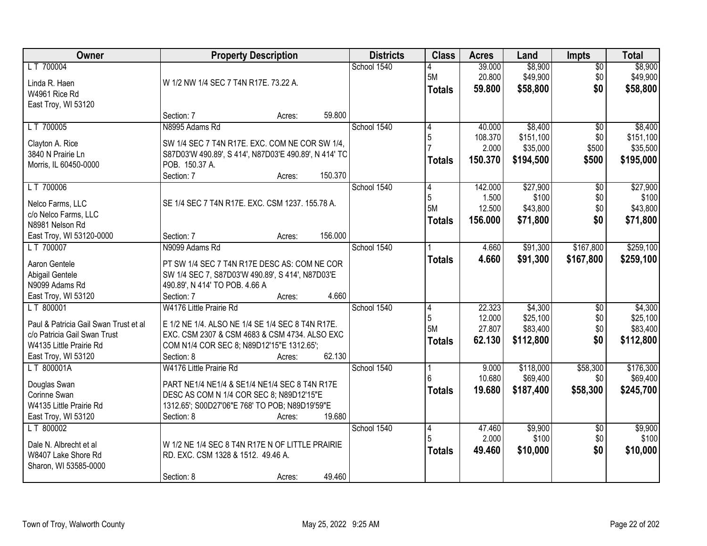| Owner                                                   | <b>Property Description</b>                                                                      |         | <b>Districts</b> | <b>Class</b>  | <b>Acres</b> | Land      | <b>Impts</b>           | <b>Total</b> |
|---------------------------------------------------------|--------------------------------------------------------------------------------------------------|---------|------------------|---------------|--------------|-----------|------------------------|--------------|
| LT 700004                                               |                                                                                                  |         | School 1540      |               | 39.000       | \$8,900   | $\overline{50}$        | \$8,900      |
| Linda R. Haen                                           | W 1/2 NW 1/4 SEC 7 T4N R17E. 73.22 A.                                                            |         |                  | 5M            | 20.800       | \$49,900  | \$0                    | \$49,900     |
| W4961 Rice Rd                                           |                                                                                                  |         |                  | <b>Totals</b> | 59.800       | \$58,800  | \$0                    | \$58,800     |
| East Troy, WI 53120                                     |                                                                                                  |         |                  |               |              |           |                        |              |
|                                                         | Section: 7<br>Acres:                                                                             | 59.800  |                  |               |              |           |                        |              |
| LT 700005                                               | N8995 Adams Rd                                                                                   |         | School 1540      |               | 40.000       | \$8,400   | $\overline{50}$        | \$8,400      |
| Clayton A. Rice                                         | SW 1/4 SEC 7 T4N R17E. EXC. COM NE COR SW 1/4,                                                   |         |                  | 5             | 108.370      | \$151,100 | \$0                    | \$151,100    |
| 3840 N Prairie Ln                                       | S87D03'W 490.89', S 414', N87D03'E 490.89', N 414' TC                                            |         |                  |               | 2.000        | \$35,000  | \$500                  | \$35,500     |
| Morris, IL 60450-0000                                   | POB. 150.37 A.                                                                                   |         |                  | <b>Totals</b> | 150.370      | \$194,500 | \$500                  | \$195,000    |
|                                                         | Section: 7<br>Acres:                                                                             | 150.370 |                  |               |              |           |                        |              |
| LT 700006                                               |                                                                                                  |         | School 1540      | 14            | 142.000      | \$27,900  | \$0                    | \$27,900     |
| Nelco Farms, LLC                                        | SE 1/4 SEC 7 T4N R17E. EXC. CSM 1237. 155.78 A.                                                  |         |                  | 5             | 1.500        | \$100     | \$0                    | \$100        |
| c/o Nelco Farms, LLC                                    |                                                                                                  |         |                  | 5M            | 12.500       | \$43,800  | \$0                    | \$43,800     |
| N8981 Nelson Rd                                         |                                                                                                  |         |                  | <b>Totals</b> | 156.000      | \$71,800  | \$0                    | \$71,800     |
| East Troy, WI 53120-0000                                | Section: 7<br>Acres:                                                                             | 156.000 |                  |               |              |           |                        |              |
| LT 700007                                               | N9099 Adams Rd                                                                                   |         | School 1540      |               | 4.660        | \$91,300  | \$167,800              | \$259,100    |
|                                                         |                                                                                                  |         |                  | <b>Totals</b> | 4.660        | \$91,300  | \$167,800              | \$259,100    |
| Aaron Gentele<br>Abigail Gentele                        | PT SW 1/4 SEC 7 T4N R17E DESC AS: COM NE COR<br>SW 1/4 SEC 7, S87D03'W 490.89', S 414', N87D03'E |         |                  |               |              |           |                        |              |
| N9099 Adams Rd                                          | 490.89', N 414' TO POB. 4.66 A                                                                   |         |                  |               |              |           |                        |              |
| East Troy, WI 53120                                     | Section: 7<br>Acres:                                                                             | 4.660   |                  |               |              |           |                        |              |
| LT 800001                                               | W4176 Little Prairie Rd                                                                          |         | School 1540      | 4             | 22.323       | \$4,300   | \$0                    | \$4,300      |
|                                                         |                                                                                                  |         |                  | 5             | 12.000       | \$25,100  | \$0                    | \$25,100     |
| Paul & Patricia Gail Swan Trust et al                   | E 1/2 NE 1/4. ALSO NE 1/4 SE 1/4 SEC 8 T4N R17E.                                                 |         |                  | 5M            | 27.807       | \$83,400  | \$0                    | \$83,400     |
| c/o Patricia Gail Swan Trust<br>W4135 Little Prairie Rd | EXC. CSM 2307 & CSM 4683 & CSM 4734. ALSO EXC                                                    |         |                  | <b>Totals</b> | 62.130       | \$112,800 | \$0                    | \$112,800    |
| East Troy, WI 53120                                     | COM N1/4 COR SEC 8; N89D12'15"E 1312.65';<br>Section: 8<br>Acres:                                | 62.130  |                  |               |              |           |                        |              |
| LT 800001A                                              | W4176 Little Prairie Rd                                                                          |         | School 1540      |               | 9.000        | \$118,000 | \$58,300               | \$176,300    |
|                                                         |                                                                                                  |         |                  |               | 10.680       | \$69,400  | \$0                    | \$69,400     |
| Douglas Swan                                            | PART NE1/4 NE1/4 & SE1/4 NE1/4 SEC 8 T4N R17E                                                    |         |                  | <b>Totals</b> | 19.680       | \$187,400 | \$58,300               | \$245,700    |
| Corinne Swan                                            | DESC AS COM N 1/4 COR SEC 8; N89D12'15"E                                                         |         |                  |               |              |           |                        |              |
| W4135 Little Prairie Rd                                 | 1312.65'; S00D27'06"E 768' TO POB; N89D19'59"E                                                   |         |                  |               |              |           |                        |              |
| East Troy, WI 53120<br>LT 800002                        | Section: 8<br>Acres:                                                                             | 19.680  | School 1540      |               | 47.460       | \$9,900   |                        | \$9,900      |
|                                                         |                                                                                                  |         |                  | 14            | 2.000        | \$100     | $\overline{50}$<br>\$0 | \$100        |
| Dale N. Albrecht et al                                  | W 1/2 NE 1/4 SEC 8 T4N R17E N OF LITTLE PRAIRIE                                                  |         |                  | <b>Totals</b> | 49.460       | \$10,000  | \$0                    | \$10,000     |
| W8407 Lake Shore Rd                                     | RD. EXC. CSM 1328 & 1512. 49.46 A.                                                               |         |                  |               |              |           |                        |              |
| Sharon, WI 53585-0000                                   |                                                                                                  |         |                  |               |              |           |                        |              |
|                                                         | Section: 8<br>Acres:                                                                             | 49.460  |                  |               |              |           |                        |              |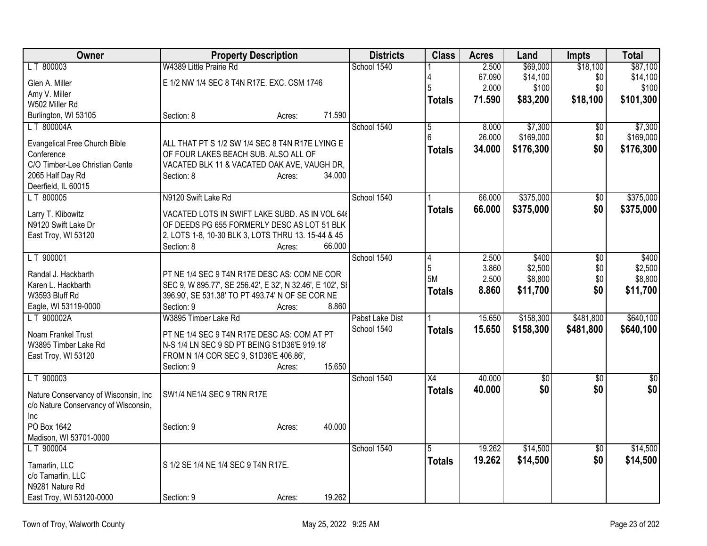| Owner                                                                         |                                                           | <b>Property Description</b> |        | <b>Districts</b> | <b>Class</b>    | <b>Acres</b> | Land        | Impts           | <b>Total</b>   |
|-------------------------------------------------------------------------------|-----------------------------------------------------------|-----------------------------|--------|------------------|-----------------|--------------|-------------|-----------------|----------------|
| LT 800003                                                                     | W4389 Little Prairie Rd                                   |                             |        | School 1540      |                 | 2.500        | \$69,000    | \$18,100        | \$87,100       |
| Glen A. Miller                                                                | E 1/2 NW 1/4 SEC 8 T4N R17E. EXC. CSM 1746                |                             |        |                  |                 | 67.090       | \$14,100    | \$0             | \$14,100       |
| Amy V. Miller                                                                 |                                                           |                             |        |                  | 5               | 2.000        | \$100       | \$0             | \$100          |
| W502 Miller Rd                                                                |                                                           |                             |        |                  | <b>Totals</b>   | 71.590       | \$83,200    | \$18,100        | \$101,300      |
| Burlington, WI 53105                                                          | Section: 8                                                | Acres:                      | 71.590 |                  |                 |              |             |                 |                |
| LT 800004A                                                                    |                                                           |                             |        | School 1540      | 5               | 8.000        | \$7,300     | \$0             | \$7,300        |
| <b>Evangelical Free Church Bible</b>                                          | ALL THAT PT S 1/2 SW 1/4 SEC 8 T4N R17E LYING E           |                             |        |                  | 6               | 26.000       | \$169,000   | \$0             | \$169,000      |
| Conference                                                                    | OF FOUR LAKES BEACH SUB. ALSO ALL OF                      |                             |        |                  | <b>Totals</b>   | 34.000       | \$176,300   | \$0             | \$176,300      |
| C/O Timber-Lee Christian Cente                                                | VACATED BLK 11 & VACATED OAK AVE, VAUGH DR,               |                             |        |                  |                 |              |             |                 |                |
| 2065 Half Day Rd                                                              | Section: 8                                                | Acres:                      | 34.000 |                  |                 |              |             |                 |                |
| Deerfield, IL 60015                                                           |                                                           |                             |        |                  |                 |              |             |                 |                |
| LT 800005                                                                     | N9120 Swift Lake Rd                                       |                             |        | School 1540      |                 | 66,000       | \$375,000   | $\overline{50}$ | \$375,000      |
| Larry T. Klibowitz                                                            | VACATED LOTS IN SWIFT LAKE SUBD. AS IN VOL 646            |                             |        |                  | <b>Totals</b>   | 66.000       | \$375,000   | \$0             | \$375,000      |
| N9120 Swift Lake Dr                                                           | OF DEEDS PG 655 FORMERLY DESC AS LOT 51 BLK               |                             |        |                  |                 |              |             |                 |                |
| East Troy, WI 53120                                                           | 2, LOTS 1-8, 10-30 BLK 3, LOTS THRU 13. 15-44 & 45        |                             |        |                  |                 |              |             |                 |                |
|                                                                               | Section: 8                                                | Acres:                      | 66.000 |                  |                 |              |             |                 |                |
| LT 900001                                                                     |                                                           |                             |        | School 1540      | 4               | 2.500        | \$400       | \$0             | \$400          |
| Randal J. Hackbarth                                                           | PT NE 1/4 SEC 9 T4N R17E DESC AS: COM NE COR              |                             |        |                  | 5               | 3.860        | \$2,500     | \$0             | \$2,500        |
| Karen L. Hackbarth                                                            | SEC 9, W 895.77', SE 256.42', E 32', N 32.46', E 102', SI |                             |        |                  | 5M              | 2.500        | \$8,800     | \$0             | \$8,800        |
| W3593 Bluff Rd                                                                | 396.90', SE 531.38' TO PT 493.74' N OF SE COR NE          |                             |        |                  | <b>Totals</b>   | 8.860        | \$11,700    | \$0             | \$11,700       |
| Eagle, WI 53119-0000                                                          | Section: 9                                                | Acres:                      | 8.860  |                  |                 |              |             |                 |                |
| LT 900002A                                                                    | W3895 Timber Lake Rd                                      |                             |        | Pabst Lake Dist  |                 | 15.650       | \$158,300   | \$481,800       | \$640,100      |
|                                                                               | PT NE 1/4 SEC 9 T4N R17E DESC AS: COM AT PT               |                             |        | School 1540      | <b>Totals</b>   | 15.650       | \$158,300   | \$481,800       | \$640,100      |
| Noam Frankel Trust<br>W3895 Timber Lake Rd                                    | N-S 1/4 LN SEC 9 SD PT BEING S1D36'E 919.18'              |                             |        |                  |                 |              |             |                 |                |
| East Troy, WI 53120                                                           | FROM N 1/4 COR SEC 9, S1D36'E 406.86',                    |                             |        |                  |                 |              |             |                 |                |
|                                                                               | Section: 9                                                | Acres:                      | 15.650 |                  |                 |              |             |                 |                |
| LT 900003                                                                     |                                                           |                             |        | School 1540      | $\overline{X4}$ | 40.000       | $\sqrt{50}$ | $\sqrt{6}$      | $\frac{6}{3}$  |
|                                                                               |                                                           |                             |        |                  | <b>Totals</b>   | 40.000       | \$0         | \$0             | s <sub>0</sub> |
| Nature Conservancy of Wisconsin, Inc.<br>c/o Nature Conservancy of Wisconsin, | SW1/4 NE1/4 SEC 9 TRN R17E                                |                             |        |                  |                 |              |             |                 |                |
| Inc                                                                           |                                                           |                             |        |                  |                 |              |             |                 |                |
| PO Box 1642                                                                   | Section: 9                                                | Acres:                      | 40.000 |                  |                 |              |             |                 |                |
| Madison, WI 53701-0000                                                        |                                                           |                             |        |                  |                 |              |             |                 |                |
| LT 900004                                                                     |                                                           |                             |        | School 1540      | 5               | 19.262       | \$14,500    | $\overline{50}$ | \$14,500       |
|                                                                               | S 1/2 SE 1/4 NE 1/4 SEC 9 T4N R17E.                       |                             |        |                  | <b>Totals</b>   | 19.262       | \$14,500    | \$0             | \$14,500       |
| Tamarlin, LLC<br>c/o Tamarlin, LLC                                            |                                                           |                             |        |                  |                 |              |             |                 |                |
| N9281 Nature Rd                                                               |                                                           |                             |        |                  |                 |              |             |                 |                |
| East Troy, WI 53120-0000                                                      | Section: 9                                                | Acres:                      | 19.262 |                  |                 |              |             |                 |                |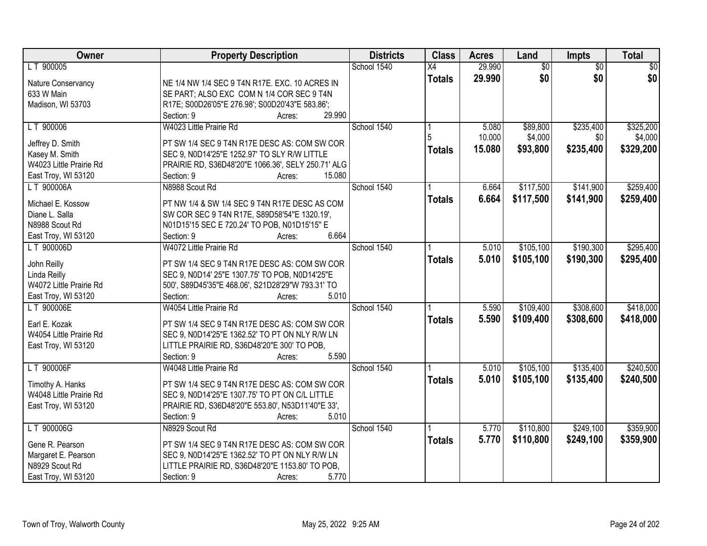| Owner                                     | <b>Property Description</b>                                                                  | <b>Districts</b> | <b>Class</b>    | <b>Acres</b> | Land            | Impts           | <b>Total</b>    |
|-------------------------------------------|----------------------------------------------------------------------------------------------|------------------|-----------------|--------------|-----------------|-----------------|-----------------|
| LT 900005                                 |                                                                                              | School 1540      | $\overline{X4}$ | 29.990       | $\overline{60}$ | $\overline{50}$ | $\overline{50}$ |
| Nature Conservancy                        | NE 1/4 NW 1/4 SEC 9 T4N R17E. EXC. 10 ACRES IN                                               |                  | <b>Totals</b>   | 29.990       | \$0             | \$0             | \$0             |
| 633 W Main                                | SE PART; ALSO EXC COM N 1/4 COR SEC 9 T4N                                                    |                  |                 |              |                 |                 |                 |
| Madison, WI 53703                         | R17E; S00D26'05"E 276.98'; S00D20'43"E 583.86';                                              |                  |                 |              |                 |                 |                 |
|                                           | 29.990<br>Section: 9<br>Acres:                                                               |                  |                 |              |                 |                 |                 |
| LT 900006                                 | W4023 Little Prairie Rd                                                                      | School 1540      |                 | 5.080        | \$89,800        | \$235,400       | \$325,200       |
|                                           |                                                                                              |                  |                 | 10.000       | \$4,000         | \$0             | \$4,000         |
| Jeffrey D. Smith                          | PT SW 1/4 SEC 9 T4N R17E DESC AS: COM SW COR<br>SEC 9, N0D14'25"E 1252.97' TO SLY R/W LITTLE |                  | <b>Totals</b>   | 15.080       | \$93,800        | \$235,400       | \$329,200       |
| Kasey M. Smith<br>W4023 Little Prairie Rd | PRAIRIE RD, S36D48'20"E 1066.36', SELY 250.71' ALG                                           |                  |                 |              |                 |                 |                 |
| East Troy, WI 53120                       | 15.080<br>Section: 9<br>Acres:                                                               |                  |                 |              |                 |                 |                 |
| LT 900006A                                | N8988 Scout Rd                                                                               | School 1540      |                 | 6.664        | \$117,500       | \$141,900       | \$259,400       |
|                                           |                                                                                              |                  |                 | 6.664        | \$117,500       | \$141,900       | \$259,400       |
| Michael E. Kossow                         | PT NW 1/4 & SW 1/4 SEC 9 T4N R17E DESC AS COM                                                |                  | <b>Totals</b>   |              |                 |                 |                 |
| Diane L. Salla                            | SW COR SEC 9 T4N R17E, S89D58'54"E 1320.19',                                                 |                  |                 |              |                 |                 |                 |
| N8988 Scout Rd                            | N01D15'15 SEC E 720.24' TO POB, N01D15'15" E                                                 |                  |                 |              |                 |                 |                 |
| East Troy, WI 53120                       | 6.664<br>Section: 9<br>Acres:                                                                |                  |                 |              |                 |                 |                 |
| LT 900006D                                | W4072 Little Prairie Rd                                                                      | School 1540      |                 | 5.010        | \$105,100       | \$190,300       | \$295,400       |
| John Reilly                               | PT SW 1/4 SEC 9 T4N R17E DESC AS: COM SW COR                                                 |                  | <b>Totals</b>   | 5.010        | \$105,100       | \$190,300       | \$295,400       |
| Linda Reilly                              | SEC 9, N0D14' 25"E 1307.75' TO POB, N0D14'25"E                                               |                  |                 |              |                 |                 |                 |
| W4072 Little Prairie Rd                   | 500', S89D45'35"E 468.06', S21D28'29"W 793.31' TO                                            |                  |                 |              |                 |                 |                 |
| East Troy, WI 53120                       | 5.010<br>Section:<br>Acres:                                                                  |                  |                 |              |                 |                 |                 |
| LT 900006E                                | W4054 Little Prairie Rd                                                                      | School 1540      |                 | 5.590        | \$109,400       | \$308,600       | \$418,000       |
|                                           |                                                                                              |                  | <b>Totals</b>   | 5.590        | \$109,400       | \$308,600       | \$418,000       |
| Earl E. Kozak                             | PT SW 1/4 SEC 9 T4N R17E DESC AS: COM SW COR                                                 |                  |                 |              |                 |                 |                 |
| W4054 Little Prairie Rd                   | SEC 9, N0D14'25"E 1362.52' TO PT ON NLY R/W LN                                               |                  |                 |              |                 |                 |                 |
| East Troy, WI 53120                       | LITTLE PRAIRIE RD, S36D48'20"E 300' TO POB,                                                  |                  |                 |              |                 |                 |                 |
|                                           | Section: 9<br>5.590<br>Acres:                                                                |                  |                 |              |                 |                 |                 |
| LT 900006F                                | W4048 Little Prairie Rd                                                                      | School 1540      |                 | 5.010        | \$105,100       | \$135,400       | \$240,500       |
| Timothy A. Hanks                          | PT SW 1/4 SEC 9 T4N R17E DESC AS: COM SW COR                                                 |                  | <b>Totals</b>   | 5.010        | \$105,100       | \$135,400       | \$240,500       |
| W4048 Little Prairie Rd                   | SEC 9, N0D14'25"E 1307.75' TO PT ON C/L LITTLE                                               |                  |                 |              |                 |                 |                 |
| East Troy, WI 53120                       | PRAIRIE RD, S36D48'20"E 553.80', N53D11'40"E 33',                                            |                  |                 |              |                 |                 |                 |
|                                           | 5.010<br>Section: 9<br>Acres:                                                                |                  |                 |              |                 |                 |                 |
| LT 900006G                                | N8929 Scout Rd                                                                               | School 1540      |                 | 5.770        | \$110,800       | \$249,100       | \$359,900       |
| Gene R. Pearson                           | PT SW 1/4 SEC 9 T4N R17E DESC AS: COM SW COR                                                 |                  | <b>Totals</b>   | 5.770        | \$110,800       | \$249,100       | \$359,900       |
| Margaret E. Pearson                       | SEC 9, N0D14'25"E 1362.52' TO PT ON NLY R/W LN                                               |                  |                 |              |                 |                 |                 |
| N8929 Scout Rd                            | LITTLE PRAIRIE RD, S36D48'20"E 1153.80' TO POB,                                              |                  |                 |              |                 |                 |                 |
| East Troy, WI 53120                       | 5.770<br>Section: 9<br>Acres:                                                                |                  |                 |              |                 |                 |                 |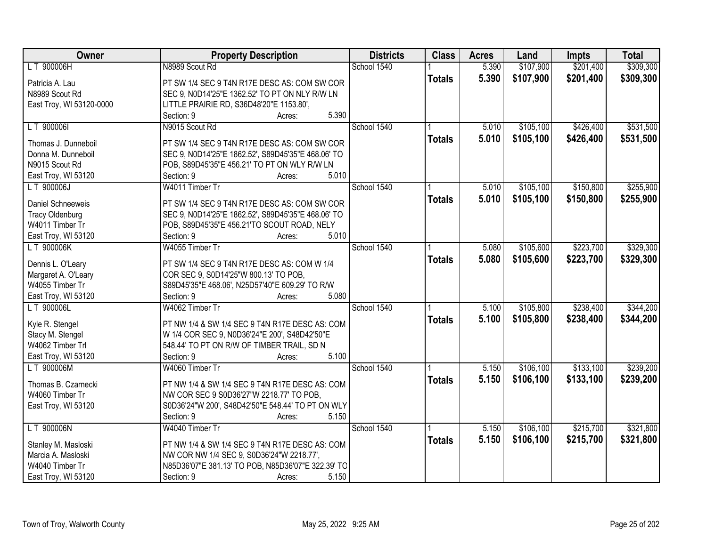| Owner                    | <b>Property Description</b>                        | <b>Districts</b> | <b>Class</b>  | <b>Acres</b> | Land      | <b>Impts</b> | <b>Total</b> |
|--------------------------|----------------------------------------------------|------------------|---------------|--------------|-----------|--------------|--------------|
| LT 900006H               | N8989 Scout Rd                                     | School 1540      |               | 5.390        | \$107,900 | \$201,400    | \$309,300    |
| Patricia A. Lau          | PT SW 1/4 SEC 9 T4N R17E DESC AS: COM SW COR       |                  | <b>Totals</b> | 5.390        | \$107,900 | \$201,400    | \$309,300    |
| N8989 Scout Rd           | SEC 9, N0D14'25"E 1362.52' TO PT ON NLY R/W LN     |                  |               |              |           |              |              |
| East Troy, WI 53120-0000 | LITTLE PRAIRIE RD, S36D48'20"E 1153.80',           |                  |               |              |           |              |              |
|                          | 5.390<br>Section: 9<br>Acres:                      |                  |               |              |           |              |              |
| LT 900006I               | N9015 Scout Rd                                     | School 1540      |               | 5.010        | \$105,100 | \$426,400    | \$531,500    |
| Thomas J. Dunneboil      | PT SW 1/4 SEC 9 T4N R17E DESC AS: COM SW COR       |                  | <b>Totals</b> | 5.010        | \$105,100 | \$426,400    | \$531,500    |
| Donna M. Dunneboil       | SEC 9, N0D14'25"E 1862.52', S89D45'35"E 468.06' TO |                  |               |              |           |              |              |
| N9015 Scout Rd           | POB, S89D45'35"E 456.21' TO PT ON WLY R/W LN       |                  |               |              |           |              |              |
| East Troy, WI 53120      | 5.010<br>Section: 9<br>Acres:                      |                  |               |              |           |              |              |
| LT 900006J               | W4011 Timber Tr                                    | School 1540      |               | 5.010        | \$105,100 | \$150,800    | \$255,900    |
|                          |                                                    |                  |               | 5.010        | \$105,100 | \$150,800    | \$255,900    |
| Daniel Schneeweis        | PT SW 1/4 SEC 9 T4N R17E DESC AS: COM SW COR       |                  | <b>Totals</b> |              |           |              |              |
| <b>Tracy Oldenburg</b>   | SEC 9, N0D14'25"E 1862.52', S89D45'35"E 468.06' TO |                  |               |              |           |              |              |
| W4011 Timber Tr          | POB, S89D45'35"E 456.21'TO SCOUT ROAD, NELY        |                  |               |              |           |              |              |
| East Troy, WI 53120      | 5.010<br>Section: 9<br>Acres:                      |                  |               |              |           |              |              |
| LT 900006K               | W4055 Timber Tr                                    | School 1540      |               | 5.080        | \$105,600 | \$223,700    | \$329,300    |
| Dennis L. O'Leary        | PT SW 1/4 SEC 9 T4N R17E DESC AS: COM W 1/4        |                  | <b>Totals</b> | 5.080        | \$105,600 | \$223,700    | \$329,300    |
| Margaret A. O'Leary      | COR SEC 9, S0D14'25"W 800.13' TO POB,              |                  |               |              |           |              |              |
| W4055 Timber Tr          | S89D45'35"E 468.06', N25D57'40"E 609.29' TO R/W    |                  |               |              |           |              |              |
| East Troy, WI 53120      | Section: 9<br>5.080<br>Acres:                      |                  |               |              |           |              |              |
| LT 900006L               | W4062 Timber Tr                                    | School 1540      |               | 5.100        | \$105,800 | \$238,400    | \$344,200    |
|                          |                                                    |                  | <b>Totals</b> | 5.100        | \$105,800 | \$238,400    | \$344,200    |
| Kyle R. Stengel          | PT NW 1/4 & SW 1/4 SEC 9 T4N R17E DESC AS: COM     |                  |               |              |           |              |              |
| Stacy M. Stengel         | W 1/4 COR SEC 9, N0D36'24"E 200', S48D42'50"E      |                  |               |              |           |              |              |
| W4062 Timber Trl         | 548.44' TO PT ON R/W OF TIMBER TRAIL, SD N         |                  |               |              |           |              |              |
| East Troy, WI 53120      | Section: 9<br>5.100<br>Acres:                      |                  |               |              |           |              |              |
| LT 900006M               | W4060 Timber Tr                                    | School 1540      |               | 5.150        | \$106,100 | \$133,100    | \$239,200    |
| Thomas B. Czarnecki      | PT NW 1/4 & SW 1/4 SEC 9 T4N R17E DESC AS: COM     |                  | <b>Totals</b> | 5.150        | \$106,100 | \$133,100    | \$239,200    |
| W4060 Timber Tr          | NW COR SEC 9 S0D36'27"W 2218.77' TO POB,           |                  |               |              |           |              |              |
| East Troy, WI 53120      | S0D36'24"W 200', S48D42'50"E 548.44' TO PT ON WLY  |                  |               |              |           |              |              |
|                          | 5.150<br>Section: 9<br>Acres:                      |                  |               |              |           |              |              |
| LT 900006N               | W4040 Timber Tr                                    | School 1540      |               | 5.150        | \$106,100 | \$215,700    | \$321,800    |
|                          |                                                    |                  | <b>Totals</b> | 5.150        | \$106,100 | \$215,700    | \$321,800    |
| Stanley M. Masloski      | PT NW 1/4 & SW 1/4 SEC 9 T4N R17E DESC AS: COM     |                  |               |              |           |              |              |
| Marcia A. Masloski       | NW COR NW 1/4 SEC 9, S0D36'24"W 2218.77',          |                  |               |              |           |              |              |
| W4040 Timber Tr          | N85D36'07"E 381.13' TO POB, N85D36'07"E 322.39' TO |                  |               |              |           |              |              |
| East Troy, WI 53120      | 5.150<br>Section: 9<br>Acres:                      |                  |               |              |           |              |              |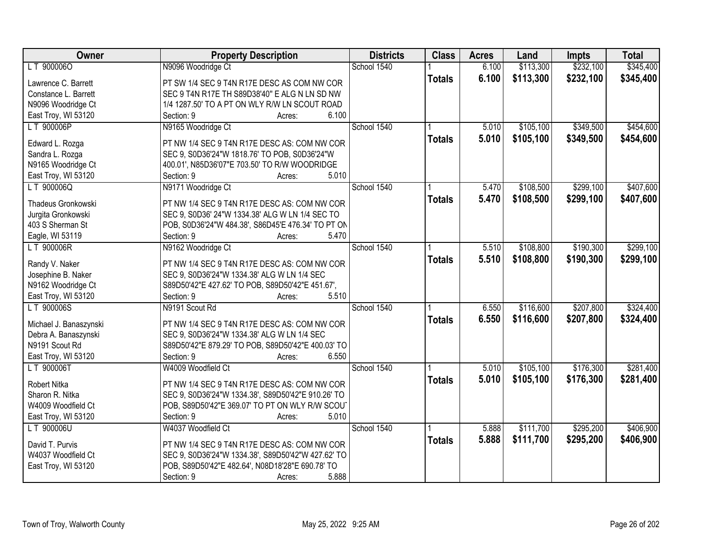| Owner                  | <b>Property Description</b>                        | <b>Districts</b> | <b>Class</b>  | <b>Acres</b> | Land      | <b>Impts</b> | <b>Total</b> |
|------------------------|----------------------------------------------------|------------------|---------------|--------------|-----------|--------------|--------------|
| LT 900006O             | N9096 Woodridge Ct                                 | School 1540      |               | 6.100        | \$113,300 | \$232,100    | \$345,400    |
| Lawrence C. Barrett    | PT SW 1/4 SEC 9 T4N R17E DESC AS COM NW COR        |                  | <b>Totals</b> | 6.100        | \$113,300 | \$232,100    | \$345,400    |
| Constance L. Barrett   | SEC 9 T4N R17E TH S89D38'40" E ALG N LN SD NW      |                  |               |              |           |              |              |
| N9096 Woodridge Ct     | 1/4 1287.50' TO A PT ON WLY R/W LN SCOUT ROAD      |                  |               |              |           |              |              |
| East Troy, WI 53120    | 6.100<br>Section: 9<br>Acres:                      |                  |               |              |           |              |              |
| LT 900006P             | N9165 Woodridge Ct                                 | School 1540      |               | 5.010        | \$105,100 | \$349,500    | \$454,600    |
|                        |                                                    |                  | <b>Totals</b> | 5.010        | \$105,100 | \$349,500    | \$454,600    |
| Edward L. Rozga        | PT NW 1/4 SEC 9 T4N R17E DESC AS: COM NW COR       |                  |               |              |           |              |              |
| Sandra L. Rozga        | SEC 9, S0D36'24"W 1818.76' TO POB, S0D36'24"W      |                  |               |              |           |              |              |
| N9165 Woodridge Ct     | 400.01', N85D36'07"E 703.50' TO R/W WOODRIDGE      |                  |               |              |           |              |              |
| East Troy, WI 53120    | 5.010<br>Section: 9<br>Acres:                      |                  |               |              |           |              |              |
| LT 900006Q             | N9171 Woodridge Ct                                 | School 1540      |               | 5.470        | \$108,500 | \$299,100    | \$407,600    |
| Thadeus Gronkowski     | PT NW 1/4 SEC 9 T4N R17E DESC AS: COM NW COR       |                  | <b>Totals</b> | 5.470        | \$108,500 | \$299,100    | \$407,600    |
| Jurgita Gronkowski     | SEC 9, S0D36' 24"W 1334.38' ALG W LN 1/4 SEC TO    |                  |               |              |           |              |              |
| 403 S Sherman St       | POB, S0D36'24"W 484.38', S86D45'E 476.34' TO PT ON |                  |               |              |           |              |              |
| Eagle, WI 53119        | 5.470<br>Section: 9<br>Acres:                      |                  |               |              |           |              |              |
| LT 900006R             | N9162 Woodridge Ct                                 | School 1540      |               | 5.510        | \$108,800 | \$190,300    | \$299,100    |
|                        |                                                    |                  | <b>Totals</b> | 5.510        | \$108,800 | \$190,300    | \$299,100    |
| Randy V. Naker         | PT NW 1/4 SEC 9 T4N R17E DESC AS: COM NW COR       |                  |               |              |           |              |              |
| Josephine B. Naker     | SEC 9, S0D36'24"W 1334.38' ALG W LN 1/4 SEC        |                  |               |              |           |              |              |
| N9162 Woodridge Ct     | S89D50'42"E 427.62' TO POB, S89D50'42"E 451.67',   |                  |               |              |           |              |              |
| East Troy, WI 53120    | Section: 9<br>5.510<br>Acres:                      |                  |               |              |           |              |              |
| LT 900006S             | N9191 Scout Rd                                     | School 1540      |               | 6.550        | \$116,600 | \$207,800    | \$324,400    |
| Michael J. Banaszynski | PT NW 1/4 SEC 9 T4N R17E DESC AS: COM NW COR       |                  | <b>Totals</b> | 6.550        | \$116,600 | \$207,800    | \$324,400    |
| Debra A. Banaszynski   | SEC 9, S0D36'24"W 1334.38' ALG W LN 1/4 SEC        |                  |               |              |           |              |              |
| N9191 Scout Rd         | S89D50'42"E 879.29' TO POB, S89D50'42"E 400.03' TO |                  |               |              |           |              |              |
| East Troy, WI 53120    | 6.550<br>Section: 9<br>Acres:                      |                  |               |              |           |              |              |
| LT 900006T             | W4009 Woodfield Ct                                 | School 1540      |               | 5.010        | \$105,100 | \$176,300    | \$281,400    |
|                        |                                                    |                  |               | 5.010        | \$105,100 | \$176,300    | \$281,400    |
| Robert Nitka           | PT NW 1/4 SEC 9 T4N R17E DESC AS: COM NW COR       |                  | <b>Totals</b> |              |           |              |              |
| Sharon R. Nitka        | SEC 9, S0D36'24"W 1334.38', S89D50'42"E 910.26' TO |                  |               |              |           |              |              |
| W4009 Woodfield Ct     | POB, S89D50'42"E 369.07' TO PT ON WLY R/W SCOUT    |                  |               |              |           |              |              |
| East Troy, WI 53120    | 5.010<br>Section: 9<br>Acres:                      |                  |               |              |           |              |              |
| LT 900006U             | W4037 Woodfield Ct                                 | School 1540      |               | 5.888        | \$111,700 | \$295,200    | \$406,900    |
| David T. Purvis        | PT NW 1/4 SEC 9 T4N R17E DESC AS: COM NW COR       |                  | <b>Totals</b> | 5.888        | \$111,700 | \$295,200    | \$406,900    |
| W4037 Woodfield Ct     | SEC 9, S0D36'24"W 1334.38', S89D50'42"W 427.62' TO |                  |               |              |           |              |              |
| East Troy, WI 53120    | POB, S89D50'42"E 482.64', N08D18'28"E 690.78' TO   |                  |               |              |           |              |              |
|                        | 5.888<br>Section: 9<br>Acres:                      |                  |               |              |           |              |              |
|                        |                                                    |                  |               |              |           |              |              |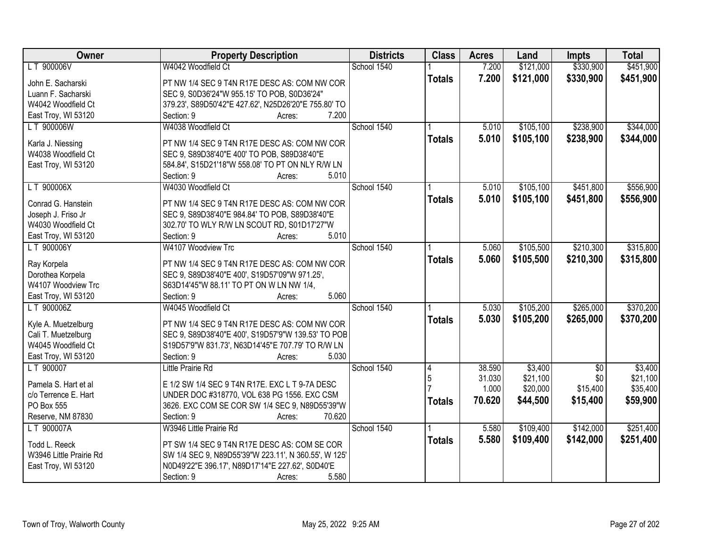| Owner                   | <b>Property Description</b>                          | <b>Districts</b> | <b>Class</b>  | <b>Acres</b>     | Land                | <b>Impts</b>      | <b>Total</b>        |
|-------------------------|------------------------------------------------------|------------------|---------------|------------------|---------------------|-------------------|---------------------|
| LT 900006V              | W4042 Woodfield Ct                                   | School 1540      |               | 7.200            | \$121,000           | \$330,900         | \$451,900           |
| John E. Sacharski       | PT NW 1/4 SEC 9 T4N R17E DESC AS: COM NW COR         |                  | <b>Totals</b> | 7.200            | \$121,000           | \$330,900         | \$451,900           |
| Luann F. Sacharski      | SEC 9, S0D36'24"W 955.15' TO POB, S0D36'24"          |                  |               |                  |                     |                   |                     |
| W4042 Woodfield Ct      | 379.23', S89D50'42"E 427.62', N25D26'20"E 755.80' TO |                  |               |                  |                     |                   |                     |
| East Troy, WI 53120     | 7.200<br>Section: 9<br>Acres:                        |                  |               |                  |                     |                   |                     |
| LT 900006W              | W4038 Woodfield Ct                                   | School 1540      |               | 5.010            | \$105,100           | \$238,900         | \$344,000           |
|                         |                                                      |                  | <b>Totals</b> | 5.010            | \$105,100           | \$238,900         | \$344,000           |
| Karla J. Niessing       | PT NW 1/4 SEC 9 T4N R17E DESC AS: COM NW COR         |                  |               |                  |                     |                   |                     |
| W4038 Woodfield Ct      | SEC 9, S89D38'40"E 400' TO POB, S89D38'40"E          |                  |               |                  |                     |                   |                     |
| East Troy, WI 53120     | 584.84', S15D21'18"W 558.08' TO PT ON NLY R/W LN     |                  |               |                  |                     |                   |                     |
|                         | 5.010<br>Section: 9<br>Acres:                        |                  |               |                  |                     |                   |                     |
| LT 900006X              | W4030 Woodfield Ct                                   | School 1540      |               | 5.010            | \$105,100           | \$451,800         | \$556,900           |
| Conrad G. Hanstein      | PT NW 1/4 SEC 9 T4N R17E DESC AS: COM NW COR         |                  | <b>Totals</b> | 5.010            | \$105,100           | \$451,800         | \$556,900           |
| Joseph J. Friso Jr      | SEC 9, S89D38'40"E 984.84' TO POB, S89D38'40"E       |                  |               |                  |                     |                   |                     |
| W4030 Woodfield Ct      | 302.70' TO WLY R/W LN SCOUT RD, S01D17'27"W          |                  |               |                  |                     |                   |                     |
| East Troy, WI 53120     | 5.010<br>Section: 9<br>Acres:                        |                  |               |                  |                     |                   |                     |
| LT 900006Y              | W4107 Woodview Trc                                   | School 1540      |               | 5.060            | \$105,500           | \$210,300         | \$315,800           |
|                         |                                                      |                  |               | 5.060            | \$105,500           | \$210,300         |                     |
| Ray Korpela             | PT NW 1/4 SEC 9 T4N R17E DESC AS: COM NW COR         |                  | <b>Totals</b> |                  |                     |                   | \$315,800           |
| Dorothea Korpela        | SEC 9, S89D38'40"E 400', S19D57'09"W 971.25',        |                  |               |                  |                     |                   |                     |
| W4107 Woodview Trc      | S63D14'45"W 88.11' TO PT ON W LN NW 1/4,             |                  |               |                  |                     |                   |                     |
| East Troy, WI 53120     | Section: 9<br>5.060<br>Acres:                        |                  |               |                  |                     |                   |                     |
| LT 900006Z              | W4045 Woodfield Ct                                   | School 1540      |               | 5.030            | \$105,200           | \$265,000         | \$370,200           |
| Kyle A. Muetzelburg     | PT NW 1/4 SEC 9 T4N R17E DESC AS: COM NW COR         |                  | <b>Totals</b> | 5.030            | \$105,200           | \$265,000         | \$370,200           |
| Cali T. Muetzelburg     | SEC 9, S89D38'40"E 400', S19D57'9"W 139.53' TO POB   |                  |               |                  |                     |                   |                     |
| W4045 Woodfield Ct      | S19D57'9"W 831.73', N63D14'45"E 707.79' TO R/W LN    |                  |               |                  |                     |                   |                     |
| East Troy, WI 53120     | 5.030<br>Section: 9                                  |                  |               |                  |                     |                   |                     |
| LT 900007               | Acres:                                               | School 1540      |               |                  |                     |                   |                     |
|                         | Little Prairie Rd                                    |                  | 4<br>5        | 38.590<br>31.030 | \$3,400<br>\$21,100 | $\sqrt{6}$<br>\$0 | \$3,400<br>\$21,100 |
| Pamela S. Hart et al    | E 1/2 SW 1/4 SEC 9 T4N R17E. EXC L T 9-7A DESC       |                  |               | 1.000            | \$20,000            | \$15,400          | \$35,400            |
| c/o Terrence E. Hart    | UNDER DOC #318770, VOL 638 PG 1556. EXC CSM          |                  |               |                  |                     |                   |                     |
| PO Box 555              | 3626. EXC COM SE COR SW 1/4 SEC 9, N89D55'39"W       |                  | <b>Totals</b> | 70.620           | \$44,500            | \$15,400          | \$59,900            |
| Reserve, NM 87830       | 70.620<br>Section: 9<br>Acres:                       |                  |               |                  |                     |                   |                     |
| LT 900007A              | W3946 Little Prairie Rd                              | School 1540      |               | 5.580            | \$109,400           | \$142,000         | \$251,400           |
|                         |                                                      |                  | <b>Totals</b> | 5.580            | \$109,400           | \$142,000         | \$251,400           |
| Todd L. Reeck           | PT SW 1/4 SEC 9 T4N R17E DESC AS: COM SE COR         |                  |               |                  |                     |                   |                     |
| W3946 Little Prairie Rd | SW 1/4 SEC 9, N89D55'39"W 223.11', N 360.55', W 125' |                  |               |                  |                     |                   |                     |
| East Troy, WI 53120     | N0D49'22"E 396.17', N89D17'14"E 227.62', S0D40'E     |                  |               |                  |                     |                   |                     |
|                         | 5.580<br>Section: 9<br>Acres:                        |                  |               |                  |                     |                   |                     |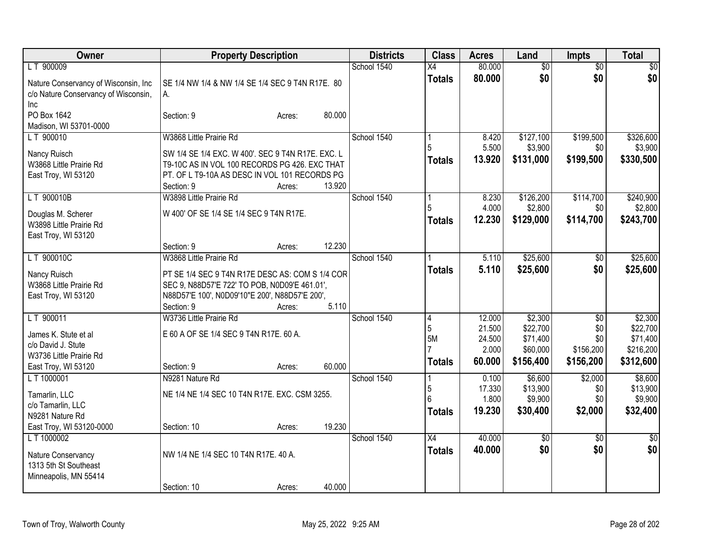| <b>Owner</b>                            | <b>Property Description</b>                                                                      |        | <b>Districts</b> | <b>Class</b>    | <b>Acres</b>   | Land                 | Impts           | <b>Total</b>    |
|-----------------------------------------|--------------------------------------------------------------------------------------------------|--------|------------------|-----------------|----------------|----------------------|-----------------|-----------------|
| LT 900009                               |                                                                                                  |        | School 1540      | $\overline{X4}$ | 80.000         | $\overline{60}$      | $\overline{30}$ | \$0             |
| Nature Conservancy of Wisconsin, Inc    | SE 1/4 NW 1/4 & NW 1/4 SE 1/4 SEC 9 T4N R17E. 80                                                 |        |                  | <b>Totals</b>   | 80.000         | \$0                  | \$0             | \$0             |
| c/o Nature Conservancy of Wisconsin,    | А.                                                                                               |        |                  |                 |                |                      |                 |                 |
| <b>Inc</b>                              |                                                                                                  |        |                  |                 |                |                      |                 |                 |
| PO Box 1642                             | Section: 9<br>Acres:                                                                             | 80.000 |                  |                 |                |                      |                 |                 |
| Madison, WI 53701-0000<br>LT 900010     | W3868 Little Prairie Rd                                                                          |        | School 1540      |                 |                |                      | \$199,500       | \$326,600       |
|                                         |                                                                                                  |        |                  | 5               | 8.420<br>5.500 | \$127,100<br>\$3,900 | \$0             | \$3,900         |
| Nancy Ruisch                            | SW 1/4 SE 1/4 EXC. W 400'. SEC 9 T4N R17E. EXC. L                                                |        |                  | <b>Totals</b>   | 13.920         | \$131,000            | \$199,500       | \$330,500       |
| W3868 Little Prairie Rd                 | T9-10C AS IN VOL 100 RECORDS PG 426. EXC THAT                                                    |        |                  |                 |                |                      |                 |                 |
| East Troy, WI 53120                     | PT. OF L T9-10A AS DESC IN VOL 101 RECORDS PG<br>Section: 9                                      | 13.920 |                  |                 |                |                      |                 |                 |
| LT 900010B                              | Acres:<br>W3898 Little Prairie Rd                                                                |        | School 1540      |                 | 8.230          | \$126,200            | \$114,700       | \$240,900       |
|                                         |                                                                                                  |        |                  | 5               | 4.000          | \$2,800              | \$0             | \$2,800         |
| Douglas M. Scherer                      | W 400' OF SE 1/4 SE 1/4 SEC 9 T4N R17E.                                                          |        |                  | <b>Totals</b>   | 12.230         | \$129,000            | \$114,700       | \$243,700       |
| W3898 Little Prairie Rd                 |                                                                                                  |        |                  |                 |                |                      |                 |                 |
| East Troy, WI 53120                     | Section: 9<br>Acres:                                                                             | 12.230 |                  |                 |                |                      |                 |                 |
| LT 900010C                              | W3868 Little Prairie Rd                                                                          |        | School 1540      |                 | 5.110          | \$25,600             | \$0             | \$25,600        |
|                                         |                                                                                                  |        |                  | <b>Totals</b>   | 5.110          | \$25,600             | \$0             | \$25,600        |
| Nancy Ruisch<br>W3868 Little Prairie Rd | PT SE 1/4 SEC 9 T4N R17E DESC AS: COM S 1/4 COR<br>SEC 9, N88D57'E 722' TO POB, N0D09'E 461.01', |        |                  |                 |                |                      |                 |                 |
| East Troy, WI 53120                     | N88D57'E 100', N0D09'10"E 200', N88D57'E 200',                                                   |        |                  |                 |                |                      |                 |                 |
|                                         | Section: 9<br>Acres:                                                                             | 5.110  |                  |                 |                |                      |                 |                 |
| LT 900011                               | W3736 Little Prairie Rd                                                                          |        | School 1540      | 4               | 12.000         | \$2,300              | \$0             | \$2,300         |
| James K. Stute et al                    | E 60 A OF SE 1/4 SEC 9 T4N R17E. 60 A.                                                           |        |                  | 5               | 21.500         | \$22,700             | \$0             | \$22,700        |
| c/o David J. Stute                      |                                                                                                  |        |                  | 5M              | 24.500         | \$71,400             | \$0             | \$71,400        |
| W3736 Little Prairie Rd                 |                                                                                                  |        |                  |                 | 2.000          | \$60,000             | \$156,200       | \$216,200       |
| East Troy, WI 53120                     | Section: 9<br>Acres:                                                                             | 60.000 |                  | <b>Totals</b>   | 60.000         | \$156,400            | \$156,200       | \$312,600       |
| L T 1000001                             | N9281 Nature Rd                                                                                  |        | School 1540      |                 | 0.100          | \$6,600              | \$2,000         | \$8,600         |
| Tamarlin, LLC                           | NE 1/4 NE 1/4 SEC 10 T4N R17E. EXC. CSM 3255.                                                    |        |                  | 5               | 17.330         | \$13,900             | \$0             | \$13,900        |
| c/o Tamarlin, LLC                       |                                                                                                  |        |                  | 6               | 1.800          | \$9,900              | \$0             | \$9,900         |
| N9281 Nature Rd                         |                                                                                                  |        |                  | <b>Totals</b>   | 19.230         | \$30,400             | \$2,000         | \$32,400        |
| East Troy, WI 53120-0000                | Section: 10<br>Acres:                                                                            | 19.230 |                  |                 |                |                      |                 |                 |
| L T 1000002                             |                                                                                                  |        | School 1540      | $\overline{X4}$ | 40.000         | $\sqrt{50}$          | $\overline{50}$ | $\overline{50}$ |
| Nature Conservancy                      | NW 1/4 NE 1/4 SEC 10 T4N R17E. 40 A.                                                             |        |                  | <b>Totals</b>   | 40.000         | \$0                  | \$0             | \$0             |
| 1313 5th St Southeast                   |                                                                                                  |        |                  |                 |                |                      |                 |                 |
| Minneapolis, MN 55414                   |                                                                                                  |        |                  |                 |                |                      |                 |                 |
|                                         | Section: 10<br>Acres:                                                                            | 40.000 |                  |                 |                |                      |                 |                 |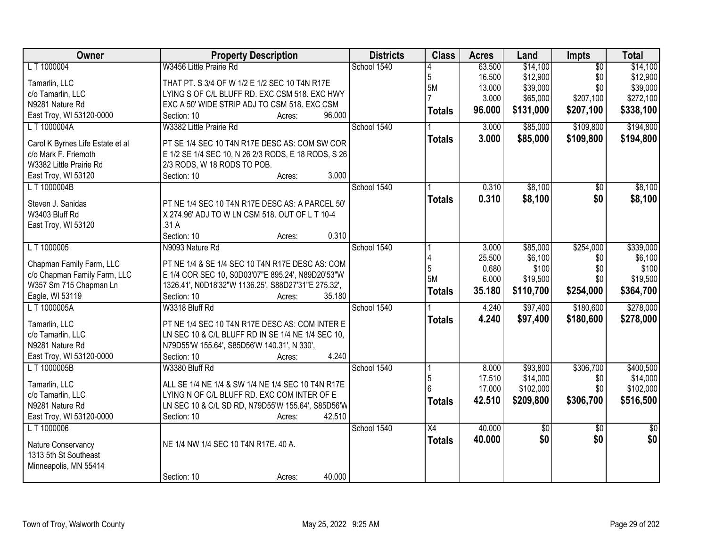| Owner                                   | <b>Property Description</b>                         | <b>Districts</b> | <b>Class</b>    | <b>Acres</b> | Land      | <b>Impts</b>    | <b>Total</b>  |
|-----------------------------------------|-----------------------------------------------------|------------------|-----------------|--------------|-----------|-----------------|---------------|
| L T 1000004                             | W3456 Little Prairie Rd                             | School 1540      |                 | 63.500       | \$14,100  | $\overline{30}$ | \$14,100      |
| Tamarlin, LLC                           | THAT PT. S 3/4 OF W 1/2 E 1/2 SEC 10 T4N R17E       |                  | 5               | 16.500       | \$12,900  | \$0             | \$12,900      |
| c/o Tamarlin, LLC                       | LYING S OF C/L BLUFF RD. EXC CSM 518. EXC HWY       |                  | 5M              | 13.000       | \$39,000  | \$0             | \$39,000      |
| N9281 Nature Rd                         | EXC A 50' WIDE STRIP ADJ TO CSM 518. EXC CSM        |                  |                 | 3.000        | \$65,000  | \$207,100       | \$272,100     |
| East Troy, WI 53120-0000                | 96.000<br>Section: 10<br>Acres:                     |                  | <b>Totals</b>   | 96.000       | \$131,000 | \$207,100       | \$338,100     |
| L T 1000004A                            | W3382 Little Prairie Rd                             | School 1540      |                 | 3.000        | \$85,000  | \$109,800       | \$194,800     |
|                                         |                                                     |                  | <b>Totals</b>   | 3.000        | \$85,000  | \$109,800       | \$194,800     |
| Carol K Byrnes Life Estate et al        | PT SE 1/4 SEC 10 T4N R17E DESC AS: COM SW COR       |                  |                 |              |           |                 |               |
| c/o Mark F. Friemoth                    | E 1/2 SE 1/4 SEC 10, N 26 2/3 RODS, E 18 RODS, S 26 |                  |                 |              |           |                 |               |
| W3382 Little Prairie Rd                 | 2/3 RODS, W 18 RODS TO POB.                         |                  |                 |              |           |                 |               |
| East Troy, WI 53120                     | 3.000<br>Section: 10<br>Acres:                      |                  |                 |              |           |                 |               |
| L T 1000004B                            |                                                     | School 1540      |                 | 0.310        | \$8,100   | \$0             | \$8,100       |
| Steven J. Sanidas                       | PT NE 1/4 SEC 10 T4N R17E DESC AS: A PARCEL 50'     |                  | <b>Totals</b>   | 0.310        | \$8,100   | \$0             | \$8,100       |
| W3403 Bluff Rd                          | X 274.96' ADJ TO W LN CSM 518. OUT OF L T 10-4      |                  |                 |              |           |                 |               |
| East Troy, WI 53120                     | .31A                                                |                  |                 |              |           |                 |               |
|                                         | 0.310<br>Section: 10<br>Acres:                      |                  |                 |              |           |                 |               |
| L T 1000005                             | N9093 Nature Rd                                     | School 1540      |                 | 3.000        | \$85,000  | \$254,000       | \$339,000     |
|                                         |                                                     |                  |                 | 25.500       | \$6,100   | \$0             | \$6,100       |
| Chapman Family Farm, LLC                | PT NE 1/4 & SE 1/4 SEC 10 T4N R17E DESC AS: COM     |                  |                 | 0.680        | \$100     | \$0             | \$100         |
| c/o Chapman Family Farm, LLC            | E 1/4 COR SEC 10, S0D03'07"E 895.24', N89D20'53"W   |                  | 5M              | 6.000        | \$19,500  | \$0             | \$19,500      |
| W357 Sm 715 Chapman Ln                  | 1326.41', N0D18'32"W 1136.25', S88D27'31"E 275.32', |                  | <b>Totals</b>   | 35.180       | \$110,700 | \$254,000       | \$364,700     |
| Eagle, WI 53119                         | 35.180<br>Section: 10<br>Acres:                     |                  |                 |              |           |                 |               |
| L T 1000005A                            | W3318 Bluff Rd                                      | School 1540      |                 | 4.240        | \$97,400  | \$180,600       | \$278,000     |
| Tamarlin, LLC                           | PT NE 1/4 SEC 10 T4N R17E DESC AS: COM INTER E      |                  | <b>Totals</b>   | 4.240        | \$97,400  | \$180,600       | \$278,000     |
| c/o Tamarlin, LLC                       | LN SEC 10 & C/L BLUFF RD IN SE 1/4 NE 1/4 SEC 10,   |                  |                 |              |           |                 |               |
| N9281 Nature Rd                         | N79D55'W 155.64', S85D56'W 140.31', N 330',         |                  |                 |              |           |                 |               |
| East Troy, WI 53120-0000                | 4.240<br>Section: 10<br>Acres:                      |                  |                 |              |           |                 |               |
| L T 1000005B                            | W3380 Bluff Rd                                      | School 1540      |                 | 8.000        | \$93,800  | \$306,700       | \$400,500     |
|                                         |                                                     |                  | 5               | 17.510       | \$14,000  | \$0             | \$14,000      |
| Tamarlin, LLC                           | ALL SE 1/4 NE 1/4 & SW 1/4 NE 1/4 SEC 10 T4N R17E   |                  |                 | 17.000       | \$102,000 | \$0             | \$102,000     |
| c/o Tamarlin, LLC                       | LYING N OF C/L BLUFF RD. EXC COM INTER OF E         |                  | <b>Totals</b>   | 42.510       | \$209,800 | \$306,700       | \$516,500     |
| N9281 Nature Rd                         | LN SEC 10 & C/L SD RD, N79D55'W 155.64', S85D56'W   |                  |                 |              |           |                 |               |
| East Troy, WI 53120-0000<br>L T 1000006 | 42.510<br>Section: 10<br>Acres:                     | School 1540      | $\overline{X4}$ | 40.000       |           |                 |               |
|                                         |                                                     |                  |                 |              | \$0       | $\overline{50}$ | $\frac{1}{2}$ |
| Nature Conservancy                      | NE 1/4 NW 1/4 SEC 10 T4N R17E. 40 A.                |                  | <b>Totals</b>   | 40.000       | \$0       | \$0             | \$0           |
| 1313 5th St Southeast                   |                                                     |                  |                 |              |           |                 |               |
| Minneapolis, MN 55414                   |                                                     |                  |                 |              |           |                 |               |
|                                         | 40.000<br>Section: 10<br>Acres:                     |                  |                 |              |           |                 |               |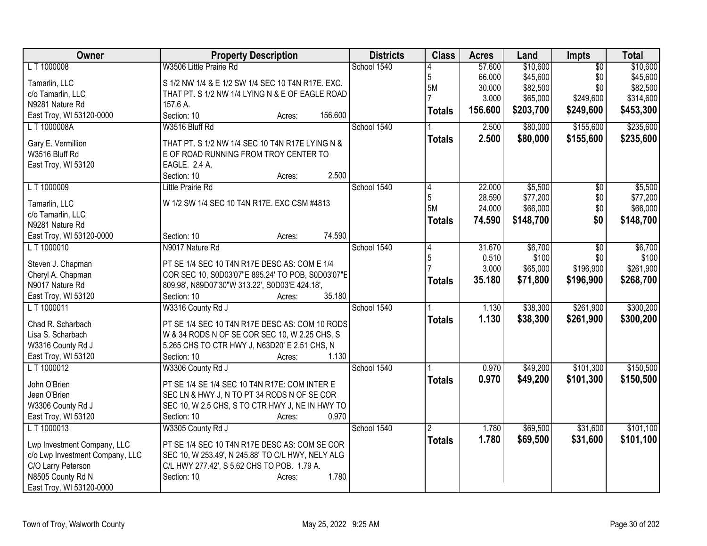| Owner                           | <b>Property Description</b>                       | <b>Districts</b> | <b>Class</b>   | <b>Acres</b> | Land      | <b>Impts</b>    | <b>Total</b>        |
|---------------------------------|---------------------------------------------------|------------------|----------------|--------------|-----------|-----------------|---------------------|
| LT 1000008                      | W3506 Little Prairie Rd                           | School 1540      |                | 57.600       | \$10,600  | $\overline{50}$ | \$10,600            |
| Tamarlin, LLC                   | S 1/2 NW 1/4 & E 1/2 SW 1/4 SEC 10 T4N R17E. EXC. |                  | $\sqrt{5}$     | 66.000       | \$45,600  | \$0             | \$45,600            |
| c/o Tamarlin, LLC               | THAT PT. S 1/2 NW 1/4 LYING N & E OF EAGLE ROAD   |                  | 5M             | 30.000       | \$82,500  | \$0             | \$82,500            |
| N9281 Nature Rd                 | 157.6 A.                                          |                  |                | 3.000        | \$65,000  | \$249,600       | \$314,600           |
| East Troy, WI 53120-0000        | 156.600<br>Section: 10<br>Acres:                  |                  | <b>Totals</b>  | 156.600      | \$203,700 | \$249,600       | \$453,300           |
| L T 1000008A                    | W3516 Bluff Rd                                    | School 1540      |                | 2.500        | \$80,000  | \$155,600       | \$235,600           |
|                                 |                                                   |                  | <b>Totals</b>  | 2.500        | \$80,000  | \$155,600       | \$235,600           |
| Gary E. Vermillion              | THAT PT. S 1/2 NW 1/4 SEC 10 T4N R17E LYING N &   |                  |                |              |           |                 |                     |
| W3516 Bluff Rd                  | E OF ROAD RUNNING FROM TROY CENTER TO             |                  |                |              |           |                 |                     |
| East Troy, WI 53120             | EAGLE. 2.4 A.<br>2.500<br>Section: 10             |                  |                |              |           |                 |                     |
| L T 1000009                     | Acres:<br><b>Little Prairie Rd</b>                | School 1540      |                | 22.000       | \$5,500   |                 |                     |
|                                 |                                                   |                  | 4<br>5         | 28.590       | \$77,200  | \$0<br>\$0      | \$5,500<br>\$77,200 |
| Tamarlin, LLC                   | W 1/2 SW 1/4 SEC 10 T4N R17E. EXC CSM #4813       |                  | 5M             | 24.000       | \$66,000  | \$0             | \$66,000            |
| c/o Tamarlin, LLC               |                                                   |                  |                |              |           |                 |                     |
| N9281 Nature Rd                 |                                                   |                  | <b>Totals</b>  | 74.590       | \$148,700 | \$0             | \$148,700           |
| East Troy, WI 53120-0000        | 74.590<br>Section: 10<br>Acres:                   |                  |                |              |           |                 |                     |
| LT 1000010                      | N9017 Nature Rd                                   | School 1540      | 4              | 31.670       | \$6,700   | \$0             | \$6,700             |
|                                 |                                                   |                  | 5              | 0.510        | \$100     | \$0             | \$100               |
| Steven J. Chapman               | PT SE 1/4 SEC 10 T4N R17E DESC AS: COM E 1/4      |                  |                | 3.000        | \$65,000  | \$196,900       | \$261,900           |
| Cheryl A. Chapman               | COR SEC 10, S0D03'07"E 895.24' TO POB, S0D03'07"E |                  | <b>Totals</b>  | 35.180       | \$71,800  | \$196,900       | \$268,700           |
| N9017 Nature Rd                 | 809.98', N89D07'30"W 313.22', S0D03'E 424.18',    |                  |                |              |           |                 |                     |
| East Troy, WI 53120             | 35.180<br>Section: 10<br>Acres:                   |                  |                |              |           |                 |                     |
| L T 1000011                     | W3316 County Rd J                                 | School 1540      |                | 1.130        | \$38,300  | \$261,900       | \$300,200           |
| Chad R. Scharbach               | PT SE 1/4 SEC 10 T4N R17E DESC AS: COM 10 RODS    |                  | <b>Totals</b>  | 1.130        | \$38,300  | \$261,900       | \$300,200           |
| Lisa S. Scharbach               | W & 34 RODS N OF SE COR SEC 10, W 2.25 CHS, S     |                  |                |              |           |                 |                     |
| W3316 County Rd J               | 5.265 CHS TO CTR HWY J, N63D20' E 2.51 CHS, N     |                  |                |              |           |                 |                     |
| East Troy, WI 53120             | 1.130<br>Section: 10<br>Acres:                    |                  |                |              |           |                 |                     |
| LT 1000012                      | W3306 County Rd J                                 | School 1540      |                | 0.970        | \$49,200  | \$101,300       | \$150,500           |
|                                 |                                                   |                  | <b>Totals</b>  | 0.970        | \$49,200  | \$101,300       | \$150,500           |
| John O'Brien                    | PT SE 1/4 SE 1/4 SEC 10 T4N R17E: COM INTER E     |                  |                |              |           |                 |                     |
| Jean O'Brien                    | SEC LN & HWY J, N TO PT 34 RODS N OF SE COR       |                  |                |              |           |                 |                     |
| W3306 County Rd J               | SEC 10, W 2.5 CHS, S TO CTR HWY J, NE IN HWY TO   |                  |                |              |           |                 |                     |
| East Troy, WI 53120             | 0.970<br>Section: 10<br>Acres:                    |                  |                |              |           |                 |                     |
| L T 1000013                     | W3305 County Rd J                                 | School 1540      | $\overline{2}$ | 1.780        | \$69,500  | \$31,600        | \$101,100           |
| Lwp Investment Company, LLC     | PT SE 1/4 SEC 10 T4N R17E DESC AS: COM SE COR     |                  | <b>Totals</b>  | 1.780        | \$69,500  | \$31,600        | \$101,100           |
| c/o Lwp Investment Company, LLC | SEC 10, W 253.49', N 245.88' TO C/L HWY, NELY ALG |                  |                |              |           |                 |                     |
| C/O Larry Peterson              | C/L HWY 277.42', S 5.62 CHS TO POB. 1.79 A.       |                  |                |              |           |                 |                     |
| N8505 County Rd N               | 1.780<br>Section: 10<br>Acres:                    |                  |                |              |           |                 |                     |
| East Troy, WI 53120-0000        |                                                   |                  |                |              |           |                 |                     |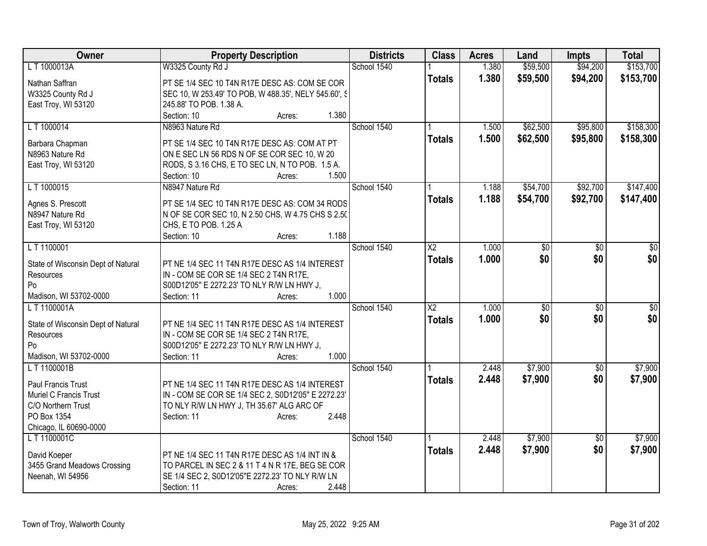| Owner                                           | <b>Property Description</b>                          | <b>Districts</b> | <b>Class</b>           | <b>Acres</b> | Land            | <b>Impts</b>    | <b>Total</b>    |
|-------------------------------------------------|------------------------------------------------------|------------------|------------------------|--------------|-----------------|-----------------|-----------------|
| LT 1000013A                                     | W3325 County Rd J                                    | School 1540      |                        | 1.380        | \$59,500        | \$94,200        | \$153,700       |
| Nathan Saffran                                  | PT SE 1/4 SEC 10 T4N R17E DESC AS: COM SE COR        |                  | <b>Totals</b>          | 1.380        | \$59,500        | \$94,200        | \$153,700       |
| W3325 County Rd J                               | SEC 10, W 253.49' TO POB, W 488.35', NELY 545.60', S |                  |                        |              |                 |                 |                 |
| East Troy, WI 53120                             | 245.88' TO POB. 1.38 A.                              |                  |                        |              |                 |                 |                 |
|                                                 | 1.380<br>Section: 10<br>Acres:                       |                  |                        |              |                 |                 |                 |
| LT 1000014                                      | N8963 Nature Rd                                      | School 1540      |                        | 1.500        | \$62,500        | \$95,800        | \$158,300       |
| Barbara Chapman                                 | PT SE 1/4 SEC 10 T4N R17E DESC AS: COM AT PT         |                  | <b>Totals</b>          | 1.500        | \$62,500        | \$95,800        | \$158,300       |
| N8963 Nature Rd                                 | ON E SEC LN 56 RDS N OF SE COR SEC 10, W 20          |                  |                        |              |                 |                 |                 |
| East Troy, WI 53120                             | RODS, S 3.16 CHS, E TO SEC LN, N TO POB. 1.5 A.      |                  |                        |              |                 |                 |                 |
|                                                 | 1.500<br>Section: 10<br>Acres:                       |                  |                        |              |                 |                 |                 |
| L T 1000015                                     | N8947 Nature Rd                                      | School 1540      |                        | 1.188        | \$54,700        | \$92,700        | \$147,400       |
|                                                 |                                                      |                  | <b>Totals</b>          | 1.188        | \$54,700        | \$92,700        | \$147,400       |
| Agnes S. Prescott                               | PT SE 1/4 SEC 10 T4N R17E DESC AS: COM 34 RODS       |                  |                        |              |                 |                 |                 |
| N8947 Nature Rd                                 | N OF SE COR SEC 10, N 2.50 CHS, W 4.75 CHS S 2.50    |                  |                        |              |                 |                 |                 |
| East Troy, WI 53120                             | CHS, E TO POB. 1.25 A                                |                  |                        |              |                 |                 |                 |
|                                                 | 1.188<br>Section: 10<br>Acres:                       |                  |                        |              |                 |                 |                 |
| LT 1100001                                      |                                                      | School 1540      | $\overline{\text{X2}}$ | 1.000        | \$0             | $\overline{30}$ | \$0             |
| State of Wisconsin Dept of Natural              | PT NE 1/4 SEC 11 T4N R17E DESC AS 1/4 INTEREST       |                  | <b>Totals</b>          | 1.000        | \$0             | \$0             | \$0             |
| Resources                                       | IN - COM SE COR SE 1/4 SEC 2 T4N R17E,               |                  |                        |              |                 |                 |                 |
| Po                                              | S00D12'05" E 2272.23' TO NLY R/W LN HWY J,           |                  |                        |              |                 |                 |                 |
| Madison, WI 53702-0000                          | 1.000<br>Section: 11<br>Acres:                       |                  |                        |              |                 |                 |                 |
| LT1100001A                                      |                                                      | School 1540      | $\overline{X2}$        | 1.000        | $\overline{50}$ | $\overline{50}$ | $\overline{50}$ |
|                                                 | PT NE 1/4 SEC 11 T4N R17E DESC AS 1/4 INTEREST       |                  | <b>Totals</b>          | 1.000        | \$0             | \$0             | \$0             |
| State of Wisconsin Dept of Natural<br>Resources | IN - COM SE COR SE 1/4 SEC 2 T4N R17E,               |                  |                        |              |                 |                 |                 |
| Po                                              | S00D12'05" E 2272.23' TO NLY R/W LN HWY J,           |                  |                        |              |                 |                 |                 |
| Madison, WI 53702-0000                          | 1.000<br>Section: 11<br>Acres:                       |                  |                        |              |                 |                 |                 |
| LT 1100001B                                     |                                                      | School 1540      |                        | 2.448        | \$7,900         | $\overline{30}$ | \$7,900         |
|                                                 |                                                      |                  | <b>Totals</b>          | 2.448        | \$7,900         | \$0             | \$7,900         |
| Paul Francis Trust                              | PT NE 1/4 SEC 11 T4N R17E DESC AS 1/4 INTEREST       |                  |                        |              |                 |                 |                 |
| Muriel C Francis Trust                          | IN - COM SE COR SE 1/4 SEC 2, S0D12'05" E 2272.23"   |                  |                        |              |                 |                 |                 |
| C/O Northern Trust                              | TO NLY R/W LN HWY J, TH 35.67' ALG ARC OF            |                  |                        |              |                 |                 |                 |
| PO Box 1354                                     | 2.448<br>Section: 11<br>Acres:                       |                  |                        |              |                 |                 |                 |
| Chicago, IL 60690-0000                          |                                                      |                  |                        |              |                 |                 |                 |
| LT 1100001C                                     |                                                      | School 1540      |                        | 2.448        | \$7,900         | $\overline{50}$ | \$7,900         |
| David Koeper                                    | PT NE 1/4 SEC 11 T4N R17E DESC AS 1/4 INT IN &       |                  | <b>Totals</b>          | 2.448        | \$7,900         | \$0             | \$7,900         |
| 3455 Grand Meadows Crossing                     | TO PARCEL IN SEC 2 & 11 T 4 N R 17E, BEG SE COR      |                  |                        |              |                 |                 |                 |
| Neenah, WI 54956                                | SE 1/4 SEC 2, S0D12'05"E 2272.23' TO NLY R/W LN      |                  |                        |              |                 |                 |                 |
|                                                 | 2.448<br>Section: 11<br>Acres:                       |                  |                        |              |                 |                 |                 |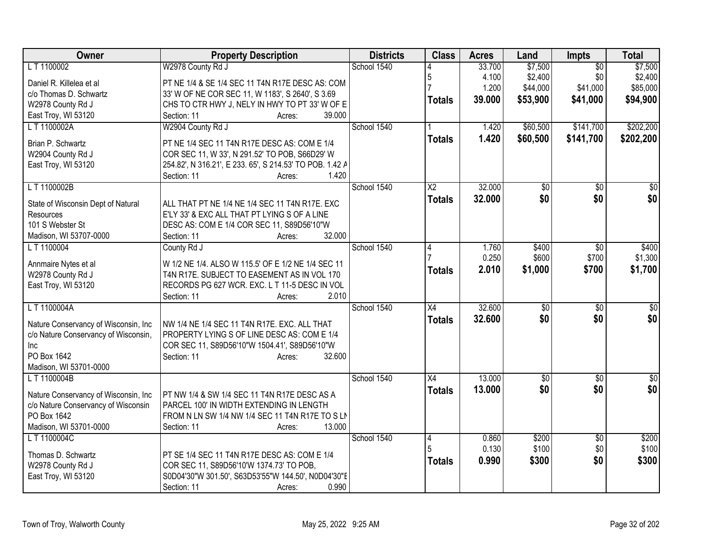| Owner                                   | <b>Property Description</b>                                                              | <b>Districts</b> | <b>Class</b>    | <b>Acres</b> | Land            | <b>Impts</b>    | <b>Total</b>    |
|-----------------------------------------|------------------------------------------------------------------------------------------|------------------|-----------------|--------------|-----------------|-----------------|-----------------|
| LT 1100002                              | W2978 County Rd J                                                                        | School 1540      |                 | 33.700       | \$7,500         | $\overline{50}$ | \$7,500         |
| Daniel R. Killelea et al                | PT NE 1/4 & SE 1/4 SEC 11 T4N R17E DESC AS: COM                                          |                  | 5               | 4.100        | \$2,400         | \$0             | \$2,400         |
| c/o Thomas D. Schwartz                  | 33' W OF NE COR SEC 11, W 1183', S 2640', S 3.69                                         |                  |                 | 1.200        | \$44,000        | \$41,000        | \$85,000        |
| W2978 County Rd J                       | CHS TO CTR HWY J, NELY IN HWY TO PT 33' W OF E                                           |                  | <b>Totals</b>   | 39.000       | \$53,900        | \$41,000        | \$94,900        |
| East Troy, WI 53120                     | Section: 11<br>39.000<br>Acres:                                                          |                  |                 |              |                 |                 |                 |
| L T 1100002A                            | W2904 County Rd J                                                                        | School 1540      |                 | 1.420        | \$60,500        | \$141,700       | \$202,200       |
| Brian P. Schwartz                       | PT NE 1/4 SEC 11 T4N R17E DESC AS: COM E 1/4                                             |                  | <b>Totals</b>   | 1.420        | \$60,500        | \$141,700       | \$202,200       |
| W2904 County Rd J                       | COR SEC 11, W 33', N 291.52' TO POB, S66D29' W                                           |                  |                 |              |                 |                 |                 |
| East Troy, WI 53120                     | 254.82', N 316.21', E 233. 65', S 214.53' TO POB. 1.42 A                                 |                  |                 |              |                 |                 |                 |
|                                         | 1.420<br>Section: 11<br>Acres:                                                           |                  |                 |              |                 |                 |                 |
| L T 1100002B                            |                                                                                          | School 1540      | X <sub>2</sub>  | 32.000       | \$0             | $\overline{50}$ | \$0             |
|                                         |                                                                                          |                  | <b>Totals</b>   | 32.000       | \$0             | \$0             | \$0             |
| State of Wisconsin Dept of Natural      | ALL THAT PT NE 1/4 NE 1/4 SEC 11 T4N R17E. EXC                                           |                  |                 |              |                 |                 |                 |
| Resources<br>101 S Webster St           | E'LY 33' & EXC ALL THAT PT LYING S OF A LINE                                             |                  |                 |              |                 |                 |                 |
| Madison, WI 53707-0000                  | DESC AS: COM E 1/4 COR SEC 11, S89D56'10"W<br>32.000<br>Section: 11<br>Acres:            |                  |                 |              |                 |                 |                 |
| L T 1100004                             | County Rd J                                                                              | School 1540      | 4               | 1.760        | \$400           | $\overline{30}$ | \$400           |
|                                         |                                                                                          |                  |                 | 0.250        | \$600           | \$700           | \$1,300         |
| Annmaire Nytes et al                    | W 1/2 NE 1/4. ALSO W 115.5' OF E 1/2 NE 1/4 SEC 11                                       |                  | <b>Totals</b>   | 2.010        | \$1,000         | \$700           | \$1,700         |
| W2978 County Rd J                       | T4N R17E. SUBJECT TO EASEMENT AS IN VOL 170                                              |                  |                 |              |                 |                 |                 |
| East Troy, WI 53120                     | RECORDS PG 627 WCR. EXC. L T 11-5 DESC IN VOL                                            |                  |                 |              |                 |                 |                 |
|                                         | 2.010<br>Section: 11<br>Acres:                                                           |                  |                 |              |                 |                 |                 |
| L T 1100004A                            |                                                                                          | School 1540      | $\overline{X4}$ | 32.600       | $\overline{50}$ | $\overline{50}$ | $\overline{50}$ |
| Nature Conservancy of Wisconsin, Inc.   | NW 1/4 NE 1/4 SEC 11 T4N R17E. EXC. ALL THAT                                             |                  | <b>Totals</b>   | 32.600       | \$0             | \$0             | \$0             |
| c/o Nature Conservancy of Wisconsin,    | PROPERTY LYING S OF LINE DESC AS: COM E 1/4                                              |                  |                 |              |                 |                 |                 |
| Inc.                                    | COR SEC 11, S89D56'10"W 1504.41', S89D56'10"W                                            |                  |                 |              |                 |                 |                 |
| PO Box 1642                             | 32.600<br>Section: 11<br>Acres:                                                          |                  |                 |              |                 |                 |                 |
| Madison, WI 53701-0000                  |                                                                                          |                  |                 |              |                 |                 |                 |
| L T 1100004B                            |                                                                                          | School 1540      | X4              | 13.000       | $\overline{50}$ | \$0             | \$0             |
| Nature Conservancy of Wisconsin, Inc.   | PT NW 1/4 & SW 1/4 SEC 11 T4N R17E DESC AS A                                             |                  | <b>Totals</b>   | 13.000       | \$0             | \$0             | \$0             |
| c/o Nature Conservancy of Wisconsin     | PARCEL 100' IN WIDTH EXTENDING IN LENGTH                                                 |                  |                 |              |                 |                 |                 |
| PO Box 1642                             | FROM N LN SW 1/4 NW 1/4 SEC 11 T4N R17E TO S LN                                          |                  |                 |              |                 |                 |                 |
| Madison, WI 53701-0000                  | 13.000<br>Section: 11<br>Acres:                                                          |                  |                 |              |                 |                 |                 |
| L T 1100004C                            |                                                                                          | School 1540      | $\overline{4}$  | 0.860        | \$200           | $\overline{50}$ | \$200           |
|                                         |                                                                                          |                  |                 | 0.130        | \$100           | \$0             | \$100           |
| Thomas D. Schwartz<br>W2978 County Rd J | PT SE 1/4 SEC 11 T4N R17E DESC AS: COM E 1/4<br>COR SEC 11, S89D56'10'W 1374.73' TO POB, |                  | <b>Totals</b>   | 0.990        | \$300           | \$0             | \$300           |
| East Troy, WI 53120                     | S0D04'30"W 301.50', S63D53'55"W 144.50', N0D04'30"E                                      |                  |                 |              |                 |                 |                 |
|                                         | 0.990<br>Section: 11<br>Acres:                                                           |                  |                 |              |                 |                 |                 |
|                                         |                                                                                          |                  |                 |              |                 |                 |                 |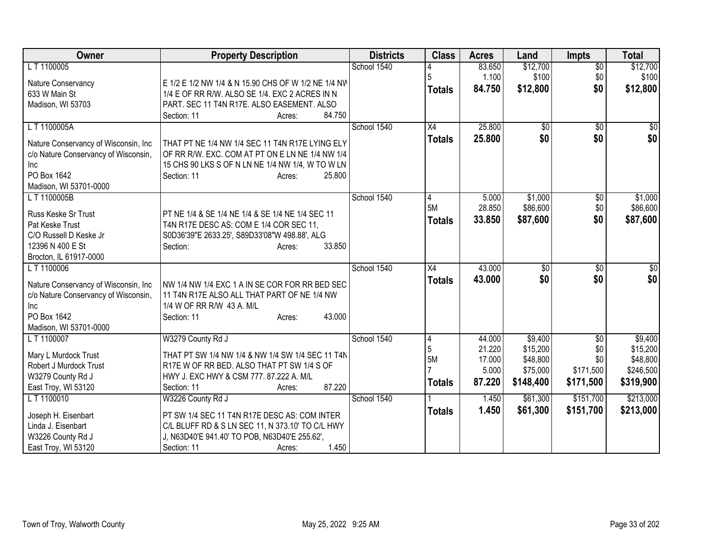| Owner                                 | <b>Property Description</b>                         | <b>Districts</b> | <b>Class</b>    | <b>Acres</b>     | Land                 | <b>Impts</b>    | <b>Total</b>         |
|---------------------------------------|-----------------------------------------------------|------------------|-----------------|------------------|----------------------|-----------------|----------------------|
| L T 1100005                           |                                                     | School 1540      |                 | 83.650           | \$12,700             | $\overline{50}$ | \$12,700             |
| Nature Conservancy                    | E 1/2 E 1/2 NW 1/4 & N 15.90 CHS OF W 1/2 NE 1/4 NW |                  | 5               | 1.100            | \$100                | \$0             | \$100                |
| 633 W Main St                         | 1/4 E OF RR R/W. ALSO SE 1/4. EXC 2 ACRES IN N      |                  | <b>Totals</b>   | 84.750           | \$12,800             | \$0             | \$12,800             |
| Madison, WI 53703                     | PART. SEC 11 T4N R17E. ALSO EASEMENT. ALSO          |                  |                 |                  |                      |                 |                      |
|                                       | 84.750<br>Section: 11<br>Acres:                     |                  |                 |                  |                      |                 |                      |
| L T 1100005A                          |                                                     | School 1540      | $\overline{X4}$ | 25.800           | \$0                  | $\overline{50}$ | \$0                  |
|                                       |                                                     |                  | <b>Totals</b>   | 25.800           | \$0                  | \$0             | \$0                  |
| Nature Conservancy of Wisconsin, Inc. | THAT PT NE 1/4 NW 1/4 SEC 11 T4N R17E LYING ELY     |                  |                 |                  |                      |                 |                      |
| c/o Nature Conservancy of Wisconsin,  | OF RR R/W. EXC. COM AT PT ON E LN NE 1/4 NW 1/4     |                  |                 |                  |                      |                 |                      |
| Inc                                   | 15 CHS 90 LKS S OF N LN NE 1/4 NW 1/4, W TO W LN    |                  |                 |                  |                      |                 |                      |
| PO Box 1642                           | Section: 11<br>25.800<br>Acres:                     |                  |                 |                  |                      |                 |                      |
| Madison, WI 53701-0000                |                                                     |                  |                 |                  |                      |                 |                      |
| L T 1100005B                          |                                                     | School 1540      | 4               | 5.000            | \$1,000              | $\sqrt[6]{}$    | \$1,000              |
| Russ Keske Sr Trust                   | PT NE 1/4 & SE 1/4 NE 1/4 & SE 1/4 NE 1/4 SEC 11    |                  | 5M              | 28.850           | \$86,600             | \$0             | \$86,600             |
| Pat Keske Trust                       | T4N R17E DESC AS: COM E 1/4 COR SEC 11,             |                  | <b>Totals</b>   | 33.850           | \$87,600             | \$0             | \$87,600             |
| C/O Russell D Keske Jr                | S0D36'39"E 2633.25', S89D33'08"W 498.88', ALG       |                  |                 |                  |                      |                 |                      |
| 12396 N 400 E St                      | 33.850<br>Section:<br>Acres:                        |                  |                 |                  |                      |                 |                      |
| Brocton, IL 61917-0000                |                                                     |                  |                 |                  |                      |                 |                      |
| LT 1100006                            |                                                     | School 1540      | X4              | 43.000           | $\overline{50}$      | \$0             | $\overline{50}$      |
|                                       |                                                     |                  | <b>Totals</b>   | 43.000           | \$0                  | \$0             | \$0                  |
| Nature Conservancy of Wisconsin, Inc. | NW 1/4 NW 1/4 EXC 1 A IN SE COR FOR RR BED SEC      |                  |                 |                  |                      |                 |                      |
| c/o Nature Conservancy of Wisconsin,  | 11 T4N R17E ALSO ALL THAT PART OF NE 1/4 NW         |                  |                 |                  |                      |                 |                      |
| Inc                                   | 1/4 W OF RR R/W 43 A. M/L                           |                  |                 |                  |                      |                 |                      |
| PO Box 1642                           | 43.000<br>Section: 11<br>Acres:                     |                  |                 |                  |                      |                 |                      |
| Madison, WI 53701-0000                |                                                     |                  |                 |                  |                      |                 |                      |
| LT 1100007                            | W3279 County Rd J                                   | School 1540      | 4<br>5          | 44.000           | \$9,400              | \$0             | \$9,400              |
| Mary L Murdock Trust                  | THAT PT SW 1/4 NW 1/4 & NW 1/4 SW 1/4 SEC 11 T4N    |                  | 5M              | 21.220<br>17.000 | \$15,200<br>\$48,800 | \$0<br>\$0      | \$15,200<br>\$48,800 |
| Robert J Murdock Trust                | R17E W OF RR BED. ALSO THAT PT SW 1/4 S OF          |                  |                 | 5.000            | \$75,000             | \$171,500       | \$246,500            |
| W3279 County Rd J                     | HWY J. EXC HWY & CSM 777. 87.222 A. M/L             |                  |                 |                  |                      |                 |                      |
| East Troy, WI 53120                   | 87.220<br>Section: 11<br>Acres:                     |                  | <b>Totals</b>   | 87.220           | \$148,400            | \$171,500       | \$319,900            |
| LT 1100010                            | W3226 County Rd J                                   | School 1540      |                 | 1.450            | \$61,300             | \$151,700       | \$213,000            |
|                                       |                                                     |                  | <b>Totals</b>   | 1.450            | \$61,300             | \$151,700       | \$213,000            |
| Joseph H. Eisenbart                   | PT SW 1/4 SEC 11 T4N R17E DESC AS: COM INTER        |                  |                 |                  |                      |                 |                      |
| Linda J. Eisenbart                    | C/L BLUFF RD & S LN SEC 11, N 373.10' TO C/L HWY    |                  |                 |                  |                      |                 |                      |
| W3226 County Rd J                     | J, N63D40'E 941.40' TO POB, N63D40'E 255.62',       |                  |                 |                  |                      |                 |                      |
| East Troy, WI 53120                   | 1.450<br>Section: 11<br>Acres:                      |                  |                 |                  |                      |                 |                      |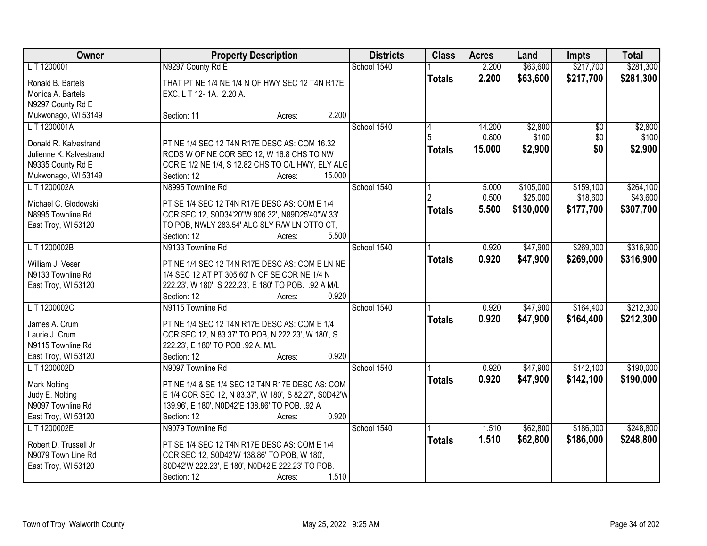| Owner                   | <b>Property Description</b>                           | <b>Districts</b> | <b>Class</b>  | <b>Acres</b> | Land      | <b>Impts</b>    | <b>Total</b> |
|-------------------------|-------------------------------------------------------|------------------|---------------|--------------|-----------|-----------------|--------------|
| L T 1200001             | N9297 County Rd E                                     | School 1540      |               | 2.200        | \$63,600  | \$217,700       | \$281,300    |
| Ronald B. Bartels       | THAT PT NE 1/4 NE 1/4 N OF HWY SEC 12 T4N R17E.       |                  | <b>Totals</b> | 2.200        | \$63,600  | \$217,700       | \$281,300    |
| Monica A. Bartels       | EXC. L T 12-1A. 2.20 A.                               |                  |               |              |           |                 |              |
| N9297 County Rd E       |                                                       |                  |               |              |           |                 |              |
| Mukwonago, WI 53149     | 2.200<br>Section: 11<br>Acres:                        |                  |               |              |           |                 |              |
| L T 1200001A            |                                                       | School 1540      | 4             | 14.200       | \$2,800   | $\overline{50}$ | \$2,800      |
|                         |                                                       |                  | 5             | 0.800        | \$100     | \$0             | \$100        |
| Donald R. Kalvestrand   | PT NE 1/4 SEC 12 T4N R17E DESC AS: COM 16.32          |                  | <b>Totals</b> | 15.000       | \$2,900   | \$0             | \$2,900      |
| Julienne K. Kalvestrand | RODS W OF NE COR SEC 12, W 16.8 CHS TO NW             |                  |               |              |           |                 |              |
| N9335 County Rd E       | COR E 1/2 NE 1/4, S 12.82 CHS TO C/L HWY, ELY ALC     |                  |               |              |           |                 |              |
| Mukwonago, WI 53149     | 15.000<br>Section: 12<br>Acres:                       |                  |               |              |           |                 |              |
| L T 1200002A            | N8995 Townline Rd                                     | School 1540      |               | 5.000        | \$105,000 | \$159,100       | \$264,100    |
| Michael C. Glodowski    | PT SE 1/4 SEC 12 T4N R17E DESC AS: COM E 1/4          |                  |               | 0.500        | \$25,000  | \$18,600        | \$43,600     |
| N8995 Townline Rd       | COR SEC 12, S0D34'20"W 906.32', N89D25'40"W 33'       |                  | <b>Totals</b> | 5.500        | \$130,000 | \$177,700       | \$307,700    |
| East Troy, WI 53120     | TO POB, NWLY 283.54' ALG SLY R/W LN OTTO CT,          |                  |               |              |           |                 |              |
|                         | Section: 12<br>5.500<br>Acres:                        |                  |               |              |           |                 |              |
| LT1200002B              | N9133 Townline Rd                                     | School 1540      |               | 0.920        | \$47,900  | \$269,000       | \$316,900    |
|                         |                                                       |                  | <b>Totals</b> | 0.920        | \$47,900  | \$269,000       | \$316,900    |
| William J. Veser        | PT NE 1/4 SEC 12 T4N R17E DESC AS: COM E LN NE        |                  |               |              |           |                 |              |
| N9133 Townline Rd       | 1/4 SEC 12 AT PT 305.60' N OF SE COR NE 1/4 N         |                  |               |              |           |                 |              |
| East Troy, WI 53120     | 222.23', W 180', S 222.23', E 180' TO POB. .92 A M/L  |                  |               |              |           |                 |              |
|                         | 0.920<br>Section: 12<br>Acres:                        |                  |               |              |           |                 |              |
| LT1200002C              | N9115 Townline Rd                                     | School 1540      |               | 0.920        | \$47,900  | \$164,400       | \$212,300    |
| James A. Crum           | PT NE 1/4 SEC 12 T4N R17E DESC AS: COM E 1/4          |                  | <b>Totals</b> | 0.920        | \$47,900  | \$164,400       | \$212,300    |
| Laurie J. Crum          | COR SEC 12, N 83.37' TO POB, N 222.23', W 180', S     |                  |               |              |           |                 |              |
| N9115 Townline Rd       | 222.23', E 180' TO POB .92 A. M/L                     |                  |               |              |           |                 |              |
| East Troy, WI 53120     | Section: 12<br>0.920<br>Acres:                        |                  |               |              |           |                 |              |
| LT 1200002D             | N9097 Townline Rd                                     | School 1540      |               | 0.920        | \$47,900  | \$142,100       | \$190,000    |
|                         |                                                       |                  | <b>Totals</b> | 0.920        | \$47,900  | \$142,100       | \$190,000    |
| Mark Nolting            | PT NE 1/4 & SE 1/4 SEC 12 T4N R17E DESC AS: COM       |                  |               |              |           |                 |              |
| Judy E. Nolting         | E 1/4 COR SEC 12, N 83.37', W 180', S 82.27', S0D42'W |                  |               |              |           |                 |              |
| N9097 Townline Rd       | 139.96', E 180', N0D42'E 138.86' TO POB. .92 A        |                  |               |              |           |                 |              |
| East Troy, WI 53120     | 0.920<br>Section: 12<br>Acres:                        |                  |               |              |           |                 |              |
| L T 1200002E            | N9079 Townline Rd                                     | School 1540      |               | 1.510        | \$62,800  | \$186,000       | \$248,800    |
| Robert D. Trussell Jr   | PT SE 1/4 SEC 12 T4N R17E DESC AS: COM E 1/4          |                  | <b>Totals</b> | 1.510        | \$62,800  | \$186,000       | \$248,800    |
| N9079 Town Line Rd      | COR SEC 12, S0D42'W 138.86' TO POB, W 180',           |                  |               |              |           |                 |              |
| East Troy, WI 53120     | S0D42'W 222.23', E 180', N0D42'E 222.23' TO POB.      |                  |               |              |           |                 |              |
|                         | Section: 12<br>1.510<br>Acres:                        |                  |               |              |           |                 |              |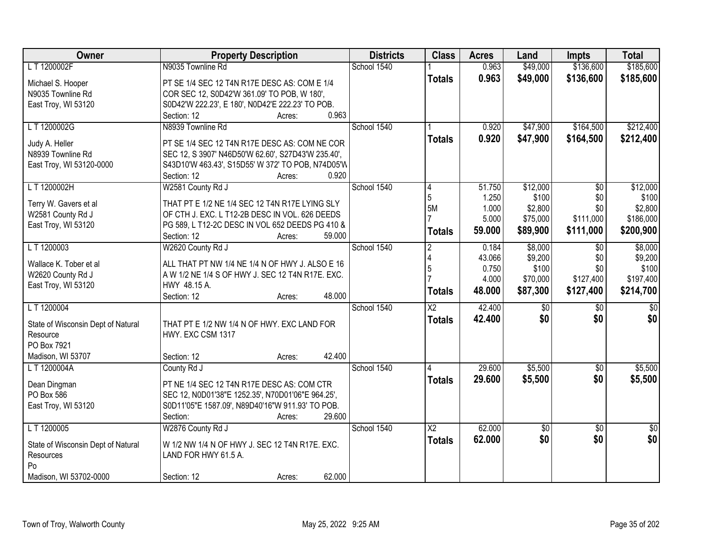| Owner                              | <b>Property Description</b>                                                        | <b>Districts</b> | <b>Class</b>           | <b>Acres</b> | Land            | Impts           | <b>Total</b>    |
|------------------------------------|------------------------------------------------------------------------------------|------------------|------------------------|--------------|-----------------|-----------------|-----------------|
| LT 1200002F                        | N9035 Townline Rd                                                                  | School 1540      |                        | 0.963        | \$49,000        | \$136,600       | \$185,600       |
| Michael S. Hooper                  | PT SE 1/4 SEC 12 T4N R17E DESC AS: COM E 1/4                                       |                  | <b>Totals</b>          | 0.963        | \$49,000        | \$136,600       | \$185,600       |
| N9035 Townline Rd                  | COR SEC 12, S0D42'W 361.09' TO POB, W 180',                                        |                  |                        |              |                 |                 |                 |
| East Troy, WI 53120                | S0D42'W 222.23', E 180', N0D42'E 222.23' TO POB.                                   |                  |                        |              |                 |                 |                 |
|                                    | 0.963<br>Section: 12<br>Acres:                                                     |                  |                        |              |                 |                 |                 |
| LT 1200002G                        | N8939 Townline Rd                                                                  | School 1540      |                        | 0.920        | \$47,900        | \$164,500       | \$212,400       |
| Judy A. Heller                     | PT SE 1/4 SEC 12 T4N R17E DESC AS: COM NE COR                                      |                  | <b>Totals</b>          | 0.920        | \$47,900        | \$164,500       | \$212,400       |
| N8939 Townline Rd                  | SEC 12, S 3907' N46D50'W 62.60', S27D43'W 235.40',                                 |                  |                        |              |                 |                 |                 |
| East Troy, WI 53120-0000           | S43D10'W 463.43', S15D55' W 372' TO POB, N74D05'W                                  |                  |                        |              |                 |                 |                 |
|                                    | 0.920<br>Section: 12<br>Acres:                                                     |                  |                        |              |                 |                 |                 |
| LT 1200002H                        | W2581 County Rd J                                                                  | School 1540      | 4                      | 51.750       | \$12,000        | $\sqrt{6}$      | \$12,000        |
|                                    |                                                                                    |                  | 5                      | 1.250        | \$100           | \$0             | \$100           |
| Terry W. Gavers et al              | THAT PT E 1/2 NE 1/4 SEC 12 T4N R17E LYING SLY                                     |                  | <b>5M</b>              | 1.000        | \$2,800         | \$0             | \$2,800         |
| W2581 County Rd J                  | OF CTH J. EXC. L T12-2B DESC IN VOL. 626 DEEDS                                     |                  |                        | 5.000        | \$75,000        | \$111,000       | \$186,000       |
| East Troy, WI 53120                | PG 589, L T12-2C DESC IN VOL 652 DEEDS PG 410 &<br>Section: 12<br>59.000<br>Acres: |                  | <b>Totals</b>          | 59.000       | \$89,900        | \$111,000       | \$200,900       |
| L T 1200003                        | W2620 County Rd J                                                                  | School 1540      | $\overline{2}$         | 0.184        | \$8,000         | \$0             | \$8,000         |
|                                    |                                                                                    |                  |                        | 43.066       | \$9,200         | \$0             | \$9,200         |
| Wallace K. Tober et al             | ALL THAT PT NW 1/4 NE 1/4 N OF HWY J. ALSO E 16                                    |                  | 5                      | 0.750        | \$100           | \$0             | \$100           |
| W2620 County Rd J                  | A W 1/2 NE 1/4 S OF HWY J. SEC 12 T4N R17E. EXC.                                   |                  |                        | 4.000        | \$70,000        | \$127,400       | \$197,400       |
| East Troy, WI 53120                | HWY 48.15 A.                                                                       |                  |                        | 48.000       | \$87,300        | \$127,400       | \$214,700       |
|                                    | 48.000<br>Section: 12<br>Acres:                                                    |                  | <b>Totals</b>          |              |                 |                 |                 |
| LT 1200004                         |                                                                                    | School 1540      | $\overline{\text{X2}}$ | 42.400       | \$0             | $\overline{30}$ | $\overline{50}$ |
| State of Wisconsin Dept of Natural | THAT PT E 1/2 NW 1/4 N OF HWY. EXC LAND FOR                                        |                  | <b>Totals</b>          | 42.400       | \$0             | \$0             | \$0             |
| Resource                           | HWY. EXC CSM 1317                                                                  |                  |                        |              |                 |                 |                 |
| PO Box 7921                        |                                                                                    |                  |                        |              |                 |                 |                 |
| Madison, WI 53707                  | 42.400<br>Section: 12<br>Acres:                                                    |                  |                        |              |                 |                 |                 |
| LT 1200004A                        | County Rd J                                                                        | School 1540      |                        | 29.600       | \$5,500         | $\sqrt{6}$      | \$5,500         |
| Dean Dingman                       | PT NE 1/4 SEC 12 T4N R17E DESC AS: COM CTR                                         |                  | <b>Totals</b>          | 29.600       | \$5,500         | \$0             | \$5,500         |
| PO Box 586                         | SEC 12, N0D01'38"E 1252.35', N70D01'06"E 964.25',                                  |                  |                        |              |                 |                 |                 |
| East Troy, WI 53120                | S0D11'05"E 1587.09', N89D40'16"W 911.93' TO POB.                                   |                  |                        |              |                 |                 |                 |
|                                    | 29.600<br>Section:<br>Acres:                                                       |                  |                        |              |                 |                 |                 |
| L T 1200005                        | W2876 County Rd J                                                                  | School 1540      | $\overline{X2}$        | 62.000       | $\overline{30}$ | $\overline{30}$ | $\overline{50}$ |
|                                    |                                                                                    |                  | <b>Totals</b>          | 62.000       | \$0             | \$0             | \$0             |
| State of Wisconsin Dept of Natural | W 1/2 NW 1/4 N OF HWY J. SEC 12 T4N R17E. EXC.                                     |                  |                        |              |                 |                 |                 |
| Resources                          | LAND FOR HWY 61.5 A.                                                               |                  |                        |              |                 |                 |                 |
| Po                                 |                                                                                    |                  |                        |              |                 |                 |                 |
| Madison, WI 53702-0000             | 62.000<br>Section: 12<br>Acres:                                                    |                  |                        |              |                 |                 |                 |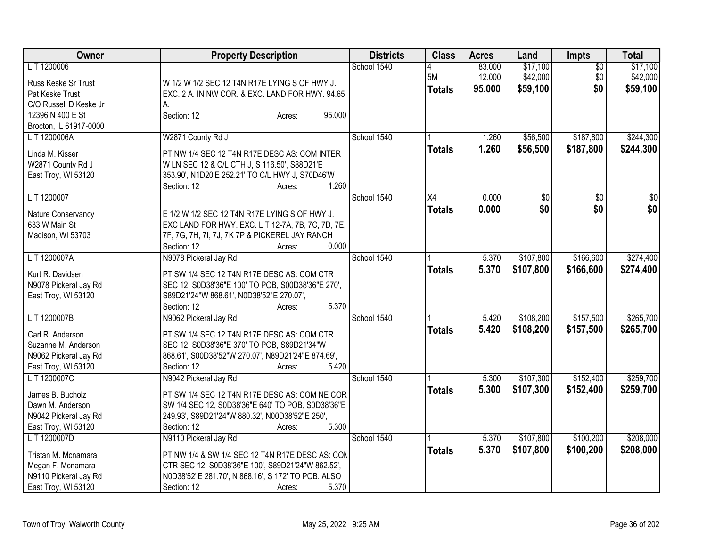| <b>Owner</b>           | <b>Property Description</b>                        | <b>Districts</b> | <b>Class</b>  | <b>Acres</b> | Land        | <b>Impts</b>    | <b>Total</b>    |
|------------------------|----------------------------------------------------|------------------|---------------|--------------|-------------|-----------------|-----------------|
| LT 1200006             |                                                    | School 1540      | 4             | 83.000       | \$17,100    | $\overline{50}$ | \$17,100        |
| Russ Keske Sr Trust    | W 1/2 W 1/2 SEC 12 T4N R17E LYING S OF HWY J.      |                  | 5M            | 12.000       | \$42,000    | \$0             | \$42,000        |
| Pat Keske Trust        | EXC. 2 A. IN NW COR. & EXC. LAND FOR HWY. 94.65    |                  | <b>Totals</b> | 95.000       | \$59,100    | \$0             | \$59,100        |
| C/O Russell D Keske Jr | А.                                                 |                  |               |              |             |                 |                 |
| 12396 N 400 E St       | 95.000<br>Section: 12<br>Acres:                    |                  |               |              |             |                 |                 |
| Brocton, IL 61917-0000 |                                                    |                  |               |              |             |                 |                 |
| LT 1200006A            | W2871 County Rd J                                  | School 1540      |               | 1.260        | \$56,500    | \$187,800       | \$244,300       |
| Linda M. Kisser        | PT NW 1/4 SEC 12 T4N R17E DESC AS: COM INTER       |                  | <b>Totals</b> | 1.260        | \$56,500    | \$187,800       | \$244,300       |
| W2871 County Rd J      | W LN SEC 12 & C/L CTH J, S 116.50', S88D21'E       |                  |               |              |             |                 |                 |
| East Troy, WI 53120    | 353.90', N1D20'E 252.21' TO C/L HWY J, S70D46'W    |                  |               |              |             |                 |                 |
|                        | 1.260<br>Section: 12<br>Acres:                     |                  |               |              |             |                 |                 |
| LT 1200007             |                                                    | School 1540      | X4            | 0.000        | $\sqrt{30}$ | $\overline{50}$ | $\overline{50}$ |
|                        |                                                    |                  |               |              | \$0         | \$0             | \$0             |
| Nature Conservancy     | E 1/2 W 1/2 SEC 12 T4N R17E LYING S OF HWY J.      |                  | <b>Totals</b> | 0.000        |             |                 |                 |
| 633 W Main St          | EXC LAND FOR HWY. EXC. L T 12-7A, 7B, 7C, 7D, 7E,  |                  |               |              |             |                 |                 |
| Madison, WI 53703      | 7F, 7G, 7H, 7I, 7J, 7K 7P & PICKEREL JAY RANCH     |                  |               |              |             |                 |                 |
|                        | 0.000<br>Section: 12<br>Acres:                     |                  |               |              |             |                 |                 |
| LT 1200007A            | N9078 Pickeral Jay Rd                              | School 1540      |               | 5.370        | \$107,800   | \$166,600       | \$274,400       |
| Kurt R. Davidsen       | PT SW 1/4 SEC 12 T4N R17E DESC AS: COM CTR         |                  | <b>Totals</b> | 5.370        | \$107,800   | \$166,600       | \$274,400       |
| N9078 Pickeral Jay Rd  | SEC 12, S0D38'36"E 100' TO POB, S00D38'36"E 270',  |                  |               |              |             |                 |                 |
| East Troy, WI 53120    | S89D21'24"W 868.61', N0D38'52"E 270.07',           |                  |               |              |             |                 |                 |
|                        | 5.370<br>Section: 12<br>Acres:                     |                  |               |              |             |                 |                 |
| L T 1200007B           | N9062 Pickeral Jay Rd                              | School 1540      |               | 5.420        | \$108,200   | \$157,500       | \$265,700       |
|                        |                                                    |                  | <b>Totals</b> | 5.420        | \$108,200   | \$157,500       | \$265,700       |
| Carl R. Anderson       | PT SW 1/4 SEC 12 T4N R17E DESC AS: COM CTR         |                  |               |              |             |                 |                 |
| Suzanne M. Anderson    | SEC 12, S0D38'36"E 370' TO POB, S89D21'34"W        |                  |               |              |             |                 |                 |
| N9062 Pickeral Jay Rd  | 868.61', S00D38'52"W 270.07', N89D21'24"E 874.69', |                  |               |              |             |                 |                 |
| East Troy, WI 53120    | Section: 12<br>5.420<br>Acres:                     |                  |               |              |             |                 |                 |
| L T 1200007C           | N9042 Pickeral Jay Rd                              | School 1540      |               | 5.300        | \$107,300   | \$152,400       | \$259,700       |
| James B. Bucholz       | PT SW 1/4 SEC 12 T4N R17E DESC AS: COM NE COR      |                  | <b>Totals</b> | 5.300        | \$107,300   | \$152,400       | \$259,700       |
| Dawn M. Anderson       | SW 1/4 SEC 12, S0D38'36"E 640' TO POB, S0D38'36"E  |                  |               |              |             |                 |                 |
| N9042 Pickeral Jay Rd  | 249.93', S89D21'24"W 880.32', N00D38'52"E 250',    |                  |               |              |             |                 |                 |
| East Troy, WI 53120    | 5.300<br>Section: 12<br>Acres:                     |                  |               |              |             |                 |                 |
| L T 1200007D           | N9110 Pickeral Jay Rd                              | School 1540      |               | 5.370        | \$107,800   | \$100,200       | \$208,000       |
|                        |                                                    |                  | <b>Totals</b> | 5.370        | \$107,800   | \$100,200       | \$208,000       |
| Tristan M. Mcnamara    | PT NW 1/4 & SW 1/4 SEC 12 T4N R17E DESC AS: CON    |                  |               |              |             |                 |                 |
| Megan F. Mcnamara      | CTR SEC 12, S0D38'36"E 100', S89D21'24"W 862.52',  |                  |               |              |             |                 |                 |
| N9110 Pickeral Jay Rd  | N0D38'52"E 281.70', N 868.16', S 172' TO POB. ALSO |                  |               |              |             |                 |                 |
| East Troy, WI 53120    | Section: 12<br>5.370<br>Acres:                     |                  |               |              |             |                 |                 |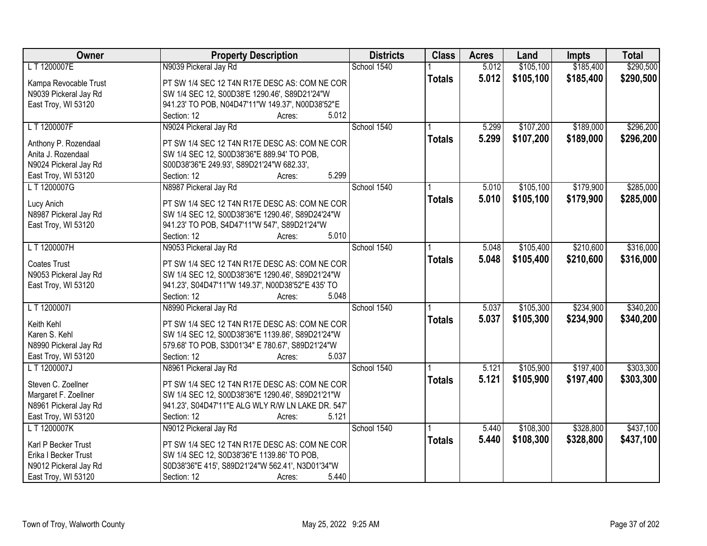| Owner                 | <b>Property Description</b>                       | <b>Districts</b> | <b>Class</b>  | <b>Acres</b> | Land      | <b>Impts</b> | <b>Total</b> |
|-----------------------|---------------------------------------------------|------------------|---------------|--------------|-----------|--------------|--------------|
| LT 1200007E           | N9039 Pickeral Jay Rd                             | School 1540      |               | 5.012        | \$105,100 | \$185,400    | \$290,500    |
| Kampa Revocable Trust | PT SW 1/4 SEC 12 T4N R17E DESC AS: COM NE COR     |                  | <b>Totals</b> | 5.012        | \$105,100 | \$185,400    | \$290,500    |
| N9039 Pickeral Jay Rd | SW 1/4 SEC 12, S00D38'E 1290.46', S89D21'24"W     |                  |               |              |           |              |              |
| East Troy, WI 53120   | 941.23' TO POB, N04D47'11"W 149.37', N00D38'52"E  |                  |               |              |           |              |              |
|                       | 5.012<br>Section: 12<br>Acres:                    |                  |               |              |           |              |              |
| LT 1200007F           | N9024 Pickeral Jay Rd                             | School 1540      |               | 5.299        | \$107,200 | \$189,000    | \$296,200    |
|                       |                                                   |                  | <b>Totals</b> | 5.299        | \$107,200 | \$189,000    | \$296,200    |
| Anthony P. Rozendaal  | PT SW 1/4 SEC 12 T4N R17E DESC AS: COM NE COR     |                  |               |              |           |              |              |
| Anita J. Rozendaal    | SW 1/4 SEC 12, S00D38'36"E 889.94' TO POB,        |                  |               |              |           |              |              |
| N9024 Pickeral Jay Rd | S00D38'36"E 249.93', S89D21'24"W 682.33',         |                  |               |              |           |              |              |
| East Troy, WI 53120   | 5.299<br>Section: 12<br>Acres:                    |                  |               |              |           |              |              |
| LT 1200007G           | N8987 Pickeral Jay Rd                             | School 1540      |               | 5.010        | \$105,100 | \$179,900    | \$285,000    |
| Lucy Anich            | PT SW 1/4 SEC 12 T4N R17E DESC AS: COM NE COR     |                  | <b>Totals</b> | 5.010        | \$105,100 | \$179,900    | \$285,000    |
| N8987 Pickeral Jay Rd | SW 1/4 SEC 12, S00D38'36"E 1290.46', S89D24'24"W  |                  |               |              |           |              |              |
| East Troy, WI 53120   | 941.23' TO POB, S4D47'11"W 547', S89D21'24"W      |                  |               |              |           |              |              |
|                       | Section: 12<br>5.010<br>Acres:                    |                  |               |              |           |              |              |
| LT 1200007H           | N9053 Pickeral Jay Rd                             | School 1540      |               | 5.048        | \$105,400 | \$210,600    | \$316,000    |
|                       |                                                   |                  | <b>Totals</b> | 5.048        | \$105,400 | \$210,600    | \$316,000    |
| <b>Coates Trust</b>   | PT SW 1/4 SEC 12 T4N R17E DESC AS: COM NE COR     |                  |               |              |           |              |              |
| N9053 Pickeral Jay Rd | SW 1/4 SEC 12, S00D38'36"E 1290.46', S89D21'24"W  |                  |               |              |           |              |              |
| East Troy, WI 53120   | 941.23', S04D47'11"W 149.37', N00D38'52"E 435' TO |                  |               |              |           |              |              |
|                       | Section: 12<br>5.048<br>Acres:                    |                  |               |              |           |              |              |
| LT 1200007I           | N8990 Pickeral Jay Rd                             | School 1540      |               | 5.037        | \$105,300 | \$234,900    | \$340,200    |
| Keith Kehl            | PT SW 1/4 SEC 12 T4N R17E DESC AS: COM NE COR     |                  | <b>Totals</b> | 5.037        | \$105,300 | \$234,900    | \$340,200    |
| Karen S. Kehl         | SW 1/4 SEC 12, S00D38'36"E 1139.86', S89D21'24"W  |                  |               |              |           |              |              |
| N8990 Pickeral Jay Rd | 579.68' TO POB, S3D01'34" E 780.67', S89D21'24"W  |                  |               |              |           |              |              |
| East Troy, WI 53120   | Section: 12<br>5.037<br>Acres:                    |                  |               |              |           |              |              |
| L T 1200007J          |                                                   | School 1540      |               | 5.121        | \$105,900 | \$197,400    | \$303,300    |
|                       | N8961 Pickeral Jay Rd                             |                  |               |              |           |              |              |
| Steven C. Zoellner    | PT SW 1/4 SEC 12 T4N R17E DESC AS: COM NE COR     |                  | <b>Totals</b> | 5.121        | \$105,900 | \$197,400    | \$303,300    |
| Margaret F. Zoellner  | SW 1/4 SEC 12, S00D38'36"E 1290.46', S89D21'21"W  |                  |               |              |           |              |              |
| N8961 Pickeral Jay Rd | 941.23', S04D47'11"E ALG WLY R/W LN LAKE DR. 547' |                  |               |              |           |              |              |
| East Troy, WI 53120   | Section: 12<br>5.121<br>Acres:                    |                  |               |              |           |              |              |
| L T 1200007K          | N9012 Pickeral Jay Rd                             | School 1540      |               | 5.440        | \$108,300 | \$328,800    | \$437,100    |
|                       |                                                   |                  | <b>Totals</b> | 5.440        | \$108,300 | \$328,800    | \$437,100    |
| Karl P Becker Trust   | PT SW 1/4 SEC 12 T4N R17E DESC AS: COM NE COR     |                  |               |              |           |              |              |
| Erika I Becker Trust  | SW 1/4 SEC 12, S0D38'36"E 1139.86' TO POB,        |                  |               |              |           |              |              |
| N9012 Pickeral Jay Rd | S0D38'36"E 415', S89D21'24"W 562.41', N3D01'34"W  |                  |               |              |           |              |              |
| East Troy, WI 53120   | 5.440<br>Section: 12<br>Acres:                    |                  |               |              |           |              |              |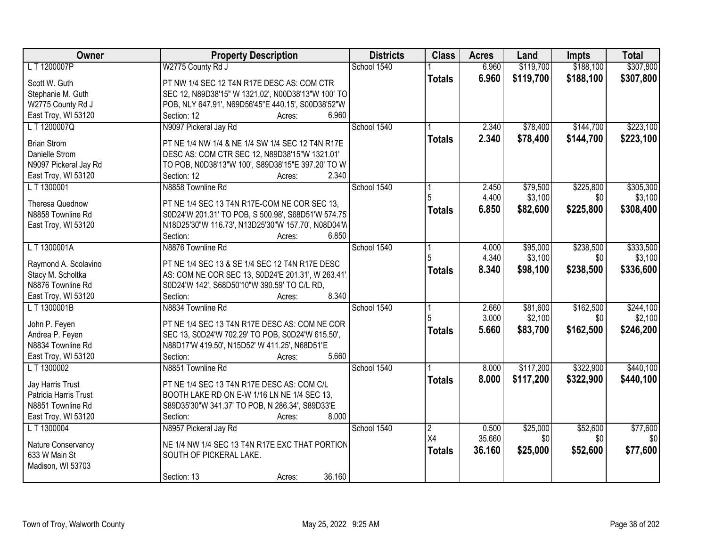| Owner                  | <b>Property Description</b>                        | <b>Districts</b> | <b>Class</b>   | <b>Acres</b> | Land      | Impts     | <b>Total</b> |
|------------------------|----------------------------------------------------|------------------|----------------|--------------|-----------|-----------|--------------|
| L T 1200007P           | W2775 County Rd J                                  | School 1540      |                | 6.960        | \$119,700 | \$188,100 | \$307,800    |
| Scott W. Guth          | PT NW 1/4 SEC 12 T4N R17E DESC AS: COM CTR         |                  | <b>Totals</b>  | 6.960        | \$119,700 | \$188,100 | \$307,800    |
| Stephanie M. Guth      | SEC 12, N89D38'15" W 1321.02', N00D38'13"W 100' TO |                  |                |              |           |           |              |
| W2775 County Rd J      | POB, NLY 647.91', N69D56'45"E 440.15', S00D38'52"W |                  |                |              |           |           |              |
| East Troy, WI 53120    | 6.960<br>Section: 12<br>Acres:                     |                  |                |              |           |           |              |
| LT 1200007Q            | N9097 Pickeral Jay Rd                              | School 1540      |                | 2.340        | \$78,400  | \$144,700 | \$223,100    |
|                        |                                                    |                  | <b>Totals</b>  | 2.340        | \$78,400  | \$144,700 | \$223,100    |
| <b>Brian Strom</b>     | PT NE 1/4 NW 1/4 & NE 1/4 SW 1/4 SEC 12 T4N R17E   |                  |                |              |           |           |              |
| Danielle Strom         | DESC AS: COM CTR SEC 12, N89D38'15"W 1321.01'      |                  |                |              |           |           |              |
| N9097 Pickeral Jay Rd  | TO POB, N0D38'13"W 100', S89D38'15"E 397.20' TO W  |                  |                |              |           |           |              |
| East Troy, WI 53120    | 2.340<br>Section: 12<br>Acres:                     |                  |                |              |           |           |              |
| L T 1300001            | N8858 Townline Rd                                  | School 1540      |                | 2.450        | \$79,500  | \$225,800 | \$305,300    |
| <b>Theresa Quednow</b> | PT NE 1/4 SEC 13 T4N R17E-COM NE COR SEC 13,       |                  |                | 4.400        | \$3,100   | \$0       | \$3,100      |
| N8858 Townline Rd      | S0D24'W 201.31' TO POB, S 500.98', S68D51'W 574.75 |                  | <b>Totals</b>  | 6.850        | \$82,600  | \$225,800 | \$308,400    |
| East Troy, WI 53120    | N18D25'30"W 116.73', N13D25'30"W 157.70', N08D04'W |                  |                |              |           |           |              |
|                        | Section:<br>6.850<br>Acres:                        |                  |                |              |           |           |              |
| LT 1300001A            | N8876 Townline Rd                                  | School 1540      |                | 4.000        | \$95,000  | \$238,500 | \$333,500    |
|                        |                                                    |                  |                | 4.340        | \$3,100   | \$0       | \$3,100      |
| Raymond A. Scolavino   | PT NE 1/4 SEC 13 & SE 1/4 SEC 12 T4N R17E DESC     |                  | <b>Totals</b>  | 8.340        | \$98,100  | \$238,500 | \$336,600    |
| Stacy M. Scholtka      | AS: COM NE COR SEC 13, S0D24'E 201.31', W 263.41'  |                  |                |              |           |           |              |
| N8876 Townline Rd      | S0D24'W 142', S68D50'10"W 390.59' TO C/L RD,       |                  |                |              |           |           |              |
| East Troy, WI 53120    | 8.340<br>Section:<br>Acres:                        |                  |                |              |           |           |              |
| L T 1300001B           | N8834 Townline Rd                                  | School 1540      |                | 2.660        | \$81,600  | \$162,500 | \$244,100    |
| John P. Feyen          | PT NE 1/4 SEC 13 T4N R17E DESC AS: COM NE COR      |                  |                | 3.000        | \$2,100   | \$0       | \$2,100      |
| Andrea P. Feyen        | SEC 13, S0D24'W 702.29' TO POB, S0D24'W 615.50',   |                  | <b>Totals</b>  | 5.660        | \$83,700  | \$162,500 | \$246,200    |
| N8834 Townline Rd      | N88D17'W 419.50', N15D52' W 411.25', N68D51'E      |                  |                |              |           |           |              |
| East Troy, WI 53120    | 5.660<br>Section:<br>Acres:                        |                  |                |              |           |           |              |
| LT 1300002             | N8851 Townline Rd                                  | School 1540      |                | 8.000        | \$117,200 | \$322,900 | \$440,100    |
|                        |                                                    |                  | <b>Totals</b>  | 8.000        | \$117,200 | \$322,900 | \$440,100    |
| Jay Harris Trust       | PT NE 1/4 SEC 13 T4N R17E DESC AS: COM C/L         |                  |                |              |           |           |              |
| Patricia Harris Trust  | BOOTH LAKE RD ON E-W 1/16 LN NE 1/4 SEC 13,        |                  |                |              |           |           |              |
| N8851 Townline Rd      | S89D35'30"W 341.37' TO POB, N 286.34', S89D33'E    |                  |                |              |           |           |              |
| East Troy, WI 53120    | 8.000<br>Section:<br>Acres:                        |                  |                |              |           |           |              |
| L T 1300004            | N8957 Pickeral Jay Rd                              | School 1540      | $\overline{2}$ | 0.500        | \$25,000  | \$52,600  | \$77,600     |
| Nature Conservancy     | NE 1/4 NW 1/4 SEC 13 T4N R17E EXC THAT PORTION     |                  | X4             | 35.660       | \$0       | \$0       | \$0          |
| 633 W Main St          | SOUTH OF PICKERAL LAKE.                            |                  | <b>Totals</b>  | 36.160       | \$25,000  | \$52,600  | \$77,600     |
| Madison, WI 53703      |                                                    |                  |                |              |           |           |              |
|                        | 36.160<br>Section: 13<br>Acres:                    |                  |                |              |           |           |              |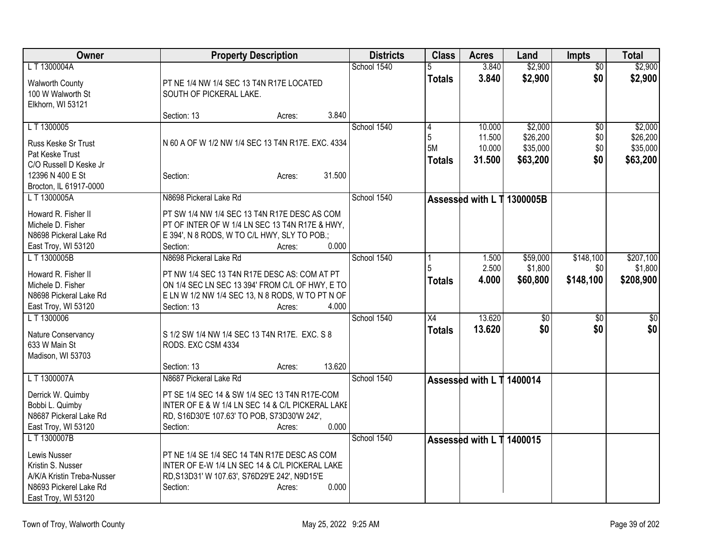| Owner                                                                                                            | <b>Property Description</b>                                                                                                                                                           | <b>Districts</b> | <b>Class</b>             | <b>Acres</b>               | Land                             | <b>Impts</b>      | <b>Total</b>                     |
|------------------------------------------------------------------------------------------------------------------|---------------------------------------------------------------------------------------------------------------------------------------------------------------------------------------|------------------|--------------------------|----------------------------|----------------------------------|-------------------|----------------------------------|
| L T 1300004A                                                                                                     |                                                                                                                                                                                       | School 1540      | 5                        | 3.840                      | \$2,900                          | $\overline{50}$   | \$2,900                          |
| <b>Walworth County</b><br>100 W Walworth St<br>Elkhorn, WI 53121                                                 | PT NE 1/4 NW 1/4 SEC 13 T4N R17E LOCATED<br>SOUTH OF PICKERAL LAKE.                                                                                                                   |                  | <b>Totals</b>            | 3.840                      | \$2,900                          | \$0               | \$2,900                          |
|                                                                                                                  | 3.840<br>Section: 13<br>Acres:                                                                                                                                                        |                  |                          |                            |                                  |                   |                                  |
| L T 1300005                                                                                                      |                                                                                                                                                                                       | School 1540      | 4                        | 10.000                     | \$2,000                          | \$0               | \$2,000                          |
| Russ Keske Sr Trust<br>Pat Keske Trust                                                                           | N 60 A OF W 1/2 NW 1/4 SEC 13 T4N R17E. EXC. 4334                                                                                                                                     |                  | 5<br>5M<br><b>Totals</b> | 11.500<br>10.000<br>31.500 | \$26,200<br>\$35,000<br>\$63,200 | \$0<br>\$0<br>\$0 | \$26,200<br>\$35,000<br>\$63,200 |
| C/O Russell D Keske Jr<br>12396 N 400 E St<br>Brocton, IL 61917-0000                                             | 31.500<br>Section:<br>Acres:                                                                                                                                                          |                  |                          |                            |                                  |                   |                                  |
| L T 1300005A                                                                                                     | N8698 Pickeral Lake Rd                                                                                                                                                                | School 1540      |                          |                            | Assessed with L T 1300005B       |                   |                                  |
| Howard R. Fisher II<br>Michele D. Fisher<br>N8698 Pickeral Lake Rd<br>East Troy, WI 53120                        | PT SW 1/4 NW 1/4 SEC 13 T4N R17E DESC AS COM<br>PT OF INTER OF W 1/4 LN SEC 13 T4N R17E & HWY,<br>E 394', N 8 RODS, W TO C/L HWY, SLY TO POB.;<br>0.000<br>Section:<br>Acres:         |                  |                          |                            |                                  |                   |                                  |
| L T 1300005B                                                                                                     | N8698 Pickeral Lake Rd                                                                                                                                                                | School 1540      |                          | 1.500                      | \$59,000                         | \$148,100         | \$207,100                        |
| Howard R. Fisher II<br>Michele D. Fisher<br>N8698 Pickeral Lake Rd<br>East Troy, WI 53120                        | PT NW 1/4 SEC 13 T4N R17E DESC AS: COM AT PT<br>ON 1/4 SEC LN SEC 13 394' FROM C/L OF HWY, E TO<br>E LN W 1/2 NW 1/4 SEC 13, N 8 RODS, W TO PT N OF<br>4.000<br>Section: 13<br>Acres: |                  | Totals                   | 2.500<br>4.000             | \$1,800<br>\$60,800              | \$0<br>\$148,100  | \$1,800<br>\$208,900             |
| LT 1300006                                                                                                       |                                                                                                                                                                                       | School 1540      | $\overline{X4}$          | 13.620                     | $\overline{50}$                  | \$0               | $\overline{50}$                  |
| Nature Conservancy<br>633 W Main St<br>Madison, WI 53703                                                         | S 1/2 SW 1/4 NW 1/4 SEC 13 T4N R17E. EXC. S 8<br>RODS. EXC CSM 4334<br>13.620<br>Section: 13<br>Acres:                                                                                |                  | <b>Totals</b>            | 13.620                     | \$0                              | \$0               | \$0                              |
| L T 1300007A                                                                                                     | N8687 Pickeral Lake Rd                                                                                                                                                                | School 1540      |                          | Assessed with L T 1400014  |                                  |                   |                                  |
| Derrick W. Quimby<br>Bobbi L. Quimby<br>N8687 Pickeral Lake Rd<br>East Troy, WI 53120                            | PT SE 1/4 SEC 14 & SW 1/4 SEC 13 T4N R17E-COM<br>INTER OF E & W 1/4 LN SEC 14 & C/L PICKERAL LAKE<br>RD, S16D30'E 107.63' TO POB, S73D30'W 242',<br>0.000<br>Section:<br>Acres:       |                  |                          |                            |                                  |                   |                                  |
| LT 1300007B                                                                                                      |                                                                                                                                                                                       | School 1540      |                          | Assessed with L T 1400015  |                                  |                   |                                  |
| Lewis Nusser<br>Kristin S. Nusser<br>A/K/A Kristin Treba-Nusser<br>N8693 Pickerel Lake Rd<br>East Troy, WI 53120 | PT NE 1/4 SE 1/4 SEC 14 T4N R17E DESC AS COM<br>INTER OF E-W 1/4 LN SEC 14 & C/L PICKERAL LAKE<br>RD, S13D31' W 107.63', S76D29'E 242', N9D15'E<br>Section:<br>0.000<br>Acres:        |                  |                          |                            |                                  |                   |                                  |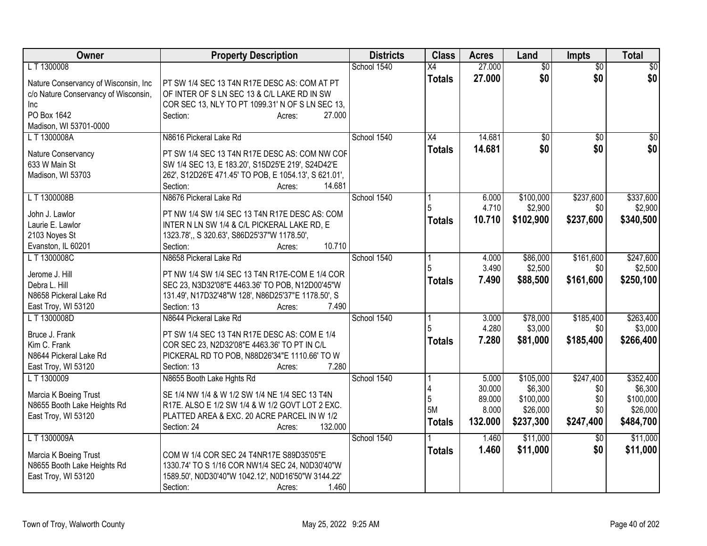| Owner                                | <b>Property Description</b>                            | <b>Districts</b> | <b>Class</b>   | <b>Acres</b>    | Land                 | <b>Impts</b>    | <b>Total</b>         |
|--------------------------------------|--------------------------------------------------------|------------------|----------------|-----------------|----------------------|-----------------|----------------------|
| L T 1300008                          |                                                        | School 1540      | X4             | 27.000          | \$0                  | \$0             | \$0                  |
| Nature Conservancy of Wisconsin, Inc | PT SW 1/4 SEC 13 T4N R17E DESC AS: COM AT PT           |                  | <b>Totals</b>  | 27.000          | \$0                  | \$0             | \$0                  |
| c/o Nature Conservancy of Wisconsin, | OF INTER OF S LN SEC 13 & C/L LAKE RD IN SW            |                  |                |                 |                      |                 |                      |
| Inc                                  | COR SEC 13, NLY TO PT 1099.31' N OF S LN SEC 13,       |                  |                |                 |                      |                 |                      |
| PO Box 1642                          | Section:<br>27.000<br>Acres:                           |                  |                |                 |                      |                 |                      |
| Madison, WI 53701-0000               |                                                        |                  |                |                 |                      |                 |                      |
| L T 1300008A                         | N8616 Pickeral Lake Rd                                 | School 1540      | X4             | 14.681          | $\sqrt{50}$          | $\overline{50}$ | \$0                  |
| Nature Conservancy                   | PT SW 1/4 SEC 13 T4N R17E DESC AS: COM NW COF          |                  | <b>Totals</b>  | 14.681          | \$0                  | \$0             | \$0                  |
| 633 W Main St                        | SW 1/4 SEC 13, E 183.20', S15D25'E 219', S24D42'E      |                  |                |                 |                      |                 |                      |
| Madison, WI 53703                    | 262', S12D26'E 471.45' TO POB, E 1054.13', S 621.01',  |                  |                |                 |                      |                 |                      |
|                                      | 14.681<br>Section:<br>Acres:                           |                  |                |                 |                      |                 |                      |
| L T 1300008B                         | N8676 Pickeral Lake Rd                                 | School 1540      |                | 6.000           | \$100,000            | \$237,600       | \$337,600            |
|                                      |                                                        |                  |                | 4.710           | \$2,900              | \$0             | \$2,900              |
| John J. Lawlor                       | PT NW 1/4 SW 1/4 SEC 13 T4N R17E DESC AS: COM          |                  | <b>Totals</b>  | 10.710          | \$102,900            | \$237,600       | \$340,500            |
| Laurie E. Lawlor                     | INTER N LN SW 1/4 & C/L PICKERAL LAKE RD, E            |                  |                |                 |                      |                 |                      |
| 2103 Noyes St                        | 1323.78', S 320.63', S86D25'37"W 1178.50',             |                  |                |                 |                      |                 |                      |
| Evanston, IL 60201                   | 10.710<br>Section:<br>Acres:                           |                  |                |                 |                      |                 |                      |
| LT 1300008C                          | N8658 Pickeral Lake Rd                                 | School 1540      |                | 4.000           | \$86,000             | \$161,600       | \$247,600            |
| Jerome J. Hill                       | PT NW 1/4 SW 1/4 SEC 13 T4N R17E-COM E 1/4 COR         |                  | 5              | 3.490           | \$2,500              | \$0             | \$2,500              |
| Debra L. Hill                        | SEC 23, N3D32'08"E 4463.36' TO POB, N12D00'45"W        |                  | <b>Totals</b>  | 7.490           | \$88,500             | \$161,600       | \$250,100            |
| N8658 Pickeral Lake Rd               | 131.49', N17D32'48"W 128', N86D25'37"E 1178.50', S     |                  |                |                 |                      |                 |                      |
| East Troy, WI 53120                  | 7.490<br>Section: 13<br>Acres:                         |                  |                |                 |                      |                 |                      |
| L T 1300008D                         | N8644 Pickeral Lake Rd                                 | School 1540      |                | 3.000           | \$78,000             | \$185,400       | \$263,400            |
|                                      |                                                        |                  | 5              | 4.280           | \$3,000              | \$0             | \$3,000              |
| Bruce J. Frank                       | PT SW 1/4 SEC 13 T4N R17E DESC AS: COM E 1/4           |                  | <b>Totals</b>  | 7.280           | \$81,000             | \$185,400       | \$266,400            |
| Kim C. Frank                         | COR SEC 23, N2D32'08"E 4463.36' TO PT IN C/L           |                  |                |                 |                      |                 |                      |
| N8644 Pickeral Lake Rd               | PICKERAL RD TO POB, N88D26'34"E 1110.66' TO W<br>7.280 |                  |                |                 |                      |                 |                      |
| East Troy, WI 53120                  | Section: 13<br>Acres:                                  | School 1540      |                |                 |                      | \$247,400       |                      |
| L T 1300009                          | N8655 Booth Lake Hghts Rd                              |                  |                | 5.000<br>30.000 | \$105,000<br>\$6,300 | \$0             | \$352,400<br>\$6,300 |
| Marcia K Boeing Trust                | SE 1/4 NW 1/4 & W 1/2 SW 1/4 NE 1/4 SEC 13 T4N         |                  | $\overline{5}$ | 89.000          | \$100,000            | \$0             | \$100,000            |
| N8655 Booth Lake Heights Rd          | R17E. ALSO E 1/2 SW 1/4 & W 1/2 GOVT LOT 2 EXC.        |                  | 5M             | 8.000           | \$26,000             | \$0             | \$26,000             |
| East Troy, WI 53120                  | PLATTED AREA & EXC. 20 ACRE PARCEL IN W 1/2            |                  |                | 132.000         | \$237,300            | \$247,400       | \$484,700            |
|                                      | 132.000<br>Section: 24<br>Acres:                       |                  | <b>Totals</b>  |                 |                      |                 |                      |
| L T 1300009A                         |                                                        | School 1540      |                | 1.460           | \$11,000             | $\overline{50}$ | \$11,000             |
| Marcia K Boeing Trust                | COM W 1/4 COR SEC 24 T4NR17E S89D35'05"E               |                  | <b>Totals</b>  | 1.460           | \$11,000             | \$0             | \$11,000             |
| N8655 Booth Lake Heights Rd          | 1330.74' TO S 1/16 COR NW1/4 SEC 24, N0D30'40"W        |                  |                |                 |                      |                 |                      |
| East Troy, WI 53120                  | 1589.50', N0D30'40"W 1042.12', N0D16'50"W 3144.22'     |                  |                |                 |                      |                 |                      |
|                                      | Section:<br>1.460<br>Acres:                            |                  |                |                 |                      |                 |                      |
|                                      |                                                        |                  |                |                 |                      |                 |                      |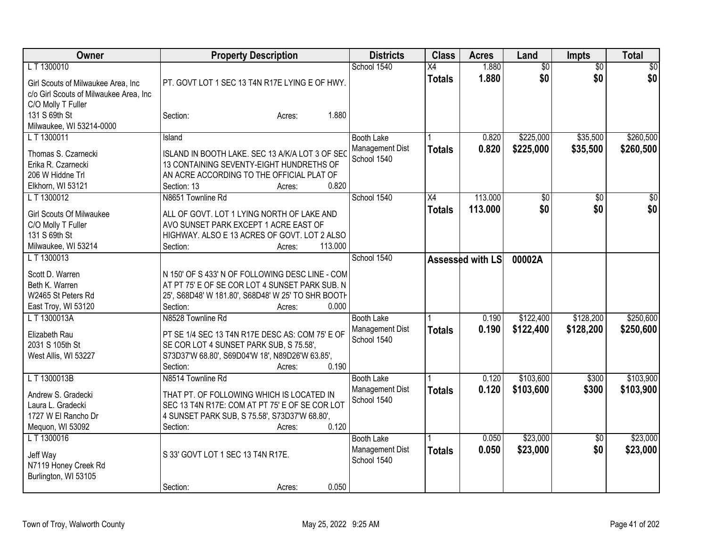| Owner                                                                                                       | <b>Property Description</b>                                                                                                                                                                       | <b>Districts</b>                                    | <b>Class</b>        | <b>Acres</b>       | Land                   | <b>Impts</b>           | <b>Total</b>           |
|-------------------------------------------------------------------------------------------------------------|---------------------------------------------------------------------------------------------------------------------------------------------------------------------------------------------------|-----------------------------------------------------|---------------------|--------------------|------------------------|------------------------|------------------------|
| L T 1300010<br>Girl Scouts of Milwaukee Area, Inc                                                           | PT. GOVT LOT 1 SEC 13 T4N R17E LYING E OF HWY.                                                                                                                                                    | School 1540                                         | X4<br><b>Totals</b> | 1.880<br>1.880     | $\overline{50}$<br>\$0 | \$0<br>\$0             | $\sqrt{30}$<br>\$0     |
| c/o Girl Scouts of Milwaukee Area, Inc<br>C/O Molly T Fuller<br>131 S 69th St<br>Milwaukee, WI 53214-0000   | 1.880<br>Section:<br>Acres:                                                                                                                                                                       |                                                     |                     |                    |                        |                        |                        |
| LT 1300011<br>Thomas S. Czarnecki<br>Erika R. Czarnecki<br>206 W Hiddne Trl<br>Elkhorn, WI 53121            | Island<br>ISLAND IN BOOTH LAKE. SEC 13 A/K/A LOT 3 OF SEC<br>13 CONTAINING SEVENTY-EIGHT HUNDRETHS OF<br>AN ACRE ACCORDING TO THE OFFICIAL PLAT OF<br>0.820<br>Section: 13<br>Acres:              | <b>Booth Lake</b><br>Management Dist<br>School 1540 | <b>Totals</b>       | 0.820<br>0.820     | \$225,000<br>\$225,000 | \$35,500<br>\$35,500   | \$260,500<br>\$260,500 |
| LT 1300012<br><b>Girl Scouts Of Milwaukee</b><br>C/O Molly T Fuller<br>131 S 69th St<br>Milwaukee, WI 53214 | N8651 Townline Rd<br>ALL OF GOVT. LOT 1 LYING NORTH OF LAKE AND<br>AVO SUNSET PARK EXCEPT 1 ACRE EAST OF<br>HIGHWAY. ALSO E 13 ACRES OF GOVT. LOT 2 ALSO<br>113.000<br>Section:<br>Acres:         | School 1540                                         | X4<br><b>Totals</b> | 113.000<br>113.000 | $\sqrt{50}$<br>\$0     | \$0<br>\$0             | $\overline{50}$<br>\$0 |
| LT 1300013<br>Scott D. Warren<br>Beth K. Warren<br>W2465 St Peters Rd<br>East Troy, WI 53120                | N 150' OF S 433' N OF FOLLOWING DESC LINE - COM<br>AT PT 75' E OF SE COR LOT 4 SUNSET PARK SUB. N<br>25', S68D48' W 181.80', S68D48' W 25' TO SHR BOOTH<br>0.000<br>Section:<br>Acres:            | School 1540                                         |                     | Assessed with LS   | 00002A                 |                        |                        |
| L T 1300013A<br>Elizabeth Rau<br>2031 S 105th St<br>West Allis, WI 53227                                    | N8528 Townline Rd<br>PT SE 1/4 SEC 13 T4N R17E DESC AS: COM 75' E OF<br>SE COR LOT 4 SUNSET PARK SUB, S 75.58',<br>S73D37'W 68.80', S69D04'W 18', N89D26'W 63.85',<br>0.190<br>Section:<br>Acres: | <b>Booth Lake</b><br>Management Dist<br>School 1540 | <b>Totals</b>       | 0.190<br>0.190     | \$122,400<br>\$122,400 | \$128,200<br>\$128,200 | \$250,600<br>\$250,600 |
| LT 1300013B<br>Andrew S. Gradecki<br>Laura L. Gradecki<br>1727 W El Rancho Dr<br>Mequon, WI 53092           | N8514 Townline Rd<br>THAT PT. OF FOLLOWING WHICH IS LOCATED IN<br>SEC 13 T4N R17E: COM AT PT 75' E OF SE COR LOT<br>4 SUNSET PARK SUB, S 75.58', S73D37'W 68.80',<br>0.120<br>Section:<br>Acres:  | <b>Booth Lake</b><br>Management Dist<br>School 1540 | <b>Totals</b>       | 0.120<br>0.120     | \$103,600<br>\$103,600 | \$300<br>\$300         | \$103,900<br>\$103,900 |
| L T 1300016<br>Jeff Way<br>N7119 Honey Creek Rd<br>Burlington, WI 53105                                     | S 33' GOVT LOT 1 SEC 13 T4N R17E.<br>0.050<br>Section:<br>Acres:                                                                                                                                  | <b>Booth Lake</b><br>Management Dist<br>School 1540 | <b>Totals</b>       | 0.050<br>0.050     | \$23,000<br>\$23,000   | $\overline{50}$<br>\$0 | \$23,000<br>\$23,000   |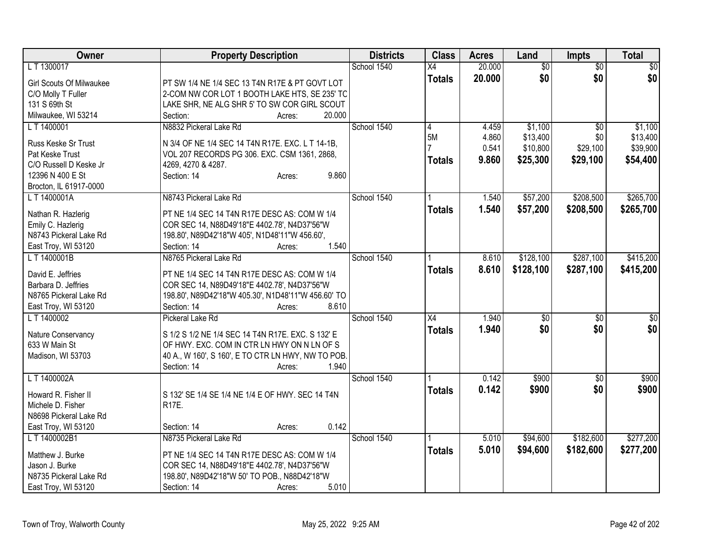| Owner                           | <b>Property Description</b>                         | <b>Districts</b> | <b>Class</b>    | <b>Acres</b> | Land            | <b>Impts</b>    | <b>Total</b>    |
|---------------------------------|-----------------------------------------------------|------------------|-----------------|--------------|-----------------|-----------------|-----------------|
| LT 1300017                      |                                                     | School 1540      | $\overline{X4}$ | 20.000       | $\overline{50}$ | $\overline{50}$ | $\sqrt{50}$     |
| <b>Girl Scouts Of Milwaukee</b> | PT SW 1/4 NE 1/4 SEC 13 T4N R17E & PT GOVT LOT      |                  | <b>Totals</b>   | 20.000       | \$0             | \$0             | \$0             |
| C/O Molly T Fuller              | 2-COM NW COR LOT 1 BOOTH LAKE HTS, SE 235' TC       |                  |                 |              |                 |                 |                 |
| 131 S 69th St                   | LAKE SHR, NE ALG SHR 5' TO SW COR GIRL SCOUT        |                  |                 |              |                 |                 |                 |
| Milwaukee, WI 53214             | 20.000<br>Section:<br>Acres:                        |                  |                 |              |                 |                 |                 |
| LT 1400001                      | N8832 Pickeral Lake Rd                              | School 1540      | $\overline{4}$  | 4.459        | \$1,100         | \$0             | \$1,100         |
| Russ Keske Sr Trust             | N 3/4 OF NE 1/4 SEC 14 T4N R17E. EXC. L T 14-1B,    |                  | 5M              | 4.860        | \$13,400        | \$0             | \$13,400        |
| Pat Keske Trust                 | VOL 207 RECORDS PG 306. EXC. CSM 1361, 2868,        |                  |                 | 0.541        | \$10,800        | \$29,100        | \$39,900        |
| C/O Russell D Keske Jr          | 4269, 4270 & 4287.                                  |                  | <b>Totals</b>   | 9.860        | \$25,300        | \$29,100        | \$54,400        |
| 12396 N 400 E St                | 9.860<br>Section: 14<br>Acres:                      |                  |                 |              |                 |                 |                 |
| Brocton, IL 61917-0000          |                                                     |                  |                 |              |                 |                 |                 |
| LT 1400001A                     | N8743 Pickeral Lake Rd                              | School 1540      |                 | 1.540        | \$57,200        | \$208,500       | \$265,700       |
|                                 |                                                     |                  | <b>Totals</b>   | 1.540        | \$57,200        | \$208,500       | \$265,700       |
| Nathan R. Hazlerig              | PT NE 1/4 SEC 14 T4N R17E DESC AS: COM W 1/4        |                  |                 |              |                 |                 |                 |
| Emily C. Hazlerig               | COR SEC 14, N88D49'18"E 4402.78', N4D37'56"W        |                  |                 |              |                 |                 |                 |
| N8743 Pickeral Lake Rd          | 198.80', N89D42'18"W 405', N1D48'11"W 456.60',      |                  |                 |              |                 |                 |                 |
| East Troy, WI 53120             | 1.540<br>Section: 14<br>Acres:                      |                  |                 |              |                 |                 |                 |
| LT 1400001B                     | N8765 Pickeral Lake Rd                              | School 1540      |                 | 8.610        | \$128,100       | \$287,100       | \$415,200       |
| David E. Jeffries               | PT NE 1/4 SEC 14 T4N R17E DESC AS: COM W 1/4        |                  | <b>Totals</b>   | 8.610        | \$128,100       | \$287,100       | \$415,200       |
| Barbara D. Jeffries             | COR SEC 14, N89D49'18"E 4402.78', N4D37'56"W        |                  |                 |              |                 |                 |                 |
| N8765 Pickeral Lake Rd          | 198.80', N89D42'18"W 405.30', N1D48'11"W 456.60' TO |                  |                 |              |                 |                 |                 |
| East Troy, WI 53120             | 8.610<br>Section: 14<br>Acres:                      |                  |                 |              |                 |                 |                 |
| L T 1400002                     | Pickeral Lake Rd                                    | School 1540      | X4              | 1.940        | \$0             | $\sqrt{6}$      | $\overline{50}$ |
| Nature Conservancy              | S 1/2 S 1/2 NE 1/4 SEC 14 T4N R17E. EXC. S 132' E   |                  | <b>Totals</b>   | 1.940        | \$0             | \$0             | \$0             |
| 633 W Main St                   | OF HWY. EXC. COM IN CTR LN HWY ON N LN OF S         |                  |                 |              |                 |                 |                 |
| Madison, WI 53703               | 40 A., W 160', S 160', E TO CTR LN HWY, NW TO POB.  |                  |                 |              |                 |                 |                 |
|                                 | 1.940<br>Section: 14<br>Acres:                      |                  |                 |              |                 |                 |                 |
| L T 1400002A                    |                                                     | School 1540      |                 | 0.142        | \$900           | \$0             | \$900           |
|                                 |                                                     |                  | <b>Totals</b>   | 0.142        | \$900           | \$0             | \$900           |
| Howard R. Fisher II             | S 132' SE 1/4 SE 1/4 NE 1/4 E OF HWY. SEC 14 T4N    |                  |                 |              |                 |                 |                 |
| Michele D. Fisher               | R17E.                                               |                  |                 |              |                 |                 |                 |
| N8698 Pickeral Lake Rd          |                                                     |                  |                 |              |                 |                 |                 |
| East Troy, WI 53120             | 0.142<br>Section: 14<br>Acres:                      |                  |                 |              |                 |                 |                 |
| L T 1400002B1                   | N8735 Pickeral Lake Rd                              | School 1540      |                 | 5.010        | \$94,600        | \$182,600       | \$277,200       |
| Matthew J. Burke                | PT NE 1/4 SEC 14 T4N R17E DESC AS: COM W 1/4        |                  | <b>Totals</b>   | 5.010        | \$94,600        | \$182,600       | \$277,200       |
| Jason J. Burke                  | COR SEC 14, N88D49'18"E 4402.78', N4D37'56"W        |                  |                 |              |                 |                 |                 |
| N8735 Pickeral Lake Rd          | 198.80', N89D42'18"W 50' TO POB., N88D42'18"W       |                  |                 |              |                 |                 |                 |
| East Troy, WI 53120             | Section: 14<br>5.010<br>Acres:                      |                  |                 |              |                 |                 |                 |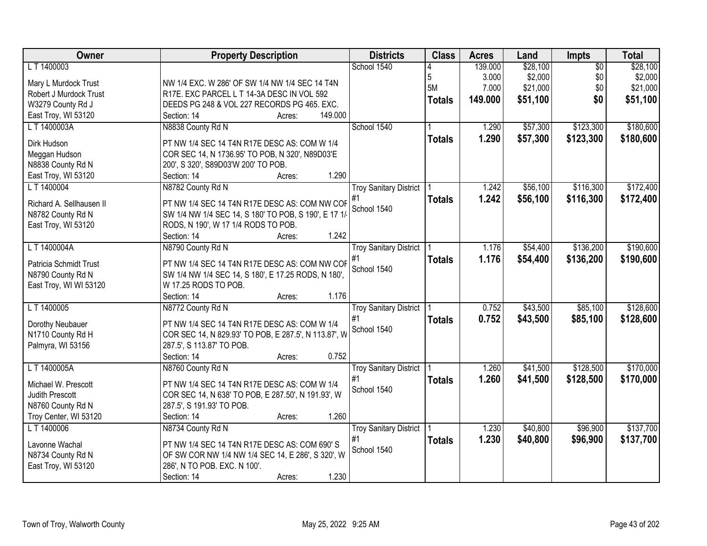| Owner                    | <b>Property Description</b>                          | <b>Districts</b>              | <b>Class</b>  | <b>Acres</b> | Land     | Impts           | <b>Total</b> |
|--------------------------|------------------------------------------------------|-------------------------------|---------------|--------------|----------|-----------------|--------------|
| L T 1400003              |                                                      | School 1540                   |               | 139.000      | \$28,100 | $\overline{50}$ | \$28,100     |
| Mary L Murdock Trust     | NW 1/4 EXC. W 286' OF SW 1/4 NW 1/4 SEC 14 T4N       |                               | 5             | 3.000        | \$2,000  | \$0             | \$2,000      |
| Robert J Murdock Trust   | R17E. EXC PARCEL L T 14-3A DESC IN VOL 592           |                               | 5M            | 7.000        | \$21,000 | \$0             | \$21,000     |
| W3279 County Rd J        | DEEDS PG 248 & VOL 227 RECORDS PG 465. EXC.          |                               | <b>Totals</b> | 149.000      | \$51,100 | \$0             | \$51,100     |
| East Troy, WI 53120      | 149.000<br>Section: 14<br>Acres:                     |                               |               |              |          |                 |              |
| L T 1400003A             | N8838 County Rd N                                    | School 1540                   |               | 1.290        | \$57,300 | \$123,300       | \$180,600    |
|                          |                                                      |                               |               |              |          |                 |              |
| Dirk Hudson              | PT NW 1/4 SEC 14 T4N R17E DESC AS: COM W 1/4         |                               | <b>Totals</b> | 1.290        | \$57,300 | \$123,300       | \$180,600    |
| Meggan Hudson            | COR SEC 14, N 1736.95' TO POB, N 320', N89D03'E      |                               |               |              |          |                 |              |
| N8838 County Rd N        | 200', S 320', S89D03'W 200' TO POB.                  |                               |               |              |          |                 |              |
| East Troy, WI 53120      | 1.290<br>Section: 14<br>Acres:                       |                               |               |              |          |                 |              |
| L T 1400004              | N8782 County Rd N                                    | <b>Troy Sanitary District</b> |               | 1.242        | \$56,100 | \$116,300       | \$172,400    |
|                          |                                                      | #1                            | <b>Totals</b> | 1.242        | \$56,100 | \$116,300       | \$172,400    |
| Richard A. Sellhausen II | PT NW 1/4 SEC 14 T4N R17E DESC AS: COM NW COF        | School 1540                   |               |              |          |                 |              |
| N8782 County Rd N        | SW 1/4 NW 1/4 SEC 14, S 180' TO POB, S 190', E 17 1/ |                               |               |              |          |                 |              |
| East Troy, WI 53120      | RODS, N 190', W 17 1/4 RODS TO POB.                  |                               |               |              |          |                 |              |
|                          | 1.242<br>Section: 14<br>Acres:                       |                               |               |              |          |                 |              |
| L T 1400004A             | N8790 County Rd N                                    | <b>Troy Sanitary District</b> |               | 1.176        | \$54,400 | \$136,200       | \$190,600    |
| Patricia Schmidt Trust   | PT NW 1/4 SEC 14 T4N R17E DESC AS: COM NW COF        | #1                            | <b>Totals</b> | 1.176        | \$54,400 | \$136,200       | \$190,600    |
| N8790 County Rd N        | SW 1/4 NW 1/4 SEC 14, S 180', E 17.25 RODS, N 180',  | School 1540                   |               |              |          |                 |              |
| East Troy, WI WI 53120   | W 17.25 RODS TO POB.                                 |                               |               |              |          |                 |              |
|                          | 1.176<br>Section: 14<br>Acres:                       |                               |               |              |          |                 |              |
| L T 1400005              | N8772 County Rd N                                    | <b>Troy Sanitary District</b> |               | 0.752        | \$43,500 | \$85,100        | \$128,600    |
|                          |                                                      | #1                            | <b>Totals</b> | 0.752        | \$43,500 | \$85,100        | \$128,600    |
| Dorothy Neubauer         | PT NW 1/4 SEC 14 T4N R17E DESC AS: COM W 1/4         | School 1540                   |               |              |          |                 |              |
| N1710 County Rd H        | COR SEC 14, N 829.93' TO POB, E 287.5', N 113.87', W |                               |               |              |          |                 |              |
| Palmyra, WI 53156        | 287.5', S 113.87' TO POB.                            |                               |               |              |          |                 |              |
|                          | 0.752<br>Section: 14<br>Acres:                       |                               |               |              |          |                 |              |
| L T 1400005A             | N8760 County Rd N                                    | <b>Troy Sanitary District</b> |               | 1.260        | \$41,500 | \$128,500       | \$170,000    |
| Michael W. Prescott      | PT NW 1/4 SEC 14 T4N R17E DESC AS: COM W 1/4         | #1                            | <b>Totals</b> | 1.260        | \$41,500 | \$128,500       | \$170,000    |
| Judith Prescott          | COR SEC 14, N 638' TO POB, E 287.50', N 191.93', W   | School 1540                   |               |              |          |                 |              |
| N8760 County Rd N        | 287.5', S 191.93' TO POB.                            |                               |               |              |          |                 |              |
| Troy Center, WI 53120    | 1.260<br>Section: 14<br>Acres:                       |                               |               |              |          |                 |              |
| L T 1400006              | N8734 County Rd N                                    | <b>Troy Sanitary District</b> |               | 1.230        | \$40,800 | \$96,900        | \$137,700    |
|                          |                                                      | #1                            |               | 1.230        | \$40,800 | \$96,900        | \$137,700    |
| Lavonne Wachal           | PT NW 1/4 SEC 14 T4N R17E DESC AS: COM 690'S         | School 1540                   | <b>Totals</b> |              |          |                 |              |
| N8734 County Rd N        | OF SW COR NW 1/4 NW 1/4 SEC 14, E 286', S 320', W    |                               |               |              |          |                 |              |
| East Troy, WI 53120      | 286', N TO POB. EXC. N 100'.                         |                               |               |              |          |                 |              |
|                          | 1.230<br>Section: 14<br>Acres:                       |                               |               |              |          |                 |              |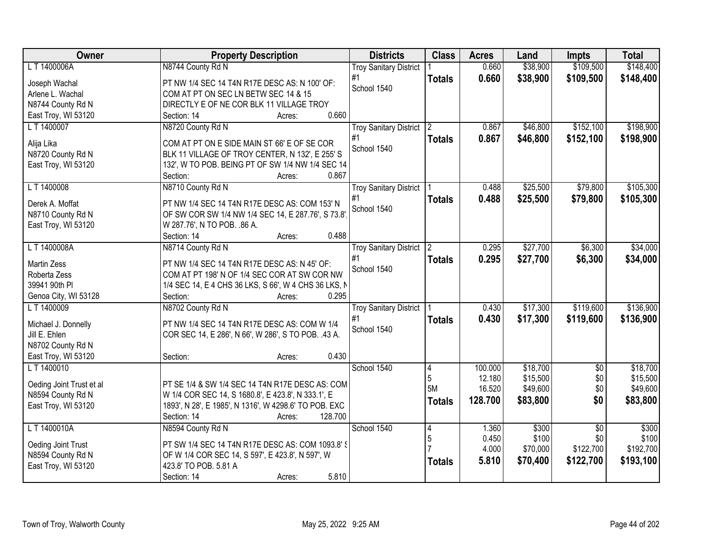| Owner                    | <b>Property Description</b>                           | <b>Districts</b>              | <b>Class</b>   | <b>Acres</b> | Land     | <b>Impts</b>    | <b>Total</b> |
|--------------------------|-------------------------------------------------------|-------------------------------|----------------|--------------|----------|-----------------|--------------|
| L T 1400006A             | N8744 County Rd N                                     | <b>Troy Sanitary District</b> |                | 0.660        | \$38,900 | \$109,500       | \$148,400    |
| Joseph Wachal            | PT NW 1/4 SEC 14 T4N R17E DESC AS: N 100' OF:         | #1                            | <b>Totals</b>  | 0.660        | \$38,900 | \$109,500       | \$148,400    |
| Arlene L. Wachal         | COM AT PT ON SEC LN BETW SEC 14 & 15                  | School 1540                   |                |              |          |                 |              |
| N8744 County Rd N        | DIRECTLY E OF NE COR BLK 11 VILLAGE TROY              |                               |                |              |          |                 |              |
| East Troy, WI 53120      | 0.660<br>Section: 14<br>Acres:                        |                               |                |              |          |                 |              |
| L T 1400007              | N8720 County Rd N                                     | <b>Troy Sanitary District</b> | $\overline{2}$ | 0.867        | \$46,800 | \$152,100       | \$198,900    |
|                          |                                                       | #1                            | <b>Totals</b>  | 0.867        | \$46,800 | \$152,100       | \$198,900    |
| Alija Lika               | COM AT PT ON E SIDE MAIN ST 66' E OF SE COR           | School 1540                   |                |              |          |                 |              |
| N8720 County Rd N        | BLK 11 VILLAGE OF TROY CENTER, N 132', E 255' S       |                               |                |              |          |                 |              |
| East Troy, WI 53120      | 132', W TO POB. BEING PT OF SW 1/4 NW 1/4 SEC 14      |                               |                |              |          |                 |              |
|                          | 0.867<br>Section:<br>Acres:                           |                               |                |              |          |                 |              |
| L T 1400008              | N8710 County Rd N                                     | <b>Troy Sanitary District</b> |                | 0.488        | \$25,500 | \$79,800        | \$105,300    |
| Derek A. Moffat          | PT NW 1/4 SEC 14 T4N R17E DESC AS: COM 153' N         | #1                            | <b>Totals</b>  | 0.488        | \$25,500 | \$79,800        | \$105,300    |
| N8710 County Rd N        | OF SW COR SW 1/4 NW 1/4 SEC 14, E 287.76', S 73.8'    | School 1540                   |                |              |          |                 |              |
| East Troy, WI 53120      | W 287.76', N TO POB. .86 A.                           |                               |                |              |          |                 |              |
|                          | 0.488<br>Section: 14<br>Acres:                        |                               |                |              |          |                 |              |
| L T 1400008A             | N8714 County Rd N                                     | <b>Troy Sanitary District</b> | $\overline{2}$ | 0.295        | \$27,700 | \$6,300         | \$34,000     |
|                          |                                                       | #1                            | <b>Totals</b>  | 0.295        | \$27,700 | \$6,300         | \$34,000     |
| <b>Martin Zess</b>       | PT NW 1/4 SEC 14 T4N R17E DESC AS: N 45' OF:          | School 1540                   |                |              |          |                 |              |
| Roberta Zess             | COM AT PT 198' N OF 1/4 SEC COR AT SW COR NW          |                               |                |              |          |                 |              |
| 39941 90th PI            | 1/4 SEC 14, E 4 CHS 36 LKS, S 66', W 4 CHS 36 LKS, N  |                               |                |              |          |                 |              |
| Genoa City, WI 53128     | 0.295<br>Section:<br>Acres:                           |                               |                |              |          |                 |              |
| LT 1400009               | N8702 County Rd N                                     | <b>Troy Sanitary District</b> |                | 0.430        | \$17,300 | \$119,600       | \$136,900    |
| Michael J. Donnelly      | PT NW 1/4 SEC 14 T4N R17E DESC AS: COM W 1/4          | #1                            | <b>Totals</b>  | 0.430        | \$17,300 | \$119,600       | \$136,900    |
| Jill E. Ehlen            | COR SEC 14, E 286', N 66', W 286', S TO POB. .43 A.   | School 1540                   |                |              |          |                 |              |
| N8702 County Rd N        |                                                       |                               |                |              |          |                 |              |
| East Troy, WI 53120      | 0.430<br>Section:<br>Acres:                           |                               |                |              |          |                 |              |
| L T 1400010              |                                                       | School 1540                   | $\vert 4$      | 100.000      | \$18,700 | $\sqrt{6}$      | \$18,700     |
|                          |                                                       |                               | 5              | 12.180       | \$15,500 | \$0             | \$15,500     |
| Oeding Joint Trust et al | PT SE 1/4 & SW 1/4 SEC 14 T4N R17E DESC AS: COM       |                               | 5M             | 16.520       | \$49,600 | \$0             | \$49,600     |
| N8594 County Rd N        | W 1/4 COR SEC 14, S 1680.8', E 423.8', N 333.1', E    |                               | <b>Totals</b>  | 128.700      | \$83,800 | \$0             | \$83,800     |
| East Troy, WI 53120      | 1893', N 28', E 1985', N 1316', W 4298.6' TO POB. EXC |                               |                |              |          |                 |              |
|                          | 128.700<br>Section: 14<br>Acres:                      |                               |                |              |          |                 |              |
| L T 1400010A             | N8594 County Rd N                                     | School 1540                   | 14             | 1.360        | \$300    | $\overline{50}$ | \$300        |
| Oeding Joint Trust       | PT SW 1/4 SEC 14 T4N R17E DESC AS: COM 1093.8' §      |                               | 5              | 0.450        | \$100    | \$0             | \$100        |
| N8594 County Rd N        | OF W 1/4 COR SEC 14, S 597', E 423.8', N 597', W      |                               |                | 4.000        | \$70,000 | \$122,700       | \$192,700    |
| East Troy, WI 53120      | 423.8' TO POB. 5.81 A                                 |                               | <b>Totals</b>  | 5.810        | \$70,400 | \$122,700       | \$193,100    |
|                          | 5.810<br>Section: 14<br>Acres:                        |                               |                |              |          |                 |              |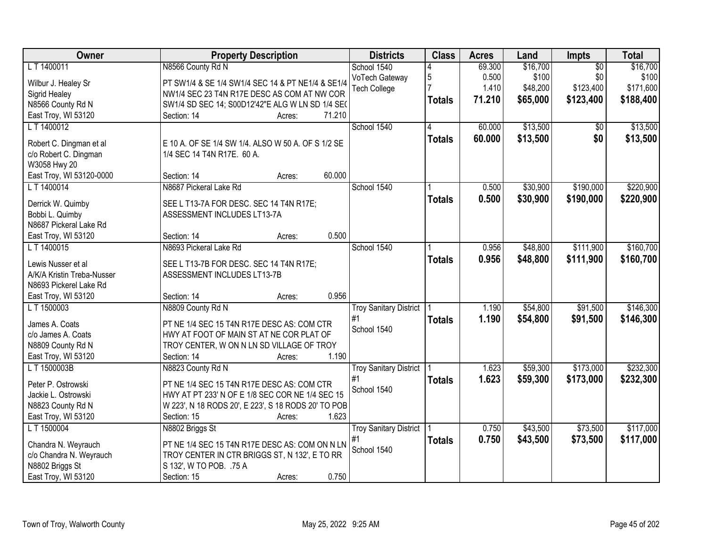| Owner                      | <b>Property Description</b>                         | <b>Districts</b>              | <b>Class</b>   | <b>Acres</b> | Land     | Impts           | <b>Total</b> |
|----------------------------|-----------------------------------------------------|-------------------------------|----------------|--------------|----------|-----------------|--------------|
| L T 1400011                | N8566 County Rd N                                   | School 1540                   |                | 69.300       | \$16,700 | $\overline{50}$ | \$16,700     |
| Wilbur J. Healey Sr        | PT SW1/4 & SE 1/4 SW1/4 SEC 14 & PT NE1/4 & SE1/4   | VoTech Gateway                | $\overline{5}$ | 0.500        | \$100    | \$0             | \$100        |
| Sigrid Healey              | NW1/4 SEC 23 T4N R17E DESC AS COM AT NW COR         | Tech College                  |                | 1.410        | \$48,200 | \$123,400       | \$171,600    |
| N8566 County Rd N          | SW1/4 SD SEC 14; S00D12'42"E ALG W LN SD 1/4 SE(    |                               | <b>Totals</b>  | 71.210       | \$65,000 | \$123,400       | \$188,400    |
| East Troy, WI 53120        | 71.210<br>Section: 14<br>Acres:                     |                               |                |              |          |                 |              |
| L T 1400012                |                                                     | School 1540                   | 4              | 60.000       | \$13,500 | \$0             | \$13,500     |
|                            |                                                     |                               | <b>Totals</b>  | 60.000       | \$13,500 | \$0             | \$13,500     |
| Robert C. Dingman et al    | E 10 A. OF SE 1/4 SW 1/4. ALSO W 50 A. OF S 1/2 SE  |                               |                |              |          |                 |              |
| c/o Robert C. Dingman      | 1/4 SEC 14 T4N R17E. 60 A.                          |                               |                |              |          |                 |              |
| W3058 Hwy 20               |                                                     |                               |                |              |          |                 |              |
| East Troy, WI 53120-0000   | 60.000<br>Section: 14<br>Acres:                     |                               |                |              |          |                 |              |
| L T 1400014                | N8687 Pickeral Lake Rd                              | School 1540                   |                | 0.500        | \$30,900 | \$190,000       | \$220,900    |
| Derrick W. Quimby          | SEE L T13-7A FOR DESC. SEC 14 T4N R17E;             |                               | <b>Totals</b>  | 0.500        | \$30,900 | \$190,000       | \$220,900    |
| Bobbi L. Quimby            | ASSESSMENT INCLUDES LT13-7A                         |                               |                |              |          |                 |              |
| N8687 Pickeral Lake Rd     |                                                     |                               |                |              |          |                 |              |
| East Troy, WI 53120        | 0.500<br>Section: 14<br>Acres:                      |                               |                |              |          |                 |              |
| L T 1400015                | N8693 Pickeral Lake Rd                              | School 1540                   |                | 0.956        | \$48,800 | \$111,900       | \$160,700    |
| Lewis Nusser et al         | SEE L T13-7B FOR DESC. SEC 14 T4N R17E;             |                               | <b>Totals</b>  | 0.956        | \$48,800 | \$111,900       | \$160,700    |
| A/K/A Kristin Treba-Nusser | ASSESSMENT INCLUDES LT13-7B                         |                               |                |              |          |                 |              |
| N8693 Pickerel Lake Rd     |                                                     |                               |                |              |          |                 |              |
| East Troy, WI 53120        | 0.956<br>Section: 14<br>Acres:                      |                               |                |              |          |                 |              |
| L T 1500003                | N8809 County Rd N                                   | <b>Troy Sanitary District</b> |                | 1.190        | \$54,800 | \$91,500        | \$146,300    |
|                            |                                                     | #1                            | <b>Totals</b>  | 1.190        | \$54,800 | \$91,500        | \$146,300    |
| James A. Coats             | PT NE 1/4 SEC 15 T4N R17E DESC AS: COM CTR          | School 1540                   |                |              |          |                 |              |
| c/o James A. Coats         | HWY AT FOOT OF MAIN ST AT NE COR PLAT OF            |                               |                |              |          |                 |              |
| N8809 County Rd N          | TROY CENTER, W ON N LN SD VILLAGE OF TROY           |                               |                |              |          |                 |              |
| East Troy, WI 53120        | 1.190<br>Section: 14<br>Acres:                      |                               |                |              |          |                 |              |
| L T 1500003B               | N8823 County Rd N                                   | <b>Troy Sanitary District</b> |                | 1.623        | \$59,300 | \$173,000       | \$232,300    |
| Peter P. Ostrowski         | PT NE 1/4 SEC 15 T4N R17E DESC AS: COM CTR          | #1                            | <b>Totals</b>  | 1.623        | \$59,300 | \$173,000       | \$232,300    |
| Jackie L. Ostrowski        | HWY AT PT 233' N OF E 1/8 SEC COR NE 1/4 SEC 15     | School 1540                   |                |              |          |                 |              |
| N8823 County Rd N          | W 223', N 18 RODS 20', E 223', S 18 RODS 20' TO POB |                               |                |              |          |                 |              |
| East Troy, WI 53120        | 1.623<br>Section: 15<br>Acres:                      |                               |                |              |          |                 |              |
| L T 1500004                | N8802 Briggs St                                     | <b>Troy Sanitary District</b> |                | 0.750        | \$43,500 | \$73,500        | \$117,000    |
| Chandra N. Weyrauch        | PT NE 1/4 SEC 15 T4N R17E DESC AS: COM ON N LN      | #1                            | <b>Totals</b>  | 0.750        | \$43,500 | \$73,500        | \$117,000    |
| c/o Chandra N. Weyrauch    | TROY CENTER IN CTR BRIGGS ST, N 132', E TO RR       | School 1540                   |                |              |          |                 |              |
| N8802 Briggs St            | S 132', W TO POB. .75 A                             |                               |                |              |          |                 |              |
| East Troy, WI 53120        | 0.750<br>Section: 15<br>Acres:                      |                               |                |              |          |                 |              |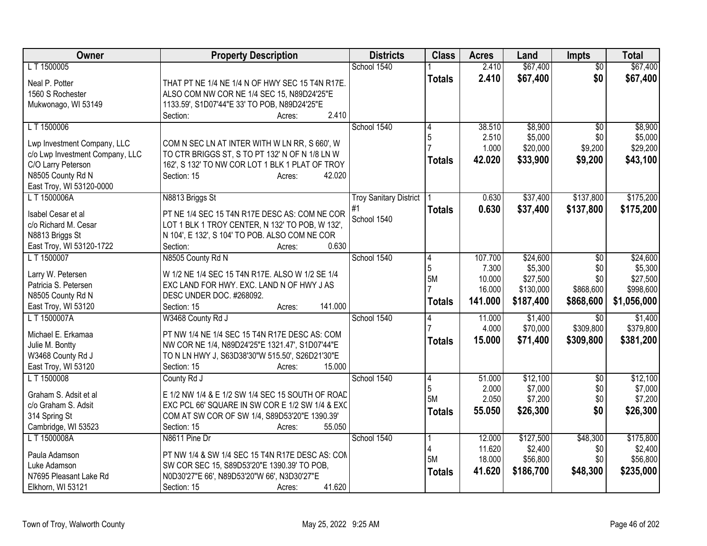| Owner                                  | <b>Property Description</b>                                                                | <b>Districts</b>              | <b>Class</b>  | <b>Acres</b> | Land      | <b>Impts</b>    | <b>Total</b> |
|----------------------------------------|--------------------------------------------------------------------------------------------|-------------------------------|---------------|--------------|-----------|-----------------|--------------|
| L T 1500005                            |                                                                                            | School 1540                   |               | 2.410        | \$67,400  | \$0             | \$67,400     |
| Neal P. Potter                         | THAT PT NE 1/4 NE 1/4 N OF HWY SEC 15 T4N R17E.                                            |                               | <b>Totals</b> | 2.410        | \$67,400  | \$0             | \$67,400     |
| 1560 S Rochester                       | ALSO COM NW COR NE 1/4 SEC 15, N89D24'25"E                                                 |                               |               |              |           |                 |              |
| Mukwonago, WI 53149                    | 1133.59', S1D07'44"E 33' TO POB, N89D24'25"E                                               |                               |               |              |           |                 |              |
|                                        | 2.410<br>Section:<br>Acres:                                                                |                               |               |              |           |                 |              |
| L T 1500006                            |                                                                                            | School 1540                   | 4             | 38.510       | \$8,900   | $\overline{50}$ | \$8,900      |
| Lwp Investment Company, LLC            | COM N SEC LN AT INTER WITH W LN RR, S 660', W                                              |                               | 5             | 2.510        | \$5,000   | \$0             | \$5,000      |
| c/o Lwp Investment Company, LLC        | TO CTR BRIGGS ST, S TO PT 132' N OF N 1/8 LN W                                             |                               |               | 1.000        | \$20,000  | \$9,200         | \$29,200     |
| C/O Larry Peterson                     | 162', S 132' TO NW COR LOT 1 BLK 1 PLAT OF TROY                                            |                               | <b>Totals</b> | 42.020       | \$33,900  | \$9,200         | \$43,100     |
| N8505 County Rd N                      | Section: 15<br>42.020<br>Acres:                                                            |                               |               |              |           |                 |              |
| East Troy, WI 53120-0000               |                                                                                            |                               |               |              |           |                 |              |
| LT 1500006A                            | N8813 Briggs St                                                                            | <b>Troy Sanitary District</b> |               | 0.630        | \$37,400  | \$137,800       | \$175,200    |
| Isabel Cesar et al                     | PT NE 1/4 SEC 15 T4N R17E DESC AS: COM NE COR                                              | #1                            | <b>Totals</b> | 0.630        | \$37,400  | \$137,800       | \$175,200    |
| c/o Richard M. Cesar                   | LOT 1 BLK 1 TROY CENTER, N 132' TO POB, W 132',                                            | School 1540                   |               |              |           |                 |              |
| N8813 Briggs St                        | N 104', E 132', S 104' TO POB. ALSO COM NE COR                                             |                               |               |              |           |                 |              |
| East Troy, WI 53120-1722               | 0.630<br>Section:<br>Acres:                                                                |                               |               |              |           |                 |              |
| L T 1500007                            | N8505 County Rd N                                                                          | School 1540                   | 4             | 107.700      | \$24,600  | $\overline{50}$ | \$24,600     |
|                                        |                                                                                            |                               | 5             | 7.300        | \$5,300   | \$0             | \$5,300      |
| Larry W. Petersen                      | W 1/2 NE 1/4 SEC 15 T4N R17E. ALSO W 1/2 SE 1/4                                            |                               | 5M            | 10.000       | \$27,500  | \$0             | \$27,500     |
| Patricia S. Petersen                   | EXC LAND FOR HWY. EXC. LAND N OF HWY J AS                                                  |                               |               | 16.000       | \$130,000 | \$868,600       | \$998,600    |
| N8505 County Rd N                      | DESC UNDER DOC. #268092.<br>141.000                                                        |                               | <b>Totals</b> | 141.000      | \$187,400 | \$868,600       | \$1,056,000  |
| East Troy, WI 53120<br>L T 1500007A    | Section: 15<br>Acres:<br>W3468 County Rd J                                                 | School 1540                   |               | 11.000       | \$1,400   | \$0             | \$1,400      |
|                                        |                                                                                            |                               | 4             | 4.000        | \$70,000  | \$309,800       | \$379,800    |
| Michael E. Erkamaa                     | PT NW 1/4 NE 1/4 SEC 15 T4N R17E DESC AS: COM                                              |                               |               | 15,000       | \$71,400  | \$309,800       | \$381,200    |
| Julie M. Bontty                        | NW COR NE 1/4, N89D24'25"E 1321.47', S1D07'44"E                                            |                               | <b>Totals</b> |              |           |                 |              |
| W3468 County Rd J                      | TO N LN HWY J, S63D38'30"W 515.50', S26D21'30"E                                            |                               |               |              |           |                 |              |
| East Troy, WI 53120                    | Section: 15<br>15.000<br>Acres:                                                            |                               |               |              |           |                 |              |
| L T 1500008                            | County Rd J                                                                                | School 1540                   | 4             | 51.000       | \$12,100  | $\overline{50}$ | \$12,100     |
| Graham S. Adsit et al                  | E 1/2 NW 1/4 & E 1/2 SW 1/4 SEC 15 SOUTH OF ROAD                                           |                               | 5             | 2.000        | \$7,000   | \$0             | \$7,000      |
| c/o Graham S. Adsit                    | EXC PCL 66' SQUARE IN SW COR E 1/2 SW 1/4 & EXC                                            |                               | 5M            | 2.050        | \$7,200   | \$0             | \$7,200      |
| 314 Spring St                          | COM AT SW COR OF SW 1/4, S89D53'20"E 1390.39'                                              |                               | <b>Totals</b> | 55.050       | \$26,300  | \$0             | \$26,300     |
| Cambridge, WI 53523                    | 55.050<br>Section: 15<br>Acres:                                                            |                               |               |              |           |                 |              |
| L T 1500008A                           | N8611 Pine Dr                                                                              | School 1540                   |               | 12.000       | \$127,500 | \$48,300        | \$175,800    |
|                                        |                                                                                            |                               | 4             | 11.620       | \$2,400   | \$0             | \$2,400      |
| Paula Adamson                          | PT NW 1/4 & SW 1/4 SEC 15 T4N R17E DESC AS: CON                                            |                               | 5M            | 18.000       | \$56,800  | \$0             | \$56,800     |
| Luke Adamson<br>N7695 Pleasant Lake Rd | SW COR SEC 15, S89D53'20"E 1390.39' TO POB,<br>N0D30'27"E 66', N89D53'20"W 66', N3D30'27"E |                               | <b>Totals</b> | 41.620       | \$186,700 | \$48,300        | \$235,000    |
| Elkhorn, WI 53121                      | 41.620<br>Section: 15<br>Acres:                                                            |                               |               |              |           |                 |              |
|                                        |                                                                                            |                               |               |              |           |                 |              |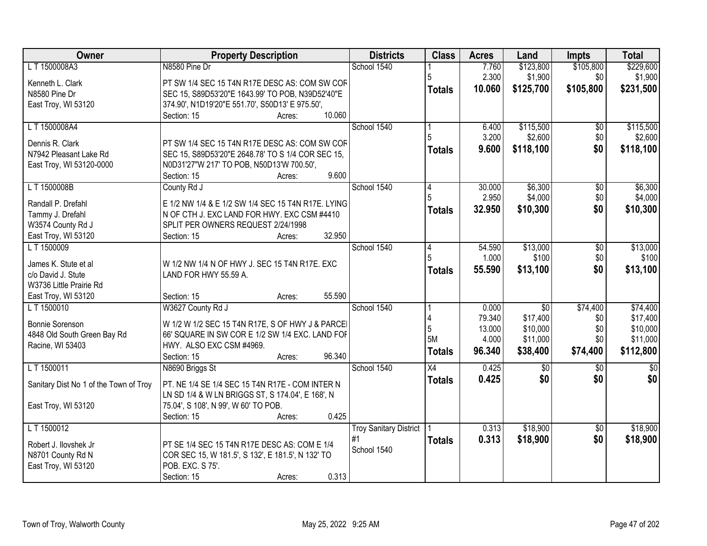| \$105,800<br>LT 1500008A3<br>N8580 Pine Dr<br>School 1540<br>7.760<br>\$123,800<br>2.300<br>\$1,900<br>\$0<br>\$1,900<br>PT SW 1/4 SEC 15 T4N R17E DESC AS: COM SW COF<br>Kenneth L. Clark<br>\$125,700<br>10.060<br>\$105,800<br>\$231,500<br><b>Totals</b><br>SEC 15, S89D53'20"E 1643.99' TO POB, N39D52'40"E<br>N8580 Pine Dr<br>374.90', N1D19'20"E 551.70', S50D13' E 975.50',<br>East Troy, WI 53120<br>10.060<br>Section: 15<br>Acres:<br>LT 1500008A4<br>School 1540<br>\$115,500<br>6.400<br>$\overline{50}$<br>3.200<br>\$0<br>\$2,600<br>Dennis R. Clark<br>PT SW 1/4 SEC 15 T4N R17E DESC AS: COM SW COF<br>\$0<br>9.600<br>\$118,100<br><b>Totals</b><br>SEC 15, S89D53'20"E 2648.78' TO S 1/4 COR SEC 15,<br>N7942 Pleasant Lake Rd<br>East Troy, WI 53120-0000<br>N0D31'27"W 217' TO POB, N50D13'W 700.50', | <b>Owner</b> | <b>Property Description</b>    | <b>Districts</b> | <b>Class</b> | <b>Acres</b> | Land | <b>Impts</b> | <b>Total</b>         |
|-----------------------------------------------------------------------------------------------------------------------------------------------------------------------------------------------------------------------------------------------------------------------------------------------------------------------------------------------------------------------------------------------------------------------------------------------------------------------------------------------------------------------------------------------------------------------------------------------------------------------------------------------------------------------------------------------------------------------------------------------------------------------------------------------------------------------------|--------------|--------------------------------|------------------|--------------|--------------|------|--------------|----------------------|
|                                                                                                                                                                                                                                                                                                                                                                                                                                                                                                                                                                                                                                                                                                                                                                                                                             |              |                                |                  |              |              |      |              | \$229,600            |
|                                                                                                                                                                                                                                                                                                                                                                                                                                                                                                                                                                                                                                                                                                                                                                                                                             |              |                                |                  |              |              |      |              |                      |
|                                                                                                                                                                                                                                                                                                                                                                                                                                                                                                                                                                                                                                                                                                                                                                                                                             |              |                                |                  |              |              |      |              |                      |
|                                                                                                                                                                                                                                                                                                                                                                                                                                                                                                                                                                                                                                                                                                                                                                                                                             |              |                                |                  |              |              |      |              |                      |
|                                                                                                                                                                                                                                                                                                                                                                                                                                                                                                                                                                                                                                                                                                                                                                                                                             |              |                                |                  |              |              |      |              |                      |
|                                                                                                                                                                                                                                                                                                                                                                                                                                                                                                                                                                                                                                                                                                                                                                                                                             |              |                                |                  |              |              |      |              | \$115,500            |
|                                                                                                                                                                                                                                                                                                                                                                                                                                                                                                                                                                                                                                                                                                                                                                                                                             |              |                                |                  |              |              |      |              | \$2,600              |
|                                                                                                                                                                                                                                                                                                                                                                                                                                                                                                                                                                                                                                                                                                                                                                                                                             |              |                                |                  |              |              |      |              | \$118,100            |
|                                                                                                                                                                                                                                                                                                                                                                                                                                                                                                                                                                                                                                                                                                                                                                                                                             |              |                                |                  |              |              |      |              |                      |
|                                                                                                                                                                                                                                                                                                                                                                                                                                                                                                                                                                                                                                                                                                                                                                                                                             |              | 9.600<br>Section: 15<br>Acres: |                  |              |              |      |              |                      |
| LT 1500008B<br>School 1540<br>\$6,300<br>County Rd J<br>30.000<br>\$0<br>4                                                                                                                                                                                                                                                                                                                                                                                                                                                                                                                                                                                                                                                                                                                                                  |              |                                |                  |              |              |      |              | \$6,300              |
| 2.950<br>\$4,000<br>\$0                                                                                                                                                                                                                                                                                                                                                                                                                                                                                                                                                                                                                                                                                                                                                                                                     |              |                                |                  |              |              |      |              | \$4,000              |
| Randall P. Drefahl<br>E 1/2 NW 1/4 & E 1/2 SW 1/4 SEC 15 T4N R17E. LYING<br>32.950<br>\$10,300<br>\$0<br><b>Totals</b><br>Tammy J. Drefahl<br>N OF CTH J. EXC LAND FOR HWY. EXC CSM #4410                                                                                                                                                                                                                                                                                                                                                                                                                                                                                                                                                                                                                                   |              |                                |                  |              |              |      |              | \$10,300             |
| SPLIT PER OWNERS REQUEST 2/24/1998<br>W3574 County Rd J                                                                                                                                                                                                                                                                                                                                                                                                                                                                                                                                                                                                                                                                                                                                                                     |              |                                |                  |              |              |      |              |                      |
| 32.950<br>East Troy, WI 53120<br>Section: 15<br>Acres:                                                                                                                                                                                                                                                                                                                                                                                                                                                                                                                                                                                                                                                                                                                                                                      |              |                                |                  |              |              |      |              |                      |
| \$13,000<br>LT 1500009<br>School 1540<br>$\overline{50}$<br>54.590<br>4                                                                                                                                                                                                                                                                                                                                                                                                                                                                                                                                                                                                                                                                                                                                                     |              |                                |                  |              |              |      |              | \$13,000             |
| 1.000<br>\$100<br>\$0                                                                                                                                                                                                                                                                                                                                                                                                                                                                                                                                                                                                                                                                                                                                                                                                       |              |                                |                  |              |              |      |              | \$100                |
| James K. Stute et al<br>W 1/2 NW 1/4 N OF HWY J. SEC 15 T4N R17E. EXC<br>\$0<br>55.590<br>\$13,100<br><b>Totals</b>                                                                                                                                                                                                                                                                                                                                                                                                                                                                                                                                                                                                                                                                                                         |              |                                |                  |              |              |      |              | \$13,100             |
| c/o David J. Stute<br>LAND FOR HWY 55.59 A.                                                                                                                                                                                                                                                                                                                                                                                                                                                                                                                                                                                                                                                                                                                                                                                 |              |                                |                  |              |              |      |              |                      |
| W3736 Little Prairie Rd                                                                                                                                                                                                                                                                                                                                                                                                                                                                                                                                                                                                                                                                                                                                                                                                     |              |                                |                  |              |              |      |              |                      |
| 55.590<br>East Troy, WI 53120<br>Section: 15<br>Acres:                                                                                                                                                                                                                                                                                                                                                                                                                                                                                                                                                                                                                                                                                                                                                                      |              |                                |                  |              |              |      |              |                      |
| 0.000<br>$\overline{50}$<br>\$74,400<br>LT 1500010<br>W3627 County Rd J<br>School 1540                                                                                                                                                                                                                                                                                                                                                                                                                                                                                                                                                                                                                                                                                                                                      |              |                                |                  |              |              |      |              | \$74,400             |
| \$17,400<br>79.340<br>\$0<br><b>Bonnie Sorenson</b><br>W 1/2 W 1/2 SEC 15 T4N R17E, S OF HWY J & PARCEI                                                                                                                                                                                                                                                                                                                                                                                                                                                                                                                                                                                                                                                                                                                     |              |                                |                  |              |              |      |              | \$17,400             |
| \$10,000<br>\$0<br>5<br>13.000<br>4848 Old South Green Bay Rd<br>66' SQUARE IN SW COR E 1/2 SW 1/4 EXC. LAND FOF<br>5M<br>\$0<br>4.000<br>\$11,000                                                                                                                                                                                                                                                                                                                                                                                                                                                                                                                                                                                                                                                                          |              |                                |                  |              |              |      |              | \$10,000<br>\$11,000 |
| Racine, WI 53403<br>HWY. ALSO EXC CSM #4969.                                                                                                                                                                                                                                                                                                                                                                                                                                                                                                                                                                                                                                                                                                                                                                                |              |                                |                  |              |              |      |              |                      |
| 96.340<br>\$74,400<br>\$38,400<br><b>Totals</b><br>96.340<br>Section: 15<br>Acres:                                                                                                                                                                                                                                                                                                                                                                                                                                                                                                                                                                                                                                                                                                                                          |              |                                |                  |              |              |      |              | \$112,800            |
| L T 1500011<br>School 1540<br>X4<br>0.425<br>$\overline{50}$<br>N8690 Briggs St<br>\$0                                                                                                                                                                                                                                                                                                                                                                                                                                                                                                                                                                                                                                                                                                                                      |              |                                |                  |              |              |      |              | $\overline{50}$      |
| \$0<br>0.425<br>\$0<br><b>Totals</b><br>Sanitary Dist No 1 of the Town of Troy<br>PT. NE 1/4 SE 1/4 SEC 15 T4N R17E - COM INTER N                                                                                                                                                                                                                                                                                                                                                                                                                                                                                                                                                                                                                                                                                           |              |                                |                  |              |              |      |              | \$0                  |
| LN SD 1/4 & W LN BRIGGS ST, S 174.04', E 168', N                                                                                                                                                                                                                                                                                                                                                                                                                                                                                                                                                                                                                                                                                                                                                                            |              |                                |                  |              |              |      |              |                      |
| East Troy, WI 53120<br>75.04', S 108', N 99', W 60' TO POB.                                                                                                                                                                                                                                                                                                                                                                                                                                                                                                                                                                                                                                                                                                                                                                 |              |                                |                  |              |              |      |              |                      |
| 0.425<br>Section: 15<br>Acres:                                                                                                                                                                                                                                                                                                                                                                                                                                                                                                                                                                                                                                                                                                                                                                                              |              |                                |                  |              |              |      |              |                      |
| LT 1500012<br>\$18,900<br><b>Troy Sanitary District</b><br>0.313<br>$\overline{50}$                                                                                                                                                                                                                                                                                                                                                                                                                                                                                                                                                                                                                                                                                                                                         |              |                                |                  |              |              |      |              | \$18,900             |
| 0.313<br>\$0<br>#1<br>\$18,900<br><b>Totals</b><br>Robert J. Ilovshek Jr<br>PT SE 1/4 SEC 15 T4N R17E DESC AS: COM E 1/4                                                                                                                                                                                                                                                                                                                                                                                                                                                                                                                                                                                                                                                                                                    |              |                                |                  |              |              |      |              | \$18,900             |
| School 1540<br>N8701 County Rd N<br>COR SEC 15, W 181.5', S 132', E 181.5', N 132' TO                                                                                                                                                                                                                                                                                                                                                                                                                                                                                                                                                                                                                                                                                                                                       |              |                                |                  |              |              |      |              |                      |
| POB. EXC. S 75'.<br>East Troy, WI 53120                                                                                                                                                                                                                                                                                                                                                                                                                                                                                                                                                                                                                                                                                                                                                                                     |              |                                |                  |              |              |      |              |                      |
| 0.313<br>Section: 15<br>Acres:                                                                                                                                                                                                                                                                                                                                                                                                                                                                                                                                                                                                                                                                                                                                                                                              |              |                                |                  |              |              |      |              |                      |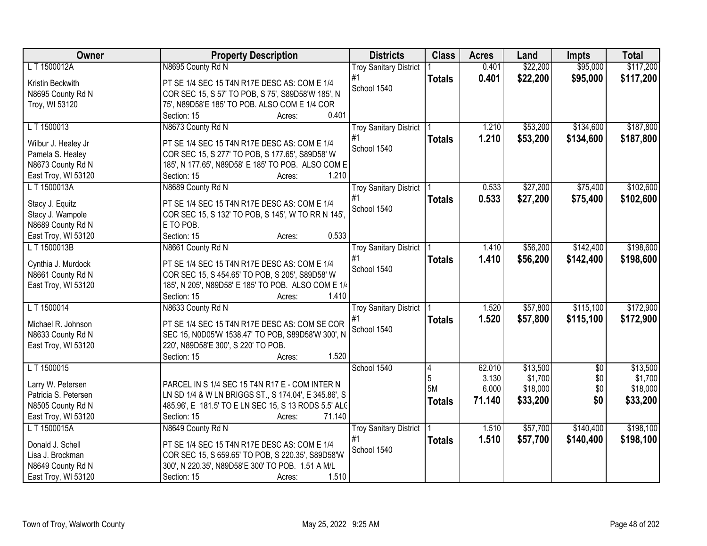| Owner                | <b>Property Description</b>                          | <b>Districts</b>              | <b>Class</b>  | <b>Acres</b> | Land     | <b>Impts</b>    | <b>Total</b> |
|----------------------|------------------------------------------------------|-------------------------------|---------------|--------------|----------|-----------------|--------------|
| L T 1500012A         | N8695 County Rd N                                    | <b>Troy Sanitary District</b> |               | 0.401        | \$22,200 | \$95,000        | \$117,200    |
| Kristin Beckwith     | PT SE 1/4 SEC 15 T4N R17E DESC AS: COM E 1/4         | #1                            | <b>Totals</b> | 0.401        | \$22,200 | \$95,000        | \$117,200    |
| N8695 County Rd N    | COR SEC 15, S 57' TO POB, S 75', S89D58'W 185', N    | School 1540                   |               |              |          |                 |              |
| Troy, WI 53120       | 75', N89D58'E 185' TO POB. ALSO COM E 1/4 COR        |                               |               |              |          |                 |              |
|                      | Section: 15<br>0.401<br>Acres:                       |                               |               |              |          |                 |              |
| LT 1500013           | N8673 County Rd N                                    | <b>Troy Sanitary District</b> |               | 1.210        | \$53,200 | \$134,600       | \$187,800    |
|                      |                                                      | #1                            | <b>Totals</b> | 1.210        | \$53,200 | \$134,600       | \$187,800    |
| Wilbur J. Healey Jr  | PT SE 1/4 SEC 15 T4N R17E DESC AS: COM E 1/4         | School 1540                   |               |              |          |                 |              |
| Pamela S. Healey     | COR SEC 15, S 277' TO POB, S 177.65', S89D58' W      |                               |               |              |          |                 |              |
| N8673 County Rd N    | 185', N 177.65', N89D58' E 185' TO POB. ALSO COM E   |                               |               |              |          |                 |              |
| East Troy, WI 53120  | 1.210<br>Section: 15<br>Acres:                       |                               |               |              |          |                 |              |
| LT 1500013A          | N8689 County Rd N                                    | <b>Troy Sanitary District</b> |               | 0.533        | \$27,200 | \$75,400        | \$102,600    |
| Stacy J. Equitz      | PT SE 1/4 SEC 15 T4N R17E DESC AS: COM E 1/4         | #1                            | <b>Totals</b> | 0.533        | \$27,200 | \$75,400        | \$102,600    |
| Stacy J. Wampole     | COR SEC 15, S 132' TO POB, S 145', W TO RR N 145',   | School 1540                   |               |              |          |                 |              |
| N8689 County Rd N    | E TO POB.                                            |                               |               |              |          |                 |              |
| East Troy, WI 53120  | 0.533<br>Section: 15<br>Acres:                       |                               |               |              |          |                 |              |
| L T 1500013B         |                                                      |                               |               | 1.410        | \$56,200 | \$142,400       | \$198,600    |
|                      | N8661 County Rd N                                    | <b>Troy Sanitary District</b> |               |              |          |                 |              |
| Cynthia J. Murdock   | PT SE 1/4 SEC 15 T4N R17E DESC AS: COM E 1/4         | #1                            | <b>Totals</b> | 1.410        | \$56,200 | \$142,400       | \$198,600    |
| N8661 County Rd N    | COR SEC 15, S 454.65' TO POB, S 205', S89D58' W      | School 1540                   |               |              |          |                 |              |
| East Troy, WI 53120  | 185', N 205', N89D58' E 185' TO POB. ALSO COM E 1/4  |                               |               |              |          |                 |              |
|                      | Section: 15<br>1.410<br>Acres:                       |                               |               |              |          |                 |              |
| L T 1500014          | N8633 County Rd N                                    | <b>Troy Sanitary District</b> |               | 1.520        | \$57,800 | \$115,100       | \$172,900    |
|                      |                                                      | #1                            | <b>Totals</b> | 1.520        | \$57,800 | \$115,100       | \$172,900    |
| Michael R. Johnson   | PT SE 1/4 SEC 15 T4N R17E DESC AS: COM SE COR        | School 1540                   |               |              |          |                 |              |
| N8633 County Rd N    | SEC 15, N0D05'W 1538.47' TO POB, S89D58'W 300', N    |                               |               |              |          |                 |              |
| East Troy, WI 53120  | 220', N89D58'E 300', S 220' TO POB.                  |                               |               |              |          |                 |              |
|                      | 1.520<br>Section: 15<br>Acres:                       |                               |               |              |          |                 |              |
| L T 1500015          |                                                      | School 1540                   | 4             | 62.010       | \$13,500 | $\overline{50}$ | \$13,500     |
| Larry W. Petersen    | PARCEL IN S 1/4 SEC 15 T4N R17 E - COM INTER N       |                               | 5             | 3.130        | \$1,700  | \$0             | \$1,700      |
| Patricia S. Petersen | LN SD 1/4 & W LN BRIGGS ST., S 174.04', E 345.86', S |                               | 5M            | 6.000        | \$18,000 | \$0             | \$18,000     |
|                      |                                                      |                               | <b>Totals</b> | 71.140       | \$33,200 | \$0             | \$33,200     |
| N8505 County Rd N    | 485.96', E 181.5' TO E LN SEC 15, S 13 RODS 5.5' ALC |                               |               |              |          |                 |              |
| East Troy, WI 53120  | Section: 15<br>71.140<br>Acres:                      |                               |               |              |          |                 |              |
| L T 1500015A         | N8649 County Rd N                                    | <b>Troy Sanitary District</b> |               | 1.510        | \$57,700 | \$140,400       | \$198,100    |
| Donald J. Schell     | PT SE 1/4 SEC 15 T4N R17E DESC AS: COM E 1/4         | #1                            | <b>Totals</b> | 1.510        | \$57,700 | \$140,400       | \$198,100    |
| Lisa J. Brockman     | COR SEC 15, S 659.65' TO POB, S 220.35', S89D58'W    | School 1540                   |               |              |          |                 |              |
| N8649 County Rd N    | 300', N 220.35', N89D58'E 300' TO POB. 1.51 A M/L    |                               |               |              |          |                 |              |
| East Troy, WI 53120  | 1.510<br>Section: 15<br>Acres:                       |                               |               |              |          |                 |              |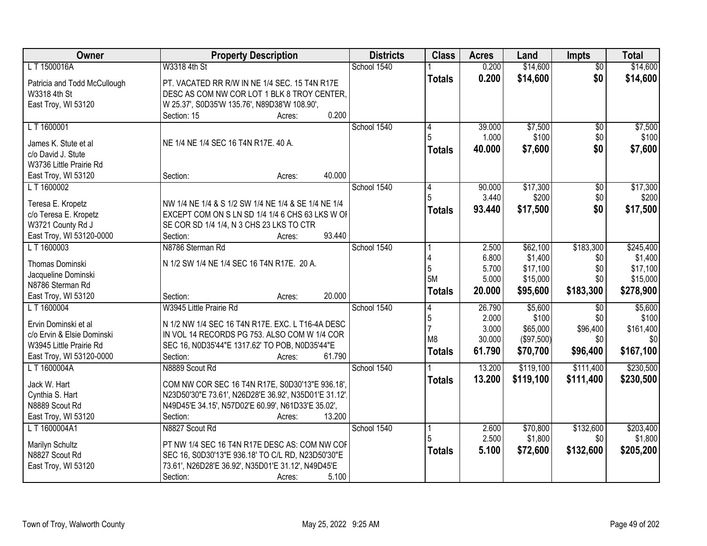| Owner                        | <b>Property Description</b>                           | <b>Districts</b> | <b>Class</b>  | <b>Acres</b> | Land       | <b>Impts</b>    | <b>Total</b> |
|------------------------------|-------------------------------------------------------|------------------|---------------|--------------|------------|-----------------|--------------|
| L T 1500016A                 | W3318 4th St                                          | School 1540      |               | 0.200        | \$14,600   | $\overline{50}$ | \$14,600     |
| Patricia and Todd McCullough | PT. VACATED RR R/W IN NE 1/4 SEC. 15 T4N R17E         |                  | <b>Totals</b> | 0.200        | \$14,600   | \$0             | \$14,600     |
| W3318 4th St                 | DESC AS COM NW COR LOT 1 BLK 8 TROY CENTER,           |                  |               |              |            |                 |              |
| East Troy, WI 53120          | W 25.37', S0D35'W 135.76', N89D38'W 108.90',          |                  |               |              |            |                 |              |
|                              | 0.200<br>Section: 15<br>Acres:                        |                  |               |              |            |                 |              |
| LT 1600001                   |                                                       | School 1540      | 4             | 39.000       | \$7,500    | $\overline{50}$ | \$7,500      |
|                              |                                                       |                  |               | 1.000        | \$100      | \$0             | \$100        |
| James K. Stute et al         | NE 1/4 NE 1/4 SEC 16 T4N R17E. 40 A.                  |                  | <b>Totals</b> | 40.000       | \$7,600    | \$0             | \$7,600      |
| c/o David J. Stute           |                                                       |                  |               |              |            |                 |              |
| W3736 Little Prairie Rd      |                                                       |                  |               |              |            |                 |              |
| East Troy, WI 53120          | 40.000<br>Section:<br>Acres:                          |                  |               |              |            |                 |              |
| LT 1600002                   |                                                       | School 1540      |               | 90.000       | \$17,300   | $\sqrt[6]{}$    | \$17,300     |
| Teresa E. Kropetz            | NW 1/4 NE 1/4 & S 1/2 SW 1/4 NE 1/4 & SE 1/4 NE 1/4   |                  |               | 3.440        | \$200      | \$0             | \$200        |
| c/o Teresa E. Kropetz        | EXCEPT COM ON S LN SD 1/4 1/4 6 CHS 63 LKS W OF       |                  | Totals        | 93.440       | \$17,500   | \$0             | \$17,500     |
| W3721 County Rd J            | SE COR SD 1/4 1/4, N 3 CHS 23 LKS TO CTR              |                  |               |              |            |                 |              |
| East Troy, WI 53120-0000     | 93.440<br>Section:<br>Acres:                          |                  |               |              |            |                 |              |
| LT 1600003                   | N8786 Sterman Rd                                      | School 1540      |               | 2.500        | \$62,100   | \$183,300       | \$245,400    |
|                              |                                                       |                  |               | 6.800        | \$1,400    | \$0             | \$1,400      |
| <b>Thomas Dominski</b>       | N 1/2 SW 1/4 NE 1/4 SEC 16 T4N R17E. 20 A.            |                  | 5             | 5.700        | \$17,100   | \$0             | \$17,100     |
| Jacqueline Dominski          |                                                       |                  | <b>5M</b>     | 5.000        | \$15,000   | \$0             | \$15,000     |
| N8786 Sterman Rd             |                                                       |                  |               | 20.000       |            |                 |              |
| East Troy, WI 53120          | 20.000<br>Section:<br>Acres:                          |                  | <b>Totals</b> |              | \$95,600   | \$183,300       | \$278,900    |
| L T 1600004                  | W3945 Little Prairie Rd                               | School 1540      | 4             | 26.790       | \$5,600    | $\overline{30}$ | \$5,600      |
| Ervin Dominski et al         | N 1/2 NW 1/4 SEC 16 T4N R17E. EXC. L T16-4A DESC      |                  | 5             | 2.000        | \$100      | \$0             | \$100        |
| c/o Ervin & Elsie Dominski   | IN VOL 14 RECORDS PG 753. ALSO COM W 1/4 COR          |                  |               | 3.000        | \$65,000   | \$96,400        | \$161,400    |
| W3945 Little Prairie Rd      | SEC 16, N0D35'44"E 1317.62' TO POB, N0D35'44"E        |                  | M8            | 30.000       | (\$97,500) | \$0             | \$0          |
| East Troy, WI 53120-0000     | 61.790<br>Section:<br>Acres:                          |                  | <b>Totals</b> | 61.790       | \$70,700   | \$96,400        | \$167,100    |
| L T 1600004A                 | N8889 Scout Rd                                        | School 1540      |               | 13.200       | \$119,100  | \$111,400       | \$230,500    |
|                              |                                                       |                  |               |              |            |                 |              |
| Jack W. Hart                 | COM NW COR SEC 16 T4N R17E, S0D30'13"E 936.18',       |                  | <b>Totals</b> | 13.200       | \$119,100  | \$111,400       | \$230,500    |
| Cynthia S. Hart              | N23D50'30"E 73.61', N26D28'E 36.92', N35D01'E 31.12', |                  |               |              |            |                 |              |
| N8889 Scout Rd               | N49D45'E 34.15', N57D02'E 60.99', N61D33'E 35.02',    |                  |               |              |            |                 |              |
| East Troy, WI 53120          | 13.200<br>Section:<br>Acres:                          |                  |               |              |            |                 |              |
| LT 1600004A1                 | N8827 Scout Rd                                        | School 1540      | 1             | 2.600        | \$70,800   | \$132,600       | \$203,400    |
| Marilyn Schultz              | PT NW 1/4 SEC 16 T4N R17E DESC AS: COM NW COF         |                  |               | 2.500        | \$1,800    | \$0             | \$1,800      |
| N8827 Scout Rd               | SEC 16, S0D30'13"E 936.18' TO C/L RD, N23D50'30"E     |                  | <b>Totals</b> | 5.100        | \$72,600   | \$132,600       | \$205,200    |
|                              | 73.61', N26D28'E 36.92', N35D01'E 31.12', N49D45'E    |                  |               |              |            |                 |              |
| East Troy, WI 53120          | 5.100                                                 |                  |               |              |            |                 |              |
|                              | Section:<br>Acres:                                    |                  |               |              |            |                 |              |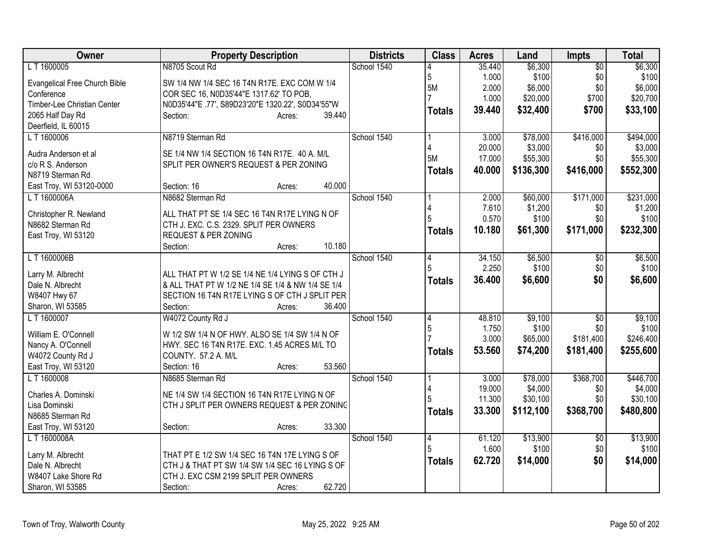| Owner                               | <b>Property Description</b>                       | <b>Districts</b> | <b>Class</b>  | <b>Acres</b>    | Land             | <b>Impts</b>    | <b>Total</b>     |
|-------------------------------------|---------------------------------------------------|------------------|---------------|-----------------|------------------|-----------------|------------------|
| L T 1600005                         | N8705 Scout Rd                                    | School 1540      |               | 35.440          | \$6,300          | $\overline{50}$ | \$6,300          |
| Evangelical Free Church Bible       | SW 1/4 NW 1/4 SEC 16 T4N R17E. EXC COM W 1/4      |                  | 5             | 1.000           | \$100            | \$0             | \$100            |
| Conference                          | COR SEC 16, N0D35'44"E 1317.62' TO POB,           |                  | 5M            | 2.000           | \$6,000          | \$0             | \$6,000          |
| Timber-Lee Christian Center         | N0D35'44"E .77', S89D23'20"E 1320.22', S0D34'55"W |                  |               | 1.000           | \$20,000         | \$700           | \$20,700         |
| 2065 Half Day Rd                    | Section:<br>39.440<br>Acres:                      |                  | <b>Totals</b> | 39.440          | \$32,400         | \$700           | \$33,100         |
| Deerfield, IL 60015                 |                                                   |                  |               |                 |                  |                 |                  |
| LT 1600006                          | N8719 Sterman Rd                                  | School 1540      |               | 3.000           | \$78,000         | \$416,000       | \$494,000        |
| Audra Anderson et al                | SE 1/4 NW 1/4 SECTION 16 T4N R17E. 40 A. M/L      |                  |               | 20.000          | \$3,000          | \$0             | \$3,000          |
| c/o R S. Anderson                   | SPLIT PER OWNER'S REQUEST & PER ZONING            |                  | 5M            | 17.000          | \$55,300         | \$0             | \$55,300         |
| N8719 Sterman Rd                    |                                                   |                  | Totals        | 40.000          | \$136,300        | \$416,000       | \$552,300        |
| East Troy, WI 53120-0000            | 40.000<br>Section: 16<br>Acres:                   |                  |               |                 |                  |                 |                  |
| LT 1600006A                         | N8682 Sterman Rd                                  | School 1540      |               | 2.000           | \$60,000         | \$171,000       | \$231,000        |
|                                     |                                                   |                  |               | 7.610           | \$1,200          | \$0             | \$1,200          |
| Christopher R. Newland              | ALL THAT PT SE 1/4 SEC 16 T4N R17E LYING N OF     |                  | 5             | 0.570           | \$100            | \$0             | \$100            |
| N8682 Sterman Rd                    | CTH J. EXC. C.S. 2329. SPLIT PER OWNERS           |                  | <b>Totals</b> | 10.180          | \$61,300         | \$171,000       | \$232,300        |
| East Troy, WI 53120                 | REQUEST & PER ZONING                              |                  |               |                 |                  |                 |                  |
|                                     | 10.180<br>Section:<br>Acres:                      | School 1540      |               |                 |                  |                 |                  |
| LT 1600006B                         |                                                   |                  | 4             | 34.150<br>2.250 | \$6,500<br>\$100 | \$0<br>\$0      | \$6,500<br>\$100 |
| Larry M. Albrecht                   | ALL THAT PT W 1/2 SE 1/4 NE 1/4 LYING S OF CTH J  |                  |               | 36.400          |                  | \$0             |                  |
| Dale N. Albrecht                    | & ALL THAT PT W 1/2 NE 1/4 SE 1/4 & NW 1/4 SE 1/4 |                  | <b>Totals</b> |                 | \$6,600          |                 | \$6,600          |
| W8407 Hwy 67                        | SECTION 16 T4N R17E LYING S OF CTH J SPLIT PER    |                  |               |                 |                  |                 |                  |
| Sharon, WI 53585                    | 36.400<br>Section:<br>Acres:                      |                  |               |                 |                  |                 |                  |
| L T 1600007                         | W4072 County Rd J                                 | School 1540      | 4             | 48.810          | \$9,100          | \$0             | \$9,100          |
| William E. O'Connell                | W 1/2 SW 1/4 N OF HWY. ALSO SE 1/4 SW 1/4 N OF    |                  | 5             | 1.750           | \$100            | \$0             | \$100            |
| Nancy A. O'Connell                  | HWY. SEC 16 T4N R17E. EXC. 1.45 ACRES M/L TO      |                  |               | 3.000           | \$65,000         | \$181,400       | \$246,400        |
| W4072 County Rd J                   | COUNTY. 57.2 A. M/L                               |                  | Totals        | 53.560          | \$74,200         | \$181,400       | \$255,600        |
| East Troy, WI 53120                 | 53.560<br>Section: 16<br>Acres:                   |                  |               |                 |                  |                 |                  |
| L T 1600008                         | N8685 Sterman Rd                                  | School 1540      |               | 3.000           | \$78,000         | \$368,700       | \$446,700        |
|                                     |                                                   |                  |               | 19.000          | \$4,000          | \$0             | \$4,000          |
| Charles A. Dominski                 | NE 1/4 SW 1/4 SECTION 16 T4N R17E LYING N OF      |                  |               | 11.300          | \$30,100         | \$0             | \$30,100         |
| Lisa Dominski                       | CTH J SPLIT PER OWNERS REQUEST & PER ZONING       |                  | <b>Totals</b> | 33.300          | \$112,100        | \$368,700       | \$480,800        |
| N8685 Sterman Rd                    | 33.300<br>Section:<br>Acres:                      |                  |               |                 |                  |                 |                  |
| East Troy, WI 53120<br>L T 1600008A |                                                   | School 1540      |               | 61.120          | \$13,900         |                 | \$13,900         |
|                                     |                                                   |                  | 4<br>5        | 1.600           | \$100            | \$0<br>\$0      | \$100            |
| Larry M. Albrecht                   | THAT PT E 1/2 SW 1/4 SEC 16 T4N 17E LYING S OF    |                  |               | 62.720          |                  | \$0             | \$14,000         |
| Dale N. Albrecht                    | CTH J & THAT PT SW 1/4 SW 1/4 SEC 16 LYING S OF   |                  | <b>Totals</b> |                 | \$14,000         |                 |                  |
| W8407 Lake Shore Rd                 | CTH J. EXC CSM 2199 SPLIT PER OWNERS              |                  |               |                 |                  |                 |                  |
| Sharon, WI 53585                    | 62.720<br>Section:<br>Acres:                      |                  |               |                 |                  |                 |                  |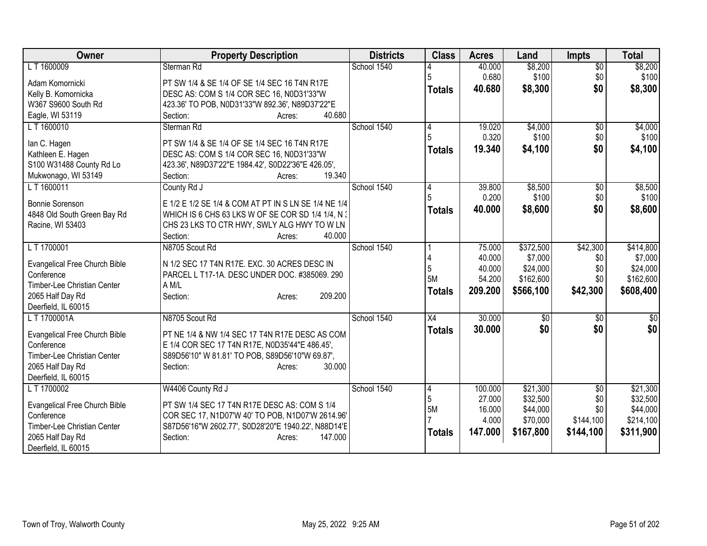| Owner                                                                                                                                      | <b>Property Description</b>                                                                                                                                                                                   | <b>Districts</b> | <b>Class</b>                     | <b>Acres</b>                                    | Land                                                       | <b>Impts</b>                                            | <b>Total</b>                                               |
|--------------------------------------------------------------------------------------------------------------------------------------------|---------------------------------------------------------------------------------------------------------------------------------------------------------------------------------------------------------------|------------------|----------------------------------|-------------------------------------------------|------------------------------------------------------------|---------------------------------------------------------|------------------------------------------------------------|
| L T 1600009                                                                                                                                | Sterman Rd                                                                                                                                                                                                    | School 1540      |                                  | 40.000                                          | \$8,200                                                    | $\overline{50}$                                         | \$8,200                                                    |
| Adam Komornicki<br>Kelly B. Komornicka<br>W367 S9600 South Rd<br>Eagle, WI 53119                                                           | PT SW 1/4 & SE 1/4 OF SE 1/4 SEC 16 T4N R17E<br>DESC AS: COM S 1/4 COR SEC 16, N0D31'33"W<br>423.36' TO POB, N0D31'33"W 892.36', N89D37'22"E<br>40.680<br>Section:<br>Acres:                                  |                  | <b>Totals</b>                    | 0.680<br>40.680                                 | \$100<br>\$8,300                                           | \$0<br>\$0                                              | \$100<br>\$8,300                                           |
| LT 1600010<br>lan C. Hagen<br>Kathleen E. Hagen<br>S100 W31488 County Rd Lo<br>Mukwonago, WI 53149                                         | Sterman Rd<br>PT SW 1/4 & SE 1/4 OF SE 1/4 SEC 16 T4N R17E<br>DESC AS: COM S 1/4 COR SEC 16, N0D31'33"W<br>423.36', N89D37'22"E 1984.42', S0D22'36"E 426.05',<br>19.340<br>Section:<br>Acres:                 | School 1540      | 4<br><b>Totals</b>               | 19.020<br>0.320<br>19.340                       | \$4,000<br>\$100<br>\$4,100                                | \$0<br>\$0<br>\$0                                       | \$4,000<br>\$100<br>\$4,100                                |
| LT 1600011<br><b>Bonnie Sorenson</b><br>4848 Old South Green Bay Rd<br>Racine, WI 53403                                                    | County Rd J<br>E 1/2 E 1/2 SE 1/4 & COM AT PT IN S LN SE 1/4 NE 1/4<br>WHICH IS 6 CHS 63 LKS W OF SE COR SD 1/4 1/4, N 3<br>CHS 23 LKS TO CTR HWY, SWLY ALG HWY TO W LN<br>40.000<br>Section:<br>Acres:       | School 1540      | 4<br><b>Totals</b>               | 39.800<br>0.200<br>40.000                       | \$8,500<br>\$100<br>\$8,600                                | $\sqrt{6}$<br>\$0<br>\$0                                | \$8,500<br>\$100<br>\$8,600                                |
| LT 1700001<br><b>Evangelical Free Church Bible</b><br>Conference<br>Timber-Lee Christian Center<br>2065 Half Day Rd<br>Deerfield, IL 60015 | N8705 Scout Rd<br>N 1/2 SEC 17 T4N R17E. EXC. 30 ACRES DESC IN<br>PARCEL L T17-1A. DESC UNDER DOC. #385069. 290<br>A M/L<br>209.200<br>Section:<br>Acres:                                                     | School 1540      | 5<br>5M<br><b>Totals</b>         | 75.000<br>40.000<br>40.000<br>54.200<br>209.200 | \$372,500<br>\$7,000<br>\$24,000<br>\$162,600<br>\$566,100 | \$42,300<br>\$0<br>\$0<br>\$0<br>\$42,300               | \$414,800<br>\$7,000<br>\$24,000<br>\$162,600<br>\$608,400 |
| LT 1700001A<br>Evangelical Free Church Bible<br>Conference<br>Timber-Lee Christian Center<br>2065 Half Day Rd<br>Deerfield, IL 60015       | N8705 Scout Rd<br>PT NE 1/4 & NW 1/4 SEC 17 T4N R17E DESC AS COM<br>E 1/4 COR SEC 17 T4N R17E, N0D35'44"E 486.45',<br>S89D56'10" W 81.81' TO POB, S89D56'10"W 69.87',<br>30.000<br>Section:<br>Acres:         | School 1540      | $\overline{X4}$<br><b>Totals</b> | 30.000<br>30,000                                | \$0<br>\$0                                                 | \$0<br>\$0                                              | $\overline{50}$<br>\$0                                     |
| LT 1700002<br>Evangelical Free Church Bible<br>Conference<br>Timber-Lee Christian Center<br>2065 Half Day Rd<br>Deerfield, IL 60015        | W4406 County Rd J<br>PT SW 1/4 SEC 17 T4N R17E DESC AS: COM S 1/4<br>COR SEC 17, N1D07'W 40' TO POB, N1D07'W 2614.96'<br>S87D56'16"W 2602.77', S0D28'20"E 1940.22', N88D14'E<br>147.000<br>Section:<br>Acres: | School 1540      | 4<br>5<br>5M<br><b>Totals</b>    | 100.000<br>27.000<br>16.000<br>4.000<br>147.000 | \$21,300<br>\$32,500<br>\$44,000<br>\$70,000<br>\$167,800  | $\overline{50}$<br>\$0<br>\$0<br>\$144,100<br>\$144,100 | \$21,300<br>\$32,500<br>\$44,000<br>\$214,100<br>\$311,900 |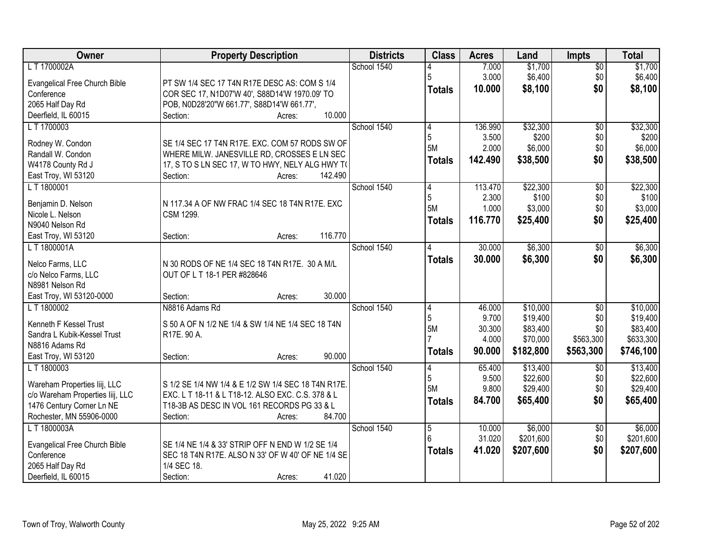| Owner                                | <b>Property Description</b>                         | <b>Districts</b> | <b>Class</b>   | <b>Acres</b> | Land      | Impts           | <b>Total</b> |
|--------------------------------------|-----------------------------------------------------|------------------|----------------|--------------|-----------|-----------------|--------------|
| LT 1700002A                          |                                                     | School 1540      |                | 7.000        | \$1,700   | \$0             | \$1,700      |
| Evangelical Free Church Bible        | PT SW 1/4 SEC 17 T4N R17E DESC AS: COM S 1/4        |                  | 5              | 3.000        | \$6,400   | \$0             | \$6,400      |
| Conference                           | COR SEC 17, N1D07'W 40', S88D14'W 1970.09' TO       |                  | <b>Totals</b>  | 10.000       | \$8,100   | \$0             | \$8,100      |
| 2065 Half Day Rd                     | POB, N0D28'20"W 661.77', S88D14'W 661.77',          |                  |                |              |           |                 |              |
| Deerfield, IL 60015                  | 10.000<br>Section:<br>Acres:                        |                  |                |              |           |                 |              |
| LT 1700003                           |                                                     | School 1540      | 4              | 136.990      | \$32,300  | $\overline{50}$ | \$32,300     |
|                                      |                                                     |                  | 5              | 3.500        | \$200     | \$0             | \$200        |
| Rodney W. Condon                     | SE 1/4 SEC 17 T4N R17E. EXC. COM 57 RODS SW OF      |                  | 5M             | 2.000        | \$6,000   | \$0             | \$6,000      |
| Randall W. Condon                    | WHERE MILW. JANESVILLE RD, CROSSES E LN SEC         |                  | <b>Totals</b>  | 142.490      | \$38,500  | \$0             | \$38,500     |
| W4178 County Rd J                    | 17, S TO S LN SEC 17, W TO HWY, NELY ALG HWY TO     |                  |                |              |           |                 |              |
| East Troy, WI 53120                  | 142.490<br>Section:<br>Acres:                       |                  |                |              |           |                 |              |
| LT 1800001                           |                                                     | School 1540      | 14             | 113.470      | \$22,300  | \$0             | \$22,300     |
| Benjamin D. Nelson                   | N 117.34 A OF NW FRAC 1/4 SEC 18 T4N R17E. EXC      |                  | 5              | 2.300        | \$100     | \$0             | \$100        |
| Nicole L. Nelson                     | <b>CSM 1299.</b>                                    |                  | 5M             | 1.000        | \$3,000   | \$0             | \$3,000      |
| N9040 Nelson Rd                      |                                                     |                  | <b>Totals</b>  | 116.770      | \$25,400  | \$0             | \$25,400     |
| East Troy, WI 53120                  | 116.770<br>Section:<br>Acres:                       |                  |                |              |           |                 |              |
| LT1800001A                           |                                                     | School 1540      | 4              | 30.000       | \$6,300   | \$0             | \$6,300      |
|                                      |                                                     |                  | <b>Totals</b>  | 30.000       | \$6,300   | \$0             | \$6,300      |
| Nelco Farms, LLC                     | N 30 RODS OF NE 1/4 SEC 18 T4N R17E. 30 A M/L       |                  |                |              |           |                 |              |
| c/o Nelco Farms, LLC                 | OUT OF L T 18-1 PER #828646                         |                  |                |              |           |                 |              |
| N8981 Nelson Rd                      |                                                     |                  |                |              |           |                 |              |
| East Troy, WI 53120-0000             | 30.000<br>Section:<br>Acres:                        |                  |                |              |           |                 |              |
| LT 1800002                           | N8816 Adams Rd                                      | School 1540      | 4              | 46.000       | \$10,000  | $\overline{50}$ | \$10,000     |
| Kenneth F Kessel Trust               | S 50 A OF N 1/2 NE 1/4 & SW 1/4 NE 1/4 SEC 18 T4N   |                  | 5              | 9.700        | \$19,400  | \$0             | \$19,400     |
| Sandra L Kubik-Kessel Trust          | R17E. 90 A.                                         |                  | 5M             | 30.300       | \$83,400  | \$0             | \$83,400     |
| N8816 Adams Rd                       |                                                     |                  |                | 4.000        | \$70,000  | \$563,300       | \$633,300    |
| East Troy, WI 53120                  | 90.000<br>Section:<br>Acres:                        |                  | <b>Totals</b>  | 90.000       | \$182,800 | \$563,300       | \$746,100    |
| L T 1800003                          |                                                     | School 1540      | 4              | 65.400       | \$13,400  | $\overline{50}$ | \$13,400     |
|                                      |                                                     |                  | 5              | 9.500        | \$22,600  | \$0             | \$22,600     |
| Wareham Properties liij, LLC         | S 1/2 SE 1/4 NW 1/4 & E 1/2 SW 1/4 SEC 18 T4N R17E. |                  | 5M             | 9.800        | \$29,400  | \$0             | \$29,400     |
| c/o Wareham Properties liij, LLC     | EXC. L T 18-11 & L T18-12. ALSO EXC. C.S. 378 & L   |                  | <b>Totals</b>  | 84.700       | \$65,400  | \$0             | \$65,400     |
| 1476 Century Corner Ln NE            | T18-3B AS DESC IN VOL 161 RECORDS PG 33 & L         |                  |                |              |           |                 |              |
| Rochester, MN 55906-0000             | Section:<br>84.700<br>Acres:                        |                  |                |              |           |                 |              |
| L T 1800003A                         |                                                     | School 1540      | $\overline{5}$ | 10.000       | \$6,000   | $\overline{60}$ | \$6,000      |
| <b>Evangelical Free Church Bible</b> | SE 1/4 NE 1/4 & 33' STRIP OFF N END W 1/2 SE 1/4    |                  | 6              | 31.020       | \$201,600 | \$0             | \$201,600    |
| Conference                           | SEC 18 T4N R17E. ALSO N 33' OF W 40' OF NE 1/4 SE   |                  | <b>Totals</b>  | 41.020       | \$207,600 | \$0             | \$207,600    |
| 2065 Half Day Rd                     | 1/4 SEC 18.                                         |                  |                |              |           |                 |              |
| Deerfield, IL 60015                  | 41.020<br>Section:<br>Acres:                        |                  |                |              |           |                 |              |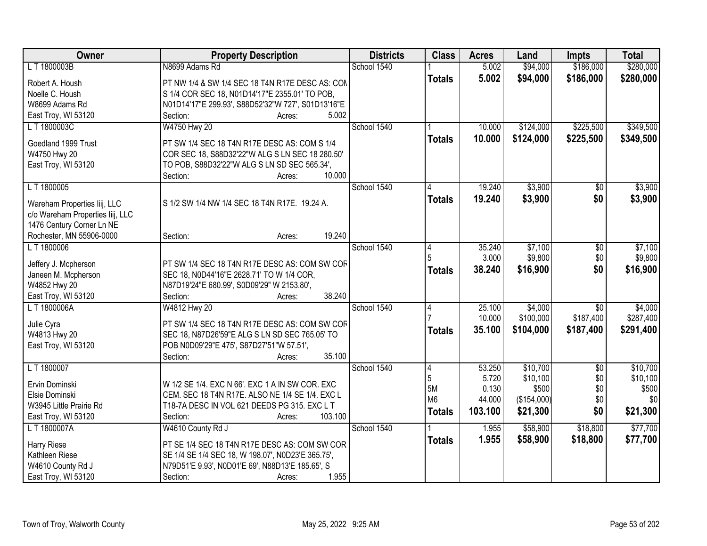| Owner                               | <b>Property Description</b>                                                             | <b>Districts</b> | <b>Class</b>   | <b>Acres</b> | Land        | <b>Impts</b>    | <b>Total</b> |
|-------------------------------------|-----------------------------------------------------------------------------------------|------------------|----------------|--------------|-------------|-----------------|--------------|
| L T 1800003B                        | N8699 Adams Rd                                                                          | School 1540      |                | 5.002        | \$94,000    | \$186,000       | \$280,000    |
| Robert A. Housh                     | PT NW 1/4 & SW 1/4 SEC 18 T4N R17E DESC AS: CON                                         |                  | <b>Totals</b>  | 5.002        | \$94,000    | \$186,000       | \$280,000    |
| Noelle C. Housh                     | S 1/4 COR SEC 18, N01D14'17"E 2355.01' TO POB,                                          |                  |                |              |             |                 |              |
| W8699 Adams Rd                      | N01D14'17"E 299.93', S88D52'32"W 727', S01D13'16"E                                      |                  |                |              |             |                 |              |
| East Troy, WI 53120                 | 5.002<br>Section:<br>Acres:                                                             |                  |                |              |             |                 |              |
| LT 1800003C                         | W4750 Hwy 20                                                                            | School 1540      |                | 10.000       | \$124,000   | \$225,500       | \$349,500    |
|                                     |                                                                                         |                  | <b>Totals</b>  | 10.000       | \$124,000   | \$225,500       | \$349,500    |
| Goedland 1999 Trust                 | PT SW 1/4 SEC 18 T4N R17E DESC AS: COM S 1/4                                            |                  |                |              |             |                 |              |
| W4750 Hwy 20                        | COR SEC 18, S88D32'22"W ALG S LN SEC 18 280.50'                                         |                  |                |              |             |                 |              |
| East Troy, WI 53120                 | TO POB, S88D32'22"W ALG S LN SD SEC 565.34',                                            |                  |                |              |             |                 |              |
|                                     | 10.000<br>Section:<br>Acres:                                                            |                  |                |              |             |                 |              |
| L T 1800005                         |                                                                                         | School 1540      |                | 19.240       | \$3,900     | \$0             | \$3,900      |
| Wareham Properties liij, LLC        | S 1/2 SW 1/4 NW 1/4 SEC 18 T4N R17E. 19.24 A.                                           |                  | <b>Totals</b>  | 19.240       | \$3,900     | \$0             | \$3,900      |
| c/o Wareham Properties liij, LLC    |                                                                                         |                  |                |              |             |                 |              |
| 1476 Century Corner Ln NE           |                                                                                         |                  |                |              |             |                 |              |
| Rochester, MN 55906-0000            | 19.240<br>Section:<br>Acres:                                                            |                  |                |              |             |                 |              |
| LT 1800006                          |                                                                                         | School 1540      | 4              | 35.240       | \$7,100     | \$0             | \$7,100      |
|                                     |                                                                                         |                  | 5              | 3.000        | \$9,800     | \$0             | \$9,800      |
| Jeffery J. Mcpherson                | PT SW 1/4 SEC 18 T4N R17E DESC AS: COM SW COF                                           |                  | <b>Totals</b>  | 38.240       | \$16,900    | \$0             | \$16,900     |
| Janeen M. Mcpherson<br>W4852 Hwy 20 | SEC 18, N0D44'16"E 2628.71' TO W 1/4 COR,<br>N87D19'24"E 680.99', S0D09'29" W 2153.80', |                  |                |              |             |                 |              |
| East Troy, WI 53120                 | 38.240<br>Section:<br>Acres:                                                            |                  |                |              |             |                 |              |
| L T 1800006A                        | W4812 Hwy 20                                                                            | School 1540      | 4              | 25.100       | \$4,000     | $\overline{50}$ | \$4,000      |
|                                     |                                                                                         |                  |                | 10.000       | \$100,000   | \$187,400       | \$287,400    |
| Julie Cyra                          | PT SW 1/4 SEC 18 T4N R17E DESC AS: COM SW COF                                           |                  | <b>Totals</b>  | 35.100       | \$104,000   | \$187,400       | \$291,400    |
| W4813 Hwy 20                        | SEC 18, N87D26'59"E ALG S LN SD SEC 765.05' TO                                          |                  |                |              |             |                 |              |
| East Troy, WI 53120                 | POB N0D09'29"E 475', S87D27'51"W 57.51',                                                |                  |                |              |             |                 |              |
|                                     | 35.100<br>Section:<br>Acres:                                                            |                  |                |              |             |                 |              |
| LT 1800007                          |                                                                                         | School 1540      | 4              | 53.250       | \$10,700    | $\overline{50}$ | \$10,700     |
| Ervin Dominski                      | W 1/2 SE 1/4. EXC N 66'. EXC 1 A IN SW COR. EXC                                         |                  | 5              | 5.720        | \$10,100    | \$0             | \$10,100     |
| Elsie Dominski                      | CEM. SEC 18 T4N R17E. ALSO NE 1/4 SE 1/4. EXC L                                         |                  | 5M             | 0.130        | \$500       | \$0             | \$500        |
| W3945 Little Prairie Rd             | T18-7A DESC IN VOL 621 DEEDS PG 315. EXC L T                                            |                  | M <sub>6</sub> | 44.000       | (\$154,000) | \$0             | \$0          |
| East Troy, WI 53120                 | 103.100<br>Section:<br>Acres:                                                           |                  | <b>Totals</b>  | 103.100      | \$21,300    | \$0             | \$21,300     |
| L T 1800007A                        | W4610 County Rd J                                                                       | School 1540      |                | 1.955        | \$58,900    | \$18,800        | \$77,700     |
|                                     |                                                                                         |                  | <b>Totals</b>  | 1.955        | \$58,900    | \$18,800        | \$77,700     |
| Harry Riese                         | PT SE 1/4 SEC 18 T4N R17E DESC AS: COM SW COR                                           |                  |                |              |             |                 |              |
| Kathleen Riese                      | SE 1/4 SE 1/4 SEC 18, W 198.07', N0D23'E 365.75',                                       |                  |                |              |             |                 |              |
| W4610 County Rd J                   | N79D51'E 9.93', N0D01'E 69', N88D13'E 185.65', S                                        |                  |                |              |             |                 |              |
| East Troy, WI 53120                 | 1.955<br>Section:<br>Acres:                                                             |                  |                |              |             |                 |              |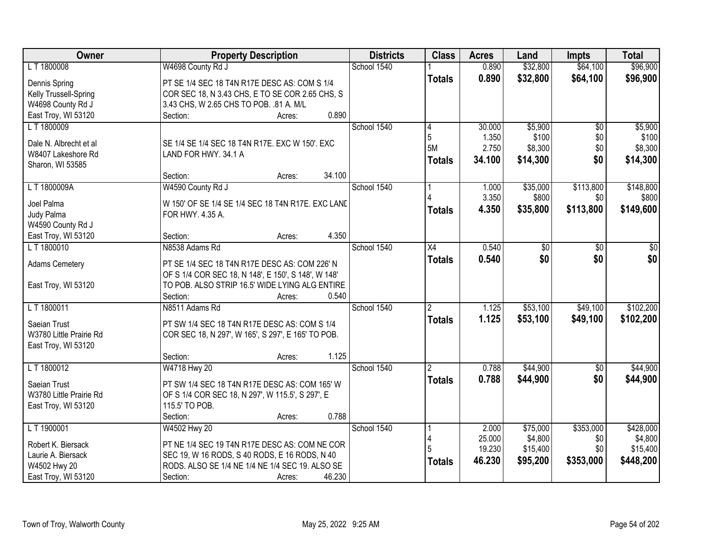| Owner                   | <b>Property Description</b>                         | <b>Districts</b> | <b>Class</b>   | <b>Acres</b> | Land     | <b>Impts</b> | <b>Total</b>    |
|-------------------------|-----------------------------------------------------|------------------|----------------|--------------|----------|--------------|-----------------|
| LT 1800008              | W4698 County Rd J                                   | School 1540      |                | 0.890        | \$32,800 | \$64,100     | \$96,900        |
| Dennis Spring           | PT SE 1/4 SEC 18 T4N R17E DESC AS: COM S 1/4        |                  | <b>Totals</b>  | 0.890        | \$32,800 | \$64,100     | \$96,900        |
| Kelly Trussell-Spring   | COR SEC 18, N 3.43 CHS, E TO SE COR 2.65 CHS, S     |                  |                |              |          |              |                 |
| W4698 County Rd J       | 3.43 CHS, W 2.65 CHS TO POB. .81 A. M/L             |                  |                |              |          |              |                 |
| East Troy, WI 53120     | 0.890<br>Section:<br>Acres:                         |                  |                |              |          |              |                 |
| LT 1800009              |                                                     | School 1540      | 4              | 30.000       | \$5,900  | \$0          | \$5,900         |
|                         |                                                     |                  | 5              | 1.350        | \$100    | \$0          | \$100           |
| Dale N. Albrecht et al  | SE 1/4 SE 1/4 SEC 18 T4N R17E. EXC W 150'. EXC      |                  | 5M             | 2.750        | \$8,300  | \$0          | \$8,300         |
| W8407 Lakeshore Rd      | LAND FOR HWY. 34.1 A                                |                  | <b>Totals</b>  | 34.100       | \$14,300 | \$0          | \$14,300        |
| Sharon, WI 53585        |                                                     |                  |                |              |          |              |                 |
|                         | 34.100<br>Section:<br>Acres:                        |                  |                |              |          |              |                 |
| LT 1800009A             | W4590 County Rd J                                   | School 1540      |                | 1.000        | \$35,000 | \$113,800    | \$148,800       |
| Joel Palma              | W 150' OF SE 1/4 SE 1/4 SEC 18 T4N R17E. EXC LAND   |                  |                | 3.350        | \$800    | \$0          | \$800           |
| Judy Palma              | FOR HWY. 4.35 A.                                    |                  | <b>Totals</b>  | 4.350        | \$35,800 | \$113,800    | \$149,600       |
| W4590 County Rd J       |                                                     |                  |                |              |          |              |                 |
| East Troy, WI 53120     | 4.350<br>Section:<br>Acres:                         |                  |                |              |          |              |                 |
| LT 1800010              | N8538 Adams Rd                                      | School 1540      | X4             | 0.540        | \$0      | \$0          | $\overline{50}$ |
|                         |                                                     |                  | <b>Totals</b>  | 0.540        | \$0      | \$0          | \$0             |
| <b>Adams Cemetery</b>   | PT SE 1/4 SEC 18 T4N R17E DESC AS: COM 226' N       |                  |                |              |          |              |                 |
|                         | OF S 1/4 COR SEC 18, N 148', E 150', S 148', W 148' |                  |                |              |          |              |                 |
| East Troy, WI 53120     | TO POB. ALSO STRIP 16.5' WIDE LYING ALG ENTIRE      |                  |                |              |          |              |                 |
|                         | 0.540<br>Section:<br>Acres:                         |                  |                |              |          |              |                 |
| LT 1800011              | N8511 Adams Rd                                      | School 1540      | $\overline{2}$ | 1.125        | \$53,100 | \$49,100     | \$102,200       |
| Saeian Trust            | PT SW 1/4 SEC 18 T4N R17E DESC AS: COM S 1/4        |                  | <b>Totals</b>  | 1.125        | \$53,100 | \$49,100     | \$102,200       |
| W3780 Little Prairie Rd | COR SEC 18, N 297', W 165', S 297', E 165' TO POB.  |                  |                |              |          |              |                 |
| East Troy, WI 53120     |                                                     |                  |                |              |          |              |                 |
|                         | 1.125<br>Section:<br>Acres:                         |                  |                |              |          |              |                 |
| LT 1800012              | W4718 Hwy 20                                        | School 1540      |                | 0.788        | \$44,900 | $\sqrt{6}$   | \$44,900        |
|                         |                                                     |                  | <b>Totals</b>  | 0.788        | \$44,900 | \$0          | \$44,900        |
| Saeian Trust            | PT SW 1/4 SEC 18 T4N R17E DESC AS: COM 165' W       |                  |                |              |          |              |                 |
| W3780 Little Prairie Rd | OF S 1/4 COR SEC 18, N 297', W 115.5', S 297', E    |                  |                |              |          |              |                 |
| East Troy, WI 53120     | 115.5' TO POB.                                      |                  |                |              |          |              |                 |
|                         | 0.788<br>Section:<br>Acres:                         |                  |                |              |          |              |                 |
| L T 1900001             | W4502 Hwy 20                                        | School 1540      |                | 2.000        | \$75,000 | \$353,000    | \$428,000       |
| Robert K. Biersack      | PT NE 1/4 SEC 19 T4N R17E DESC AS: COM NE COR       |                  |                | 25.000       | \$4,800  | \$0          | \$4,800         |
| Laurie A. Biersack      | SEC 19, W 16 RODS, S 40 RODS, E 16 RODS, N 40       |                  |                | 19.230       | \$15,400 | \$0          | \$15,400        |
| W4502 Hwy 20            | RODS. ALSO SE 1/4 NE 1/4 NE 1/4 SEC 19. ALSO SE     |                  | <b>Totals</b>  | 46.230       | \$95,200 | \$353,000    | \$448,200       |
| East Troy, WI 53120     | Section:<br>46.230<br>Acres:                        |                  |                |              |          |              |                 |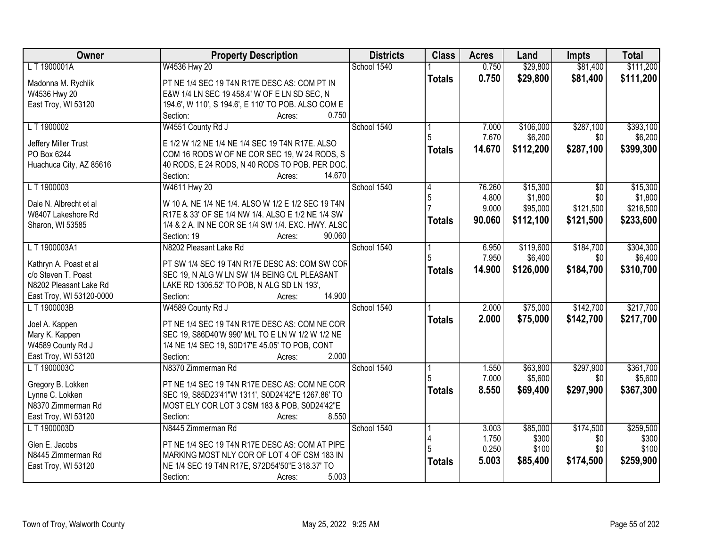| Owner                                         | <b>Property Description</b>                                                                   | <b>Districts</b> | <b>Class</b>  | <b>Acres</b>    | Land      | <b>Impts</b>      | <b>Total</b> |
|-----------------------------------------------|-----------------------------------------------------------------------------------------------|------------------|---------------|-----------------|-----------|-------------------|--------------|
| L T 1900001A                                  | W4536 Hwy 20                                                                                  | School 1540      |               | 0.750           | \$29,800  | \$81,400          | \$111,200    |
| Madonna M. Rychlik                            | PT NE 1/4 SEC 19 T4N R17E DESC AS: COM PT IN                                                  |                  | <b>Totals</b> | 0.750           | \$29,800  | \$81,400          | \$111,200    |
| W4536 Hwy 20                                  | E&W 1/4 LN SEC 19 458.4' W OF E LN SD SEC, N                                                  |                  |               |                 |           |                   |              |
| East Troy, WI 53120                           | 194.6', W 110', S 194.6', E 110' TO POB. ALSO COM E                                           |                  |               |                 |           |                   |              |
|                                               | 0.750<br>Section:<br>Acres:                                                                   |                  |               |                 |           |                   |              |
| LT 1900002                                    | W4551 County Rd J                                                                             | School 1540      |               | 7.000           | \$106,000 | \$287,100         | \$393,100    |
|                                               |                                                                                               |                  |               | 7.670           | \$6,200   | \$0               | \$6,200      |
| Jeffery Miller Trust                          | E 1/2 W 1/2 NE 1/4 NE 1/4 SEC 19 T4N R17E. ALSO                                               |                  | <b>Totals</b> | 14.670          | \$112,200 | \$287,100         | \$399,300    |
| PO Box 6244                                   | COM 16 RODS W OF NE COR SEC 19, W 24 RODS, S                                                  |                  |               |                 |           |                   |              |
| Huachuca City, AZ 85616                       | 40 RODS, E 24 RODS, N 40 RODS TO POB. PER DOC.<br>14.670                                      |                  |               |                 |           |                   |              |
| LT 1900003                                    | Section:<br>Acres:<br>W4611 Hwy 20                                                            | School 1540      |               |                 | \$15,300  |                   | \$15,300     |
|                                               |                                                                                               |                  |               | 76.260<br>4.800 | \$1,800   | $\sqrt{6}$<br>\$0 | \$1,800      |
| Dale N. Albrecht et al                        | W 10 A. NE 1/4 NE 1/4. ALSO W 1/2 E 1/2 SEC 19 T4N                                            |                  | 5             | 9.000           | \$95,000  | \$121,500         | \$216,500    |
| W8407 Lakeshore Rd                            | R17E & 33' OF SE 1/4 NW 1/4. ALSO E 1/2 NE 1/4 SW                                             |                  |               |                 |           |                   |              |
| Sharon, WI 53585                              | 1/4 & 2 A. IN NE COR SE 1/4 SW 1/4. EXC. HWY. ALSC                                            |                  | <b>Totals</b> | 90.060          | \$112,100 | \$121,500         | \$233,600    |
|                                               | 90.060<br>Section: 19<br>Acres:                                                               |                  |               |                 |           |                   |              |
| LT 1900003A1                                  | N8202 Pleasant Lake Rd                                                                        | School 1540      |               | 6.950           | \$119,600 | \$184,700         | \$304,300    |
|                                               |                                                                                               |                  |               | 7.950           | \$6,400   | \$0               | \$6,400      |
| Kathryn A. Poast et al<br>c/o Steven T. Poast | PT SW 1/4 SEC 19 T4N R17E DESC AS: COM SW COF<br>SEC 19, N ALG W LN SW 1/4 BEING C/L PLEASANT |                  | <b>Totals</b> | 14.900          | \$126,000 | \$184,700         | \$310,700    |
| N8202 Pleasant Lake Rd                        |                                                                                               |                  |               |                 |           |                   |              |
| East Troy, WI 53120-0000                      | LAKE RD 1306.52' TO POB, N ALG SD LN 193',<br>Section:<br>14.900<br>Acres:                    |                  |               |                 |           |                   |              |
| L T 1900003B                                  | W4589 County Rd J                                                                             | School 1540      |               | 2.000           | \$75,000  | \$142,700         | \$217,700    |
|                                               |                                                                                               |                  |               |                 |           |                   |              |
| Joel A. Kappen                                | PT NE 1/4 SEC 19 T4N R17E DESC AS: COM NE COR                                                 |                  | <b>Totals</b> | 2.000           | \$75,000  | \$142,700         | \$217,700    |
| Mary K. Kappen                                | SEC 19, S86D40'W 990' M/L TO E LN W 1/2 W 1/2 NE                                              |                  |               |                 |           |                   |              |
| W4589 County Rd J                             | 1/4 NE 1/4 SEC 19, S0D17'E 45.05' TO POB, CONT                                                |                  |               |                 |           |                   |              |
| East Troy, WI 53120                           | 2.000<br>Section:<br>Acres:                                                                   |                  |               |                 |           |                   |              |
| LT 1900003C                                   | N8370 Zimmerman Rd                                                                            | School 1540      |               | 1.550           | \$63,800  | \$297,900         | \$361,700    |
| Gregory B. Lokken                             | PT NE 1/4 SEC 19 T4N R17E DESC AS: COM NE COR                                                 |                  |               | 7.000           | \$5,600   | \$0               | \$5,600      |
| Lynne C. Lokken                               | SEC 19, S85D23'41"W 1311', S0D24'42"E 1267.86' TO                                             |                  | <b>Totals</b> | 8.550           | \$69,400  | \$297,900         | \$367,300    |
| N8370 Zimmerman Rd                            | MOST ELY COR LOT 3 CSM 183 & POB, S0D24'42"E                                                  |                  |               |                 |           |                   |              |
| East Troy, WI 53120                           | 8.550<br>Section:<br>Acres:                                                                   |                  |               |                 |           |                   |              |
| L T 1900003D                                  | N8445 Zimmerman Rd                                                                            | School 1540      |               | 3.003           | \$85,000  | \$174,500         | \$259,500    |
|                                               |                                                                                               |                  |               | 1.750           | \$300     | \$0               | \$300        |
| Glen E. Jacobs                                | PT NE 1/4 SEC 19 T4N R17E DESC AS: COM AT PIPE                                                |                  |               | 0.250           | \$100     | \$0               | \$100        |
| N8445 Zimmerman Rd                            | MARKING MOST NLY COR OF LOT 4 OF CSM 183 IN                                                   |                  |               | 5.003           | \$85,400  | \$174,500         | \$259,900    |
| East Troy, WI 53120                           | NE 1/4 SEC 19 T4N R17E, S72D54'50"E 318.37' TO                                                |                  | <b>Totals</b> |                 |           |                   |              |
|                                               | 5.003<br>Section:<br>Acres:                                                                   |                  |               |                 |           |                   |              |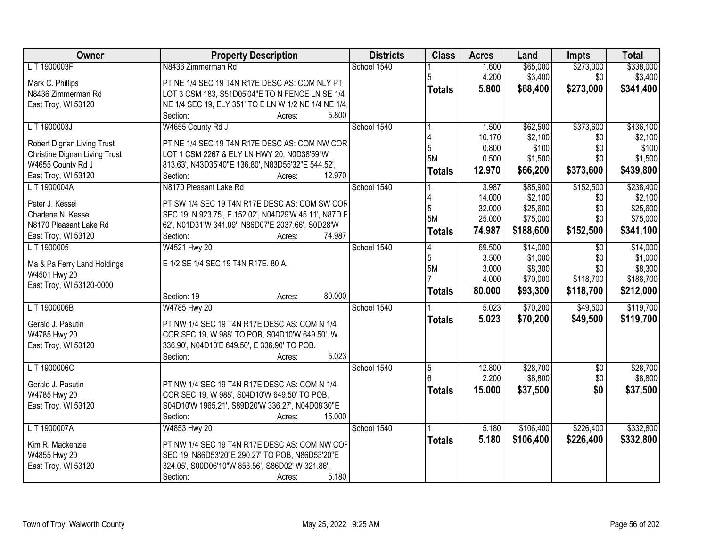| Owner                         | <b>Property Description</b>                           | <b>Districts</b> | <b>Class</b>   | <b>Acres</b>     | Land                 | Impts            | <b>Total</b>         |
|-------------------------------|-------------------------------------------------------|------------------|----------------|------------------|----------------------|------------------|----------------------|
| L T 1900003F                  | N8436 Zimmerman Rd                                    | School 1540      |                | 1.600            | \$65,000             | \$273,000        | \$338,000            |
| Mark C. Phillips              | PT NE 1/4 SEC 19 T4N R17E DESC AS: COM NLY PT         |                  |                | 4.200            | \$3,400              | \$0              | \$3,400              |
| N8436 Zimmerman Rd            | LOT 3 CSM 183, S51D05'04"E TO N FENCE LN SE 1/4       |                  | <b>Totals</b>  | 5.800            | \$68,400             | \$273,000        | \$341,400            |
| East Troy, WI 53120           | NE 1/4 SEC 19, ELY 351' TO E LN W 1/2 NE 1/4 NE 1/4   |                  |                |                  |                      |                  |                      |
|                               | 5.800<br>Section:<br>Acres:                           |                  |                |                  |                      |                  |                      |
| L T 1900003J                  | W4655 County Rd J                                     | School 1540      |                | 1.500            | \$62,500             | \$373,600        | \$436,100            |
| Robert Dignan Living Trust    | PT NE 1/4 SEC 19 T4N R17E DESC AS: COM NW COR         |                  | 5              | 10.170<br>0.800  | \$2,100<br>\$100     | \$0              | \$2,100<br>\$100     |
| Christine Dignan Living Trust | LOT 1 CSM 2267 & ELY LN HWY 20, N0D38'59"W            |                  | 5M             | 0.500            | \$1,500              | \$0<br>\$0       | \$1,500              |
| W4655 County Rd J             | 813.63', N43D35'40"E 136.80', N83D55'32"E 544.52',    |                  |                | 12.970           | \$66,200             | \$373,600        | \$439,800            |
| East Troy, WI 53120           | 12.970<br>Section:<br>Acres:                          |                  | <b>Totals</b>  |                  |                      |                  |                      |
| L T 1900004A                  | N8170 Pleasant Lake Rd                                | School 1540      |                | 3.987            | \$85,900             | \$152,500        | \$238,400            |
| Peter J. Kessel               | PT SW 1/4 SEC 19 T4N R17E DESC AS: COM SW COF         |                  |                | 14.000           | \$2,100              | \$0              | \$2,100              |
| Charlene N. Kessel            | SEC 19, N 923.75', E 152.02', N04D29'W 45.11', N87D E |                  | 5<br>5M        | 32.000<br>25.000 | \$25,600<br>\$75,000 | \$0<br>\$0       | \$25,600<br>\$75,000 |
| N8170 Pleasant Lake Rd        | 62', N01D31'W 341.09', N86D07'E 2037.66', S0D28'W     |                  |                | 74.987           | \$188,600            | \$152,500        | \$341,100            |
| East Troy, WI 53120           | 74.987<br>Section:<br>Acres:                          |                  | <b>Totals</b>  |                  |                      |                  |                      |
| LT 1900005                    | W4521 Hwy 20                                          | School 1540      | 4              | 69.500           | \$14,000             | $\overline{50}$  | \$14,000             |
| Ma & Pa Ferry Land Holdings   | E 1/2 SE 1/4 SEC 19 T4N R17E. 80 A.                   |                  | 5              | 3.500            | \$1,000              | \$0              | \$1,000              |
| W4501 Hwy 20                  |                                                       |                  | 5M             | 3.000            | \$8,300              | \$0<br>\$118,700 | \$8,300              |
| East Troy, WI 53120-0000      |                                                       |                  |                | 4.000            | \$70,000             |                  | \$188,700            |
|                               | 80.000<br>Section: 19<br>Acres:                       |                  | <b>Totals</b>  | 80.000           | \$93,300             | \$118,700        | \$212,000            |
| L T 1900006B                  | W4785 Hwy 20                                          | School 1540      |                | 5.023            | \$70,200             | \$49,500         | \$119,700            |
| Gerald J. Pasutin             | PT NW 1/4 SEC 19 T4N R17E DESC AS: COM N 1/4          |                  | <b>Totals</b>  | 5.023            | \$70,200             | \$49,500         | \$119,700            |
| W4785 Hwy 20                  | COR SEC 19, W 988' TO POB, S04D10'W 649.50', W        |                  |                |                  |                      |                  |                      |
| East Troy, WI 53120           | 336.90', N04D10'E 649.50', E 336.90' TO POB.          |                  |                |                  |                      |                  |                      |
|                               | 5.023<br>Section:<br>Acres:                           |                  |                |                  |                      |                  |                      |
| L T 1900006C                  |                                                       | School 1540      | $\overline{5}$ | 12.800           | \$28,700             | $\overline{60}$  | \$28,700             |
| Gerald J. Pasutin             | PT NW 1/4 SEC 19 T4N R17E DESC AS: COM N 1/4          |                  |                | 2.200            | \$8,800              | \$0              | \$8,800              |
| W4785 Hwy 20                  | COR SEC 19, W 988', S04D10'W 649.50' TO POB,          |                  | <b>Totals</b>  | 15.000           | \$37,500             | \$0              | \$37,500             |
| East Troy, WI 53120           | S04D10'W 1965.21', S89D20'W 336.27', N04D08'30"E      |                  |                |                  |                      |                  |                      |
|                               | Section:<br>15.000<br>Acres:                          |                  |                |                  |                      |                  |                      |
| L T 1900007A                  | W4853 Hwy 20                                          | School 1540      |                | 5.180            | \$106,400            | \$226,400        | \$332,800            |
| Kim R. Mackenzie              | PT NW 1/4 SEC 19 T4N R17E DESC AS: COM NW COF         |                  | <b>Totals</b>  | 5.180            | \$106,400            | \$226,400        | \$332,800            |
| W4855 Hwy 20                  | SEC 19, N86D53'20"E 290.27' TO POB, N86D53'20"E       |                  |                |                  |                      |                  |                      |
| East Troy, WI 53120           | 324.05', S00D06'10"W 853.56', S86D02' W 321.86',      |                  |                |                  |                      |                  |                      |
|                               | 5.180<br>Section:<br>Acres:                           |                  |                |                  |                      |                  |                      |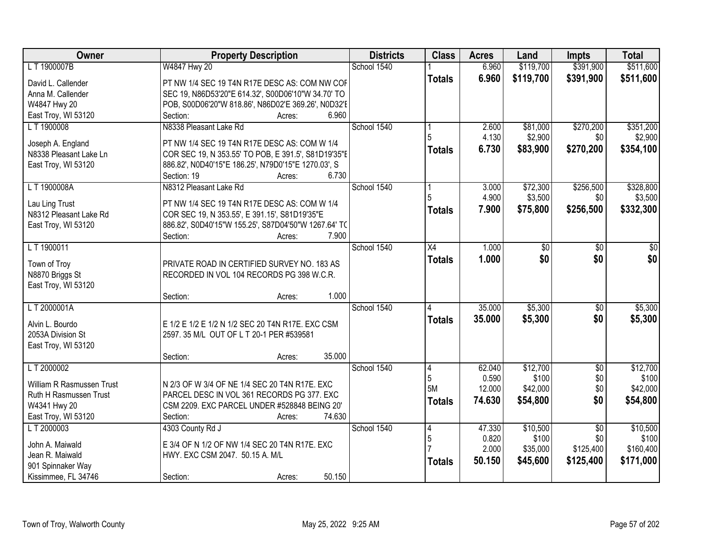| Owner                                | <b>Property Description</b>                                                                  | <b>Districts</b> | <b>Class</b>  | <b>Acres</b>   | Land      | <b>Impts</b>    | <b>Total</b>    |
|--------------------------------------|----------------------------------------------------------------------------------------------|------------------|---------------|----------------|-----------|-----------------|-----------------|
| L T 1900007B                         | W4847 Hwy 20                                                                                 | School 1540      |               | 6.960          | \$119,700 | \$391,900       | \$511,600       |
| David L. Callender                   | PT NW 1/4 SEC 19 T4N R17E DESC AS: COM NW COF                                                |                  | <b>Totals</b> | 6.960          | \$119,700 | \$391,900       | \$511,600       |
| Anna M. Callender                    | SEC 19, N86D53'20"E 614.32', S00D06'10"W 34.70' TO                                           |                  |               |                |           |                 |                 |
| W4847 Hwy 20                         | POB, S00D06'20"W 818.86', N86D02'E 369.26', N0D32'E                                          |                  |               |                |           |                 |                 |
| East Troy, WI 53120                  | 6.960<br>Section:<br>Acres:                                                                  |                  |               |                |           |                 |                 |
| LT 1900008                           | N8338 Pleasant Lake Rd                                                                       | School 1540      |               | 2.600          | \$81,000  | \$270,200       | \$351,200       |
|                                      |                                                                                              |                  |               | 4.130          | \$2,900   | \$0             | \$2,900         |
| Joseph A. England                    | PT NW 1/4 SEC 19 T4N R17E DESC AS: COM W 1/4                                                 |                  | <b>Totals</b> | 6.730          | \$83,900  | \$270,200       | \$354,100       |
| N8338 Pleasant Lake Ln               | COR SEC 19, N 353.55' TO POB, E 391.5', S81D19'35"E                                          |                  |               |                |           |                 |                 |
| East Troy, WI 53120                  | 886.82', N0D40'15"E 186.25', N79D0'15"E 1270.03', S<br>6.730<br>Section: 19                  |                  |               |                |           |                 |                 |
| LT 1900008A                          | Acres:<br>N8312 Pleasant Lake Rd                                                             | School 1540      |               |                | \$72,300  | \$256,500       | \$328,800       |
|                                      |                                                                                              |                  |               | 3.000<br>4.900 | \$3,500   | \$0             | \$3,500         |
| Lau Ling Trust                       | PT NW 1/4 SEC 19 T4N R17E DESC AS: COM W 1/4                                                 |                  | <b>Totals</b> | 7.900          | \$75,800  | \$256,500       | \$332,300       |
| N8312 Pleasant Lake Rd               | COR SEC 19, N 353.55', E 391.15', S81D19'35"E                                                |                  |               |                |           |                 |                 |
| East Troy, WI 53120                  | 886.82', S0D40'15"W 155.25', S87D04'50"W 1267.64' TO                                         |                  |               |                |           |                 |                 |
|                                      | 7.900<br>Section:<br>Acres:                                                                  |                  |               |                |           |                 |                 |
| LT 1900011                           |                                                                                              | School 1540      | X4            | 1.000          | \$0       | $\sqrt[6]{}$    | $\overline{50}$ |
| Town of Troy                         | PRIVATE ROAD IN CERTIFIED SURVEY NO. 183 AS                                                  |                  | <b>Totals</b> | 1.000          | \$0       | \$0             | \$0             |
| N8870 Briggs St                      | RECORDED IN VOL 104 RECORDS PG 398 W.C.R.                                                    |                  |               |                |           |                 |                 |
| East Troy, WI 53120                  |                                                                                              |                  |               |                |           |                 |                 |
|                                      | 1.000<br>Section:<br>Acres:                                                                  |                  |               |                |           |                 |                 |
| LT 2000001A                          |                                                                                              | School 1540      | 4             | 35.000         | \$5,300   | $\overline{50}$ | \$5,300         |
|                                      |                                                                                              |                  | <b>Totals</b> | 35.000         | \$5,300   | \$0             | \$5,300         |
| Alvin L. Bourdo<br>2053A Division St | E 1/2 E 1/2 E 1/2 N 1/2 SEC 20 T4N R17E. EXC CSM<br>2597. 35 M/L OUT OF L T 20-1 PER #539581 |                  |               |                |           |                 |                 |
| East Troy, WI 53120                  |                                                                                              |                  |               |                |           |                 |                 |
|                                      | 35.000<br>Section:<br>Acres:                                                                 |                  |               |                |           |                 |                 |
| LT 2000002                           |                                                                                              | School 1540      | 4             | 62.040         | \$12,700  | $\overline{50}$ | \$12,700        |
|                                      |                                                                                              |                  | 5             | 0.590          | \$100     | \$0             | \$100           |
| William R Rasmussen Trust            | N 2/3 OF W 3/4 OF NE 1/4 SEC 20 T4N R17E. EXC                                                |                  | 5M            | 12.000         | \$42,000  | \$0             | \$42,000        |
| Ruth H Rasmussen Trust               | PARCEL DESC IN VOL 361 RECORDS PG 377. EXC                                                   |                  | <b>Totals</b> | 74.630         | \$54,800  | \$0             | \$54,800        |
| W4341 Hwy 20                         | CSM 2209. EXC PARCEL UNDER #528848 BEING 20"                                                 |                  |               |                |           |                 |                 |
| East Troy, WI 53120                  | 74.630<br>Section:<br>Acres:                                                                 |                  |               |                |           |                 |                 |
| L T 2000003                          | 4303 County Rd J                                                                             | School 1540      | $\vert 4$     | 47.330         | \$10,500  | $\overline{30}$ | \$10,500        |
| John A. Maiwald                      | E 3/4 OF N 1/2 OF NW 1/4 SEC 20 T4N R17E. EXC                                                |                  | $\mathbf 5$   | 0.820          | \$100     | \$0             | \$100           |
| Jean R. Maiwald                      | HWY. EXC CSM 2047. 50.15 A. M/L                                                              |                  |               | 2.000          | \$35,000  | \$125,400       | \$160,400       |
| 901 Spinnaker Way                    |                                                                                              |                  | <b>Totals</b> | 50.150         | \$45,600  | \$125,400       | \$171,000       |
| Kissimmee, FL 34746                  | 50.150<br>Section:<br>Acres:                                                                 |                  |               |                |           |                 |                 |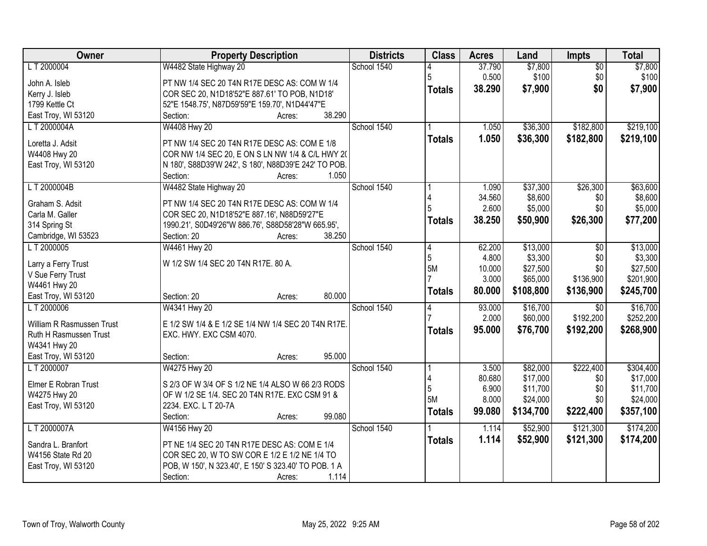| Owner                     | <b>Property Description</b>                          | <b>Districts</b> | <b>Class</b>  | <b>Acres</b> | Land      | Impts           | <b>Total</b> |
|---------------------------|------------------------------------------------------|------------------|---------------|--------------|-----------|-----------------|--------------|
| LT 2000004                | W4482 State Highway 20                               | School 1540      |               | 37.790       | \$7,800   | $\overline{50}$ | \$7,800      |
| John A. Isleb             | PT NW 1/4 SEC 20 T4N R17E DESC AS: COM W 1/4         |                  | 5             | 0.500        | \$100     | \$0             | \$100        |
| Kerry J. Isleb            | COR SEC 20, N1D18'52"E 887.61' TO POB, N1D18'        |                  | <b>Totals</b> | 38.290       | \$7,900   | \$0             | \$7,900      |
| 1799 Kettle Ct            | 52"E 1548.75', N87D59'59"E 159.70', N1D44'47"E       |                  |               |              |           |                 |              |
| East Troy, WI 53120       | 38.290<br>Section:<br>Acres:                         |                  |               |              |           |                 |              |
| L T 2000004A              | W4408 Hwy 20                                         | School 1540      |               | 1.050        | \$36,300  | \$182,800       | \$219,100    |
|                           |                                                      |                  | <b>Totals</b> | 1.050        | \$36,300  | \$182,800       | \$219,100    |
| Loretta J. Adsit          | PT NW 1/4 SEC 20 T4N R17E DESC AS: COM E 1/8         |                  |               |              |           |                 |              |
| W4408 Hwy 20              | COR NW 1/4 SEC 20, E ON S LN NW 1/4 & C/L HWY 20     |                  |               |              |           |                 |              |
| East Troy, WI 53120       | N 180', S88D39'W 242', S 180', N88D39'E 242' TO POB. |                  |               |              |           |                 |              |
|                           | 1.050<br>Section:<br>Acres:                          |                  |               |              |           |                 |              |
| LT 2000004B               | W4482 State Highway 20                               | School 1540      |               | 1.090        | \$37,300  | \$26,300        | \$63,600     |
| Graham S. Adsit           | PT NW 1/4 SEC 20 T4N R17E DESC AS: COM W 1/4         |                  |               | 34.560       | \$8,600   | \$0             | \$8,600      |
| Carla M. Galler           | COR SEC 20, N1D18'52"E 887.16', N88D59'27"E          |                  |               | 2.600        | \$5,000   | \$0             | \$5,000      |
| 314 Spring St             | 1990.21', S0D49'26"W 886.76', S88D58'28"W 665.95',   |                  | Totals        | 38.250       | \$50,900  | \$26,300        | \$77,200     |
| Cambridge, WI 53523       | 38.250<br>Section: 20<br>Acres:                      |                  |               |              |           |                 |              |
| LT 2000005                | W4461 Hwy 20                                         | School 1540      | 4             | 62.200       | \$13,000  | \$0             | \$13,000     |
|                           |                                                      |                  | 5             | 4.800        | \$3,300   | \$0             | \$3,300      |
| Larry a Ferry Trust       | W 1/2 SW 1/4 SEC 20 T4N R17E. 80 A.                  |                  | 5M            | 10.000       | \$27,500  | \$0             | \$27,500     |
| V Sue Ferry Trust         |                                                      |                  |               | 3.000        | \$65,000  | \$136,900       | \$201,900    |
| W4461 Hwy 20              |                                                      |                  | <b>Totals</b> | 80.000       | \$108,800 | \$136,900       | \$245,700    |
| East Troy, WI 53120       | 80.000<br>Section: 20<br>Acres:                      |                  |               |              |           |                 |              |
| L T 2000006               | W4341 Hwy 20                                         | School 1540      |               | 93.000       | \$16,700  | $\overline{50}$ | \$16,700     |
| William R Rasmussen Trust | E 1/2 SW 1/4 & E 1/2 SE 1/4 NW 1/4 SEC 20 T4N R17E.  |                  |               | 2.000        | \$60,000  | \$192,200       | \$252,200    |
| Ruth H Rasmussen Trust    | EXC. HWY. EXC CSM 4070.                              |                  | <b>Totals</b> | 95.000       | \$76,700  | \$192,200       | \$268,900    |
| W4341 Hwy 20              |                                                      |                  |               |              |           |                 |              |
| East Troy, WI 53120       | 95.000<br>Section:<br>Acres:                         |                  |               |              |           |                 |              |
| LT 2000007                | W4275 Hwy 20                                         | School 1540      |               | 3.500        | \$82,000  | \$222,400       | \$304,400    |
|                           |                                                      |                  |               | 80.680       | \$17,000  | \$0             | \$17,000     |
| Elmer E Robran Trust      | S 2/3 OF W 3/4 OF S 1/2 NE 1/4 ALSO W 66 2/3 RODS    |                  | 5             | 6.900        | \$11,700  | \$0             | \$11,700     |
| W4275 Hwy 20              | OF W 1/2 SE 1/4. SEC 20 T4N R17E. EXC CSM 91 &       |                  | 5M            | 8.000        | \$24,000  | \$0             | \$24,000     |
| East Troy, WI 53120       | 2234. EXC. L T 20-7A                                 |                  | <b>Totals</b> | 99.080       | \$134,700 | \$222,400       | \$357,100    |
|                           | 99.080<br>Section:<br>Acres:                         |                  |               |              |           |                 |              |
| LT 2000007A               | W4156 Hwy 20                                         | School 1540      |               | 1.114        | \$52,900  | \$121,300       | \$174,200    |
| Sandra L. Branfort        | PT NE 1/4 SEC 20 T4N R17E DESC AS: COM E 1/4         |                  | <b>Totals</b> | 1.114        | \$52,900  | \$121,300       | \$174,200    |
| W4156 State Rd 20         | COR SEC 20, W TO SW COR E 1/2 E 1/2 NE 1/4 TO        |                  |               |              |           |                 |              |
| East Troy, WI 53120       | POB, W 150', N 323.40', E 150' S 323.40' TO POB. 1 A |                  |               |              |           |                 |              |
|                           | Section:<br>1.114<br>Acres:                          |                  |               |              |           |                 |              |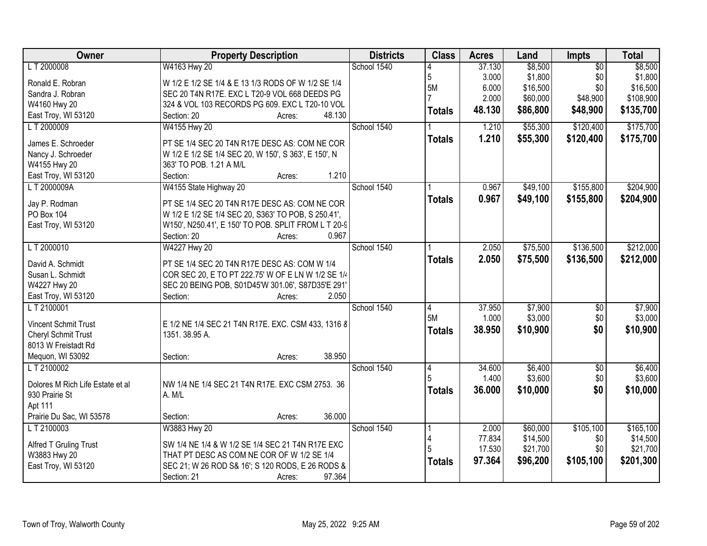| Owner                            | <b>Property Description</b>                                                                        | <b>Districts</b> | <b>Class</b>   | <b>Acres</b> | Land     | Impts           | <b>Total</b> |
|----------------------------------|----------------------------------------------------------------------------------------------------|------------------|----------------|--------------|----------|-----------------|--------------|
| L T 2000008                      | W4163 Hwy 20                                                                                       | School 1540      |                | 37.130       | \$8,500  | $\overline{50}$ | \$8,500      |
| Ronald E. Robran                 | W 1/2 E 1/2 SE 1/4 & E 13 1/3 RODS OF W 1/2 SE 1/4                                                 |                  | 5              | 3.000        | \$1,800  | \$0             | \$1,800      |
| Sandra J. Robran                 | SEC 20 T4N R17E. EXC L T20-9 VOL 668 DEEDS PG                                                      |                  | 5M             | 6.000        | \$16,500 | \$0             | \$16,500     |
| W4160 Hwy 20                     | 324 & VOL 103 RECORDS PG 609. EXC L T20-10 VOL                                                     |                  |                | 2.000        | \$60,000 | \$48,900        | \$108,900    |
| East Troy, WI 53120              | 48.130<br>Section: 20<br>Acres:                                                                    |                  | <b>Totals</b>  | 48.130       | \$86,800 | \$48,900        | \$135,700    |
| LT 2000009                       | W4155 Hwy 20                                                                                       | School 1540      |                | 1.210        | \$55,300 | \$120,400       | \$175,700    |
|                                  |                                                                                                    |                  | <b>Totals</b>  | 1.210        | \$55,300 | \$120,400       | \$175,700    |
| James E. Schroeder               | PT SE 1/4 SEC 20 T4N R17E DESC AS: COM NE COR                                                      |                  |                |              |          |                 |              |
| Nancy J. Schroeder               | W 1/2 E 1/2 SE 1/4 SEC 20, W 150', S 363', E 150', N                                               |                  |                |              |          |                 |              |
| W4155 Hwy 20                     | 363' TO POB. 1.21 A M/L<br>1.210<br>Section:                                                       |                  |                |              |          |                 |              |
| East Troy, WI 53120              | Acres:                                                                                             |                  |                |              |          |                 |              |
| LT 2000009A                      | W4155 State Highway 20                                                                             | School 1540      |                | 0.967        | \$49,100 | \$155,800       | \$204,900    |
| Jay P. Rodman                    | PT SE 1/4 SEC 20 T4N R17E DESC AS: COM NE COR                                                      |                  | <b>Totals</b>  | 0.967        | \$49,100 | \$155,800       | \$204,900    |
| PO Box 104                       | W 1/2 E 1/2 SE 1/4 SEC 20, S363' TO POB, S 250.41',                                                |                  |                |              |          |                 |              |
| East Troy, WI 53120              | W150', N250.41', E 150' TO POB. SPLIT FROM L T 20-9                                                |                  |                |              |          |                 |              |
|                                  | 0.967<br>Section: 20<br>Acres:                                                                     |                  |                |              |          |                 |              |
| LT 2000010                       | W4227 Hwy 20                                                                                       | School 1540      |                | 2.050        | \$75,500 | \$136,500       | \$212,000    |
| David A. Schmidt                 |                                                                                                    |                  | <b>Totals</b>  | 2.050        | \$75,500 | \$136,500       | \$212,000    |
| Susan L. Schmidt                 | PT SE 1/4 SEC 20 T4N R17E DESC AS: COM W 1/4<br>COR SEC 20, E TO PT 222.75' W OF E LN W 1/2 SE 1/4 |                  |                |              |          |                 |              |
| W4227 Hwy 20                     | SEC 20 BEING POB, S01D45'W 301.06', S87D35'E 291'                                                  |                  |                |              |          |                 |              |
| East Troy, WI 53120              | Section:<br>2.050<br>Acres:                                                                        |                  |                |              |          |                 |              |
| LT 2100001                       |                                                                                                    | School 1540      | $\overline{4}$ | 37.950       | \$7,900  | $\overline{50}$ | \$7,900      |
|                                  |                                                                                                    |                  | 5M             | 1.000        | \$3,000  | \$0             | \$3,000      |
| <b>Vincent Schmit Trust</b>      | E 1/2 NE 1/4 SEC 21 T4N R17E. EXC. CSM 433, 1316 8                                                 |                  | <b>Totals</b>  | 38.950       | \$10,900 | \$0             | \$10,900     |
| Cheryl Schmit Trust              | 1351, 38.95 A.                                                                                     |                  |                |              |          |                 |              |
| 8013 W Freistadt Rd              |                                                                                                    |                  |                |              |          |                 |              |
| Mequon, WI 53092                 | 38.950<br>Section:<br>Acres:                                                                       |                  |                |              |          |                 |              |
| LT 2100002                       |                                                                                                    | School 1540      | 4              | 34.600       | \$6,400  | $\overline{60}$ | \$6,400      |
| Dolores M Rich Life Estate et al | NW 1/4 NE 1/4 SEC 21 T4N R17E. EXC CSM 2753. 36                                                    |                  |                | 1.400        | \$3,600  | \$0             | \$3,600      |
| 930 Prairie St                   | A. M/L                                                                                             |                  | <b>Totals</b>  | 36.000       | \$10,000 | \$0             | \$10,000     |
| Apt 111                          |                                                                                                    |                  |                |              |          |                 |              |
| Prairie Du Sac, WI 53578         | 36.000<br>Section:<br>Acres:                                                                       |                  |                |              |          |                 |              |
| LT 2100003                       | W3883 Hwy 20                                                                                       | School 1540      |                | 2.000        | \$60,000 | \$105,100       | \$165,100    |
|                                  |                                                                                                    |                  | 4              | 77.834       | \$14,500 | \$0             | \$14,500     |
| Alfred T Gruling Trust           | SW 1/4 NE 1/4 & W 1/2 SE 1/4 SEC 21 T4N R17E EXC                                                   |                  | 5              | 17.530       | \$21,700 | \$0             | \$21,700     |
| W3883 Hwy 20                     | THAT PT DESC AS COM NE COR OF W 1/2 SE 1/4                                                         |                  | <b>Totals</b>  | 97.364       | \$96,200 | \$105,100       | \$201,300    |
| East Troy, WI 53120              | SEC 21; W 26 ROD S& 16'; S 120 RODS, E 26 RODS &                                                   |                  |                |              |          |                 |              |
|                                  | 97.364<br>Section: 21<br>Acres:                                                                    |                  |                |              |          |                 |              |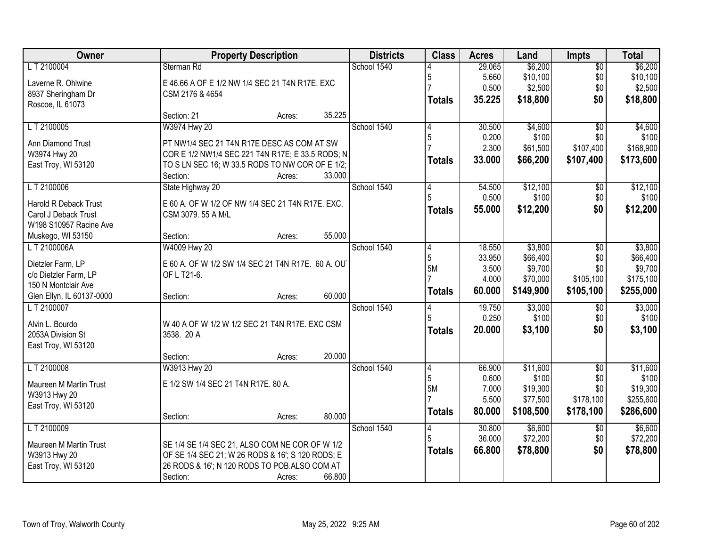| Owner                     |                                                   | <b>Property Description</b> |        | <b>Districts</b> | <b>Class</b>   | <b>Acres</b>   | Land                 | Impts            | <b>Total</b>          |
|---------------------------|---------------------------------------------------|-----------------------------|--------|------------------|----------------|----------------|----------------------|------------------|-----------------------|
| LT 2100004                | Sterman Rd                                        |                             |        | School 1540      |                | 29.065         | \$6,200              | $\overline{50}$  | \$6,200               |
| Laverne R. Ohlwine        | E 46.66 A OF E 1/2 NW 1/4 SEC 21 T4N R17E. EXC    |                             |        |                  | 5              | 5.660          | \$10,100             | \$0              | \$10,100              |
| 8937 Sheringham Dr        | CSM 2176 & 4654                                   |                             |        |                  |                | 0.500          | \$2,500              | \$0              | \$2,500               |
| Roscoe, IL 61073          |                                                   |                             |        |                  | <b>Totals</b>  | 35.225         | \$18,800             | \$0              | \$18,800              |
|                           | Section: 21                                       | Acres:                      | 35.225 |                  |                |                |                      |                  |                       |
| LT 2100005                | W3974 Hwy 20                                      |                             |        | School 1540      | 4              | 30.500         | \$4,600              | $\overline{50}$  | \$4,600               |
| <b>Ann Diamond Trust</b>  | PT NW1/4 SEC 21 T4N R17E DESC AS COM AT SW        |                             |        |                  | 5              | 0.200          | \$100                | \$0              | \$100                 |
| W3974 Hwy 20              | COR E 1/2 NW1/4 SEC 221 T4N R17E; E 33.5 RODS; N  |                             |        |                  |                | 2.300          | \$61,500             | \$107,400        | \$168,900             |
| East Troy, WI 53120       | TO S LN SEC 16; W 33.5 RODS TO NW COR OF E 1/2;   |                             |        |                  | <b>Totals</b>  | 33.000         | \$66,200             | \$107,400        | \$173,600             |
|                           | Section:                                          | Acres:                      | 33.000 |                  |                |                |                      |                  |                       |
| LT 2100006                | State Highway 20                                  |                             |        | School 1540      | 14             | 54.500         | \$12,100             | \$0              | \$12,100              |
| Harold R Deback Trust     | E 60 A. OF W 1/2 OF NW 1/4 SEC 21 T4N R17E. EXC.  |                             |        |                  |                | 0.500          | \$100                | \$0              | \$100                 |
| Carol J Deback Trust      | CSM 3079.55 A M/L                                 |                             |        |                  | <b>Totals</b>  | 55.000         | \$12,200             | \$0              | \$12,200              |
| W198 S10957 Racine Ave    |                                                   |                             |        |                  |                |                |                      |                  |                       |
| Muskego, WI 53150         | Section:                                          | Acres:                      | 55.000 |                  |                |                |                      |                  |                       |
| LT 2100006A               | W4009 Hwy 20                                      |                             |        | School 1540      | 4              | 18.550         | \$3,800              | \$0              | \$3,800               |
| Dietzler Farm, LP         | E 60 A. OF W 1/2 SW 1/4 SEC 21 T4N R17E. 60 A. OU |                             |        |                  | 5              | 33.950         | \$66,400             | \$0              | \$66,400              |
| c/o Dietzler Farm, LP     | OF L T21-6.                                       |                             |        |                  | 5M             | 3.500          | \$9,700              | \$0              | \$9,700               |
| 150 N Montclair Ave       |                                                   |                             |        |                  |                | 4.000          | \$70,000             | \$105,100        | \$175,100             |
| Glen Ellyn, IL 60137-0000 | Section:                                          | Acres:                      | 60.000 |                  | <b>Totals</b>  | 60.000         | \$149,900            | \$105,100        | \$255,000             |
| LT 2100007                |                                                   |                             |        | School 1540      |                | 19.750         | \$3,000              | $\overline{50}$  | \$3,000               |
| Alvin L. Bourdo           | W 40 A OF W 1/2 W 1/2 SEC 21 T4N R17E. EXC CSM    |                             |        |                  |                | 0.250          | \$100                | \$0              | \$100                 |
| 2053A Division St         | 3538. 20 A                                        |                             |        |                  | <b>Totals</b>  | 20.000         | \$3,100              | \$0              | \$3,100               |
| East Troy, WI 53120       |                                                   |                             |        |                  |                |                |                      |                  |                       |
|                           | Section:                                          | Acres:                      | 20.000 |                  |                |                |                      |                  |                       |
| LT 2100008                | W3913 Hwy 20                                      |                             |        | School 1540      | $\overline{4}$ | 66.900         | \$11,600             | $\overline{50}$  | \$11,600              |
| Maureen M Martin Trust    | E 1/2 SW 1/4 SEC 21 T4N R17E. 80 A.               |                             |        |                  | 5              | 0.600          | \$100                | \$0              | \$100                 |
| W3913 Hwy 20              |                                                   |                             |        |                  | 5M             | 7.000<br>5.500 | \$19,300<br>\$77,500 | \$0<br>\$178,100 | \$19,300<br>\$255,600 |
| East Troy, WI 53120       |                                                   |                             |        |                  |                |                |                      |                  |                       |
|                           | Section:                                          | Acres:                      | 80.000 |                  | <b>Totals</b>  | 80.000         | \$108,500            | \$178,100        | \$286,600             |
| LT 2100009                |                                                   |                             |        | School 1540      | 14             | 30.800         | \$6,600              | $\overline{50}$  | \$6,600               |
| Maureen M Martin Trust    | SE 1/4 SE 1/4 SEC 21, ALSO COM NE COR OF W 1/2    |                             |        |                  | 5              | 36.000         | \$72,200             | \$0              | \$72,200              |
| W3913 Hwy 20              | OF SE 1/4 SEC 21; W 26 RODS & 16'; S 120 RODS; E  |                             |        |                  | <b>Totals</b>  | 66.800         | \$78,800             | \$0              | \$78,800              |
| East Troy, WI 53120       | 26 RODS & 16'; N 120 RODS TO POB.ALSO COM AT      |                             |        |                  |                |                |                      |                  |                       |
|                           | Section:                                          | Acres:                      | 66.800 |                  |                |                |                      |                  |                       |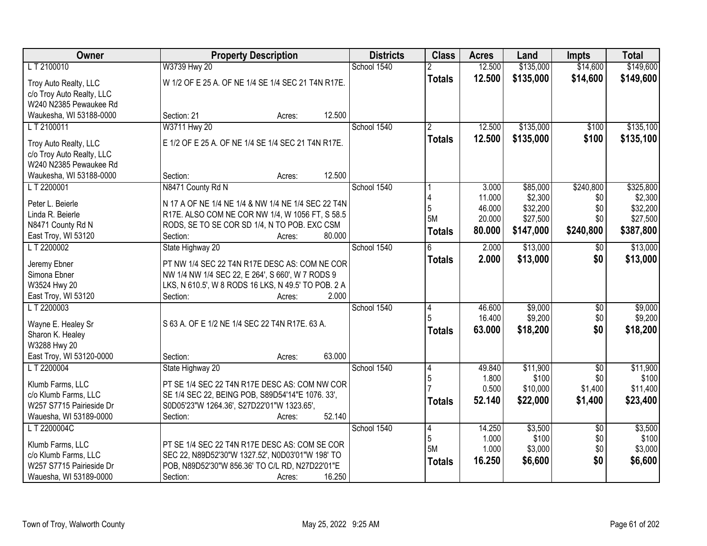| Owner                                    | <b>Property Description</b>                                                                       | <b>Districts</b> | <b>Class</b>          | <b>Acres</b> | Land      | <b>Impts</b>    | <b>Total</b> |
|------------------------------------------|---------------------------------------------------------------------------------------------------|------------------|-----------------------|--------------|-----------|-----------------|--------------|
| LT 2100010                               | W3739 Hwy 20                                                                                      | School 1540      |                       | 12.500       | \$135,000 | \$14,600        | \$149,600    |
| Troy Auto Realty, LLC                    | W 1/2 OF E 25 A. OF NE 1/4 SE 1/4 SEC 21 T4N R17E.                                                |                  | <b>Totals</b>         | 12.500       | \$135,000 | \$14,600        | \$149,600    |
| c/o Troy Auto Realty, LLC                |                                                                                                   |                  |                       |              |           |                 |              |
| W240 N2385 Pewaukee Rd                   |                                                                                                   |                  |                       |              |           |                 |              |
| Waukesha, WI 53188-0000                  | 12.500<br>Section: 21<br>Acres:                                                                   |                  |                       |              |           |                 |              |
| LT 2100011                               | W3711 Hwy 20                                                                                      | School 1540      | $\mathfrak{p}$        | 12.500       | \$135,000 | \$100           | \$135,100    |
| Troy Auto Realty, LLC                    | E 1/2 OF E 25 A. OF NE 1/4 SE 1/4 SEC 21 T4N R17E.                                                |                  | <b>Totals</b>         | 12.500       | \$135,000 | \$100           | \$135,100    |
| c/o Troy Auto Realty, LLC                |                                                                                                   |                  |                       |              |           |                 |              |
| W240 N2385 Pewaukee Rd                   |                                                                                                   |                  |                       |              |           |                 |              |
| Waukesha, WI 53188-0000                  | 12.500<br>Section:<br>Acres:                                                                      |                  |                       |              |           |                 |              |
| LT 2200001                               | N8471 County Rd N                                                                                 | School 1540      |                       | 3.000        | \$85,000  | \$240,800       | \$325,800    |
| Peter L. Beierle                         | N 17 A OF NE 1/4 NE 1/4 & NW 1/4 NE 1/4 SEC 22 T4N                                                |                  |                       | 11.000       | \$2,300   | \$0             | \$2,300      |
| Linda R. Beierle                         | R17E. ALSO COM NE COR NW 1/4, W 1056 FT, S 58.5                                                   |                  | 5                     | 46.000       | \$32,200  | \$0             | \$32,200     |
| N8471 County Rd N                        | RODS, SE TO SE COR SD 1/4, N TO POB. EXC CSM                                                      |                  | 5M                    | 20.000       | \$27,500  | \$0             | \$27,500     |
| East Troy, WI 53120                      | Section:<br>80.000<br>Acres:                                                                      |                  | <b>Totals</b>         | 80.000       | \$147,000 | \$240,800       | \$387,800    |
| LT 2200002                               | State Highway 20                                                                                  | School 1540      | 6                     | 2.000        | \$13,000  | $\sqrt[6]{30}$  | \$13,000     |
| Jeremy Ebner                             | PT NW 1/4 SEC 22 T4N R17E DESC AS: COM NE COR                                                     |                  | <b>Totals</b>         | 2.000        | \$13,000  | \$0             | \$13,000     |
| Simona Ebner                             | NW 1/4 NW 1/4 SEC 22, E 264', S 660', W 7 RODS 9                                                  |                  |                       |              |           |                 |              |
| W3524 Hwy 20                             | LKS, N 610.5', W 8 RODS 16 LKS, N 49.5' TO POB. 2 A                                               |                  |                       |              |           |                 |              |
| East Troy, WI 53120                      | 2.000<br>Section:<br>Acres:                                                                       |                  |                       |              |           |                 |              |
| LT 2200003                               |                                                                                                   | School 1540      | $\boldsymbol{\Delta}$ | 46.600       | \$9,000   | \$0             | \$9,000      |
| Wayne E. Healey Sr                       | S 63 A. OF E 1/2 NE 1/4 SEC 22 T4N R17E. 63 A.                                                    |                  |                       | 16.400       | \$9,200   | \$0             | \$9,200      |
| Sharon K. Healey                         |                                                                                                   |                  | <b>Totals</b>         | 63.000       | \$18,200  | \$0             | \$18,200     |
| W3288 Hwy 20                             |                                                                                                   |                  |                       |              |           |                 |              |
| East Troy, WI 53120-0000                 | 63.000<br>Section:<br>Acres:                                                                      |                  |                       |              |           |                 |              |
| LT 2200004                               | State Highway 20                                                                                  | School 1540      | 4                     | 49.840       | \$11,900  | $\overline{50}$ | \$11,900     |
| Klumb Farms, LLC                         | PT SE 1/4 SEC 22 T4N R17E DESC AS: COM NW COR                                                     |                  | 5                     | 1.800        | \$100     | \$0             | \$100        |
| c/o Klumb Farms, LLC                     | SE 1/4 SEC 22, BEING POB, S89D54'14"E 1076. 33',                                                  |                  |                       | 0.500        | \$10,000  | \$1,400         | \$11,400     |
| W257 S7715 Pairieside Dr                 | S0D05'23"W 1264.36', S27D22'01"W 1323.65',                                                        |                  | <b>Totals</b>         | 52.140       | \$22,000  | \$1,400         | \$23,400     |
| Wauesha, WI 53189-0000                   | 52.140<br>Section:<br>Acres:                                                                      |                  |                       |              |           |                 |              |
| L T 2200004C                             |                                                                                                   | School 1540      | 4                     | 14.250       | \$3,500   | $\overline{50}$ | \$3,500      |
|                                          |                                                                                                   |                  | 5                     | 1.000        | \$100     | \$0             | \$100        |
| Klumb Farms, LLC<br>c/o Klumb Farms, LLC | PT SE 1/4 SEC 22 T4N R17E DESC AS: COM SE COR<br>SEC 22, N89D52'30"W 1327.52', N0D03'01"W 198' TO |                  | 5M                    | 1.000        | \$3,000   | \$0             | \$3,000      |
| W257 S7715 Pairieside Dr                 | POB, N89D52'30"W 856.36' TO C/L RD, N27D22'01"E                                                   |                  | <b>Totals</b>         | 16.250       | \$6,600   | \$0             | \$6,600      |
| Wauesha, WI 53189-0000                   | Section:<br>16.250<br>Acres:                                                                      |                  |                       |              |           |                 |              |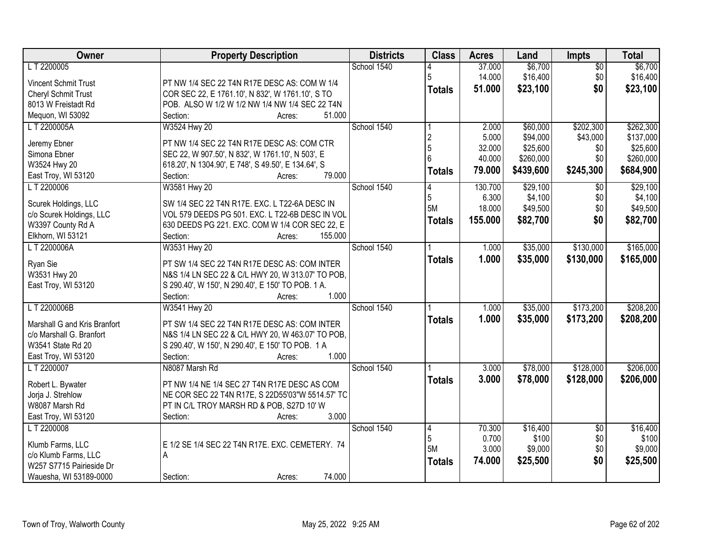| Owner                             | <b>Property Description</b>                                                                             | <b>Districts</b> | <b>Class</b>   | <b>Acres</b> | Land      | <b>Impts</b>    | <b>Total</b> |
|-----------------------------------|---------------------------------------------------------------------------------------------------------|------------------|----------------|--------------|-----------|-----------------|--------------|
| LT 2200005                        |                                                                                                         | School 1540      |                | 37.000       | \$6,700   | $\overline{50}$ | \$6,700      |
| Vincent Schmit Trust              | PT NW 1/4 SEC 22 T4N R17E DESC AS: COM W 1/4                                                            |                  | 5              | 14.000       | \$16,400  | \$0             | \$16,400     |
| Cheryl Schmit Trust               | COR SEC 22, E 1761.10', N 832', W 1761.10', S TO                                                        |                  | <b>Totals</b>  | 51.000       | \$23,100  | \$0             | \$23,100     |
| 8013 W Freistadt Rd               | POB. ALSO W 1/2 W 1/2 NW 1/4 NW 1/4 SEC 22 T4N                                                          |                  |                |              |           |                 |              |
| Mequon, WI 53092                  | 51.000<br>Section:<br>Acres:                                                                            |                  |                |              |           |                 |              |
| L T 2200005A                      | W3524 Hwy 20                                                                                            | School 1540      |                | 2.000        | \$60,000  | \$202,300       | \$262,300    |
|                                   |                                                                                                         |                  | $\overline{2}$ | 5.000        | \$94,000  | \$43,000        | \$137,000    |
| Jeremy Ebner<br>Simona Ebner      | PT NW 1/4 SEC 22 T4N R17E DESC AS: COM CTR                                                              |                  | 5              | 32.000       | \$25,600  | \$0             | \$25,600     |
| W3524 Hwy 20                      | SEC 22, W 907.50', N 832', W 1761.10', N 503', E<br>618.20', N 1304.90', E 748', S 49.50', E 134.64', S |                  | 6              | 40.000       | \$260,000 | \$0             | \$260,000    |
| East Troy, WI 53120               | 79.000<br>Section:<br>Acres:                                                                            |                  | <b>Totals</b>  | 79.000       | \$439,600 | \$245,300       | \$684,900    |
| LT 2200006                        | W3581 Hwy 20                                                                                            | School 1540      |                | 130.700      | \$29,100  | $\sqrt{6}$      | \$29,100     |
|                                   |                                                                                                         |                  | 5              | 6.300        | \$4,100   | \$0             | \$4,100      |
| Scurek Holdings, LLC              | SW 1/4 SEC 22 T4N R17E. EXC. L T22-6A DESC IN                                                           |                  | 5M             | 18.000       | \$49,500  | \$0             | \$49,500     |
| c/o Scurek Holdings, LLC          | VOL 579 DEEDS PG 501. EXC. L T22-6B DESC IN VOL                                                         |                  | <b>Totals</b>  | 155.000      | \$82,700  | \$0             | \$82,700     |
| W3397 County Rd A                 | 630 DEEDS PG 221. EXC. COM W 1/4 COR SEC 22, E                                                          |                  |                |              |           |                 |              |
| Elkhorn, WI 53121                 | 155.000<br>Section:<br>Acres:                                                                           |                  |                |              |           |                 |              |
| LT 2200006A                       | W3531 Hwy 20                                                                                            | School 1540      |                | 1.000        | \$35,000  | \$130,000       | \$165,000    |
| Ryan Sie                          | PT SW 1/4 SEC 22 T4N R17E DESC AS: COM INTER                                                            |                  | <b>Totals</b>  | 1.000        | \$35,000  | \$130,000       | \$165,000    |
| W3531 Hwy 20                      | N&S 1/4 LN SEC 22 & C/L HWY 20, W 313.07' TO POB,                                                       |                  |                |              |           |                 |              |
| East Troy, WI 53120               | S 290.40', W 150', N 290.40', E 150' TO POB. 1 A.                                                       |                  |                |              |           |                 |              |
|                                   | Section:<br>1.000<br>Acres:                                                                             |                  |                |              |           |                 |              |
| L T 2200006B                      | W3541 Hwy 20                                                                                            | School 1540      |                | 1.000        | \$35,000  | \$173,200       | \$208,200    |
|                                   |                                                                                                         |                  | <b>Totals</b>  | 1.000        | \$35,000  | \$173,200       | \$208,200    |
| Marshall G and Kris Branfort      | PT SW 1/4 SEC 22 T4N R17E DESC AS: COM INTER                                                            |                  |                |              |           |                 |              |
| c/o Marshall G. Branfort          | N&S 1/4 LN SEC 22 & C/L HWY 20, W 463.07' TO POB,                                                       |                  |                |              |           |                 |              |
| W3541 State Rd 20                 | S 290.40', W 150', N 290.40', E 150' TO POB. 1 A<br>1.000                                               |                  |                |              |           |                 |              |
| East Troy, WI 53120<br>LT 2200007 | Section:<br>Acres:<br>N8087 Marsh Rd                                                                    | School 1540      |                | 3.000        |           | \$128,000       |              |
|                                   |                                                                                                         |                  |                |              | \$78,000  |                 | \$206,000    |
| Robert L. Bywater                 | PT NW 1/4 NE 1/4 SEC 27 T4N R17E DESC AS COM                                                            |                  | <b>Totals</b>  | 3.000        | \$78,000  | \$128,000       | \$206,000    |
| Jorja J. Strehlow                 | NE COR SEC 22 T4N R17E, S 22D55'03"W 5514.57' TC                                                        |                  |                |              |           |                 |              |
| W8087 Marsh Rd                    | PT IN C/L TROY MARSH RD & POB, S27D 10' W                                                               |                  |                |              |           |                 |              |
| East Troy, WI 53120               | 3.000<br>Section:<br>Acres:                                                                             |                  |                |              |           |                 |              |
| L T 2200008                       |                                                                                                         | School 1540      | 4              | 70.300       | \$16,400  | $\overline{50}$ | \$16,400     |
| Klumb Farms, LLC                  | E 1/2 SE 1/4 SEC 22 T4N R17E. EXC. CEMETERY. 74                                                         |                  | 5              | 0.700        | \$100     | \$0             | \$100        |
| c/o Klumb Farms, LLC              | А                                                                                                       |                  | 5M             | 3.000        | \$9,000   | \$0             | \$9,000      |
| W257 S7715 Pairieside Dr          |                                                                                                         |                  | <b>Totals</b>  | 74.000       | \$25,500  | \$0             | \$25,500     |
| Wauesha, WI 53189-0000            | 74.000<br>Section:<br>Acres:                                                                            |                  |                |              |           |                 |              |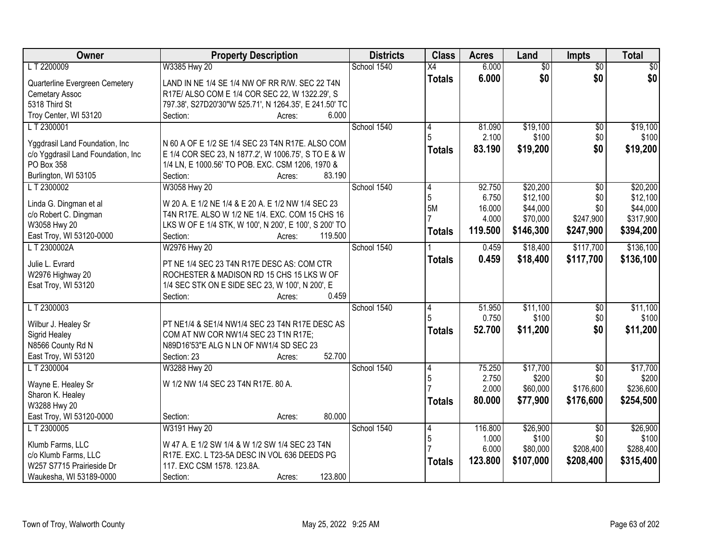| Owner                                 | <b>Property Description</b>                                                                              | <b>Districts</b> | <b>Class</b>    | <b>Acres</b> | Land            | Impts           | <b>Total</b> |
|---------------------------------------|----------------------------------------------------------------------------------------------------------|------------------|-----------------|--------------|-----------------|-----------------|--------------|
| LT 2200009                            | W3385 Hwy 20                                                                                             | School 1540      | $\overline{X4}$ | 6.000        | $\overline{50}$ | $\overline{50}$ | \$0          |
| Quarterline Evergreen Cemetery        | LAND IN NE 1/4 SE 1/4 NW OF RR R/W. SEC 22 T4N                                                           |                  | <b>Totals</b>   | 6.000        | \$0             | \$0             | \$0          |
| <b>Cemetary Assoc</b>                 | R17E/ ALSO COM E 1/4 COR SEC 22, W 1322.29', S                                                           |                  |                 |              |                 |                 |              |
| 5318 Third St                         | 797.38', S27D20'30"W 525.71', N 1264.35', E 241.50' TC                                                   |                  |                 |              |                 |                 |              |
| Troy Center, WI 53120                 | 6.000<br>Section:<br>Acres:                                                                              |                  |                 |              |                 |                 |              |
| LT 2300001                            |                                                                                                          | School 1540      | 4               | 81.090       | \$19,100        | \$0             | \$19,100     |
| Yggdrasil Land Foundation, Inc        | N 60 A OF E 1/2 SE 1/4 SEC 23 T4N R17E. ALSO COM                                                         |                  |                 | 2.100        | \$100           | \$0             | \$100        |
| c/o Yggdrasil Land Foundation, Inc    | E 1/4 COR SEC 23, N 1877.2', W 1006.75', S TO E & W                                                      |                  | <b>Totals</b>   | 83.190       | \$19,200        | \$0             | \$19,200     |
| PO Box 358                            | 1/4 LN, E 1000.56' TO POB. EXC. CSM 1206, 1970 &                                                         |                  |                 |              |                 |                 |              |
| Burlington, WI 53105                  | 83.190<br>Section:<br>Acres:                                                                             |                  |                 |              |                 |                 |              |
| LT 2300002                            | W3058 Hwy 20                                                                                             | School 1540      | 4               | 92.750       | \$20,200        | \$0             | \$20,200     |
|                                       |                                                                                                          |                  | 5               | 6.750        | \$12,100        | \$0             | \$12,100     |
| Linda G. Dingman et al                | W 20 A. E 1/2 NE 1/4 & E 20 A. E 1/2 NW 1/4 SEC 23                                                       |                  | 5M              | 16.000       | \$44,000        | \$0             | \$44,000     |
| c/o Robert C. Dingman<br>W3058 Hwy 20 | T4N R17E. ALSO W 1/2 NE 1/4. EXC. COM 15 CHS 16<br>LKS W OF E 1/4 STK, W 100', N 200', E 100', S 200' TO |                  |                 | 4.000        | \$70,000        | \$247,900       | \$317,900    |
| East Troy, WI 53120-0000              | 119.500<br>Section:<br>Acres:                                                                            |                  | <b>Totals</b>   | 119.500      | \$146,300       | \$247,900       | \$394,200    |
| LT 2300002A                           | W2976 Hwy 20                                                                                             | School 1540      |                 | 0.459        | \$18,400        | \$117,700       | \$136,100    |
|                                       |                                                                                                          |                  | <b>Totals</b>   | 0.459        | \$18,400        | \$117,700       | \$136,100    |
| Julie L. Evrard                       | PT NE 1/4 SEC 23 T4N R17E DESC AS: COM CTR                                                               |                  |                 |              |                 |                 |              |
| W2976 Highway 20                      | ROCHESTER & MADISON RD 15 CHS 15 LKS W OF                                                                |                  |                 |              |                 |                 |              |
| Esat Troy, WI 53120                   | 1/4 SEC STK ON E SIDE SEC 23, W 100', N 200', E                                                          |                  |                 |              |                 |                 |              |
|                                       | 0.459<br>Section:<br>Acres:                                                                              |                  |                 |              |                 |                 |              |
| LT 2300003                            |                                                                                                          | School 1540      | 4<br>5          | 51.950       | \$11,100        | $\overline{50}$ | \$11,100     |
| Wilbur J. Healey Sr                   | PT NE1/4 & SE1/4 NW1/4 SEC 23 T4N R17E DESC AS                                                           |                  |                 | 0.750        | \$100           | \$0<br>\$0      | \$100        |
| Sigrid Healey                         | COM AT NW COR NW1/4 SEC 23 T1N R17E;                                                                     |                  | <b>Totals</b>   | 52.700       | \$11,200        |                 | \$11,200     |
| N8566 County Rd N                     | N89D16'53"E ALG N LN OF NW1/4 SD SEC 23                                                                  |                  |                 |              |                 |                 |              |
| East Troy, WI 53120                   | 52.700<br>Section: 23<br>Acres:                                                                          |                  |                 |              |                 |                 |              |
| LT 2300004                            | W3288 Hwy 20                                                                                             | School 1540      | 4               | 75.250       | \$17,700        | $\overline{50}$ | \$17,700     |
| Wayne E. Healey Sr                    | W 1/2 NW 1/4 SEC 23 T4N R17E. 80 A.                                                                      |                  | 5               | 2.750        | \$200           | \$0             | \$200        |
| Sharon K. Healey                      |                                                                                                          |                  |                 | 2.000        | \$60,000        | \$176,600       | \$236,600    |
| W3288 Hwy 20                          |                                                                                                          |                  | <b>Totals</b>   | 80.000       | \$77,900        | \$176,600       | \$254,500    |
| East Troy, WI 53120-0000              | 80.000<br>Section:<br>Acres:                                                                             |                  |                 |              |                 |                 |              |
| L T 2300005                           | W3191 Hwy 20                                                                                             | School 1540      | 14              | 116.800      | \$26,900        | $\overline{30}$ | \$26,900     |
| Klumb Farms, LLC                      | W 47 A. E 1/2 SW 1/4 & W 1/2 SW 1/4 SEC 23 T4N                                                           |                  | $\overline{5}$  | 1.000        | \$100           | \$0             | \$100        |
| c/o Klumb Farms, LLC                  | R17E. EXC. L T23-5A DESC IN VOL 636 DEEDS PG                                                             |                  |                 | 6.000        | \$80,000        | \$208,400       | \$288,400    |
| W257 S7715 Prairieside Dr             | 117. EXC CSM 1578. 123.8A.                                                                               |                  | <b>Totals</b>   | 123.800      | \$107,000       | \$208,400       | \$315,400    |
| Waukesha, WI 53189-0000               | 123.800<br>Section:<br>Acres:                                                                            |                  |                 |              |                 |                 |              |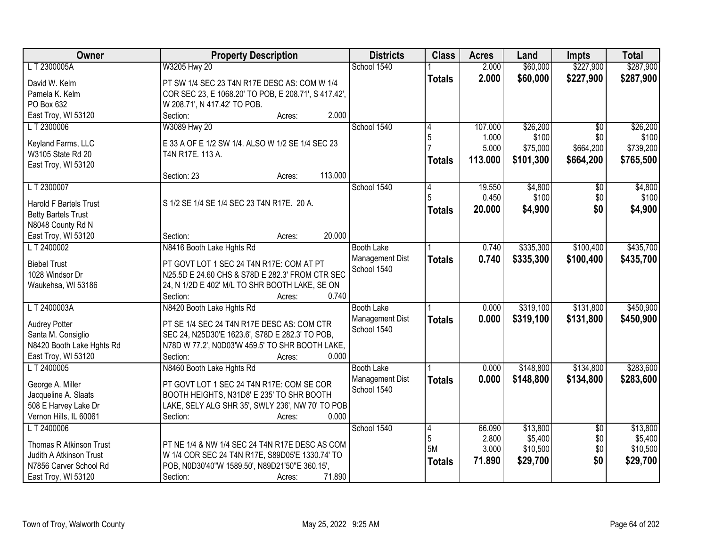| Owner                         | <b>Property Description</b>                          | <b>Districts</b>  | <b>Class</b>  | <b>Acres</b> | Land      | <b>Impts</b>    | <b>Total</b> |
|-------------------------------|------------------------------------------------------|-------------------|---------------|--------------|-----------|-----------------|--------------|
| LT 2300005A                   | W3205 Hwy 20                                         | School 1540       |               | 2.000        | \$60,000  | \$227,900       | \$287,900    |
| David W. Kelm                 | PT SW 1/4 SEC 23 T4N R17E DESC AS: COM W 1/4         |                   | <b>Totals</b> | 2.000        | \$60,000  | \$227,900       | \$287,900    |
| Pamela K. Kelm                | COR SEC 23, E 1068.20' TO POB, E 208.71', S 417.42', |                   |               |              |           |                 |              |
| PO Box 632                    | W 208.71', N 417.42' TO POB.                         |                   |               |              |           |                 |              |
| East Troy, WI 53120           | 2.000<br>Section:<br>Acres:                          |                   |               |              |           |                 |              |
| LT 2300006                    | W3089 Hwy 20                                         | School 1540       | 4             | 107.000      | \$26,200  | $\overline{30}$ | \$26,200     |
|                               |                                                      |                   | 5             | 1.000        | \$100     | \$0             | \$100        |
| Keyland Farms, LLC            | E 33 A OF E 1/2 SW 1/4. ALSO W 1/2 SE 1/4 SEC 23     |                   |               | 5.000        | \$75,000  | \$664,200       | \$739,200    |
| W3105 State Rd 20             | T4N R17E. 113 A.                                     |                   | <b>Totals</b> | 113.000      | \$101,300 | \$664,200       | \$765,500    |
| East Troy, WI 53120           |                                                      |                   |               |              |           |                 |              |
|                               | 113.000<br>Section: 23<br>Acres:                     |                   |               |              |           |                 |              |
| LT 2300007                    |                                                      | School 1540       |               | 19.550       | \$4,800   | \$0             | \$4,800      |
| <b>Harold F Bartels Trust</b> | S 1/2 SE 1/4 SE 1/4 SEC 23 T4N R17E. 20 A.           |                   |               | 0.450        | \$100     | \$0             | \$100        |
| <b>Betty Bartels Trust</b>    |                                                      |                   | <b>Totals</b> | 20,000       | \$4,900   | \$0             | \$4,900      |
| N8048 County Rd N             |                                                      |                   |               |              |           |                 |              |
| East Troy, WI 53120           | 20.000<br>Section:<br>Acres:                         |                   |               |              |           |                 |              |
| LT 2400002                    | N8416 Booth Lake Hghts Rd                            | <b>Booth Lake</b> |               | 0.740        | \$335,300 | \$100,400       | \$435,700    |
|                               |                                                      | Management Dist   | <b>Totals</b> | 0.740        | \$335,300 | \$100,400       | \$435,700    |
| <b>Biebel Trust</b>           | PT GOVT LOT 1 SEC 24 T4N R17E: COM AT PT             | School 1540       |               |              |           |                 |              |
| 1028 Windsor Dr               | N25.5D E 24.60 CHS & S78D E 282.3' FROM CTR SEC      |                   |               |              |           |                 |              |
| Waukehsa, WI 53186            | 24, N 1/2D E 402' M/L TO SHR BOOTH LAKE, SE ON       |                   |               |              |           |                 |              |
|                               | 0.740<br>Section:<br>Acres:                          |                   |               |              |           |                 |              |
| LT 2400003A                   | N8420 Booth Lake Hghts Rd                            | <b>Booth Lake</b> |               | 0.000        | \$319,100 | \$131,800       | \$450,900    |
| <b>Audrey Potter</b>          | PT SE 1/4 SEC 24 T4N R17E DESC AS: COM CTR           | Management Dist   | <b>Totals</b> | 0.000        | \$319,100 | \$131,800       | \$450,900    |
| Santa M. Consiglio            | SEC 24, N25D30'E 1623.6', S78D E 282.3' TO POB,      | School 1540       |               |              |           |                 |              |
| N8420 Booth Lake Hghts Rd     | N78D W 77.2', N0D03'W 459.5' TO SHR BOOTH LAKE,      |                   |               |              |           |                 |              |
| East Troy, WI 53120           | Section:<br>0.000<br>Acres:                          |                   |               |              |           |                 |              |
| LT 2400005                    | N8460 Booth Lake Hghts Rd                            | <b>Booth Lake</b> |               | 0.000        | \$148,800 | \$134,800       | \$283,600    |
| George A. Miller              | PT GOVT LOT 1 SEC 24 T4N R17E: COM SE COR            | Management Dist   | <b>Totals</b> | 0.000        | \$148,800 | \$134,800       | \$283,600    |
| Jacqueline A. Slaats          | BOOTH HEIGHTS, N31D8' E 235' TO SHR BOOTH            | School 1540       |               |              |           |                 |              |
| 508 E Harvey Lake Dr          | LAKE, SELY ALG SHR 35', SWLY 236', NW 70' TO POB     |                   |               |              |           |                 |              |
| Vernon Hills, IL 60061        | 0.000<br>Section:<br>Acres:                          |                   |               |              |           |                 |              |
| L T 2400006                   |                                                      | School 1540       | 4             | 66.090       | \$13,800  | $\overline{30}$ | \$13,800     |
|                               |                                                      |                   | 5             | 2.800        | \$5,400   | \$0             | \$5,400      |
| Thomas R Atkinson Trust       | PT NE 1/4 & NW 1/4 SEC 24 T4N R17E DESC AS COM       |                   | 5M            | 3.000        | \$10,500  | \$0             | \$10,500     |
| Judith A Atkinson Trust       | W 1/4 COR SEC 24 T4N R17E, S89D05'E 1330.74' TO      |                   | <b>Totals</b> | 71.890       | \$29,700  | \$0             | \$29,700     |
| N7856 Carver School Rd        | POB, N0D30'40"W 1589.50', N89D21'50"E 360.15',       |                   |               |              |           |                 |              |
| East Troy, WI 53120           | Section:<br>71.890<br>Acres:                         |                   |               |              |           |                 |              |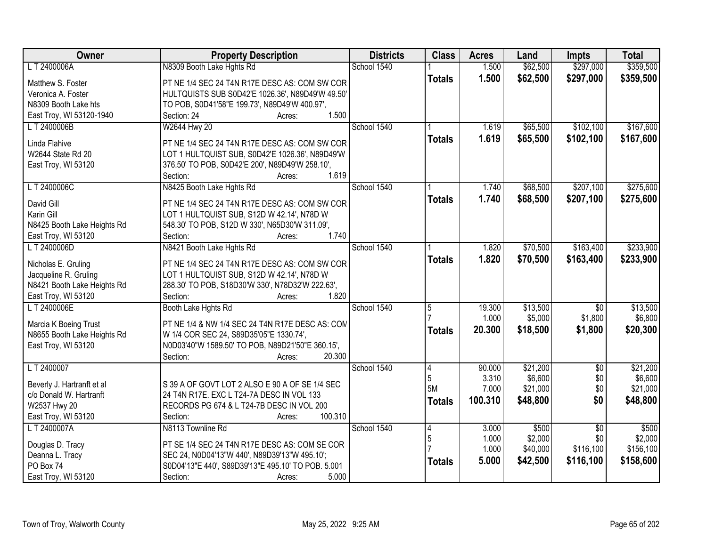| Owner                                                | <b>Property Description</b>                                                                 | <b>Districts</b> | <b>Class</b>  | <b>Acres</b> | Land     | <b>Impts</b>    | <b>Total</b> |
|------------------------------------------------------|---------------------------------------------------------------------------------------------|------------------|---------------|--------------|----------|-----------------|--------------|
| LT 2400006A                                          | N8309 Booth Lake Hghts Rd                                                                   | School 1540      |               | 1.500        | \$62,500 | \$297,000       | \$359,500    |
| Matthew S. Foster                                    | PT NE 1/4 SEC 24 T4N R17E DESC AS: COM SW COR                                               |                  | <b>Totals</b> | 1.500        | \$62,500 | \$297,000       | \$359,500    |
| Veronica A. Foster                                   | HULTQUISTS SUB S0D42'E 1026.36', N89D49'W 49.50'                                            |                  |               |              |          |                 |              |
| N8309 Booth Lake hts                                 | TO POB, S0D41'58"E 199.73', N89D49'W 400.97',                                               |                  |               |              |          |                 |              |
| East Troy, WI 53120-1940                             | 1.500<br>Section: 24<br>Acres:                                                              |                  |               |              |          |                 |              |
| LT 2400006B                                          | W2644 Hwy 20                                                                                | School 1540      |               | 1.619        | \$65,500 | \$102,100       | \$167,600    |
|                                                      |                                                                                             |                  | <b>Totals</b> | 1.619        | \$65,500 | \$102,100       | \$167,600    |
| Linda Flahive                                        | PT NE 1/4 SEC 24 T4N R17E DESC AS: COM SW COR                                               |                  |               |              |          |                 |              |
| W2644 State Rd 20                                    | LOT 1 HULTQUIST SUB, S0D42'E 1026.36', N89D49'W                                             |                  |               |              |          |                 |              |
| East Troy, WI 53120                                  | 376.50' TO POB, S0D42'E 200', N89D49'W 258.10',                                             |                  |               |              |          |                 |              |
|                                                      | 1.619<br>Section:<br>Acres:                                                                 |                  |               |              |          |                 |              |
| LT 2400006C                                          | N8425 Booth Lake Hghts Rd                                                                   | School 1540      |               | 1.740        | \$68,500 | \$207,100       | \$275,600    |
| David Gill                                           | PT NE 1/4 SEC 24 T4N R17E DESC AS: COM SW COR                                               |                  | <b>Totals</b> | 1.740        | \$68,500 | \$207,100       | \$275,600    |
| Karin Gill                                           | LOT 1 HULTQUIST SUB, S12D W 42.14', N78D W                                                  |                  |               |              |          |                 |              |
| N8425 Booth Lake Heights Rd                          | 548.30' TO POB, S12D W 330', N65D30'W 311.09',                                              |                  |               |              |          |                 |              |
| East Troy, WI 53120                                  | 1.740<br>Section:<br>Acres:                                                                 |                  |               |              |          |                 |              |
| L T 2400006D                                         | N8421 Booth Lake Hghts Rd                                                                   | School 1540      |               | 1.820        | \$70,500 | \$163,400       | \$233,900    |
|                                                      |                                                                                             |                  | <b>Totals</b> | 1.820        | \$70,500 | \$163,400       | \$233,900    |
| Nicholas E. Gruling                                  | PT NE 1/4 SEC 24 T4N R17E DESC AS: COM SW COR<br>LOT 1 HULTQUIST SUB, S12D W 42.14', N78D W |                  |               |              |          |                 |              |
| Jacqueline R. Gruling<br>N8421 Booth Lake Heights Rd | 288.30' TO POB, S18D30'W 330', N78D32'W 222.63',                                            |                  |               |              |          |                 |              |
| East Troy, WI 53120                                  | 1.820<br>Section:<br>Acres:                                                                 |                  |               |              |          |                 |              |
| L T 2400006E                                         | Booth Lake Hghts Rd                                                                         | School 1540      | 5             | 19.300       | \$13,500 | $\overline{50}$ | \$13,500     |
|                                                      |                                                                                             |                  |               | 1.000        | \$5,000  | \$1,800         | \$6,800      |
| Marcia K Boeing Trust                                | PT NE 1/4 & NW 1/4 SEC 24 T4N R17E DESC AS: CON                                             |                  | <b>Totals</b> | 20.300       | \$18,500 | \$1,800         | \$20,300     |
| N8655 Booth Lake Heights Rd                          | W 1/4 COR SEC 24, S89D35'05"E 1330.74',                                                     |                  |               |              |          |                 |              |
| East Troy, WI 53120                                  | N0D03'40"W 1589.50' TO POB, N89D21'50"E 360.15',                                            |                  |               |              |          |                 |              |
|                                                      | 20.300<br>Section:<br>Acres:                                                                |                  |               |              |          |                 |              |
| LT 2400007                                           |                                                                                             | School 1540      | 4             | 90.000       | \$21,200 | $\overline{50}$ | \$21,200     |
| Beverly J. Hartranft et al                           | S 39 A OF GOVT LOT 2 ALSO E 90 A OF SE 1/4 SEC                                              |                  | 5             | 3.310        | \$6,600  | \$0             | \$6,600      |
| c/o Donald W. Hartranft                              | 24 T4N R17E. EXC L T24-7A DESC IN VOL 133                                                   |                  | 5M            | 7.000        | \$21,000 | \$0             | \$21,000     |
| W2537 Hwy 20                                         | RECORDS PG 674 & L T24-7B DESC IN VOL 200                                                   |                  | <b>Totals</b> | 100.310      | \$48,800 | \$0             | \$48,800     |
| East Troy, WI 53120                                  | 100.310<br>Section:<br>Acres:                                                               |                  |               |              |          |                 |              |
| LT 2400007A                                          | N8113 Townline Rd                                                                           | School 1540      | 4             | 3.000        | \$500    | $\overline{50}$ | \$500        |
|                                                      |                                                                                             |                  | 5             | 1.000        | \$2,000  | \$0             | \$2,000      |
| Douglas D. Tracy                                     | PT SE 1/4 SEC 24 T4N R17E DESC AS: COM SE COR                                               |                  |               | 1.000        | \$40,000 | \$116,100       | \$156,100    |
| Deanna L. Tracy                                      | SEC 24, N0D04'13"W 440', N89D39'13"W 495.10';                                               |                  | <b>Totals</b> | 5.000        | \$42,500 | \$116,100       | \$158,600    |
| PO Box 74                                            | S0D04'13"E 440', S89D39'13"E 495.10' TO POB. 5.001                                          |                  |               |              |          |                 |              |
| East Troy, WI 53120                                  | 5.000<br>Section:<br>Acres:                                                                 |                  |               |              |          |                 |              |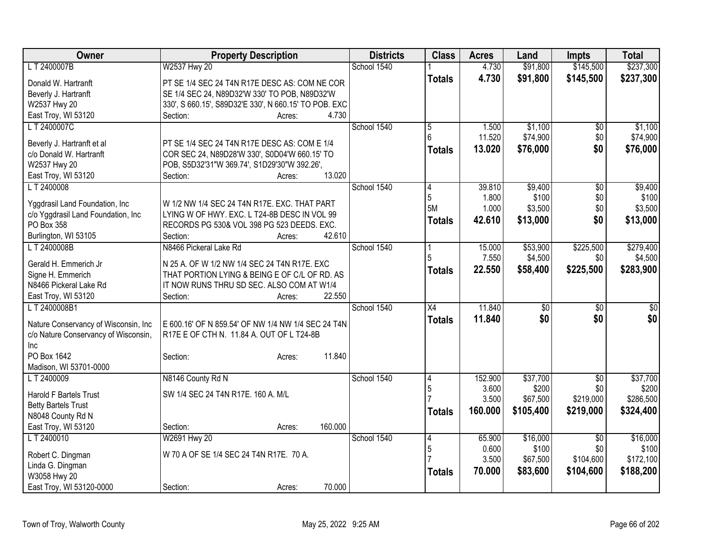| Owner                                                 | <b>Property Description</b>                                                                   | <b>Districts</b> | <b>Class</b>   | <b>Acres</b> | Land              | <b>Impts</b>           | <b>Total</b>      |
|-------------------------------------------------------|-----------------------------------------------------------------------------------------------|------------------|----------------|--------------|-------------------|------------------------|-------------------|
| LT 2400007B                                           | W2537 Hwy 20                                                                                  | School 1540      |                | 4.730        | \$91,800          | \$145,500              | \$237,300         |
| Donald W. Hartranft                                   | PT SE 1/4 SEC 24 T4N R17E DESC AS: COM NE COR                                                 |                  | <b>Totals</b>  | 4.730        | \$91,800          | \$145,500              | \$237,300         |
| Beverly J. Hartranft                                  | SE 1/4 SEC 24, N89D32'W 330' TO POB, N89D32'W                                                 |                  |                |              |                   |                        |                   |
| W2537 Hwy 20                                          | 330', S 660.15', S89D32'E 330', N 660.15' TO POB. EXC                                         |                  |                |              |                   |                        |                   |
| East Troy, WI 53120                                   | 4.730<br>Section:<br>Acres:                                                                   |                  |                |              |                   |                        |                   |
| LT 2400007C                                           |                                                                                               | School 1540      | $\overline{5}$ | 1.500        | \$1,100           | \$0                    | \$1,100           |
|                                                       |                                                                                               |                  | 6              | 11.520       | \$74,900          | \$0                    | \$74,900          |
| Beverly J. Hartranft et al<br>c/o Donald W. Hartranft | PT SE 1/4 SEC 24 T4N R17E DESC AS: COM E 1/4<br>COR SEC 24, N89D28'W 330', S0D04'W 660.15' TO |                  | <b>Totals</b>  | 13.020       | \$76,000          | \$0                    | \$76,000          |
| W2537 Hwy 20                                          | POB, S5D32'31"W 369.74', S1D29'30"W 392.26',                                                  |                  |                |              |                   |                        |                   |
| East Troy, WI 53120                                   | 13.020<br>Section:<br>Acres:                                                                  |                  |                |              |                   |                        |                   |
| LT 2400008                                            |                                                                                               | School 1540      | 14             | 39.810       | \$9,400           | $\sqrt[6]{}$           | \$9,400           |
|                                                       |                                                                                               |                  | 5              | 1.800        | \$100             | \$0                    | \$100             |
| Yggdrasil Land Foundation, Inc                        | W 1/2 NW 1/4 SEC 24 T4N R17E. EXC. THAT PART                                                  |                  | 5M             | 1.000        | \$3,500           | \$0                    | \$3,500           |
| c/o Yggdrasil Land Foundation, Inc                    | LYING W OF HWY. EXC. L T24-8B DESC IN VOL 99                                                  |                  | <b>Totals</b>  | 42.610       | \$13,000          | \$0                    | \$13,000          |
| PO Box 358                                            | RECORDS PG 530& VOL 398 PG 523 DEEDS. EXC.                                                    |                  |                |              |                   |                        |                   |
| Burlington, WI 53105                                  | 42.610<br>Section:<br>Acres:                                                                  |                  |                |              |                   |                        |                   |
| LT 2400008B                                           | N8466 Pickeral Lake Rd                                                                        | School 1540      |                | 15.000       | \$53,900          | \$225,500              | \$279,400         |
| Gerald H. Emmerich Jr                                 | N 25 A. OF W 1/2 NW 1/4 SEC 24 T4N R17E. EXC                                                  |                  | 5              | 7.550        | \$4,500           | \$0                    | \$4,500           |
| Signe H. Emmerich                                     | THAT PORTION LYING & BEING E OF C/L OF RD. AS                                                 |                  | <b>Totals</b>  | 22.550       | \$58,400          | \$225,500              | \$283,900         |
| N8466 Pickeral Lake Rd                                | IT NOW RUNS THRU SD SEC. ALSO COM AT W1/4                                                     |                  |                |              |                   |                        |                   |
| East Troy, WI 53120                                   | Section:<br>22.550<br>Acres:                                                                  |                  |                |              |                   |                        |                   |
| LT 2400008B1                                          |                                                                                               | School 1540      | X4             | 11.840       | \$0               | $\overline{50}$        | \$0               |
|                                                       |                                                                                               |                  | <b>Totals</b>  | 11.840       | \$0               | \$0                    | \$0               |
| Nature Conservancy of Wisconsin, Inc                  | E 600.16' OF N 859.54' OF NW 1/4 NW 1/4 SEC 24 T4N                                            |                  |                |              |                   |                        |                   |
| c/o Nature Conservancy of Wisconsin,                  | R17E E OF CTH N. 11.84 A. OUT OF L T24-8B                                                     |                  |                |              |                   |                        |                   |
| <b>Inc</b>                                            |                                                                                               |                  |                |              |                   |                        |                   |
| PO Box 1642                                           | 11.840<br>Section:<br>Acres:                                                                  |                  |                |              |                   |                        |                   |
| Madison, WI 53701-0000                                |                                                                                               | School 1540      |                | 152.900      |                   |                        |                   |
| LT 2400009                                            | N8146 County Rd N                                                                             |                  | 14<br>5        | 3.600        | \$37,700<br>\$200 | $\overline{50}$<br>\$0 | \$37,700<br>\$200 |
| <b>Harold F Bartels Trust</b>                         | SW 1/4 SEC 24 T4N R17E. 160 A. M/L                                                            |                  |                | 3.500        | \$67,500          | \$219,000              | \$286,500         |
| <b>Betty Bartels Trust</b>                            |                                                                                               |                  |                | 160.000      | \$105,400         | \$219,000              | \$324,400         |
| N8048 County Rd N                                     |                                                                                               |                  | <b>Totals</b>  |              |                   |                        |                   |
| East Troy, WI 53120                                   | 160.000<br>Section:<br>Acres:                                                                 |                  |                |              |                   |                        |                   |
| LT 2400010                                            | W2691 Hwy 20                                                                                  | School 1540      | 14             | 65.900       | \$16,000          | $\overline{30}$        | \$16,000          |
| Robert C. Dingman                                     | W 70 A OF SE 1/4 SEC 24 T4N R17E. 70 A.                                                       |                  | 5              | 0.600        | \$100             | \$0                    | \$100             |
| Linda G. Dingman                                      |                                                                                               |                  |                | 3.500        | \$67,500          | \$104,600              | \$172,100         |
| W3058 Hwy 20                                          |                                                                                               |                  | <b>Totals</b>  | 70.000       | \$83,600          | \$104,600              | \$188,200         |
| East Troy, WI 53120-0000                              | 70.000<br>Section:<br>Acres:                                                                  |                  |                |              |                   |                        |                   |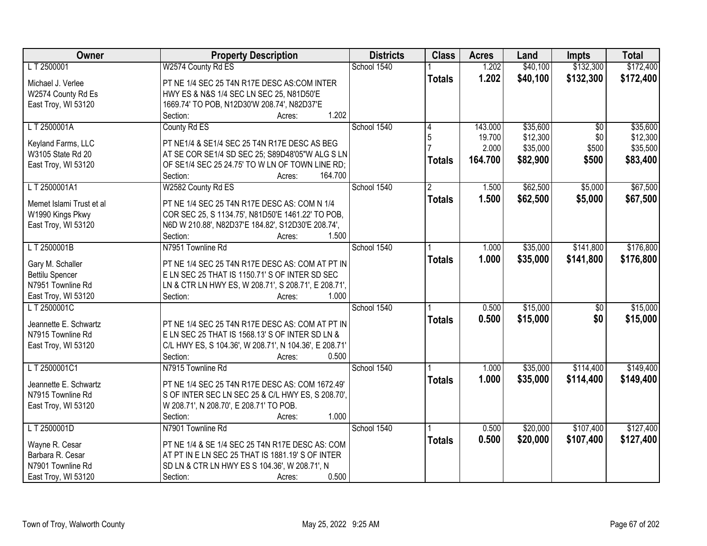| Owner                    | <b>Property Description</b>                            | <b>Districts</b> | <b>Class</b>  | <b>Acres</b> | Land     | <b>Impts</b>    | <b>Total</b> |
|--------------------------|--------------------------------------------------------|------------------|---------------|--------------|----------|-----------------|--------------|
| LT 2500001               | W2574 County Rd ES                                     | School 1540      |               | 1.202        | \$40,100 | \$132,300       | \$172,400    |
| Michael J. Verlee        | PT NE 1/4 SEC 25 T4N R17E DESC AS:COM INTER            |                  | <b>Totals</b> | 1.202        | \$40,100 | \$132,300       | \$172,400    |
| W2574 County Rd Es       | HWY ES & N&S 1/4 SEC LN SEC 25, N81D50'E               |                  |               |              |          |                 |              |
| East Troy, WI 53120      | 1669.74' TO POB, N12D30'W 208.74', N82D37'E            |                  |               |              |          |                 |              |
|                          | 1.202<br>Section:<br>Acres:                            |                  |               |              |          |                 |              |
| LT 2500001A              | County Rd ES                                           | School 1540      |               | 143,000      | \$35,600 | $\overline{30}$ | \$35,600     |
|                          |                                                        |                  | 5             | 19.700       | \$12,300 | \$0             | \$12,300     |
| Keyland Farms, LLC       | PT NE1/4 & SE1/4 SEC 25 T4N R17E DESC AS BEG           |                  |               | 2.000        | \$35,000 | \$500           | \$35,500     |
| W3105 State Rd 20        | AT SE COR SE1/4 SD SEC 25; S89D48'05"W ALG S LN        |                  | <b>Totals</b> | 164.700      | \$82,900 | \$500           | \$83,400     |
| East Troy, WI 53120      | OF SE1/4 SEC 25 24.75' TO W LN OF TOWN LINE RD;        |                  |               |              |          |                 |              |
|                          | 164.700<br>Section:<br>Acres:                          |                  |               |              |          |                 |              |
| LT 2500001A1             | W2582 County Rd ES                                     | School 1540      |               | 1.500        | \$62,500 | \$5,000         | \$67,500     |
| Memet Islami Trust et al | PT NE 1/4 SEC 25 T4N R17E DESC AS: COM N 1/4           |                  | <b>Totals</b> | 1.500        | \$62,500 | \$5,000         | \$67,500     |
| W1990 Kings Pkwy         | COR SEC 25, S 1134.75', N81D50'E 1461.22' TO POB,      |                  |               |              |          |                 |              |
| East Troy, WI 53120      | N6D W 210.88', N82D37'E 184.82', S12D30'E 208.74',     |                  |               |              |          |                 |              |
|                          | 1.500<br>Section:<br>Acres:                            |                  |               |              |          |                 |              |
| LT 2500001B              | N7951 Townline Rd                                      | School 1540      |               | 1.000        | \$35,000 | \$141,800       | \$176,800    |
|                          |                                                        |                  | <b>Totals</b> | 1.000        | \$35,000 | \$141,800       | \$176,800    |
| Gary M. Schaller         | PT NE 1/4 SEC 25 T4N R17E DESC AS: COM AT PT IN        |                  |               |              |          |                 |              |
| <b>Bettilu Spencer</b>   | E LN SEC 25 THAT IS 1150.71' S OF INTER SD SEC         |                  |               |              |          |                 |              |
| N7951 Townline Rd        | LN & CTR LN HWY ES, W 208.71', S 208.71', E 208.71',   |                  |               |              |          |                 |              |
| East Troy, WI 53120      | Section:<br>1.000<br>Acres:                            |                  |               |              |          |                 |              |
| L T 2500001C             |                                                        | School 1540      |               | 0.500        | \$15,000 | $\overline{50}$ | \$15,000     |
| Jeannette E. Schwartz    | PT NE 1/4 SEC 25 T4N R17E DESC AS: COM AT PT IN        |                  | <b>Totals</b> | 0.500        | \$15,000 | \$0             | \$15,000     |
| N7915 Townline Rd        | E LN SEC 25 THAT IS 1568.13' S OF INTER SD LN &        |                  |               |              |          |                 |              |
| East Troy, WI 53120      | C/L HWY ES, S 104.36', W 208.71', N 104.36', E 208.71' |                  |               |              |          |                 |              |
|                          | Section:<br>0.500<br>Acres:                            |                  |               |              |          |                 |              |
| LT 2500001C1             | N7915 Townline Rd                                      | School 1540      |               | 1.000        | \$35,000 | \$114,400       | \$149,400    |
|                          |                                                        |                  | <b>Totals</b> | 1.000        | \$35,000 | \$114,400       | \$149,400    |
| Jeannette E. Schwartz    | PT NE 1/4 SEC 25 T4N R17E DESC AS: COM 1672.49'        |                  |               |              |          |                 |              |
| N7915 Townline Rd        | S OF INTER SEC LN SEC 25 & C/L HWY ES, S 208.70',      |                  |               |              |          |                 |              |
| East Troy, WI 53120      | W 208.71', N 208.70', E 208.71' TO POB.                |                  |               |              |          |                 |              |
|                          | 1.000<br>Section:<br>Acres:                            |                  |               |              |          |                 |              |
| LT 2500001D              | N7901 Townline Rd                                      | School 1540      |               | 0.500        | \$20,000 | \$107,400       | \$127,400    |
| Wayne R. Cesar           | PT NE 1/4 & SE 1/4 SEC 25 T4N R17E DESC AS: COM        |                  | <b>Totals</b> | 0.500        | \$20,000 | \$107,400       | \$127,400    |
| Barbara R. Cesar         | AT PT IN E LN SEC 25 THAT IS 1881.19' S OF INTER       |                  |               |              |          |                 |              |
| N7901 Townline Rd        | SD LN & CTR LN HWY ES S 104.36', W 208.71', N          |                  |               |              |          |                 |              |
| East Troy, WI 53120      | 0.500<br>Section:<br>Acres:                            |                  |               |              |          |                 |              |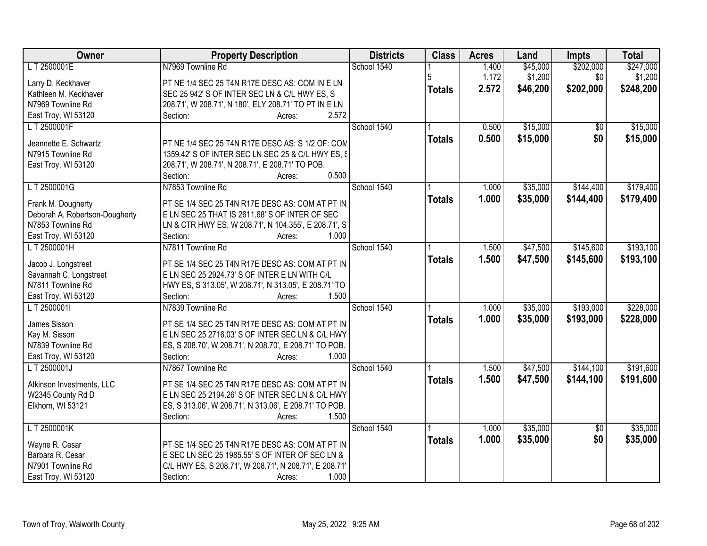| Owner                          | <b>Property Description</b>                            | <b>Districts</b> | <b>Class</b>  | <b>Acres</b> | Land     | <b>Impts</b>    | <b>Total</b> |
|--------------------------------|--------------------------------------------------------|------------------|---------------|--------------|----------|-----------------|--------------|
| LT 2500001E                    | N7969 Townline Rd                                      | School 1540      |               | 1.400        | \$45,000 | \$202,000       | \$247,000    |
| Larry D. Keckhaver             | PT NE 1/4 SEC 25 T4N R17E DESC AS: COM IN E LN         |                  | 5             | 1.172        | \$1,200  | \$0             | \$1,200      |
| Kathleen M. Keckhaver          | SEC 25 942' S OF INTER SEC LN & C/L HWY ES, S          |                  | <b>Totals</b> | 2.572        | \$46,200 | \$202,000       | \$248,200    |
| N7969 Townline Rd              | 208.71', W 208.71', N 180', ELY 208.71' TO PT IN E LN  |                  |               |              |          |                 |              |
| East Troy, WI 53120            | Section:<br>2.572<br>Acres:                            |                  |               |              |          |                 |              |
| LT 2500001F                    |                                                        | School 1540      |               | 0.500        | \$15,000 | $\overline{50}$ | \$15,000     |
|                                |                                                        |                  | <b>Totals</b> | 0.500        | \$15,000 | \$0             | \$15,000     |
| Jeannette E. Schwartz          | PT NE 1/4 SEC 25 T4N R17E DESC AS: S 1/2 OF: CON       |                  |               |              |          |                 |              |
| N7915 Townline Rd              | 1359.42' S OF INTER SEC LN SEC 25 & C/L HWY ES, §      |                  |               |              |          |                 |              |
| East Troy, WI 53120            | 208.71', W 208.71', N 208.71', E 208.71' TO POB.       |                  |               |              |          |                 |              |
|                                | 0.500<br>Section:<br>Acres:                            |                  |               |              |          |                 |              |
| LT 2500001G                    | N7853 Townline Rd                                      | School 1540      |               | 1.000        | \$35,000 | \$144,400       | \$179,400    |
| Frank M. Dougherty             | PT SE 1/4 SEC 25 T4N R17E DESC AS: COM AT PT IN        |                  | <b>Totals</b> | 1.000        | \$35,000 | \$144,400       | \$179,400    |
| Deborah A. Robertson-Dougherty | E LN SEC 25 THAT IS 2611.68' S OF INTER OF SEC         |                  |               |              |          |                 |              |
| N7853 Townline Rd              | LN & CTR HWY ES, W 208.71', N 104.355', E 208.71', S   |                  |               |              |          |                 |              |
| East Troy, WI 53120            | 1.000<br>Section:<br>Acres:                            |                  |               |              |          |                 |              |
| LT 2500001H                    | N7811 Townline Rd                                      | School 1540      |               | 1.500        | \$47,500 | \$145,600       | \$193,100    |
|                                |                                                        |                  | <b>Totals</b> | 1.500        | \$47,500 | \$145,600       | \$193,100    |
| Jacob J. Longstreet            | PT SE 1/4 SEC 25 T4N R17E DESC AS: COM AT PT IN        |                  |               |              |          |                 |              |
| Savannah C. Longstreet         | E LN SEC 25 2924.73' S OF INTER E LN WITH C/L          |                  |               |              |          |                 |              |
| N7811 Townline Rd              | HWY ES, S 313.05', W 208.71', N 313.05', E 208.71' TO  |                  |               |              |          |                 |              |
| East Troy, WI 53120            | 1.500<br>Section:<br>Acres:                            |                  |               |              |          |                 |              |
| LT 2500001I                    | N7839 Townline Rd                                      | School 1540      |               | 1.000        | \$35,000 | \$193,000       | \$228,000    |
| James Sisson                   | PT SE 1/4 SEC 25 T4N R17E DESC AS: COM AT PT IN        |                  | <b>Totals</b> | 1.000        | \$35,000 | \$193,000       | \$228,000    |
| Kay M. Sisson                  | E LN SEC 25 2716.03' S OF INTER SEC LN & C/L HWY       |                  |               |              |          |                 |              |
| N7839 Townline Rd              | ES, S 208.70', W 208.71', N 208.70', E 208.71' TO POB. |                  |               |              |          |                 |              |
| East Troy, WI 53120            | 1.000<br>Section:<br>Acres:                            |                  |               |              |          |                 |              |
| L T 2500001J                   | N7867 Townline Rd                                      | School 1540      |               | 1.500        | \$47,500 | \$144,100       | \$191,600    |
|                                |                                                        |                  | <b>Totals</b> | 1.500        | \$47,500 | \$144,100       | \$191,600    |
| Atkinson Investments, LLC      | PT SE 1/4 SEC 25 T4N R17E DESC AS: COM AT PT IN        |                  |               |              |          |                 |              |
| W2345 County Rd D              | E LN SEC 25 2194.26' S OF INTER SEC LN & C/L HWY       |                  |               |              |          |                 |              |
| Elkhorn, WI 53121              | ES, S 313.06', W 208.71', N 313.06', E 208.71' TO POB. |                  |               |              |          |                 |              |
|                                | Section:<br>1.500<br>Acres:                            |                  |               |              |          |                 |              |
| LT 2500001K                    |                                                        | School 1540      |               | 1.000        | \$35,000 | $\overline{50}$ | \$35,000     |
| Wayne R. Cesar                 | PT SE 1/4 SEC 25 T4N R17E DESC AS: COM AT PT IN        |                  | <b>Totals</b> | 1.000        | \$35,000 | \$0             | \$35,000     |
| Barbara R. Cesar               | E SEC LN SEC 25 1985.55' S OF INTER OF SEC LN &        |                  |               |              |          |                 |              |
| N7901 Townline Rd              | C/L HWY ES, S 208.71', W 208.71', N 208.71', E 208.71' |                  |               |              |          |                 |              |
| East Troy, WI 53120            | Section:<br>1.000<br>Acres:                            |                  |               |              |          |                 |              |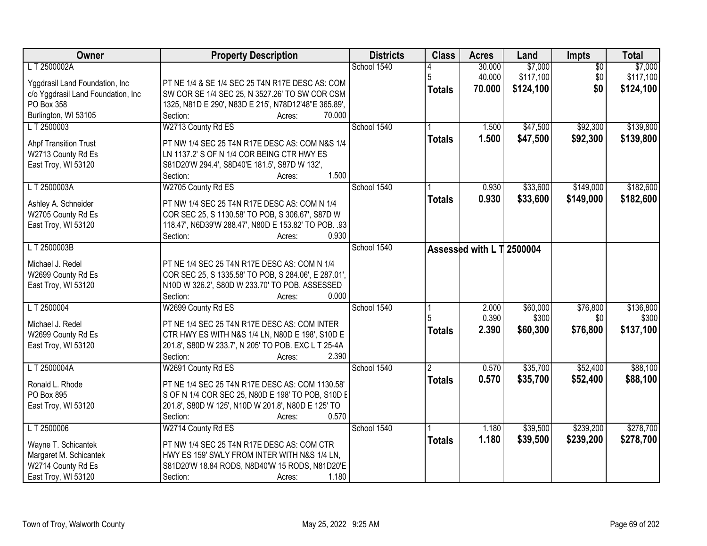| Owner                              | <b>Property Description</b>                                        | <b>Districts</b> | <b>Class</b>   | <b>Acres</b>              | Land      | <b>Impts</b>    | <b>Total</b> |
|------------------------------------|--------------------------------------------------------------------|------------------|----------------|---------------------------|-----------|-----------------|--------------|
| LT 2500002A                        |                                                                    | School 1540      |                | 30.000                    | \$7,000   | $\overline{50}$ | \$7,000      |
| Yggdrasil Land Foundation, Inc     | PT NE 1/4 & SE 1/4 SEC 25 T4N R17E DESC AS: COM                    |                  | 5              | 40.000                    | \$117,100 | \$0             | \$117,100    |
| c/o Yggdrasil Land Foundation, Inc | SW COR SE 1/4 SEC 25, N 3527.26' TO SW COR CSM                     |                  | <b>Totals</b>  | 70.000                    | \$124,100 | \$0             | \$124,100    |
| PO Box 358                         | 1325, N81D E 290', N83D E 215', N78D12'48"E 365.89',               |                  |                |                           |           |                 |              |
| Burlington, WI 53105               | 70.000<br>Section:<br>Acres:                                       |                  |                |                           |           |                 |              |
| L T 2500003                        | W2713 County Rd ES                                                 | School 1540      |                | 1.500                     | \$47,500  | \$92,300        | \$139,800    |
|                                    |                                                                    |                  | <b>Totals</b>  | 1.500                     | \$47,500  | \$92,300        | \$139,800    |
| <b>Ahpf Transition Trust</b>       | PT NW 1/4 SEC 25 T4N R17E DESC AS: COM N&S 1/4                     |                  |                |                           |           |                 |              |
| W2713 County Rd Es                 | LN 1137.2' S OF N 1/4 COR BEING CTR HWY ES                         |                  |                |                           |           |                 |              |
| East Troy, WI 53120                | S81D20'W 294.4', S8D40'E 181.5', S87D W 132',<br>1.500<br>Section: |                  |                |                           |           |                 |              |
| LT 2500003A                        | Acres:<br>W2705 County Rd ES                                       | School 1540      |                | 0.930                     | \$33,600  | \$149,000       | \$182,600    |
|                                    |                                                                    |                  |                |                           |           |                 |              |
| Ashley A. Schneider                | PT NW 1/4 SEC 25 T4N R17E DESC AS: COM N 1/4                       |                  | <b>Totals</b>  | 0.930                     | \$33,600  | \$149,000       | \$182,600    |
| W2705 County Rd Es                 | COR SEC 25, S 1130.58' TO POB, S 306.67', S87D W                   |                  |                |                           |           |                 |              |
| East Troy, WI 53120                | 118.47', N6D39'W 288.47', N80D E 153.82' TO POB. .93               |                  |                |                           |           |                 |              |
|                                    | 0.930<br>Section:<br>Acres:                                        |                  |                |                           |           |                 |              |
| LT 2500003B                        |                                                                    | School 1540      |                | Assessed with L T 2500004 |           |                 |              |
| Michael J. Redel                   | PT NE 1/4 SEC 25 T4N R17E DESC AS: COM N 1/4                       |                  |                |                           |           |                 |              |
| W2699 County Rd Es                 | COR SEC 25, S 1335.58' TO POB, S 284.06', E 287.01',               |                  |                |                           |           |                 |              |
| East Troy, WI 53120                | N10D W 326.2', S80D W 233.70' TO POB. ASSESSED                     |                  |                |                           |           |                 |              |
|                                    | Section:<br>0.000<br>Acres:                                        |                  |                |                           |           |                 |              |
| L T 2500004                        | W2699 County Rd ES                                                 | School 1540      |                | 2.000                     | \$60,000  | \$76,800        | \$136,800    |
|                                    |                                                                    |                  | 5              | 0.390                     | \$300     | \$0             | \$300        |
| Michael J. Redel                   | PT NE 1/4 SEC 25 T4N R17E DESC AS: COM INTER                       |                  | <b>Totals</b>  | 2.390                     | \$60,300  | \$76,800        | \$137,100    |
| W2699 County Rd Es                 | CTR HWY ES WITH N&S 1/4 LN, N80D E 198', S10D E                    |                  |                |                           |           |                 |              |
| East Troy, WI 53120                | 201.8', S80D W 233.7', N 205' TO POB. EXC L T 25-4A                |                  |                |                           |           |                 |              |
|                                    | 2.390<br>Section:<br>Acres:                                        |                  |                |                           |           |                 |              |
| LT 2500004A                        | W2691 County Rd ES                                                 | School 1540      | $\overline{2}$ | 0.570                     | \$35,700  | \$52,400        | \$88,100     |
| Ronald L. Rhode                    | PT NE 1/4 SEC 25 T4N R17E DESC AS: COM 1130.58'                    |                  | <b>Totals</b>  | 0.570                     | \$35,700  | \$52,400        | \$88,100     |
| PO Box 895                         | S OF N 1/4 COR SEC 25, N80D E 198' TO POB, S10D E                  |                  |                |                           |           |                 |              |
| East Troy, WI 53120                | 201.8', S80D W 125', N10D W 201.8', N80D E 125' TO                 |                  |                |                           |           |                 |              |
|                                    | 0.570<br>Section:<br>Acres:                                        |                  |                |                           |           |                 |              |
| LT 2500006                         | W2714 County Rd ES                                                 | School 1540      |                | 1.180                     | \$39,500  | \$239,200       | \$278,700    |
| Wayne T. Schicantek                | PT NW 1/4 SEC 25 T4N R17E DESC AS: COM CTR                         |                  | <b>Totals</b>  | 1.180                     | \$39,500  | \$239,200       | \$278,700    |
| Margaret M. Schicantek             | HWY ES 159' SWLY FROM INTER WITH N&S 1/4 LN,                       |                  |                |                           |           |                 |              |
| W2714 County Rd Es                 | S81D20'W 18.84 RODS, N8D40'W 15 RODS, N81D20'E                     |                  |                |                           |           |                 |              |
|                                    | 1.180                                                              |                  |                |                           |           |                 |              |
| East Troy, WI 53120                | Section:<br>Acres:                                                 |                  |                |                           |           |                 |              |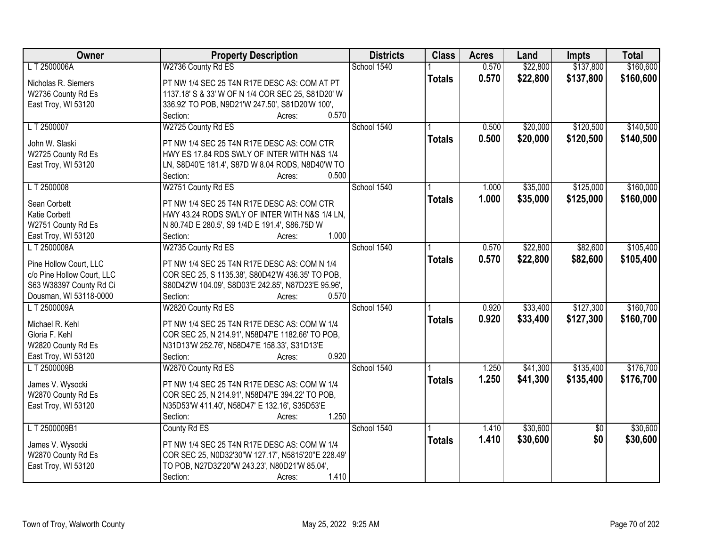| Owner                                     | <b>Property Description</b>                               | <b>Districts</b> | <b>Class</b>  | <b>Acres</b> | Land     | <b>Impts</b>    | <b>Total</b> |
|-------------------------------------------|-----------------------------------------------------------|------------------|---------------|--------------|----------|-----------------|--------------|
| L T 2500006A                              | W2736 County Rd ES                                        | School 1540      |               | 0.570        | \$22,800 | \$137,800       | \$160,600    |
| Nicholas R. Siemers                       | PT NW 1/4 SEC 25 T4N R17E DESC AS: COM AT PT              |                  | <b>Totals</b> | 0.570        | \$22,800 | \$137,800       | \$160,600    |
| W2736 County Rd Es                        | 1137.18' S & 33' W OF N 1/4 COR SEC 25, S81D20' W         |                  |               |              |          |                 |              |
| East Troy, WI 53120                       | 336.92' TO POB, N9D21'W 247.50', S81D20'W 100',           |                  |               |              |          |                 |              |
|                                           | 0.570<br>Section:<br>Acres:                               |                  |               |              |          |                 |              |
| LT 2500007                                | W2725 County Rd ES                                        | School 1540      |               | 0.500        | \$20,000 | \$120,500       | \$140,500    |
|                                           |                                                           |                  | <b>Totals</b> | 0.500        | \$20,000 | \$120,500       | \$140,500    |
| John W. Slaski                            | PT NW 1/4 SEC 25 T4N R17E DESC AS: COM CTR                |                  |               |              |          |                 |              |
| W2725 County Rd Es                        | HWY ES 17.84 RDS SWLY OF INTER WITH N&S 1/4               |                  |               |              |          |                 |              |
| East Troy, WI 53120                       | LN, S8D40'E 181.4', S87D W 8.04 RODS, N8D40'W TO<br>0.500 |                  |               |              |          |                 |              |
|                                           | Section:<br>Acres:                                        | School 1540      |               |              |          | \$125,000       | \$160,000    |
| LT 2500008                                | W2751 County Rd ES                                        |                  |               | 1.000        | \$35,000 |                 |              |
| Sean Corbett                              | PT NW 1/4 SEC 25 T4N R17E DESC AS: COM CTR                |                  | <b>Totals</b> | 1.000        | \$35,000 | \$125,000       | \$160,000    |
| Katie Corbett                             | HWY 43.24 RODS SWLY OF INTER WITH N&S 1/4 LN.             |                  |               |              |          |                 |              |
| W2751 County Rd Es                        | N 80.74D E 280.5', S9 1/4D E 191.4', S86.75D W            |                  |               |              |          |                 |              |
| East Troy, WI 53120                       | 1.000<br>Section:<br>Acres:                               |                  |               |              |          |                 |              |
| LT 2500008A                               | W2735 County Rd ES                                        | School 1540      |               | 0.570        | \$22,800 | \$82,600        | \$105,400    |
|                                           |                                                           |                  | <b>Totals</b> | 0.570        | \$22,800 | \$82,600        | \$105,400    |
| Pine Hollow Court, LLC                    | PT NW 1/4 SEC 25 T4N R17E DESC AS: COM N 1/4              |                  |               |              |          |                 |              |
| c/o Pine Hollow Court, LLC                | COR SEC 25, S 1135.38', S80D42'W 436.35' TO POB,          |                  |               |              |          |                 |              |
| S63 W38397 County Rd Ci                   | S80D42'W 104.09', S8D03'E 242.85', N87D23'E 95.96',       |                  |               |              |          |                 |              |
| Dousman, WI 53118-0000                    | Section:<br>0.570<br>Acres:                               |                  |               |              |          |                 |              |
| LT 2500009A                               | W2820 County Rd ES                                        | School 1540      |               | 0.920        | \$33,400 | \$127,300       | \$160,700    |
| Michael R. Kehl                           | PT NW 1/4 SEC 25 T4N R17E DESC AS: COM W 1/4              |                  | <b>Totals</b> | 0.920        | \$33,400 | \$127,300       | \$160,700    |
| Gloria F. Kehl                            | COR SEC 25, N 214.91', N58D47'E 1182.66' TO POB,          |                  |               |              |          |                 |              |
| W2820 County Rd Es                        | N31D13'W 252.76', N58D47'E 158.33', S31D13'E              |                  |               |              |          |                 |              |
| East Troy, WI 53120                       | 0.920<br>Section:<br>Acres:                               |                  |               |              |          |                 |              |
| L T 2500009B                              | W2870 County Rd ES                                        | School 1540      |               | 1.250        | \$41,300 | \$135,400       | \$176,700    |
| James V. Wysocki                          | PT NW 1/4 SEC 25 T4N R17E DESC AS: COM W 1/4              |                  | <b>Totals</b> | 1.250        | \$41,300 | \$135,400       | \$176,700    |
|                                           | COR SEC 25, N 214.91', N58D47'E 394.22' TO POB,           |                  |               |              |          |                 |              |
| W2870 County Rd Es<br>East Troy, WI 53120 | N35D53'W 411.40', N58D47' E 132.16', S35D53'E             |                  |               |              |          |                 |              |
|                                           | 1.250<br>Section:<br>Acres:                               |                  |               |              |          |                 |              |
| LT 2500009B1                              | County Rd ES                                              | School 1540      |               | 1.410        | \$30,600 | $\overline{50}$ | \$30,600     |
|                                           |                                                           |                  |               |              |          |                 |              |
| James V. Wysocki                          | PT NW 1/4 SEC 25 T4N R17E DESC AS: COM W 1/4              |                  | <b>Totals</b> | 1.410        | \$30,600 | \$0             | \$30,600     |
| W2870 County Rd Es                        | COR SEC 25, N0D32'30"W 127.17', N5815'20"E 228.49'        |                  |               |              |          |                 |              |
| East Troy, WI 53120                       | TO POB, N27D32'20"W 243.23', N80D21'W 85.04',             |                  |               |              |          |                 |              |
|                                           | 1.410<br>Section:<br>Acres:                               |                  |               |              |          |                 |              |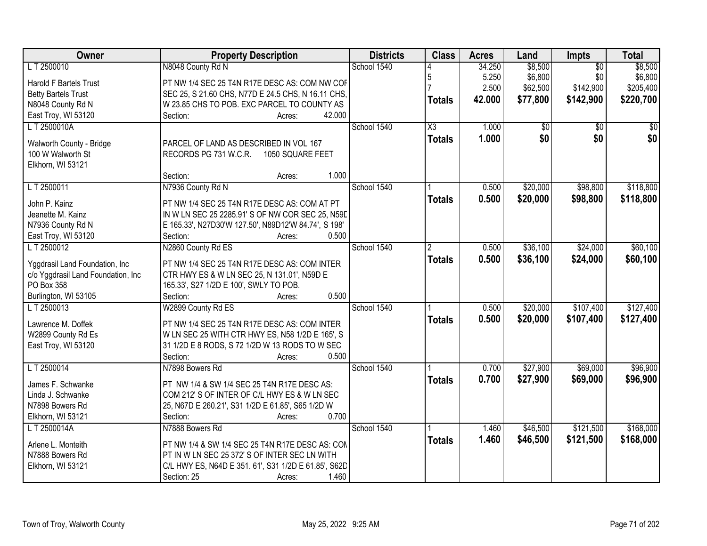| Owner                              | <b>Property Description</b>                          | <b>Districts</b> | <b>Class</b>           | <b>Acres</b> | Land     | <b>Impts</b>    | <b>Total</b> |
|------------------------------------|------------------------------------------------------|------------------|------------------------|--------------|----------|-----------------|--------------|
| LT 2500010                         | N8048 County Rd N                                    | School 1540      |                        | 34.250       | \$8,500  | $\overline{50}$ | \$8,500      |
| <b>Harold F Bartels Trust</b>      | PT NW 1/4 SEC 25 T4N R17E DESC AS: COM NW COF        |                  | 5                      | 5.250        | \$6,800  | \$0             | \$6,800      |
| <b>Betty Bartels Trust</b>         | SEC 25, S 21.60 CHS, N77D E 24.5 CHS, N 16.11 CHS,   |                  |                        | 2.500        | \$62,500 | \$142,900       | \$205,400    |
| N8048 County Rd N                  | W 23.85 CHS TO POB. EXC PARCEL TO COUNTY AS          |                  | <b>Totals</b>          | 42.000       | \$77,800 | \$142,900       | \$220,700    |
| East Troy, WI 53120                | 42.000<br>Section:<br>Acres:                         |                  |                        |              |          |                 |              |
| LT 2500010A                        |                                                      | School 1540      | $\overline{\text{X3}}$ | 1.000        | \$0      | $\overline{50}$ | \$0          |
|                                    |                                                      |                  | <b>Totals</b>          | 1.000        | \$0      | \$0             | \$0          |
| Walworth County - Bridge           | PARCEL OF LAND AS DESCRIBED IN VOL 167               |                  |                        |              |          |                 |              |
| 100 W Walworth St                  | RECORDS PG 731 W.C.R.<br>1050 SQUARE FEET            |                  |                        |              |          |                 |              |
| Elkhorn, WI 53121                  |                                                      |                  |                        |              |          |                 |              |
|                                    | 1.000<br>Section:<br>Acres:                          |                  |                        |              |          |                 |              |
| LT 2500011                         | N7936 County Rd N                                    | School 1540      |                        | 0.500        | \$20,000 | \$98,800        | \$118,800    |
| John P. Kainz                      | PT NW 1/4 SEC 25 T4N R17E DESC AS: COM AT PT         |                  | <b>Totals</b>          | 0.500        | \$20,000 | \$98,800        | \$118,800    |
| Jeanette M. Kainz                  | IN W LN SEC 25 2285.91' S OF NW COR SEC 25, N59E     |                  |                        |              |          |                 |              |
| N7936 County Rd N                  | E 165.33', N27D30'W 127.50', N89D12'W 84.74', S 198' |                  |                        |              |          |                 |              |
| East Troy, WI 53120                | 0.500<br>Section:<br>Acres:                          |                  |                        |              |          |                 |              |
| LT 2500012                         | N2860 County Rd ES                                   | School 1540      | 2                      | 0.500        | \$36,100 | \$24,000        | \$60,100     |
|                                    |                                                      |                  | <b>Totals</b>          | 0.500        | \$36,100 | \$24,000        | \$60,100     |
| Yggdrasil Land Foundation, Inc     | PT NW 1/4 SEC 25 T4N R17E DESC AS: COM INTER         |                  |                        |              |          |                 |              |
| c/o Yggdrasil Land Foundation, Inc | CTR HWY ES & W LN SEC 25, N 131.01', N59D E          |                  |                        |              |          |                 |              |
| PO Box 358                         | 165.33', S27 1/2D E 100', SWLY TO POB.               |                  |                        |              |          |                 |              |
| Burlington, WI 53105               | Section:<br>0.500<br>Acres:                          |                  |                        |              |          |                 |              |
| LT 2500013                         | W2899 County Rd ES                                   | School 1540      |                        | 0.500        | \$20,000 | \$107,400       | \$127,400    |
| Lawrence M. Doffek                 | PT NW 1/4 SEC 25 T4N R17E DESC AS: COM INTER         |                  | <b>Totals</b>          | 0.500        | \$20,000 | \$107,400       | \$127,400    |
| W2899 County Rd Es                 | W LN SEC 25 WITH CTR HWY ES, N58 1/2D E 165', S      |                  |                        |              |          |                 |              |
| East Troy, WI 53120                | 31 1/2D E 8 RODS, S 72 1/2D W 13 RODS TO W SEC       |                  |                        |              |          |                 |              |
|                                    | 0.500<br>Section:<br>Acres:                          |                  |                        |              |          |                 |              |
| L T 2500014                        | N7898 Bowers Rd                                      | School 1540      |                        | 0.700        | \$27,900 | \$69,000        | \$96,900     |
|                                    |                                                      |                  | <b>Totals</b>          | 0.700        | \$27,900 | \$69,000        | \$96,900     |
| James F. Schwanke                  | PT NW 1/4 & SW 1/4 SEC 25 T4N R17E DESC AS:          |                  |                        |              |          |                 |              |
| Linda J. Schwanke                  | COM 212' S OF INTER OF C/L HWY ES & W LN SEC         |                  |                        |              |          |                 |              |
| N7898 Bowers Rd                    | 25, N67D E 260.21', S31 1/2D E 61.85', S65 1/2D W    |                  |                        |              |          |                 |              |
| Elkhorn, WI 53121                  | 0.700<br>Section:<br>Acres:                          |                  |                        |              |          |                 |              |
| L T 2500014A                       | N7888 Bowers Rd                                      | School 1540      |                        | 1.460        | \$46,500 | \$121,500       | \$168,000    |
| Arlene L. Monteith                 | PT NW 1/4 & SW 1/4 SEC 25 T4N R17E DESC AS: CON      |                  | <b>Totals</b>          | 1.460        | \$46,500 | \$121,500       | \$168,000    |
| N7888 Bowers Rd                    | PT IN W LN SEC 25 372' S OF INTER SEC LN WITH        |                  |                        |              |          |                 |              |
| Elkhorn, WI 53121                  | C/L HWY ES, N64D E 351. 61', S31 1/2D E 61.85', S62D |                  |                        |              |          |                 |              |
|                                    | Section: 25<br>1.460<br>Acres:                       |                  |                        |              |          |                 |              |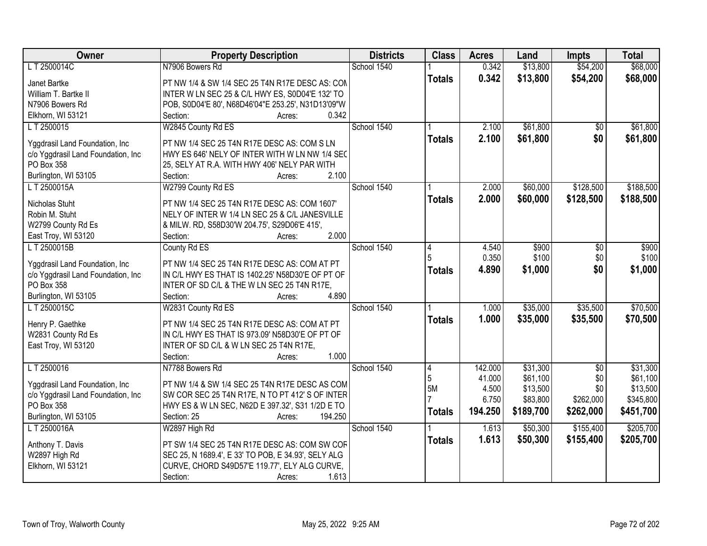| Owner                              | <b>Property Description</b>                         | <b>Districts</b> | <b>Class</b>  | <b>Acres</b> | Land      | <b>Impts</b>    | <b>Total</b> |
|------------------------------------|-----------------------------------------------------|------------------|---------------|--------------|-----------|-----------------|--------------|
| LT 2500014C                        | N7906 Bowers Rd                                     | School 1540      |               | 0.342        | \$13,800  | \$54,200        | \$68,000     |
| Janet Bartke                       | PT NW 1/4 & SW 1/4 SEC 25 T4N R17E DESC AS: CON     |                  | <b>Totals</b> | 0.342        | \$13,800  | \$54,200        | \$68,000     |
| William T. Bartke II               | INTER W LN SEC 25 & C/L HWY ES, S0D04'E 132' TO     |                  |               |              |           |                 |              |
| N7906 Bowers Rd                    | POB, S0D04'E 80', N68D46'04"E 253.25', N31D13'09"W  |                  |               |              |           |                 |              |
| Elkhorn, WI 53121                  | 0.342<br>Section:<br>Acres:                         |                  |               |              |           |                 |              |
| L T 2500015                        | W2845 County Rd ES                                  | School 1540      |               | 2.100        | \$61,800  | \$0             | \$61,800     |
|                                    |                                                     |                  | <b>Totals</b> | 2.100        | \$61,800  | \$0             | \$61,800     |
| Yggdrasil Land Foundation, Inc.    | PT NW 1/4 SEC 25 T4N R17E DESC AS: COM S LN         |                  |               |              |           |                 |              |
| c/o Yggdrasil Land Foundation, Inc | HWY ES 646' NELY OF INTER WITH W LN NW 1/4 SEC      |                  |               |              |           |                 |              |
| PO Box 358                         | 25, SELY AT R.A. WITH HWY 406' NELY PAR WITH        |                  |               |              |           |                 |              |
| Burlington, WI 53105               | 2.100<br>Section:<br>Acres:                         |                  |               |              |           |                 |              |
| LT 2500015A                        | W2799 County Rd ES                                  | School 1540      |               | 2.000        | \$60,000  | \$128,500       | \$188,500    |
| Nicholas Stuht                     | PT NW 1/4 SEC 25 T4N R17E DESC AS: COM 1607'        |                  | <b>Totals</b> | 2.000        | \$60,000  | \$128,500       | \$188,500    |
| Robin M. Stuht                     | NELY OF INTER W 1/4 LN SEC 25 & C/L JANESVILLE      |                  |               |              |           |                 |              |
| W2799 County Rd Es                 | & MILW. RD, S58D30'W 204.75', S29D06'E 415',        |                  |               |              |           |                 |              |
| East Troy, WI 53120                | 2.000<br>Section:<br>Acres:                         |                  |               |              |           |                 |              |
| LT 2500015B                        | County Rd ES                                        | School 1540      | 4             | 4.540        | \$900     | $\sqrt[6]{3}$   | \$900        |
|                                    |                                                     |                  | 5             | 0.350        | \$100     | \$0             | \$100        |
| Yggdrasil Land Foundation, Inc     | PT NW 1/4 SEC 25 T4N R17E DESC AS: COM AT PT        |                  | <b>Totals</b> | 4.890        | \$1,000   | \$0             | \$1,000      |
| c/o Yggdrasil Land Foundation, Inc | IN C/L HWY ES THAT IS 1402.25' N58D30'E OF PT OF    |                  |               |              |           |                 |              |
| PO Box 358                         | INTER OF SD C/L & THE W LN SEC 25 T4N R17E,         |                  |               |              |           |                 |              |
| Burlington, WI 53105               | Section:<br>4.890<br>Acres:                         |                  |               |              |           |                 |              |
| LT 2500015C                        | W2831 County Rd ES                                  | School 1540      |               | 1.000        | \$35,000  | \$35,500        | \$70,500     |
| Henry P. Gaethke                   | PT NW 1/4 SEC 25 T4N R17E DESC AS: COM AT PT        |                  | <b>Totals</b> | 1.000        | \$35,000  | \$35,500        | \$70,500     |
| W2831 County Rd Es                 | IN C/L HWY ES THAT IS 973.09' N58D30'E OF PT OF     |                  |               |              |           |                 |              |
| East Troy, WI 53120                | INTER OF SD C/L & W LN SEC 25 T4N R17E,             |                  |               |              |           |                 |              |
|                                    | 1.000<br>Section:<br>Acres:                         |                  |               |              |           |                 |              |
| LT 2500016                         | N7788 Bowers Rd                                     | School 1540      | 4             | 142.000      | \$31,300  | $\overline{50}$ | \$31,300     |
| Yggdrasil Land Foundation, Inc     | PT NW 1/4 & SW 1/4 SEC 25 T4N R17E DESC AS COM      |                  | 5             | 41.000       | \$61,100  | \$0             | \$61,100     |
| c/o Yggdrasil Land Foundation, Inc | SW COR SEC 25 T4N R17E, N TO PT 412' S OF INTER     |                  | 5M            | 4.500        | \$13,500  | \$0             | \$13,500     |
| PO Box 358                         | HWY ES & W LN SEC, N62D E 397.32', S31 1/2D E TO    |                  |               | 6.750        | \$83,800  | \$262,000       | \$345,800    |
| Burlington, WI 53105               | 194.250<br>Section: 25                              |                  | <b>Totals</b> | 194.250      | \$189,700 | \$262,000       | \$451,700    |
| L T 2500016A                       | Acres:<br>W2897 High Rd                             | School 1540      |               | 1.613        | \$50,300  | \$155,400       | \$205,700    |
|                                    |                                                     |                  |               | 1.613        |           |                 |              |
| Anthony T. Davis                   | PT SW 1/4 SEC 25 T4N R17E DESC AS: COM SW COF       |                  | <b>Totals</b> |              | \$50,300  | \$155,400       | \$205,700    |
| W2897 High Rd                      | SEC 25, N 1689.4', E 33' TO POB, E 34.93', SELY ALG |                  |               |              |           |                 |              |
| Elkhorn, WI 53121                  | CURVE, CHORD S49D57'E 119.77', ELY ALG CURVE,       |                  |               |              |           |                 |              |
|                                    | 1.613<br>Section:<br>Acres:                         |                  |               |              |           |                 |              |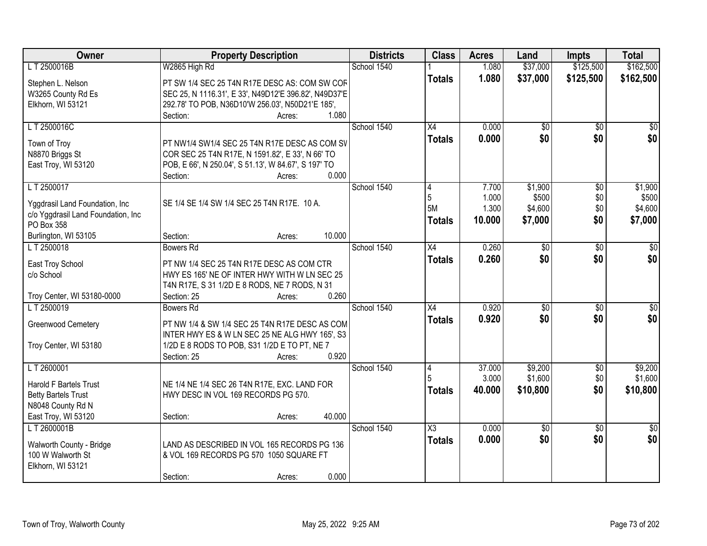| Owner                              | <b>Property Description</b>                                                         | <b>Districts</b> | <b>Class</b>           | <b>Acres</b> | Land            | <b>Impts</b>    | <b>Total</b>    |
|------------------------------------|-------------------------------------------------------------------------------------|------------------|------------------------|--------------|-----------------|-----------------|-----------------|
| L T 2500016B                       | W2865 High Rd                                                                       | School 1540      |                        | 1.080        | \$37,000        | \$125,500       | \$162,500       |
| Stephen L. Nelson                  | PT SW 1/4 SEC 25 T4N R17E DESC AS: COM SW COF                                       |                  | <b>Totals</b>          | 1.080        | \$37,000        | \$125,500       | \$162,500       |
| W3265 County Rd Es                 | SEC 25, N 1116.31', E 33', N49D12'E 396.82', N49D37'E                               |                  |                        |              |                 |                 |                 |
| Elkhorn, WI 53121                  | 292.78' TO POB, N36D10'W 256.03', N50D21'E 185',                                    |                  |                        |              |                 |                 |                 |
|                                    | 1.080<br>Section:<br>Acres:                                                         |                  |                        |              |                 |                 |                 |
| LT 2500016C                        |                                                                                     | School 1540      | $\overline{X4}$        | 0.000        | $\overline{50}$ | $\overline{50}$ | \$0             |
|                                    |                                                                                     |                  | <b>Totals</b>          | 0.000        | \$0             | \$0             | \$0             |
| Town of Troy                       | PT NW1/4 SW1/4 SEC 25 T4N R17E DESC AS COM SV                                       |                  |                        |              |                 |                 |                 |
| N8870 Briggs St                    | COR SEC 25 T4N R17E, N 1591.82', E 33', N 66' TO                                    |                  |                        |              |                 |                 |                 |
| East Troy, WI 53120                | POB, E 66', N 250.04', S 51.13', W 84.67', S 197' TO<br>0.000<br>Section:<br>Acres: |                  |                        |              |                 |                 |                 |
| LT 2500017                         |                                                                                     | School 1540      | 4                      | 7.700        | \$1,900         | $\overline{50}$ | \$1,900         |
|                                    |                                                                                     |                  | 5                      | 1.000        | \$500           | \$0             | \$500           |
| Yggdrasil Land Foundation, Inc.    | SE 1/4 SE 1/4 SW 1/4 SEC 25 T4N R17E. 10 A.                                         |                  | 5M                     | 1.300        | \$4,600         | \$0             | \$4,600         |
| c/o Yggdrasil Land Foundation, Inc |                                                                                     |                  | <b>Totals</b>          | 10.000       | \$7,000         | \$0             | \$7,000         |
| PO Box 358                         |                                                                                     |                  |                        |              |                 |                 |                 |
| Burlington, WI 53105               | 10.000<br>Section:<br>Acres:                                                        |                  |                        |              |                 |                 |                 |
| LT 2500018                         | <b>Bowers Rd</b>                                                                    | School 1540      | $\overline{X4}$        | 0.260        | $\overline{50}$ | \$0             | \$0             |
| East Troy School                   | PT NW 1/4 SEC 25 T4N R17E DESC AS COM CTR                                           |                  | <b>Totals</b>          | 0.260        | \$0             | \$0             | \$0             |
| c/o School                         | HWY ES 165' NE OF INTER HWY WITH W LN SEC 25                                        |                  |                        |              |                 |                 |                 |
|                                    | T4N R17E, S 31 1/2D E 8 RODS, NE 7 RODS, N 31                                       |                  |                        |              |                 |                 |                 |
| Troy Center, WI 53180-0000         | 0.260<br>Section: 25<br>Acres:                                                      |                  |                        |              |                 |                 |                 |
| LT 2500019                         | Bowers Rd                                                                           | School 1540      | $\overline{X4}$        | 0.920        | $\overline{50}$ | $\overline{30}$ | $\overline{30}$ |
|                                    | PT NW 1/4 & SW 1/4 SEC 25 T4N R17E DESC AS COM                                      |                  | <b>Totals</b>          | 0.920        | \$0             | \$0             | \$0             |
| Greenwood Cemetery                 | INTER HWY ES & W LN SEC 25 NE ALG HWY 165', S3                                      |                  |                        |              |                 |                 |                 |
| Troy Center, WI 53180              | 1/2D E 8 RODS TO POB, S31 1/2D E TO PT, NE 7                                        |                  |                        |              |                 |                 |                 |
|                                    | Section: 25<br>0.920<br>Acres:                                                      |                  |                        |              |                 |                 |                 |
| LT 2600001                         |                                                                                     | School 1540      | 4                      | 37.000       | \$9,200         | $\overline{50}$ | \$9,200         |
|                                    |                                                                                     |                  |                        | 3.000        | \$1,600         | \$0             | \$1,600         |
| <b>Harold F Bartels Trust</b>      | NE 1/4 NE 1/4 SEC 26 T4N R17E, EXC. LAND FOR                                        |                  | <b>Totals</b>          | 40.000       | \$10,800        | \$0             | \$10,800        |
| <b>Betty Bartels Trust</b>         | HWY DESC IN VOL 169 RECORDS PG 570.                                                 |                  |                        |              |                 |                 |                 |
| N8048 County Rd N                  |                                                                                     |                  |                        |              |                 |                 |                 |
| East Troy, WI 53120                | 40.000<br>Section:<br>Acres:                                                        |                  |                        |              |                 |                 |                 |
| L T 2600001B                       |                                                                                     | School 1540      | $\overline{\text{X3}}$ | 0.000        | $\overline{50}$ | $\overline{30}$ | $\overline{50}$ |
| Walworth County - Bridge           | LAND AS DESCRIBED IN VOL 165 RECORDS PG 136                                         |                  | <b>Totals</b>          | 0.000        | \$0             | \$0             | \$0             |
| 100 W Walworth St                  | & VOL 169 RECORDS PG 570 1050 SQUARE FT                                             |                  |                        |              |                 |                 |                 |
| Elkhorn, WI 53121                  |                                                                                     |                  |                        |              |                 |                 |                 |
|                                    | 0.000<br>Section:<br>Acres:                                                         |                  |                        |              |                 |                 |                 |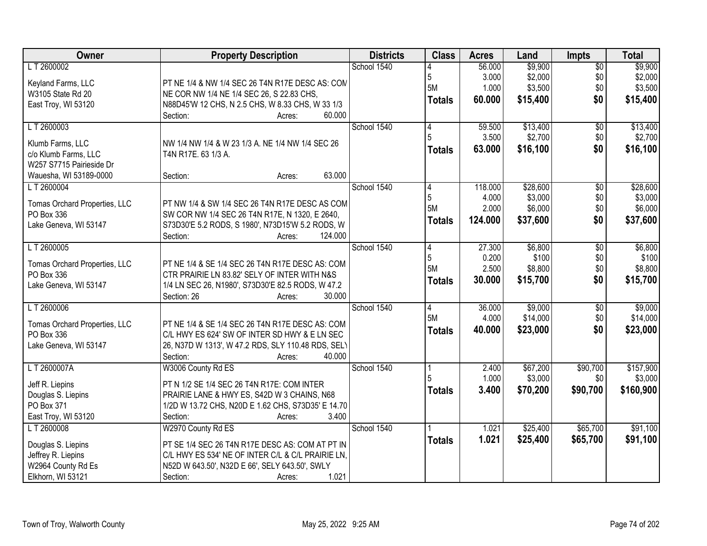| Owner                         | <b>Property Description</b>                        | <b>Districts</b> | <b>Class</b>   | <b>Acres</b> | Land     | <b>Impts</b>    | <b>Total</b> |
|-------------------------------|----------------------------------------------------|------------------|----------------|--------------|----------|-----------------|--------------|
| LT 2600002                    |                                                    | School 1540      |                | 56.000       | \$9,900  | $\sqrt{$0}$     | \$9,900      |
| Keyland Farms, LLC            | PT NE 1/4 & NW 1/4 SEC 26 T4N R17E DESC AS: CON    |                  | 5              | 3.000        | \$2,000  | \$0             | \$2,000      |
| W3105 State Rd 20             | NE COR NW 1/4 NE 1/4 SEC 26, S 22.83 CHS,          |                  | 5M             | 1.000        | \$3,500  | \$0             | \$3,500      |
| East Troy, WI 53120           | N88D45'W 12 CHS, N 2.5 CHS, W 8.33 CHS, W 33 1/3   |                  | <b>Totals</b>  | 60.000       | \$15,400 | \$0             | \$15,400     |
|                               | Section:<br>60.000<br>Acres:                       |                  |                |              |          |                 |              |
| LT 2600003                    |                                                    | School 1540      | 4              | 59.500       | \$13,400 | $\overline{50}$ | \$13,400     |
|                               |                                                    |                  | 5              | 3.500        | \$2,700  | \$0             | \$2,700      |
| Klumb Farms, LLC              | NW 1/4 NW 1/4 & W 23 1/3 A. NE 1/4 NW 1/4 SEC 26   |                  | <b>Totals</b>  | 63.000       | \$16,100 | \$0             | \$16,100     |
| c/o Klumb Farms, LLC          | T4N R17E. 63 1/3 A.                                |                  |                |              |          |                 |              |
| W257 S7715 Pairieside Dr      |                                                    |                  |                |              |          |                 |              |
| Wauesha, WI 53189-0000        | 63.000<br>Section:<br>Acres:                       |                  |                |              |          |                 |              |
| LT 2600004                    |                                                    | School 1540      | 4              | 118.000      | \$28,600 | \$0             | \$28,600     |
| Tomas Orchard Properties, LLC | PT NW 1/4 & SW 1/4 SEC 26 T4N R17E DESC AS COM     |                  | 5              | 4.000        | \$3,000  | \$0             | \$3,000      |
| PO Box 336                    | SW COR NW 1/4 SEC 26 T4N R17E, N 1320, E 2640,     |                  | 5M             | 2.000        | \$6,000  | \$0             | \$6,000      |
| Lake Geneva, WI 53147         | S73D30'E 5.2 RODS, S 1980', N73D15'W 5.2 RODS, W   |                  | Totals         | 124.000      | \$37,600 | \$0             | \$37,600     |
|                               | 124.000<br>Section:<br>Acres:                      |                  |                |              |          |                 |              |
| LT 2600005                    |                                                    | School 1540      | 4              | 27.300       | \$6,800  | $\sqrt[6]{3}$   | \$6,800      |
|                               |                                                    |                  | 5              | 0.200        | \$100    | \$0             | \$100        |
| Tomas Orchard Properties, LLC | PT NE 1/4 & SE 1/4 SEC 26 T4N R17E DESC AS: COM    |                  | <b>5M</b>      | 2.500        | \$8,800  | \$0             | \$8,800      |
| PO Box 336                    | CTR PRAIRIE LN 83.82' SELY OF INTER WITH N&S       |                  | <b>Totals</b>  | 30.000       | \$15,700 | \$0             | \$15,700     |
| Lake Geneva, WI 53147         | 1/4 LN SEC 26, N1980', S73D30'E 82.5 RODS, W 47.2  |                  |                |              |          |                 |              |
|                               | Section: 26<br>30.000<br>Acres:                    |                  |                |              |          |                 |              |
| LT 2600006                    |                                                    | School 1540      | $\overline{4}$ | 36.000       | \$9,000  | \$0             | \$9,000      |
| Tomas Orchard Properties, LLC | PT NE 1/4 & SE 1/4 SEC 26 T4N R17E DESC AS: COM    |                  | 5M             | 4.000        | \$14,000 | \$0             | \$14,000     |
| PO Box 336                    | C/L HWY ES 624' SW OF INTER SD HWY & E LN SEC      |                  | <b>Totals</b>  | 40.000       | \$23,000 | \$0             | \$23,000     |
| Lake Geneva, WI 53147         | 26, N37D W 1313', W 47.2 RDS, SLY 110.48 RDS, SELY |                  |                |              |          |                 |              |
|                               | Section:<br>40.000<br>Acres:                       |                  |                |              |          |                 |              |
| LT 2600007A                   | W3006 County Rd ES                                 | School 1540      |                | 2.400        | \$67,200 | \$90,700        | \$157,900    |
| Jeff R. Liepins               | PT N 1/2 SE 1/4 SEC 26 T4N R17E: COM INTER         |                  |                | 1.000        | \$3,000  | \$0             | \$3,000      |
| Douglas S. Liepins            | PRAIRIE LANE & HWY ES, S42D W 3 CHAINS, N68        |                  | <b>Totals</b>  | 3.400        | \$70,200 | \$90,700        | \$160,900    |
| PO Box 371                    | 1/2D W 13.72 CHS, N20D E 1.62 CHS, S73D35' E 14.70 |                  |                |              |          |                 |              |
| East Troy, WI 53120           | 3.400<br>Section:<br>Acres:                        |                  |                |              |          |                 |              |
| LT 2600008                    | W2970 County Rd ES                                 | School 1540      |                | 1.021        | \$25,400 | \$65,700        | \$91,100     |
|                               |                                                    |                  | <b>Totals</b>  | 1.021        | \$25,400 | \$65,700        | \$91,100     |
| Douglas S. Liepins            | PT SE 1/4 SEC 26 T4N R17E DESC AS: COM AT PT IN    |                  |                |              |          |                 |              |
| Jeffrey R. Liepins            | C/L HWY ES 534' NE OF INTER C/L & C/L PRAIRIE LN,  |                  |                |              |          |                 |              |
| W2964 County Rd Es            | N52D W 643.50', N32D E 66', SELY 643.50', SWLY     |                  |                |              |          |                 |              |
| Elkhorn, WI 53121             | 1.021<br>Section:<br>Acres:                        |                  |                |              |          |                 |              |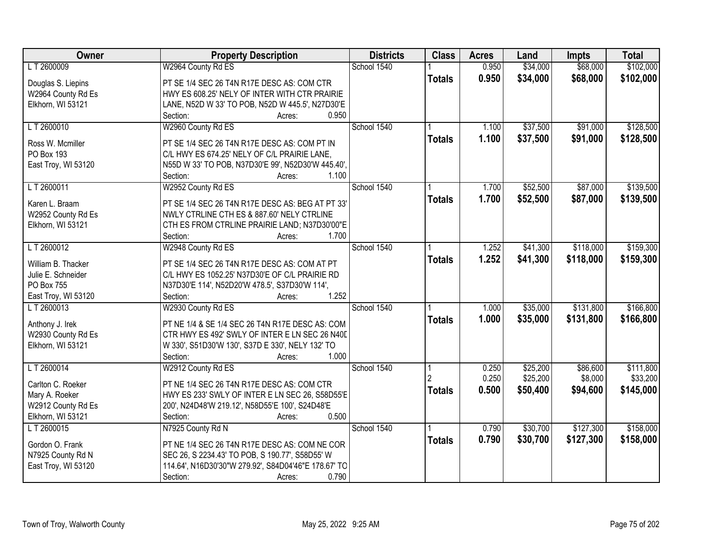| Owner                                   | <b>Property Description</b>                                                                    | <b>Districts</b> | <b>Class</b>  | <b>Acres</b> | Land     | <b>Impts</b> | <b>Total</b> |
|-----------------------------------------|------------------------------------------------------------------------------------------------|------------------|---------------|--------------|----------|--------------|--------------|
| LT 2600009                              | W2964 County Rd ES                                                                             | School 1540      |               | 0.950        | \$34,000 | \$68,000     | \$102,000    |
| Douglas S. Liepins                      | PT SE 1/4 SEC 26 T4N R17E DESC AS: COM CTR                                                     |                  | <b>Totals</b> | 0.950        | \$34,000 | \$68,000     | \$102,000    |
| W2964 County Rd Es                      | HWY ES 608.25' NELY OF INTER WITH CTR PRAIRIE                                                  |                  |               |              |          |              |              |
| Elkhorn, WI 53121                       | LANE, N52D W 33' TO POB, N52D W 445.5', N27D30'E                                               |                  |               |              |          |              |              |
|                                         | 0.950<br>Section:<br>Acres:                                                                    |                  |               |              |          |              |              |
| LT 2600010                              | W2960 County Rd ES                                                                             | School 1540      |               | 1.100        | \$37,500 | \$91,000     | \$128,500    |
| Ross W. Mcmiller                        | PT SE 1/4 SEC 26 T4N R17E DESC AS: COM PT IN                                                   |                  | <b>Totals</b> | 1.100        | \$37,500 | \$91,000     | \$128,500    |
| PO Box 193                              | C/L HWY ES 674.25' NELY OF C/L PRAIRIE LANE,                                                   |                  |               |              |          |              |              |
| East Troy, WI 53120                     | N55D W 33' TO POB, N37D30'E 99', N52D30'W 445.40',                                             |                  |               |              |          |              |              |
|                                         | 1.100<br>Section:<br>Acres:                                                                    |                  |               |              |          |              |              |
| LT 2600011                              | W2952 County Rd ES                                                                             | School 1540      |               | 1.700        | \$52,500 | \$87,000     | \$139,500    |
| Karen L. Braam                          |                                                                                                |                  | <b>Totals</b> | 1.700        | \$52,500 | \$87,000     | \$139,500    |
|                                         | PT SE 1/4 SEC 26 T4N R17E DESC AS: BEG AT PT 33'<br>NWLY CTRLINE CTH ES & 887.60' NELY CTRLINE |                  |               |              |          |              |              |
| W2952 County Rd Es<br>Elkhorn, WI 53121 | CTH ES FROM CTRLINE PRAIRIE LAND; N37D30'00"E                                                  |                  |               |              |          |              |              |
|                                         | 1.700<br>Section:<br>Acres:                                                                    |                  |               |              |          |              |              |
| LT 2600012                              | W2948 County Rd ES                                                                             | School 1540      |               | 1.252        | \$41,300 | \$118,000    | \$159,300    |
|                                         |                                                                                                |                  | <b>Totals</b> | 1.252        | \$41,300 | \$118,000    | \$159,300    |
| William B. Thacker                      | PT SE 1/4 SEC 26 T4N R17E DESC AS: COM AT PT                                                   |                  |               |              |          |              |              |
| Julie E. Schneider                      | C/L HWY ES 1052.25' N37D30'E OF C/L PRAIRIE RD                                                 |                  |               |              |          |              |              |
| PO Box 755                              | N37D30'E 114', N52D20'W 478.5', S37D30'W 114',<br>1.252                                        |                  |               |              |          |              |              |
| East Troy, WI 53120<br>LT 2600013       | Section:<br>Acres:<br>W2930 County Rd ES                                                       | School 1540      |               | 1.000        | \$35,000 | \$131,800    | \$166,800    |
|                                         |                                                                                                |                  |               |              |          |              |              |
| Anthony J. Irek                         | PT NE 1/4 & SE 1/4 SEC 26 T4N R17E DESC AS: COM                                                |                  | <b>Totals</b> | 1.000        | \$35,000 | \$131,800    | \$166,800    |
| W2930 County Rd Es                      | CTR HWY ES 492' SWLY OF INTER E LN SEC 26 N40D                                                 |                  |               |              |          |              |              |
| Elkhorn, WI 53121                       | W 330', S51D30'W 130', S37D E 330', NELY 132' TO                                               |                  |               |              |          |              |              |
|                                         | 1.000<br>Section:<br>Acres:                                                                    |                  |               |              |          |              |              |
| LT 2600014                              | W2912 County Rd ES                                                                             | School 1540      |               | 0.250        | \$25,200 | \$86,600     | \$111,800    |
| Carlton C. Roeker                       | PT NE 1/4 SEC 26 T4N R17E DESC AS: COM CTR                                                     |                  | 2             | 0.250        | \$25,200 | \$8,000      | \$33,200     |
| Mary A. Roeker                          | HWY ES 233' SWLY OF INTER E LN SEC 26, S58D55'E                                                |                  | <b>Totals</b> | 0.500        | \$50,400 | \$94,600     | \$145,000    |
| W2912 County Rd Es                      | 200', N24D48'W 219.12', N58D55'E 100', S24D48'E                                                |                  |               |              |          |              |              |
| Elkhorn, WI 53121                       | 0.500<br>Section:<br>Acres:                                                                    |                  |               |              |          |              |              |
| L T 2600015                             | N7925 County Rd N                                                                              | School 1540      |               | 0.790        | \$30,700 | \$127,300    | \$158,000    |
| Gordon O. Frank                         | PT NE 1/4 SEC 26 T4N R17E DESC AS: COM NE COR                                                  |                  | <b>Totals</b> | 0.790        | \$30,700 | \$127,300    | \$158,000    |
| N7925 County Rd N                       | SEC 26, S 2234.43' TO POB, S 190.77', S58D55' W                                                |                  |               |              |          |              |              |
| East Troy, WI 53120                     | 114.64', N16D30'30"W 279.92', S84D04'46"E 178.67' TO                                           |                  |               |              |          |              |              |
|                                         | 0.790<br>Section:<br>Acres:                                                                    |                  |               |              |          |              |              |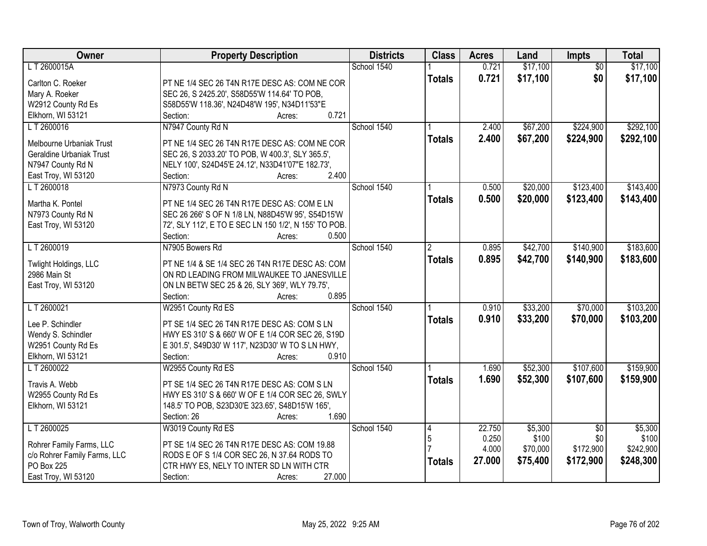| Owner                                      | <b>Property Description</b>                                              | <b>Districts</b> | <b>Class</b>         | <b>Acres</b> | Land     | Impts           | <b>Total</b> |
|--------------------------------------------|--------------------------------------------------------------------------|------------------|----------------------|--------------|----------|-----------------|--------------|
| L T 2600015A                               |                                                                          | School 1540      |                      | 0.721        | \$17,100 | $\overline{50}$ | \$17,100     |
| Carlton C. Roeker                          | PT NE 1/4 SEC 26 T4N R17E DESC AS: COM NE COR                            |                  | <b>Totals</b>        | 0.721        | \$17,100 | \$0             | \$17,100     |
| Mary A. Roeker                             | SEC 26, S 2425.20', S58D55'W 114.64' TO POB,                             |                  |                      |              |          |                 |              |
| W2912 County Rd Es                         | S58D55'W 118.36', N24D48'W 195', N34D11'53"E                             |                  |                      |              |          |                 |              |
| Elkhorn, WI 53121                          | 0.721<br>Section:<br>Acres:                                              |                  |                      |              |          |                 |              |
| LT 2600016                                 | N7947 County Rd N                                                        | School 1540      |                      | 2.400        | \$67,200 | \$224,900       | \$292,100    |
|                                            |                                                                          |                  | <b>Totals</b>        | 2.400        | \$67,200 | \$224,900       | \$292,100    |
| Melbourne Urbaniak Trust                   | PT NE 1/4 SEC 26 T4N R17E DESC AS: COM NE COR                            |                  |                      |              |          |                 |              |
| <b>Geraldine Urbaniak Trust</b>            | SEC 26, S 2033.20' TO POB, W 400.3', SLY 365.5',                         |                  |                      |              |          |                 |              |
| N7947 County Rd N                          | NELY 100', S24D45'E 24.12', N33D41'07"E 182.73',<br>2.400<br>Section:    |                  |                      |              |          |                 |              |
| East Troy, WI 53120                        | Acres:                                                                   | School 1540      |                      |              |          | \$123,400       | \$143,400    |
| LT 2600018                                 | N7973 County Rd N                                                        |                  |                      | 0.500        | \$20,000 |                 |              |
| Martha K. Pontel                           | PT NE 1/4 SEC 26 T4N R17E DESC AS: COM E LN                              |                  | <b>Totals</b>        | 0.500        | \$20,000 | \$123,400       | \$143,400    |
| N7973 County Rd N                          | SEC 26 266' S OF N 1/8 LN, N88D45'W 95', S54D15'W                        |                  |                      |              |          |                 |              |
| East Troy, WI 53120                        | 72', SLY 112', E TO E SEC LN 150 1/2', N 155' TO POB.                    |                  |                      |              |          |                 |              |
|                                            | 0.500<br>Section:<br>Acres:                                              |                  |                      |              |          |                 |              |
| LT 2600019                                 | N7905 Bowers Rd                                                          | School 1540      | $\mathbf{2}^{\circ}$ | 0.895        | \$42,700 | \$140,900       | \$183,600    |
| Twlight Holdings, LLC                      | PT NE 1/4 & SE 1/4 SEC 26 T4N R17E DESC AS: COM                          |                  | <b>Totals</b>        | 0.895        | \$42,700 | \$140,900       | \$183,600    |
| 2986 Main St                               | ON RD LEADING FROM MILWAUKEE TO JANESVILLE                               |                  |                      |              |          |                 |              |
| East Troy, WI 53120                        | ON LN BETW SEC 25 & 26, SLY 369', WLY 79.75',                            |                  |                      |              |          |                 |              |
|                                            | 0.895<br>Section:<br>Acres:                                              |                  |                      |              |          |                 |              |
| LT 2600021                                 | W2951 County Rd ES                                                       | School 1540      |                      | 0.910        | \$33,200 | \$70,000        | \$103,200    |
|                                            |                                                                          |                  | <b>Totals</b>        | 0.910        | \$33,200 | \$70,000        | \$103,200    |
| Lee P. Schindler                           | PT SE 1/4 SEC 26 T4N R17E DESC AS: COM S LN                              |                  |                      |              |          |                 |              |
| Wendy S. Schindler                         | HWY ES 310' S & 660' W OF E 1/4 COR SEC 26, S19D                         |                  |                      |              |          |                 |              |
| W2951 County Rd Es                         | E 301.5', S49D30' W 117', N23D30' W TO S LN HWY,                         |                  |                      |              |          |                 |              |
| Elkhorn, WI 53121                          | 0.910<br>Section:<br>Acres:                                              |                  |                      |              |          |                 |              |
| LT 2600022                                 | W2955 County Rd ES                                                       | School 1540      |                      | 1.690        | \$52,300 | \$107,600       | \$159,900    |
| Travis A. Webb                             | PT SE 1/4 SEC 26 T4N R17E DESC AS: COM S LN                              |                  | <b>Totals</b>        | 1.690        | \$52,300 | \$107,600       | \$159,900    |
| W2955 County Rd Es                         | HWY ES 310' S & 660' W OF E 1/4 COR SEC 26, SWLY                         |                  |                      |              |          |                 |              |
| Elkhorn, WI 53121                          | 148.5' TO POB, S23D30'E 323.65', S48D15'W 165',                          |                  |                      |              |          |                 |              |
|                                            | 1.690<br>Section: 26<br>Acres:                                           |                  |                      |              |          |                 |              |
| LT 2600025                                 | W3019 County Rd ES                                                       | School 1540      | 14                   | 22.750       | \$5,300  | $\overline{50}$ | \$5,300      |
|                                            |                                                                          |                  | 5                    | 0.250        | \$100    | \$0             | \$100        |
| Rohrer Family Farms, LLC                   | PT SE 1/4 SEC 26 T4N R17E DESC AS: COM 19.88                             |                  |                      | 4.000        | \$70,000 | \$172,900       | \$242,900    |
| c/o Rohrer Family Farms, LLC<br>PO Box 225 | RODS E OF S 1/4 COR SEC 26, N 37.64 RODS TO                              |                  | <b>Totals</b>        | 27.000       | \$75,400 | \$172,900       | \$248,300    |
| East Troy, WI 53120                        | CTR HWY ES, NELY TO INTER SD LN WITH CTR<br>Section:<br>27.000<br>Acres: |                  |                      |              |          |                 |              |
|                                            |                                                                          |                  |                      |              |          |                 |              |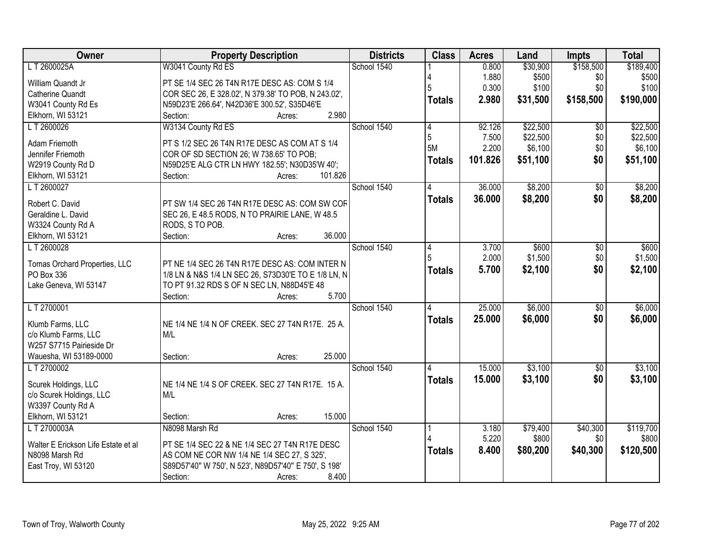| Owner                                            | <b>Property Description</b>                          | <b>Districts</b> | <b>Class</b>  | <b>Acres</b> | Land     | <b>Impts</b>    | <b>Total</b> |
|--------------------------------------------------|------------------------------------------------------|------------------|---------------|--------------|----------|-----------------|--------------|
| L T 2600025A                                     | W3041 County Rd ES                                   | School 1540      |               | 0.800        | \$30,900 | \$158,500       | \$189,400    |
| William Quandt Jr                                | PT SE 1/4 SEC 26 T4N R17E DESC AS: COM S 1/4         |                  |               | 1.880        | \$500    | \$0             | \$500        |
| <b>Catherine Quandt</b>                          | COR SEC 26, E 328.02', N 379.38' TO POB, N 243.02',  |                  |               | 0.300        | \$100    | \$0             | \$100        |
| W3041 County Rd Es                               | N59D23'E 266.64', N42D36'E 300.52', S35D46'E         |                  | <b>Totals</b> | 2.980        | \$31,500 | \$158,500       | \$190,000    |
| Elkhorn, WI 53121                                | 2.980<br>Section:<br>Acres:                          |                  |               |              |          |                 |              |
| LT 2600026                                       | W3134 County Rd ES                                   | School 1540      | 4             | 92.126       | \$22,500 | $\overline{50}$ | \$22,500     |
| Adam Friemoth                                    | PT S 1/2 SEC 26 T4N R17E DESC AS COM AT S 1/4        |                  | 5             | 7.500        | \$22,500 | \$0             | \$22,500     |
| Jennifer Friemoth                                | COR OF SD SECTION 26; W 738.65' TO POB;              |                  | 5M            | 2.200        | \$6,100  | \$0             | \$6,100      |
| W2919 County Rd D                                | N59D25'E ALG CTR LN HWY 182.55'; N30D35'W 40';       |                  | <b>Totals</b> | 101.826      | \$51,100 | \$0             | \$51,100     |
| Elkhorn, WI 53121                                | Section:<br>101.826<br>Acres:                        |                  |               |              |          |                 |              |
| LT 2600027                                       |                                                      | School 1540      |               | 36.000       | \$8,200  | \$0             | \$8,200      |
|                                                  |                                                      |                  |               | 36,000       | \$8,200  | \$0             | \$8,200      |
| Robert C. David                                  | PT SW 1/4 SEC 26 T4N R17E DESC AS: COM SW COF        |                  | <b>Totals</b> |              |          |                 |              |
| Geraldine L. David                               | SEC 26, E 48.5 RODS, N TO PRAIRIE LANE, W 48.5       |                  |               |              |          |                 |              |
| W3324 County Rd A                                | RODS, S TO POB.                                      |                  |               |              |          |                 |              |
| Elkhorn, WI 53121                                | 36.000<br>Section:<br>Acres:                         |                  |               |              |          |                 |              |
| LT 2600028                                       |                                                      | School 1540      | 14            | 3.700        | \$600    | $\overline{50}$ | \$600        |
| Tomas Orchard Properties, LLC                    | PT NE 1/4 SEC 26 T4N R17E DESC AS: COM INTER N       |                  | 5             | 2.000        | \$1,500  | \$0             | \$1,500      |
| PO Box 336                                       | 1/8 LN & N&S 1/4 LN SEC 26, S73D30'E TO E 1/8 LN, N  |                  | <b>Totals</b> | 5.700        | \$2,100  | \$0             | \$2,100      |
| Lake Geneva, WI 53147                            | TO PT 91.32 RDS S OF N SEC LN, N88D45'E 48           |                  |               |              |          |                 |              |
|                                                  | 5.700<br>Section:<br>Acres:                          |                  |               |              |          |                 |              |
| LT 2700001                                       |                                                      | School 1540      | 4             | 25.000       | \$6,000  | $\overline{50}$ | \$6,000      |
|                                                  |                                                      |                  | <b>Totals</b> | 25.000       | \$6,000  | \$0             | \$6,000      |
| Klumb Farms, LLC                                 | NE 1/4 NE 1/4 N OF CREEK. SEC 27 T4N R17E. 25 A.     |                  |               |              |          |                 |              |
| c/o Klumb Farms, LLC<br>W257 S7715 Pairieside Dr | M/L                                                  |                  |               |              |          |                 |              |
| Wauesha, WI 53189-0000                           | 25.000<br>Section:<br>Acres:                         |                  |               |              |          |                 |              |
| LT 2700002                                       |                                                      | School 1540      |               | 15.000       | \$3,100  | $\overline{60}$ | \$3,100      |
|                                                  |                                                      |                  |               | 15.000       | \$3,100  | \$0             |              |
| Scurek Holdings, LLC                             | NE 1/4 NE 1/4 S OF CREEK. SEC 27 T4N R17E. 15 A.     |                  | <b>Totals</b> |              |          |                 | \$3,100      |
| c/o Scurek Holdings, LLC                         | M/L                                                  |                  |               |              |          |                 |              |
| W3397 County Rd A                                |                                                      |                  |               |              |          |                 |              |
| Elkhorn, WI 53121                                | 15.000<br>Section:<br>Acres:                         |                  |               |              |          |                 |              |
| L T 2700003A                                     | N8098 Marsh Rd                                       | School 1540      |               | 3.180        | \$79,400 | \$40,300        | \$119,700    |
| Walter E Erickson Life Estate et al              | PT SE 1/4 SEC 22 & NE 1/4 SEC 27 T4N R17E DESC       |                  |               | 5.220        | \$800    | \$0             | \$800        |
| N8098 Marsh Rd                                   | AS COM NE COR NW 1/4 NE 1/4 SEC 27, S 325',          |                  | <b>Totals</b> | 8.400        | \$80,200 | \$40,300        | \$120,500    |
| East Troy, WI 53120                              | S89D57'40" W 750', N 523', N89D57'40" E 750', S 198' |                  |               |              |          |                 |              |
|                                                  | Section:<br>8.400<br>Acres:                          |                  |               |              |          |                 |              |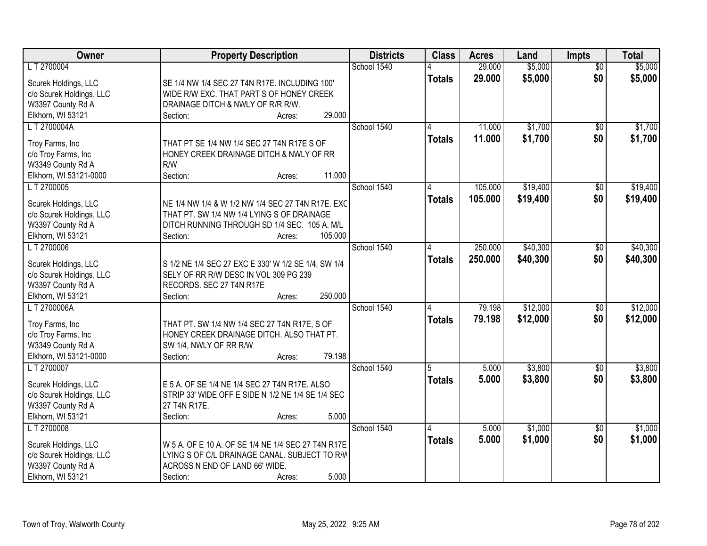| <b>Owner</b>             | <b>Property Description</b>                         | <b>Districts</b> | <b>Class</b>  | <b>Acres</b> | Land     | <b>Impts</b>    | <b>Total</b> |
|--------------------------|-----------------------------------------------------|------------------|---------------|--------------|----------|-----------------|--------------|
| LT 2700004               |                                                     | School 1540      |               | 29.000       | \$5,000  | $\overline{50}$ | \$5,000      |
| Scurek Holdings, LLC     | SE 1/4 NW 1/4 SEC 27 T4N R17E. INCLUDING 100'       |                  | <b>Totals</b> | 29.000       | \$5,000  | \$0             | \$5,000      |
| c/o Scurek Holdings, LLC | WIDE R/W EXC. THAT PART S OF HONEY CREEK            |                  |               |              |          |                 |              |
| W3397 County Rd A        | DRAINAGE DITCH & NWLY OF R/R R/W.                   |                  |               |              |          |                 |              |
| Elkhorn, WI 53121        | 29.000<br>Section:<br>Acres:                        |                  |               |              |          |                 |              |
| LT 2700004A              |                                                     | School 1540      |               | 11.000       | \$1,700  | \$0             | \$1,700      |
|                          |                                                     |                  | <b>Totals</b> | 11.000       | \$1,700  | \$0             | \$1,700      |
| Troy Farms, Inc          | THAT PT SE 1/4 NW 1/4 SEC 27 T4N R17E S OF          |                  |               |              |          |                 |              |
| c/o Troy Farms, Inc      | HONEY CREEK DRAINAGE DITCH & NWLY OF RR             |                  |               |              |          |                 |              |
| W3349 County Rd A        | R/W                                                 |                  |               |              |          |                 |              |
| Elkhorn, WI 53121-0000   | 11.000<br>Section:<br>Acres:                        |                  |               |              |          |                 |              |
| LT 2700005               |                                                     | School 1540      |               | 105.000      | \$19,400 | \$0             | \$19,400     |
| Scurek Holdings, LLC     | NE 1/4 NW 1/4 & W 1/2 NW 1/4 SEC 27 T4N R17E. EXC   |                  | <b>Totals</b> | 105.000      | \$19,400 | \$0             | \$19,400     |
| c/o Scurek Holdings, LLC | THAT PT. SW 1/4 NW 1/4 LYING S OF DRAINAGE          |                  |               |              |          |                 |              |
| W3397 County Rd A        | DITCH RUNNING THROUGH SD 1/4 SEC. 105 A. M/L        |                  |               |              |          |                 |              |
| Elkhorn, WI 53121        | 105.000<br>Section:<br>Acres:                       |                  |               |              |          |                 |              |
| LT 2700006               |                                                     | School 1540      | 4             | 250.000      | \$40,300 | $\sqrt[6]{3}$   | \$40,300     |
|                          |                                                     |                  | <b>Totals</b> | 250.000      | \$40,300 | \$0             | \$40,300     |
| Scurek Holdings, LLC     | S 1/2 NE 1/4 SEC 27 EXC E 330' W 1/2 SE 1/4, SW 1/4 |                  |               |              |          |                 |              |
| c/o Scurek Holdings, LLC | SELY OF RR R/W DESC IN VOL 309 PG 239               |                  |               |              |          |                 |              |
| W3397 County Rd A        | RECORDS. SEC 27 T4N R17E                            |                  |               |              |          |                 |              |
| Elkhorn, WI 53121        | 250.000<br>Section:<br>Acres:                       |                  |               |              |          |                 |              |
| L T 2700006A             |                                                     | School 1540      | 4             | 79.198       | \$12,000 | $\overline{30}$ | \$12,000     |
| Troy Farms, Inc          | THAT PT. SW 1/4 NW 1/4 SEC 27 T4N R17E, S OF        |                  | <b>Totals</b> | 79.198       | \$12,000 | \$0             | \$12,000     |
| c/o Troy Farms, Inc      | HONEY CREEK DRAINAGE DITCH. ALSO THAT PT.           |                  |               |              |          |                 |              |
| W3349 County Rd A        | SW 1/4, NWLY OF RR R/W                              |                  |               |              |          |                 |              |
| Elkhorn, WI 53121-0000   | 79.198<br>Section:<br>Acres:                        |                  |               |              |          |                 |              |
| LT 2700007               |                                                     | School 1540      | 5             | 5.000        | \$3,800  |                 | \$3,800      |
|                          |                                                     |                  |               |              |          | $\sqrt{6}$      |              |
| Scurek Holdings, LLC     | E 5 A. OF SE 1/4 NE 1/4 SEC 27 T4N R17E. ALSO       |                  | <b>Totals</b> | 5.000        | \$3,800  | \$0             | \$3,800      |
| c/o Scurek Holdings, LLC | STRIP 33' WIDE OFF E SIDE N 1/2 NE 1/4 SE 1/4 SEC   |                  |               |              |          |                 |              |
| W3397 County Rd A        | 27 T4N R17E.                                        |                  |               |              |          |                 |              |
| Elkhorn, WI 53121        | 5.000<br>Section:<br>Acres:                         |                  |               |              |          |                 |              |
| L T 2700008              |                                                     | School 1540      | 4             | 5.000        | \$1,000  | $\overline{30}$ | \$1,000      |
|                          |                                                     |                  | <b>Totals</b> | 5.000        | \$1,000  | \$0             | \$1,000      |
| Scurek Holdings, LLC     | W 5 A. OF E 10 A. OF SE 1/4 NE 1/4 SEC 27 T4N R17E  |                  |               |              |          |                 |              |
| c/o Scurek Holdings, LLC | LYING S OF C/L DRAINAGE CANAL. SUBJECT TO R/W       |                  |               |              |          |                 |              |
| W3397 County Rd A        | ACROSS N END OF LAND 66' WIDE.                      |                  |               |              |          |                 |              |
| Elkhorn, WI 53121        | 5.000<br>Section:<br>Acres:                         |                  |               |              |          |                 |              |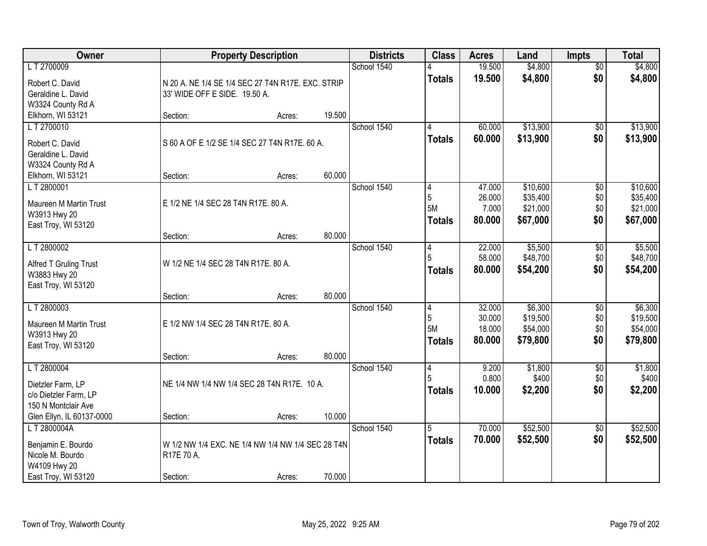| <b>Owner</b>                        |                                                   | <b>Property Description</b> |        | <b>Districts</b> | <b>Class</b>    | <b>Acres</b> | Land     | <b>Impts</b>    | <b>Total</b> |
|-------------------------------------|---------------------------------------------------|-----------------------------|--------|------------------|-----------------|--------------|----------|-----------------|--------------|
| LT 2700009                          |                                                   |                             |        | School 1540      |                 | 19.500       | \$4,800  | $\overline{50}$ | \$4,800      |
| Robert C. David                     | N 20 A. NE 1/4 SE 1/4 SEC 27 T4N R17E. EXC. STRIP |                             |        |                  | <b>Totals</b>   | 19.500       | \$4,800  | \$0             | \$4,800      |
| Geraldine L. David                  | 33' WIDE OFF E SIDE. 19.50 A.                     |                             |        |                  |                 |              |          |                 |              |
| W3324 County Rd A                   |                                                   |                             |        |                  |                 |              |          |                 |              |
| Elkhorn, WI 53121                   | Section:                                          | Acres:                      | 19.500 |                  |                 |              |          |                 |              |
| LT 2700010                          |                                                   |                             |        | School 1540      | 4               | 60.000       | \$13,900 | \$0             | \$13,900     |
| Robert C. David                     | S 60 A OF E 1/2 SE 1/4 SEC 27 T4N R17E. 60 A.     |                             |        |                  | Totals          | 60.000       | \$13,900 | \$0             | \$13,900     |
| Geraldine L. David                  |                                                   |                             |        |                  |                 |              |          |                 |              |
| W3324 County Rd A                   |                                                   |                             |        |                  |                 |              |          |                 |              |
| Elkhorn, WI 53121<br>LT 2800001     | Section:                                          | Acres:                      | 60.000 | School 1540      |                 | 47.000       | \$10,600 |                 | \$10,600     |
|                                     |                                                   |                             |        |                  | 4<br>$\sqrt{5}$ | 26.000       | \$35,400 | \$0<br>\$0      | \$35,400     |
| Maureen M Martin Trust              | E 1/2 NE 1/4 SEC 28 T4N R17E. 80 A.               |                             |        |                  | <b>5M</b>       | 7.000        | \$21,000 | \$0             | \$21,000     |
| W3913 Hwy 20                        |                                                   |                             |        |                  | <b>Totals</b>   | 80.000       | \$67,000 | \$0             | \$67,000     |
| East Troy, WI 53120                 | Section:                                          | Acres:                      | 80.000 |                  |                 |              |          |                 |              |
| LT 2800002                          |                                                   |                             |        | School 1540      | 4               | 22.000       | \$5,500  | \$0             | \$5,500      |
|                                     |                                                   |                             |        |                  | 5               | 58.000       | \$48,700 | \$0             | \$48,700     |
| Alfred T Gruling Trust              | W 1/2 NE 1/4 SEC 28 T4N R17E. 80 A.               |                             |        |                  | <b>Totals</b>   | 80.000       | \$54,200 | \$0             | \$54,200     |
| W3883 Hwy 20<br>East Troy, WI 53120 |                                                   |                             |        |                  |                 |              |          |                 |              |
|                                     | Section:                                          | Acres:                      | 80.000 |                  |                 |              |          |                 |              |
| LT 2800003                          |                                                   |                             |        | School 1540      | $\overline{4}$  | 32.000       | \$6,300  | $\overline{50}$ | \$6,300      |
| Maureen M Martin Trust              | E 1/2 NW 1/4 SEC 28 T4N R17E. 80 A.               |                             |        |                  | 5               | 30.000       | \$19,500 | \$0             | \$19,500     |
| W3913 Hwy 20                        |                                                   |                             |        |                  | 5M              | 18.000       | \$54,000 | \$0             | \$54,000     |
| East Troy, WI 53120                 |                                                   |                             |        |                  | <b>Totals</b>   | 80.000       | \$79,800 | \$0             | \$79,800     |
|                                     | Section:                                          | Acres:                      | 80.000 |                  |                 |              |          |                 |              |
| LT 2800004                          |                                                   |                             |        | School 1540      | 4               | 9.200        | \$1,800  | $\sqrt{6}$      | \$1,800      |
| Dietzler Farm, LP                   | NE 1/4 NW 1/4 NW 1/4 SEC 28 T4N R17E. 10 A.       |                             |        |                  |                 | 0.800        | \$400    | \$0             | \$400        |
| c/o Dietzler Farm, LP               |                                                   |                             |        |                  | <b>Totals</b>   | 10.000       | \$2,200  | \$0             | \$2,200      |
| 150 N Montclair Ave                 |                                                   |                             |        |                  |                 |              |          |                 |              |
| Glen Ellyn, IL 60137-0000           | Section:                                          | Acres:                      | 10.000 |                  |                 |              |          |                 |              |
| L T 2800004A                        |                                                   |                             |        | School 1540      | 5               | 70.000       | \$52,500 | $\overline{30}$ | \$52,500     |
| Benjamin E. Bourdo                  | W 1/2 NW 1/4 EXC. NE 1/4 NW 1/4 NW 1/4 SEC 28 T4N |                             |        |                  | <b>Totals</b>   | 70.000       | \$52,500 | \$0             | \$52,500     |
| Nicole M. Bourdo                    | R17E 70 A.                                        |                             |        |                  |                 |              |          |                 |              |
| W4109 Hwy 20                        |                                                   |                             |        |                  |                 |              |          |                 |              |
| East Troy, WI 53120                 | Section:                                          | Acres:                      | 70.000 |                  |                 |              |          |                 |              |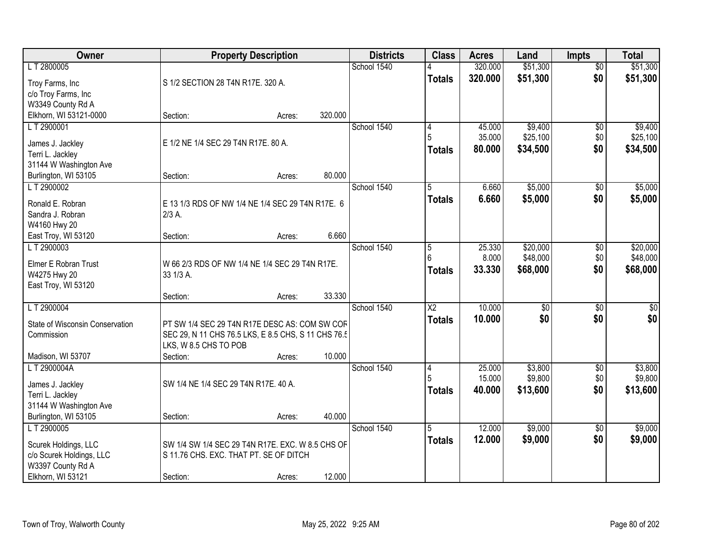| Owner                           |                                                     | <b>Property Description</b> |         | <b>Districts</b> | <b>Class</b>    | <b>Acres</b> | Land            | <b>Impts</b>    | <b>Total</b> |
|---------------------------------|-----------------------------------------------------|-----------------------------|---------|------------------|-----------------|--------------|-----------------|-----------------|--------------|
| LT 2800005                      |                                                     |                             |         | School 1540      |                 | 320.000      | \$51,300        | $\overline{50}$ | \$51,300     |
| Troy Farms, Inc                 | S 1/2 SECTION 28 T4N R17E. 320 A.                   |                             |         |                  | <b>Totals</b>   | 320.000      | \$51,300        | \$0             | \$51,300     |
| c/o Troy Farms, Inc             |                                                     |                             |         |                  |                 |              |                 |                 |              |
| W3349 County Rd A               |                                                     |                             |         |                  |                 |              |                 |                 |              |
| Elkhorn, WI 53121-0000          | Section:                                            | Acres:                      | 320.000 |                  |                 |              |                 |                 |              |
| LT 2900001                      |                                                     |                             |         | School 1540      | 4               | 45.000       | \$9,400         | \$0             | \$9,400      |
| James J. Jackley                | E 1/2 NE 1/4 SEC 29 T4N R17E. 80 A.                 |                             |         |                  | 5               | 35.000       | \$25,100        | \$0             | \$25,100     |
| Terri L. Jackley                |                                                     |                             |         |                  | Totals          | 80.000       | \$34,500        | \$0             | \$34,500     |
| 31144 W Washington Ave          |                                                     |                             |         |                  |                 |              |                 |                 |              |
| Burlington, WI 53105            | Section:                                            | Acres:                      | 80.000  |                  |                 |              |                 |                 |              |
| LT 2900002                      |                                                     |                             |         | School 1540      | 5               | 6.660        | \$5,000         | \$0             | \$5,000      |
| Ronald E. Robran                | E 13 1/3 RDS OF NW 1/4 NE 1/4 SEC 29 T4N R17E. 6    |                             |         |                  | Totals          | 6.660        | \$5,000         | \$0             | \$5,000      |
| Sandra J. Robran                | $2/3$ A.                                            |                             |         |                  |                 |              |                 |                 |              |
| W4160 Hwy 20                    |                                                     |                             |         |                  |                 |              |                 |                 |              |
| East Troy, WI 53120             | Section:                                            | Acres:                      | 6.660   |                  |                 |              |                 |                 |              |
| LT 2900003                      |                                                     |                             |         | School 1540      | $\overline{5}$  | 25.330       | \$20,000        | \$0             | \$20,000     |
| Elmer E Robran Trust            | W 66 2/3 RDS OF NW 1/4 NE 1/4 SEC 29 T4N R17E.      |                             |         |                  | $6\overline{6}$ | 8.000        | \$48,000        | \$0             | \$48,000     |
| W4275 Hwy 20                    | 33 1/3 A.                                           |                             |         |                  | <b>Totals</b>   | 33.330       | \$68,000        | \$0             | \$68,000     |
| East Troy, WI 53120             |                                                     |                             |         |                  |                 |              |                 |                 |              |
|                                 | Section:                                            | Acres:                      | 33.330  |                  |                 |              |                 |                 |              |
| LT 2900004                      |                                                     |                             |         | School 1540      | $\overline{X2}$ | 10.000       | $\overline{50}$ | $\overline{50}$ | $\sqrt{50}$  |
| State of Wisconsin Conservation | PT SW 1/4 SEC 29 T4N R17E DESC AS: COM SW COF       |                             |         |                  | <b>Totals</b>   | 10,000       | \$0             | \$0             | \$0          |
| Commission                      | SEC 29, N 11 CHS 76.5 LKS, E 8.5 CHS, S 11 CHS 76.5 |                             |         |                  |                 |              |                 |                 |              |
|                                 | LKS, W 8.5 CHS TO POB                               |                             |         |                  |                 |              |                 |                 |              |
| Madison, WI 53707               | Section:                                            | Acres:                      | 10.000  |                  |                 |              |                 |                 |              |
| LT 2900004A                     |                                                     |                             |         | School 1540      | 4               | 25.000       | \$3,800         | $\sqrt{6}$      | \$3,800      |
| James J. Jackley                | SW 1/4 NE 1/4 SEC 29 T4N R17E, 40 A.                |                             |         |                  |                 | 15.000       | \$9,800         | \$0             | \$9,800      |
| Terri L. Jackley                |                                                     |                             |         |                  | <b>Totals</b>   | 40.000       | \$13,600        | \$0             | \$13,600     |
| 31144 W Washington Ave          |                                                     |                             |         |                  |                 |              |                 |                 |              |
| Burlington, WI 53105            | Section:                                            | Acres:                      | 40.000  |                  |                 |              |                 |                 |              |
| LT 2900005                      |                                                     |                             |         | School 1540      | 5               | 12.000       | \$9,000         | $\overline{30}$ | \$9,000      |
| Scurek Holdings, LLC            | SW 1/4 SW 1/4 SEC 29 T4N R17E. EXC. W 8.5 CHS OF    |                             |         |                  | <b>Totals</b>   | 12.000       | \$9,000         | \$0             | \$9,000      |
| c/o Scurek Holdings, LLC        | S 11.76 CHS. EXC. THAT PT. SE OF DITCH              |                             |         |                  |                 |              |                 |                 |              |
| W3397 County Rd A               |                                                     |                             |         |                  |                 |              |                 |                 |              |
| Elkhorn, WI 53121               | Section:                                            | Acres:                      | 12.000  |                  |                 |              |                 |                 |              |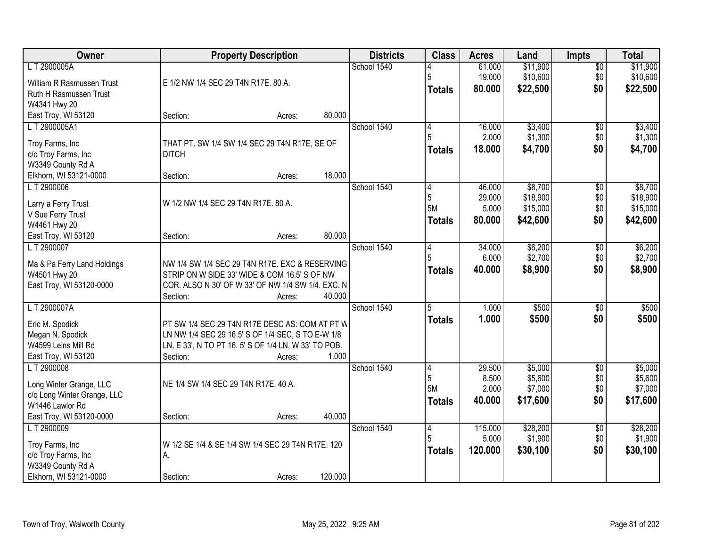| Owner                             |                                                               | <b>Property Description</b> |         | <b>Districts</b> | <b>Class</b>   | <b>Acres</b>    | Land               | <b>Impts</b>      | <b>Total</b>       |
|-----------------------------------|---------------------------------------------------------------|-----------------------------|---------|------------------|----------------|-----------------|--------------------|-------------------|--------------------|
| L T 2900005A                      |                                                               |                             |         | School 1540      |                | 61.000          | \$11,900           | $\sqrt{$0}$       | \$11,900           |
| William R Rasmussen Trust         | E 1/2 NW 1/4 SEC 29 T4N R17E. 80 A.                           |                             |         |                  | 5              | 19.000          | \$10,600           | \$0               | \$10,600           |
| Ruth H Rasmussen Trust            |                                                               |                             |         |                  | <b>Totals</b>  | 80.000          | \$22,500           | \$0               | \$22,500           |
| W4341 Hwy 20                      |                                                               |                             |         |                  |                |                 |                    |                   |                    |
| East Troy, WI 53120               | Section:                                                      | Acres:                      | 80.000  |                  |                |                 |                    |                   |                    |
| LT 2900005A1                      |                                                               |                             |         | School 1540      | 4              | 16.000          | \$3,400            | \$0               | \$3,400            |
| Troy Farms, Inc                   | THAT PT. SW 1/4 SW 1/4 SEC 29 T4N R17E, SE OF                 |                             |         |                  | 5              | 2.000           | \$1,300            | \$0               | \$1,300            |
| c/o Troy Farms, Inc               | <b>DITCH</b>                                                  |                             |         |                  | Totals         | 18.000          | \$4,700            | \$0               | \$4,700            |
| W3349 County Rd A                 |                                                               |                             |         |                  |                |                 |                    |                   |                    |
| Elkhorn, WI 53121-0000            | Section:                                                      | Acres:                      | 18.000  |                  |                |                 |                    |                   |                    |
| LT 2900006                        |                                                               |                             |         | School 1540      | 4              | 46.000          | \$8,700            | \$0               | \$8,700            |
|                                   |                                                               |                             |         |                  | 5              | 29.000          | \$18,900           | \$0               | \$18,900           |
| Larry a Ferry Trust               | W 1/2 NW 1/4 SEC 29 T4N R17E. 80 A.                           |                             |         |                  | <b>5M</b>      | 5.000           | \$15,000           | \$0               | \$15,000           |
| V Sue Ferry Trust<br>W4461 Hwy 20 |                                                               |                             |         |                  | <b>Totals</b>  | 80.000          | \$42,600           | \$0               | \$42,600           |
| East Troy, WI 53120               | Section:                                                      | Acres:                      | 80.000  |                  |                |                 |                    |                   |                    |
| LT 2900007                        |                                                               |                             |         | School 1540      | 4              | 34.000          | \$6,200            | $\sqrt[6]{3}$     | \$6,200            |
|                                   |                                                               |                             |         |                  | 5              | 6.000           | \$2,700            | \$0               | \$2,700            |
| Ma & Pa Ferry Land Holdings       | NW 1/4 SW 1/4 SEC 29 T4N R17E. EXC & RESERVING                |                             |         |                  | <b>Totals</b>  | 40.000          | \$8,900            | \$0               | \$8,900            |
| W4501 Hwy 20                      | STRIP ON W SIDE 33' WIDE & COM 16.5' S OF NW                  |                             |         |                  |                |                 |                    |                   |                    |
| East Troy, WI 53120-0000          | COR. ALSO N 30' OF W 33' OF NW 1/4 SW 1/4. EXC. N<br>Section: | Acres:                      | 40.000  |                  |                |                 |                    |                   |                    |
| LT 2900007A                       |                                                               |                             |         | School 1540      | $\overline{5}$ | 1.000           | \$500              | $\overline{50}$   | \$500              |
|                                   |                                                               |                             |         |                  | Totals         | 1.000           | \$500              | \$0               | \$500              |
| Eric M. Spodick                   | PT SW 1/4 SEC 29 T4N R17E DESC AS: COM AT PT W                |                             |         |                  |                |                 |                    |                   |                    |
| Megan N. Spodick                  | LN NW 1/4 SEC 29 16.5' S OF 1/4 SEC, S TO E-W 1/8             |                             |         |                  |                |                 |                    |                   |                    |
| W4599 Leins Mill Rd               | LN, E 33', N TO PT 16. 5' S OF 1/4 LN, W 33' TO POB.          |                             |         |                  |                |                 |                    |                   |                    |
| East Troy, WI 53120               | Section:                                                      | Acres:                      | 1.000   |                  |                |                 |                    |                   |                    |
| LT 2900008                        |                                                               |                             |         | School 1540      | 4<br>5         | 29.500<br>8.500 | \$5,000<br>\$5,600 | $\sqrt{6}$<br>\$0 | \$5,000<br>\$5,600 |
| Long Winter Grange, LLC           | NE 1/4 SW 1/4 SEC 29 T4N R17E. 40 A.                          |                             |         |                  | <b>5M</b>      | 2.000           | \$7,000            | \$0               | \$7,000            |
| c/o Long Winter Grange, LLC       |                                                               |                             |         |                  | Totals         | 40,000          | \$17,600           | \$0               | \$17,600           |
| W1446 Lawlor Rd                   |                                                               |                             |         |                  |                |                 |                    |                   |                    |
| East Troy, WI 53120-0000          | Section:                                                      | Acres:                      | 40.000  |                  |                |                 |                    |                   |                    |
| LT 2900009                        |                                                               |                             |         | School 1540      | 4              | 115.000         | \$28,200           | $\overline{60}$   | \$28,200           |
| Troy Farms, Inc                   | W 1/2 SE 1/4 & SE 1/4 SW 1/4 SEC 29 T4N R17E. 120             |                             |         |                  | 5              | 5.000           | \$1,900            | \$0               | \$1,900            |
| c/o Troy Farms, Inc               | А.                                                            |                             |         |                  | Totals         | 120,000         | \$30,100           | \$0               | \$30,100           |
| W3349 County Rd A                 |                                                               |                             |         |                  |                |                 |                    |                   |                    |
| Elkhorn, WI 53121-0000            | Section:                                                      | Acres:                      | 120.000 |                  |                |                 |                    |                   |                    |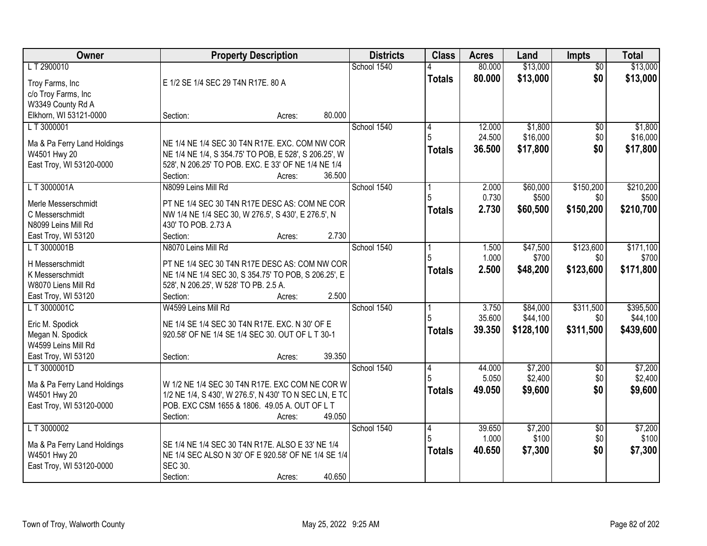| Owner                                       | <b>Property Description</b>                                                                             | <b>Districts</b> | <b>Class</b>  | <b>Acres</b> | Land      | <b>Impts</b>    | <b>Total</b> |
|---------------------------------------------|---------------------------------------------------------------------------------------------------------|------------------|---------------|--------------|-----------|-----------------|--------------|
| LT 2900010                                  |                                                                                                         | School 1540      |               | 80.000       | \$13,000  | $\overline{50}$ | \$13,000     |
| Troy Farms, Inc                             | E 1/2 SE 1/4 SEC 29 T4N R17E. 80 A                                                                      |                  | <b>Totals</b> | 80.000       | \$13,000  | \$0             | \$13,000     |
| c/o Troy Farms, Inc                         |                                                                                                         |                  |               |              |           |                 |              |
| W3349 County Rd A                           |                                                                                                         |                  |               |              |           |                 |              |
| Elkhorn, WI 53121-0000                      | 80.000<br>Section:<br>Acres:                                                                            |                  |               |              |           |                 |              |
| LT 3000001                                  |                                                                                                         | School 1540      | 4             | 12.000       | \$1,800   | \$0             | \$1,800      |
|                                             |                                                                                                         |                  | 5             | 24.500       | \$16,000  | \$0             | \$16,000     |
| Ma & Pa Ferry Land Holdings<br>W4501 Hwy 20 | NE 1/4 NE 1/4 SEC 30 T4N R17E. EXC. COM NW COR<br>NE 1/4 NE 1/4, S 354.75' TO POB, E 528', S 206.25', W |                  | <b>Totals</b> | 36.500       | \$17,800  | \$0             | \$17,800     |
| East Troy, WI 53120-0000                    | 528', N 206.25' TO POB. EXC. E 33' OF NE 1/4 NE 1/4                                                     |                  |               |              |           |                 |              |
|                                             | 36.500<br>Section:<br>Acres:                                                                            |                  |               |              |           |                 |              |
| LT 3000001A                                 | N8099 Leins Mill Rd                                                                                     | School 1540      |               | 2.000        | \$60,000  | \$150,200       | \$210,200    |
|                                             |                                                                                                         |                  |               | 0.730        | \$500     | \$0             | \$500        |
| Merle Messerschmidt                         | PT NE 1/4 SEC 30 T4N R17E DESC AS: COM NE COR                                                           |                  | Totals        | 2.730        | \$60,500  | \$150,200       | \$210,700    |
| C Messerschmidt                             | NW 1/4 NE 1/4 SEC 30, W 276.5', S 430', E 276.5', N                                                     |                  |               |              |           |                 |              |
| N8099 Leins Mill Rd                         | 430' TO POB. 2.73 A                                                                                     |                  |               |              |           |                 |              |
| East Troy, WI 53120                         | 2.730<br>Section:<br>Acres:                                                                             |                  |               |              |           |                 |              |
| LT 3000001B                                 | N8070 Leins Mill Rd                                                                                     | School 1540      |               | 1.500        | \$47,500  | \$123,600       | \$171,100    |
| H Messerschmidt                             | PT NE 1/4 SEC 30 T4N R17E DESC AS: COM NW COR                                                           |                  |               | 1.000        | \$700     | \$0             | \$700        |
| K Messerschmidt                             | NE 1/4 NE 1/4 SEC 30, S 354.75' TO POB, S 206.25', E                                                    |                  | <b>Totals</b> | 2.500        | \$48,200  | \$123,600       | \$171,800    |
| W8070 Liens Mill Rd                         | 528', N 206.25', W 528' TO PB. 2.5 A.                                                                   |                  |               |              |           |                 |              |
| East Troy, WI 53120                         | 2.500<br>Section:<br>Acres:                                                                             |                  |               |              |           |                 |              |
| LT3000001C                                  | W4599 Leins Mill Rd                                                                                     | School 1540      |               | 3.750        | \$84,000  | \$311,500       | \$395,500    |
| Eric M. Spodick                             | NE 1/4 SE 1/4 SEC 30 T4N R17E. EXC. N 30' OF E                                                          |                  | 5             | 35.600       | \$44,100  | \$0             | \$44,100     |
| Megan N. Spodick                            | 920.58' OF NE 1/4 SE 1/4 SEC 30. OUT OF L T 30-1                                                        |                  | Totals        | 39.350       | \$128,100 | \$311,500       | \$439,600    |
| W4599 Leins Mill Rd                         |                                                                                                         |                  |               |              |           |                 |              |
| East Troy, WI 53120                         | 39.350<br>Section:<br>Acres:                                                                            |                  |               |              |           |                 |              |
| LT 3000001D                                 |                                                                                                         | School 1540      | 4             | 44.000       | \$7,200   | $\sqrt{6}$      | \$7,200      |
|                                             |                                                                                                         |                  |               | 5.050        | \$2,400   | \$0             | \$2,400      |
| Ma & Pa Ferry Land Holdings                 | W 1/2 NE 1/4 SEC 30 T4N R17E. EXC COM NE COR W                                                          |                  | <b>Totals</b> | 49.050       | \$9,600   | \$0             | \$9,600      |
| W4501 Hwy 20                                | 1/2 NE 1/4, S 430', W 276.5', N 430' TO N SEC LN, E TC                                                  |                  |               |              |           |                 |              |
| East Troy, WI 53120-0000                    | POB. EXC CSM 1655 & 1806. 49.05 A. OUT OF L T<br>49.050<br>Section:                                     |                  |               |              |           |                 |              |
| L T 3000002                                 | Acres:                                                                                                  | School 1540      | 4             | 39.650       | \$7,200   | $\overline{30}$ | \$7,200      |
|                                             |                                                                                                         |                  |               | 1.000        | \$100     | \$0             | \$100        |
| Ma & Pa Ferry Land Holdings                 | SE 1/4 NE 1/4 SEC 30 T4N R17E. ALSO E 33' NE 1/4                                                        |                  |               | 40.650       | \$7,300   | \$0             | \$7,300      |
| W4501 Hwy 20                                | NE 1/4 SEC ALSO N 30' OF E 920.58' OF NE 1/4 SE 1/4                                                     |                  | <b>Totals</b> |              |           |                 |              |
| East Troy, WI 53120-0000                    | <b>SEC 30.</b>                                                                                          |                  |               |              |           |                 |              |
|                                             | 40.650<br>Section:<br>Acres:                                                                            |                  |               |              |           |                 |              |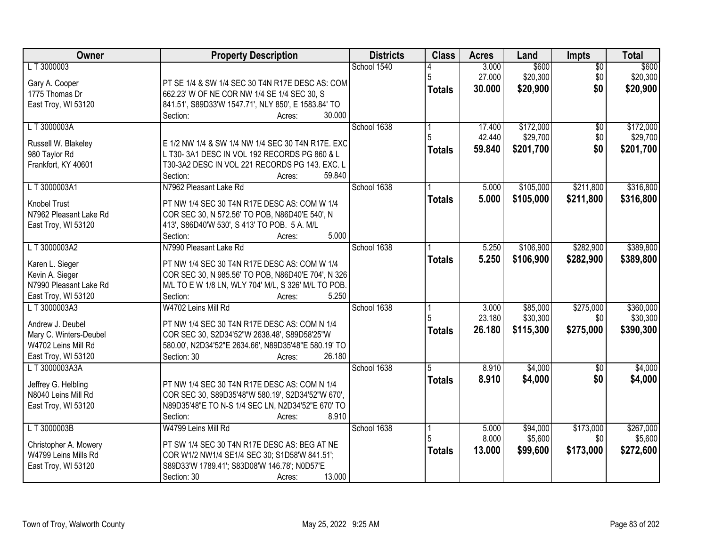| Owner                  | <b>Property Description</b>                                                    | <b>Districts</b> | <b>Class</b>  | <b>Acres</b> | Land      | <b>Impts</b>    | <b>Total</b> |
|------------------------|--------------------------------------------------------------------------------|------------------|---------------|--------------|-----------|-----------------|--------------|
| LT 3000003             |                                                                                | School 1540      |               | 3.000        | \$600     | \$0             | \$600        |
| Gary A. Cooper         | PT SE 1/4 & SW 1/4 SEC 30 T4N R17E DESC AS: COM                                |                  | 5             | 27.000       | \$20,300  | \$0             | \$20,300     |
| 1775 Thomas Dr         | 662.23' W OF NE COR NW 1/4 SE 1/4 SEC 30, S                                    |                  | <b>Totals</b> | 30.000       | \$20,900  | \$0             | \$20,900     |
| East Troy, WI 53120    | 841.51', S89D33'W 1547.71', NLY 850', E 1583.84' TO                            |                  |               |              |           |                 |              |
|                        | 30.000<br>Section:<br>Acres:                                                   |                  |               |              |           |                 |              |
| LT 3000003A            |                                                                                | School 1638      |               | 17.400       | \$172,000 | \$0             | \$172,000    |
|                        |                                                                                |                  |               | 42.440       | \$29,700  | \$0             | \$29,700     |
| Russell W. Blakeley    | E 1/2 NW 1/4 & SW 1/4 NW 1/4 SEC 30 T4N R17E. EXC                              |                  | <b>Totals</b> | 59.840       | \$201,700 | \$0             | \$201,700    |
| 980 Taylor Rd          | L T30-3A1 DESC IN VOL 192 RECORDS PG 860 & L                                   |                  |               |              |           |                 |              |
| Frankfort, KY 40601    | T30-3A2 DESC IN VOL 221 RECORDS PG 143. EXC. L<br>59.840<br>Section:<br>Acres: |                  |               |              |           |                 |              |
| LT3000003A1            | N7962 Pleasant Lake Rd                                                         | School 1638      |               | 5.000        | \$105,000 | \$211,800       | \$316,800    |
|                        |                                                                                |                  |               |              |           |                 |              |
| <b>Knobel Trust</b>    | PT NW 1/4 SEC 30 T4N R17E DESC AS: COM W 1/4                                   |                  | <b>Totals</b> | 5.000        | \$105,000 | \$211,800       | \$316,800    |
| N7962 Pleasant Lake Rd | COR SEC 30, N 572.56' TO POB, N86D40'E 540', N                                 |                  |               |              |           |                 |              |
| East Troy, WI 53120    | 413', S86D40'W 530', S 413' TO POB. 5 A. M/L                                   |                  |               |              |           |                 |              |
|                        | 5.000<br>Section:<br>Acres:                                                    |                  |               |              |           |                 |              |
| LT3000003A2            | N7990 Pleasant Lake Rd                                                         | School 1638      |               | 5.250        | \$106,900 | \$282,900       | \$389,800    |
| Karen L. Sieger        | PT NW 1/4 SEC 30 T4N R17E DESC AS: COM W 1/4                                   |                  | <b>Totals</b> | 5.250        | \$106,900 | \$282,900       | \$389,800    |
| Kevin A. Sieger        | COR SEC 30, N 985.56' TO POB, N86D40'E 704', N 326                             |                  |               |              |           |                 |              |
| N7990 Pleasant Lake Rd | M/L TO E W 1/8 LN, WLY 704' M/L, S 326' M/L TO POB.                            |                  |               |              |           |                 |              |
| East Troy, WI 53120    | 5.250<br>Section:<br>Acres:                                                    |                  |               |              |           |                 |              |
| LT3000003A3            | W4702 Leins Mill Rd                                                            | School 1638      |               | 3.000        | \$85,000  | \$275,000       | \$360,000    |
|                        |                                                                                |                  |               | 23.180       | \$30,300  | \$0             | \$30,300     |
| Andrew J. Deubel       | PT NW 1/4 SEC 30 T4N R17E DESC AS: COM N 1/4                                   |                  | <b>Totals</b> | 26.180       | \$115,300 | \$275,000       | \$390,300    |
| Mary C. Winters-Deubel | COR SEC 30, S2D34'52"W 2638.48', S89D58'25"W                                   |                  |               |              |           |                 |              |
| W4702 Leins Mill Rd    | 580.00', N2D34'52"E 2634.66', N89D35'48"E 580.19' TO                           |                  |               |              |           |                 |              |
| East Troy, WI 53120    | 26.180<br>Section: 30<br>Acres:                                                |                  |               |              |           |                 |              |
| LT3000003A3A           |                                                                                | School 1638      | 5             | 8.910        | \$4,000   | $\overline{50}$ | \$4,000      |
| Jeffrey G. Helbling    | PT NW 1/4 SEC 30 T4N R17E DESC AS: COM N 1/4                                   |                  | <b>Totals</b> | 8.910        | \$4,000   | \$0             | \$4,000      |
| N8040 Leins Mill Rd    | COR SEC 30, S89D35'48"W 580.19', S2D34'52"W 670',                              |                  |               |              |           |                 |              |
| East Troy, WI 53120    | N89D35'48"E TO N-S 1/4 SEC LN, N2D34'52"E 670' TO                              |                  |               |              |           |                 |              |
|                        | 8.910<br>Section:<br>Acres:                                                    |                  |               |              |           |                 |              |
| L T 3000003B           | W4799 Leins Mill Rd                                                            | School 1638      |               | 5.000        | \$94,000  | \$173,000       | \$267,000    |
| Christopher A. Mowery  | PT SW 1/4 SEC 30 T4N R17E DESC AS: BEG AT NE                                   |                  |               | 8.000        | \$5,600   | \$0             | \$5,600      |
| W4799 Leins Mills Rd   | COR W1/2 NW1/4 SE1/4 SEC 30; S1D58'W 841.51';                                  |                  | <b>Totals</b> | 13.000       | \$99,600  | \$173,000       | \$272,600    |
| East Troy, WI 53120    | S89D33'W 1789.41'; S83D08'W 146.78'; N0D57'E                                   |                  |               |              |           |                 |              |
|                        | 13.000<br>Section: 30                                                          |                  |               |              |           |                 |              |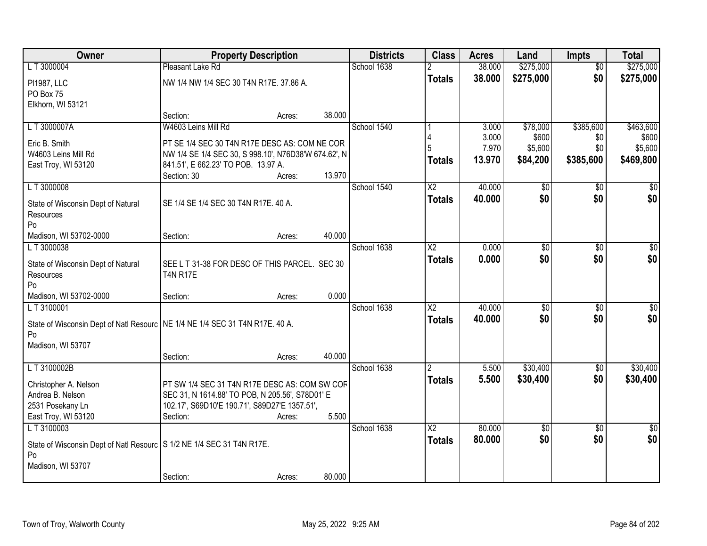| Owner                                                                          | <b>Property Description</b>                          |        |        | <b>Districts</b> | <b>Class</b>             | <b>Acres</b>   | Land             | Impts           | <b>Total</b>     |
|--------------------------------------------------------------------------------|------------------------------------------------------|--------|--------|------------------|--------------------------|----------------|------------------|-----------------|------------------|
| LT 3000004                                                                     | Pleasant Lake Rd                                     |        |        | School 1638      |                          | 38.000         | \$275,000        | $\overline{50}$ | \$275,000        |
| PI1987, LLC                                                                    | NW 1/4 NW 1/4 SEC 30 T4N R17E. 37.86 A.              |        |        |                  | <b>Totals</b>            | 38.000         | \$275,000        | \$0             | \$275,000        |
| PO Box 75                                                                      |                                                      |        |        |                  |                          |                |                  |                 |                  |
| Elkhorn, WI 53121                                                              |                                                      |        |        |                  |                          |                |                  |                 |                  |
|                                                                                | Section:                                             | Acres: | 38.000 |                  |                          |                |                  |                 |                  |
| LT3000007A                                                                     | W4603 Leins Mill Rd                                  |        |        | School 1540      |                          | 3.000          | \$78,000         | \$385,600       | \$463,600        |
| Eric B. Smith                                                                  | PT SE 1/4 SEC 30 T4N R17E DESC AS: COM NE COR        |        |        |                  |                          | 3.000<br>7.970 | \$600<br>\$5,600 | \$0<br>\$0      | \$600<br>\$5,600 |
| W4603 Leins Mill Rd                                                            | NW 1/4 SE 1/4 SEC 30, S 998.10', N76D38'W 674.62', N |        |        |                  |                          | 13.970         | \$84,200         | \$385,600       | \$469,800        |
| East Troy, WI 53120                                                            | 841.51', E 662.23' TO POB. 13.97 A.                  |        |        |                  | <b>Totals</b>            |                |                  |                 |                  |
|                                                                                | Section: 30                                          | Acres: | 13.970 |                  |                          |                |                  |                 |                  |
| LT 3000008                                                                     |                                                      |        |        | School 1540      | $\overline{\text{X2}}$   | 40.000         | \$0              | \$0             | \$0              |
| State of Wisconsin Dept of Natural                                             | SE 1/4 SE 1/4 SEC 30 T4N R17E. 40 A.                 |        |        |                  | <b>Totals</b>            | 40.000         | \$0              | \$0             | \$0              |
| Resources                                                                      |                                                      |        |        |                  |                          |                |                  |                 |                  |
| Po                                                                             |                                                      |        |        |                  |                          |                |                  |                 |                  |
| Madison, WI 53702-0000                                                         | Section:                                             | Acres: | 40.000 |                  |                          |                |                  |                 |                  |
| LT 3000038                                                                     |                                                      |        |        | School 1638      | $\overline{\mathsf{X2}}$ | 0.000          | \$0              | \$0             | \$0              |
| State of Wisconsin Dept of Natural                                             | SEE L T 31-38 FOR DESC OF THIS PARCEL. SEC 30        |        |        |                  | <b>Totals</b>            | 0.000          | \$0              | \$0             | \$0              |
| Resources                                                                      | <b>T4N R17E</b>                                      |        |        |                  |                          |                |                  |                 |                  |
| Po                                                                             |                                                      |        |        |                  |                          |                |                  |                 |                  |
| Madison, WI 53702-0000                                                         | Section:                                             | Acres: | 0.000  |                  |                          |                |                  |                 |                  |
| LT 3100001                                                                     |                                                      |        |        | School 1638      | $\overline{\text{X2}}$   | 40.000         | \$0              | $\overline{50}$ | \$0              |
| State of Wisconsin Dept of Natl Resourc   NE 1/4 NE 1/4 SEC 31 T4N R17E. 40 A. |                                                      |        |        |                  | <b>Totals</b>            | 40.000         | \$0              | \$0             | \$0              |
| Po                                                                             |                                                      |        |        |                  |                          |                |                  |                 |                  |
| Madison, WI 53707                                                              |                                                      |        |        |                  |                          |                |                  |                 |                  |
|                                                                                | Section:                                             | Acres: | 40.000 |                  |                          |                |                  |                 |                  |
| L T 3100002B                                                                   |                                                      |        |        | School 1638      | 2                        | 5.500          | \$30,400         | $\sqrt{6}$      | \$30,400         |
| Christopher A. Nelson                                                          | PT SW 1/4 SEC 31 T4N R17E DESC AS: COM SW COF        |        |        |                  | <b>Totals</b>            | 5.500          | \$30,400         | \$0             | \$30,400         |
| Andrea B. Nelson                                                               | SEC 31, N 1614.88' TO POB, N 205.56', S78D01' E      |        |        |                  |                          |                |                  |                 |                  |
| 2531 Posekany Ln                                                               | 102.17', S69D10'E 190.71', S89D27'E 1357.51',        |        |        |                  |                          |                |                  |                 |                  |
| East Troy, WI 53120                                                            | Section:                                             | Acres: | 5.500  |                  |                          |                |                  |                 |                  |
| LT 3100003                                                                     |                                                      |        |        | School 1638      | $\overline{\text{X2}}$   | 80.000         | $\sqrt{6}$       | $\overline{30}$ | $\overline{50}$  |
| State of Wisconsin Dept of Natl Resourc   S 1/2 NE 1/4 SEC 31 T4N R17E.        |                                                      |        |        |                  | <b>Totals</b>            | 80.000         | \$0              | \$0             | \$0              |
| Po                                                                             |                                                      |        |        |                  |                          |                |                  |                 |                  |
| Madison, WI 53707                                                              |                                                      |        |        |                  |                          |                |                  |                 |                  |
|                                                                                | Section:                                             | Acres: | 80.000 |                  |                          |                |                  |                 |                  |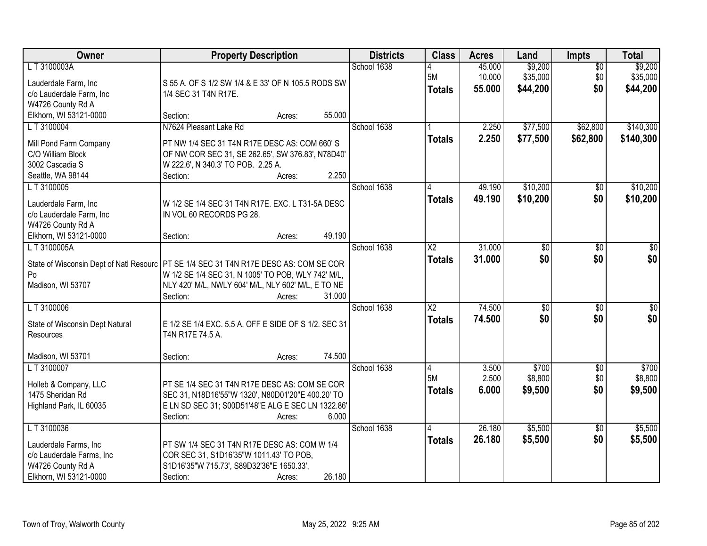| Owner                                                                                                           | <b>Property Description</b>                                                                                                                                                                      | <b>Districts</b> | <b>Class</b>                          | <b>Acres</b>               | Land                            | <b>Impts</b>                  | <b>Total</b>                    |
|-----------------------------------------------------------------------------------------------------------------|--------------------------------------------------------------------------------------------------------------------------------------------------------------------------------------------------|------------------|---------------------------------------|----------------------------|---------------------------------|-------------------------------|---------------------------------|
| L T 3100003A<br>Lauderdale Farm, Inc<br>c/o Lauderdale Farm, Inc<br>W4726 County Rd A                           | S 55 A. OF S 1/2 SW 1/4 & E 33' OF N 105.5 RODS SW<br>1/4 SEC 31 T4N R17E.                                                                                                                       | School 1638      | 5M<br><b>Totals</b>                   | 45.000<br>10.000<br>55.000 | \$9,200<br>\$35,000<br>\$44,200 | $\overline{50}$<br>\$0<br>\$0 | \$9,200<br>\$35,000<br>\$44,200 |
| Elkhorn, WI 53121-0000                                                                                          | 55.000<br>Section:<br>Acres:                                                                                                                                                                     |                  |                                       |                            |                                 |                               |                                 |
| LT 3100004<br>Mill Pond Farm Company<br>C/O William Block<br>3002 Cascadia S<br>Seattle, WA 98144               | N7624 Pleasant Lake Rd<br>PT NW 1/4 SEC 31 T4N R17E DESC AS: COM 660'S<br>OF NW COR SEC 31, SE 262.65', SW 376.83', N78D40'<br>W 222.6', N 340.3' TO POB. 2.25 A.<br>2.250<br>Section:<br>Acres: | School 1638      | <b>Totals</b>                         | 2.250<br>2.250             | \$77,500<br>\$77,500            | \$62,800<br>\$62,800          | \$140,300<br>\$140,300          |
| LT 3100005                                                                                                      |                                                                                                                                                                                                  | School 1638      |                                       | 49.190                     | \$10,200                        | \$0                           | \$10,200                        |
| Lauderdale Farm, Inc<br>c/o Lauderdale Farm, Inc<br>W4726 County Rd A<br>Elkhorn, WI 53121-0000                 | W 1/2 SE 1/4 SEC 31 T4N R17E. EXC. L T31-5A DESC<br>IN VOL 60 RECORDS PG 28.<br>49.190<br>Section:<br>Acres:                                                                                     |                  | <b>Totals</b>                         | 49.190                     | \$10,200                        | \$0                           | \$10,200                        |
| LT 3100005A                                                                                                     |                                                                                                                                                                                                  | School 1638      | $\overline{X2}$                       | 31.000                     | \$0                             | \$0                           | \$0                             |
| State of Wisconsin Dept of Natl Resourc<br>Po<br>Madison, WI 53707                                              | <b>PT SE 1/4 SEC 31 T4N R17E DESC AS: COM SE COR</b><br>W 1/2 SE 1/4 SEC 31, N 1005' TO POB, WLY 742' M/L,<br>NLY 420' M/L, NWLY 604' M/L, NLY 602' M/L, E TO NE<br>31.000<br>Section:<br>Acres: |                  | <b>Totals</b>                         | 31.000                     | \$0                             | \$0                           | \$0                             |
| LT 3100006<br>State of Wisconsin Dept Natural<br>Resources<br>Madison, WI 53701                                 | E 1/2 SE 1/4 EXC. 5.5 A. OFF E SIDE OF S 1/2. SEC 31<br>T4N R17E 74.5 A.<br>74.500<br>Section:<br>Acres:                                                                                         | School 1638      | $\overline{X2}$<br><b>Totals</b>      | 74.500<br>74.500           | $\overline{50}$<br>\$0          | $\overline{50}$<br>\$0        | $\sqrt{50}$<br>\$0              |
| LT 3100007<br>Holleb & Company, LLC<br>1475 Sheridan Rd<br>Highland Park, IL 60035                              | PT SE 1/4 SEC 31 T4N R17E DESC AS: COM SE COR<br>SEC 31, N18D16'55"W 1320', N80D01'20"E 400.20' TO<br>E LN SD SEC 31; S00D51'48"E ALG E SEC LN 1322.86'<br>6.000<br>Section:<br>Acres:           | School 1638      | $\overline{4}$<br>5M<br><b>Totals</b> | 3.500<br>2.500<br>6.000    | \$700<br>\$8,800<br>\$9,500     | $\sqrt{6}$<br>\$0<br>\$0      | \$700<br>\$8,800<br>\$9,500     |
| LT 3100036<br>Lauderdale Farms, Inc<br>c/o Lauderdale Farms, Inc<br>W4726 County Rd A<br>Elkhorn, WI 53121-0000 | PT SW 1/4 SEC 31 T4N R17E DESC AS: COM W 1/4<br>COR SEC 31, S1D16'35"W 1011.43' TO POB,<br>S1D16'35"W 715.73', S89D32'36"E 1650.33',<br>26.180<br>Section:<br>Acres:                             | School 1638      | 4<br><b>Totals</b>                    | 26.180<br>26.180           | \$5,500<br>\$5,500              | $\overline{30}$<br>\$0        | \$5,500<br>\$5,500              |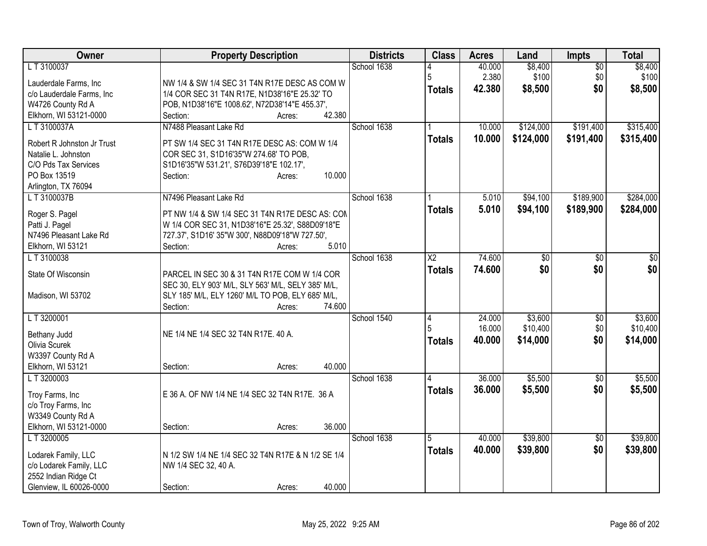| Owner                                           | <b>Property Description</b>                                                                         | <b>Districts</b> | <b>Class</b>    | <b>Acres</b> | Land      | <b>Impts</b>    | <b>Total</b> |
|-------------------------------------------------|-----------------------------------------------------------------------------------------------------|------------------|-----------------|--------------|-----------|-----------------|--------------|
| LT 3100037                                      |                                                                                                     | School 1638      |                 | 40.000       | \$8,400   | $\overline{50}$ | \$8,400      |
| Lauderdale Farms, Inc                           | NW 1/4 & SW 1/4 SEC 31 T4N R17E DESC AS COM W                                                       |                  | 5               | 2.380        | \$100     | \$0             | \$100        |
| c/o Lauderdale Farms, Inc                       | 1/4 COR SEC 31 T4N R17E, N1D38'16"E 25.32' TO                                                       |                  | <b>Totals</b>   | 42,380       | \$8,500   | \$0             | \$8,500      |
| W4726 County Rd A                               | POB, N1D38'16"E 1008.62', N72D38'14"E 455.37',                                                      |                  |                 |              |           |                 |              |
| Elkhorn, WI 53121-0000                          | 42.380<br>Section:<br>Acres:                                                                        |                  |                 |              |           |                 |              |
| LT3100037A                                      | N7488 Pleasant Lake Rd                                                                              | School 1638      |                 | 10.000       | \$124,000 | \$191,400       | \$315,400    |
| Robert R Johnston Jr Trust                      | PT SW 1/4 SEC 31 T4N R17E DESC AS: COM W 1/4                                                        |                  | <b>Totals</b>   | 10.000       | \$124,000 | \$191,400       | \$315,400    |
| Natalie L. Johnston                             | COR SEC 31, S1D16'35"W 274.68' TO POB,                                                              |                  |                 |              |           |                 |              |
| C/O Pds Tax Services                            | S1D16'35"W 531.21', S76D39'18"E 102.17',                                                            |                  |                 |              |           |                 |              |
| PO Box 13519                                    | 10.000<br>Section:<br>Acres:                                                                        |                  |                 |              |           |                 |              |
| Arlington, TX 76094                             |                                                                                                     |                  |                 |              |           |                 |              |
| LT3100037B                                      | N7496 Pleasant Lake Rd                                                                              | School 1638      |                 | 5.010        | \$94,100  | \$189,900       | \$284,000    |
|                                                 |                                                                                                     |                  | <b>Totals</b>   | 5.010        | \$94,100  | \$189,900       | \$284,000    |
| Roger S. Pagel                                  | PT NW 1/4 & SW 1/4 SEC 31 T4N R17E DESC AS: CON                                                     |                  |                 |              |           |                 |              |
| Patti J. Pagel<br>N7496 Pleasant Lake Rd        | W 1/4 COR SEC 31, N1D38'16"E 25.32', S88D09'18"E<br>727.37', S1D16' 35"W 300', N88D09'18"W 727.50', |                  |                 |              |           |                 |              |
| Elkhorn, WI 53121                               | 5.010<br>Section:<br>Acres:                                                                         |                  |                 |              |           |                 |              |
| LT 3100038                                      |                                                                                                     | School 1638      | $\overline{X2}$ | 74.600       | \$0       | \$0             | $\sqrt{50}$  |
|                                                 |                                                                                                     |                  | <b>Totals</b>   | 74.600       | \$0       | \$0             | \$0          |
| State Of Wisconsin                              | PARCEL IN SEC 30 & 31 T4N R17E COM W 1/4 COR                                                        |                  |                 |              |           |                 |              |
|                                                 | SEC 30, ELY 903' M/L, SLY 563' M/L, SELY 385' M/L,                                                  |                  |                 |              |           |                 |              |
| Madison, WI 53702                               | SLY 185' M/L, ELY 1260' M/L TO POB, ELY 685' M/L,                                                   |                  |                 |              |           |                 |              |
|                                                 | 74.600<br>Section:<br>Acres:                                                                        |                  |                 |              |           |                 |              |
| LT 3200001                                      |                                                                                                     | School 1540      | $\overline{4}$  | 24.000       | \$3,600   | $\sqrt[6]{}$    | \$3,600      |
| Bethany Judd                                    | NE 1/4 NE 1/4 SEC 32 T4N R17E. 40 A.                                                                |                  | 5               | 16.000       | \$10,400  | \$0             | \$10,400     |
| Olivia Scurek                                   |                                                                                                     |                  | <b>Totals</b>   | 40.000       | \$14,000  | \$0             | \$14,000     |
| W3397 County Rd A                               |                                                                                                     |                  |                 |              |           |                 |              |
| Elkhorn, WI 53121                               | 40.000<br>Section:<br>Acres:                                                                        |                  |                 |              |           |                 |              |
| LT 3200003                                      |                                                                                                     | School 1638      | 4               | 36.000       | \$5,500   | $\overline{30}$ | \$5,500      |
| Troy Farms, Inc                                 | E 36 A. OF NW 1/4 NE 1/4 SEC 32 T4N R17E. 36 A                                                      |                  | <b>Totals</b>   | 36.000       | \$5,500   | \$0             | \$5,500      |
| c/o Troy Farms, Inc                             |                                                                                                     |                  |                 |              |           |                 |              |
| W3349 County Rd A                               |                                                                                                     |                  |                 |              |           |                 |              |
| Elkhorn, WI 53121-0000                          | 36.000<br>Section:<br>Acres:                                                                        |                  |                 |              |           |                 |              |
| L T 3200005                                     |                                                                                                     | School 1638      | 5               | 40.000       | \$39,800  | $\overline{50}$ | \$39,800     |
|                                                 |                                                                                                     |                  | <b>Totals</b>   | 40.000       | \$39,800  | \$0             | \$39,800     |
| Lodarek Family, LLC                             | N 1/2 SW 1/4 NE 1/4 SEC 32 T4N R17E & N 1/2 SE 1/4                                                  |                  |                 |              |           |                 |              |
| c/o Lodarek Family, LLC                         | NW 1/4 SEC 32, 40 A.                                                                                |                  |                 |              |           |                 |              |
| 2552 Indian Ridge Ct<br>Glenview, IL 60026-0000 | 40.000                                                                                              |                  |                 |              |           |                 |              |
|                                                 | Section:<br>Acres:                                                                                  |                  |                 |              |           |                 |              |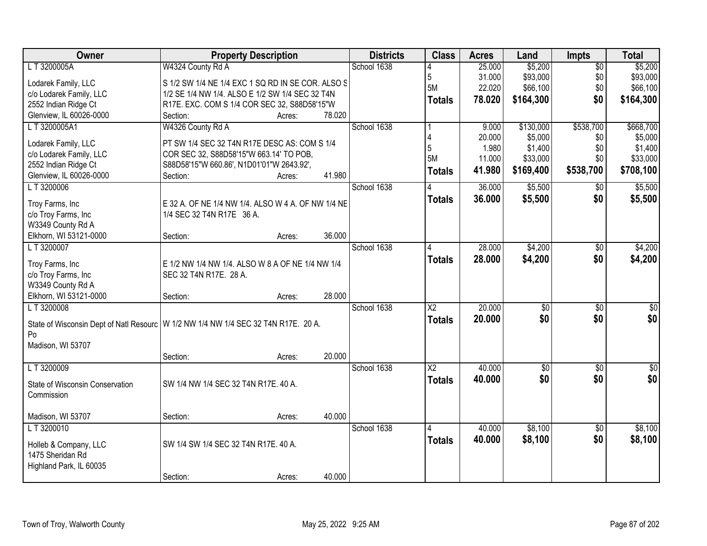| Owner                                           | <b>Property Description</b>                                                          | <b>Districts</b> | <b>Class</b>           | <b>Acres</b> | Land            | <b>Impts</b>    | <b>Total</b> |
|-------------------------------------------------|--------------------------------------------------------------------------------------|------------------|------------------------|--------------|-----------------|-----------------|--------------|
| L T 3200005A                                    | W4324 County Rd A                                                                    | School 1638      |                        | 25.000       | \$5,200         | $\overline{50}$ | \$5,200      |
| Lodarek Family, LLC                             | S 1/2 SW 1/4 NE 1/4 EXC 1 SQ RD IN SE COR. ALSO S                                    |                  | 5                      | 31.000       | \$93,000        | \$0             | \$93,000     |
| c/o Lodarek Family, LLC                         | 1/2 SE 1/4 NW 1/4. ALSO E 1/2 SW 1/4 SEC 32 T4N                                      |                  | 5M                     | 22.020       | \$66,100        | \$0             | \$66,100     |
| 2552 Indian Ridge Ct                            | R17E. EXC. COM S 1/4 COR SEC 32, S88D58'15"W                                         |                  | Totals                 | 78.020       | \$164,300       | \$0             | \$164,300    |
| Glenview, IL 60026-0000                         | 78.020<br>Section:<br>Acres:                                                         |                  |                        |              |                 |                 |              |
| LT3200005A1                                     | W4326 County Rd A                                                                    | School 1638      |                        | 9.000        | \$130,000       | \$538,700       | \$668,700    |
|                                                 |                                                                                      |                  |                        | 20.000       | \$5,000         | \$0             | \$5,000      |
| Lodarek Family, LLC                             | PT SW 1/4 SEC 32 T4N R17E DESC AS: COM S 1/4                                         |                  | 5                      | 1.980        | \$1,400         | \$0             | \$1,400      |
| c/o Lodarek Family, LLC                         | COR SEC 32, S88D58'15"W 663.14' TO POB,                                              |                  | <b>5M</b>              | 11.000       | \$33,000        | \$0             | \$33,000     |
| 2552 Indian Ridge Ct<br>Glenview, IL 60026-0000 | S88D58'15"W 660.86', N1D01'01"W 2643.92',<br>41.980<br>Section:<br>Acres:            |                  | <b>Totals</b>          | 41.980       | \$169,400       | \$538,700       | \$708,100    |
| LT 3200006                                      |                                                                                      | School 1638      |                        | 36.000       | \$5,500         | $\sqrt[6]{}$    | \$5,500      |
|                                                 |                                                                                      |                  |                        |              |                 |                 |              |
| Troy Farms, Inc                                 | E 32 A. OF NE 1/4 NW 1/4. ALSO W 4 A. OF NW 1/4 NE                                   |                  | <b>Totals</b>          | 36.000       | \$5,500         | \$0             | \$5,500      |
| c/o Troy Farms, Inc                             | 1/4 SEC 32 T4N R17E 36 A.                                                            |                  |                        |              |                 |                 |              |
| W3349 County Rd A                               |                                                                                      |                  |                        |              |                 |                 |              |
| Elkhorn, WI 53121-0000                          | 36.000<br>Section:<br>Acres:                                                         |                  |                        |              |                 |                 |              |
| LT 3200007                                      |                                                                                      | School 1638      | 4                      | 28.000       | \$4,200         | \$0             | \$4,200      |
| Troy Farms, Inc                                 | E 1/2 NW 1/4 NW 1/4. ALSO W 8 A OF NE 1/4 NW 1/4                                     |                  | <b>Totals</b>          | 28.000       | \$4,200         | \$0             | \$4,200      |
| c/o Troy Farms, Inc                             | SEC 32 T4N R17E. 28 A.                                                               |                  |                        |              |                 |                 |              |
| W3349 County Rd A                               |                                                                                      |                  |                        |              |                 |                 |              |
| Elkhorn, WI 53121-0000                          | 28.000<br>Section:<br>Acres:                                                         |                  |                        |              |                 |                 |              |
| LT 3200008                                      |                                                                                      | School 1638      | $\overline{\text{X2}}$ | 20.000       | $\overline{50}$ | $\overline{50}$ | $\sqrt{50}$  |
|                                                 |                                                                                      |                  | <b>Totals</b>          | 20,000       | \$0             | \$0             | \$0          |
|                                                 | State of Wisconsin Dept of Natl Resourc   W 1/2 NW 1/4 NW 1/4 SEC 32 T4N R17E. 20 A. |                  |                        |              |                 |                 |              |
| Po                                              |                                                                                      |                  |                        |              |                 |                 |              |
| Madison, WI 53707                               |                                                                                      |                  |                        |              |                 |                 |              |
|                                                 | 20.000<br>Section:<br>Acres:                                                         |                  |                        |              |                 |                 |              |
| LT 3200009                                      |                                                                                      | School 1638      | $\overline{X2}$        | 40.000       | $\sqrt{$0}$     | $\sqrt{6}$      | $\sqrt{50}$  |
| State of Wisconsin Conservation                 | SW 1/4 NW 1/4 SEC 32 T4N R17E. 40 A.                                                 |                  | <b>Totals</b>          | 40.000       | \$0             | \$0             | \$0          |
| Commission                                      |                                                                                      |                  |                        |              |                 |                 |              |
|                                                 |                                                                                      |                  |                        |              |                 |                 |              |
| Madison, WI 53707                               | 40.000<br>Section:<br>Acres:                                                         |                  |                        |              |                 |                 |              |
| LT 3200010                                      |                                                                                      | School 1638      | 14                     | 40.000       | \$8,100         | $\overline{30}$ | \$8,100      |
| Holleb & Company, LLC                           | SW 1/4 SW 1/4 SEC 32 T4N R17E. 40 A.                                                 |                  | <b>Totals</b>          | 40.000       | \$8,100         | \$0             | \$8,100      |
| 1475 Sheridan Rd                                |                                                                                      |                  |                        |              |                 |                 |              |
| Highland Park, IL 60035                         |                                                                                      |                  |                        |              |                 |                 |              |
|                                                 | 40.000<br>Section:<br>Acres:                                                         |                  |                        |              |                 |                 |              |
|                                                 |                                                                                      |                  |                        |              |                 |                 |              |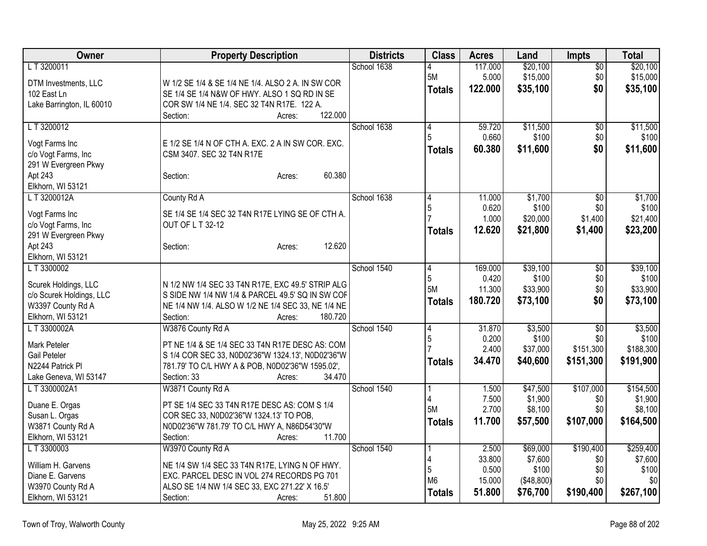| Owner                                 | <b>Property Description</b>                                                    | <b>Districts</b> | <b>Class</b>   | <b>Acres</b>     | Land                | Impts            | <b>Total</b>         |
|---------------------------------------|--------------------------------------------------------------------------------|------------------|----------------|------------------|---------------------|------------------|----------------------|
| LT 3200011                            |                                                                                | School 1638      | 4              | 117.000          | \$20,100            | \$0              | \$20,100             |
| DTM Investments, LLC                  | W 1/2 SE 1/4 & SE 1/4 NE 1/4. ALSO 2 A. IN SW COR                              |                  | 5M             | 5.000            | \$15,000            | \$0              | \$15,000             |
| 102 East Ln                           | SE 1/4 SE 1/4 N&W OF HWY. ALSO 1 SQ RD IN SE                                   |                  | <b>Totals</b>  | 122.000          | \$35,100            | \$0              | \$35,100             |
| Lake Barrington, IL 60010             | COR SW 1/4 NE 1/4. SEC 32 T4N R17E. 122 A.                                     |                  |                |                  |                     |                  |                      |
|                                       | 122.000<br>Section:<br>Acres:                                                  |                  |                |                  |                     |                  |                      |
| LT 3200012                            |                                                                                | School 1638      | 4              | 59.720           | \$11,500            | $\overline{60}$  | \$11,500             |
|                                       |                                                                                |                  | 5              | 0.660            | \$100               | \$0              | \$100                |
| Vogt Farms Inc<br>c/o Vogt Farms, Inc | E 1/2 SE 1/4 N OF CTH A. EXC. 2 A IN SW COR. EXC.<br>CSM 3407. SEC 32 T4N R17E |                  | <b>Totals</b>  | 60.380           | \$11,600            | \$0              | \$11,600             |
| 291 W Evergreen Pkwy                  |                                                                                |                  |                |                  |                     |                  |                      |
| Apt 243                               | 60.380<br>Section:<br>Acres:                                                   |                  |                |                  |                     |                  |                      |
| Elkhorn, WI 53121                     |                                                                                |                  |                |                  |                     |                  |                      |
| L T 3200012A                          | County Rd A                                                                    | School 1638      | 14             | 11.000           | \$1,700             | \$0              | \$1,700              |
|                                       |                                                                                |                  | 5              | 0.620            | \$100               | \$0              | \$100                |
| Vogt Farms Inc                        | SE 1/4 SE 1/4 SEC 32 T4N R17E LYING SE OF CTH A.                               |                  |                | 1.000            | \$20,000            | \$1,400          | \$21,400             |
| c/o Vogt Farms, Inc                   | OUT OF L T 32-12                                                               |                  | <b>Totals</b>  | 12.620           | \$21,800            | \$1,400          | \$23,200             |
| 291 W Evergreen Pkwy                  |                                                                                |                  |                |                  |                     |                  |                      |
| Apt 243                               | 12.620<br>Section:<br>Acres:                                                   |                  |                |                  |                     |                  |                      |
| Elkhorn, WI 53121                     |                                                                                |                  |                |                  |                     |                  |                      |
| LT 3300002                            |                                                                                | School 1540      | 14<br>5        | 169.000<br>0.420 | \$39,100<br>\$100   | \$0              | \$39,100<br>\$100    |
| Scurek Holdings, LLC                  | N 1/2 NW 1/4 SEC 33 T4N R17E, EXC 49.5' STRIP ALG                              |                  | 5M             | 11.300           | \$33,900            | \$0<br>\$0       | \$33,900             |
| c/o Scurek Holdings, LLC              | S SIDE NW 1/4 NW 1/4 & PARCEL 49.5' SQ IN SW COF                               |                  |                | 180.720          | \$73,100            | \$0              |                      |
| W3397 County Rd A                     | NE 1/4 NW 1/4. ALSO W 1/2 NE 1/4 SEC 33, NE 1/4 NE                             |                  | <b>Totals</b>  |                  |                     |                  | \$73,100             |
| Elkhorn, WI 53121                     | 180.720<br>Section:<br>Acres:                                                  |                  |                |                  |                     |                  |                      |
| LT 3300002A                           | W3876 County Rd A                                                              | School 1540      | 14             | 31.870           | \$3,500             | \$0              | \$3,500              |
| Mark Peteler                          | PT NE 1/4 & SE 1/4 SEC 33 T4N R17E DESC AS: COM                                |                  | 5              | 0.200            | \$100               | \$0              | \$100                |
| Gail Peteler                          | S 1/4 COR SEC 33, N0D02'36"W 1324.13', N0D02'36"W                              |                  |                | 2.400            | \$37,000            | \$151,300        | \$188,300            |
| N2244 Patrick PI                      | 781.79' TO C/L HWY A & POB, N0D02'36"W 1595.02',                               |                  | <b>Totals</b>  | 34.470           | \$40,600            | \$151,300        | \$191,900            |
| Lake Geneva, WI 53147                 | 34.470<br>Section: 33<br>Acres:                                                |                  |                |                  |                     |                  |                      |
| LT 3300002A1                          | W3871 County Rd A                                                              | School 1540      |                | 1.500            | \$47,500            | \$107,000        | \$154,500            |
|                                       |                                                                                |                  |                | 7.500            | \$1,900             | \$0              | \$1,900              |
| Duane E. Orgas                        | PT SE 1/4 SEC 33 T4N R17E DESC AS: COM S 1/4                                   |                  | 5M             | 2.700            | \$8,100             | \$0              | \$8,100              |
| Susan L. Orgas                        | COR SEC 33, N0D02'36"W 1324.13' TO POB,                                        |                  | <b>Totals</b>  | 11.700           | \$57,500            | \$107,000        | \$164,500            |
| W3871 County Rd A                     | N0D02'36"W 781.79' TO C/L HWY A, N86D54'30"W<br>11.700                         |                  |                |                  |                     |                  |                      |
| Elkhorn, WI 53121                     | Section:<br>Acres:                                                             | School 1540      |                | 2.500            |                     |                  |                      |
| LT 3300003                            | W3970 County Rd A                                                              |                  | 4              | 33.800           | \$69,000<br>\$7,600 | \$190,400<br>\$0 | \$259,400<br>\$7,600 |
| William H. Garvens                    | NE 1/4 SW 1/4 SEC 33 T4N R17E, LYING N OF HWY.                                 |                  | 5              | 0.500            | \$100               | \$0              | \$100                |
| Diane E. Garvens                      | EXC. PARCEL DESC IN VOL 274 RECORDS PG 701                                     |                  | M <sub>6</sub> | 15.000           | (\$48,800)          | \$0              | \$0                  |
| W3970 County Rd A                     | ALSO SE 1/4 NW 1/4 SEC 33, EXC 271.22' X 16.5'                                 |                  | <b>Totals</b>  | 51.800           | \$76,700            | \$190,400        | \$267,100            |
| Elkhorn, WI 53121                     | 51.800<br>Section:<br>Acres:                                                   |                  |                |                  |                     |                  |                      |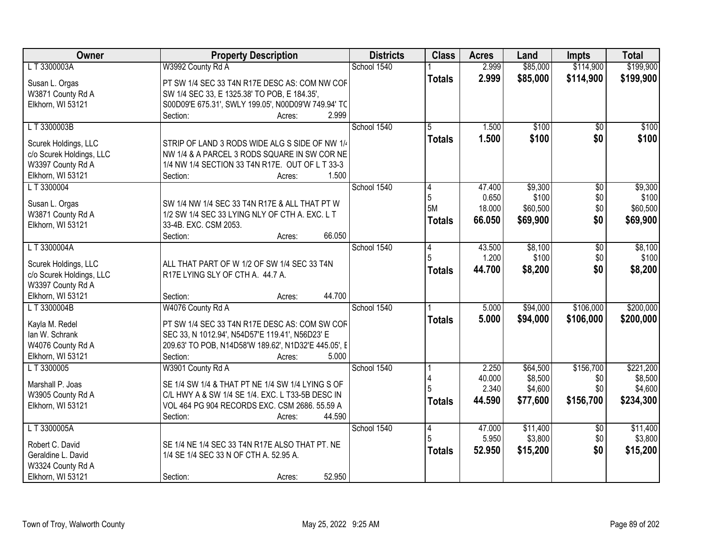| Owner                                         | <b>Property Description</b>                          | <b>Districts</b> | <b>Class</b>  | <b>Acres</b> | Land                | <b>Impts</b>     | <b>Total</b> |
|-----------------------------------------------|------------------------------------------------------|------------------|---------------|--------------|---------------------|------------------|--------------|
| L T 3300003A                                  | W3992 County Rd A                                    | School 1540      |               | 2.999        | \$85,000            | \$114,900        | \$199,900    |
| Susan L. Orgas                                | PT SW 1/4 SEC 33 T4N R17E DESC AS: COM NW COF        |                  | <b>Totals</b> | 2.999        | \$85,000            | \$114,900        | \$199,900    |
| W3871 County Rd A                             | SW 1/4 SEC 33, E 1325.38' TO POB, E 184.35',         |                  |               |              |                     |                  |              |
| Elkhorn, WI 53121                             | S00D09'E 675.31', SWLY 199.05', N00D09'W 749.94' TC  |                  |               |              |                     |                  |              |
|                                               | 2.999<br>Section:<br>Acres:                          |                  |               |              |                     |                  |              |
| LT3300003B                                    |                                                      | School 1540      | 5             | 1.500        | \$100               | $\overline{50}$  | \$100        |
| Scurek Holdings, LLC                          | STRIP OF LAND 3 RODS WIDE ALG S SIDE OF NW 1/4       |                  | <b>Totals</b> | 1.500        | \$100               | \$0              | \$100        |
| c/o Scurek Holdings, LLC                      | NW 1/4 & A PARCEL 3 RODS SQUARE IN SW COR NE         |                  |               |              |                     |                  |              |
| W3397 County Rd A                             | 1/4 NW 1/4 SECTION 33 T4N R17E. OUT OF L T 33-3      |                  |               |              |                     |                  |              |
| Elkhorn, WI 53121                             | Section:<br>1.500<br>Acres:                          |                  |               |              |                     |                  |              |
| LT 3300004                                    |                                                      | School 1540      |               | 47.400       | \$9,300             | \$0              | \$9,300      |
| Susan L. Orgas                                | SW 1/4 NW 1/4 SEC 33 T4N R17E & ALL THAT PT W        |                  | 5             | 0.650        | \$100               | \$0              | \$100        |
| W3871 County Rd A                             | 1/2 SW 1/4 SEC 33 LYING NLY OF CTH A. EXC. L T       |                  | 5M            | 18.000       | \$60,500            | \$0              | \$60,500     |
| Elkhorn, WI 53121                             | 33-4B. EXC. CSM 2053.                                |                  | <b>Totals</b> | 66.050       | \$69,900            | \$0              | \$69,900     |
|                                               | 66.050<br>Section:<br>Acres:                         |                  |               |              |                     |                  |              |
| L T 3300004A                                  |                                                      | School 1540      | 14            | 43.500       | \$8,100             | $\overline{50}$  | \$8,100      |
|                                               |                                                      |                  | 5             | 1.200        | \$100               | \$0              | \$100        |
| Scurek Holdings, LLC                          | ALL THAT PART OF W 1/2 OF SW 1/4 SEC 33 T4N          |                  | <b>Totals</b> | 44.700       | \$8,200             | \$0              | \$8,200      |
| c/o Scurek Holdings, LLC<br>W3397 County Rd A | R17E LYING SLY OF CTH A. 44.7 A.                     |                  |               |              |                     |                  |              |
| Elkhorn, WI 53121                             | 44.700<br>Section:<br>Acres:                         |                  |               |              |                     |                  |              |
| LT 3300004B                                   | W4076 County Rd A                                    | School 1540      |               | 5.000        | \$94,000            | \$106,000        | \$200,000    |
|                                               |                                                      |                  | <b>Totals</b> | 5.000        | \$94,000            | \$106,000        | \$200,000    |
| Kayla M. Redel                                | PT SW 1/4 SEC 33 T4N R17E DESC AS: COM SW COF        |                  |               |              |                     |                  |              |
| lan W. Schrank                                | SEC 33, N 1012.94', N54D57'E 119.41', N56D23' E      |                  |               |              |                     |                  |              |
| W4076 County Rd A                             | 209.63' TO POB, N14D58'W 189.62', N1D32'E 445.05', E |                  |               |              |                     |                  |              |
| Elkhorn, WI 53121<br>L T 3300005              | Section:<br>5.000<br>Acres:                          | School 1540      |               | 2.250        |                     |                  | \$221,200    |
|                                               | W3901 County Rd A                                    |                  |               | 40.000       | \$64,500<br>\$8,500 | \$156,700<br>\$0 | \$8,500      |
| Marshall P. Joas                              | SE 1/4 SW 1/4 & THAT PT NE 1/4 SW 1/4 LYING S OF     |                  |               | 2.340        | \$4,600             | \$0              | \$4,600      |
| W3905 County Rd A                             | C/L HWY A & SW 1/4 SE 1/4. EXC. L T33-5B DESC IN     |                  | <b>Totals</b> | 44.590       | \$77,600            | \$156,700        | \$234,300    |
| Elkhorn, WI 53121                             | VOL 464 PG 904 RECORDS EXC. CSM 2686. 55.59 A        |                  |               |              |                     |                  |              |
|                                               | Section:<br>44.590<br>Acres:                         |                  |               |              |                     |                  |              |
| LT3300005A                                    |                                                      | School 1540      | 14            | 47.000       | \$11,400            | \$0              | \$11,400     |
| Robert C. David                               | SE 1/4 NE 1/4 SEC 33 T4N R17E ALSO THAT PT. NE       |                  |               | 5.950        | \$3,800             | \$0              | \$3,800      |
| Geraldine L. David                            | 1/4 SE 1/4 SEC 33 N OF CTH A. 52.95 A.               |                  | <b>Totals</b> | 52.950       | \$15,200            | \$0              | \$15,200     |
| W3324 County Rd A                             |                                                      |                  |               |              |                     |                  |              |
| Elkhorn, WI 53121                             | 52.950<br>Section:<br>Acres:                         |                  |               |              |                     |                  |              |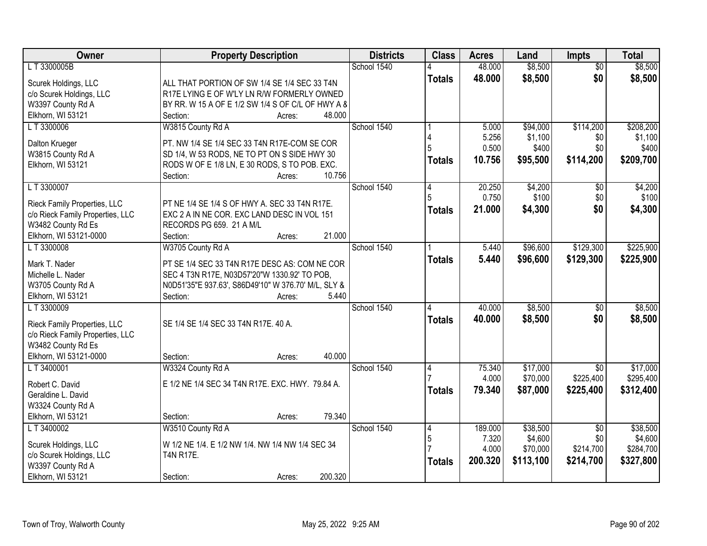| $\overline{50}$<br>\$0<br>48.000<br>\$8,500<br>\$8,500<br><b>Totals</b><br>Scurek Holdings, LLC<br>ALL THAT PORTION OF SW 1/4 SE 1/4 SEC 33 T4N<br>c/o Scurek Holdings, LLC<br>R17E LYING E OF W'LY LN R/W FORMERLY OWNED<br>W3397 County Rd A<br>BY RR. W 15 A OF E 1/2 SW 1/4 S OF C/L OF HWY A 8<br>Elkhorn, WI 53121<br>48.000<br>Section:<br>Acres:<br>School 1540<br>\$114,200<br>LT 3300006<br>W3815 County Rd A<br>5.000<br>\$94,000<br>5.256<br>\$1,100<br>\$0<br>Dalton Krueger<br>PT. NW 1/4 SE 1/4 SEC 33 T4N R17E-COM SE COR<br>\$400<br>0.500<br>\$0<br>W3815 County Rd A<br>SD 1/4, W 53 RODS, NE TO PT ON S SIDE HWY 30<br>\$209,700<br>10.756<br>\$95,500<br>\$114,200<br><b>Totals</b><br>Elkhorn, WI 53121<br>RODS W OF E 1/8 LN, E 30 RODS, S TO POB. EXC.<br>10.756<br>Section:<br>Acres:<br>School 1540<br>L T 3300007<br>20.250<br>\$4,200<br>$\sqrt[6]{}$<br>4<br>\$100<br>0.750<br>\$0<br>PT NE 1/4 SE 1/4 S OF HWY A. SEC 33 T4N R17E.<br>Rieck Family Properties, LLC<br>\$4,300<br>\$0<br>\$4,300<br>21.000<br><b>Totals</b><br>c/o Rieck Family Properties, LLC<br>EXC 2 A IN NE COR. EXC LAND DESC IN VOL 151<br>W3482 County Rd Es<br>RECORDS PG 659. 21 A M/L<br>21.000<br>Elkhorn, WI 53121-0000<br>Section:<br>Acres:<br>School 1540<br>\$96,600<br>\$129,300<br>LT 3300008<br>W3705 County Rd A<br>5.440<br>5.440<br>\$96,600<br>\$129,300<br>\$225,900<br><b>Totals</b><br>Mark T. Nader<br>PT SE 1/4 SEC 33 T4N R17E DESC AS: COM NE COR<br>Michelle L. Nader<br>SEC 4 T3N R17E, N03D57'20"W 1330.92' TO POB,<br>N0D51'35"E 937.63', S86D49'10" W 376.70' M/L, SLY &<br>W3705 County Rd A<br>Elkhorn, WI 53121<br>5.440<br>Section:<br>Acres:<br>\$8,500<br>LT 3300009<br>School 1540<br>40.000<br>\$0<br>Δ<br>40.000<br>\$8,500<br>\$0<br><b>Totals</b><br>SE 1/4 SE 1/4 SEC 33 T4N R17E. 40 A.<br>Rieck Family Properties, LLC<br>c/o Rieck Family Properties, LLC<br>W3482 County Rd Es<br>Elkhorn, WI 53121-0000<br>40.000<br>Section:<br>Acres:<br>L T 3400001<br>W3324 County Rd A<br>School 1540<br>\$17,000<br>75.340<br>$\overline{30}$<br>4<br>\$225,400<br>4.000<br>\$70,000<br>E 1/2 NE 1/4 SEC 34 T4N R17E. EXC. HWY. 79.84 A.<br>Robert C. David<br>79.340<br>\$87,000<br>\$225,400<br>\$312,400<br><b>Totals</b><br>Geraldine L. David<br>W3324 County Rd A<br>79.340<br>Elkhorn, WI 53121<br>Section:<br>Acres:<br>L T 3400002<br>W3510 County Rd A<br>School 1540<br>189.000<br>\$38,500<br>$\overline{50}$<br>4<br>$\overline{5}$<br>\$4,600<br>7.320<br>\$0<br>Scurek Holdings, LLC<br>W 1/2 NE 1/4. E 1/2 NW 1/4. NW 1/4 NW 1/4 SEC 34<br>4.000<br>\$214,700<br>\$70,000<br>c/o Scurek Holdings, LLC<br><b>T4N R17E.</b><br>200.320<br>\$113,100<br>\$214,700<br>\$327,800<br><b>Totals</b><br>W3397 County Rd A<br>200.320 | Owner             | <b>Property Description</b> | <b>Districts</b> | <b>Class</b> | <b>Acres</b> | Land    | <b>Impts</b> | <b>Total</b> |
|--------------------------------------------------------------------------------------------------------------------------------------------------------------------------------------------------------------------------------------------------------------------------------------------------------------------------------------------------------------------------------------------------------------------------------------------------------------------------------------------------------------------------------------------------------------------------------------------------------------------------------------------------------------------------------------------------------------------------------------------------------------------------------------------------------------------------------------------------------------------------------------------------------------------------------------------------------------------------------------------------------------------------------------------------------------------------------------------------------------------------------------------------------------------------------------------------------------------------------------------------------------------------------------------------------------------------------------------------------------------------------------------------------------------------------------------------------------------------------------------------------------------------------------------------------------------------------------------------------------------------------------------------------------------------------------------------------------------------------------------------------------------------------------------------------------------------------------------------------------------------------------------------------------------------------------------------------------------------------------------------------------------------------------------------------------------------------------------------------------------------------------------------------------------------------------------------------------------------------------------------------------------------------------------------------------------------------------------------------------------------------------------------------------------------------------------------------------------------------------------------------------------------------------------------------------------------------------------------------------------------------------------------------------------------------------------------------------------------------------------------------------------------------------|-------------------|-----------------------------|------------------|--------------|--------------|---------|--------------|--------------|
|                                                                                                                                                                                                                                                                                                                                                                                                                                                                                                                                                                                                                                                                                                                                                                                                                                                                                                                                                                                                                                                                                                                                                                                                                                                                                                                                                                                                                                                                                                                                                                                                                                                                                                                                                                                                                                                                                                                                                                                                                                                                                                                                                                                                                                                                                                                                                                                                                                                                                                                                                                                                                                                                                                                                                                                      | LT3300005B        |                             | School 1540      |              | 48.000       | \$8,500 |              | \$8,500      |
| \$208,200<br>\$1,100<br>\$400<br>\$4,200<br>\$100<br>\$225,900                                                                                                                                                                                                                                                                                                                                                                                                                                                                                                                                                                                                                                                                                                                                                                                                                                                                                                                                                                                                                                                                                                                                                                                                                                                                                                                                                                                                                                                                                                                                                                                                                                                                                                                                                                                                                                                                                                                                                                                                                                                                                                                                                                                                                                                                                                                                                                                                                                                                                                                                                                                                                                                                                                                       |                   |                             |                  |              |              |         |              |              |
|                                                                                                                                                                                                                                                                                                                                                                                                                                                                                                                                                                                                                                                                                                                                                                                                                                                                                                                                                                                                                                                                                                                                                                                                                                                                                                                                                                                                                                                                                                                                                                                                                                                                                                                                                                                                                                                                                                                                                                                                                                                                                                                                                                                                                                                                                                                                                                                                                                                                                                                                                                                                                                                                                                                                                                                      |                   |                             |                  |              |              |         |              |              |
|                                                                                                                                                                                                                                                                                                                                                                                                                                                                                                                                                                                                                                                                                                                                                                                                                                                                                                                                                                                                                                                                                                                                                                                                                                                                                                                                                                                                                                                                                                                                                                                                                                                                                                                                                                                                                                                                                                                                                                                                                                                                                                                                                                                                                                                                                                                                                                                                                                                                                                                                                                                                                                                                                                                                                                                      |                   |                             |                  |              |              |         |              |              |
|                                                                                                                                                                                                                                                                                                                                                                                                                                                                                                                                                                                                                                                                                                                                                                                                                                                                                                                                                                                                                                                                                                                                                                                                                                                                                                                                                                                                                                                                                                                                                                                                                                                                                                                                                                                                                                                                                                                                                                                                                                                                                                                                                                                                                                                                                                                                                                                                                                                                                                                                                                                                                                                                                                                                                                                      |                   |                             |                  |              |              |         |              |              |
|                                                                                                                                                                                                                                                                                                                                                                                                                                                                                                                                                                                                                                                                                                                                                                                                                                                                                                                                                                                                                                                                                                                                                                                                                                                                                                                                                                                                                                                                                                                                                                                                                                                                                                                                                                                                                                                                                                                                                                                                                                                                                                                                                                                                                                                                                                                                                                                                                                                                                                                                                                                                                                                                                                                                                                                      |                   |                             |                  |              |              |         |              |              |
|                                                                                                                                                                                                                                                                                                                                                                                                                                                                                                                                                                                                                                                                                                                                                                                                                                                                                                                                                                                                                                                                                                                                                                                                                                                                                                                                                                                                                                                                                                                                                                                                                                                                                                                                                                                                                                                                                                                                                                                                                                                                                                                                                                                                                                                                                                                                                                                                                                                                                                                                                                                                                                                                                                                                                                                      |                   |                             |                  |              |              |         |              |              |
|                                                                                                                                                                                                                                                                                                                                                                                                                                                                                                                                                                                                                                                                                                                                                                                                                                                                                                                                                                                                                                                                                                                                                                                                                                                                                                                                                                                                                                                                                                                                                                                                                                                                                                                                                                                                                                                                                                                                                                                                                                                                                                                                                                                                                                                                                                                                                                                                                                                                                                                                                                                                                                                                                                                                                                                      |                   |                             |                  |              |              |         |              |              |
|                                                                                                                                                                                                                                                                                                                                                                                                                                                                                                                                                                                                                                                                                                                                                                                                                                                                                                                                                                                                                                                                                                                                                                                                                                                                                                                                                                                                                                                                                                                                                                                                                                                                                                                                                                                                                                                                                                                                                                                                                                                                                                                                                                                                                                                                                                                                                                                                                                                                                                                                                                                                                                                                                                                                                                                      |                   |                             |                  |              |              |         |              |              |
|                                                                                                                                                                                                                                                                                                                                                                                                                                                                                                                                                                                                                                                                                                                                                                                                                                                                                                                                                                                                                                                                                                                                                                                                                                                                                                                                                                                                                                                                                                                                                                                                                                                                                                                                                                                                                                                                                                                                                                                                                                                                                                                                                                                                                                                                                                                                                                                                                                                                                                                                                                                                                                                                                                                                                                                      |                   |                             |                  |              |              |         |              |              |
|                                                                                                                                                                                                                                                                                                                                                                                                                                                                                                                                                                                                                                                                                                                                                                                                                                                                                                                                                                                                                                                                                                                                                                                                                                                                                                                                                                                                                                                                                                                                                                                                                                                                                                                                                                                                                                                                                                                                                                                                                                                                                                                                                                                                                                                                                                                                                                                                                                                                                                                                                                                                                                                                                                                                                                                      |                   |                             |                  |              |              |         |              |              |
|                                                                                                                                                                                                                                                                                                                                                                                                                                                                                                                                                                                                                                                                                                                                                                                                                                                                                                                                                                                                                                                                                                                                                                                                                                                                                                                                                                                                                                                                                                                                                                                                                                                                                                                                                                                                                                                                                                                                                                                                                                                                                                                                                                                                                                                                                                                                                                                                                                                                                                                                                                                                                                                                                                                                                                                      |                   |                             |                  |              |              |         |              |              |
|                                                                                                                                                                                                                                                                                                                                                                                                                                                                                                                                                                                                                                                                                                                                                                                                                                                                                                                                                                                                                                                                                                                                                                                                                                                                                                                                                                                                                                                                                                                                                                                                                                                                                                                                                                                                                                                                                                                                                                                                                                                                                                                                                                                                                                                                                                                                                                                                                                                                                                                                                                                                                                                                                                                                                                                      |                   |                             |                  |              |              |         |              |              |
|                                                                                                                                                                                                                                                                                                                                                                                                                                                                                                                                                                                                                                                                                                                                                                                                                                                                                                                                                                                                                                                                                                                                                                                                                                                                                                                                                                                                                                                                                                                                                                                                                                                                                                                                                                                                                                                                                                                                                                                                                                                                                                                                                                                                                                                                                                                                                                                                                                                                                                                                                                                                                                                                                                                                                                                      |                   |                             |                  |              |              |         |              |              |
|                                                                                                                                                                                                                                                                                                                                                                                                                                                                                                                                                                                                                                                                                                                                                                                                                                                                                                                                                                                                                                                                                                                                                                                                                                                                                                                                                                                                                                                                                                                                                                                                                                                                                                                                                                                                                                                                                                                                                                                                                                                                                                                                                                                                                                                                                                                                                                                                                                                                                                                                                                                                                                                                                                                                                                                      |                   |                             |                  |              |              |         |              |              |
| \$8,500<br>\$8,500<br>\$17,000<br>\$295,400<br>\$38,500<br>\$4,600<br>\$284,700                                                                                                                                                                                                                                                                                                                                                                                                                                                                                                                                                                                                                                                                                                                                                                                                                                                                                                                                                                                                                                                                                                                                                                                                                                                                                                                                                                                                                                                                                                                                                                                                                                                                                                                                                                                                                                                                                                                                                                                                                                                                                                                                                                                                                                                                                                                                                                                                                                                                                                                                                                                                                                                                                                      |                   |                             |                  |              |              |         |              |              |
|                                                                                                                                                                                                                                                                                                                                                                                                                                                                                                                                                                                                                                                                                                                                                                                                                                                                                                                                                                                                                                                                                                                                                                                                                                                                                                                                                                                                                                                                                                                                                                                                                                                                                                                                                                                                                                                                                                                                                                                                                                                                                                                                                                                                                                                                                                                                                                                                                                                                                                                                                                                                                                                                                                                                                                                      |                   |                             |                  |              |              |         |              |              |
|                                                                                                                                                                                                                                                                                                                                                                                                                                                                                                                                                                                                                                                                                                                                                                                                                                                                                                                                                                                                                                                                                                                                                                                                                                                                                                                                                                                                                                                                                                                                                                                                                                                                                                                                                                                                                                                                                                                                                                                                                                                                                                                                                                                                                                                                                                                                                                                                                                                                                                                                                                                                                                                                                                                                                                                      |                   |                             |                  |              |              |         |              |              |
|                                                                                                                                                                                                                                                                                                                                                                                                                                                                                                                                                                                                                                                                                                                                                                                                                                                                                                                                                                                                                                                                                                                                                                                                                                                                                                                                                                                                                                                                                                                                                                                                                                                                                                                                                                                                                                                                                                                                                                                                                                                                                                                                                                                                                                                                                                                                                                                                                                                                                                                                                                                                                                                                                                                                                                                      |                   |                             |                  |              |              |         |              |              |
|                                                                                                                                                                                                                                                                                                                                                                                                                                                                                                                                                                                                                                                                                                                                                                                                                                                                                                                                                                                                                                                                                                                                                                                                                                                                                                                                                                                                                                                                                                                                                                                                                                                                                                                                                                                                                                                                                                                                                                                                                                                                                                                                                                                                                                                                                                                                                                                                                                                                                                                                                                                                                                                                                                                                                                                      |                   |                             |                  |              |              |         |              |              |
|                                                                                                                                                                                                                                                                                                                                                                                                                                                                                                                                                                                                                                                                                                                                                                                                                                                                                                                                                                                                                                                                                                                                                                                                                                                                                                                                                                                                                                                                                                                                                                                                                                                                                                                                                                                                                                                                                                                                                                                                                                                                                                                                                                                                                                                                                                                                                                                                                                                                                                                                                                                                                                                                                                                                                                                      |                   |                             |                  |              |              |         |              |              |
|                                                                                                                                                                                                                                                                                                                                                                                                                                                                                                                                                                                                                                                                                                                                                                                                                                                                                                                                                                                                                                                                                                                                                                                                                                                                                                                                                                                                                                                                                                                                                                                                                                                                                                                                                                                                                                                                                                                                                                                                                                                                                                                                                                                                                                                                                                                                                                                                                                                                                                                                                                                                                                                                                                                                                                                      |                   |                             |                  |              |              |         |              |              |
|                                                                                                                                                                                                                                                                                                                                                                                                                                                                                                                                                                                                                                                                                                                                                                                                                                                                                                                                                                                                                                                                                                                                                                                                                                                                                                                                                                                                                                                                                                                                                                                                                                                                                                                                                                                                                                                                                                                                                                                                                                                                                                                                                                                                                                                                                                                                                                                                                                                                                                                                                                                                                                                                                                                                                                                      |                   |                             |                  |              |              |         |              |              |
|                                                                                                                                                                                                                                                                                                                                                                                                                                                                                                                                                                                                                                                                                                                                                                                                                                                                                                                                                                                                                                                                                                                                                                                                                                                                                                                                                                                                                                                                                                                                                                                                                                                                                                                                                                                                                                                                                                                                                                                                                                                                                                                                                                                                                                                                                                                                                                                                                                                                                                                                                                                                                                                                                                                                                                                      |                   |                             |                  |              |              |         |              |              |
|                                                                                                                                                                                                                                                                                                                                                                                                                                                                                                                                                                                                                                                                                                                                                                                                                                                                                                                                                                                                                                                                                                                                                                                                                                                                                                                                                                                                                                                                                                                                                                                                                                                                                                                                                                                                                                                                                                                                                                                                                                                                                                                                                                                                                                                                                                                                                                                                                                                                                                                                                                                                                                                                                                                                                                                      |                   |                             |                  |              |              |         |              |              |
|                                                                                                                                                                                                                                                                                                                                                                                                                                                                                                                                                                                                                                                                                                                                                                                                                                                                                                                                                                                                                                                                                                                                                                                                                                                                                                                                                                                                                                                                                                                                                                                                                                                                                                                                                                                                                                                                                                                                                                                                                                                                                                                                                                                                                                                                                                                                                                                                                                                                                                                                                                                                                                                                                                                                                                                      |                   |                             |                  |              |              |         |              |              |
|                                                                                                                                                                                                                                                                                                                                                                                                                                                                                                                                                                                                                                                                                                                                                                                                                                                                                                                                                                                                                                                                                                                                                                                                                                                                                                                                                                                                                                                                                                                                                                                                                                                                                                                                                                                                                                                                                                                                                                                                                                                                                                                                                                                                                                                                                                                                                                                                                                                                                                                                                                                                                                                                                                                                                                                      |                   |                             |                  |              |              |         |              |              |
|                                                                                                                                                                                                                                                                                                                                                                                                                                                                                                                                                                                                                                                                                                                                                                                                                                                                                                                                                                                                                                                                                                                                                                                                                                                                                                                                                                                                                                                                                                                                                                                                                                                                                                                                                                                                                                                                                                                                                                                                                                                                                                                                                                                                                                                                                                                                                                                                                                                                                                                                                                                                                                                                                                                                                                                      |                   |                             |                  |              |              |         |              |              |
|                                                                                                                                                                                                                                                                                                                                                                                                                                                                                                                                                                                                                                                                                                                                                                                                                                                                                                                                                                                                                                                                                                                                                                                                                                                                                                                                                                                                                                                                                                                                                                                                                                                                                                                                                                                                                                                                                                                                                                                                                                                                                                                                                                                                                                                                                                                                                                                                                                                                                                                                                                                                                                                                                                                                                                                      |                   |                             |                  |              |              |         |              |              |
|                                                                                                                                                                                                                                                                                                                                                                                                                                                                                                                                                                                                                                                                                                                                                                                                                                                                                                                                                                                                                                                                                                                                                                                                                                                                                                                                                                                                                                                                                                                                                                                                                                                                                                                                                                                                                                                                                                                                                                                                                                                                                                                                                                                                                                                                                                                                                                                                                                                                                                                                                                                                                                                                                                                                                                                      |                   |                             |                  |              |              |         |              |              |
|                                                                                                                                                                                                                                                                                                                                                                                                                                                                                                                                                                                                                                                                                                                                                                                                                                                                                                                                                                                                                                                                                                                                                                                                                                                                                                                                                                                                                                                                                                                                                                                                                                                                                                                                                                                                                                                                                                                                                                                                                                                                                                                                                                                                                                                                                                                                                                                                                                                                                                                                                                                                                                                                                                                                                                                      |                   |                             |                  |              |              |         |              |              |
|                                                                                                                                                                                                                                                                                                                                                                                                                                                                                                                                                                                                                                                                                                                                                                                                                                                                                                                                                                                                                                                                                                                                                                                                                                                                                                                                                                                                                                                                                                                                                                                                                                                                                                                                                                                                                                                                                                                                                                                                                                                                                                                                                                                                                                                                                                                                                                                                                                                                                                                                                                                                                                                                                                                                                                                      |                   |                             |                  |              |              |         |              |              |
|                                                                                                                                                                                                                                                                                                                                                                                                                                                                                                                                                                                                                                                                                                                                                                                                                                                                                                                                                                                                                                                                                                                                                                                                                                                                                                                                                                                                                                                                                                                                                                                                                                                                                                                                                                                                                                                                                                                                                                                                                                                                                                                                                                                                                                                                                                                                                                                                                                                                                                                                                                                                                                                                                                                                                                                      |                   |                             |                  |              |              |         |              |              |
|                                                                                                                                                                                                                                                                                                                                                                                                                                                                                                                                                                                                                                                                                                                                                                                                                                                                                                                                                                                                                                                                                                                                                                                                                                                                                                                                                                                                                                                                                                                                                                                                                                                                                                                                                                                                                                                                                                                                                                                                                                                                                                                                                                                                                                                                                                                                                                                                                                                                                                                                                                                                                                                                                                                                                                                      |                   |                             |                  |              |              |         |              |              |
|                                                                                                                                                                                                                                                                                                                                                                                                                                                                                                                                                                                                                                                                                                                                                                                                                                                                                                                                                                                                                                                                                                                                                                                                                                                                                                                                                                                                                                                                                                                                                                                                                                                                                                                                                                                                                                                                                                                                                                                                                                                                                                                                                                                                                                                                                                                                                                                                                                                                                                                                                                                                                                                                                                                                                                                      |                   |                             |                  |              |              |         |              |              |
|                                                                                                                                                                                                                                                                                                                                                                                                                                                                                                                                                                                                                                                                                                                                                                                                                                                                                                                                                                                                                                                                                                                                                                                                                                                                                                                                                                                                                                                                                                                                                                                                                                                                                                                                                                                                                                                                                                                                                                                                                                                                                                                                                                                                                                                                                                                                                                                                                                                                                                                                                                                                                                                                                                                                                                                      |                   |                             |                  |              |              |         |              |              |
|                                                                                                                                                                                                                                                                                                                                                                                                                                                                                                                                                                                                                                                                                                                                                                                                                                                                                                                                                                                                                                                                                                                                                                                                                                                                                                                                                                                                                                                                                                                                                                                                                                                                                                                                                                                                                                                                                                                                                                                                                                                                                                                                                                                                                                                                                                                                                                                                                                                                                                                                                                                                                                                                                                                                                                                      | Elkhorn, WI 53121 | Section:<br>Acres:          |                  |              |              |         |              |              |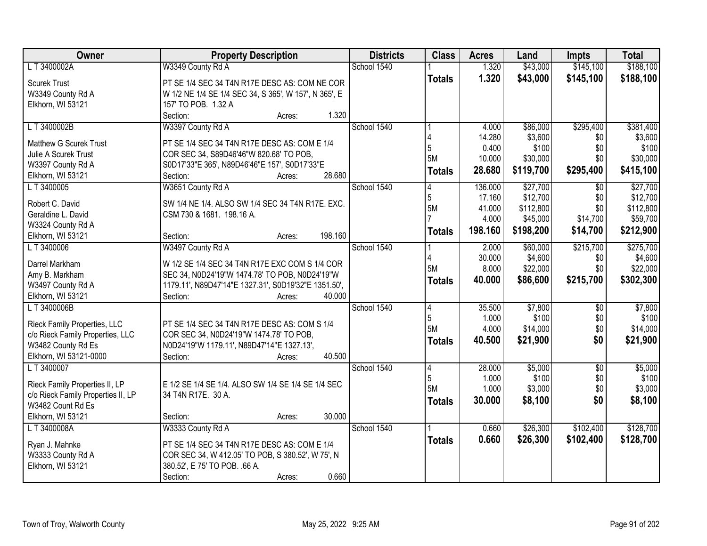| Owner                              | <b>Property Description</b>                             | <b>Districts</b> | <b>Class</b>  | <b>Acres</b>     | Land                  | <b>Impts</b>    | <b>Total</b>         |
|------------------------------------|---------------------------------------------------------|------------------|---------------|------------------|-----------------------|-----------------|----------------------|
| L T 3400002A                       | W3349 County Rd A                                       | School 1540      |               | 1.320            | \$43,000              | \$145,100       | \$188,100            |
| <b>Scurek Trust</b>                | PT SE 1/4 SEC 34 T4N R17E DESC AS: COM NE COR           |                  | <b>Totals</b> | 1.320            | \$43,000              | \$145,100       | \$188,100            |
| W3349 County Rd A                  | W 1/2 NE 1/4 SE 1/4 SEC 34, S 365', W 157', N 365', E   |                  |               |                  |                       |                 |                      |
| Elkhorn, WI 53121                  | 157' TO POB. 1.32 A                                     |                  |               |                  |                       |                 |                      |
|                                    | Section:<br>1.320<br>Acres:                             |                  |               |                  |                       |                 |                      |
| LT 3400002B                        | W3397 County Rd A                                       | School 1540      |               | 4.000            | \$86,000              | \$295,400       | \$381,400            |
|                                    |                                                         |                  |               | 14.280           | \$3,600               | \$0             | \$3,600              |
| <b>Matthew G Scurek Trust</b>      | PT SE 1/4 SEC 34 T4N R17E DESC AS: COM E 1/4            |                  | 5             | 0.400            | \$100                 | \$0             | \$100                |
| Julie A Scurek Trust               | COR SEC 34, S89D46'46"W 820.68' TO POB,                 |                  | <b>5M</b>     | 10.000           | \$30,000              | \$0             | \$30,000             |
| W3397 County Rd A                  | S0D17'33"E 365', N89D46'46"E 157', S0D17'33"E<br>28.680 |                  | <b>Totals</b> | 28.680           | \$119,700             | \$295,400       | \$415,100            |
| Elkhorn, WI 53121                  | Section:<br>Acres:                                      | School 1540      |               |                  |                       |                 |                      |
| L T 3400005                        | W3651 County Rd A                                       |                  | 4<br>5        | 136.000          | \$27,700              | \$0<br>\$0      | \$27,700<br>\$12,700 |
| Robert C. David                    | SW 1/4 NE 1/4. ALSO SW 1/4 SEC 34 T4N R17E. EXC.        |                  | <b>5M</b>     | 17.160<br>41.000 | \$12,700<br>\$112,800 | \$0             | \$112,800            |
| Geraldine L. David                 | CSM 730 & 1681. 198.16 A.                               |                  |               | 4.000            | \$45,000              | \$14,700        | \$59,700             |
| W3324 County Rd A                  |                                                         |                  |               |                  |                       |                 |                      |
| Elkhorn, WI 53121                  | 198.160<br>Section:<br>Acres:                           |                  | <b>Totals</b> | 198.160          | \$198,200             | \$14,700        | \$212,900            |
| LT 3400006                         | W3497 County Rd A                                       | School 1540      |               | 2.000            | \$60,000              | \$215,700       | \$275,700            |
|                                    |                                                         |                  | 4             | 30.000           | \$4,600               | \$0             | \$4,600              |
| Darrel Markham                     | W 1/2 SE 1/4 SEC 34 T4N R17E EXC COM S 1/4 COR          |                  | <b>5M</b>     | 8.000            | \$22,000              | \$0             | \$22,000             |
| Amy B. Markham                     | SEC 34, N0D24'19"W 1474.78' TO POB, N0D24'19"W          |                  | <b>Totals</b> | 40.000           | \$86,600              | \$215,700       | \$302,300            |
| W3497 County Rd A                  | 1179.11', N89D47'14"E 1327.31', S0D19'32"E 1351.50',    |                  |               |                  |                       |                 |                      |
| Elkhorn, WI 53121                  | 40.000<br>Section:<br>Acres:                            |                  |               |                  |                       |                 |                      |
| L T 3400006B                       |                                                         | School 1540      | 4<br>5        | 35.500           | \$7,800<br>\$100      | \$0             | \$7,800              |
| Rieck Family Properties, LLC       | PT SE 1/4 SEC 34 T4N R17E DESC AS: COM S 1/4            |                  | 5M            | 1.000<br>4.000   |                       | \$0             | \$100                |
| c/o Rieck Family Properties, LLC   | COR SEC 34, N0D24'19"W 1474.78' TO POB,                 |                  |               |                  | \$14,000              | \$0             | \$14,000             |
| W3482 County Rd Es                 | N0D24'19"W 1179.11', N89D47'14"E 1327.13',              |                  | <b>Totals</b> | 40.500           | \$21,900              | \$0             | \$21,900             |
| Elkhorn, WI 53121-0000             | Section:<br>40.500<br>Acres:                            |                  |               |                  |                       |                 |                      |
| LT 3400007                         |                                                         | School 1540      | 4             | 28.000           | \$5,000               | $\overline{50}$ | \$5,000              |
|                                    |                                                         |                  | 5             | 1.000            | \$100                 | \$0             | \$100                |
| Rieck Family Properties II, LP     | E 1/2 SE 1/4 SE 1/4. ALSO SW 1/4 SE 1/4 SE 1/4 SEC      |                  | 5M            | 1.000            | \$3,000               | \$0             | \$3,000              |
| c/o Rieck Family Properties II, LP | 34 T4N R17E. 30 A.                                      |                  | <b>Totals</b> | 30.000           | \$8,100               | \$0             | \$8,100              |
| W3482 Count Rd Es                  | 30.000                                                  |                  |               |                  |                       |                 |                      |
| Elkhorn, WI 53121                  | Section:<br>Acres:                                      |                  |               |                  |                       |                 |                      |
| L T 3400008A                       | W3333 County Rd A                                       | School 1540      |               | 0.660            | \$26,300              | \$102,400       | \$128,700            |
| Ryan J. Mahnke                     | PT SE 1/4 SEC 34 T4N R17E DESC AS: COM E 1/4            |                  | <b>Totals</b> | 0.660            | \$26,300              | \$102,400       | \$128,700            |
| W3333 County Rd A                  | COR SEC 34, W 412.05' TO POB, S 380.52', W 75', N       |                  |               |                  |                       |                 |                      |
| Elkhorn, WI 53121                  | 380.52', E 75' TO POB. .66 A.                           |                  |               |                  |                       |                 |                      |
|                                    | 0.660<br>Section:<br>Acres:                             |                  |               |                  |                       |                 |                      |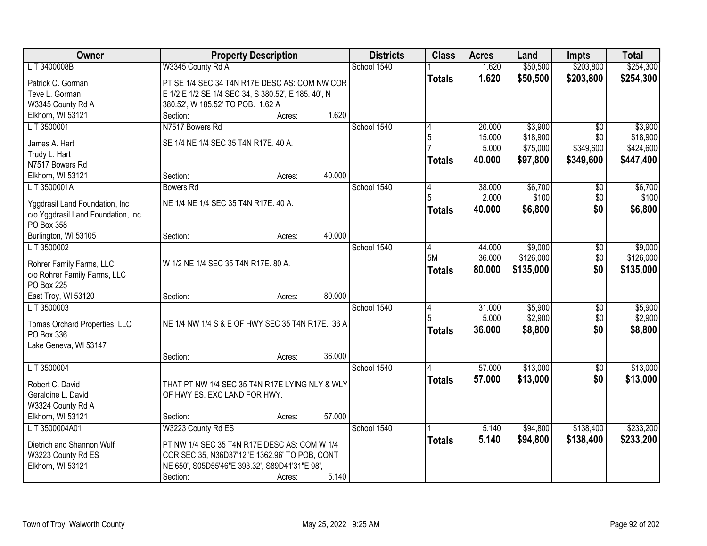| School 1540<br>\$50,500<br>\$203,800<br>\$254,300<br>L T 3400008B<br>W3345 County Rd A<br>1.620<br>1.620<br>\$50,500<br>\$203,800<br>\$254,300<br><b>Totals</b><br>Patrick C. Gorman<br>PT SE 1/4 SEC 34 T4N R17E DESC AS: COM NW COR<br>Teve L. Gorman<br>E 1/2 E 1/2 SE 1/4 SEC 34, S 380.52', E 185. 40', N<br>W3345 County Rd A<br>380.52', W 185.52' TO POB. 1.62 A<br>1.620<br>Elkhorn, WI 53121<br>Section:<br>Acres:<br>N7517 Bowers Rd<br>School 1540<br>\$3,900<br>LT 3500001<br>20.000<br>$\overline{30}$<br>4<br>15.000<br>\$18,900<br>5<br>\$0<br>SE 1/4 NE 1/4 SEC 35 T4N R17E. 40 A.<br>James A. Hart<br>5.000<br>\$75,000<br>\$349,600<br>Trudy L. Hart<br>40.000<br>\$97,800<br>\$349,600<br>\$447,400<br><b>Totals</b><br>N7517 Bowers Rd<br>40.000<br>Elkhorn, WI 53121<br>Section:<br>Acres:<br>School 1540<br>\$6,700<br>LT 3500001A<br><b>Bowers Rd</b><br>38.000<br>\$0<br>4<br>2.000<br>\$100<br>\$0<br>NE 1/4 NE 1/4 SEC 35 T4N R17E, 40 A.<br>Yggdrasil Land Foundation, Inc.<br>\$6,800<br>\$0<br>40.000<br>\$6,800<br>Totals<br>c/o Yggdrasil Land Foundation, Inc<br>PO Box 358<br>40.000<br>Burlington, WI 53105<br>Section:<br>Acres:<br>LT 3500002<br>School 1540<br>\$9,000<br>44.000<br>4<br>\$0<br>5M<br>\$126,000<br>\$0<br>36.000<br>Rohrer Family Farms, LLC<br>W 1/2 NE 1/4 SEC 35 T4N R17E. 80 A.<br>\$0<br>80.000<br>\$135,000<br>\$135,000<br><b>Totals</b><br>c/o Rohrer Family Farms, LLC<br><b>PO Box 225</b><br>80.000<br>East Troy, WI 53120<br>Section:<br>Acres:<br>31.000<br>\$5,900<br>L T 3500003<br>School 1540<br>$\overline{50}$<br>4<br>5.000<br>\$2,900<br>5<br>\$0<br>NE 1/4 NW 1/4 S & E OF HWY SEC 35 T4N R17E. 36 A<br>Tomas Orchard Properties, LLC<br>\$0<br>36.000<br>\$8,800<br>\$8,800<br><b>Totals</b><br>PO Box 336<br>Lake Geneva, WI 53147<br>36.000<br>Section:<br>Acres:<br>L T 3500004<br>School 1540<br>57.000<br>\$13,000<br>$\sqrt{$0}$<br>\$13,000<br>\$0<br>57.000<br><b>Totals</b><br>Robert C. David<br>THAT PT NW 1/4 SEC 35 T4N R17E LYING NLY & WLY<br>Geraldine L. David<br>OF HWY ES. EXC LAND FOR HWY.<br>W3324 County Rd A<br>Elkhorn, WI 53121<br>57.000<br>Section:<br>Acres:<br>W3223 County Rd ES<br>School 1540<br>LT 3500004A01<br>\$94,800<br>\$138,400<br>5.140<br>5.140<br>\$94,800<br>\$138,400<br>\$233,200<br><b>Totals</b><br>Dietrich and Shannon Wulf<br>PT NW 1/4 SEC 35 T4N R17E DESC AS: COM W 1/4<br>W3223 County Rd ES<br>COR SEC 35, N36D37'12"E 1362.96' TO POB, CONT<br>Elkhorn, WI 53121<br>NE 650', S05D55'46"E 393.32', S89D41'31"E 98', | Owner |          | <b>Property Description</b> |       | <b>Districts</b> | <b>Class</b> | <b>Acres</b> | Land | <b>Impts</b> | <b>Total</b> |
|-----------------------------------------------------------------------------------------------------------------------------------------------------------------------------------------------------------------------------------------------------------------------------------------------------------------------------------------------------------------------------------------------------------------------------------------------------------------------------------------------------------------------------------------------------------------------------------------------------------------------------------------------------------------------------------------------------------------------------------------------------------------------------------------------------------------------------------------------------------------------------------------------------------------------------------------------------------------------------------------------------------------------------------------------------------------------------------------------------------------------------------------------------------------------------------------------------------------------------------------------------------------------------------------------------------------------------------------------------------------------------------------------------------------------------------------------------------------------------------------------------------------------------------------------------------------------------------------------------------------------------------------------------------------------------------------------------------------------------------------------------------------------------------------------------------------------------------------------------------------------------------------------------------------------------------------------------------------------------------------------------------------------------------------------------------------------------------------------------------------------------------------------------------------------------------------------------------------------------------------------------------------------------------------------------------------------------------------------------------------------------------------------------------------------------------------------------------------------------------------------------------------------------------------------------------|-------|----------|-----------------------------|-------|------------------|--------------|--------------|------|--------------|--------------|
|                                                                                                                                                                                                                                                                                                                                                                                                                                                                                                                                                                                                                                                                                                                                                                                                                                                                                                                                                                                                                                                                                                                                                                                                                                                                                                                                                                                                                                                                                                                                                                                                                                                                                                                                                                                                                                                                                                                                                                                                                                                                                                                                                                                                                                                                                                                                                                                                                                                                                                                                                           |       |          |                             |       |                  |              |              |      |              |              |
| \$3,900<br>\$18,900<br>\$424,600<br>\$6,700<br>\$100                                                                                                                                                                                                                                                                                                                                                                                                                                                                                                                                                                                                                                                                                                                                                                                                                                                                                                                                                                                                                                                                                                                                                                                                                                                                                                                                                                                                                                                                                                                                                                                                                                                                                                                                                                                                                                                                                                                                                                                                                                                                                                                                                                                                                                                                                                                                                                                                                                                                                                      |       |          |                             |       |                  |              |              |      |              |              |
|                                                                                                                                                                                                                                                                                                                                                                                                                                                                                                                                                                                                                                                                                                                                                                                                                                                                                                                                                                                                                                                                                                                                                                                                                                                                                                                                                                                                                                                                                                                                                                                                                                                                                                                                                                                                                                                                                                                                                                                                                                                                                                                                                                                                                                                                                                                                                                                                                                                                                                                                                           |       |          |                             |       |                  |              |              |      |              |              |
|                                                                                                                                                                                                                                                                                                                                                                                                                                                                                                                                                                                                                                                                                                                                                                                                                                                                                                                                                                                                                                                                                                                                                                                                                                                                                                                                                                                                                                                                                                                                                                                                                                                                                                                                                                                                                                                                                                                                                                                                                                                                                                                                                                                                                                                                                                                                                                                                                                                                                                                                                           |       |          |                             |       |                  |              |              |      |              |              |
|                                                                                                                                                                                                                                                                                                                                                                                                                                                                                                                                                                                                                                                                                                                                                                                                                                                                                                                                                                                                                                                                                                                                                                                                                                                                                                                                                                                                                                                                                                                                                                                                                                                                                                                                                                                                                                                                                                                                                                                                                                                                                                                                                                                                                                                                                                                                                                                                                                                                                                                                                           |       |          |                             |       |                  |              |              |      |              |              |
|                                                                                                                                                                                                                                                                                                                                                                                                                                                                                                                                                                                                                                                                                                                                                                                                                                                                                                                                                                                                                                                                                                                                                                                                                                                                                                                                                                                                                                                                                                                                                                                                                                                                                                                                                                                                                                                                                                                                                                                                                                                                                                                                                                                                                                                                                                                                                                                                                                                                                                                                                           |       |          |                             |       |                  |              |              |      |              |              |
|                                                                                                                                                                                                                                                                                                                                                                                                                                                                                                                                                                                                                                                                                                                                                                                                                                                                                                                                                                                                                                                                                                                                                                                                                                                                                                                                                                                                                                                                                                                                                                                                                                                                                                                                                                                                                                                                                                                                                                                                                                                                                                                                                                                                                                                                                                                                                                                                                                                                                                                                                           |       |          |                             |       |                  |              |              |      |              |              |
|                                                                                                                                                                                                                                                                                                                                                                                                                                                                                                                                                                                                                                                                                                                                                                                                                                                                                                                                                                                                                                                                                                                                                                                                                                                                                                                                                                                                                                                                                                                                                                                                                                                                                                                                                                                                                                                                                                                                                                                                                                                                                                                                                                                                                                                                                                                                                                                                                                                                                                                                                           |       |          |                             |       |                  |              |              |      |              |              |
|                                                                                                                                                                                                                                                                                                                                                                                                                                                                                                                                                                                                                                                                                                                                                                                                                                                                                                                                                                                                                                                                                                                                                                                                                                                                                                                                                                                                                                                                                                                                                                                                                                                                                                                                                                                                                                                                                                                                                                                                                                                                                                                                                                                                                                                                                                                                                                                                                                                                                                                                                           |       |          |                             |       |                  |              |              |      |              |              |
|                                                                                                                                                                                                                                                                                                                                                                                                                                                                                                                                                                                                                                                                                                                                                                                                                                                                                                                                                                                                                                                                                                                                                                                                                                                                                                                                                                                                                                                                                                                                                                                                                                                                                                                                                                                                                                                                                                                                                                                                                                                                                                                                                                                                                                                                                                                                                                                                                                                                                                                                                           |       |          |                             |       |                  |              |              |      |              |              |
|                                                                                                                                                                                                                                                                                                                                                                                                                                                                                                                                                                                                                                                                                                                                                                                                                                                                                                                                                                                                                                                                                                                                                                                                                                                                                                                                                                                                                                                                                                                                                                                                                                                                                                                                                                                                                                                                                                                                                                                                                                                                                                                                                                                                                                                                                                                                                                                                                                                                                                                                                           |       |          |                             |       |                  |              |              |      |              |              |
|                                                                                                                                                                                                                                                                                                                                                                                                                                                                                                                                                                                                                                                                                                                                                                                                                                                                                                                                                                                                                                                                                                                                                                                                                                                                                                                                                                                                                                                                                                                                                                                                                                                                                                                                                                                                                                                                                                                                                                                                                                                                                                                                                                                                                                                                                                                                                                                                                                                                                                                                                           |       |          |                             |       |                  |              |              |      |              |              |
|                                                                                                                                                                                                                                                                                                                                                                                                                                                                                                                                                                                                                                                                                                                                                                                                                                                                                                                                                                                                                                                                                                                                                                                                                                                                                                                                                                                                                                                                                                                                                                                                                                                                                                                                                                                                                                                                                                                                                                                                                                                                                                                                                                                                                                                                                                                                                                                                                                                                                                                                                           |       |          |                             |       |                  |              |              |      |              |              |
|                                                                                                                                                                                                                                                                                                                                                                                                                                                                                                                                                                                                                                                                                                                                                                                                                                                                                                                                                                                                                                                                                                                                                                                                                                                                                                                                                                                                                                                                                                                                                                                                                                                                                                                                                                                                                                                                                                                                                                                                                                                                                                                                                                                                                                                                                                                                                                                                                                                                                                                                                           |       |          |                             |       |                  |              |              |      |              |              |
|                                                                                                                                                                                                                                                                                                                                                                                                                                                                                                                                                                                                                                                                                                                                                                                                                                                                                                                                                                                                                                                                                                                                                                                                                                                                                                                                                                                                                                                                                                                                                                                                                                                                                                                                                                                                                                                                                                                                                                                                                                                                                                                                                                                                                                                                                                                                                                                                                                                                                                                                                           |       |          |                             |       |                  |              |              |      |              |              |
| \$9,000<br>\$126,000<br>\$5,900<br>\$2,900<br>\$13,000<br>\$13,000<br>\$233,200                                                                                                                                                                                                                                                                                                                                                                                                                                                                                                                                                                                                                                                                                                                                                                                                                                                                                                                                                                                                                                                                                                                                                                                                                                                                                                                                                                                                                                                                                                                                                                                                                                                                                                                                                                                                                                                                                                                                                                                                                                                                                                                                                                                                                                                                                                                                                                                                                                                                           |       |          |                             |       |                  |              |              |      |              |              |
|                                                                                                                                                                                                                                                                                                                                                                                                                                                                                                                                                                                                                                                                                                                                                                                                                                                                                                                                                                                                                                                                                                                                                                                                                                                                                                                                                                                                                                                                                                                                                                                                                                                                                                                                                                                                                                                                                                                                                                                                                                                                                                                                                                                                                                                                                                                                                                                                                                                                                                                                                           |       |          |                             |       |                  |              |              |      |              |              |
|                                                                                                                                                                                                                                                                                                                                                                                                                                                                                                                                                                                                                                                                                                                                                                                                                                                                                                                                                                                                                                                                                                                                                                                                                                                                                                                                                                                                                                                                                                                                                                                                                                                                                                                                                                                                                                                                                                                                                                                                                                                                                                                                                                                                                                                                                                                                                                                                                                                                                                                                                           |       |          |                             |       |                  |              |              |      |              |              |
|                                                                                                                                                                                                                                                                                                                                                                                                                                                                                                                                                                                                                                                                                                                                                                                                                                                                                                                                                                                                                                                                                                                                                                                                                                                                                                                                                                                                                                                                                                                                                                                                                                                                                                                                                                                                                                                                                                                                                                                                                                                                                                                                                                                                                                                                                                                                                                                                                                                                                                                                                           |       |          |                             |       |                  |              |              |      |              |              |
|                                                                                                                                                                                                                                                                                                                                                                                                                                                                                                                                                                                                                                                                                                                                                                                                                                                                                                                                                                                                                                                                                                                                                                                                                                                                                                                                                                                                                                                                                                                                                                                                                                                                                                                                                                                                                                                                                                                                                                                                                                                                                                                                                                                                                                                                                                                                                                                                                                                                                                                                                           |       |          |                             |       |                  |              |              |      |              |              |
|                                                                                                                                                                                                                                                                                                                                                                                                                                                                                                                                                                                                                                                                                                                                                                                                                                                                                                                                                                                                                                                                                                                                                                                                                                                                                                                                                                                                                                                                                                                                                                                                                                                                                                                                                                                                                                                                                                                                                                                                                                                                                                                                                                                                                                                                                                                                                                                                                                                                                                                                                           |       |          |                             |       |                  |              |              |      |              |              |
|                                                                                                                                                                                                                                                                                                                                                                                                                                                                                                                                                                                                                                                                                                                                                                                                                                                                                                                                                                                                                                                                                                                                                                                                                                                                                                                                                                                                                                                                                                                                                                                                                                                                                                                                                                                                                                                                                                                                                                                                                                                                                                                                                                                                                                                                                                                                                                                                                                                                                                                                                           |       |          |                             |       |                  |              |              |      |              |              |
|                                                                                                                                                                                                                                                                                                                                                                                                                                                                                                                                                                                                                                                                                                                                                                                                                                                                                                                                                                                                                                                                                                                                                                                                                                                                                                                                                                                                                                                                                                                                                                                                                                                                                                                                                                                                                                                                                                                                                                                                                                                                                                                                                                                                                                                                                                                                                                                                                                                                                                                                                           |       |          |                             |       |                  |              |              |      |              |              |
|                                                                                                                                                                                                                                                                                                                                                                                                                                                                                                                                                                                                                                                                                                                                                                                                                                                                                                                                                                                                                                                                                                                                                                                                                                                                                                                                                                                                                                                                                                                                                                                                                                                                                                                                                                                                                                                                                                                                                                                                                                                                                                                                                                                                                                                                                                                                                                                                                                                                                                                                                           |       |          |                             |       |                  |              |              |      |              |              |
|                                                                                                                                                                                                                                                                                                                                                                                                                                                                                                                                                                                                                                                                                                                                                                                                                                                                                                                                                                                                                                                                                                                                                                                                                                                                                                                                                                                                                                                                                                                                                                                                                                                                                                                                                                                                                                                                                                                                                                                                                                                                                                                                                                                                                                                                                                                                                                                                                                                                                                                                                           |       |          |                             |       |                  |              |              |      |              |              |
|                                                                                                                                                                                                                                                                                                                                                                                                                                                                                                                                                                                                                                                                                                                                                                                                                                                                                                                                                                                                                                                                                                                                                                                                                                                                                                                                                                                                                                                                                                                                                                                                                                                                                                                                                                                                                                                                                                                                                                                                                                                                                                                                                                                                                                                                                                                                                                                                                                                                                                                                                           |       |          |                             |       |                  |              |              |      |              |              |
|                                                                                                                                                                                                                                                                                                                                                                                                                                                                                                                                                                                                                                                                                                                                                                                                                                                                                                                                                                                                                                                                                                                                                                                                                                                                                                                                                                                                                                                                                                                                                                                                                                                                                                                                                                                                                                                                                                                                                                                                                                                                                                                                                                                                                                                                                                                                                                                                                                                                                                                                                           |       |          |                             |       |                  |              |              |      |              |              |
|                                                                                                                                                                                                                                                                                                                                                                                                                                                                                                                                                                                                                                                                                                                                                                                                                                                                                                                                                                                                                                                                                                                                                                                                                                                                                                                                                                                                                                                                                                                                                                                                                                                                                                                                                                                                                                                                                                                                                                                                                                                                                                                                                                                                                                                                                                                                                                                                                                                                                                                                                           |       |          |                             |       |                  |              |              |      |              |              |
|                                                                                                                                                                                                                                                                                                                                                                                                                                                                                                                                                                                                                                                                                                                                                                                                                                                                                                                                                                                                                                                                                                                                                                                                                                                                                                                                                                                                                                                                                                                                                                                                                                                                                                                                                                                                                                                                                                                                                                                                                                                                                                                                                                                                                                                                                                                                                                                                                                                                                                                                                           |       |          |                             |       |                  |              |              |      |              |              |
|                                                                                                                                                                                                                                                                                                                                                                                                                                                                                                                                                                                                                                                                                                                                                                                                                                                                                                                                                                                                                                                                                                                                                                                                                                                                                                                                                                                                                                                                                                                                                                                                                                                                                                                                                                                                                                                                                                                                                                                                                                                                                                                                                                                                                                                                                                                                                                                                                                                                                                                                                           |       |          |                             |       |                  |              |              |      |              |              |
|                                                                                                                                                                                                                                                                                                                                                                                                                                                                                                                                                                                                                                                                                                                                                                                                                                                                                                                                                                                                                                                                                                                                                                                                                                                                                                                                                                                                                                                                                                                                                                                                                                                                                                                                                                                                                                                                                                                                                                                                                                                                                                                                                                                                                                                                                                                                                                                                                                                                                                                                                           |       |          |                             |       |                  |              |              |      |              |              |
|                                                                                                                                                                                                                                                                                                                                                                                                                                                                                                                                                                                                                                                                                                                                                                                                                                                                                                                                                                                                                                                                                                                                                                                                                                                                                                                                                                                                                                                                                                                                                                                                                                                                                                                                                                                                                                                                                                                                                                                                                                                                                                                                                                                                                                                                                                                                                                                                                                                                                                                                                           |       |          |                             |       |                  |              |              |      |              |              |
|                                                                                                                                                                                                                                                                                                                                                                                                                                                                                                                                                                                                                                                                                                                                                                                                                                                                                                                                                                                                                                                                                                                                                                                                                                                                                                                                                                                                                                                                                                                                                                                                                                                                                                                                                                                                                                                                                                                                                                                                                                                                                                                                                                                                                                                                                                                                                                                                                                                                                                                                                           |       |          |                             |       |                  |              |              |      |              |              |
|                                                                                                                                                                                                                                                                                                                                                                                                                                                                                                                                                                                                                                                                                                                                                                                                                                                                                                                                                                                                                                                                                                                                                                                                                                                                                                                                                                                                                                                                                                                                                                                                                                                                                                                                                                                                                                                                                                                                                                                                                                                                                                                                                                                                                                                                                                                                                                                                                                                                                                                                                           |       |          |                             |       |                  |              |              |      |              |              |
|                                                                                                                                                                                                                                                                                                                                                                                                                                                                                                                                                                                                                                                                                                                                                                                                                                                                                                                                                                                                                                                                                                                                                                                                                                                                                                                                                                                                                                                                                                                                                                                                                                                                                                                                                                                                                                                                                                                                                                                                                                                                                                                                                                                                                                                                                                                                                                                                                                                                                                                                                           |       |          |                             |       |                  |              |              |      |              |              |
|                                                                                                                                                                                                                                                                                                                                                                                                                                                                                                                                                                                                                                                                                                                                                                                                                                                                                                                                                                                                                                                                                                                                                                                                                                                                                                                                                                                                                                                                                                                                                                                                                                                                                                                                                                                                                                                                                                                                                                                                                                                                                                                                                                                                                                                                                                                                                                                                                                                                                                                                                           |       |          |                             |       |                  |              |              |      |              |              |
|                                                                                                                                                                                                                                                                                                                                                                                                                                                                                                                                                                                                                                                                                                                                                                                                                                                                                                                                                                                                                                                                                                                                                                                                                                                                                                                                                                                                                                                                                                                                                                                                                                                                                                                                                                                                                                                                                                                                                                                                                                                                                                                                                                                                                                                                                                                                                                                                                                                                                                                                                           |       | Section: | Acres:                      | 5.140 |                  |              |              |      |              |              |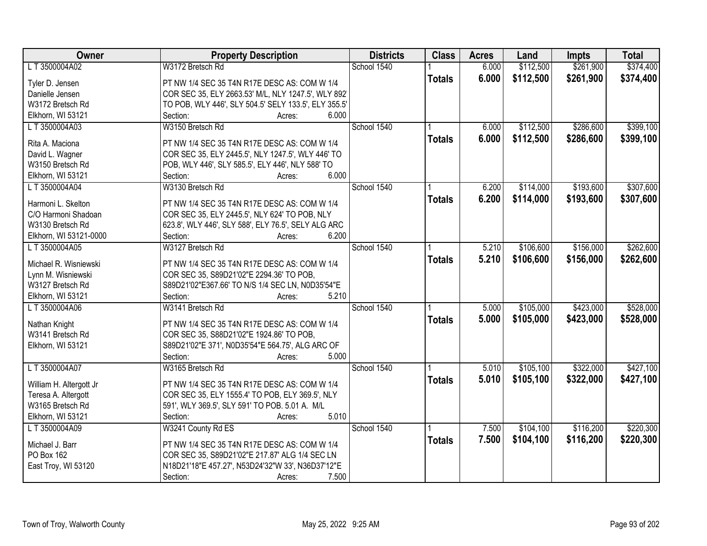| Owner                   | <b>Property Description</b>                          | <b>Districts</b> | <b>Class</b>  | <b>Acres</b> | Land      | <b>Impts</b> | <b>Total</b> |
|-------------------------|------------------------------------------------------|------------------|---------------|--------------|-----------|--------------|--------------|
| LT 3500004A02           | W3172 Bretsch Rd                                     | School 1540      |               | 6.000        | \$112,500 | \$261,900    | \$374,400    |
| Tyler D. Jensen         | PT NW 1/4 SEC 35 T4N R17E DESC AS: COM W 1/4         |                  | <b>Totals</b> | 6.000        | \$112,500 | \$261,900    | \$374,400    |
| Danielle Jensen         | COR SEC 35, ELY 2663.53' M/L, NLY 1247.5', WLY 892'  |                  |               |              |           |              |              |
| W3172 Bretsch Rd        | TO POB, WLY 446', SLY 504.5' SELY 133.5', ELY 355.5' |                  |               |              |           |              |              |
| Elkhorn, WI 53121       | 6.000<br>Section:<br>Acres:                          |                  |               |              |           |              |              |
| LT3500004A03            | W3150 Bretsch Rd                                     | School 1540      |               | 6.000        | \$112,500 | \$286,600    | \$399,100    |
|                         |                                                      |                  | <b>Totals</b> | 6.000        | \$112,500 | \$286,600    | \$399,100    |
| Rita A. Maciona         | PT NW 1/4 SEC 35 T4N R17E DESC AS: COM W 1/4         |                  |               |              |           |              |              |
| David L. Wagner         | COR SEC 35, ELY 2445.5', NLY 1247.5', WLY 446' TO    |                  |               |              |           |              |              |
| W3150 Bretsch Rd        | POB, WLY 446', SLY 585.5', ELY 446', NLY 588' TO     |                  |               |              |           |              |              |
| Elkhorn, WI 53121       | 6.000<br>Section:<br>Acres:                          |                  |               |              |           |              |              |
| LT 3500004A04           | W3130 Bretsch Rd                                     | School 1540      |               | 6.200        | \$114,000 | \$193,600    | \$307,600    |
| Harmoni L. Skelton      | PT NW 1/4 SEC 35 T4N R17E DESC AS: COM W 1/4         |                  | <b>Totals</b> | 6.200        | \$114,000 | \$193,600    | \$307,600    |
| C/O Harmoni Shadoan     | COR SEC 35, ELY 2445.5', NLY 624' TO POB, NLY        |                  |               |              |           |              |              |
| W3130 Bretsch Rd        | 623.8', WLY 446', SLY 588', ELY 76.5', SELY ALG ARC  |                  |               |              |           |              |              |
| Elkhorn, WI 53121-0000  | 6.200<br>Section:<br>Acres:                          |                  |               |              |           |              |              |
| LT3500004A05            | W3127 Bretsch Rd                                     | School 1540      |               | 5.210        | \$106,600 | \$156,000    | \$262,600    |
|                         |                                                      |                  |               | 5.210        | \$106,600 | \$156,000    |              |
| Michael R. Wisniewski   | PT NW 1/4 SEC 35 T4N R17E DESC AS: COM W 1/4         |                  | <b>Totals</b> |              |           |              | \$262,600    |
| Lynn M. Wisniewski      | COR SEC 35, S89D21'02"E 2294.36' TO POB,             |                  |               |              |           |              |              |
| W3127 Bretsch Rd        | S89D21'02"E367.66' TO N/S 1/4 SEC LN, N0D35'54"E     |                  |               |              |           |              |              |
| Elkhorn, WI 53121       | 5.210<br>Section:<br>Acres:                          |                  |               |              |           |              |              |
| LT 3500004A06           | W3141 Bretsch Rd                                     | School 1540      |               | 5.000        | \$105,000 | \$423,000    | \$528,000    |
| Nathan Knight           | PT NW 1/4 SEC 35 T4N R17E DESC AS: COM W 1/4         |                  | <b>Totals</b> | 5.000        | \$105,000 | \$423,000    | \$528,000    |
| W3141 Bretsch Rd        | COR SEC 35, S88D21'02"E 1924.86' TO POB,             |                  |               |              |           |              |              |
| Elkhorn, WI 53121       | S89D21'02"E 371', N0D35'54"E 564.75', ALG ARC OF     |                  |               |              |           |              |              |
|                         | Section:<br>5.000                                    |                  |               |              |           |              |              |
| LT 3500004A07           | Acres:<br>W3165 Bretsch Rd                           | School 1540      |               | 5.010        | \$105,100 | \$322,000    | \$427,100    |
|                         |                                                      |                  |               |              |           |              |              |
| William H. Altergott Jr | PT NW 1/4 SEC 35 T4N R17E DESC AS: COM W 1/4         |                  | <b>Totals</b> | 5.010        | \$105,100 | \$322,000    | \$427,100    |
| Teresa A. Altergott     | COR SEC 35, ELY 1555.4' TO POB, ELY 369.5', NLY      |                  |               |              |           |              |              |
| W3165 Bretsch Rd        | 591', WLY 369.5', SLY 591' TO POB. 5.01 A. M/L       |                  |               |              |           |              |              |
| Elkhorn, WI 53121       | 5.010<br>Section:<br>Acres:                          |                  |               |              |           |              |              |
| LT3500004A09            | W3241 County Rd ES                                   | School 1540      |               | 7.500        | \$104,100 | \$116,200    | \$220,300    |
|                         |                                                      |                  | <b>Totals</b> | 7.500        | \$104,100 | \$116,200    | \$220,300    |
| Michael J. Barr         | PT NW 1/4 SEC 35 T4N R17E DESC AS: COM W 1/4         |                  |               |              |           |              |              |
| PO Box 162              | COR SEC 35, S89D21'02"E 217.87' ALG 1/4 SEC LN       |                  |               |              |           |              |              |
| East Troy, WI 53120     | N18D21'18"E 457.27', N53D24'32"W 33', N36D37'12"E    |                  |               |              |           |              |              |
|                         | 7.500<br>Section:<br>Acres:                          |                  |               |              |           |              |              |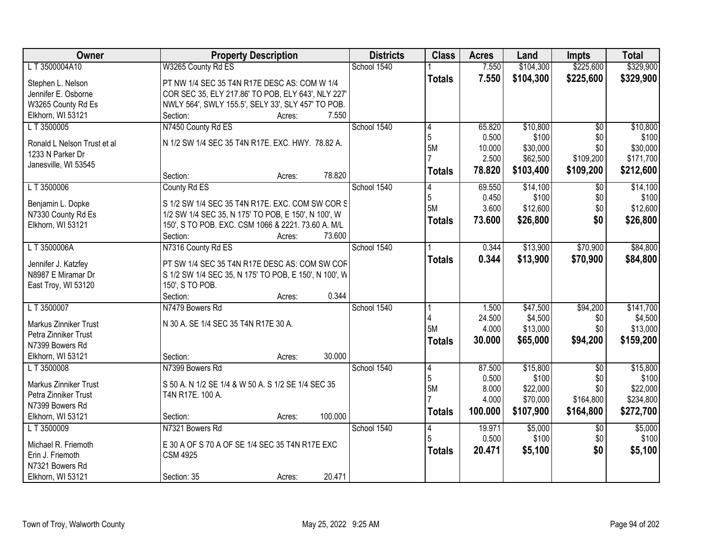| <b>Owner</b>                 | <b>Property Description</b>                           | <b>Districts</b> | <b>Class</b>   | <b>Acres</b>    | Land                | <b>Impts</b>    | <b>Total</b> |
|------------------------------|-------------------------------------------------------|------------------|----------------|-----------------|---------------------|-----------------|--------------|
| LT3500004A10                 | W3265 County Rd ES                                    | School 1540      |                | 7.550           | \$104,300           | \$225,600       | \$329,900    |
| Stephen L. Nelson            | PT NW 1/4 SEC 35 T4N R17E DESC AS: COM W 1/4          |                  | <b>Totals</b>  | 7.550           | \$104,300           | \$225,600       | \$329,900    |
| Jennifer E. Osborne          | COR SEC 35, ELY 217.86' TO POB, ELY 643', NLY 227'    |                  |                |                 |                     |                 |              |
| W3265 County Rd Es           | NWLY 564', SWLY 155.5', SELY 33', SLY 457' TO POB.    |                  |                |                 |                     |                 |              |
| Elkhorn, WI 53121            | 7.550<br>Section:<br>Acres:                           |                  |                |                 |                     |                 |              |
| LT 3500005                   | N7450 County Rd ES                                    | School 1540      | 4              | 65.820          | \$10,800            | $\overline{50}$ | \$10,800     |
|                              |                                                       |                  | 5              | 0.500           | \$100               | \$0             | \$100        |
| Ronald L Nelson Trust et al  | N 1/2 SW 1/4 SEC 35 T4N R17E. EXC. HWY. 78.82 A.      |                  | 5M             | 10.000          | \$30,000            | \$0             | \$30,000     |
| 1233 N Parker Dr             |                                                       |                  |                | 2.500           | \$62,500            | \$109,200       | \$171,700    |
| Janesville, WI 53545         |                                                       |                  | <b>Totals</b>  | 78.820          | \$103,400           | \$109,200       | \$212,600    |
|                              | 78.820<br>Section:<br>Acres:                          |                  |                |                 |                     |                 |              |
| LT 3500006                   | County Rd ES                                          | School 1540      | 4              | 69.550          | \$14,100            | \$0             | \$14,100     |
| Benjamin L. Dopke            | S 1/2 SW 1/4 SEC 35 T4N R17E. EXC. COM SW COR S       |                  | 5              | 0.450           | \$100               | \$0             | \$100        |
| N7330 County Rd Es           | 1/2 SW 1/4 SEC 35, N 175' TO POB, E 150', N 100', W   |                  | 5M             | 3.600           | \$12,600            | \$0             | \$12,600     |
| Elkhorn, WI 53121            | 150', S TO POB. EXC. CSM 1066 & 2221. 73.60 A. M/L    |                  | <b>Totals</b>  | 73.600          | \$26,800            | \$0             | \$26,800     |
|                              | 73.600<br>Section:<br>Acres:                          |                  |                |                 |                     |                 |              |
| LT 3500006A                  | N7316 County Rd ES                                    | School 1540      |                | 0.344           | \$13,900            | \$70,900        | \$84,800     |
|                              |                                                       |                  | <b>Totals</b>  | 0.344           | \$13,900            | \$70,900        | \$84,800     |
| Jennifer J. Katzfey          | PT SW 1/4 SEC 35 T4N R17E DESC AS: COM SW COF         |                  |                |                 |                     |                 |              |
| N8987 E Miramar Dr           | S 1/2 SW 1/4 SEC 35, N 175' TO POB, E 150', N 100', W |                  |                |                 |                     |                 |              |
| East Troy, WI 53120          | 150', S TO POB.<br>0.344                              |                  |                |                 |                     |                 |              |
| LT 3500007                   | Section:<br>Acres:<br>N7479 Bowers Rd                 | School 1540      |                |                 |                     |                 | \$141,700    |
|                              |                                                       |                  |                | 1.500<br>24.500 | \$47,500<br>\$4,500 | \$94,200        | \$4,500      |
| Markus Zinniker Trust        | N 30 A. SE 1/4 SEC 35 T4N R17E 30 A.                  |                  | 5M             | 4.000           | \$13,000            | \$0<br>\$0      | \$13,000     |
| Petra Zinniker Trust         |                                                       |                  |                | 30.000          | \$65,000            |                 |              |
| N7399 Bowers Rd              |                                                       |                  | <b>Totals</b>  |                 |                     | \$94,200        | \$159,200    |
| Elkhorn, WI 53121            | 30.000<br>Section:<br>Acres:                          |                  |                |                 |                     |                 |              |
| L T 3500008                  | N7399 Bowers Rd                                       | School 1540      | 4              | 87.500          | \$15,800            | $\overline{50}$ | \$15,800     |
| <b>Markus Zinniker Trust</b> | S 50 A. N 1/2 SE 1/4 & W 50 A. S 1/2 SE 1/4 SEC 35    |                  | 5              | 0.500           | \$100               | \$0             | \$100        |
| Petra Zinniker Trust         | T4N R17E. 100 A.                                      |                  | 5M             | 8.000           | \$22,000            | \$0             | \$22,000     |
| N7399 Bowers Rd              |                                                       |                  |                | 4.000           | \$70,000            | \$164,800       | \$234,800    |
| Elkhorn, WI 53121            | 100.000<br>Section:<br>Acres:                         |                  | <b>Totals</b>  | 100.000         | \$107,900           | \$164,800       | \$272,700    |
| LT 3500009                   | N7321 Bowers Rd                                       | School 1540      | $\overline{4}$ | 19.971          | \$5,000             | $\overline{30}$ | \$5,000      |
|                              |                                                       |                  |                | 0.500           | \$100               | \$0             | \$100        |
| Michael R. Friemoth          | E 30 A OF S 70 A OF SE 1/4 SEC 35 T4N R17E EXC        |                  | <b>Totals</b>  | 20.471          | \$5,100             | \$0             | \$5,100      |
| Erin J. Friemoth             | <b>CSM 4925</b>                                       |                  |                |                 |                     |                 |              |
| N7321 Bowers Rd              |                                                       |                  |                |                 |                     |                 |              |
| Elkhorn, WI 53121            | 20.471<br>Section: 35<br>Acres:                       |                  |                |                 |                     |                 |              |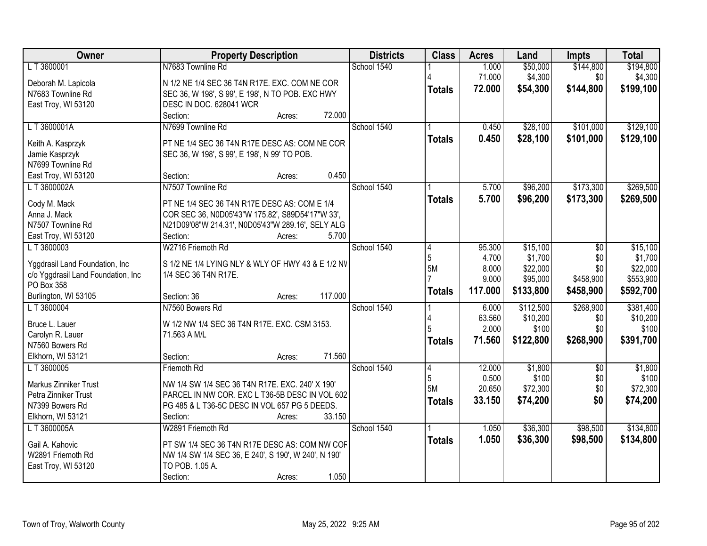| Owner                                            | <b>Property Description</b>                                                   | <b>Districts</b> | <b>Class</b>   | <b>Acres</b> | Land      | <b>Impts</b> | <b>Total</b> |
|--------------------------------------------------|-------------------------------------------------------------------------------|------------------|----------------|--------------|-----------|--------------|--------------|
| LT 3600001                                       | N7683 Townline Rd                                                             | School 1540      |                | 1.000        | \$50,000  | \$144,800    | \$194,800    |
| Deborah M. Lapicola                              | N 1/2 NE 1/4 SEC 36 T4N R17E. EXC. COM NE COR                                 |                  |                | 71.000       | \$4,300   | \$0          | \$4,300      |
| N7683 Townline Rd                                | SEC 36, W 198', S 99', E 198', N TO POB. EXC HWY                              |                  | <b>Totals</b>  | 72.000       | \$54,300  | \$144,800    | \$199,100    |
| East Troy, WI 53120                              | DESC IN DOC. 628041 WCR                                                       |                  |                |              |           |              |              |
|                                                  | 72.000<br>Section:<br>Acres:                                                  |                  |                |              |           |              |              |
| L T 3600001A                                     | N7699 Townline Rd                                                             | School 1540      |                | 0.450        | \$28,100  | \$101,000    | \$129,100    |
| Keith A. Kasprzyk                                | PT NE 1/4 SEC 36 T4N R17E DESC AS: COM NE COR                                 |                  | <b>Totals</b>  | 0.450        | \$28,100  | \$101,000    | \$129,100    |
| Jamie Kasprzyk                                   | SEC 36, W 198', S 99', E 198', N 99' TO POB.                                  |                  |                |              |           |              |              |
| N7699 Townline Rd                                |                                                                               |                  |                |              |           |              |              |
| East Troy, WI 53120                              | 0.450<br>Section:<br>Acres:                                                   |                  |                |              |           |              |              |
| LT 3600002A                                      | N7507 Townline Rd                                                             | School 1540      |                | 5.700        | \$96,200  | \$173,300    | \$269,500    |
| Cody M. Mack                                     | PT NE 1/4 SEC 36 T4N R17E DESC AS: COM E 1/4                                  |                  | <b>Totals</b>  | 5.700        | \$96,200  | \$173,300    | \$269,500    |
| Anna J. Mack                                     | COR SEC 36, N0D05'43"W 175.82', S89D54'17"W 33',                              |                  |                |              |           |              |              |
| N7507 Townline Rd                                | N21D09'08"W 214.31', N0D05'43"W 289.16', SELY ALG                             |                  |                |              |           |              |              |
| East Troy, WI 53120                              | Section:<br>5.700<br>Acres:                                                   |                  |                |              |           |              |              |
| LT3600003                                        | W2716 Friemoth Rd                                                             | School 1540      | 4              | 95.300       | \$15,100  | \$0          | \$15,100     |
|                                                  |                                                                               |                  | 5              | 4.700        | \$1,700   | \$0          | \$1,700      |
| Yggdrasil Land Foundation, Inc                   | S 1/2 NE 1/4 LYING NLY & WLY OF HWY 43 & E 1/2 NV<br>1/4 SEC 36 T4N R17E.     |                  | 5M             | 8.000        | \$22,000  | \$0          | \$22,000     |
| c/o Yggdrasil Land Foundation, Inc<br>PO Box 358 |                                                                               |                  |                | 9.000        | \$95,000  | \$458,900    | \$553,900    |
| Burlington, WI 53105                             | 117.000<br>Section: 36<br>Acres:                                              |                  | <b>Totals</b>  | 117.000      | \$133,800 | \$458,900    | \$592,700    |
| LT 3600004                                       | N7560 Bowers Rd                                                               | School 1540      |                | 6.000        | \$112,500 | \$268,900    | \$381,400    |
|                                                  |                                                                               |                  |                | 63.560       | \$10,200  | \$0          | \$10,200     |
| Bruce L. Lauer                                   | W 1/2 NW 1/4 SEC 36 T4N R17E. EXC. CSM 3153.                                  |                  |                | 2.000        | \$100     | \$0          | \$100        |
| Carolyn R. Lauer<br>N7560 Bowers Rd              | 71.563 A M/L                                                                  |                  | <b>Totals</b>  | 71.560       | \$122,800 | \$268,900    | \$391,700    |
| Elkhorn, WI 53121                                | 71.560<br>Section:<br>Acres:                                                  |                  |                |              |           |              |              |
| L T 3600005                                      | Friemoth Rd                                                                   | School 1540      | $\overline{4}$ | 12.000       | \$1,800   | $\sqrt{6}$   | \$1,800      |
|                                                  |                                                                               |                  | 5              | 0.500        | \$100     | \$0          | \$100        |
| Markus Zinniker Trust                            | NW 1/4 SW 1/4 SEC 36 T4N R17E. EXC. 240' X 190'                               |                  | 5M             | 20.650       | \$72,300  | \$0          | \$72,300     |
| Petra Zinniker Trust                             | PARCEL IN NW COR. EXC L T36-5B DESC IN VOL 602                                |                  | <b>Totals</b>  | 33.150       | \$74,200  | \$0          | \$74,200     |
| N7399 Bowers Rd<br>Elkhorn, WI 53121             | PG 485 & L T36-5C DESC IN VOL 657 PG 5 DEEDS.<br>33.150<br>Section:<br>Acres: |                  |                |              |           |              |              |
| L T 3600005A                                     | W2891 Friemoth Rd                                                             | School 1540      |                | 1.050        | \$36,300  | \$98,500     | \$134,800    |
|                                                  |                                                                               |                  | <b>Totals</b>  | 1.050        | \$36,300  | \$98,500     | \$134,800    |
| Gail A. Kahovic                                  | PT SW 1/4 SEC 36 T4N R17E DESC AS: COM NW COF                                 |                  |                |              |           |              |              |
| W2891 Friemoth Rd                                | NW 1/4 SW 1/4 SEC 36, E 240', S 190', W 240', N 190'                          |                  |                |              |           |              |              |
| East Troy, WI 53120                              | TO POB. 1.05 A.                                                               |                  |                |              |           |              |              |
|                                                  | 1.050<br>Section:<br>Acres:                                                   |                  |                |              |           |              |              |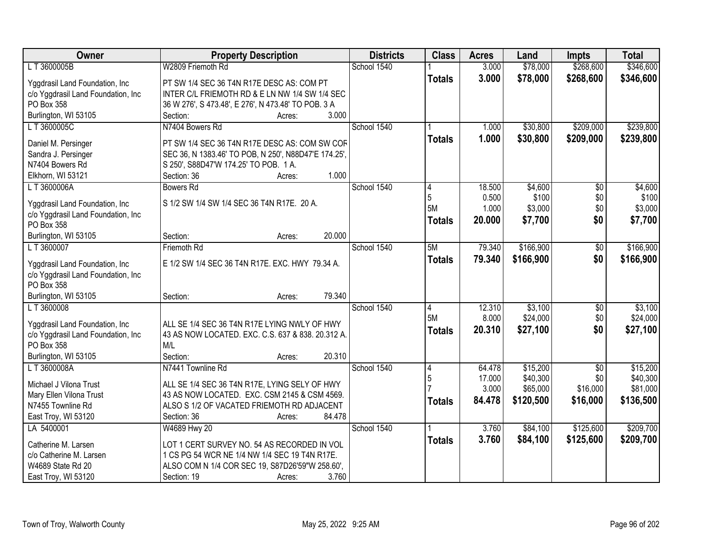| Owner                              | <b>Property Description</b>                          | <b>Districts</b> | <b>Class</b>  | <b>Acres</b>    | Land                 | <b>Impts</b>    | <b>Total</b>         |
|------------------------------------|------------------------------------------------------|------------------|---------------|-----------------|----------------------|-----------------|----------------------|
| L T 3600005B                       | W2809 Friemoth Rd                                    | School 1540      |               | 3.000           | \$78,000             | \$268,600       | \$346,600            |
| Yggdrasil Land Foundation, Inc     | PT SW 1/4 SEC 36 T4N R17E DESC AS: COM PT            |                  | <b>Totals</b> | 3.000           | \$78,000             | \$268,600       | \$346,600            |
| c/o Yggdrasil Land Foundation, Inc | INTER C/L FRIEMOTH RD & E LN NW 1/4 SW 1/4 SEC       |                  |               |                 |                      |                 |                      |
| PO Box 358                         | 36 W 276', S 473.48', E 276', N 473.48' TO POB. 3 A  |                  |               |                 |                      |                 |                      |
| Burlington, WI 53105               | Section:<br>3.000<br>Acres:                          |                  |               |                 |                      |                 |                      |
| LT 3600005C                        | N7404 Bowers Rd                                      | School 1540      |               | 1.000           | \$30,800             | \$209,000       | \$239,800            |
|                                    |                                                      |                  | <b>Totals</b> | 1.000           | \$30,800             | \$209,000       | \$239,800            |
| Daniel M. Persinger                | PT SW 1/4 SEC 36 T4N R17E DESC AS: COM SW COF        |                  |               |                 |                      |                 |                      |
| Sandra J. Persinger                | SEC 36, N 1383.46' TO POB, N 250', N88D47'E 174.25', |                  |               |                 |                      |                 |                      |
| N7404 Bowers Rd                    | S 250', S88D47'W 174.25' TO POB. 1 A.<br>1.000       |                  |               |                 |                      |                 |                      |
| Elkhorn, WI 53121                  | Section: 36<br>Acres:                                |                  |               |                 |                      |                 |                      |
| LT 3600006A                        | <b>Bowers Rd</b>                                     | School 1540      | 14<br>5       | 18.500<br>0.500 | \$4,600<br>\$100     | \$0<br>\$0      | \$4,600<br>\$100     |
| Yggdrasil Land Foundation, Inc     | S 1/2 SW 1/4 SW 1/4 SEC 36 T4N R17E. 20 A.           |                  | 5M            | 1.000           | \$3,000              | \$0             | \$3,000              |
| c/o Yggdrasil Land Foundation, Inc |                                                      |                  |               |                 |                      |                 |                      |
| PO Box 358                         |                                                      |                  | <b>Totals</b> | 20.000          | \$7,700              | \$0             | \$7,700              |
| Burlington, WI 53105               | 20.000<br>Section:<br>Acres:                         |                  |               |                 |                      |                 |                      |
| LT 3600007                         | Friemoth Rd                                          | School 1540      | 5M            | 79.340          | \$166,900            | \$0             | \$166,900            |
| Yggdrasil Land Foundation, Inc     | E 1/2 SW 1/4 SEC 36 T4N R17E. EXC. HWY 79.34 A.      |                  | <b>Totals</b> | 79.340          | \$166,900            | \$0             | \$166,900            |
| c/o Yggdrasil Land Foundation, Inc |                                                      |                  |               |                 |                      |                 |                      |
| PO Box 358                         |                                                      |                  |               |                 |                      |                 |                      |
| Burlington, WI 53105               | 79.340<br>Section:<br>Acres:                         |                  |               |                 |                      |                 |                      |
| LT 3600008                         |                                                      | School 1540      | 4             | 12.310          | \$3,100              | \$0             | \$3,100              |
|                                    |                                                      |                  | 5M            | 8.000           | \$24,000             | \$0             | \$24,000             |
| Yggdrasil Land Foundation, Inc     | ALL SE 1/4 SEC 36 T4N R17E LYING NWLY OF HWY         |                  | <b>Totals</b> | 20.310          | \$27,100             | \$0             | \$27,100             |
| c/o Yggdrasil Land Foundation, Inc | 43 AS NOW LOCATED. EXC. C.S. 637 & 838. 20.312 A.    |                  |               |                 |                      |                 |                      |
| PO Box 358                         | M/L                                                  |                  |               |                 |                      |                 |                      |
| Burlington, WI 53105               | Section:<br>20.310<br>Acres:                         |                  |               |                 |                      |                 |                      |
| L T 3600008A                       | N7441 Townline Rd                                    | School 1540      | 4             | 64.478          | \$15,200<br>\$40,300 | $\overline{50}$ | \$15,200             |
| Michael J Vilona Trust             | ALL SE 1/4 SEC 36 T4N R17E, LYING SELY OF HWY        |                  | 5             | 17.000<br>3.000 | \$65,000             | \$0<br>\$16,000 | \$40,300<br>\$81,000 |
| Mary Ellen Vilona Trust            | 43 AS NOW LOCATED. EXC. CSM 2145 & CSM 4569.         |                  |               |                 |                      |                 |                      |
| N7455 Townline Rd                  | ALSO S 1/2 OF VACATED FRIEMOTH RD ADJACENT           |                  | <b>Totals</b> | 84.478          | \$120,500            | \$16,000        | \$136,500            |
| East Troy, WI 53120                | Section: 36<br>84.478<br>Acres:                      |                  |               |                 |                      |                 |                      |
| LA 5400001                         | W4689 Hwy 20                                         | School 1540      |               | 3.760           | \$84,100             | \$125,600       | \$209,700            |
| Catherine M. Larsen                | LOT 1 CERT SURVEY NO. 54 AS RECORDED IN VOL          |                  | <b>Totals</b> | 3.760           | \$84,100             | \$125,600       | \$209,700            |
| c/o Catherine M. Larsen            | 1 CS PG 54 WCR NE 1/4 NW 1/4 SEC 19 T4N R17E.        |                  |               |                 |                      |                 |                      |
| W4689 State Rd 20                  | ALSO COM N 1/4 COR SEC 19, S87D26'59"W 258.60',      |                  |               |                 |                      |                 |                      |
| East Troy, WI 53120                | 3.760<br>Section: 19<br>Acres:                       |                  |               |                 |                      |                 |                      |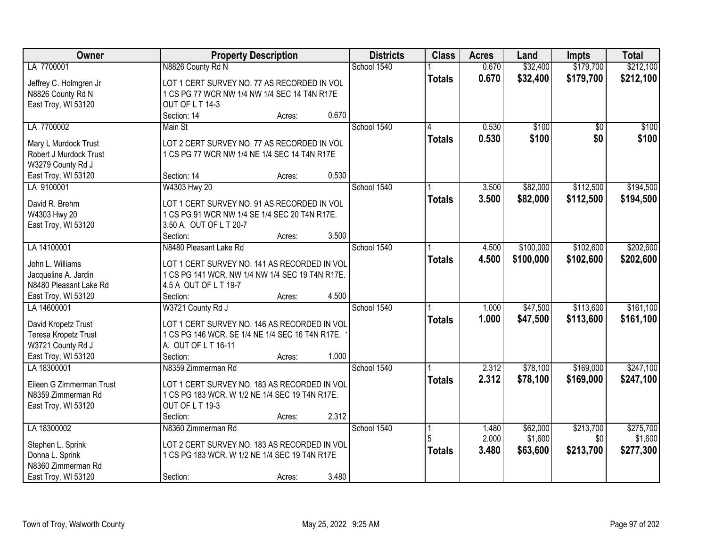| Owner                                          | <b>Property Description</b>                     |        | <b>Districts</b> | <b>Class</b>  | <b>Acres</b> | Land      | <b>Impts</b>    | <b>Total</b> |
|------------------------------------------------|-------------------------------------------------|--------|------------------|---------------|--------------|-----------|-----------------|--------------|
| LA 7700001                                     | N8826 County Rd N                               |        | School 1540      |               | 0.670        | \$32,400  | \$179,700       | \$212,100    |
| Jeffrey C. Holmgren Jr                         | LOT 1 CERT SURVEY NO. 77 AS RECORDED IN VOL     |        |                  | <b>Totals</b> | 0.670        | \$32,400  | \$179,700       | \$212,100    |
| N8826 County Rd N                              | 1 CS PG 77 WCR NW 1/4 NW 1/4 SEC 14 T4N R17E    |        |                  |               |              |           |                 |              |
| East Troy, WI 53120                            | OUT OF L T 14-3                                 |        |                  |               |              |           |                 |              |
|                                                | Section: 14                                     | Acres: | 0.670            |               |              |           |                 |              |
| LA 7700002                                     | Main St                                         |        | School 1540      | 4             | 0.530        | \$100     | $\overline{50}$ | \$100        |
|                                                |                                                 |        |                  | <b>Totals</b> | 0.530        | \$100     | \$0             | \$100        |
| Mary L Murdock Trust<br>Robert J Murdock Trust | LOT 2 CERT SURVEY NO. 77 AS RECORDED IN VOL     |        |                  |               |              |           |                 |              |
| W3279 County Rd J                              | 1 CS PG 77 WCR NW 1/4 NE 1/4 SEC 14 T4N R17E    |        |                  |               |              |           |                 |              |
| East Troy, WI 53120                            | Section: 14                                     |        | 0.530            |               |              |           |                 |              |
| LA 9100001                                     | W4303 Hwy 20                                    | Acres: | School 1540      |               | 3.500        | \$82,000  | \$112,500       | \$194,500    |
|                                                |                                                 |        |                  |               |              |           |                 |              |
| David R. Brehm                                 | LOT 1 CERT SURVEY NO. 91 AS RECORDED IN VOL     |        |                  | <b>Totals</b> | 3.500        | \$82,000  | \$112,500       | \$194,500    |
| W4303 Hwy 20                                   | 1 CS PG 91 WCR NW 1/4 SE 1/4 SEC 20 T4N R17E.   |        |                  |               |              |           |                 |              |
| East Troy, WI 53120                            | 3.50 A. OUT OF L T 20-7                         |        |                  |               |              |           |                 |              |
|                                                | Section:                                        | Acres: | 3.500            |               |              |           |                 |              |
| LA 14100001                                    | N8480 Pleasant Lake Rd                          |        | School 1540      |               | 4.500        | \$100,000 | \$102,600       | \$202,600    |
| John L. Williams                               | LOT 1 CERT SURVEY NO. 141 AS RECORDED IN VOL    |        |                  | <b>Totals</b> | 4.500        | \$100,000 | \$102,600       | \$202,600    |
| Jacqueline A. Jardin                           | 1 CS PG 141 WCR. NW 1/4 NW 1/4 SEC 19 T4N R17E. |        |                  |               |              |           |                 |              |
| N8480 Pleasant Lake Rd                         | 4.5 A OUT OF L T 19-7                           |        |                  |               |              |           |                 |              |
| East Troy, WI 53120                            | Section:                                        | Acres: | 4.500            |               |              |           |                 |              |
| LA 14600001                                    | W3721 County Rd J                               |        | School 1540      |               | 1.000        | \$47,500  | \$113,600       | \$161,100    |
|                                                |                                                 |        |                  | <b>Totals</b> | 1.000        | \$47,500  | \$113,600       | \$161,100    |
| David Kropetz Trust                            | LOT 1 CERT SURVEY NO. 146 AS RECORDED IN VOL    |        |                  |               |              |           |                 |              |
| Teresa Kropetz Trust                           | 1 CS PG 146 WCR. SE 1/4 NE 1/4 SEC 16 T4N R17E. |        |                  |               |              |           |                 |              |
| W3721 County Rd J                              | A. OUT OF L T 16-11                             |        |                  |               |              |           |                 |              |
| East Troy, WI 53120                            | Section:                                        | Acres: | 1.000            |               |              |           |                 |              |
| LA 18300001                                    | N8359 Zimmerman Rd                              |        | School 1540      |               | 2.312        | \$78,100  | \$169,000       | \$247,100    |
| Eileen G Zimmerman Trust                       | LOT 1 CERT SURVEY NO. 183 AS RECORDED IN VOL    |        |                  | <b>Totals</b> | 2.312        | \$78,100  | \$169,000       | \$247,100    |
| N8359 Zimmerman Rd                             | 1 CS PG 183 WCR. W 1/2 NE 1/4 SEC 19 T4N R17E.  |        |                  |               |              |           |                 |              |
| East Troy, WI 53120                            | OUT OF LT 19-3                                  |        |                  |               |              |           |                 |              |
|                                                | Section:                                        | Acres: | 2.312            |               |              |           |                 |              |
| LA 18300002                                    | N8360 Zimmerman Rd                              |        | School 1540      |               | 1.480        | \$62,000  | \$213,700       | \$275,700    |
|                                                |                                                 |        |                  |               | 2.000        | \$1,600   | \$0             | \$1,600      |
| Stephen L. Sprink                              | LOT 2 CERT SURVEY NO. 183 AS RECORDED IN VOL    |        |                  | <b>Totals</b> | 3.480        | \$63,600  | \$213,700       | \$277,300    |
| Donna L. Sprink<br>N8360 Zimmerman Rd          | 1 CS PG 183 WCR. W 1/2 NE 1/4 SEC 19 T4N R17E   |        |                  |               |              |           |                 |              |
|                                                |                                                 |        | 3.480            |               |              |           |                 |              |
| East Troy, WI 53120                            | Section:                                        | Acres: |                  |               |              |           |                 |              |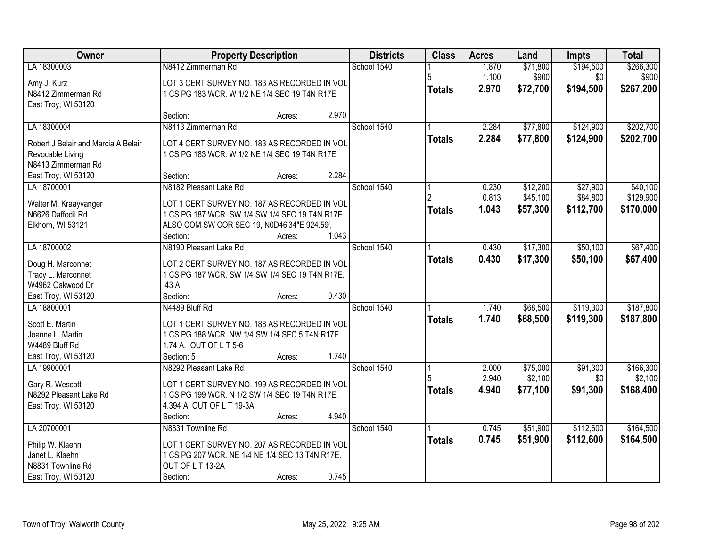| \$194,500<br>\$266,300<br>LA 18300003<br>N8412 Zimmerman Rd<br>School 1540<br>1.870<br>\$71,800<br>1.100<br>\$900<br>\$0<br>\$900<br>5<br>Amy J. Kurz<br>LOT 3 CERT SURVEY NO. 183 AS RECORDED IN VOL<br>\$267,200<br>2.970<br>\$72,700<br>\$194,500<br><b>Totals</b><br>N8412 Zimmerman Rd<br>1 CS PG 183 WCR. W 1/2 NE 1/4 SEC 19 T4N R17E<br>East Troy, WI 53120<br>2.970<br>Section:<br>Acres:<br>N8413 Zimmerman Rd<br>School 1540<br>\$77,800<br>\$124,900<br>LA 18300004<br>2.284<br>2.284<br>\$77,800<br>\$124,900<br>\$202,700<br><b>Totals</b><br>Robert J Belair and Marcia A Belair<br>LOT 4 CERT SURVEY NO. 183 AS RECORDED IN VOL<br>Revocable Living<br>1 CS PG 183 WCR. W 1/2 NE 1/4 SEC 19 T4N R17E<br>N8413 Zimmerman Rd<br>2.284<br>East Troy, WI 53120<br>Section:<br>Acres:<br>N8182 Pleasant Lake Rd<br>School 1540<br>\$12,200<br>\$27,900<br>LA 18700001<br>0.230<br>0.813<br>\$45,100<br>\$84,800<br>LOT 1 CERT SURVEY NO. 187 AS RECORDED IN VOL<br>Walter M. Kraayvanger<br>1.043<br>\$57,300<br>\$170,000<br>\$112,700<br><b>Totals</b><br>N6626 Daffodil Rd<br>1 CS PG 187 WCR. SW 1/4 SW 1/4 SEC 19 T4N R17E.<br>ALSO COM SW COR SEC 19, N0D46'34"E 924.59',<br>Elkhorn, WI 53121 | Owner | <b>Property Description</b> | <b>Districts</b> | <b>Class</b> | <b>Acres</b> | Land | <b>Impts</b> | <b>Total</b> |
|-----------------------------------------------------------------------------------------------------------------------------------------------------------------------------------------------------------------------------------------------------------------------------------------------------------------------------------------------------------------------------------------------------------------------------------------------------------------------------------------------------------------------------------------------------------------------------------------------------------------------------------------------------------------------------------------------------------------------------------------------------------------------------------------------------------------------------------------------------------------------------------------------------------------------------------------------------------------------------------------------------------------------------------------------------------------------------------------------------------------------------------------------------------------------------------------------------------------|-------|-----------------------------|------------------|--------------|--------------|------|--------------|--------------|
|                                                                                                                                                                                                                                                                                                                                                                                                                                                                                                                                                                                                                                                                                                                                                                                                                                                                                                                                                                                                                                                                                                                                                                                                                 |       |                             |                  |              |              |      |              |              |
|                                                                                                                                                                                                                                                                                                                                                                                                                                                                                                                                                                                                                                                                                                                                                                                                                                                                                                                                                                                                                                                                                                                                                                                                                 |       |                             |                  |              |              |      |              |              |
| \$202,700<br>\$40,100<br>\$129,900                                                                                                                                                                                                                                                                                                                                                                                                                                                                                                                                                                                                                                                                                                                                                                                                                                                                                                                                                                                                                                                                                                                                                                              |       |                             |                  |              |              |      |              |              |
|                                                                                                                                                                                                                                                                                                                                                                                                                                                                                                                                                                                                                                                                                                                                                                                                                                                                                                                                                                                                                                                                                                                                                                                                                 |       |                             |                  |              |              |      |              |              |
|                                                                                                                                                                                                                                                                                                                                                                                                                                                                                                                                                                                                                                                                                                                                                                                                                                                                                                                                                                                                                                                                                                                                                                                                                 |       |                             |                  |              |              |      |              |              |
|                                                                                                                                                                                                                                                                                                                                                                                                                                                                                                                                                                                                                                                                                                                                                                                                                                                                                                                                                                                                                                                                                                                                                                                                                 |       |                             |                  |              |              |      |              |              |
|                                                                                                                                                                                                                                                                                                                                                                                                                                                                                                                                                                                                                                                                                                                                                                                                                                                                                                                                                                                                                                                                                                                                                                                                                 |       |                             |                  |              |              |      |              |              |
|                                                                                                                                                                                                                                                                                                                                                                                                                                                                                                                                                                                                                                                                                                                                                                                                                                                                                                                                                                                                                                                                                                                                                                                                                 |       |                             |                  |              |              |      |              |              |
|                                                                                                                                                                                                                                                                                                                                                                                                                                                                                                                                                                                                                                                                                                                                                                                                                                                                                                                                                                                                                                                                                                                                                                                                                 |       |                             |                  |              |              |      |              |              |
|                                                                                                                                                                                                                                                                                                                                                                                                                                                                                                                                                                                                                                                                                                                                                                                                                                                                                                                                                                                                                                                                                                                                                                                                                 |       |                             |                  |              |              |      |              |              |
|                                                                                                                                                                                                                                                                                                                                                                                                                                                                                                                                                                                                                                                                                                                                                                                                                                                                                                                                                                                                                                                                                                                                                                                                                 |       |                             |                  |              |              |      |              |              |
|                                                                                                                                                                                                                                                                                                                                                                                                                                                                                                                                                                                                                                                                                                                                                                                                                                                                                                                                                                                                                                                                                                                                                                                                                 |       |                             |                  |              |              |      |              |              |
|                                                                                                                                                                                                                                                                                                                                                                                                                                                                                                                                                                                                                                                                                                                                                                                                                                                                                                                                                                                                                                                                                                                                                                                                                 |       |                             |                  |              |              |      |              |              |
|                                                                                                                                                                                                                                                                                                                                                                                                                                                                                                                                                                                                                                                                                                                                                                                                                                                                                                                                                                                                                                                                                                                                                                                                                 |       |                             |                  |              |              |      |              |              |
| 1.043<br>Section:<br>Acres:                                                                                                                                                                                                                                                                                                                                                                                                                                                                                                                                                                                                                                                                                                                                                                                                                                                                                                                                                                                                                                                                                                                                                                                     |       |                             |                  |              |              |      |              |              |
| \$17,300<br>\$50,100<br>\$67,400<br>LA 18700002<br>N8190 Pleasant Lake Rd<br>School 1540<br>0.430                                                                                                                                                                                                                                                                                                                                                                                                                                                                                                                                                                                                                                                                                                                                                                                                                                                                                                                                                                                                                                                                                                               |       |                             |                  |              |              |      |              |              |
| 0.430<br>\$17,300<br>\$50,100<br>\$67,400<br><b>Totals</b><br>LOT 2 CERT SURVEY NO. 187 AS RECORDED IN VOL<br>Doug H. Marconnet                                                                                                                                                                                                                                                                                                                                                                                                                                                                                                                                                                                                                                                                                                                                                                                                                                                                                                                                                                                                                                                                                 |       |                             |                  |              |              |      |              |              |
| Tracy L. Marconnet<br>1 CS PG 187 WCR. SW 1/4 SW 1/4 SEC 19 T4N R17E.                                                                                                                                                                                                                                                                                                                                                                                                                                                                                                                                                                                                                                                                                                                                                                                                                                                                                                                                                                                                                                                                                                                                           |       |                             |                  |              |              |      |              |              |
| W4962 Oakwood Dr<br>.43 A                                                                                                                                                                                                                                                                                                                                                                                                                                                                                                                                                                                                                                                                                                                                                                                                                                                                                                                                                                                                                                                                                                                                                                                       |       |                             |                  |              |              |      |              |              |
| Section:<br>0.430<br>East Troy, WI 53120<br>Acres:                                                                                                                                                                                                                                                                                                                                                                                                                                                                                                                                                                                                                                                                                                                                                                                                                                                                                                                                                                                                                                                                                                                                                              |       |                             |                  |              |              |      |              |              |
| \$187,800<br>School 1540<br>\$68,500<br>\$119,300<br>LA 18800001<br>N4489 Bluff Rd<br>1.740                                                                                                                                                                                                                                                                                                                                                                                                                                                                                                                                                                                                                                                                                                                                                                                                                                                                                                                                                                                                                                                                                                                     |       |                             |                  |              |              |      |              |              |
| 1.740<br>\$68,500<br>\$119,300<br>\$187,800<br><b>Totals</b><br>Scott E. Martin<br>LOT 1 CERT SURVEY NO. 188 AS RECORDED IN VOL                                                                                                                                                                                                                                                                                                                                                                                                                                                                                                                                                                                                                                                                                                                                                                                                                                                                                                                                                                                                                                                                                 |       |                             |                  |              |              |      |              |              |
| Joanne L. Martin<br>1 CS PG 188 WCR. NW 1/4 SW 1/4 SEC 5 T4N R17E.                                                                                                                                                                                                                                                                                                                                                                                                                                                                                                                                                                                                                                                                                                                                                                                                                                                                                                                                                                                                                                                                                                                                              |       |                             |                  |              |              |      |              |              |
| W4489 Bluff Rd<br>1.74 A. OUT OF L T 5-6                                                                                                                                                                                                                                                                                                                                                                                                                                                                                                                                                                                                                                                                                                                                                                                                                                                                                                                                                                                                                                                                                                                                                                        |       |                             |                  |              |              |      |              |              |
| 1.740<br>East Troy, WI 53120<br>Section: 5<br>Acres:                                                                                                                                                                                                                                                                                                                                                                                                                                                                                                                                                                                                                                                                                                                                                                                                                                                                                                                                                                                                                                                                                                                                                            |       |                             |                  |              |              |      |              |              |
| School 1540<br>\$75,000<br>\$91,300<br>LA 19900001<br>N8292 Pleasant Lake Rd<br>2.000<br>\$166,300                                                                                                                                                                                                                                                                                                                                                                                                                                                                                                                                                                                                                                                                                                                                                                                                                                                                                                                                                                                                                                                                                                              |       |                             |                  |              |              |      |              |              |
| 2.940<br>\$2,100<br>\$2,100<br>\$0                                                                                                                                                                                                                                                                                                                                                                                                                                                                                                                                                                                                                                                                                                                                                                                                                                                                                                                                                                                                                                                                                                                                                                              |       |                             |                  |              |              |      |              |              |
| Gary R. Wescott<br>LOT 1 CERT SURVEY NO. 199 AS RECORDED IN VOL<br>\$77,100<br>\$91,300<br>\$168,400<br>4.940<br><b>Totals</b><br>N8292 Pleasant Lake Rd<br>1 CS PG 199 WCR. N 1/2 SW 1/4 SEC 19 T4N R17E.                                                                                                                                                                                                                                                                                                                                                                                                                                                                                                                                                                                                                                                                                                                                                                                                                                                                                                                                                                                                      |       |                             |                  |              |              |      |              |              |
| 4.394 A. OUT OF L T 19-3A<br>East Troy, WI 53120                                                                                                                                                                                                                                                                                                                                                                                                                                                                                                                                                                                                                                                                                                                                                                                                                                                                                                                                                                                                                                                                                                                                                                |       |                             |                  |              |              |      |              |              |
| 4.940<br>Section:<br>Acres:                                                                                                                                                                                                                                                                                                                                                                                                                                                                                                                                                                                                                                                                                                                                                                                                                                                                                                                                                                                                                                                                                                                                                                                     |       |                             |                  |              |              |      |              |              |
| \$112,600<br>LA 20700001<br>N8831 Townline Rd<br>School 1540<br>\$51,900<br>\$164,500<br>0.745                                                                                                                                                                                                                                                                                                                                                                                                                                                                                                                                                                                                                                                                                                                                                                                                                                                                                                                                                                                                                                                                                                                  |       |                             |                  |              |              |      |              |              |
| 0.745<br>\$51,900<br>\$112,600<br>\$164,500<br><b>Totals</b>                                                                                                                                                                                                                                                                                                                                                                                                                                                                                                                                                                                                                                                                                                                                                                                                                                                                                                                                                                                                                                                                                                                                                    |       |                             |                  |              |              |      |              |              |
| Philip W. Klaehn<br>LOT 1 CERT SURVEY NO. 207 AS RECORDED IN VOL                                                                                                                                                                                                                                                                                                                                                                                                                                                                                                                                                                                                                                                                                                                                                                                                                                                                                                                                                                                                                                                                                                                                                |       |                             |                  |              |              |      |              |              |
| Janet L. Klaehn<br>1 CS PG 207 WCR. NE 1/4 NE 1/4 SEC 13 T4N R17E.<br>OUT OF L T 13-2A<br>N8831 Townline Rd                                                                                                                                                                                                                                                                                                                                                                                                                                                                                                                                                                                                                                                                                                                                                                                                                                                                                                                                                                                                                                                                                                     |       |                             |                  |              |              |      |              |              |
| 0.745<br>East Troy, WI 53120<br>Section:<br>Acres:                                                                                                                                                                                                                                                                                                                                                                                                                                                                                                                                                                                                                                                                                                                                                                                                                                                                                                                                                                                                                                                                                                                                                              |       |                             |                  |              |              |      |              |              |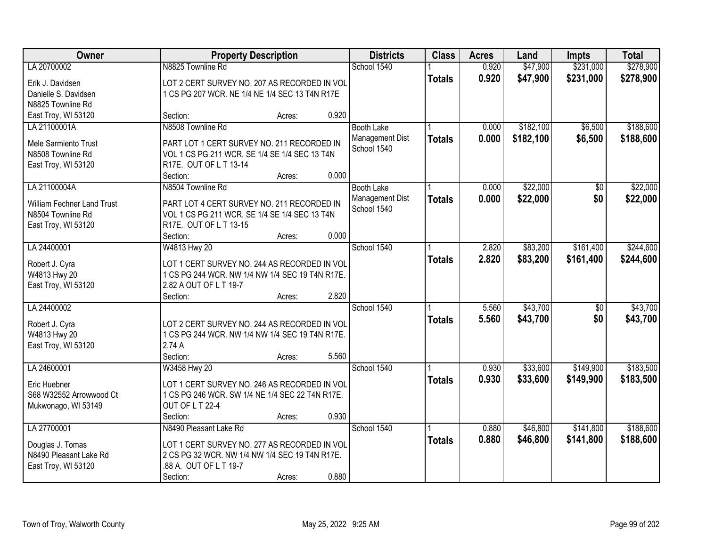| <b>Owner</b>               | <b>Property Description</b>                                             |        |       | <b>Districts</b>  | <b>Class</b>  | <b>Acres</b> | Land      | <b>Impts</b>    | <b>Total</b> |
|----------------------------|-------------------------------------------------------------------------|--------|-------|-------------------|---------------|--------------|-----------|-----------------|--------------|
| LA 20700002                | N8825 Townline Rd                                                       |        |       | School 1540       |               | 0.920        | \$47,900  | \$231,000       | \$278,900    |
| Erik J. Davidsen           | LOT 2 CERT SURVEY NO. 207 AS RECORDED IN VOL                            |        |       |                   | <b>Totals</b> | 0.920        | \$47,900  | \$231,000       | \$278,900    |
| Danielle S. Davidsen       | 1 CS PG 207 WCR. NE 1/4 NE 1/4 SEC 13 T4N R17E                          |        |       |                   |               |              |           |                 |              |
| N8825 Townline Rd          |                                                                         |        |       |                   |               |              |           |                 |              |
| East Troy, WI 53120        | Section:                                                                | Acres: | 0.920 |                   |               |              |           |                 |              |
| LA 21100001A               | N8508 Townline Rd                                                       |        |       | <b>Booth Lake</b> |               | 0.000        | \$182,100 | \$6,500         | \$188,600    |
| Mele Sarmiento Trust       | PART LOT 1 CERT SURVEY NO. 211 RECORDED IN                              |        |       | Management Dist   | <b>Totals</b> | 0.000        | \$182,100 | \$6,500         | \$188,600    |
| N8508 Townline Rd          | VOL 1 CS PG 211 WCR. SE 1/4 SE 1/4 SEC 13 T4N                           |        |       | School 1540       |               |              |           |                 |              |
| East Troy, WI 53120        | R17E. OUT OF L T 13-14                                                  |        |       |                   |               |              |           |                 |              |
|                            | Section:                                                                | Acres: | 0.000 |                   |               |              |           |                 |              |
| LA 21100004A               | N8504 Townline Rd                                                       |        |       | <b>Booth Lake</b> |               | 0.000        | \$22,000  | $\overline{50}$ | \$22,000     |
|                            |                                                                         |        |       | Management Dist   | <b>Totals</b> | 0.000        | \$22,000  | \$0             | \$22,000     |
| William Fechner Land Trust | PART LOT 4 CERT SURVEY NO. 211 RECORDED IN                              |        |       | School 1540       |               |              |           |                 |              |
| N8504 Townline Rd          | VOL 1 CS PG 211 WCR. SE 1/4 SE 1/4 SEC 13 T4N<br>R17E. OUT OF L T 13-15 |        |       |                   |               |              |           |                 |              |
| East Troy, WI 53120        | Section:                                                                | Acres: | 0.000 |                   |               |              |           |                 |              |
| LA 24400001                | W4813 Hwy 20                                                            |        |       | School 1540       |               | 2.820        | \$83,200  | \$161,400       | \$244,600    |
|                            |                                                                         |        |       |                   |               | 2.820        | \$83,200  | \$161,400       | \$244,600    |
| Robert J. Cyra             | LOT 1 CERT SURVEY NO. 244 AS RECORDED IN VOL                            |        |       |                   | <b>Totals</b> |              |           |                 |              |
| W4813 Hwy 20               | 1 CS PG 244 WCR. NW 1/4 NW 1/4 SEC 19 T4N R17E.                         |        |       |                   |               |              |           |                 |              |
| East Troy, WI 53120        | 2.82 A OUT OF L T 19-7                                                  |        |       |                   |               |              |           |                 |              |
|                            | Section:                                                                | Acres: | 2.820 |                   |               |              |           |                 |              |
| LA 24400002                |                                                                         |        |       | School 1540       |               | 5.560        | \$43,700  | $\overline{50}$ | \$43,700     |
| Robert J. Cyra             | LOT 2 CERT SURVEY NO. 244 AS RECORDED IN VOL                            |        |       |                   | <b>Totals</b> | 5.560        | \$43,700  | \$0             | \$43,700     |
| W4813 Hwy 20               | 1 CS PG 244 WCR. NW 1/4 NW 1/4 SEC 19 T4N R17E.                         |        |       |                   |               |              |           |                 |              |
| East Troy, WI 53120        | 2.74 A                                                                  |        |       |                   |               |              |           |                 |              |
|                            | Section:                                                                | Acres: | 5.560 |                   |               |              |           |                 |              |
| LA 24600001                | W3458 Hwy 20                                                            |        |       | School 1540       |               | 0.930        | \$33,600  | \$149,900       | \$183,500    |
| Eric Huebner               | LOT 1 CERT SURVEY NO. 246 AS RECORDED IN VOL                            |        |       |                   | <b>Totals</b> | 0.930        | \$33,600  | \$149,900       | \$183,500    |
| S68 W32552 Arrowwood Ct    | 1 CS PG 246 WCR. SW 1/4 NE 1/4 SEC 22 T4N R17E.                         |        |       |                   |               |              |           |                 |              |
| Mukwonago, WI 53149        | OUT OF LT 22-4                                                          |        |       |                   |               |              |           |                 |              |
|                            | Section:                                                                | Acres: | 0.930 |                   |               |              |           |                 |              |
| LA 27700001                | N8490 Pleasant Lake Rd                                                  |        |       | School 1540       |               | 0.880        | \$46,800  | \$141,800       | \$188,600    |
|                            |                                                                         |        |       |                   | <b>Totals</b> | 0.880        | \$46,800  | \$141,800       | \$188,600    |
| Douglas J. Tomas           | LOT 1 CERT SURVEY NO. 277 AS RECORDED IN VOL                            |        |       |                   |               |              |           |                 |              |
| N8490 Pleasant Lake Rd     | 2 CS PG 32 WCR. NW 1/4 NW 1/4 SEC 19 T4N R17E.                          |        |       |                   |               |              |           |                 |              |
| East Troy, WI 53120        | .88 A. OUT OF L T 19-7                                                  |        |       |                   |               |              |           |                 |              |
|                            | Section:                                                                | Acres: | 0.880 |                   |               |              |           |                 |              |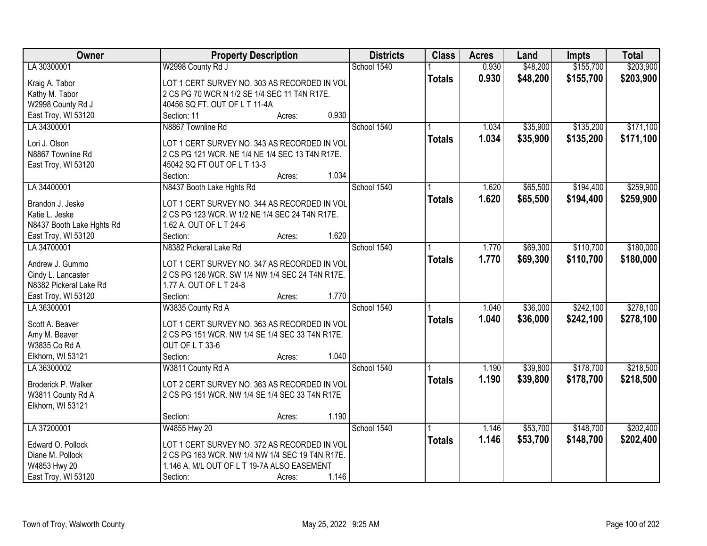| Owner                              | <b>Property Description</b>                                               |        | <b>Districts</b> | <b>Class</b>  | <b>Acres</b> | Land     | <b>Impts</b> | <b>Total</b> |
|------------------------------------|---------------------------------------------------------------------------|--------|------------------|---------------|--------------|----------|--------------|--------------|
| LA 30300001                        | W2998 County Rd J                                                         |        | School 1540      |               | 0.930        | \$48,200 | \$155,700    | \$203,900    |
| Kraig A. Tabor                     | LOT 1 CERT SURVEY NO. 303 AS RECORDED IN VOL                              |        |                  | <b>Totals</b> | 0.930        | \$48,200 | \$155,700    | \$203,900    |
| Kathy M. Tabor                     | 2 CS PG 70 WCR N 1/2 SE 1/4 SEC 11 T4N R17E.                              |        |                  |               |              |          |              |              |
| W2998 County Rd J                  | 40456 SQ FT. OUT OF L T 11-4A                                             |        |                  |               |              |          |              |              |
| East Troy, WI 53120                | Section: 11                                                               | Acres: | 0.930            |               |              |          |              |              |
| LA 34300001                        | N8867 Townline Rd                                                         |        | School 1540      |               | 1.034        | \$35,900 | \$135,200    | \$171,100    |
|                                    |                                                                           |        |                  |               | 1.034        | \$35,900 | \$135,200    | \$171,100    |
| Lori J. Olson                      | LOT 1 CERT SURVEY NO. 343 AS RECORDED IN VOL                              |        |                  | <b>Totals</b> |              |          |              |              |
| N8867 Townline Rd                  | 2 CS PG 121 WCR. NE 1/4 NE 1/4 SEC 13 T4N R17E.                           |        |                  |               |              |          |              |              |
| East Troy, WI 53120                | 45042 SQ FT OUT OF L T 13-3                                               |        |                  |               |              |          |              |              |
|                                    | Section:                                                                  | Acres: | 1.034            |               |              |          |              |              |
| LA 34400001                        | N8437 Booth Lake Hghts Rd                                                 |        | School 1540      |               | 1.620        | \$65,500 | \$194,400    | \$259,900    |
|                                    | LOT 1 CERT SURVEY NO. 344 AS RECORDED IN VOL                              |        |                  | <b>Totals</b> | 1.620        | \$65,500 | \$194,400    | \$259,900    |
| Brandon J. Jeske<br>Katie L. Jeske |                                                                           |        |                  |               |              |          |              |              |
|                                    | 2 CS PG 123 WCR. W 1/2 NE 1/4 SEC 24 T4N R17E.<br>1.62 A. OUT OF L T 24-6 |        |                  |               |              |          |              |              |
| N8437 Booth Lake Hghts Rd          | Section:                                                                  |        | 1.620            |               |              |          |              |              |
| East Troy, WI 53120                |                                                                           | Acres: |                  |               |              |          |              |              |
| LA 34700001                        | N8382 Pickeral Lake Rd                                                    |        | School 1540      |               | 1.770        | \$69,300 | \$110,700    | \$180,000    |
| Andrew J. Gummo                    | LOT 1 CERT SURVEY NO. 347 AS RECORDED IN VOL                              |        |                  | <b>Totals</b> | 1.770        | \$69,300 | \$110,700    | \$180,000    |
| Cindy L. Lancaster                 | 2 CS PG 126 WCR. SW 1/4 NW 1/4 SEC 24 T4N R17E.                           |        |                  |               |              |          |              |              |
| N8382 Pickeral Lake Rd             | 1.77 A. OUT OF L T 24-8                                                   |        |                  |               |              |          |              |              |
| East Troy, WI 53120                | Section:                                                                  | Acres: | 1.770            |               |              |          |              |              |
| LA 36300001                        | W3835 County Rd A                                                         |        | School 1540      |               | 1.040        | \$36,000 | \$242,100    | \$278,100    |
|                                    |                                                                           |        |                  | <b>Totals</b> | 1.040        | \$36,000 | \$242,100    | \$278,100    |
| Scott A. Beaver                    | LOT 1 CERT SURVEY NO. 363 AS RECORDED IN VOL                              |        |                  |               |              |          |              |              |
| Amy M. Beaver                      | 2 CS PG 151 WCR. NW 1/4 SE 1/4 SEC 33 T4N R17E.                           |        |                  |               |              |          |              |              |
| W3835 Co Rd A                      | OUT OF L T 33-6                                                           |        |                  |               |              |          |              |              |
| Elkhorn, WI 53121                  | Section:                                                                  | Acres: | 1.040            |               |              |          |              |              |
| LA 36300002                        | W3811 County Rd A                                                         |        | School 1540      |               | 1.190        | \$39,800 | \$178,700    | \$218,500    |
| Broderick P. Walker                | LOT 2 CERT SURVEY NO. 363 AS RECORDED IN VOL                              |        |                  | <b>Totals</b> | 1.190        | \$39,800 | \$178,700    | \$218,500    |
| W3811 County Rd A                  | 2 CS PG 151 WCR. NW 1/4 SE 1/4 SEC 33 T4N R17E                            |        |                  |               |              |          |              |              |
| Elkhorn, WI 53121                  |                                                                           |        |                  |               |              |          |              |              |
|                                    | Section:                                                                  | Acres: | 1.190            |               |              |          |              |              |
| LA 37200001                        | W4855 Hwy 20                                                              |        | School 1540      |               | 1.146        | \$53,700 | \$148,700    | \$202,400    |
|                                    |                                                                           |        |                  | <b>Totals</b> | 1.146        | \$53,700 | \$148,700    | \$202,400    |
| Edward O. Pollock                  | LOT 1 CERT SURVEY NO. 372 AS RECORDED IN VOL                              |        |                  |               |              |          |              |              |
| Diane M. Pollock                   | 2 CS PG 163 WCR. NW 1/4 NW 1/4 SEC 19 T4N R17E.                           |        |                  |               |              |          |              |              |
| W4853 Hwy 20                       | 1.146 A. M/L OUT OF L T 19-7A ALSO EASEMENT                               |        |                  |               |              |          |              |              |
| East Troy, WI 53120                | Section:                                                                  | Acres: | 1.146            |               |              |          |              |              |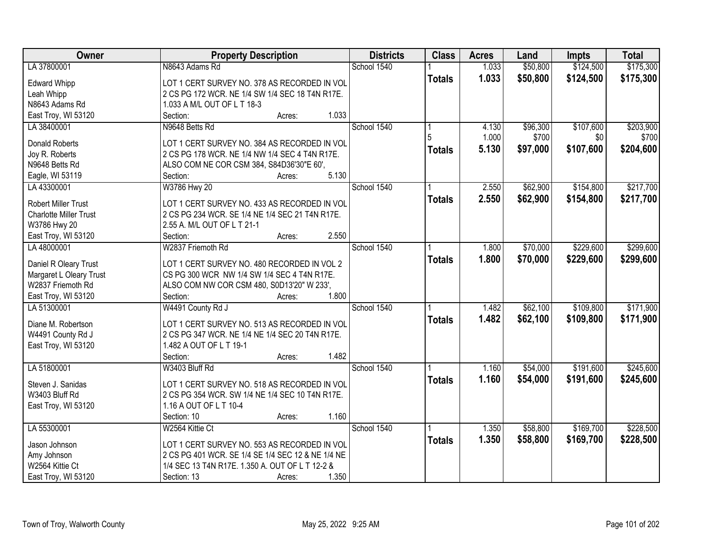| Owner                         | <b>Property Description</b>                       | <b>Districts</b> | <b>Class</b>  | <b>Acres</b> | Land     | <b>Impts</b> | <b>Total</b> |
|-------------------------------|---------------------------------------------------|------------------|---------------|--------------|----------|--------------|--------------|
| LA 37800001                   | N8643 Adams Rd                                    | School 1540      |               | 1.033        | \$50,800 | \$124,500    | \$175,300    |
| <b>Edward Whipp</b>           | LOT 1 CERT SURVEY NO. 378 AS RECORDED IN VOL      |                  | <b>Totals</b> | 1.033        | \$50,800 | \$124,500    | \$175,300    |
| Leah Whipp                    | 2 CS PG 172 WCR. NE 1/4 SW 1/4 SEC 18 T4N R17E.   |                  |               |              |          |              |              |
| N8643 Adams Rd                | 1.033 A M/L OUT OF L T 18-3                       |                  |               |              |          |              |              |
| East Troy, WI 53120           | 1.033<br>Section:<br>Acres:                       |                  |               |              |          |              |              |
| LA 38400001                   | N9648 Betts Rd                                    | School 1540      |               | 4.130        | \$96,300 | \$107,600    | \$203,900    |
|                               |                                                   |                  |               | 1.000        | \$700    | \$0          | \$700        |
| <b>Donald Roberts</b>         | LOT 1 CERT SURVEY NO. 384 AS RECORDED IN VOL      |                  | <b>Totals</b> | 5.130        | \$97,000 | \$107,600    | \$204,600    |
| Joy R. Roberts                | 2 CS PG 178 WCR. NE 1/4 NW 1/4 SEC 4 T4N R17E.    |                  |               |              |          |              |              |
| N9648 Betts Rd                | ALSO COM NE COR CSM 384, S84D36'30"E 60',         |                  |               |              |          |              |              |
| Eagle, WI 53119               | 5.130<br>Section:<br>Acres:                       |                  |               |              |          |              |              |
| LA 43300001                   | W3786 Hwy 20                                      | School 1540      |               | 2.550        | \$62,900 | \$154,800    | \$217,700    |
| <b>Robert Miller Trust</b>    | LOT 1 CERT SURVEY NO. 433 AS RECORDED IN VOL      |                  | <b>Totals</b> | 2.550        | \$62,900 | \$154,800    | \$217,700    |
| <b>Charlotte Miller Trust</b> | 2 CS PG 234 WCR. SE 1/4 NE 1/4 SEC 21 T4N R17E.   |                  |               |              |          |              |              |
| W3786 Hwy 20                  | 2.55 A. M/L OUT OF L T 21-1                       |                  |               |              |          |              |              |
| East Troy, WI 53120           | 2.550<br>Section:<br>Acres:                       |                  |               |              |          |              |              |
| LA 48000001                   | W2837 Friemoth Rd                                 | School 1540      |               | 1.800        | \$70,000 | \$229,600    | \$299,600    |
|                               |                                                   |                  |               | 1.800        | \$70,000 | \$229,600    | \$299,600    |
| Daniel R Oleary Trust         | LOT 1 CERT SURVEY NO. 480 RECORDED IN VOL 2       |                  | <b>Totals</b> |              |          |              |              |
| Margaret L Oleary Trust       | CS PG 300 WCR NW 1/4 SW 1/4 SEC 4 T4N R17E.       |                  |               |              |          |              |              |
| W2837 Friemoth Rd             | ALSO COM NW COR CSM 480, S0D13'20" W 233',        |                  |               |              |          |              |              |
| East Troy, WI 53120           | Section:<br>1.800<br>Acres:                       |                  |               |              |          |              |              |
| LA 51300001                   | W4491 County Rd J                                 | School 1540      |               | 1.482        | \$62,100 | \$109,800    | \$171,900    |
| Diane M. Robertson            | LOT 1 CERT SURVEY NO. 513 AS RECORDED IN VOL      |                  | <b>Totals</b> | 1.482        | \$62,100 | \$109,800    | \$171,900    |
| W4491 County Rd J             | 2 CS PG 347 WCR. NE 1/4 NE 1/4 SEC 20 T4N R17E.   |                  |               |              |          |              |              |
| East Troy, WI 53120           | 1.482 A OUT OF L T 19-1                           |                  |               |              |          |              |              |
|                               | 1.482<br>Section:<br>Acres:                       |                  |               |              |          |              |              |
| LA 51800001                   | W3403 Bluff Rd                                    | School 1540      |               | 1.160        | \$54,000 | \$191,600    | \$245,600    |
|                               |                                                   |                  |               |              |          |              |              |
| Steven J. Sanidas             | LOT 1 CERT SURVEY NO. 518 AS RECORDED IN VOL      |                  | <b>Totals</b> | 1.160        | \$54,000 | \$191,600    | \$245,600    |
| W3403 Bluff Rd                | 2 CS PG 354 WCR. SW 1/4 NE 1/4 SEC 10 T4N R17E.   |                  |               |              |          |              |              |
| East Troy, WI 53120           | 1.16 A OUT OF L T 10-4                            |                  |               |              |          |              |              |
|                               | Section: 10<br>1.160<br>Acres:                    |                  |               |              |          |              |              |
| LA 55300001                   | W2564 Kittie Ct                                   | School 1540      |               | 1.350        | \$58,800 | \$169,700    | \$228,500    |
| Jason Johnson                 | LOT 1 CERT SURVEY NO. 553 AS RECORDED IN VOL      |                  | <b>Totals</b> | 1.350        | \$58,800 | \$169,700    | \$228,500    |
| Amy Johnson                   | 2 CS PG 401 WCR. SE 1/4 SE 1/4 SEC 12 & NE 1/4 NE |                  |               |              |          |              |              |
| W2564 Kittie Ct               | 1/4 SEC 13 T4N R17E. 1.350 A. OUT OF L T 12-2 &   |                  |               |              |          |              |              |
| East Troy, WI 53120           | 1.350<br>Section: 13<br>Acres:                    |                  |               |              |          |              |              |
|                               |                                                   |                  |               |              |          |              |              |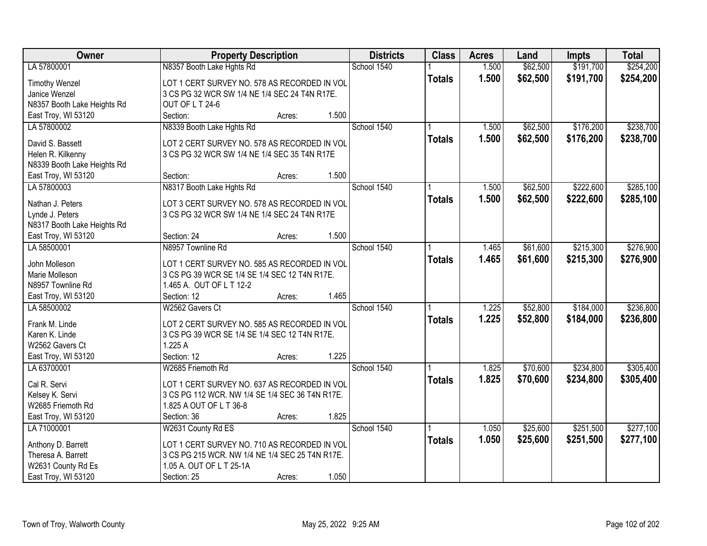| Owner                       | <b>Property Description</b>                                                 |        |             | <b>Districts</b> | <b>Class</b>  | <b>Acres</b> | Land     | <b>Impts</b> | <b>Total</b> |
|-----------------------------|-----------------------------------------------------------------------------|--------|-------------|------------------|---------------|--------------|----------|--------------|--------------|
| LA 57800001                 | N8357 Booth Lake Hghts Rd                                                   |        | School 1540 |                  |               | 1.500        | \$62,500 | \$191,700    | \$254,200    |
| <b>Timothy Wenzel</b>       | LOT 1 CERT SURVEY NO. 578 AS RECORDED IN VOL                                |        |             |                  | <b>Totals</b> | 1.500        | \$62,500 | \$191,700    | \$254,200    |
| Janice Wenzel               | 3 CS PG 32 WCR SW 1/4 NE 1/4 SEC 24 T4N R17E.                               |        |             |                  |               |              |          |              |              |
| N8357 Booth Lake Heights Rd | OUT OF LT 24-6                                                              |        |             |                  |               |              |          |              |              |
| East Troy, WI 53120         | Section:                                                                    | Acres: | 1.500       |                  |               |              |          |              |              |
| LA 57800002                 | N8339 Booth Lake Hghts Rd                                                   |        | School 1540 |                  |               | 1.500        | \$62,500 | \$176,200    | \$238,700    |
|                             |                                                                             |        |             |                  | <b>Totals</b> | 1.500        | \$62,500 | \$176,200    | \$238,700    |
| David S. Bassett            | LOT 2 CERT SURVEY NO. 578 AS RECORDED IN VOL                                |        |             |                  |               |              |          |              |              |
| Helen R. Kilkenny           | 3 CS PG 32 WCR SW 1/4 NE 1/4 SEC 35 T4N R17E                                |        |             |                  |               |              |          |              |              |
| N8339 Booth Lake Heights Rd |                                                                             |        |             |                  |               |              |          |              |              |
| East Troy, WI 53120         | Section:                                                                    | Acres: | 1.500       |                  |               |              |          |              |              |
| LA 57800003                 | N8317 Booth Lake Hghts Rd                                                   |        | School 1540 |                  |               | 1.500        | \$62,500 | \$222,600    | \$285,100    |
| Nathan J. Peters            | LOT 3 CERT SURVEY NO. 578 AS RECORDED IN VOL                                |        |             |                  | <b>Totals</b> | 1.500        | \$62,500 | \$222,600    | \$285,100    |
| Lynde J. Peters             | 3 CS PG 32 WCR SW 1/4 NE 1/4 SEC 24 T4N R17E                                |        |             |                  |               |              |          |              |              |
| N8317 Booth Lake Heights Rd |                                                                             |        |             |                  |               |              |          |              |              |
| East Troy, WI 53120         | Section: 24                                                                 | Acres: | 1.500       |                  |               |              |          |              |              |
| LA 58500001                 | N8957 Townline Rd                                                           |        | School 1540 |                  |               | 1.465        | \$61,600 | \$215,300    | \$276,900    |
|                             |                                                                             |        |             |                  | <b>Totals</b> | 1.465        | \$61,600 | \$215,300    | \$276,900    |
| John Molleson               | LOT 1 CERT SURVEY NO. 585 AS RECORDED IN VOL                                |        |             |                  |               |              |          |              |              |
| Marie Molleson              | 3 CS PG 39 WCR SE 1/4 SE 1/4 SEC 12 T4N R17E.                               |        |             |                  |               |              |          |              |              |
| N8957 Townline Rd           | 1.465 A. OUT OF L T 12-2                                                    |        |             |                  |               |              |          |              |              |
| East Troy, WI 53120         | Section: 12                                                                 | Acres: | 1.465       |                  |               |              |          |              |              |
| LA 58500002                 | W2562 Gavers Ct                                                             |        | School 1540 |                  |               | 1.225        | \$52,800 | \$184,000    | \$236,800    |
| Frank M. Linde              | LOT 2 CERT SURVEY NO. 585 AS RECORDED IN VOL                                |        |             |                  | <b>Totals</b> | 1.225        | \$52,800 | \$184,000    | \$236,800    |
| Karen K. Linde              | 3 CS PG 39 WCR SE 1/4 SE 1/4 SEC 12 T4N R17E.                               |        |             |                  |               |              |          |              |              |
| W2562 Gavers Ct             | 1.225 A                                                                     |        |             |                  |               |              |          |              |              |
| East Troy, WI 53120         | Section: 12                                                                 | Acres: | 1.225       |                  |               |              |          |              |              |
| LA 63700001                 | W2685 Friemoth Rd                                                           |        | School 1540 |                  |               | 1.825        | \$70,600 | \$234,800    | \$305,400    |
|                             |                                                                             |        |             |                  |               | 1.825        |          |              |              |
| Cal R. Servi                | LOT 1 CERT SURVEY NO. 637 AS RECORDED IN VOL                                |        |             |                  | <b>Totals</b> |              | \$70,600 | \$234,800    | \$305,400    |
| Kelsey K. Servi             | 3 CS PG 112 WCR. NW 1/4 SE 1/4 SEC 36 T4N R17E.                             |        |             |                  |               |              |          |              |              |
| W2685 Friemoth Rd           | 1.825 A OUT OF L T 36-8                                                     |        |             |                  |               |              |          |              |              |
| East Troy, WI 53120         | Section: 36                                                                 | Acres: | 1.825       |                  |               |              |          |              |              |
| LA 71000001                 | W2631 County Rd ES                                                          |        | School 1540 |                  |               | 1.050        | \$25,600 | \$251,500    | \$277,100    |
|                             |                                                                             |        |             |                  | <b>Totals</b> | 1.050        | \$25,600 | \$251,500    | \$277,100    |
| Anthony D. Barrett          | LOT 1 CERT SURVEY NO. 710 AS RECORDED IN VOL                                |        |             |                  |               |              |          |              |              |
| Theresa A. Barrett          | 3 CS PG 215 WCR. NW 1/4 NE 1/4 SEC 25 T4N R17E.<br>1.05 A. OUT OF L T 25-1A |        |             |                  |               |              |          |              |              |
| W2631 County Rd Es          |                                                                             |        | 1.050       |                  |               |              |          |              |              |
| East Troy, WI 53120         | Section: 25                                                                 | Acres: |             |                  |               |              |          |              |              |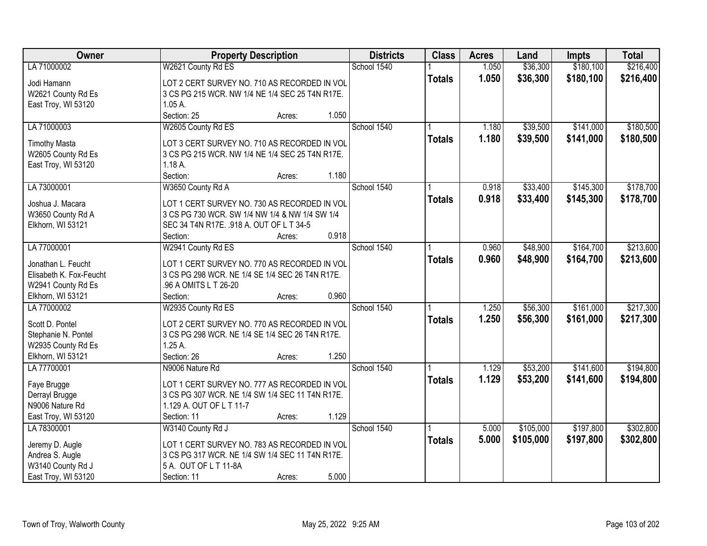| <b>Owner</b>            | <b>Property Description</b>                     | <b>Districts</b> | <b>Class</b>  | <b>Acres</b> | Land      | <b>Impts</b> | <b>Total</b> |
|-------------------------|-------------------------------------------------|------------------|---------------|--------------|-----------|--------------|--------------|
| LA 71000002             | W2621 County Rd ES                              | School 1540      |               | 1.050        | \$36,300  | \$180,100    | \$216,400    |
| Jodi Hamann             | LOT 2 CERT SURVEY NO. 710 AS RECORDED IN VOL    |                  | <b>Totals</b> | 1.050        | \$36,300  | \$180,100    | \$216,400    |
| W2621 County Rd Es      | 3 CS PG 215 WCR. NW 1/4 NE 1/4 SEC 25 T4N R17E. |                  |               |              |           |              |              |
| East Troy, WI 53120     | $1.05A$ .                                       |                  |               |              |           |              |              |
|                         | Section: 25<br>1.050<br>Acres:                  |                  |               |              |           |              |              |
| LA 71000003             | W2605 County Rd ES                              | School 1540      |               | 1.180        | \$39,500  | \$141,000    | \$180,500    |
|                         |                                                 |                  | <b>Totals</b> | 1.180        | \$39,500  | \$141,000    | \$180,500    |
| <b>Timothy Masta</b>    | LOT 3 CERT SURVEY NO. 710 AS RECORDED IN VOL    |                  |               |              |           |              |              |
| W2605 County Rd Es      | 3 CS PG 215 WCR. NW 1/4 NE 1/4 SEC 25 T4N R17E. |                  |               |              |           |              |              |
| East Troy, WI 53120     | $1.18A$ .                                       |                  |               |              |           |              |              |
|                         | 1.180<br>Section:<br>Acres:                     |                  |               |              |           |              |              |
| LA 73000001             | W3650 County Rd A                               | School 1540      |               | 0.918        | \$33,400  | \$145,300    | \$178,700    |
| Joshua J. Macara        | LOT 1 CERT SURVEY NO. 730 AS RECORDED IN VOL    |                  | <b>Totals</b> | 0.918        | \$33,400  | \$145,300    | \$178,700    |
| W3650 County Rd A       | 3 CS PG 730 WCR. SW 1/4 NW 1/4 & NW 1/4 SW 1/4  |                  |               |              |           |              |              |
| Elkhorn, WI 53121       | SEC 34 T4N R17E. .918 A. OUT OF L T 34-5        |                  |               |              |           |              |              |
|                         | 0.918<br>Section:<br>Acres:                     |                  |               |              |           |              |              |
| LA 77000001             | W2941 County Rd ES                              | School 1540      |               | 0.960        | \$48,900  | \$164,700    | \$213,600    |
|                         |                                                 |                  | <b>Totals</b> | 0.960        | \$48,900  | \$164,700    | \$213,600    |
| Jonathan L. Feucht      | LOT 1 CERT SURVEY NO. 770 AS RECORDED IN VOL    |                  |               |              |           |              |              |
| Elisabeth K. Fox-Feucht | 3 CS PG 298 WCR. NE 1/4 SE 1/4 SEC 26 T4N R17E. |                  |               |              |           |              |              |
| W2941 County Rd Es      | .96 A OMITS L T 26-20                           |                  |               |              |           |              |              |
| Elkhorn, WI 53121       | 0.960<br>Section:<br>Acres:                     |                  |               |              |           |              |              |
| LA 77000002             | W2935 County Rd ES                              | School 1540      |               | 1.250        | \$56,300  | \$161,000    | \$217,300    |
| Scott D. Pontel         | LOT 2 CERT SURVEY NO. 770 AS RECORDED IN VOL    |                  | <b>Totals</b> | 1.250        | \$56,300  | \$161,000    | \$217,300    |
| Stephanie N. Pontel     | 3 CS PG 298 WCR. NE 1/4 SE 1/4 SEC 26 T4N R17E. |                  |               |              |           |              |              |
| W2935 County Rd Es      | $1.25A$ .                                       |                  |               |              |           |              |              |
| Elkhorn, WI 53121       | 1.250<br>Section: 26<br>Acres:                  |                  |               |              |           |              |              |
| LA 77700001             | N9006 Nature Rd                                 | School 1540      |               | 1.129        | \$53,200  | \$141,600    | \$194,800    |
| Faye Brugge             | LOT 1 CERT SURVEY NO. 777 AS RECORDED IN VOL    |                  | <b>Totals</b> | 1.129        | \$53,200  | \$141,600    | \$194,800    |
| Derrayl Brugge          | 3 CS PG 307 WCR. NE 1/4 SW 1/4 SEC 11 T4N R17E. |                  |               |              |           |              |              |
| N9006 Nature Rd         | 1.129 A. OUT OF L T 11-7                        |                  |               |              |           |              |              |
| East Troy, WI 53120     | Section: 11<br>1.129<br>Acres:                  |                  |               |              |           |              |              |
| LA 78300001             | W3140 County Rd J                               | School 1540      |               | 5.000        | \$105,000 | \$197,800    | \$302,800    |
|                         |                                                 |                  | <b>Totals</b> | 5.000        | \$105,000 | \$197,800    | \$302,800    |
| Jeremy D. Augle         | LOT 1 CERT SURVEY NO. 783 AS RECORDED IN VOL    |                  |               |              |           |              |              |
| Andrea S. Augle         | 3 CS PG 317 WCR. NE 1/4 SW 1/4 SEC 11 T4N R17E. |                  |               |              |           |              |              |
| W3140 County Rd J       | 5 A. OUT OF L T 11-8A                           |                  |               |              |           |              |              |
| East Troy, WI 53120     | 5.000<br>Section: 11<br>Acres:                  |                  |               |              |           |              |              |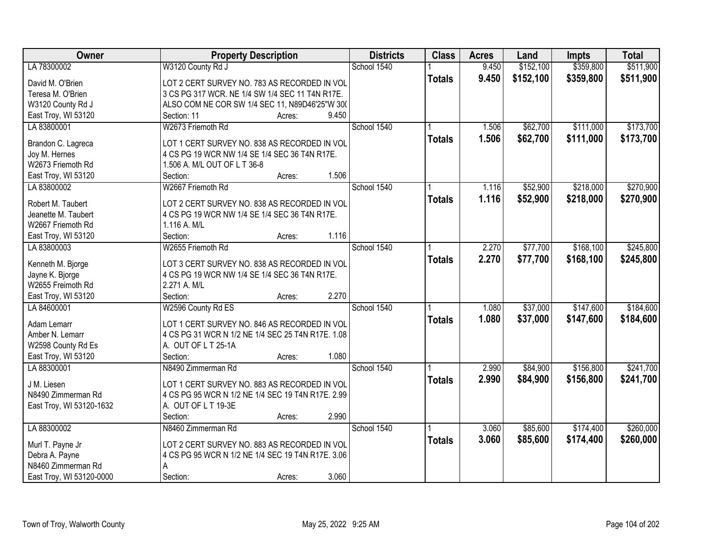| Owner                    | <b>Property Description</b>                       |       | <b>Districts</b> | <b>Class</b>  | <b>Acres</b> | Land      | <b>Impts</b> | <b>Total</b> |
|--------------------------|---------------------------------------------------|-------|------------------|---------------|--------------|-----------|--------------|--------------|
| LA 78300002              | W3120 County Rd J                                 |       | School 1540      |               | 9.450        | \$152,100 | \$359,800    | \$511,900    |
| David M. O'Brien         | LOT 2 CERT SURVEY NO. 783 AS RECORDED IN VOL      |       |                  | <b>Totals</b> | 9.450        | \$152,100 | \$359,800    | \$511,900    |
| Teresa M. O'Brien        | 3 CS PG 317 WCR. NE 1/4 SW 1/4 SEC 11 T4N R17E.   |       |                  |               |              |           |              |              |
| W3120 County Rd J        | ALSO COM NE COR SW 1/4 SEC 11, N89D46'25"W 300    |       |                  |               |              |           |              |              |
| East Troy, WI 53120      | Section: 11<br>Acres:                             | 9.450 |                  |               |              |           |              |              |
| LA 83800001              | W2673 Friemoth Rd                                 |       | School 1540      |               | 1.506        | \$62,700  | \$111,000    | \$173,700    |
|                          |                                                   |       |                  | <b>Totals</b> | 1.506        | \$62,700  | \$111,000    | \$173,700    |
| Brandon C. Lagreca       | LOT 1 CERT SURVEY NO. 838 AS RECORDED IN VOL      |       |                  |               |              |           |              |              |
| Joy M. Hernes            | 4 CS PG 19 WCR NW 1/4 SE 1/4 SEC 36 T4N R17E.     |       |                  |               |              |           |              |              |
| W2673 Friemoth Rd        | 1.506 A. M/L OUT OF L T 36-8                      |       |                  |               |              |           |              |              |
| East Troy, WI 53120      | Section:<br>Acres:                                | 1.506 |                  |               |              |           |              |              |
| LA 83800002              | W2667 Friemoth Rd                                 |       | School 1540      |               | 1.116        | \$52,900  | \$218,000    | \$270,900    |
| Robert M. Taubert        | LOT 2 CERT SURVEY NO. 838 AS RECORDED IN VOL      |       |                  | <b>Totals</b> | 1.116        | \$52,900  | \$218,000    | \$270,900    |
| Jeanette M. Taubert      | 4 CS PG 19 WCR NW 1/4 SE 1/4 SEC 36 T4N R17E.     |       |                  |               |              |           |              |              |
| W2667 Friemoth Rd        | 1.116 A. M/L                                      |       |                  |               |              |           |              |              |
| East Troy, WI 53120      | Section:<br>Acres:                                | 1.116 |                  |               |              |           |              |              |
| LA 83800003              | W2655 Friemoth Rd                                 |       | School 1540      |               | 2.270        | \$77,700  | \$168,100    | \$245,800    |
|                          |                                                   |       |                  | <b>Totals</b> | 2.270        | \$77,700  | \$168,100    | \$245,800    |
| Kenneth M. Bjorge        | LOT 3 CERT SURVEY NO. 838 AS RECORDED IN VOL      |       |                  |               |              |           |              |              |
| Jayne K. Bjorge          | 4 CS PG 19 WCR NW 1/4 SE 1/4 SEC 36 T4N R17E.     |       |                  |               |              |           |              |              |
| W2655 Freimoth Rd        | 2.271 A. M/L                                      |       |                  |               |              |           |              |              |
| East Troy, WI 53120      | Section:<br>Acres:                                | 2.270 |                  |               |              |           |              |              |
| LA 84600001              | W2596 County Rd ES                                |       | School 1540      |               | 1.080        | \$37,000  | \$147,600    | \$184,600    |
| Adam Lemarr              | LOT 1 CERT SURVEY NO. 846 AS RECORDED IN VOL      |       |                  | <b>Totals</b> | 1.080        | \$37,000  | \$147,600    | \$184,600    |
| Amber N. Lemarr          | 4 CS PG 31 WCR N 1/2 NE 1/4 SEC 25 T4N R17E. 1.08 |       |                  |               |              |           |              |              |
| W2598 County Rd Es       | A. OUT OF L T 25-1A                               |       |                  |               |              |           |              |              |
| East Troy, WI 53120      | Section:<br>Acres:                                | 1.080 |                  |               |              |           |              |              |
| LA 88300001              | N8490 Zimmerman Rd                                |       | School 1540      |               | 2.990        | \$84,900  | \$156,800    | \$241,700    |
|                          |                                                   |       |                  | <b>Totals</b> | 2.990        | \$84,900  | \$156,800    | \$241,700    |
| J M. Liesen              | LOT 1 CERT SURVEY NO. 883 AS RECORDED IN VOL      |       |                  |               |              |           |              |              |
| N8490 Zimmerman Rd       | 4 CS PG 95 WCR N 1/2 NE 1/4 SEC 19 T4N R17E. 2.99 |       |                  |               |              |           |              |              |
| East Troy, WI 53120-1632 | A. OUT OF L T 19-3E                               | 2.990 |                  |               |              |           |              |              |
| LA 88300002              | Section:<br>Acres:                                |       | School 1540      |               |              | \$85,600  |              | \$260,000    |
|                          | N8460 Zimmerman Rd                                |       |                  |               | 3.060        |           | \$174,400    |              |
| Murl T. Payne Jr         | LOT 2 CERT SURVEY NO. 883 AS RECORDED IN VOL      |       |                  | <b>Totals</b> | 3.060        | \$85,600  | \$174,400    | \$260,000    |
| Debra A. Payne           | 4 CS PG 95 WCR N 1/2 NE 1/4 SEC 19 T4N R17E. 3.06 |       |                  |               |              |           |              |              |
| N8460 Zimmerman Rd       | A                                                 |       |                  |               |              |           |              |              |
| East Troy, WI 53120-0000 | Section:<br>Acres:                                | 3.060 |                  |               |              |           |              |              |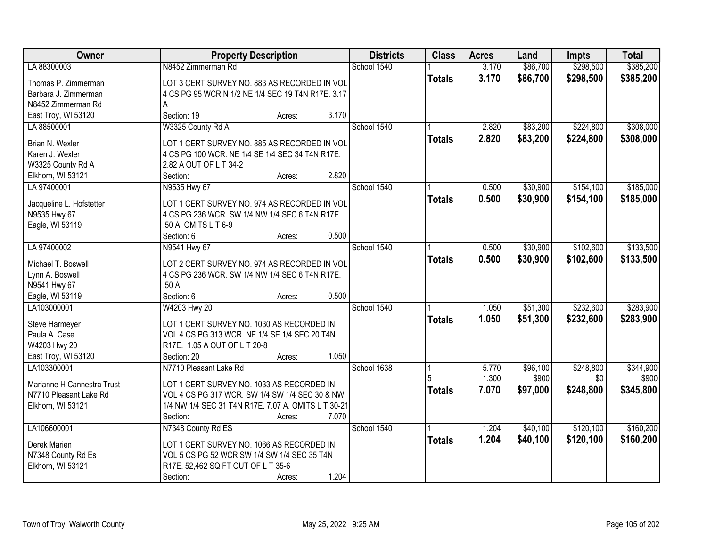| Owner                      | <b>Property Description</b>                         | <b>Districts</b> | <b>Class</b>  | <b>Acres</b> | Land     | <b>Impts</b> | <b>Total</b> |
|----------------------------|-----------------------------------------------------|------------------|---------------|--------------|----------|--------------|--------------|
| LA 88300003                | N8452 Zimmerman Rd                                  | School 1540      |               | 3.170        | \$86,700 | \$298,500    | \$385,200    |
| Thomas P. Zimmerman        | LOT 3 CERT SURVEY NO. 883 AS RECORDED IN VOL        |                  | <b>Totals</b> | 3.170        | \$86,700 | \$298,500    | \$385,200    |
| Barbara J. Zimmerman       | 4 CS PG 95 WCR N 1/2 NE 1/4 SEC 19 T4N R17E. 3.17   |                  |               |              |          |              |              |
| N8452 Zimmerman Rd         |                                                     |                  |               |              |          |              |              |
| East Troy, WI 53120        | 3.170<br>Section: 19<br>Acres:                      |                  |               |              |          |              |              |
| LA 88500001                | W3325 County Rd A                                   | School 1540      |               | 2.820        | \$83,200 | \$224,800    | \$308,000    |
|                            |                                                     |                  | <b>Totals</b> | 2.820        | \$83,200 | \$224,800    | \$308,000    |
| Brian N. Wexler            | LOT 1 CERT SURVEY NO. 885 AS RECORDED IN VOL        |                  |               |              |          |              |              |
| Karen J. Wexler            | 4 CS PG 100 WCR. NE 1/4 SE 1/4 SEC 34 T4N R17E.     |                  |               |              |          |              |              |
| W3325 County Rd A          | 2.82 A OUT OF L T 34-2<br>2.820<br>Section:         |                  |               |              |          |              |              |
| Elkhorn, WI 53121          | Acres:                                              |                  |               |              |          | \$154,100    | \$185,000    |
| LA 97400001                | N9535 Hwy 67                                        | School 1540      |               | 0.500        | \$30,900 |              |              |
| Jacqueline L. Hofstetter   | LOT 1 CERT SURVEY NO. 974 AS RECORDED IN VOL        |                  | <b>Totals</b> | 0.500        | \$30,900 | \$154,100    | \$185,000    |
| N9535 Hwy 67               | 4 CS PG 236 WCR. SW 1/4 NW 1/4 SEC 6 T4N R17E.      |                  |               |              |          |              |              |
| Eagle, WI 53119            | .50 A. OMITS L T 6-9                                |                  |               |              |          |              |              |
|                            | 0.500<br>Section: 6<br>Acres:                       |                  |               |              |          |              |              |
| LA 97400002                | N9541 Hwy 67                                        | School 1540      |               | 0.500        | \$30,900 | \$102,600    | \$133,500    |
| Michael T. Boswell         | LOT 2 CERT SURVEY NO. 974 AS RECORDED IN VOL        |                  | <b>Totals</b> | 0.500        | \$30,900 | \$102,600    | \$133,500    |
| Lynn A. Boswell            | 4 CS PG 236 WCR. SW 1/4 NW 1/4 SEC 6 T4N R17E.      |                  |               |              |          |              |              |
| N9541 Hwy 67               | .50 A                                               |                  |               |              |          |              |              |
| Eagle, WI 53119            | 0.500<br>Section: 6<br>Acres:                       |                  |               |              |          |              |              |
| LA103000001                | W4203 Hwy 20                                        | School 1540      |               | 1.050        | \$51,300 | \$232,600    | \$283,900    |
|                            |                                                     |                  | <b>Totals</b> | 1.050        | \$51,300 | \$232,600    | \$283,900    |
| Steve Harmeyer             | LOT 1 CERT SURVEY NO. 1030 AS RECORDED IN           |                  |               |              |          |              |              |
| Paula A. Case              | VOL 4 CS PG 313 WCR. NE 1/4 SE 1/4 SEC 20 T4N       |                  |               |              |          |              |              |
| W4203 Hwy 20               | R17E. 1.05 A OUT OF L T 20-8                        |                  |               |              |          |              |              |
| East Troy, WI 53120        | 1.050<br>Section: 20<br>Acres:                      |                  |               |              |          |              |              |
| LA103300001                | N7710 Pleasant Lake Rd                              | School 1638      |               | 5.770        | \$96,100 | \$248,800    | \$344,900    |
| Marianne H Cannestra Trust | LOT 1 CERT SURVEY NO. 1033 AS RECORDED IN           |                  |               | 1.300        | \$900    | \$0          | \$900        |
| N7710 Pleasant Lake Rd     | VOL 4 CS PG 317 WCR. SW 1/4 SW 1/4 SEC 30 & NW      |                  | <b>Totals</b> | 7.070        | \$97,000 | \$248,800    | \$345,800    |
| Elkhorn, WI 53121          | 1/4 NW 1/4 SEC 31 T4N R17E. 7.07 A. OMITS L T 30-21 |                  |               |              |          |              |              |
|                            | Section:<br>7.070<br>Acres:                         |                  |               |              |          |              |              |
| LA106600001                | N7348 County Rd ES                                  | School 1540      |               | 1.204        | \$40,100 | \$120,100    | \$160,200    |
|                            |                                                     |                  | <b>Totals</b> | 1.204        | \$40,100 | \$120,100    | \$160,200    |
| Derek Marien               | LOT 1 CERT SURVEY NO. 1066 AS RECORDED IN           |                  |               |              |          |              |              |
| N7348 County Rd Es         | VOL 5 CS PG 52 WCR SW 1/4 SW 1/4 SEC 35 T4N         |                  |               |              |          |              |              |
| Elkhorn, WI 53121          | R17E. 52,462 SQ FT OUT OF L T 35-6                  |                  |               |              |          |              |              |
|                            | 1.204<br>Section:<br>Acres:                         |                  |               |              |          |              |              |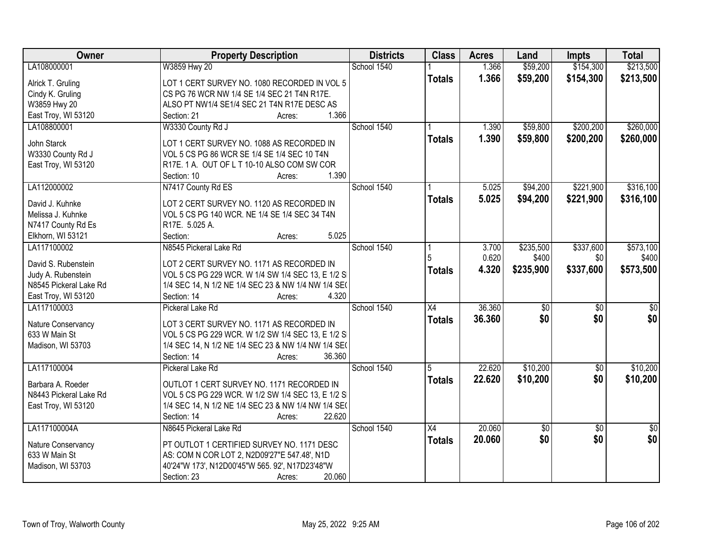| <b>Owner</b>           | <b>Property Description</b>                         | <b>Districts</b> | <b>Class</b>    | <b>Acres</b> | Land      | <b>Impts</b>    | <b>Total</b>    |
|------------------------|-----------------------------------------------------|------------------|-----------------|--------------|-----------|-----------------|-----------------|
| LA108000001            | W3859 Hwy 20                                        | School 1540      |                 | 1.366        | \$59,200  | \$154,300       | \$213,500       |
| Alrick T. Gruling      | LOT 1 CERT SURVEY NO. 1080 RECORDED IN VOL 5        |                  | <b>Totals</b>   | 1.366        | \$59,200  | \$154,300       | \$213,500       |
| Cindy K. Gruling       | CS PG 76 WCR NW 1/4 SE 1/4 SEC 21 T4N R17E.         |                  |                 |              |           |                 |                 |
| W3859 Hwy 20           | ALSO PT NW1/4 SE1/4 SEC 21 T4N R17E DESC AS         |                  |                 |              |           |                 |                 |
| East Troy, WI 53120    | 1.366<br>Section: 21<br>Acres:                      |                  |                 |              |           |                 |                 |
| LA108800001            | W3330 County Rd J                                   | School 1540      |                 | 1.390        | \$59,800  | \$200,200       | \$260,000       |
|                        |                                                     |                  | <b>Totals</b>   | 1.390        | \$59,800  | \$200,200       | \$260,000       |
| John Starck            | LOT 1 CERT SURVEY NO. 1088 AS RECORDED IN           |                  |                 |              |           |                 |                 |
| W3330 County Rd J      | VOL 5 CS PG 86 WCR SE 1/4 SE 1/4 SEC 10 T4N         |                  |                 |              |           |                 |                 |
| East Troy, WI 53120    | R17E. 1 A. OUT OF L T 10-10 ALSO COM SW COR         |                  |                 |              |           |                 |                 |
|                        | 1.390<br>Section: 10<br>Acres:                      |                  |                 |              |           |                 |                 |
| LA112000002            | N7417 County Rd ES                                  | School 1540      |                 | 5.025        | \$94,200  | \$221,900       | \$316,100       |
| David J. Kuhnke        | LOT 2 CERT SURVEY NO. 1120 AS RECORDED IN           |                  | <b>Totals</b>   | 5.025        | \$94,200  | \$221,900       | \$316,100       |
| Melissa J. Kuhnke      | VOL 5 CS PG 140 WCR. NE 1/4 SE 1/4 SEC 34 T4N       |                  |                 |              |           |                 |                 |
| N7417 County Rd Es     | R17E. 5.025 A.                                      |                  |                 |              |           |                 |                 |
| Elkhorn, WI 53121      | 5.025<br>Section:<br>Acres:                         |                  |                 |              |           |                 |                 |
| LA117100002            | N8545 Pickeral Lake Rd                              | School 1540      |                 | 3.700        | \$235,500 | \$337,600       | \$573,100       |
|                        |                                                     |                  | 5               | 0.620        | \$400     | \$0             | \$400           |
| David S. Rubenstein    | LOT 2 CERT SURVEY NO. 1171 AS RECORDED IN           |                  | <b>Totals</b>   | 4.320        | \$235,900 | \$337,600       | \$573,500       |
| Judy A. Rubenstein     | VOL 5 CS PG 229 WCR. W 1/4 SW 1/4 SEC 13, E 1/2 S   |                  |                 |              |           |                 |                 |
| N8545 Pickeral Lake Rd | 1/4 SEC 14, N 1/2 NE 1/4 SEC 23 & NW 1/4 NW 1/4 SE( |                  |                 |              |           |                 |                 |
| East Troy, WI 53120    | 4.320<br>Section: 14<br>Acres:                      |                  |                 |              |           |                 |                 |
| LA117100003            | Pickeral Lake Rd                                    | School 1540      | $\overline{X4}$ | 36.360       | \$0       | $\overline{50}$ | \$0             |
| Nature Conservancy     | LOT 3 CERT SURVEY NO. 1171 AS RECORDED IN           |                  | <b>Totals</b>   | 36,360       | \$0       | \$0             | \$0             |
| 633 W Main St          | VOL 5 CS PG 229 WCR. W 1/2 SW 1/4 SEC 13, E 1/2 S   |                  |                 |              |           |                 |                 |
| Madison, WI 53703      | 1/4 SEC 14, N 1/2 NE 1/4 SEC 23 & NW 1/4 NW 1/4 SE( |                  |                 |              |           |                 |                 |
|                        | 36.360<br>Section: 14<br>Acres:                     |                  |                 |              |           |                 |                 |
| LA117100004            | Pickeral Lake Rd                                    | School 1540      | 5               | 22.620       | \$10,200  | $\overline{50}$ | \$10,200        |
|                        |                                                     |                  | <b>Totals</b>   | 22.620       | \$10,200  | \$0             | \$10,200        |
| Barbara A. Roeder      | OUTLOT 1 CERT SURVEY NO. 1171 RECORDED IN           |                  |                 |              |           |                 |                 |
| N8443 Pickeral Lake Rd | VOL 5 CS PG 229 WCR. W 1/2 SW 1/4 SEC 13, E 1/2 S   |                  |                 |              |           |                 |                 |
| East Troy, WI 53120    | 1/4 SEC 14, N 1/2 NE 1/4 SEC 23 & NW 1/4 NW 1/4 SE( |                  |                 |              |           |                 |                 |
|                        | 22.620<br>Section: 14<br>Acres:                     |                  |                 |              |           |                 |                 |
| LA117100004A           | N8645 Pickeral Lake Rd                              | School 1540      | $\overline{X4}$ | 20.060       | \$0       | $\overline{50}$ | $\overline{50}$ |
| Nature Conservancy     | PT OUTLOT 1 CERTIFIED SURVEY NO. 1171 DESC          |                  | <b>Totals</b>   | 20.060       | \$0       | \$0             | \$0             |
| 633 W Main St          | AS: COM N COR LOT 2, N2D09'27"E 547.48', N1D        |                  |                 |              |           |                 |                 |
| Madison, WI 53703      | 40'24"W 173', N12D00'45"W 565. 92', N17D23'48"W     |                  |                 |              |           |                 |                 |
|                        | 20.060<br>Section: 23<br>Acres:                     |                  |                 |              |           |                 |                 |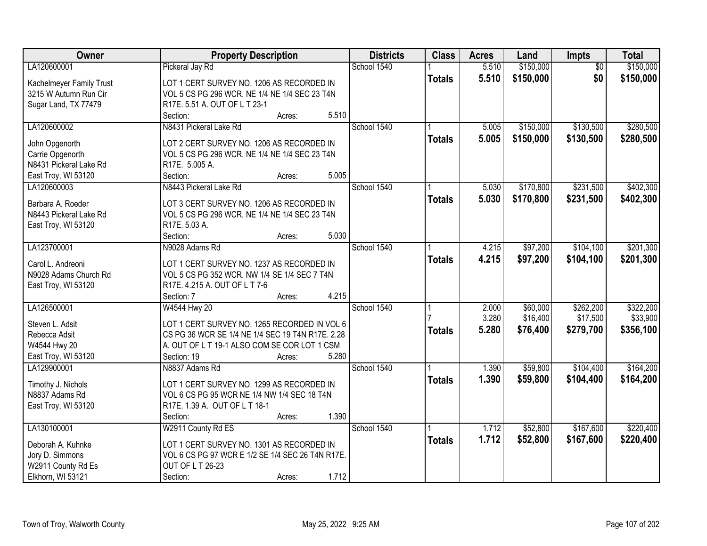| <b>Districts</b><br><b>Class</b><br><b>Acres</b><br>Owner<br><b>Property Description</b><br>Impts<br>Land            | <b>Total</b>                 |
|----------------------------------------------------------------------------------------------------------------------|------------------------------|
| LA120600001<br>School 1540<br>5.510<br>\$150,000<br>Pickeral Jay Rd                                                  | \$150,000<br>$\overline{50}$ |
| 5.510<br>\$150,000<br><b>Totals</b><br>Kachelmeyer Family Trust<br>LOT 1 CERT SURVEY NO. 1206 AS RECORDED IN         | \$0<br>\$150,000             |
| 3215 W Autumn Run Cir<br>VOL 5 CS PG 296 WCR. NE 1/4 NE 1/4 SEC 23 T4N                                               |                              |
| Sugar Land, TX 77479<br>R17E. 5.51 A. OUT OF L T 23-1                                                                |                              |
| 5.510<br>Section:<br>Acres:                                                                                          |                              |
| LA120600002<br>N8431 Pickeral Lake Rd<br>School 1540<br>\$150,000<br>5.005                                           | \$130,500<br>\$280,500       |
| 5.005<br>\$150,000<br><b>Totals</b>                                                                                  | \$130,500<br>\$280,500       |
| John Opgenorth<br>LOT 2 CERT SURVEY NO. 1206 AS RECORDED IN                                                          |                              |
| Carrie Opgenorth<br>VOL 5 CS PG 296 WCR. NE 1/4 NE 1/4 SEC 23 T4N                                                    |                              |
| N8431 Pickeral Lake Rd<br>R17E. 5.005 A.                                                                             |                              |
| 5.005<br>East Troy, WI 53120<br>Section:<br>Acres:                                                                   |                              |
| School 1540<br>\$170,800<br>N8443 Pickeral Lake Rd<br>LA120600003<br>5.030                                           | \$231,500<br>\$402,300       |
| 5.030<br>\$170,800<br>\$231,500<br><b>Totals</b><br>LOT 3 CERT SURVEY NO. 1206 AS RECORDED IN<br>Barbara A. Roeder   | \$402,300                    |
| VOL 5 CS PG 296 WCR. NE 1/4 NE 1/4 SEC 23 T4N<br>N8443 Pickeral Lake Rd                                              |                              |
| R17E. 5.03 A.<br>East Troy, WI 53120                                                                                 |                              |
| 5.030<br>Section:<br>Acres:                                                                                          |                              |
| School 1540<br>\$97,200<br>LA123700001<br>N9028 Adams Rd<br>4.215                                                    | \$104,100<br>\$201,300       |
| 4.215<br>\$97,200<br>\$104,100<br><b>Totals</b>                                                                      | \$201,300                    |
| Carol L. Andreoni<br>LOT 1 CERT SURVEY NO. 1237 AS RECORDED IN                                                       |                              |
| N9028 Adams Church Rd<br>VOL 5 CS PG 352 WCR. NW 1/4 SE 1/4 SEC 7 T4N                                                |                              |
| East Troy, WI 53120<br>R17E. 4.215 A. OUT OF L T 7-6                                                                 |                              |
| 4.215<br>Section: 7<br>Acres:                                                                                        |                              |
| \$60,000<br>LA126500001<br>W4544 Hwy 20<br>School 1540<br>2.000                                                      | \$322,200<br>\$262,200       |
| 3.280<br>\$16,400<br>Steven L. Adsit<br>LOT 1 CERT SURVEY NO. 1265 RECORDED IN VOL 6                                 | \$17,500<br>\$33,900         |
| 5.280<br>\$76,400<br>\$279,700<br><b>Totals</b><br>Rebecca Adsit<br>CS PG 36 WCR SE 1/4 NE 1/4 SEC 19 T4N R17E. 2.28 | \$356,100                    |
| W4544 Hwy 20<br>A. OUT OF L T 19-1 ALSO COM SE COR LOT 1 CSM                                                         |                              |
| 5.280<br>East Troy, WI 53120<br>Section: 19<br>Acres:                                                                |                              |
| School 1540<br>LA129900001<br>1.390<br>\$59,800<br>N8837 Adams Rd                                                    | \$104,400<br>\$164,200       |
| 1.390<br>\$59,800<br>\$104,400<br><b>Totals</b>                                                                      | \$164,200                    |
| Timothy J. Nichols<br>LOT 1 CERT SURVEY NO. 1299 AS RECORDED IN                                                      |                              |
| N8837 Adams Rd<br>VOL 6 CS PG 95 WCR NE 1/4 NW 1/4 SEC 18 T4N                                                        |                              |
| R17E. 1.39 A. OUT OF L T 18-1<br>East Troy, WI 53120                                                                 |                              |
| 1.390<br>Section:<br>Acres:                                                                                          |                              |
| LA130100001<br>School 1540<br>W2911 County Rd ES<br>\$52,800<br>1.712                                                | \$167,600<br>\$220,400       |
| 1.712<br>\$52,800<br>\$167,600<br><b>Totals</b><br>Deborah A. Kuhnke<br>LOT 1 CERT SURVEY NO. 1301 AS RECORDED IN    | \$220,400                    |
| Jory D. Simmons<br>VOL 6 CS PG 97 WCR E 1/2 SE 1/4 SEC 26 T4N R17E.                                                  |                              |
| W2911 County Rd Es<br>OUT OF L T 26-23                                                                               |                              |
| 1.712<br>Elkhorn, WI 53121<br>Section:<br>Acres:                                                                     |                              |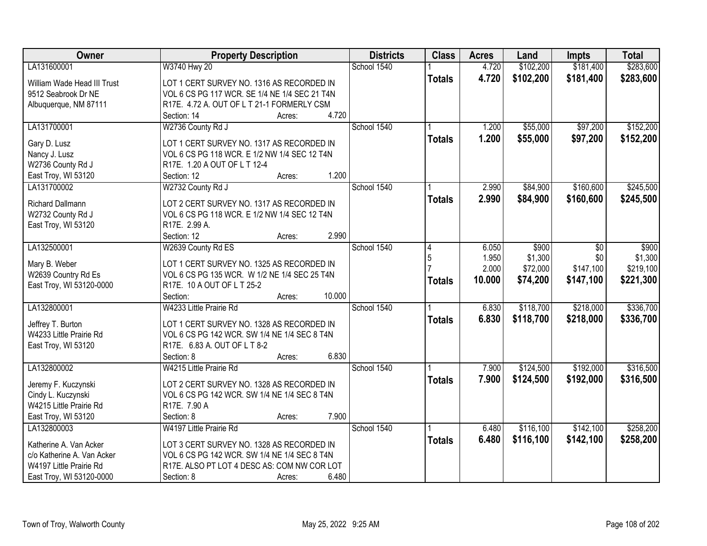| Owner                       | <b>Property Description</b>                   | <b>Districts</b> | <b>Class</b>  | <b>Acres</b> | Land      | <b>Impts</b> | <b>Total</b> |
|-----------------------------|-----------------------------------------------|------------------|---------------|--------------|-----------|--------------|--------------|
| LA131600001                 | W3740 Hwy 20                                  | School 1540      |               | 4.720        | \$102,200 | \$181,400    | \$283,600    |
| William Wade Head III Trust | LOT 1 CERT SURVEY NO. 1316 AS RECORDED IN     |                  | <b>Totals</b> | 4.720        | \$102,200 | \$181,400    | \$283,600    |
| 9512 Seabrook Dr NE         | VOL 6 CS PG 117 WCR. SE 1/4 NE 1/4 SEC 21 T4N |                  |               |              |           |              |              |
| Albuquerque, NM 87111       | R17E. 4.72 A. OUT OF L T 21-1 FORMERLY CSM    |                  |               |              |           |              |              |
|                             | 4.720<br>Section: 14<br>Acres:                |                  |               |              |           |              |              |
| LA131700001                 | W2736 County Rd J                             | School 1540      |               | 1.200        | \$55,000  | \$97,200     | \$152,200    |
|                             |                                               |                  | <b>Totals</b> | 1.200        | \$55,000  | \$97,200     | \$152,200    |
| Gary D. Lusz                | LOT 1 CERT SURVEY NO. 1317 AS RECORDED IN     |                  |               |              |           |              |              |
| Nancy J. Lusz               | VOL 6 CS PG 118 WCR. E 1/2 NW 1/4 SEC 12 T4N  |                  |               |              |           |              |              |
| W2736 County Rd J           | R17E. 1.20 A OUT OF L T 12-4<br>1.200         |                  |               |              |           |              |              |
| East Troy, WI 53120         | Section: 12<br>Acres:                         | School 1540      |               | 2.990        |           | \$160,600    |              |
| LA131700002                 | W2732 County Rd J                             |                  |               |              | \$84,900  |              | \$245,500    |
| <b>Richard Dallmann</b>     | LOT 2 CERT SURVEY NO. 1317 AS RECORDED IN     |                  | <b>Totals</b> | 2.990        | \$84,900  | \$160,600    | \$245,500    |
| W2732 County Rd J           | VOL 6 CS PG 118 WCR. E 1/2 NW 1/4 SEC 12 T4N  |                  |               |              |           |              |              |
| East Troy, WI 53120         | R17E. 2.99 A.                                 |                  |               |              |           |              |              |
|                             | 2.990<br>Section: 12<br>Acres:                |                  |               |              |           |              |              |
| LA132500001                 | W2639 County Rd ES                            | School 1540      | 4             | 6.050        | \$900     | \$0          | \$900        |
|                             |                                               |                  | 5             | 1.950        | \$1,300   | \$0          | \$1,300      |
| Mary B. Weber               | LOT 1 CERT SURVEY NO. 1325 AS RECORDED IN     |                  |               | 2.000        | \$72,000  | \$147,100    | \$219,100    |
| W2639 Country Rd Es         | VOL 6 CS PG 135 WCR. W 1/2 NE 1/4 SEC 25 T4N  |                  | <b>Totals</b> | 10.000       | \$74,200  | \$147,100    | \$221,300    |
| East Troy, WI 53120-0000    | R17E. 10 A OUT OF L T 25-2                    |                  |               |              |           |              |              |
|                             | 10.000<br>Section:<br>Acres:                  | School 1540      |               |              |           |              |              |
| LA132800001                 | W4233 Little Prairie Rd                       |                  |               | 6.830        | \$118,700 | \$218,000    | \$336,700    |
| Jeffrey T. Burton           | LOT 1 CERT SURVEY NO. 1328 AS RECORDED IN     |                  | <b>Totals</b> | 6.830        | \$118,700 | \$218,000    | \$336,700    |
| W4233 Little Prairie Rd     | VOL 6 CS PG 142 WCR. SW 1/4 NE 1/4 SEC 8 T4N  |                  |               |              |           |              |              |
| East Troy, WI 53120         | R17E. 6.83 A. OUT OF L T 8-2                  |                  |               |              |           |              |              |
|                             | 6.830<br>Section: 8<br>Acres:                 |                  |               |              |           |              |              |
| LA132800002                 | W4215 Little Prairie Rd                       | School 1540      |               | 7.900        | \$124,500 | \$192,000    | \$316,500    |
| Jeremy F. Kuczynski         | LOT 2 CERT SURVEY NO. 1328 AS RECORDED IN     |                  | <b>Totals</b> | 7.900        | \$124,500 | \$192,000    | \$316,500    |
| Cindy L. Kuczynski          | VOL 6 CS PG 142 WCR. SW 1/4 NE 1/4 SEC 8 T4N  |                  |               |              |           |              |              |
| W4215 Little Prairie Rd     | R17E. 7.90 A                                  |                  |               |              |           |              |              |
| East Troy, WI 53120         | 7.900<br>Section: 8<br>Acres:                 |                  |               |              |           |              |              |
| LA132800003                 | W4197 Little Prairie Rd                       | School 1540      |               | 6.480        | \$116,100 | \$142,100    | \$258,200    |
|                             |                                               |                  | <b>Totals</b> | 6.480        | \$116,100 | \$142,100    | \$258,200    |
| Katherine A. Van Acker      | LOT 3 CERT SURVEY NO. 1328 AS RECORDED IN     |                  |               |              |           |              |              |
| c/o Katherine A. Van Acker  | VOL 6 CS PG 142 WCR. SW 1/4 NE 1/4 SEC 8 T4N  |                  |               |              |           |              |              |
| W4197 Little Prairie Rd     | R17E. ALSO PT LOT 4 DESC AS: COM NW COR LOT   |                  |               |              |           |              |              |
| East Troy, WI 53120-0000    | 6.480<br>Section: 8<br>Acres:                 |                  |               |              |           |              |              |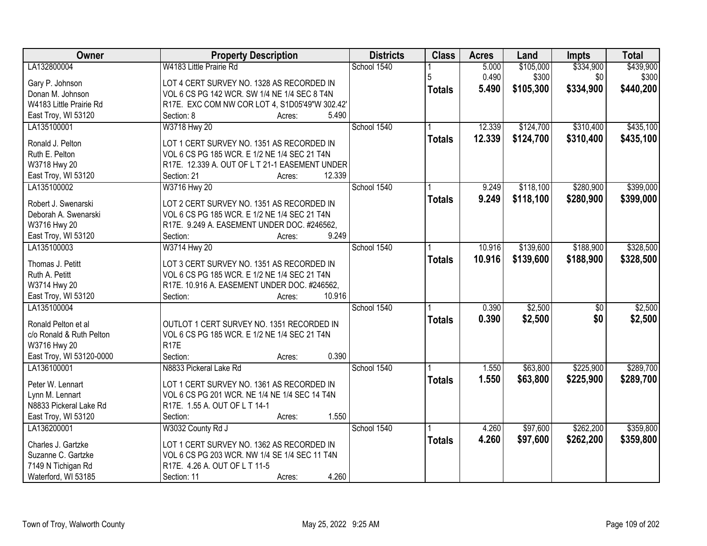| Owner                              | <b>Property Description</b>                                                               | <b>Districts</b> | <b>Class</b>  | <b>Acres</b> | Land      | Impts           | <b>Total</b> |
|------------------------------------|-------------------------------------------------------------------------------------------|------------------|---------------|--------------|-----------|-----------------|--------------|
| LA132800004                        | W4183 Little Prairie Rd                                                                   | School 1540      |               | 5.000        | \$105,000 | \$334,900       | \$439,900    |
| Gary P. Johnson                    | LOT 4 CERT SURVEY NO. 1328 AS RECORDED IN                                                 |                  | 5             | 0.490        | \$300     | \$0             | \$300        |
| Donan M. Johnson                   | VOL 6 CS PG 142 WCR. SW 1/4 NE 1/4 SEC 8 T4N                                              |                  | <b>Totals</b> | 5.490        | \$105,300 | \$334,900       | \$440,200    |
| W4183 Little Prairie Rd            | R17E. EXC COM NW COR LOT 4, S1D05'49"W 302.42"                                            |                  |               |              |           |                 |              |
| East Troy, WI 53120                | 5.490<br>Section: 8<br>Acres:                                                             |                  |               |              |           |                 |              |
| LA135100001                        | W3718 Hwy 20                                                                              | School 1540      |               | 12.339       | \$124,700 | \$310,400       | \$435,100    |
|                                    |                                                                                           |                  | <b>Totals</b> | 12.339       | \$124,700 | \$310,400       | \$435,100    |
| Ronald J. Pelton<br>Ruth E. Pelton | LOT 1 CERT SURVEY NO. 1351 AS RECORDED IN<br>VOL 6 CS PG 185 WCR. E 1/2 NE 1/4 SEC 21 T4N |                  |               |              |           |                 |              |
| W3718 Hwy 20                       | R17E. 12.339 A. OUT OF L T 21-1 EASEMENT UNDER                                            |                  |               |              |           |                 |              |
| East Troy, WI 53120                | 12.339<br>Section: 21<br>Acres:                                                           |                  |               |              |           |                 |              |
| LA135100002                        | W3716 Hwy 20                                                                              | School 1540      |               | 9.249        | \$118,100 | \$280,900       | \$399,000    |
|                                    |                                                                                           |                  |               | 9.249        | \$118,100 | \$280,900       |              |
| Robert J. Swenarski                | LOT 2 CERT SURVEY NO. 1351 AS RECORDED IN                                                 |                  | <b>Totals</b> |              |           |                 | \$399,000    |
| Deborah A. Swenarski               | VOL 6 CS PG 185 WCR. E 1/2 NE 1/4 SEC 21 T4N                                              |                  |               |              |           |                 |              |
| W3716 Hwy 20                       | R17E. 9.249 A. EASEMENT UNDER DOC. #246562,                                               |                  |               |              |           |                 |              |
| East Troy, WI 53120                | 9.249<br>Section:<br>Acres:                                                               |                  |               |              |           |                 |              |
| LA135100003                        | W3714 Hwy 20                                                                              | School 1540      |               | 10.916       | \$139,600 | \$188,900       | \$328,500    |
| Thomas J. Petitt                   | LOT 3 CERT SURVEY NO. 1351 AS RECORDED IN                                                 |                  | <b>Totals</b> | 10.916       | \$139,600 | \$188,900       | \$328,500    |
| Ruth A. Petitt                     | VOL 6 CS PG 185 WCR. E 1/2 NE 1/4 SEC 21 T4N                                              |                  |               |              |           |                 |              |
| W3714 Hwy 20                       | R17E. 10.916 A. EASEMENT UNDER DOC. #246562,                                              |                  |               |              |           |                 |              |
| East Troy, WI 53120                | Section:<br>10.916<br>Acres:                                                              |                  |               |              |           |                 |              |
| LA135100004                        |                                                                                           | School 1540      |               | 0.390        | \$2,500   | $\overline{50}$ | \$2,500      |
|                                    |                                                                                           |                  | <b>Totals</b> | 0.390        | \$2,500   | \$0             | \$2,500      |
| Ronald Pelton et al                | OUTLOT 1 CERT SURVEY NO. 1351 RECORDED IN                                                 |                  |               |              |           |                 |              |
| c/o Ronald & Ruth Pelton           | VOL 6 CS PG 185 WCR. E 1/2 NE 1/4 SEC 21 T4N                                              |                  |               |              |           |                 |              |
| W3716 Hwy 20                       | R <sub>17</sub> E                                                                         |                  |               |              |           |                 |              |
| East Troy, WI 53120-0000           | 0.390<br>Section:<br>Acres:                                                               |                  |               |              |           |                 |              |
| LA136100001                        | N8833 Pickeral Lake Rd                                                                    | School 1540      |               | 1.550        | \$63,800  | \$225,900       | \$289,700    |
| Peter W. Lennart                   | LOT 1 CERT SURVEY NO. 1361 AS RECORDED IN                                                 |                  | <b>Totals</b> | 1.550        | \$63,800  | \$225,900       | \$289,700    |
| Lynn M. Lennart                    | VOL 6 CS PG 201 WCR. NE 1/4 NE 1/4 SEC 14 T4N                                             |                  |               |              |           |                 |              |
| N8833 Pickeral Lake Rd             | R17E. 1.55 A. OUT OF L T 14-1                                                             |                  |               |              |           |                 |              |
| East Troy, WI 53120                | 1.550<br>Section:<br>Acres:                                                               |                  |               |              |           |                 |              |
| LA136200001                        | W3032 County Rd J                                                                         | School 1540      |               | 4.260        | \$97,600  | \$262,200       | \$359,800    |
|                                    |                                                                                           |                  | <b>Totals</b> | 4.260        | \$97,600  | \$262,200       | \$359,800    |
| Charles J. Gartzke                 | LOT 1 CERT SURVEY NO. 1362 AS RECORDED IN                                                 |                  |               |              |           |                 |              |
| Suzanne C. Gartzke                 | VOL 6 CS PG 203 WCR. NW 1/4 SE 1/4 SEC 11 T4N                                             |                  |               |              |           |                 |              |
| 7149 N Tichigan Rd                 | R17E. 4.26 A. OUT OF L T 11-5                                                             |                  |               |              |           |                 |              |
| Waterford, WI 53185                | 4.260<br>Section: 11<br>Acres:                                                            |                  |               |              |           |                 |              |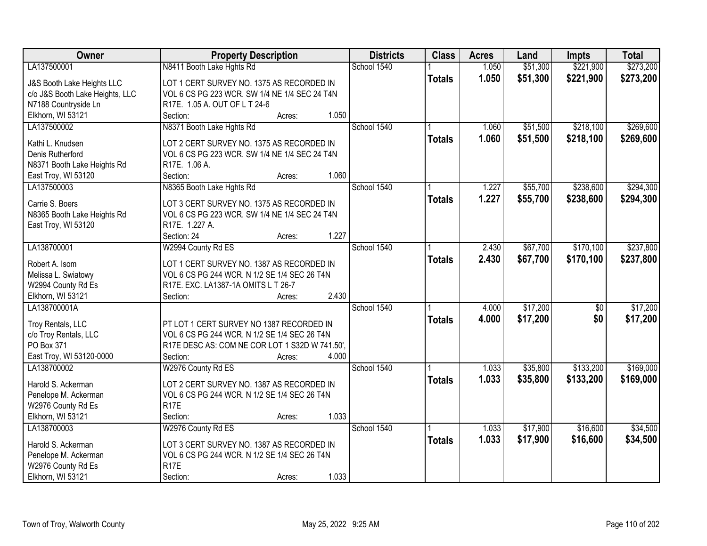| Owner                           | <b>Property Description</b>                    |        |       | <b>Districts</b> | <b>Class</b>  | <b>Acres</b> | Land     | <b>Impts</b>    | <b>Total</b> |
|---------------------------------|------------------------------------------------|--------|-------|------------------|---------------|--------------|----------|-----------------|--------------|
| LA137500001                     | N8411 Booth Lake Hghts Rd                      |        |       | School 1540      |               | 1.050        | \$51,300 | \$221,900       | \$273,200    |
| J&S Booth Lake Heights LLC      | LOT 1 CERT SURVEY NO. 1375 AS RECORDED IN      |        |       |                  | <b>Totals</b> | 1.050        | \$51,300 | \$221,900       | \$273,200    |
| c/o J&S Booth Lake Heights, LLC | VOL 6 CS PG 223 WCR. SW 1/4 NE 1/4 SEC 24 T4N  |        |       |                  |               |              |          |                 |              |
| N7188 Countryside Ln            | R17E. 1.05 A. OUT OF L T 24-6                  |        |       |                  |               |              |          |                 |              |
| Elkhorn, WI 53121               | Section:                                       | Acres: | 1.050 |                  |               |              |          |                 |              |
| LA137500002                     | N8371 Booth Lake Hghts Rd                      |        |       | School 1540      |               | 1.060        | \$51,500 | \$218,100       | \$269,600    |
|                                 |                                                |        |       |                  | <b>Totals</b> | 1.060        | \$51,500 | \$218,100       | \$269,600    |
| Kathi L. Knudsen                | LOT 2 CERT SURVEY NO. 1375 AS RECORDED IN      |        |       |                  |               |              |          |                 |              |
| Denis Rutherford                | VOL 6 CS PG 223 WCR. SW 1/4 NE 1/4 SEC 24 T4N  |        |       |                  |               |              |          |                 |              |
| N8371 Booth Lake Heights Rd     | R17E. 1.06 A.                                  |        |       |                  |               |              |          |                 |              |
| East Troy, WI 53120             | Section:                                       | Acres: | 1.060 |                  |               |              |          |                 |              |
| LA137500003                     | N8365 Booth Lake Hghts Rd                      |        |       | School 1540      |               | 1.227        | \$55,700 | \$238,600       | \$294,300    |
| Carrie S. Boers                 | LOT 3 CERT SURVEY NO. 1375 AS RECORDED IN      |        |       |                  | <b>Totals</b> | 1.227        | \$55,700 | \$238,600       | \$294,300    |
| N8365 Booth Lake Heights Rd     | VOL 6 CS PG 223 WCR. SW 1/4 NE 1/4 SEC 24 T4N  |        |       |                  |               |              |          |                 |              |
| East Troy, WI 53120             | R17E. 1.227 A.                                 |        |       |                  |               |              |          |                 |              |
|                                 | Section: 24                                    | Acres: | 1.227 |                  |               |              |          |                 |              |
| LA138700001                     | W2994 County Rd ES                             |        |       | School 1540      |               | 2.430        | \$67,700 | \$170,100       | \$237,800    |
|                                 |                                                |        |       |                  | <b>Totals</b> | 2.430        | \$67,700 | \$170,100       | \$237,800    |
| Robert A. Isom                  | LOT 1 CERT SURVEY NO. 1387 AS RECORDED IN      |        |       |                  |               |              |          |                 |              |
| Melissa L. Swiatowy             | VOL 6 CS PG 244 WCR. N 1/2 SE 1/4 SEC 26 T4N   |        |       |                  |               |              |          |                 |              |
| W2994 County Rd Es              | R17E. EXC. LA1387-1A OMITS L T 26-7            |        |       |                  |               |              |          |                 |              |
| Elkhorn, WI 53121               | Section:                                       | Acres: | 2.430 |                  |               |              |          |                 |              |
| LA138700001A                    |                                                |        |       | School 1540      |               | 4.000        | \$17,200 | $\overline{50}$ | \$17,200     |
| Troy Rentals, LLC               | PT LOT 1 CERT SURVEY NO 1387 RECORDED IN       |        |       |                  | <b>Totals</b> | 4.000        | \$17,200 | \$0             | \$17,200     |
| c/o Troy Rentals, LLC           | VOL 6 CS PG 244 WCR. N 1/2 SE 1/4 SEC 26 T4N   |        |       |                  |               |              |          |                 |              |
| PO Box 371                      | R17E DESC AS: COM NE COR LOT 1 S32D W 741.50'. |        |       |                  |               |              |          |                 |              |
| East Troy, WI 53120-0000        | Section:                                       | Acres: | 4.000 |                  |               |              |          |                 |              |
| LA138700002                     | W2976 County Rd ES                             |        |       | School 1540      |               | 1.033        | \$35,800 | \$133,200       | \$169,000    |
|                                 |                                                |        |       |                  | <b>Totals</b> | 1.033        | \$35,800 | \$133,200       | \$169,000    |
| Harold S. Ackerman              | LOT 2 CERT SURVEY NO. 1387 AS RECORDED IN      |        |       |                  |               |              |          |                 |              |
| Penelope M. Ackerman            | VOL 6 CS PG 244 WCR. N 1/2 SE 1/4 SEC 26 T4N   |        |       |                  |               |              |          |                 |              |
| W2976 County Rd Es              | <b>R17E</b>                                    |        |       |                  |               |              |          |                 |              |
| Elkhorn, WI 53121               | Section:                                       | Acres: | 1.033 |                  |               |              |          |                 |              |
| LA138700003                     | W2976 County Rd ES                             |        |       | School 1540      |               | 1.033        | \$17,900 | \$16,600        | \$34,500     |
| Harold S. Ackerman              | LOT 3 CERT SURVEY NO. 1387 AS RECORDED IN      |        |       |                  | <b>Totals</b> | 1.033        | \$17,900 | \$16,600        | \$34,500     |
| Penelope M. Ackerman            | VOL 6 CS PG 244 WCR. N 1/2 SE 1/4 SEC 26 T4N   |        |       |                  |               |              |          |                 |              |
| W2976 County Rd Es              | R <sub>17</sub> E                              |        |       |                  |               |              |          |                 |              |
| Elkhorn, WI 53121               | Section:                                       | Acres: | 1.033 |                  |               |              |          |                 |              |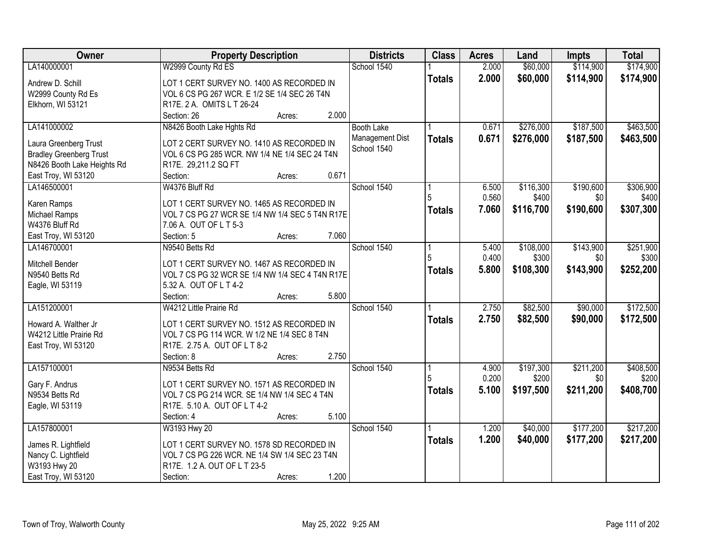| School 1540<br>2.000<br>\$60,000<br>\$174,900<br>LA140000001<br>W2999 County Rd ES<br>2.000<br>\$60,000<br>\$114,900<br>\$174,900<br><b>Totals</b><br>LOT 1 CERT SURVEY NO. 1400 AS RECORDED IN<br>Andrew D. Schill<br>VOL 6 CS PG 267 WCR. E 1/2 SE 1/4 SEC 26 T4N<br>W2999 County Rd Es<br>R17E. 2 A. OMITS L T 26-24<br>Elkhorn, WI 53121<br>2.000<br>Section: 26<br>Acres:<br>\$187,500<br>LA141000002<br>N8426 Booth Lake Hghts Rd<br>\$276,000<br>\$463,500<br><b>Booth Lake</b><br>0.671<br>Management Dist<br>0.671<br>\$276,000<br>\$187,500<br>\$463,500<br><b>Totals</b><br>Laura Greenberg Trust<br>LOT 2 CERT SURVEY NO. 1410 AS RECORDED IN<br>School 1540<br>VOL 6 CS PG 285 WCR. NW 1/4 NE 1/4 SEC 24 T4N<br><b>Bradley Greenberg Trust</b><br>N8426 Booth Lake Heights Rd<br>R17E. 29,211.2 SQ FT<br>0.671<br>East Troy, WI 53120<br>Section:<br>Acres:<br>School 1540<br>\$116,300<br>\$190,600<br>\$306,900<br>LA146500001<br>W4376 Bluff Rd<br>6.500<br>0.560<br>\$400<br>\$0<br>\$400<br>LOT 1 CERT SURVEY NO. 1465 AS RECORDED IN<br>Karen Ramps<br>\$116,700<br>7.060<br>\$190,600<br>\$307,300<br><b>Totals</b><br>VOL 7 CS PG 27 WCR SE 1/4 NW 1/4 SEC 5 T4N R17E<br>Michael Ramps<br>W4376 Bluff Rd<br>7.06 A. OUT OF L T 5-3<br>7.060<br>East Troy, WI 53120<br>Section: 5<br>Acres:<br>School 1540<br>\$143,900<br>\$251,900<br>LA146700001<br>N9540 Betts Rd<br>\$108,000<br>5.400<br>0.400<br>5<br>\$300<br>\$0<br>\$300<br>Mitchell Bender<br>LOT 1 CERT SURVEY NO. 1467 AS RECORDED IN<br>5.800<br>\$108,300<br>\$143,900<br>\$252,200<br><b>Totals</b><br>N9540 Betts Rd<br>VOL 7 CS PG 32 WCR SE 1/4 NW 1/4 SEC 4 T4N R17E<br>Eagle, WI 53119<br>5.32 A. OUT OF L T 4-2<br>5.800<br>Section:<br>Acres:<br>W4212 Little Prairie Rd<br>\$82,500<br>\$90,000<br>LA151200001<br>School 1540<br>2.750<br>2.750<br>\$82,500<br>\$90,000<br><b>Totals</b><br>Howard A. Walther Jr<br>LOT 1 CERT SURVEY NO. 1512 AS RECORDED IN<br>W4212 Little Prairie Rd<br>VOL 7 CS PG 114 WCR. W 1/2 NE 1/4 SEC 8 T4N<br>R17E. 2.75 A. OUT OF L T 8-2<br>East Troy, WI 53120<br>2.750<br>Section: 8<br>Acres:<br>\$211,200<br>LA157100001<br>School 1540<br>\$197,300<br>N9534 Betts Rd<br>4.900<br>0.200<br>\$200<br>\$0<br>Gary F. Andrus<br>LOT 1 CERT SURVEY NO. 1571 AS RECORDED IN<br>5.100<br>\$197,500<br>\$211,200<br>\$408,700<br><b>Totals</b><br>VOL 7 CS PG 214 WCR. SE 1/4 NW 1/4 SEC 4 T4N<br>N9534 Betts Rd<br>R17E. 5.10 A. OUT OF L T 4-2<br>Eagle, WI 53119<br>5.100<br>Section: 4<br>Acres:<br>School 1540<br>LA157800001<br>W3193 Hwy 20<br>\$40,000<br>\$177,200<br>1.200<br>1.200<br>\$40,000<br>\$177,200<br>\$217,200<br><b>Totals</b><br>James R. Lightfield<br>LOT 1 CERT SURVEY NO. 1578 SD RECORDED IN<br>Nancy C. Lightfield<br>VOL 7 CS PG 226 WCR. NE 1/4 SW 1/4 SEC 23 T4N<br>W3193 Hwy 20<br>R17E. 1.2 A. OUT OF L T 23-5 | Owner | <b>Property Description</b> | <b>Districts</b> | <b>Class</b> | <b>Acres</b> | Land | <b>Impts</b> | <b>Total</b> |
|---------------------------------------------------------------------------------------------------------------------------------------------------------------------------------------------------------------------------------------------------------------------------------------------------------------------------------------------------------------------------------------------------------------------------------------------------------------------------------------------------------------------------------------------------------------------------------------------------------------------------------------------------------------------------------------------------------------------------------------------------------------------------------------------------------------------------------------------------------------------------------------------------------------------------------------------------------------------------------------------------------------------------------------------------------------------------------------------------------------------------------------------------------------------------------------------------------------------------------------------------------------------------------------------------------------------------------------------------------------------------------------------------------------------------------------------------------------------------------------------------------------------------------------------------------------------------------------------------------------------------------------------------------------------------------------------------------------------------------------------------------------------------------------------------------------------------------------------------------------------------------------------------------------------------------------------------------------------------------------------------------------------------------------------------------------------------------------------------------------------------------------------------------------------------------------------------------------------------------------------------------------------------------------------------------------------------------------------------------------------------------------------------------------------------------------------------------------------------------------------------------------------------------------------------------------------------------------------------------------------------------------------------------------------------------------------------------------------------------------------------------------------------------------------------------------------------------------------------------------------------|-------|-----------------------------|------------------|--------------|--------------|------|--------------|--------------|
|                                                                                                                                                                                                                                                                                                                                                                                                                                                                                                                                                                                                                                                                                                                                                                                                                                                                                                                                                                                                                                                                                                                                                                                                                                                                                                                                                                                                                                                                                                                                                                                                                                                                                                                                                                                                                                                                                                                                                                                                                                                                                                                                                                                                                                                                                                                                                                                                                                                                                                                                                                                                                                                                                                                                                                                                                                                                           |       |                             |                  |              |              |      | \$114,900    |              |
|                                                                                                                                                                                                                                                                                                                                                                                                                                                                                                                                                                                                                                                                                                                                                                                                                                                                                                                                                                                                                                                                                                                                                                                                                                                                                                                                                                                                                                                                                                                                                                                                                                                                                                                                                                                                                                                                                                                                                                                                                                                                                                                                                                                                                                                                                                                                                                                                                                                                                                                                                                                                                                                                                                                                                                                                                                                                           |       |                             |                  |              |              |      |              |              |
|                                                                                                                                                                                                                                                                                                                                                                                                                                                                                                                                                                                                                                                                                                                                                                                                                                                                                                                                                                                                                                                                                                                                                                                                                                                                                                                                                                                                                                                                                                                                                                                                                                                                                                                                                                                                                                                                                                                                                                                                                                                                                                                                                                                                                                                                                                                                                                                                                                                                                                                                                                                                                                                                                                                                                                                                                                                                           |       |                             |                  |              |              |      |              |              |
|                                                                                                                                                                                                                                                                                                                                                                                                                                                                                                                                                                                                                                                                                                                                                                                                                                                                                                                                                                                                                                                                                                                                                                                                                                                                                                                                                                                                                                                                                                                                                                                                                                                                                                                                                                                                                                                                                                                                                                                                                                                                                                                                                                                                                                                                                                                                                                                                                                                                                                                                                                                                                                                                                                                                                                                                                                                                           |       |                             |                  |              |              |      |              |              |
|                                                                                                                                                                                                                                                                                                                                                                                                                                                                                                                                                                                                                                                                                                                                                                                                                                                                                                                                                                                                                                                                                                                                                                                                                                                                                                                                                                                                                                                                                                                                                                                                                                                                                                                                                                                                                                                                                                                                                                                                                                                                                                                                                                                                                                                                                                                                                                                                                                                                                                                                                                                                                                                                                                                                                                                                                                                                           |       |                             |                  |              |              |      |              |              |
|                                                                                                                                                                                                                                                                                                                                                                                                                                                                                                                                                                                                                                                                                                                                                                                                                                                                                                                                                                                                                                                                                                                                                                                                                                                                                                                                                                                                                                                                                                                                                                                                                                                                                                                                                                                                                                                                                                                                                                                                                                                                                                                                                                                                                                                                                                                                                                                                                                                                                                                                                                                                                                                                                                                                                                                                                                                                           |       |                             |                  |              |              |      |              |              |
|                                                                                                                                                                                                                                                                                                                                                                                                                                                                                                                                                                                                                                                                                                                                                                                                                                                                                                                                                                                                                                                                                                                                                                                                                                                                                                                                                                                                                                                                                                                                                                                                                                                                                                                                                                                                                                                                                                                                                                                                                                                                                                                                                                                                                                                                                                                                                                                                                                                                                                                                                                                                                                                                                                                                                                                                                                                                           |       |                             |                  |              |              |      |              |              |
|                                                                                                                                                                                                                                                                                                                                                                                                                                                                                                                                                                                                                                                                                                                                                                                                                                                                                                                                                                                                                                                                                                                                                                                                                                                                                                                                                                                                                                                                                                                                                                                                                                                                                                                                                                                                                                                                                                                                                                                                                                                                                                                                                                                                                                                                                                                                                                                                                                                                                                                                                                                                                                                                                                                                                                                                                                                                           |       |                             |                  |              |              |      |              |              |
|                                                                                                                                                                                                                                                                                                                                                                                                                                                                                                                                                                                                                                                                                                                                                                                                                                                                                                                                                                                                                                                                                                                                                                                                                                                                                                                                                                                                                                                                                                                                                                                                                                                                                                                                                                                                                                                                                                                                                                                                                                                                                                                                                                                                                                                                                                                                                                                                                                                                                                                                                                                                                                                                                                                                                                                                                                                                           |       |                             |                  |              |              |      |              |              |
|                                                                                                                                                                                                                                                                                                                                                                                                                                                                                                                                                                                                                                                                                                                                                                                                                                                                                                                                                                                                                                                                                                                                                                                                                                                                                                                                                                                                                                                                                                                                                                                                                                                                                                                                                                                                                                                                                                                                                                                                                                                                                                                                                                                                                                                                                                                                                                                                                                                                                                                                                                                                                                                                                                                                                                                                                                                                           |       |                             |                  |              |              |      |              |              |
|                                                                                                                                                                                                                                                                                                                                                                                                                                                                                                                                                                                                                                                                                                                                                                                                                                                                                                                                                                                                                                                                                                                                                                                                                                                                                                                                                                                                                                                                                                                                                                                                                                                                                                                                                                                                                                                                                                                                                                                                                                                                                                                                                                                                                                                                                                                                                                                                                                                                                                                                                                                                                                                                                                                                                                                                                                                                           |       |                             |                  |              |              |      |              |              |
|                                                                                                                                                                                                                                                                                                                                                                                                                                                                                                                                                                                                                                                                                                                                                                                                                                                                                                                                                                                                                                                                                                                                                                                                                                                                                                                                                                                                                                                                                                                                                                                                                                                                                                                                                                                                                                                                                                                                                                                                                                                                                                                                                                                                                                                                                                                                                                                                                                                                                                                                                                                                                                                                                                                                                                                                                                                                           |       |                             |                  |              |              |      |              |              |
|                                                                                                                                                                                                                                                                                                                                                                                                                                                                                                                                                                                                                                                                                                                                                                                                                                                                                                                                                                                                                                                                                                                                                                                                                                                                                                                                                                                                                                                                                                                                                                                                                                                                                                                                                                                                                                                                                                                                                                                                                                                                                                                                                                                                                                                                                                                                                                                                                                                                                                                                                                                                                                                                                                                                                                                                                                                                           |       |                             |                  |              |              |      |              |              |
|                                                                                                                                                                                                                                                                                                                                                                                                                                                                                                                                                                                                                                                                                                                                                                                                                                                                                                                                                                                                                                                                                                                                                                                                                                                                                                                                                                                                                                                                                                                                                                                                                                                                                                                                                                                                                                                                                                                                                                                                                                                                                                                                                                                                                                                                                                                                                                                                                                                                                                                                                                                                                                                                                                                                                                                                                                                                           |       |                             |                  |              |              |      |              |              |
|                                                                                                                                                                                                                                                                                                                                                                                                                                                                                                                                                                                                                                                                                                                                                                                                                                                                                                                                                                                                                                                                                                                                                                                                                                                                                                                                                                                                                                                                                                                                                                                                                                                                                                                                                                                                                                                                                                                                                                                                                                                                                                                                                                                                                                                                                                                                                                                                                                                                                                                                                                                                                                                                                                                                                                                                                                                                           |       |                             |                  |              |              |      |              |              |
|                                                                                                                                                                                                                                                                                                                                                                                                                                                                                                                                                                                                                                                                                                                                                                                                                                                                                                                                                                                                                                                                                                                                                                                                                                                                                                                                                                                                                                                                                                                                                                                                                                                                                                                                                                                                                                                                                                                                                                                                                                                                                                                                                                                                                                                                                                                                                                                                                                                                                                                                                                                                                                                                                                                                                                                                                                                                           |       |                             |                  |              |              |      |              |              |
|                                                                                                                                                                                                                                                                                                                                                                                                                                                                                                                                                                                                                                                                                                                                                                                                                                                                                                                                                                                                                                                                                                                                                                                                                                                                                                                                                                                                                                                                                                                                                                                                                                                                                                                                                                                                                                                                                                                                                                                                                                                                                                                                                                                                                                                                                                                                                                                                                                                                                                                                                                                                                                                                                                                                                                                                                                                                           |       |                             |                  |              |              |      |              |              |
|                                                                                                                                                                                                                                                                                                                                                                                                                                                                                                                                                                                                                                                                                                                                                                                                                                                                                                                                                                                                                                                                                                                                                                                                                                                                                                                                                                                                                                                                                                                                                                                                                                                                                                                                                                                                                                                                                                                                                                                                                                                                                                                                                                                                                                                                                                                                                                                                                                                                                                                                                                                                                                                                                                                                                                                                                                                                           |       |                             |                  |              |              |      |              |              |
| \$172,500<br>\$172,500<br>\$408,500<br>\$200<br>\$217,200                                                                                                                                                                                                                                                                                                                                                                                                                                                                                                                                                                                                                                                                                                                                                                                                                                                                                                                                                                                                                                                                                                                                                                                                                                                                                                                                                                                                                                                                                                                                                                                                                                                                                                                                                                                                                                                                                                                                                                                                                                                                                                                                                                                                                                                                                                                                                                                                                                                                                                                                                                                                                                                                                                                                                                                                                 |       |                             |                  |              |              |      |              |              |
|                                                                                                                                                                                                                                                                                                                                                                                                                                                                                                                                                                                                                                                                                                                                                                                                                                                                                                                                                                                                                                                                                                                                                                                                                                                                                                                                                                                                                                                                                                                                                                                                                                                                                                                                                                                                                                                                                                                                                                                                                                                                                                                                                                                                                                                                                                                                                                                                                                                                                                                                                                                                                                                                                                                                                                                                                                                                           |       |                             |                  |              |              |      |              |              |
|                                                                                                                                                                                                                                                                                                                                                                                                                                                                                                                                                                                                                                                                                                                                                                                                                                                                                                                                                                                                                                                                                                                                                                                                                                                                                                                                                                                                                                                                                                                                                                                                                                                                                                                                                                                                                                                                                                                                                                                                                                                                                                                                                                                                                                                                                                                                                                                                                                                                                                                                                                                                                                                                                                                                                                                                                                                                           |       |                             |                  |              |              |      |              |              |
|                                                                                                                                                                                                                                                                                                                                                                                                                                                                                                                                                                                                                                                                                                                                                                                                                                                                                                                                                                                                                                                                                                                                                                                                                                                                                                                                                                                                                                                                                                                                                                                                                                                                                                                                                                                                                                                                                                                                                                                                                                                                                                                                                                                                                                                                                                                                                                                                                                                                                                                                                                                                                                                                                                                                                                                                                                                                           |       |                             |                  |              |              |      |              |              |
|                                                                                                                                                                                                                                                                                                                                                                                                                                                                                                                                                                                                                                                                                                                                                                                                                                                                                                                                                                                                                                                                                                                                                                                                                                                                                                                                                                                                                                                                                                                                                                                                                                                                                                                                                                                                                                                                                                                                                                                                                                                                                                                                                                                                                                                                                                                                                                                                                                                                                                                                                                                                                                                                                                                                                                                                                                                                           |       |                             |                  |              |              |      |              |              |
|                                                                                                                                                                                                                                                                                                                                                                                                                                                                                                                                                                                                                                                                                                                                                                                                                                                                                                                                                                                                                                                                                                                                                                                                                                                                                                                                                                                                                                                                                                                                                                                                                                                                                                                                                                                                                                                                                                                                                                                                                                                                                                                                                                                                                                                                                                                                                                                                                                                                                                                                                                                                                                                                                                                                                                                                                                                                           |       |                             |                  |              |              |      |              |              |
|                                                                                                                                                                                                                                                                                                                                                                                                                                                                                                                                                                                                                                                                                                                                                                                                                                                                                                                                                                                                                                                                                                                                                                                                                                                                                                                                                                                                                                                                                                                                                                                                                                                                                                                                                                                                                                                                                                                                                                                                                                                                                                                                                                                                                                                                                                                                                                                                                                                                                                                                                                                                                                                                                                                                                                                                                                                                           |       |                             |                  |              |              |      |              |              |
|                                                                                                                                                                                                                                                                                                                                                                                                                                                                                                                                                                                                                                                                                                                                                                                                                                                                                                                                                                                                                                                                                                                                                                                                                                                                                                                                                                                                                                                                                                                                                                                                                                                                                                                                                                                                                                                                                                                                                                                                                                                                                                                                                                                                                                                                                                                                                                                                                                                                                                                                                                                                                                                                                                                                                                                                                                                                           |       |                             |                  |              |              |      |              |              |
|                                                                                                                                                                                                                                                                                                                                                                                                                                                                                                                                                                                                                                                                                                                                                                                                                                                                                                                                                                                                                                                                                                                                                                                                                                                                                                                                                                                                                                                                                                                                                                                                                                                                                                                                                                                                                                                                                                                                                                                                                                                                                                                                                                                                                                                                                                                                                                                                                                                                                                                                                                                                                                                                                                                                                                                                                                                                           |       |                             |                  |              |              |      |              |              |
|                                                                                                                                                                                                                                                                                                                                                                                                                                                                                                                                                                                                                                                                                                                                                                                                                                                                                                                                                                                                                                                                                                                                                                                                                                                                                                                                                                                                                                                                                                                                                                                                                                                                                                                                                                                                                                                                                                                                                                                                                                                                                                                                                                                                                                                                                                                                                                                                                                                                                                                                                                                                                                                                                                                                                                                                                                                                           |       |                             |                  |              |              |      |              |              |
|                                                                                                                                                                                                                                                                                                                                                                                                                                                                                                                                                                                                                                                                                                                                                                                                                                                                                                                                                                                                                                                                                                                                                                                                                                                                                                                                                                                                                                                                                                                                                                                                                                                                                                                                                                                                                                                                                                                                                                                                                                                                                                                                                                                                                                                                                                                                                                                                                                                                                                                                                                                                                                                                                                                                                                                                                                                                           |       |                             |                  |              |              |      |              |              |
|                                                                                                                                                                                                                                                                                                                                                                                                                                                                                                                                                                                                                                                                                                                                                                                                                                                                                                                                                                                                                                                                                                                                                                                                                                                                                                                                                                                                                                                                                                                                                                                                                                                                                                                                                                                                                                                                                                                                                                                                                                                                                                                                                                                                                                                                                                                                                                                                                                                                                                                                                                                                                                                                                                                                                                                                                                                                           |       |                             |                  |              |              |      |              |              |
|                                                                                                                                                                                                                                                                                                                                                                                                                                                                                                                                                                                                                                                                                                                                                                                                                                                                                                                                                                                                                                                                                                                                                                                                                                                                                                                                                                                                                                                                                                                                                                                                                                                                                                                                                                                                                                                                                                                                                                                                                                                                                                                                                                                                                                                                                                                                                                                                                                                                                                                                                                                                                                                                                                                                                                                                                                                                           |       |                             |                  |              |              |      |              |              |
|                                                                                                                                                                                                                                                                                                                                                                                                                                                                                                                                                                                                                                                                                                                                                                                                                                                                                                                                                                                                                                                                                                                                                                                                                                                                                                                                                                                                                                                                                                                                                                                                                                                                                                                                                                                                                                                                                                                                                                                                                                                                                                                                                                                                                                                                                                                                                                                                                                                                                                                                                                                                                                                                                                                                                                                                                                                                           |       |                             |                  |              |              |      |              |              |
|                                                                                                                                                                                                                                                                                                                                                                                                                                                                                                                                                                                                                                                                                                                                                                                                                                                                                                                                                                                                                                                                                                                                                                                                                                                                                                                                                                                                                                                                                                                                                                                                                                                                                                                                                                                                                                                                                                                                                                                                                                                                                                                                                                                                                                                                                                                                                                                                                                                                                                                                                                                                                                                                                                                                                                                                                                                                           |       |                             |                  |              |              |      |              |              |
|                                                                                                                                                                                                                                                                                                                                                                                                                                                                                                                                                                                                                                                                                                                                                                                                                                                                                                                                                                                                                                                                                                                                                                                                                                                                                                                                                                                                                                                                                                                                                                                                                                                                                                                                                                                                                                                                                                                                                                                                                                                                                                                                                                                                                                                                                                                                                                                                                                                                                                                                                                                                                                                                                                                                                                                                                                                                           |       |                             |                  |              |              |      |              |              |
|                                                                                                                                                                                                                                                                                                                                                                                                                                                                                                                                                                                                                                                                                                                                                                                                                                                                                                                                                                                                                                                                                                                                                                                                                                                                                                                                                                                                                                                                                                                                                                                                                                                                                                                                                                                                                                                                                                                                                                                                                                                                                                                                                                                                                                                                                                                                                                                                                                                                                                                                                                                                                                                                                                                                                                                                                                                                           |       |                             |                  |              |              |      |              |              |
|                                                                                                                                                                                                                                                                                                                                                                                                                                                                                                                                                                                                                                                                                                                                                                                                                                                                                                                                                                                                                                                                                                                                                                                                                                                                                                                                                                                                                                                                                                                                                                                                                                                                                                                                                                                                                                                                                                                                                                                                                                                                                                                                                                                                                                                                                                                                                                                                                                                                                                                                                                                                                                                                                                                                                                                                                                                                           |       |                             |                  |              |              |      |              |              |
|                                                                                                                                                                                                                                                                                                                                                                                                                                                                                                                                                                                                                                                                                                                                                                                                                                                                                                                                                                                                                                                                                                                                                                                                                                                                                                                                                                                                                                                                                                                                                                                                                                                                                                                                                                                                                                                                                                                                                                                                                                                                                                                                                                                                                                                                                                                                                                                                                                                                                                                                                                                                                                                                                                                                                                                                                                                                           |       |                             |                  |              |              |      |              |              |
| 1.200<br>East Troy, WI 53120<br>Section:<br>Acres:                                                                                                                                                                                                                                                                                                                                                                                                                                                                                                                                                                                                                                                                                                                                                                                                                                                                                                                                                                                                                                                                                                                                                                                                                                                                                                                                                                                                                                                                                                                                                                                                                                                                                                                                                                                                                                                                                                                                                                                                                                                                                                                                                                                                                                                                                                                                                                                                                                                                                                                                                                                                                                                                                                                                                                                                                        |       |                             |                  |              |              |      |              |              |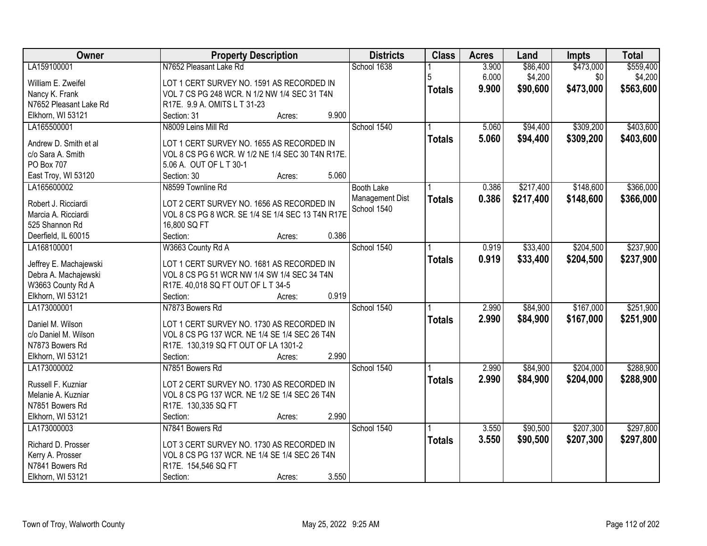| Owner                  | <b>Property Description</b>                      | <b>Districts</b>  | <b>Class</b>  | <b>Acres</b> | Land      | Impts     | <b>Total</b> |
|------------------------|--------------------------------------------------|-------------------|---------------|--------------|-----------|-----------|--------------|
| LA159100001            | N7652 Pleasant Lake Rd                           | School 1638       |               | 3.900        | \$86,400  | \$473,000 | \$559,400    |
| William E. Zweifel     | LOT 1 CERT SURVEY NO. 1591 AS RECORDED IN        |                   | 5             | 6.000        | \$4,200   | \$0       | \$4,200      |
| Nancy K. Frank         | VOL 7 CS PG 248 WCR. N 1/2 NW 1/4 SEC 31 T4N     |                   | <b>Totals</b> | 9.900        | \$90,600  | \$473,000 | \$563,600    |
| N7652 Pleasant Lake Rd | R17E. 9.9 A. OMITS L T 31-23                     |                   |               |              |           |           |              |
| Elkhorn, WI 53121      | 9.900<br>Section: 31<br>Acres:                   |                   |               |              |           |           |              |
| LA165500001            | N8009 Leins Mill Rd                              | School 1540       |               | 5.060        | \$94,400  | \$309,200 | \$403,600    |
|                        |                                                  |                   | <b>Totals</b> | 5.060        | \$94,400  | \$309,200 | \$403,600    |
| Andrew D. Smith et al  | LOT 1 CERT SURVEY NO. 1655 AS RECORDED IN        |                   |               |              |           |           |              |
| c/o Sara A. Smith      | VOL 8 CS PG 6 WCR. W 1/2 NE 1/4 SEC 30 T4N R17E. |                   |               |              |           |           |              |
| PO Box 707             | 5.06 A. OUT OF L T 30-1                          |                   |               |              |           |           |              |
| East Troy, WI 53120    | 5.060<br>Section: 30<br>Acres:                   |                   |               |              |           |           |              |
| LA165600002            | N8599 Townline Rd                                | <b>Booth Lake</b> |               | 0.386        | \$217,400 | \$148,600 | \$366,000    |
| Robert J. Ricciardi    | LOT 2 CERT SURVEY NO. 1656 AS RECORDED IN        | Management Dist   | <b>Totals</b> | 0.386        | \$217,400 | \$148,600 | \$366,000    |
| Marcia A. Ricciardi    | VOL 8 CS PG 8 WCR. SE 1/4 SE 1/4 SEC 13 T4N R17E | School 1540       |               |              |           |           |              |
| 525 Shannon Rd         | 16,800 SQ FT                                     |                   |               |              |           |           |              |
| Deerfield, IL 60015    | 0.386<br>Section:<br>Acres:                      |                   |               |              |           |           |              |
| LA168100001            | W3663 County Rd A                                | School 1540       |               | 0.919        | \$33,400  | \$204,500 | \$237,900    |
|                        |                                                  |                   | <b>Totals</b> | 0.919        | \$33,400  | \$204,500 | \$237,900    |
| Jeffrey E. Machajewski | LOT 1 CERT SURVEY NO. 1681 AS RECORDED IN        |                   |               |              |           |           |              |
| Debra A. Machajewski   | VOL 8 CS PG 51 WCR NW 1/4 SW 1/4 SEC 34 T4N      |                   |               |              |           |           |              |
| W3663 County Rd A      | R17E. 40,018 SQ FT OUT OF L T 34-5               |                   |               |              |           |           |              |
| Elkhorn, WI 53121      | 0.919<br>Section:<br>Acres:                      |                   |               |              |           |           |              |
| LA173000001            | N7873 Bowers Rd                                  | School 1540       |               | 2.990        | \$84,900  | \$167,000 | \$251,900    |
| Daniel M. Wilson       | LOT 1 CERT SURVEY NO. 1730 AS RECORDED IN        |                   | <b>Totals</b> | 2.990        | \$84,900  | \$167,000 | \$251,900    |
| c/o Daniel M. Wilson   | VOL 8 CS PG 137 WCR. NE 1/4 SE 1/4 SEC 26 T4N    |                   |               |              |           |           |              |
| N7873 Bowers Rd        | R17E. 130,319 SQ FT OUT OF LA 1301-2             |                   |               |              |           |           |              |
| Elkhorn, WI 53121      | 2.990<br>Section:<br>Acres:                      |                   |               |              |           |           |              |
| LA173000002            | N7851 Bowers Rd                                  | School 1540       |               | 2.990        | \$84,900  | \$204,000 | \$288,900    |
|                        |                                                  |                   |               |              |           |           |              |
| Russell F. Kuzniar     | LOT 2 CERT SURVEY NO. 1730 AS RECORDED IN        |                   | <b>Totals</b> | 2.990        | \$84,900  | \$204,000 | \$288,900    |
| Melanie A. Kuzniar     | VOL 8 CS PG 137 WCR. NE 1/2 SE 1/4 SEC 26 T4N    |                   |               |              |           |           |              |
| N7851 Bowers Rd        | R17E. 130,335 SQ FT                              |                   |               |              |           |           |              |
| Elkhorn, WI 53121      | 2.990<br>Section:<br>Acres:                      |                   |               |              |           |           |              |
| LA173000003            | N7841 Bowers Rd                                  | School 1540       |               | 3.550        | \$90,500  | \$207,300 | \$297,800    |
|                        |                                                  |                   | <b>Totals</b> | 3.550        | \$90,500  | \$207,300 | \$297,800    |
| Richard D. Prosser     | LOT 3 CERT SURVEY NO. 1730 AS RECORDED IN        |                   |               |              |           |           |              |
| Kerry A. Prosser       | VOL 8 CS PG 137 WCR. NE 1/4 SE 1/4 SEC 26 T4N    |                   |               |              |           |           |              |
| N7841 Bowers Rd        | R17E. 154,546 SQ FT                              |                   |               |              |           |           |              |
| Elkhorn, WI 53121      | 3.550<br>Section:<br>Acres:                      |                   |               |              |           |           |              |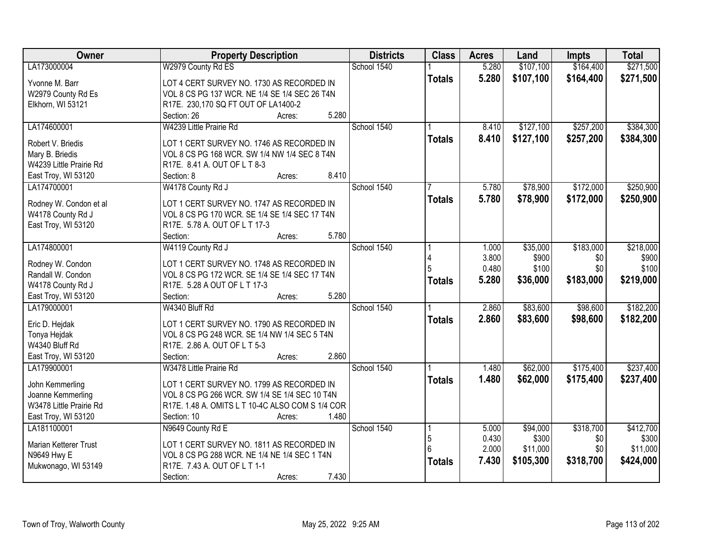| Owner                   | <b>Property Description</b>                      | <b>Districts</b> | <b>Class</b>  | <b>Acres</b> | Land      | <b>Impts</b> | <b>Total</b> |
|-------------------------|--------------------------------------------------|------------------|---------------|--------------|-----------|--------------|--------------|
| LA173000004             | W2979 County Rd ES                               | School 1540      |               | 5.280        | \$107,100 | \$164,400    | \$271,500    |
| Yvonne M. Barr          | LOT 4 CERT SURVEY NO. 1730 AS RECORDED IN        |                  | <b>Totals</b> | 5.280        | \$107,100 | \$164,400    | \$271,500    |
| W2979 County Rd Es      | VOL 8 CS PG 137 WCR. NE 1/4 SE 1/4 SEC 26 T4N    |                  |               |              |           |              |              |
| Elkhorn, WI 53121       | R17E. 230,170 SQ FT OUT OF LA1400-2              |                  |               |              |           |              |              |
|                         | 5.280<br>Section: 26<br>Acres:                   |                  |               |              |           |              |              |
| LA174600001             | W4239 Little Prairie Rd                          | School 1540      |               | 8.410        | \$127,100 | \$257,200    | \$384,300    |
|                         |                                                  |                  | <b>Totals</b> | 8.410        | \$127,100 | \$257,200    | \$384,300    |
| Robert V. Briedis       | LOT 1 CERT SURVEY NO. 1746 AS RECORDED IN        |                  |               |              |           |              |              |
| Mary B. Briedis         | VOL 8 CS PG 168 WCR. SW 1/4 NW 1/4 SEC 8 T4N     |                  |               |              |           |              |              |
| W4239 Little Prairie Rd | R17E. 8.41 A. OUT OF L T 8-3<br>8.410            |                  |               |              |           |              |              |
| East Troy, WI 53120     | Section: 8<br>Acres:                             |                  |               |              |           |              |              |
| LA174700001             | W4178 County Rd J                                | School 1540      |               | 5.780        | \$78,900  | \$172,000    | \$250,900    |
| Rodney W. Condon et al  | LOT 1 CERT SURVEY NO. 1747 AS RECORDED IN        |                  | <b>Totals</b> | 5.780        | \$78,900  | \$172,000    | \$250,900    |
| W4178 County Rd J       | VOL 8 CS PG 170 WCR. SE 1/4 SE 1/4 SEC 17 T4N    |                  |               |              |           |              |              |
| East Troy, WI 53120     | R17E. 5.78 A. OUT OF L T 17-3                    |                  |               |              |           |              |              |
|                         | 5.780<br>Section:<br>Acres:                      |                  |               |              |           |              |              |
| LA174800001             | W4119 County Rd J                                | School 1540      |               | 1.000        | \$35,000  | \$183,000    | \$218,000    |
|                         |                                                  |                  |               | 3.800        | \$900     | \$0          | \$900        |
| Rodney W. Condon        | LOT 1 CERT SURVEY NO. 1748 AS RECORDED IN        |                  |               | 0.480        | \$100     | \$0          | \$100        |
| Randall W. Condon       | VOL 8 CS PG 172 WCR. SE 1/4 SE 1/4 SEC 17 T4N    |                  | <b>Totals</b> | 5.280        | \$36,000  | \$183,000    | \$219,000    |
| W4178 County Rd J       | R17E. 5.28 A OUT OF L T 17-3<br>5.280            |                  |               |              |           |              |              |
| East Troy, WI 53120     | Section:<br>Acres:                               |                  |               |              |           |              |              |
| LA179000001             | W4340 Bluff Rd                                   | School 1540      |               | 2.860        | \$83,600  | \$98,600     | \$182,200    |
| Eric D. Hejdak          | LOT 1 CERT SURVEY NO. 1790 AS RECORDED IN        |                  | <b>Totals</b> | 2.860        | \$83,600  | \$98,600     | \$182,200    |
| Tonya Hejdak            | VOL 8 CS PG 248 WCR. SE 1/4 NW 1/4 SEC 5 T4N     |                  |               |              |           |              |              |
| W4340 Bluff Rd          | R17E. 2.86 A. OUT OF L T 5-3                     |                  |               |              |           |              |              |
| East Troy, WI 53120     | 2.860<br>Section:<br>Acres:                      |                  |               |              |           |              |              |
| LA179900001             | W3478 Little Prairie Rd                          | School 1540      |               | 1.480        | \$62,000  | \$175,400    | \$237,400    |
| John Kemmerling         | LOT 1 CERT SURVEY NO. 1799 AS RECORDED IN        |                  | <b>Totals</b> | 1.480        | \$62,000  | \$175,400    | \$237,400    |
| Joanne Kemmerling       | VOL 8 CS PG 266 WCR. SW 1/4 SE 1/4 SEC 10 T4N    |                  |               |              |           |              |              |
| W3478 Little Prairie Rd | R17E. 1.48 A. OMITS L T 10-4C ALSO COM S 1/4 COR |                  |               |              |           |              |              |
| East Troy, WI 53120     | 1.480<br>Section: 10<br>Acres:                   |                  |               |              |           |              |              |
| LA181100001             | N9649 County Rd E                                | School 1540      |               | 5.000        | \$94,000  | \$318,700    | \$412,700    |
|                         |                                                  |                  | 5             | 0.430        | \$300     | \$0          | \$300        |
| Marian Ketterer Trust   | LOT 1 CERT SURVEY NO. 1811 AS RECORDED IN        |                  | 6             | 2.000        | \$11,000  | \$0          | \$11,000     |
| N9649 Hwy E             | VOL 8 CS PG 288 WCR. NE 1/4 NE 1/4 SEC 1 T4N     |                  |               | 7.430        | \$105,300 | \$318,700    | \$424,000    |
| Mukwonago, WI 53149     | R17E. 7.43 A. OUT OF L T 1-1                     |                  | <b>Totals</b> |              |           |              |              |
|                         | 7.430<br>Section:<br>Acres:                      |                  |               |              |           |              |              |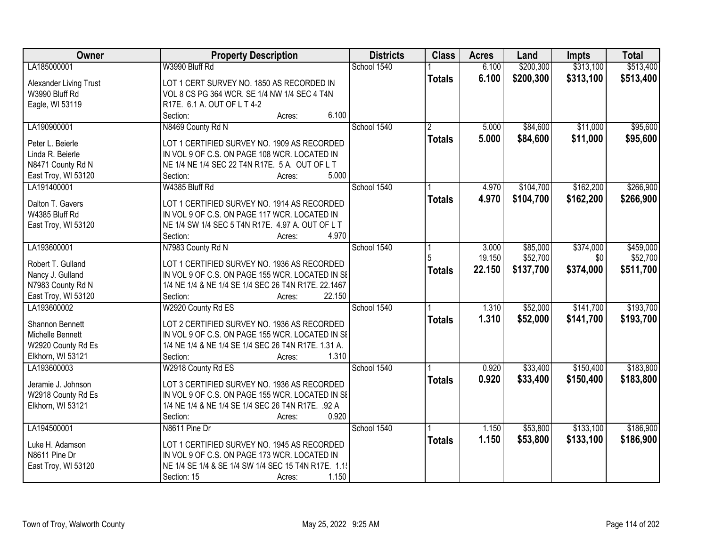| Owner                  | <b>Property Description</b>                                                                    | <b>Districts</b> | <b>Class</b>   | <b>Acres</b> | Land      | <b>Impts</b> | <b>Total</b> |
|------------------------|------------------------------------------------------------------------------------------------|------------------|----------------|--------------|-----------|--------------|--------------|
| LA185000001            | W3990 Bluff Rd                                                                                 | School 1540      |                | 6.100        | \$200,300 | \$313,100    | \$513,400    |
| Alexander Living Trust | LOT 1 CERT SURVEY NO. 1850 AS RECORDED IN                                                      |                  | <b>Totals</b>  | 6.100        | \$200,300 | \$313,100    | \$513,400    |
| W3990 Bluff Rd         | VOL 8 CS PG 364 WCR. SE 1/4 NW 1/4 SEC 4 T4N                                                   |                  |                |              |           |              |              |
| Eagle, WI 53119        | R17E. 6.1 A. OUT OF L T 4-2                                                                    |                  |                |              |           |              |              |
|                        | 6.100<br>Section:<br>Acres:                                                                    |                  |                |              |           |              |              |
| LA190900001            | N8469 County Rd N                                                                              | School 1540      | $\overline{2}$ | 5.000        | \$84,600  | \$11,000     | \$95,600     |
|                        |                                                                                                |                  | <b>Totals</b>  | 5.000        | \$84,600  | \$11,000     | \$95,600     |
| Peter L. Beierle       | LOT 1 CERTIFIED SURVEY NO. 1909 AS RECORDED                                                    |                  |                |              |           |              |              |
| Linda R. Beierle       | IN VOL 9 OF C.S. ON PAGE 108 WCR. LOCATED IN<br>NE 1/4 NE 1/4 SEC 22 T4N R17E. 5 A. OUT OF L T |                  |                |              |           |              |              |
| N8471 County Rd N      | 5.000<br>Section:                                                                              |                  |                |              |           |              |              |
| East Troy, WI 53120    | Acres:<br>W4385 Bluff Rd                                                                       | School 1540      |                | 4.970        | \$104,700 | \$162,200    | \$266,900    |
| LA191400001            |                                                                                                |                  |                |              |           |              |              |
| Dalton T. Gavers       | LOT 1 CERTIFIED SURVEY NO. 1914 AS RECORDED                                                    |                  | <b>Totals</b>  | 4.970        | \$104,700 | \$162,200    | \$266,900    |
| W4385 Bluff Rd         | IN VOL 9 OF C.S. ON PAGE 117 WCR. LOCATED IN                                                   |                  |                |              |           |              |              |
| East Troy, WI 53120    | NE 1/4 SW 1/4 SEC 5 T4N R17E. 4.97 A. OUT OF L T                                               |                  |                |              |           |              |              |
|                        | 4.970<br>Section:<br>Acres:                                                                    |                  |                |              |           |              |              |
| LA193600001            | N7983 County Rd N                                                                              | School 1540      |                | 3.000        | \$85,000  | \$374,000    | \$459,000    |
| Robert T. Gulland      |                                                                                                |                  | 5              | 19.150       | \$52,700  | \$0          | \$52,700     |
| Nancy J. Gulland       | LOT 1 CERTIFIED SURVEY NO. 1936 AS RECORDED<br>IN VOL 9 OF C.S. ON PAGE 155 WCR. LOCATED IN SI |                  | <b>Totals</b>  | 22.150       | \$137,700 | \$374,000    | \$511,700    |
| N7983 County Rd N      | 1/4 NE 1/4 & NE 1/4 SE 1/4 SEC 26 T4N R17E. 22.1467                                            |                  |                |              |           |              |              |
| East Troy, WI 53120    | Section:<br>22.150<br>Acres:                                                                   |                  |                |              |           |              |              |
| LA193600002            | W2920 County Rd ES                                                                             | School 1540      |                | 1.310        | \$52,000  | \$141,700    | \$193,700    |
|                        |                                                                                                |                  |                |              |           |              |              |
| Shannon Bennett        | LOT 2 CERTIFIED SURVEY NO. 1936 AS RECORDED                                                    |                  | <b>Totals</b>  | 1.310        | \$52,000  | \$141,700    | \$193,700    |
| Michelle Bennett       | IN VOL 9 OF C.S. ON PAGE 155 WCR. LOCATED IN SI                                                |                  |                |              |           |              |              |
| W2920 County Rd Es     | 1/4 NE 1/4 & NE 1/4 SE 1/4 SEC 26 T4N R17E. 1.31 A.                                            |                  |                |              |           |              |              |
| Elkhorn, WI 53121      | 1.310<br>Section:<br>Acres:                                                                    |                  |                |              |           |              |              |
| LA193600003            | W2918 County Rd ES                                                                             | School 1540      |                | 0.920        | \$33,400  | \$150,400    | \$183,800    |
| Jeramie J. Johnson     | LOT 3 CERTIFIED SURVEY NO. 1936 AS RECORDED                                                    |                  | <b>Totals</b>  | 0.920        | \$33,400  | \$150,400    | \$183,800    |
| W2918 County Rd Es     | IN VOL 9 OF C.S. ON PAGE 155 WCR. LOCATED IN SI                                                |                  |                |              |           |              |              |
| Elkhorn, WI 53121      | 1/4 NE 1/4 & NE 1/4 SE 1/4 SEC 26 T4N R17E. .92 A                                              |                  |                |              |           |              |              |
|                        | 0.920<br>Section:<br>Acres:                                                                    |                  |                |              |           |              |              |
| LA194500001            | N8611 Pine Dr                                                                                  | School 1540      |                | 1.150        | \$53,800  | \$133,100    | \$186,900    |
|                        |                                                                                                |                  |                | 1.150        |           |              |              |
| Luke H. Adamson        | LOT 1 CERTIFIED SURVEY NO. 1945 AS RECORDED                                                    |                  | <b>Totals</b>  |              | \$53,800  | \$133,100    | \$186,900    |
| N8611 Pine Dr          | IN VOL 9 OF C.S. ON PAGE 173 WCR. LOCATED IN                                                   |                  |                |              |           |              |              |
| East Troy, WI 53120    | NE 1/4 SE 1/4 & SE 1/4 SW 1/4 SEC 15 T4N R17E. 1.1                                             |                  |                |              |           |              |              |
|                        | 1.150<br>Section: 15<br>Acres:                                                                 |                  |                |              |           |              |              |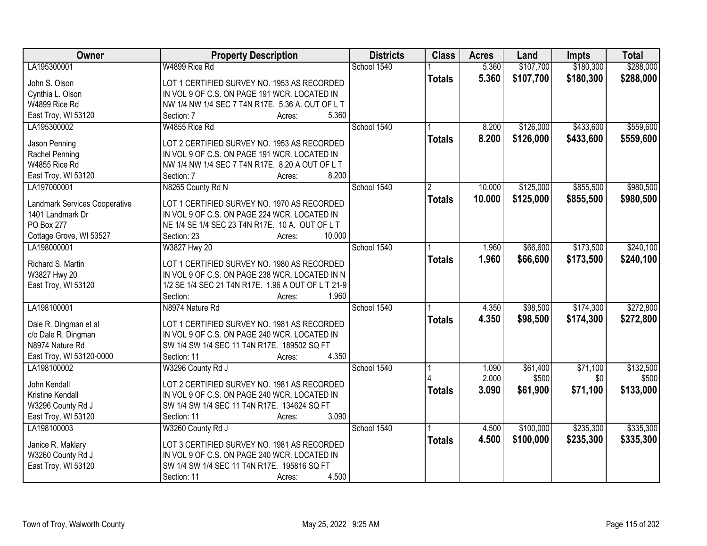| Owner                              | <b>Property Description</b>                                                                 | <b>Districts</b> | <b>Class</b>  | <b>Acres</b> | Land      | <b>Impts</b> | <b>Total</b> |
|------------------------------------|---------------------------------------------------------------------------------------------|------------------|---------------|--------------|-----------|--------------|--------------|
| LA195300001                        | W4899 Rice Rd                                                                               | School 1540      |               | 5.360        | \$107,700 | \$180,300    | \$288,000    |
| John S. Olson                      | LOT 1 CERTIFIED SURVEY NO. 1953 AS RECORDED                                                 |                  | <b>Totals</b> | 5.360        | \$107,700 | \$180,300    | \$288,000    |
| Cynthia L. Olson                   | IN VOL 9 OF C.S. ON PAGE 191 WCR. LOCATED IN                                                |                  |               |              |           |              |              |
| W4899 Rice Rd                      | NW 1/4 NW 1/4 SEC 7 T4N R17E. 5.36 A. OUT OF L T                                            |                  |               |              |           |              |              |
| East Troy, WI 53120                | 5.360<br>Section: 7<br>Acres:                                                               |                  |               |              |           |              |              |
| LA195300002                        | W4855 Rice Rd                                                                               | School 1540      |               | 8.200        | \$126,000 | \$433,600    | \$559,600    |
|                                    |                                                                                             |                  | <b>Totals</b> | 8.200        | \$126,000 | \$433,600    | \$559,600    |
| Jason Penning                      | LOT 2 CERTIFIED SURVEY NO. 1953 AS RECORDED                                                 |                  |               |              |           |              |              |
| Rachel Penning                     | IN VOL 9 OF C.S. ON PAGE 191 WCR. LOCATED IN                                                |                  |               |              |           |              |              |
| W4855 Rice Rd                      | NW 1/4 NW 1/4 SEC 7 T4N R17E. 8.20 A OUT OF L T                                             |                  |               |              |           |              |              |
| East Troy, WI 53120                | 8.200<br>Section: 7<br>Acres:                                                               |                  |               |              |           |              |              |
| LA197000001                        | N8265 County Rd N                                                                           | School 1540      | 2             | 10.000       | \$125,000 | \$855,500    | \$980,500    |
| Landmark Services Cooperative      | LOT 1 CERTIFIED SURVEY NO. 1970 AS RECORDED                                                 |                  | <b>Totals</b> | 10.000       | \$125,000 | \$855,500    | \$980,500    |
| 1401 Landmark Dr                   | IN VOL 9 OF C.S. ON PAGE 224 WCR. LOCATED IN                                                |                  |               |              |           |              |              |
| PO Box 277                         | NE 1/4 SE 1/4 SEC 23 T4N R17E. 10 A. OUT OF L T                                             |                  |               |              |           |              |              |
| Cottage Grove, WI 53527            | 10.000<br>Section: 23<br>Acres:                                                             |                  |               |              |           |              |              |
| LA198000001                        | W3827 Hwy 20                                                                                | School 1540      |               | 1.960        | \$66,600  | \$173,500    | \$240,100    |
|                                    |                                                                                             |                  | <b>Totals</b> | 1.960        | \$66,600  | \$173,500    | \$240,100    |
| Richard S. Martin                  | LOT 1 CERTIFIED SURVEY NO. 1980 AS RECORDED                                                 |                  |               |              |           |              |              |
| W3827 Hwy 20                       | IN VOL 9 OF C.S. ON PAGE 238 WCR. LOCATED IN N                                              |                  |               |              |           |              |              |
| East Troy, WI 53120                | 1/2 SE 1/4 SEC 21 T4N R17E. 1.96 A OUT OF L T 21-9                                          |                  |               |              |           |              |              |
|                                    | Section:<br>1.960<br>Acres:                                                                 |                  |               |              |           |              |              |
| LA198100001                        | N8974 Nature Rd                                                                             | School 1540      |               | 4.350        | \$98,500  | \$174,300    | \$272,800    |
| Dale R. Dingman et al              | LOT 1 CERTIFIED SURVEY NO. 1981 AS RECORDED                                                 |                  | <b>Totals</b> | 4.350        | \$98,500  | \$174,300    | \$272,800    |
| c/o Dale R. Dingman                | IN VOL 9 OF C.S. ON PAGE 240 WCR. LOCATED IN                                                |                  |               |              |           |              |              |
| N8974 Nature Rd                    | SW 1/4 SW 1/4 SEC 11 T4N R17E. 189502 SQ FT                                                 |                  |               |              |           |              |              |
| East Troy, WI 53120-0000           | 4.350<br>Section: 11<br>Acres:                                                              |                  |               |              |           |              |              |
| LA198100002                        | W3296 County Rd J                                                                           | School 1540      |               | 1.090        | \$61,400  | \$71,100     | \$132,500    |
|                                    |                                                                                             |                  |               | 2.000        | \$500     | \$0          | \$500        |
| John Kendall                       | LOT 2 CERTIFIED SURVEY NO. 1981 AS RECORDED                                                 |                  | <b>Totals</b> | 3.090        | \$61,900  | \$71,100     | \$133,000    |
| Kristine Kendall                   | IN VOL 9 OF C.S. ON PAGE 240 WCR. LOCATED IN<br>SW 1/4 SW 1/4 SEC 11 T4N R17E. 134624 SQ FT |                  |               |              |           |              |              |
| W3296 County Rd J                  | 3.090                                                                                       |                  |               |              |           |              |              |
| East Troy, WI 53120<br>LA198100003 | Section: 11<br>Acres:                                                                       | School 1540      |               |              |           | \$235,300    | \$335,300    |
|                                    | W3260 County Rd J                                                                           |                  |               | 4.500        | \$100,000 |              |              |
| Janice R. Maklary                  | LOT 3 CERTIFIED SURVEY NO. 1981 AS RECORDED                                                 |                  | <b>Totals</b> | 4.500        | \$100,000 | \$235,300    | \$335,300    |
| W3260 County Rd J                  | IN VOL 9 OF C.S. ON PAGE 240 WCR. LOCATED IN                                                |                  |               |              |           |              |              |
| East Troy, WI 53120                | SW 1/4 SW 1/4 SEC 11 T4N R17E. 195816 SQ FT                                                 |                  |               |              |           |              |              |
|                                    | 4.500<br>Section: 11<br>Acres:                                                              |                  |               |              |           |              |              |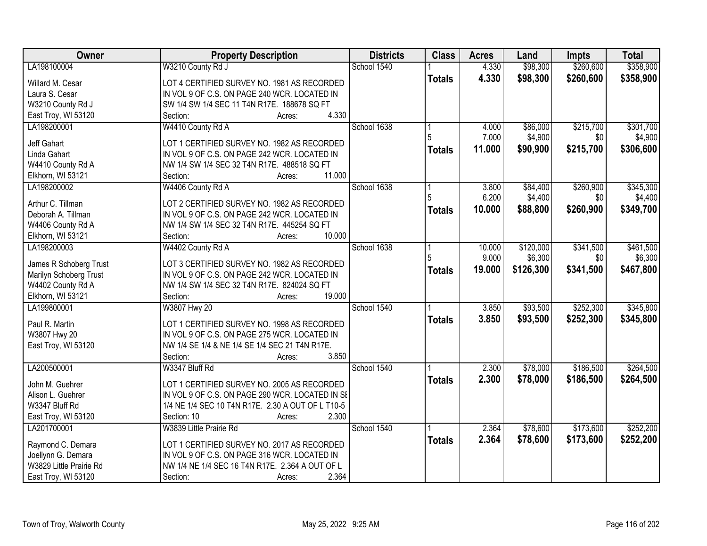| Owner                                       | <b>Property Description</b>                                                                 | <b>Districts</b> | <b>Class</b>  | <b>Acres</b> | Land      | <b>Impts</b> | <b>Total</b> |
|---------------------------------------------|---------------------------------------------------------------------------------------------|------------------|---------------|--------------|-----------|--------------|--------------|
| LA198100004                                 | W3210 County Rd J                                                                           | School 1540      |               | 4.330        | \$98,300  | \$260,600    | \$358,900    |
| Willard M. Cesar                            | LOT 4 CERTIFIED SURVEY NO. 1981 AS RECORDED                                                 |                  | <b>Totals</b> | 4.330        | \$98,300  | \$260,600    | \$358,900    |
| Laura S. Cesar                              | IN VOL 9 OF C.S. ON PAGE 240 WCR. LOCATED IN                                                |                  |               |              |           |              |              |
| W3210 County Rd J                           | SW 1/4 SW 1/4 SEC 11 T4N R17E. 188678 SQ FT                                                 |                  |               |              |           |              |              |
| East Troy, WI 53120                         | 4.330<br>Section:<br>Acres:                                                                 |                  |               |              |           |              |              |
| LA198200001                                 | W4410 County Rd A                                                                           | School 1638      |               | 4.000        | \$86,000  | \$215,700    | \$301,700    |
|                                             |                                                                                             |                  | 5             | 7.000        | \$4,900   | \$0          | \$4,900      |
| <b>Jeff Gahart</b>                          | LOT 1 CERTIFIED SURVEY NO. 1982 AS RECORDED                                                 |                  | <b>Totals</b> | 11.000       | \$90,900  | \$215,700    | \$306,600    |
| Linda Gahart                                | IN VOL 9 OF C.S. ON PAGE 242 WCR. LOCATED IN                                                |                  |               |              |           |              |              |
| W4410 County Rd A                           | NW 1/4 SW 1/4 SEC 32 T4N R17E. 488518 SQ FT                                                 |                  |               |              |           |              |              |
| Elkhorn, WI 53121                           | 11.000<br>Section:<br>Acres:                                                                |                  |               |              |           |              |              |
| LA198200002                                 | W4406 County Rd A                                                                           | School 1638      |               | 3.800        | \$84,400  | \$260,900    | \$345,300    |
| Arthur C. Tillman                           | LOT 2 CERTIFIED SURVEY NO. 1982 AS RECORDED                                                 |                  |               | 6.200        | \$4,400   | \$0          | \$4,400      |
| Deborah A. Tillman                          | IN VOL 9 OF C.S. ON PAGE 242 WCR. LOCATED IN                                                |                  | <b>Totals</b> | 10.000       | \$88,800  | \$260,900    | \$349,700    |
| W4406 County Rd A                           | NW 1/4 SW 1/4 SEC 32 T4N R17E. 445254 SQ FT                                                 |                  |               |              |           |              |              |
| Elkhorn, WI 53121                           | 10.000<br>Section:<br>Acres:                                                                |                  |               |              |           |              |              |
| LA198200003                                 | W4402 County Rd A                                                                           | School 1638      |               | 10.000       | \$120,000 | \$341,500    | \$461,500    |
|                                             |                                                                                             |                  | 5             | 9.000        | \$6,300   | \$0          | \$6,300      |
| James R Schoberg Trust                      | LOT 3 CERTIFIED SURVEY NO. 1982 AS RECORDED<br>IN VOL 9 OF C.S. ON PAGE 242 WCR. LOCATED IN |                  | <b>Totals</b> | 19.000       | \$126,300 | \$341,500    | \$467,800    |
| Marilyn Schoberg Trust<br>W4402 County Rd A | NW 1/4 SW 1/4 SEC 32 T4N R17E. 824024 SQ FT                                                 |                  |               |              |           |              |              |
| Elkhorn, WI 53121                           | Section:<br>19.000<br>Acres:                                                                |                  |               |              |           |              |              |
| LA199800001                                 | W3807 Hwy 20                                                                                | School 1540      |               | 3.850        | \$93,500  | \$252,300    | \$345,800    |
|                                             |                                                                                             |                  | <b>Totals</b> | 3.850        | \$93,500  | \$252,300    | \$345,800    |
| Paul R. Martin                              | LOT 1 CERTIFIED SURVEY NO. 1998 AS RECORDED                                                 |                  |               |              |           |              |              |
| W3807 Hwy 20                                | IN VOL 9 OF C.S. ON PAGE 275 WCR. LOCATED IN                                                |                  |               |              |           |              |              |
| East Troy, WI 53120                         | NW 1/4 SE 1/4 & NE 1/4 SE 1/4 SEC 21 T4N R17E.                                              |                  |               |              |           |              |              |
|                                             | 3.850<br>Section:<br>Acres:                                                                 |                  |               |              |           |              |              |
| LA200500001                                 | W3347 Bluff Rd                                                                              | School 1540      |               | 2.300        | \$78,000  | \$186,500    | \$264,500    |
| John M. Guehrer                             | LOT 1 CERTIFIED SURVEY NO. 2005 AS RECORDED                                                 |                  | <b>Totals</b> | 2.300        | \$78,000  | \$186,500    | \$264,500    |
| Alison L. Guehrer                           | IN VOL 9 OF C.S. ON PAGE 290 WCR. LOCATED IN SI                                             |                  |               |              |           |              |              |
| W3347 Bluff Rd                              | 1/4 NE 1/4 SEC 10 T4N R17E. 2.30 A OUT OF L T10-5                                           |                  |               |              |           |              |              |
| East Troy, WI 53120                         | 2.300<br>Section: 10<br>Acres:                                                              |                  |               |              |           |              |              |
| LA201700001                                 | W3839 Little Prairie Rd                                                                     | School 1540      |               | 2.364        | \$78,600  | \$173,600    | \$252,200    |
|                                             |                                                                                             |                  | <b>Totals</b> | 2.364        | \$78,600  | \$173,600    | \$252,200    |
| Raymond C. Demara                           | LOT 1 CERTIFIED SURVEY NO. 2017 AS RECORDED                                                 |                  |               |              |           |              |              |
| Joellynn G. Demara                          | IN VOL 9 OF C.S. ON PAGE 316 WCR. LOCATED IN                                                |                  |               |              |           |              |              |
| W3829 Little Prairie Rd                     | NW 1/4 NE 1/4 SEC 16 T4N R17E. 2.364 A OUT OF L                                             |                  |               |              |           |              |              |
| East Troy, WI 53120                         | 2.364<br>Section:<br>Acres:                                                                 |                  |               |              |           |              |              |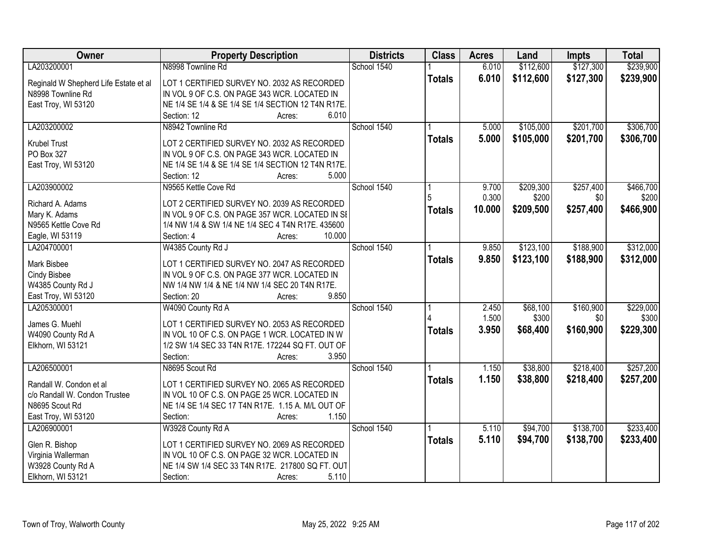| Owner                                 | <b>Property Description</b>                                                | <b>Districts</b> | <b>Class</b>  | <b>Acres</b> | Land      | <b>Impts</b> | <b>Total</b> |
|---------------------------------------|----------------------------------------------------------------------------|------------------|---------------|--------------|-----------|--------------|--------------|
| LA203200001                           | N8998 Townline Rd                                                          | School 1540      |               | 6.010        | \$112,600 | \$127,300    | \$239,900    |
| Reginald W Shepherd Life Estate et al | LOT 1 CERTIFIED SURVEY NO. 2032 AS RECORDED                                |                  | <b>Totals</b> | 6.010        | \$112,600 | \$127,300    | \$239,900    |
| N8998 Townline Rd                     | IN VOL 9 OF C.S. ON PAGE 343 WCR. LOCATED IN                               |                  |               |              |           |              |              |
| East Troy, WI 53120                   | NE 1/4 SE 1/4 & SE 1/4 SE 1/4 SECTION 12 T4N R17E.                         |                  |               |              |           |              |              |
|                                       | 6.010<br>Section: 12<br>Acres:                                             |                  |               |              |           |              |              |
| LA203200002                           | N8942 Townline Rd                                                          | School 1540      |               | 5.000        | \$105,000 | \$201,700    | \$306,700    |
|                                       |                                                                            |                  | <b>Totals</b> | 5.000        | \$105,000 | \$201,700    | \$306,700    |
| <b>Krubel Trust</b>                   | LOT 2 CERTIFIED SURVEY NO. 2032 AS RECORDED                                |                  |               |              |           |              |              |
| PO Box 327                            | IN VOL 9 OF C.S. ON PAGE 343 WCR. LOCATED IN                               |                  |               |              |           |              |              |
| East Troy, WI 53120                   | NE 1/4 SE 1/4 & SE 1/4 SE 1/4 SECTION 12 T4N R17E.<br>5.000<br>Section: 12 |                  |               |              |           |              |              |
| LA203900002                           | Acres:<br>N9565 Kettle Cove Rd                                             | School 1540      |               | 9.700        | \$209,300 | \$257,400    | \$466,700    |
|                                       |                                                                            |                  |               | 0.300        | \$200     | \$0          | \$200        |
| Richard A. Adams                      | LOT 2 CERTIFIED SURVEY NO. 2039 AS RECORDED                                |                  |               | 10.000       | \$209,500 |              |              |
| Mary K. Adams                         | IN VOL 9 OF C.S. ON PAGE 357 WCR. LOCATED IN SI                            |                  | <b>Totals</b> |              |           | \$257,400    | \$466,900    |
| N9565 Kettle Cove Rd                  | 1/4 NW 1/4 & SW 1/4 NE 1/4 SEC 4 T4N R17E. 435600                          |                  |               |              |           |              |              |
| Eagle, WI 53119                       | Section: 4<br>10.000<br>Acres:                                             |                  |               |              |           |              |              |
| LA204700001                           | W4385 County Rd J                                                          | School 1540      |               | 9.850        | \$123,100 | \$188,900    | \$312,000    |
| Mark Bisbee                           | LOT 1 CERTIFIED SURVEY NO. 2047 AS RECORDED                                |                  | <b>Totals</b> | 9.850        | \$123,100 | \$188,900    | \$312,000    |
| <b>Cindy Bisbee</b>                   | IN VOL 9 OF C.S. ON PAGE 377 WCR. LOCATED IN                               |                  |               |              |           |              |              |
| W4385 County Rd J                     | NW 1/4 NW 1/4 & NE 1/4 NW 1/4 SEC 20 T4N R17E.                             |                  |               |              |           |              |              |
| East Troy, WI 53120                   | Section: 20<br>9.850<br>Acres:                                             |                  |               |              |           |              |              |
| LA205300001                           | W4090 County Rd A                                                          | School 1540      |               | 2.450        | \$68,100  | \$160,900    | \$229,000    |
|                                       |                                                                            |                  |               | 1.500        | \$300     | \$0          | \$300        |
| James G. Muehl                        | LOT 1 CERTIFIED SURVEY NO. 2053 AS RECORDED                                |                  | <b>Totals</b> | 3.950        | \$68,400  | \$160,900    | \$229,300    |
| W4090 County Rd A                     | IN VOL 10 OF C.S. ON PAGE 1 WCR. LOCATED IN W                              |                  |               |              |           |              |              |
| Elkhorn, WI 53121                     | 1/2 SW 1/4 SEC 33 T4N R17E. 172244 SQ FT. OUT OF                           |                  |               |              |           |              |              |
|                                       | 3.950<br>Section:<br>Acres:                                                |                  |               |              |           |              |              |
| LA206500001                           | N8695 Scout Rd                                                             | School 1540      |               | 1.150        | \$38,800  | \$218,400    | \$257,200    |
| Randall W. Condon et al               | LOT 1 CERTIFIED SURVEY NO. 2065 AS RECORDED                                |                  | <b>Totals</b> | 1.150        | \$38,800  | \$218,400    | \$257,200    |
| c/o Randall W. Condon Trustee         | IN VOL 10 OF C.S. ON PAGE 25 WCR. LOCATED IN                               |                  |               |              |           |              |              |
| N8695 Scout Rd                        | NE 1/4 SE 1/4 SEC 17 T4N R17E. 1.15 A. M/L OUT OF                          |                  |               |              |           |              |              |
| East Troy, WI 53120                   | Section:<br>1.150<br>Acres:                                                |                  |               |              |           |              |              |
| LA206900001                           | W3928 County Rd A                                                          | School 1540      |               | 5.110        | \$94,700  | \$138,700    | \$233,400    |
|                                       |                                                                            |                  | <b>Totals</b> | 5.110        | \$94,700  | \$138,700    | \$233,400    |
| Glen R. Bishop                        | LOT 1 CERTIFIED SURVEY NO. 2069 AS RECORDED                                |                  |               |              |           |              |              |
| Virginia Wallerman                    | IN VOL 10 OF C.S. ON PAGE 32 WCR. LOCATED IN                               |                  |               |              |           |              |              |
| W3928 County Rd A                     | NE 1/4 SW 1/4 SEC 33 T4N R17E. 217800 SQ FT. OUT                           |                  |               |              |           |              |              |
| Elkhorn, WI 53121                     | Section:<br>5.110<br>Acres:                                                |                  |               |              |           |              |              |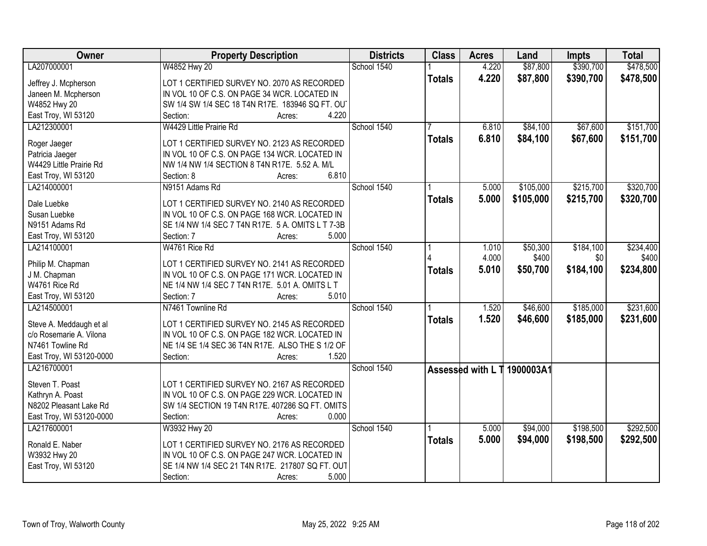| <b>Owner</b>                       | <b>Property Description</b>                                                      | <b>Districts</b> | <b>Class</b>  | <b>Acres</b> | Land                        | <b>Impts</b> | <b>Total</b> |
|------------------------------------|----------------------------------------------------------------------------------|------------------|---------------|--------------|-----------------------------|--------------|--------------|
| LA207000001                        | W4852 Hwy 20                                                                     | School 1540      |               | 4.220        | \$87,800                    | \$390,700    | \$478,500    |
| Jeffrey J. Mcpherson               | LOT 1 CERTIFIED SURVEY NO. 2070 AS RECORDED                                      |                  | <b>Totals</b> | 4.220        | \$87,800                    | \$390,700    | \$478,500    |
| Janeen M. Mcpherson                | IN VOL 10 OF C.S. ON PAGE 34 WCR. LOCATED IN                                     |                  |               |              |                             |              |              |
| W4852 Hwy 20                       | SW 1/4 SW 1/4 SEC 18 T4N R17E. 183946 SQ FT. OU                                  |                  |               |              |                             |              |              |
| East Troy, WI 53120                | 4.220<br>Section:<br>Acres:                                                      |                  |               |              |                             |              |              |
| LA212300001                        | W4429 Little Prairie Rd                                                          | School 1540      |               | 6.810        | \$84,100                    | \$67,600     | \$151,700    |
|                                    |                                                                                  |                  | <b>Totals</b> | 6.810        | \$84,100                    | \$67,600     | \$151,700    |
| Roger Jaeger                       | LOT 1 CERTIFIED SURVEY NO. 2123 AS RECORDED                                      |                  |               |              |                             |              |              |
| Patricia Jaeger                    | IN VOL 10 OF C.S. ON PAGE 134 WCR. LOCATED IN                                    |                  |               |              |                             |              |              |
| W4429 Little Prairie Rd            | NW 1/4 NW 1/4 SECTION 8 T4N R17E. 5.52 A. M/L                                    |                  |               |              |                             |              |              |
| East Troy, WI 53120                | 6.810<br>Section: 8<br>Acres:                                                    |                  |               |              |                             |              |              |
| LA214000001                        | N9151 Adams Rd                                                                   | School 1540      |               | 5.000        | \$105,000                   | \$215,700    | \$320,700    |
| Dale Luebke                        | LOT 1 CERTIFIED SURVEY NO. 2140 AS RECORDED                                      |                  | <b>Totals</b> | 5.000        | \$105,000                   | \$215,700    | \$320,700    |
| Susan Luebke                       | IN VOL 10 OF C.S. ON PAGE 168 WCR. LOCATED IN                                    |                  |               |              |                             |              |              |
| N9151 Adams Rd                     | SE 1/4 NW 1/4 SEC 7 T4N R17E. 5 A. OMITS L T 7-3B                                |                  |               |              |                             |              |              |
| East Troy, WI 53120                | 5.000<br>Section: 7<br>Acres:                                                    |                  |               |              |                             |              |              |
| LA214100001                        | W4761 Rice Rd                                                                    | School 1540      |               | 1.010        | \$50,300                    | \$184,100    | \$234,400    |
|                                    |                                                                                  |                  |               | 4.000        | \$400                       | \$0          | \$400        |
| Philip M. Chapman                  | LOT 1 CERTIFIED SURVEY NO. 2141 AS RECORDED                                      |                  | <b>Totals</b> | 5.010        | \$50,700                    | \$184,100    | \$234,800    |
| J M. Chapman<br>W4761 Rice Rd      | IN VOL 10 OF C.S. ON PAGE 171 WCR. LOCATED IN                                    |                  |               |              |                             |              |              |
|                                    | NE 1/4 NW 1/4 SEC 7 T4N R17E. 5.01 A. OMITS L T<br>5.010<br>Section: 7<br>Acres: |                  |               |              |                             |              |              |
| East Troy, WI 53120<br>LA214500001 | N7461 Townline Rd                                                                | School 1540      |               | 1.520        | \$46,600                    | \$185,000    | \$231,600    |
|                                    |                                                                                  |                  |               |              |                             |              |              |
| Steve A. Meddaugh et al            | LOT 1 CERTIFIED SURVEY NO. 2145 AS RECORDED                                      |                  | <b>Totals</b> | 1.520        | \$46,600                    | \$185,000    | \$231,600    |
| c/o Rosemarie A. Vilona            | IN VOL 10 OF C.S. ON PAGE 182 WCR. LOCATED IN                                    |                  |               |              |                             |              |              |
| N7461 Towline Rd                   | NE 1/4 SE 1/4 SEC 36 T4N R17E. ALSO THE S 1/2 OF                                 |                  |               |              |                             |              |              |
| East Troy, WI 53120-0000           | 1.520<br>Section:<br>Acres:                                                      |                  |               |              |                             |              |              |
| LA216700001                        |                                                                                  | School 1540      |               |              | Assessed with L T 1900003A1 |              |              |
| Steven T. Poast                    | LOT 1 CERTIFIED SURVEY NO. 2167 AS RECORDED                                      |                  |               |              |                             |              |              |
| Kathryn A. Poast                   | IN VOL 10 OF C.S. ON PAGE 229 WCR. LOCATED IN                                    |                  |               |              |                             |              |              |
| N8202 Pleasant Lake Rd             | SW 1/4 SECTION 19 T4N R17E. 407286 SQ FT. OMITS                                  |                  |               |              |                             |              |              |
| East Troy, WI 53120-0000           | 0.000<br>Section:<br>Acres:                                                      |                  |               |              |                             |              |              |
| LA217600001                        | W3932 Hwy 20                                                                     | School 1540      |               | 5.000        | \$94,000                    | \$198,500    | \$292,500    |
|                                    |                                                                                  |                  | <b>Totals</b> | 5.000        | \$94,000                    | \$198,500    | \$292,500    |
| Ronald E. Naber                    | LOT 1 CERTIFIED SURVEY NO. 2176 AS RECORDED                                      |                  |               |              |                             |              |              |
| W3932 Hwy 20                       | IN VOL 10 OF C.S. ON PAGE 247 WCR. LOCATED IN                                    |                  |               |              |                             |              |              |
| East Troy, WI 53120                | SE 1/4 NW 1/4 SEC 21 T4N R17E. 217807 SQ FT. OUT                                 |                  |               |              |                             |              |              |
|                                    | 5.000<br>Section:<br>Acres:                                                      |                  |               |              |                             |              |              |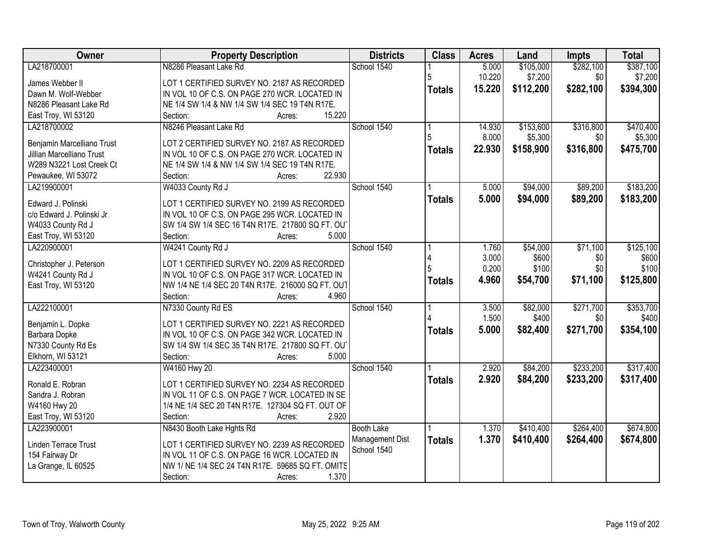| Owner                               | <b>Property Description</b>                                           | <b>Districts</b>               | <b>Class</b>  | <b>Acres</b>   | Land              | Impts            | <b>Total</b>       |
|-------------------------------------|-----------------------------------------------------------------------|--------------------------------|---------------|----------------|-------------------|------------------|--------------------|
| LA218700001                         | N8286 Pleasant Lake Rd                                                | School 1540                    |               | 5.000          | \$105,000         | \$282,100        | \$387,100          |
| James Webber II                     | LOT 1 CERTIFIED SURVEY NO. 2187 AS RECORDED                           |                                | 5             | 10.220         | \$7,200           | \$0              | \$7,200            |
| Dawn M. Wolf-Webber                 | IN VOL 10 OF C.S. ON PAGE 270 WCR. LOCATED IN                         |                                | <b>Totals</b> | 15.220         | \$112,200         | \$282,100        | \$394,300          |
| N8286 Pleasant Lake Rd              | NE 1/4 SW 1/4 & NW 1/4 SW 1/4 SEC 19 T4N R17E.                        |                                |               |                |                   |                  |                    |
| East Troy, WI 53120                 | 15.220<br>Section:<br>Acres:                                          |                                |               |                |                   |                  |                    |
| LA218700002                         | N8246 Pleasant Lake Rd                                                | School 1540                    |               | 14.930         | \$153,600         | \$316,800        | \$470,400          |
|                                     |                                                                       |                                |               | 8.000          | \$5,300           | \$0              | \$5,300            |
| Benjamin Marcelliano Trust          | LOT 2 CERTIFIED SURVEY NO. 2187 AS RECORDED                           |                                | <b>Totals</b> | 22.930         | \$158,900         | \$316,800        | \$475,700          |
| <b>Jillian Marcelliano Trust</b>    | IN VOL 10 OF C.S. ON PAGE 270 WCR. LOCATED IN                         |                                |               |                |                   |                  |                    |
| W289 N3221 Lost Creek Ct            | NE 1/4 SW 1/4 & NW 1/4 SW 1/4 SEC 19 T4N R17E.<br>22.930              |                                |               |                |                   |                  |                    |
| Pewaukee, WI 53072<br>LA219900001   | Section:<br>Acres:                                                    | School 1540                    |               |                | \$94,000          | \$89,200         | \$183,200          |
|                                     | W4033 County Rd J                                                     |                                |               | 5.000          |                   |                  |                    |
| Edward J. Polinski                  | LOT 1 CERTIFIED SURVEY NO. 2199 AS RECORDED                           |                                | <b>Totals</b> | 5.000          | \$94,000          | \$89,200         | \$183,200          |
| c/o Edward J. Polinski Jr           | IN VOL 10 OF C.S. ON PAGE 295 WCR. LOCATED IN                         |                                |               |                |                   |                  |                    |
| W4033 County Rd J                   | SW 1/4 SW 1/4 SEC 16 T4N R17E. 217800 SQ FT. OU                       |                                |               |                |                   |                  |                    |
| East Troy, WI 53120                 | 5.000<br>Section:<br>Acres:                                           |                                |               |                |                   |                  |                    |
| LA220900001                         | W4241 County Rd J                                                     | School 1540                    |               | 1.760          | \$54,000          | \$71,100         | \$125,100          |
|                                     |                                                                       |                                |               | 3.000          | \$600             | \$0              | \$600              |
| Christopher J. Peterson             | LOT 1 CERTIFIED SURVEY NO. 2209 AS RECORDED                           |                                |               | 0.200          | \$100             | \$0              | \$100              |
| W4241 County Rd J                   | IN VOL 10 OF C.S. ON PAGE 317 WCR. LOCATED IN                         |                                | <b>Totals</b> | 4.960          | \$54,700          | \$71,100         | \$125,800          |
| East Troy, WI 53120                 | NW 1/4 NE 1/4 SEC 20 T4N R17E. 216000 SQ FT. OUT<br>Section:<br>4.960 |                                |               |                |                   |                  |                    |
|                                     | Acres:                                                                | School 1540                    |               |                |                   |                  |                    |
| LA222100001                         | N7330 County Rd ES                                                    |                                |               | 3.500<br>1.500 | \$82,000<br>\$400 | \$271,700<br>\$0 | \$353,700<br>\$400 |
| Benjamin L. Dopke                   | LOT 1 CERTIFIED SURVEY NO. 2221 AS RECORDED                           |                                |               |                |                   |                  |                    |
| Barbara Dopke                       | IN VOL 10 OF C.S. ON PAGE 342 WCR. LOCATED IN                         |                                | <b>Totals</b> | 5.000          | \$82,400          | \$271,700        | \$354,100          |
| N7330 County Rd Es                  | SW 1/4 SW 1/4 SEC 35 T4N R17E. 217800 SQ FT. OU                       |                                |               |                |                   |                  |                    |
| Elkhorn, WI 53121                   | 5.000<br>Section:<br>Acres:                                           |                                |               |                |                   |                  |                    |
| LA223400001                         | W4160 Hwy 20                                                          | School 1540                    |               | 2.920          | \$84,200          | \$233,200        | \$317,400          |
| Ronald E. Robran                    | LOT 1 CERTIFIED SURVEY NO. 2234 AS RECORDED                           |                                | <b>Totals</b> | 2.920          | \$84,200          | \$233,200        | \$317,400          |
| Sandra J. Robran                    | IN VOL 11 OF C.S. ON PAGE 7 WCR. LOCATED IN SE                        |                                |               |                |                   |                  |                    |
|                                     | 1/4 NE 1/4 SEC 20 T4N R17E. 127304 SQ FT. OUT OF                      |                                |               |                |                   |                  |                    |
| W4160 Hwy 20<br>East Troy, WI 53120 | 2.920<br>Section:                                                     |                                |               |                |                   |                  |                    |
| LA223900001                         | Acres:<br>N8430 Booth Lake Hghts Rd                                   | <b>Booth Lake</b>              |               | 1.370          | \$410,400         | \$264,400        | \$674,800          |
|                                     |                                                                       |                                |               |                |                   |                  |                    |
| Linden Terrace Trust                | LOT 1 CERTIFIED SURVEY NO. 2239 AS RECORDED                           | Management Dist<br>School 1540 | <b>Totals</b> | 1.370          | \$410,400         | \$264,400        | \$674,800          |
| 154 Fairway Dr                      | IN VOL 11 OF C.S. ON PAGE 16 WCR. LOCATED IN                          |                                |               |                |                   |                  |                    |
| La Grange, IL 60525                 | NW 1/ NE 1/4 SEC 24 T4N R17E. 59685 SQ FT. OMITS                      |                                |               |                |                   |                  |                    |
|                                     | 1.370<br>Section:<br>Acres:                                           |                                |               |                |                   |                  |                    |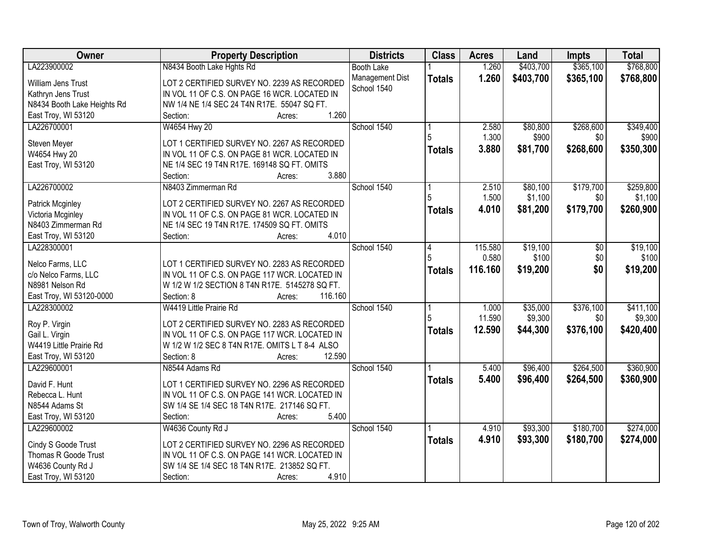| Owner                       | <b>Property Description</b>                    | <b>Districts</b>  | <b>Class</b>  | <b>Acres</b> | Land      | <b>Impts</b>  | <b>Total</b> |
|-----------------------------|------------------------------------------------|-------------------|---------------|--------------|-----------|---------------|--------------|
| LA223900002                 | N8434 Booth Lake Hghts Rd                      | <b>Booth Lake</b> |               | 1.260        | \$403,700 | \$365,100     | \$768,800    |
| William Jens Trust          | LOT 2 CERTIFIED SURVEY NO. 2239 AS RECORDED    | Management Dist   | <b>Totals</b> | 1.260        | \$403,700 | \$365,100     | \$768,800    |
| Kathryn Jens Trust          | IN VOL 11 OF C.S. ON PAGE 16 WCR. LOCATED IN   | School 1540       |               |              |           |               |              |
| N8434 Booth Lake Heights Rd | NW 1/4 NE 1/4 SEC 24 T4N R17E. 55047 SQ FT.    |                   |               |              |           |               |              |
| East Troy, WI 53120         | 1.260<br>Section:<br>Acres:                    |                   |               |              |           |               |              |
| LA226700001                 | W4654 Hwy 20                                   | School 1540       |               | 2.580        | \$80,800  | \$268,600     | \$349,400    |
|                             |                                                |                   |               | 1.300        | \$900     | \$0           | \$900        |
| Steven Meyer                | LOT 1 CERTIFIED SURVEY NO. 2267 AS RECORDED    |                   | <b>Totals</b> | 3.880        | \$81,700  | \$268,600     | \$350,300    |
| W4654 Hwy 20                | IN VOL 11 OF C.S. ON PAGE 81 WCR. LOCATED IN   |                   |               |              |           |               |              |
| East Troy, WI 53120         | NE 1/4 SEC 19 T4N R17E. 169148 SQ FT. OMITS    |                   |               |              |           |               |              |
|                             | 3.880<br>Section:<br>Acres:                    |                   |               |              |           |               |              |
| LA226700002                 | N8403 Zimmerman Rd                             | School 1540       |               | 2.510        | \$80,100  | \$179,700     | \$259,800    |
| Patrick Mcginley            | LOT 2 CERTIFIED SURVEY NO. 2267 AS RECORDED    |                   |               | 1.500        | \$1,100   | \$0           | \$1,100      |
| Victoria Mcginley           | IN VOL 11 OF C.S. ON PAGE 81 WCR. LOCATED IN   |                   | <b>Totals</b> | 4.010        | \$81,200  | \$179,700     | \$260,900    |
| N8403 Zimmerman Rd          | NE 1/4 SEC 19 T4N R17E. 174509 SQ FT. OMITS    |                   |               |              |           |               |              |
| East Troy, WI 53120         | 4.010<br>Section:<br>Acres:                    |                   |               |              |           |               |              |
| LA228300001                 |                                                | School 1540       | 14            | 115.580      | \$19,100  | $\sqrt[6]{3}$ | \$19,100     |
|                             |                                                |                   | 5             | 0.580        | \$100     | \$0           | \$100        |
| Nelco Farms, LLC            | LOT 1 CERTIFIED SURVEY NO. 2283 AS RECORDED    |                   | <b>Totals</b> | 116.160      | \$19,200  | \$0           | \$19,200     |
| c/o Nelco Farms, LLC        | IN VOL 11 OF C.S. ON PAGE 117 WCR. LOCATED IN  |                   |               |              |           |               |              |
| N8981 Nelson Rd             | W 1/2 W 1/2 SECTION 8 T4N R17E. 5145278 SQ FT. |                   |               |              |           |               |              |
| East Troy, WI 53120-0000    | 116.160<br>Section: 8<br>Acres:                |                   |               |              |           |               |              |
| LA228300002                 | W4419 Little Prairie Rd                        | School 1540       |               | 1.000        | \$35,000  | \$376,100     | \$411,100    |
| Roy P. Virgin               | LOT 2 CERTIFIED SURVEY NO. 2283 AS RECORDED    |                   | 5             | 11.590       | \$9,300   | \$0           | \$9,300      |
| Gail L. Virgin              | IN VOL 11 OF C.S. ON PAGE 117 WCR. LOCATED IN  |                   | <b>Totals</b> | 12.590       | \$44,300  | \$376,100     | \$420,400    |
| W4419 Little Prairie Rd     | W 1/2 W 1/2 SEC 8 T4N R17E. OMITS L T 8-4 ALSO |                   |               |              |           |               |              |
| East Troy, WI 53120         | 12.590<br>Section: 8<br>Acres:                 |                   |               |              |           |               |              |
| LA229600001                 | N8544 Adams Rd                                 | School 1540       |               | 5.400        | \$96,400  | \$264,500     | \$360,900    |
|                             |                                                |                   | <b>Totals</b> | 5.400        | \$96,400  | \$264,500     | \$360,900    |
| David F. Hunt               | LOT 1 CERTIFIED SURVEY NO. 2296 AS RECORDED    |                   |               |              |           |               |              |
| Rebecca L. Hunt             | IN VOL 11 OF C.S. ON PAGE 141 WCR. LOCATED IN  |                   |               |              |           |               |              |
| N8544 Adams St              | SW 1/4 SE 1/4 SEC 18 T4N R17E. 217146 SQ FT.   |                   |               |              |           |               |              |
| East Troy, WI 53120         | 5.400<br>Section:<br>Acres:                    |                   |               |              |           |               |              |
| LA229600002                 | W4636 County Rd J                              | School 1540       |               | 4.910        | \$93,300  | \$180,700     | \$274,000    |
| Cindy S Goode Trust         | LOT 2 CERTIFIED SURVEY NO. 2296 AS RECORDED    |                   | <b>Totals</b> | 4.910        | \$93,300  | \$180,700     | \$274,000    |
| Thomas R Goode Trust        | IN VOL 11 OF C.S. ON PAGE 141 WCR. LOCATED IN  |                   |               |              |           |               |              |
| W4636 County Rd J           | SW 1/4 SE 1/4 SEC 18 T4N R17E. 213852 SQ FT.   |                   |               |              |           |               |              |
| East Troy, WI 53120         | 4.910<br>Section:<br>Acres:                    |                   |               |              |           |               |              |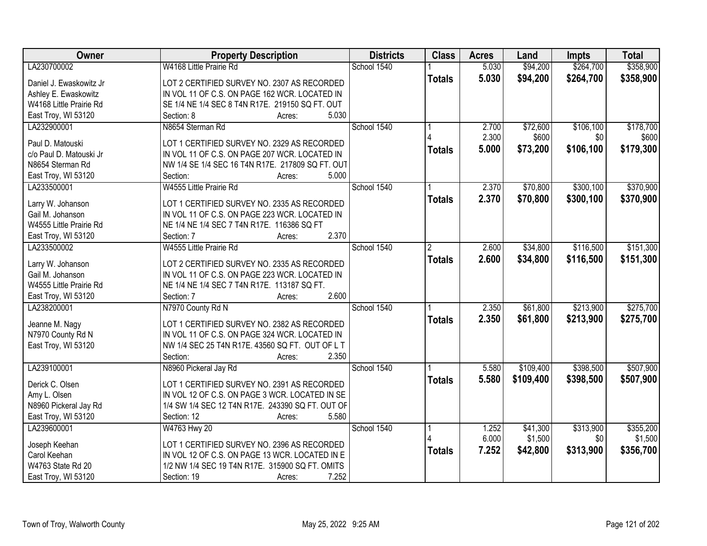| Owner                                 | <b>Property Description</b>                         | <b>Districts</b> | <b>Class</b>   | <b>Acres</b> | Land      | <b>Impts</b> | <b>Total</b> |
|---------------------------------------|-----------------------------------------------------|------------------|----------------|--------------|-----------|--------------|--------------|
| LA230700002                           | W4168 Little Prairie Rd                             | School 1540      |                | 5.030        | \$94,200  | \$264,700    | \$358,900    |
| Daniel J. Ewaskowitz Jr               | LOT 2 CERTIFIED SURVEY NO. 2307 AS RECORDED         |                  | <b>Totals</b>  | 5.030        | \$94,200  | \$264,700    | \$358,900    |
| Ashley E. Ewaskowitz                  | IN VOL 11 OF C.S. ON PAGE 162 WCR. LOCATED IN       |                  |                |              |           |              |              |
| W4168 Little Prairie Rd               | SE 1/4 NE 1/4 SEC 8 T4N R17E. 219150 SQ FT. OUT     |                  |                |              |           |              |              |
| East Troy, WI 53120                   | 5.030<br>Section: 8<br>Acres:                       |                  |                |              |           |              |              |
| LA232900001                           | N8654 Sterman Rd                                    | School 1540      |                | 2.700        | \$72,600  | \$106,100    | \$178,700    |
|                                       |                                                     |                  |                | 2.300        | \$600     | \$0          | \$600        |
| Paul D. Matouski                      | LOT 1 CERTIFIED SURVEY NO. 2329 AS RECORDED         |                  | <b>Totals</b>  | 5.000        | \$73,200  | \$106,100    | \$179,300    |
| c/o Paul D. Matouski Jr               | IN VOL 11 OF C.S. ON PAGE 207 WCR. LOCATED IN       |                  |                |              |           |              |              |
| N8654 Sterman Rd                      | NW 1/4 SE 1/4 SEC 16 T4N R17E. 217809 SQ FT. OUT    |                  |                |              |           |              |              |
| East Troy, WI 53120                   | 5.000<br>Section:<br>Acres:                         |                  |                |              |           |              |              |
| LA233500001                           | W4555 Little Prairie Rd                             | School 1540      |                | 2.370        | \$70,800  | \$300,100    | \$370,900    |
|                                       |                                                     |                  | <b>Totals</b>  | 2.370        | \$70,800  | \$300,100    | \$370,900    |
| Larry W. Johanson<br>Gail M. Johanson | LOT 1 CERTIFIED SURVEY NO. 2335 AS RECORDED         |                  |                |              |           |              |              |
|                                       | IN VOL 11 OF C.S. ON PAGE 223 WCR. LOCATED IN       |                  |                |              |           |              |              |
| W4555 Little Prairie Rd               | NE 1/4 NE 1/4 SEC 7 T4N R17E. 116386 SQ FT<br>2.370 |                  |                |              |           |              |              |
| East Troy, WI 53120                   | Section: 7<br>Acres:                                |                  |                |              |           |              |              |
| LA233500002                           | W4555 Little Prairie Rd                             | School 1540      | $\overline{2}$ | 2.600        | \$34,800  | \$116,500    | \$151,300    |
| Larry W. Johanson                     | LOT 2 CERTIFIED SURVEY NO. 2335 AS RECORDED         |                  | <b>Totals</b>  | 2.600        | \$34,800  | \$116,500    | \$151,300    |
| Gail M. Johanson                      | IN VOL 11 OF C.S. ON PAGE 223 WCR. LOCATED IN       |                  |                |              |           |              |              |
| W4555 Little Prairie Rd               | NE 1/4 NE 1/4 SEC 7 T4N R17E. 113187 SQ FT.         |                  |                |              |           |              |              |
| East Troy, WI 53120                   | 2.600<br>Section: 7<br>Acres:                       |                  |                |              |           |              |              |
| LA238200001                           | N7970 County Rd N                                   | School 1540      |                | 2.350        | \$61,800  | \$213,900    | \$275,700    |
|                                       |                                                     |                  | <b>Totals</b>  | 2.350        | \$61,800  | \$213,900    | \$275,700    |
| Jeanne M. Nagy                        | LOT 1 CERTIFIED SURVEY NO. 2382 AS RECORDED         |                  |                |              |           |              |              |
| N7970 County Rd N                     | IN VOL 11 OF C.S. ON PAGE 324 WCR. LOCATED IN       |                  |                |              |           |              |              |
| East Troy, WI 53120                   | NW 1/4 SEC 25 T4N R17E. 43560 SQ FT. OUT OF L T     |                  |                |              |           |              |              |
|                                       | 2.350<br>Section:<br>Acres:                         |                  |                |              |           |              |              |
| LA239100001                           | N8960 Pickeral Jay Rd                               | School 1540      |                | 5.580        | \$109,400 | \$398,500    | \$507,900    |
| Derick C. Olsen                       | LOT 1 CERTIFIED SURVEY NO. 2391 AS RECORDED         |                  | <b>Totals</b>  | 5.580        | \$109,400 | \$398,500    | \$507,900    |
| Amy L. Olsen                          | IN VOL 12 OF C.S. ON PAGE 3 WCR. LOCATED IN SE      |                  |                |              |           |              |              |
| N8960 Pickeral Jay Rd                 | 1/4 SW 1/4 SEC 12 T4N R17E. 243390 SQ FT. OUT OF    |                  |                |              |           |              |              |
| East Troy, WI 53120                   | Section: 12<br>5.580<br>Acres:                      |                  |                |              |           |              |              |
| LA239600001                           | W4763 Hwy 20                                        | School 1540      |                | 1.252        | \$41,300  | \$313,900    | \$355,200    |
|                                       |                                                     |                  |                | 6.000        | \$1,500   | \$0          | \$1,500      |
| Joseph Keehan                         | LOT 1 CERTIFIED SURVEY NO. 2396 AS RECORDED         |                  | <b>Totals</b>  | 7.252        | \$42,800  | \$313,900    | \$356,700    |
| Carol Keehan                          | IN VOL 12 OF C.S. ON PAGE 13 WCR. LOCATED IN E      |                  |                |              |           |              |              |
| W4763 State Rd 20                     | 1/2 NW 1/4 SEC 19 T4N R17E. 315900 SQ FT. OMITS     |                  |                |              |           |              |              |
| East Troy, WI 53120                   | 7.252<br>Section: 19<br>Acres:                      |                  |                |              |           |              |              |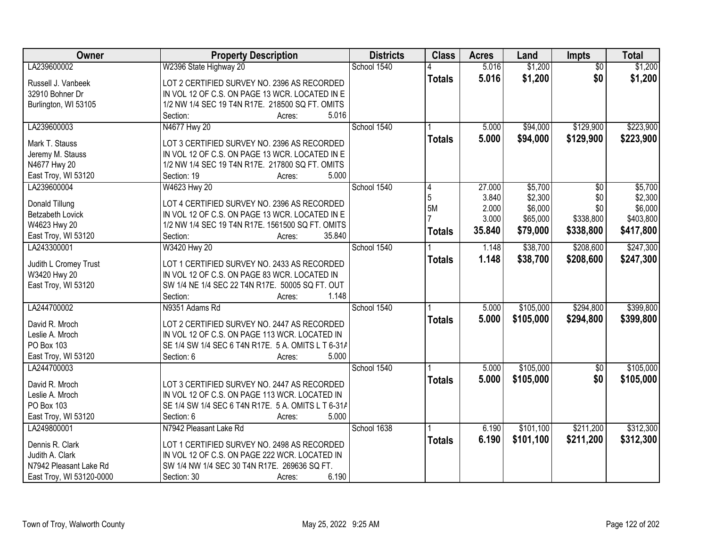| Owner                    | <b>Property Description</b>                        | <b>Districts</b> | <b>Class</b>  | <b>Acres</b> | Land      | Impts           | <b>Total</b> |
|--------------------------|----------------------------------------------------|------------------|---------------|--------------|-----------|-----------------|--------------|
| LA239600002              | W2396 State Highway 20                             | School 1540      |               | 5.016        | \$1,200   | $\overline{50}$ | \$1,200      |
| Russell J. Vanbeek       | LOT 2 CERTIFIED SURVEY NO. 2396 AS RECORDED        |                  | <b>Totals</b> | 5.016        | \$1,200   | \$0             | \$1,200      |
| 32910 Bohner Dr          | IN VOL 12 OF C.S. ON PAGE 13 WCR. LOCATED IN E     |                  |               |              |           |                 |              |
| Burlington, WI 53105     | 1/2 NW 1/4 SEC 19 T4N R17E. 218500 SQ FT. OMITS    |                  |               |              |           |                 |              |
|                          | 5.016<br>Section:<br>Acres:                        |                  |               |              |           |                 |              |
| LA239600003              | N4677 Hwy 20                                       | School 1540      |               | 5.000        | \$94,000  | \$129,900       | \$223,900    |
|                          |                                                    |                  | <b>Totals</b> | 5.000        | \$94,000  | \$129,900       | \$223,900    |
| Mark T. Stauss           | LOT 3 CERTIFIED SURVEY NO. 2396 AS RECORDED        |                  |               |              |           |                 |              |
| Jeremy M. Stauss         | IN VOL 12 OF C.S. ON PAGE 13 WCR. LOCATED IN E     |                  |               |              |           |                 |              |
| N4677 Hwy 20             | 1/2 NW 1/4 SEC 19 T4N R17E. 217800 SQ FT. OMITS    |                  |               |              |           |                 |              |
| East Troy, WI 53120      | 5.000<br>Section: 19<br>Acres:                     |                  |               |              |           |                 |              |
| LA239600004              | W4623 Hwy 20                                       | School 1540      | 4             | 27.000       | \$5,700   | $\overline{50}$ | \$5,700      |
| Donald Tillung           | LOT 4 CERTIFIED SURVEY NO. 2396 AS RECORDED        |                  | 5             | 3.840        | \$2,300   | \$0             | \$2,300      |
| Betzabeth Lovick         | IN VOL 12 OF C.S. ON PAGE 13 WCR. LOCATED IN E     |                  | 5M            | 2.000        | \$6,000   | \$0             | \$6,000      |
| W4623 Hwy 20             | 1/2 NW 1/4 SEC 19 T4N R17E. 1561500 SQ FT. OMITS   |                  |               | 3.000        | \$65,000  | \$338,800       | \$403,800    |
| East Troy, WI 53120      | 35.840<br>Section:<br>Acres:                       |                  | <b>Totals</b> | 35.840       | \$79,000  | \$338,800       | \$417,800    |
| LA243300001              | W3420 Hwy 20                                       | School 1540      |               | 1.148        | \$38,700  | \$208,600       | \$247,300    |
|                          |                                                    |                  | <b>Totals</b> | 1.148        | \$38,700  | \$208,600       | \$247,300    |
| Judith L Cromey Trust    | LOT 1 CERTIFIED SURVEY NO. 2433 AS RECORDED        |                  |               |              |           |                 |              |
| W3420 Hwy 20             | IN VOL 12 OF C.S. ON PAGE 83 WCR. LOCATED IN       |                  |               |              |           |                 |              |
| East Troy, WI 53120      | SW 1/4 NE 1/4 SEC 22 T4N R17E. 50005 SQ FT. OUT    |                  |               |              |           |                 |              |
|                          | Section:<br>1.148<br>Acres:                        |                  |               |              |           |                 |              |
| LA244700002              | N9351 Adams Rd                                     | School 1540      |               | 5.000        | \$105,000 | \$294,800       | \$399,800    |
| David R. Mroch           | LOT 2 CERTIFIED SURVEY NO. 2447 AS RECORDED        |                  | <b>Totals</b> | 5.000        | \$105,000 | \$294,800       | \$399,800    |
| Leslie A. Mroch          | IN VOL 12 OF C.S. ON PAGE 113 WCR. LOCATED IN      |                  |               |              |           |                 |              |
| PO Box 103               | SE 1/4 SW 1/4 SEC 6 T4N R17E. 5 A. OMITS L T 6-31A |                  |               |              |           |                 |              |
| East Troy, WI 53120      | 5.000<br>Section: 6<br>Acres:                      |                  |               |              |           |                 |              |
| LA244700003              |                                                    | School 1540      |               | 5.000        | \$105,000 | $\overline{60}$ | \$105,000    |
|                          |                                                    |                  |               |              |           | \$0             |              |
| David R. Mroch           | LOT 3 CERTIFIED SURVEY NO. 2447 AS RECORDED        |                  | <b>Totals</b> | 5.000        | \$105,000 |                 | \$105,000    |
| Leslie A. Mroch          | IN VOL 12 OF C.S. ON PAGE 113 WCR. LOCATED IN      |                  |               |              |           |                 |              |
| PO Box 103               | SE 1/4 SW 1/4 SEC 6 T4N R17E. 5 A. OMITS L T 6-31A |                  |               |              |           |                 |              |
| East Troy, WI 53120      | 5.000<br>Section: 6<br>Acres:                      |                  |               |              |           |                 |              |
| LA249800001              | N7942 Pleasant Lake Rd                             | School 1638      |               | 6.190        | \$101,100 | \$211,200       | \$312,300    |
| Dennis R. Clark          | LOT 1 CERTIFIED SURVEY NO. 2498 AS RECORDED        |                  | <b>Totals</b> | 6.190        | \$101,100 | \$211,200       | \$312,300    |
| Judith A. Clark          | IN VOL 12 OF C.S. ON PAGE 222 WCR. LOCATED IN      |                  |               |              |           |                 |              |
| N7942 Pleasant Lake Rd   | SW 1/4 NW 1/4 SEC 30 T4N R17E. 269636 SQ FT.       |                  |               |              |           |                 |              |
|                          | 6.190                                              |                  |               |              |           |                 |              |
| East Troy, WI 53120-0000 | Section: 30<br>Acres:                              |                  |               |              |           |                 |              |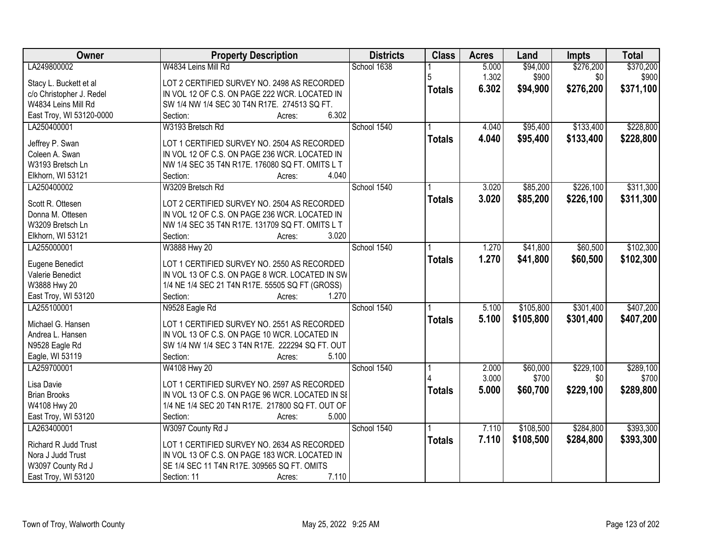| Owner                    | <b>Property Description</b>                              | <b>Districts</b> | <b>Class</b>  | <b>Acres</b> | Land      | <b>Impts</b> | <b>Total</b> |
|--------------------------|----------------------------------------------------------|------------------|---------------|--------------|-----------|--------------|--------------|
| LA249800002              | W4834 Leins Mill Rd                                      | School 1638      |               | 5.000        | \$94,000  | \$276,200    | \$370,200    |
| Stacy L. Buckett et al   | LOT 2 CERTIFIED SURVEY NO. 2498 AS RECORDED              |                  | 5             | 1.302        | \$900     | \$0          | \$900        |
| c/o Christopher J. Redel | IN VOL 12 OF C.S. ON PAGE 222 WCR. LOCATED IN            |                  | <b>Totals</b> | 6.302        | \$94,900  | \$276,200    | \$371,100    |
| W4834 Leins Mill Rd      | SW 1/4 NW 1/4 SEC 30 T4N R17E. 274513 SQ FT.             |                  |               |              |           |              |              |
| East Troy, WI 53120-0000 | 6.302<br>Section:<br>Acres:                              |                  |               |              |           |              |              |
| LA250400001              | W3193 Bretsch Rd                                         | School 1540      |               | 4.040        | \$95,400  | \$133,400    | \$228,800    |
|                          |                                                          |                  | <b>Totals</b> | 4.040        | \$95,400  | \$133,400    | \$228,800    |
| Jeffrey P. Swan          | LOT 1 CERTIFIED SURVEY NO. 2504 AS RECORDED              |                  |               |              |           |              |              |
| Coleen A. Swan           | IN VOL 12 OF C.S. ON PAGE 236 WCR. LOCATED IN            |                  |               |              |           |              |              |
| W3193 Bretsch Ln         | NW 1/4 SEC 35 T4N R17E. 176080 SQ FT. OMITS L T<br>4.040 |                  |               |              |           |              |              |
| Elkhorn, WI 53121        | Section:<br>Acres:                                       |                  |               |              |           |              |              |
| LA250400002              | W3209 Bretsch Rd                                         | School 1540      |               | 3.020        | \$85,200  | \$226,100    | \$311,300    |
| Scott R. Ottesen         | LOT 2 CERTIFIED SURVEY NO. 2504 AS RECORDED              |                  | <b>Totals</b> | 3.020        | \$85,200  | \$226,100    | \$311,300    |
| Donna M. Ottesen         | IN VOL 12 OF C.S. ON PAGE 236 WCR. LOCATED IN            |                  |               |              |           |              |              |
| W3209 Bretsch Ln         | NW 1/4 SEC 35 T4N R17E. 131709 SQ FT. OMITS L T          |                  |               |              |           |              |              |
| Elkhorn, WI 53121        | 3.020<br>Section:<br>Acres:                              |                  |               |              |           |              |              |
| LA255000001              | W3888 Hwy 20                                             | School 1540      |               | 1.270        | \$41,800  | \$60,500     | \$102,300    |
|                          |                                                          |                  | <b>Totals</b> | 1.270        | \$41,800  | \$60,500     | \$102,300    |
| Eugene Benedict          | LOT 1 CERTIFIED SURVEY NO. 2550 AS RECORDED              |                  |               |              |           |              |              |
| Valerie Benedict         | IN VOL 13 OF C.S. ON PAGE 8 WCR. LOCATED IN SW           |                  |               |              |           |              |              |
| W3888 Hwy 20             | 1/4 NE 1/4 SEC 21 T4N R17E. 55505 SQ FT (GROSS)          |                  |               |              |           |              |              |
| East Troy, WI 53120      | 1.270<br>Section:<br>Acres:                              |                  |               |              |           |              |              |
| LA255100001              | N9528 Eagle Rd                                           | School 1540      |               | 5.100        | \$105,800 | \$301,400    | \$407,200    |
| Michael G. Hansen        | LOT 1 CERTIFIED SURVEY NO. 2551 AS RECORDED              |                  | <b>Totals</b> | 5.100        | \$105,800 | \$301,400    | \$407,200    |
| Andrea L. Hansen         | IN VOL 13 OF C.S. ON PAGE 10 WCR. LOCATED IN             |                  |               |              |           |              |              |
| N9528 Eagle Rd           | SW 1/4 NW 1/4 SEC 3 T4N R17E. 222294 SQ FT. OUT          |                  |               |              |           |              |              |
| Eagle, WI 53119          | 5.100<br>Section:<br>Acres:                              |                  |               |              |           |              |              |
| LA259700001              | W4108 Hwy 20                                             | School 1540      |               | 2.000        | \$60,000  | \$229,100    | \$289,100    |
|                          |                                                          |                  |               | 3.000        | \$700     | \$0          | \$700        |
| Lisa Davie               | LOT 1 CERTIFIED SURVEY NO. 2597 AS RECORDED              |                  | <b>Totals</b> | 5.000        | \$60,700  | \$229,100    | \$289,800    |
| <b>Brian Brooks</b>      | IN VOL 13 OF C.S. ON PAGE 96 WCR. LOCATED IN SI          |                  |               |              |           |              |              |
| W4108 Hwy 20             | 1/4 NE 1/4 SEC 20 T4N R17E. 217800 SQ FT. OUT OF         |                  |               |              |           |              |              |
| East Troy, WI 53120      | 5.000<br>Section:<br>Acres:                              |                  |               |              |           |              |              |
| LA263400001              | W3097 County Rd J                                        | School 1540      |               | 7.110        | \$108,500 | \$284,800    | \$393,300    |
| Richard R Judd Trust     | LOT 1 CERTIFIED SURVEY NO. 2634 AS RECORDED              |                  | <b>Totals</b> | 7.110        | \$108,500 | \$284,800    | \$393,300    |
| Nora J Judd Trust        | IN VOL 13 OF C.S. ON PAGE 183 WCR. LOCATED IN            |                  |               |              |           |              |              |
| W3097 County Rd J        | SE 1/4 SEC 11 T4N R17E. 309565 SQ FT. OMITS              |                  |               |              |           |              |              |
| East Troy, WI 53120      | 7.110<br>Section: 11<br>Acres:                           |                  |               |              |           |              |              |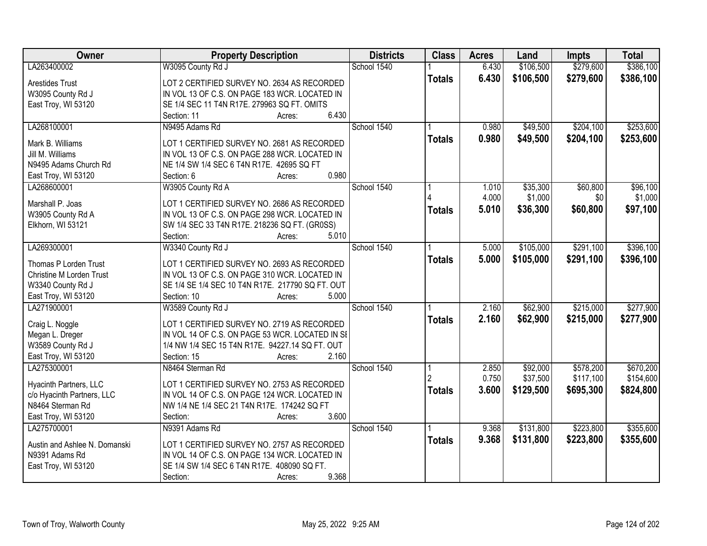| <b>Owner</b>                    | <b>Property Description</b>                        | <b>Districts</b> | <b>Class</b>  | <b>Acres</b> | Land      | <b>Impts</b> | <b>Total</b> |
|---------------------------------|----------------------------------------------------|------------------|---------------|--------------|-----------|--------------|--------------|
| LA263400002                     | W3095 County Rd J                                  | School 1540      |               | 6.430        | \$106,500 | \$279,600    | \$386,100    |
| <b>Arestides Trust</b>          | LOT 2 CERTIFIED SURVEY NO. 2634 AS RECORDED        |                  | <b>Totals</b> | 6.430        | \$106,500 | \$279,600    | \$386,100    |
| W3095 County Rd J               | IN VOL 13 OF C.S. ON PAGE 183 WCR. LOCATED IN      |                  |               |              |           |              |              |
| East Troy, WI 53120             | SE 1/4 SEC 11 T4N R17E. 279963 SQ FT. OMITS        |                  |               |              |           |              |              |
|                                 | 6.430<br>Section: 11<br>Acres:                     |                  |               |              |           |              |              |
| LA268100001                     | N9495 Adams Rd                                     | School 1540      |               | 0.980        | \$49,500  | \$204,100    | \$253,600    |
|                                 |                                                    |                  | <b>Totals</b> | 0.980        | \$49,500  | \$204,100    | \$253,600    |
| Mark B. Williams                | LOT 1 CERTIFIED SURVEY NO. 2681 AS RECORDED        |                  |               |              |           |              |              |
| Jill M. Williams                | IN VOL 13 OF C.S. ON PAGE 288 WCR. LOCATED IN      |                  |               |              |           |              |              |
| N9495 Adams Church Rd           | NE 1/4 SW 1/4 SEC 6 T4N R17E. 42695 SQ FT<br>0.980 |                  |               |              |           |              |              |
| East Troy, WI 53120             | Section: 6<br>Acres:                               |                  |               |              |           |              |              |
| LA268600001                     | W3905 County Rd A                                  | School 1540      |               | 1.010        | \$35,300  | \$60,800     | \$96,100     |
| Marshall P. Joas                | LOT 1 CERTIFIED SURVEY NO. 2686 AS RECORDED        |                  |               | 4.000        | \$1,000   | \$0          | \$1,000      |
| W3905 County Rd A               | IN VOL 13 OF C.S. ON PAGE 298 WCR. LOCATED IN      |                  | <b>Totals</b> | 5.010        | \$36,300  | \$60,800     | \$97,100     |
| Elkhorn, WI 53121               | SW 1/4 SEC 33 T4N R17E. 218236 SQ FT. (GR0SS)      |                  |               |              |           |              |              |
|                                 | 5.010<br>Section:<br>Acres:                        |                  |               |              |           |              |              |
| LA269300001                     | W3340 County Rd J                                  | School 1540      |               | 5.000        | \$105,000 | \$291,100    | \$396,100    |
|                                 |                                                    |                  | <b>Totals</b> | 5.000        | \$105,000 | \$291,100    | \$396,100    |
| Thomas P Lorden Trust           | LOT 1 CERTIFIED SURVEY NO. 2693 AS RECORDED        |                  |               |              |           |              |              |
| <b>Christine M Lorden Trust</b> | IN VOL 13 OF C.S. ON PAGE 310 WCR. LOCATED IN      |                  |               |              |           |              |              |
| W3340 County Rd J               | SE 1/4 SE 1/4 SEC 10 T4N R17E. 217790 SQ FT. OUT   |                  |               |              |           |              |              |
| East Troy, WI 53120             | 5.000<br>Section: 10<br>Acres:                     |                  |               |              |           |              |              |
| LA271900001                     | W3589 County Rd J                                  | School 1540      |               | 2.160        | \$62,900  | \$215,000    | \$277,900    |
| Craig L. Noggle                 | LOT 1 CERTIFIED SURVEY NO. 2719 AS RECORDED        |                  | <b>Totals</b> | 2.160        | \$62,900  | \$215,000    | \$277,900    |
| Megan L. Dreger                 | IN VOL 14 OF C.S. ON PAGE 53 WCR. LOCATED IN SI    |                  |               |              |           |              |              |
| W3589 County Rd J               | 1/4 NW 1/4 SEC 15 T4N R17E. 94227.14 SQ FT. OUT    |                  |               |              |           |              |              |
| East Troy, WI 53120             | 2.160<br>Section: 15<br>Acres:                     |                  |               |              |           |              |              |
| LA275300001                     | N8464 Sterman Rd                                   | School 1540      |               | 2.850        | \$92,000  | \$578,200    | \$670,200    |
|                                 |                                                    |                  |               | 0.750        | \$37,500  | \$117,100    | \$154,600    |
| Hyacinth Partners, LLC          | LOT 1 CERTIFIED SURVEY NO. 2753 AS RECORDED        |                  | <b>Totals</b> | 3.600        | \$129,500 | \$695,300    | \$824,800    |
| c/o Hyacinth Partners, LLC      | IN VOL 14 OF C.S. ON PAGE 124 WCR. LOCATED IN      |                  |               |              |           |              |              |
| N8464 Sterman Rd                | NW 1/4 NE 1/4 SEC 21 T4N R17E. 174242 SQ FT        |                  |               |              |           |              |              |
| East Troy, WI 53120             | 3.600<br>Section:<br>Acres:                        |                  |               |              |           |              |              |
| LA275700001                     | N9391 Adams Rd                                     | School 1540      |               | 9.368        | \$131,800 | \$223,800    | \$355,600    |
| Austin and Ashlee N. Domanski   | LOT 1 CERTIFIED SURVEY NO. 2757 AS RECORDED        |                  | <b>Totals</b> | 9.368        | \$131,800 | \$223,800    | \$355,600    |
| N9391 Adams Rd                  | IN VOL 14 OF C.S. ON PAGE 134 WCR. LOCATED IN      |                  |               |              |           |              |              |
| East Troy, WI 53120             | SE 1/4 SW 1/4 SEC 6 T4N R17E. 408090 SQ FT.        |                  |               |              |           |              |              |
|                                 | 9.368<br>Section:<br>Acres:                        |                  |               |              |           |              |              |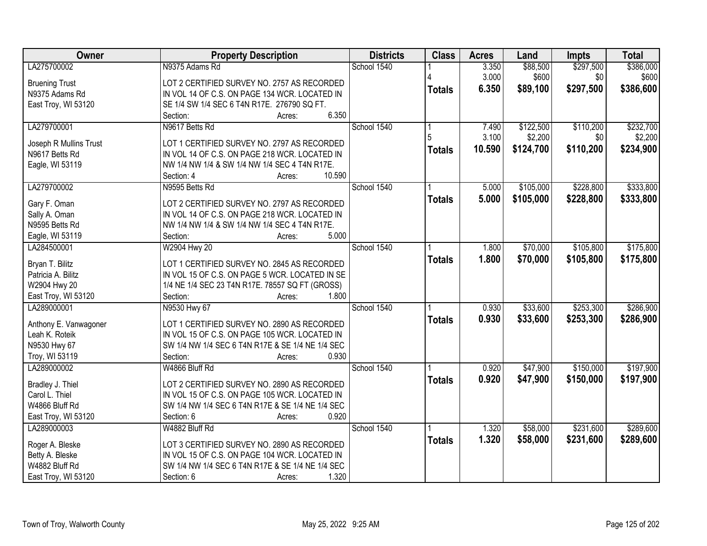| Owner                  | <b>Property Description</b>                      | <b>Districts</b> | <b>Class</b>  | <b>Acres</b> | Land      | <b>Impts</b> | <b>Total</b> |
|------------------------|--------------------------------------------------|------------------|---------------|--------------|-----------|--------------|--------------|
| LA275700002            | N9375 Adams Rd                                   | School 1540      |               | 3.350        | \$88,500  | \$297,500    | \$386,000    |
| <b>Bruening Trust</b>  | LOT 2 CERTIFIED SURVEY NO. 2757 AS RECORDED      |                  |               | 3.000        | \$600     | \$0          | \$600        |
| N9375 Adams Rd         | IN VOL 14 OF C.S. ON PAGE 134 WCR. LOCATED IN    |                  | <b>Totals</b> | 6.350        | \$89,100  | \$297,500    | \$386,600    |
| East Troy, WI 53120    | SE 1/4 SW 1/4 SEC 6 T4N R17E. 276790 SQ FT.      |                  |               |              |           |              |              |
|                        | 6.350<br>Section:<br>Acres:                      |                  |               |              |           |              |              |
| LA279700001            | N9617 Betts Rd                                   | School 1540      |               | 7.490        | \$122,500 | \$110,200    | \$232,700    |
|                        |                                                  |                  |               | 3.100        | \$2,200   | \$0          | \$2,200      |
| Joseph R Mullins Trust | LOT 1 CERTIFIED SURVEY NO. 2797 AS RECORDED      |                  | <b>Totals</b> | 10.590       | \$124,700 | \$110,200    | \$234,900    |
| N9617 Betts Rd         | IN VOL 14 OF C.S. ON PAGE 218 WCR. LOCATED IN    |                  |               |              |           |              |              |
| Eagle, WI 53119        | NW 1/4 NW 1/4 & SW 1/4 NW 1/4 SEC 4 T4N R17E.    |                  |               |              |           |              |              |
|                        | 10.590<br>Section: 4<br>Acres:                   |                  |               |              |           |              |              |
| LA279700002            | N9595 Betts Rd                                   | School 1540      |               | 5.000        | \$105,000 | \$228,800    | \$333,800    |
| Gary F. Oman           | LOT 2 CERTIFIED SURVEY NO. 2797 AS RECORDED      |                  | <b>Totals</b> | 5.000        | \$105,000 | \$228,800    | \$333,800    |
| Sally A. Oman          | IN VOL 14 OF C.S. ON PAGE 218 WCR. LOCATED IN    |                  |               |              |           |              |              |
| N9595 Betts Rd         | NW 1/4 NW 1/4 & SW 1/4 NW 1/4 SEC 4 T4N R17E.    |                  |               |              |           |              |              |
| Eagle, WI 53119        | 5.000<br>Section:<br>Acres:                      |                  |               |              |           |              |              |
| LA284500001            | W2904 Hwy 20                                     | School 1540      |               | 1.800        | \$70,000  | \$105,800    | \$175,800    |
|                        |                                                  |                  | <b>Totals</b> | 1.800        | \$70,000  | \$105,800    | \$175,800    |
| Bryan T. Bilitz        | LOT 1 CERTIFIED SURVEY NO. 2845 AS RECORDED      |                  |               |              |           |              |              |
| Patricia A. Bilitz     | IN VOL 15 OF C.S. ON PAGE 5 WCR. LOCATED IN SE   |                  |               |              |           |              |              |
| W2904 Hwy 20           | 1/4 NE 1/4 SEC 23 T4N R17E. 78557 SQ FT (GROSS)  |                  |               |              |           |              |              |
| East Troy, WI 53120    | Section:<br>1.800<br>Acres:                      |                  |               |              |           |              |              |
| LA289000001            | N9530 Hwy 67                                     | School 1540      |               | 0.930        | \$33,600  | \$253,300    | \$286,900    |
| Anthony E. Vanwagoner  | LOT 1 CERTIFIED SURVEY NO. 2890 AS RECORDED      |                  | <b>Totals</b> | 0.930        | \$33,600  | \$253,300    | \$286,900    |
| Leah K. Roteik         | IN VOL 15 OF C.S. ON PAGE 105 WCR. LOCATED IN    |                  |               |              |           |              |              |
| N9530 Hwy 67           | SW 1/4 NW 1/4 SEC 6 T4N R17E & SE 1/4 NE 1/4 SEC |                  |               |              |           |              |              |
| Troy, WI 53119         | 0.930<br>Section:<br>Acres:                      |                  |               |              |           |              |              |
| LA289000002            | W4866 Bluff Rd                                   | School 1540      |               | 0.920        | \$47,900  | \$150,000    | \$197,900    |
|                        |                                                  |                  | <b>Totals</b> | 0.920        | \$47,900  | \$150,000    | \$197,900    |
| Bradley J. Thiel       | LOT 2 CERTIFIED SURVEY NO. 2890 AS RECORDED      |                  |               |              |           |              |              |
| Carol L. Thiel         | IN VOL 15 OF C.S. ON PAGE 105 WCR. LOCATED IN    |                  |               |              |           |              |              |
| W4866 Bluff Rd         | SW 1/4 NW 1/4 SEC 6 T4N R17E & SE 1/4 NE 1/4 SEC |                  |               |              |           |              |              |
| East Troy, WI 53120    | Section: 6<br>0.920<br>Acres:                    |                  |               |              |           |              |              |
| LA289000003            | W4882 Bluff Rd                                   | School 1540      |               | 1.320        | \$58,000  | \$231,600    | \$289,600    |
| Roger A. Bleske        | LOT 3 CERTIFIED SURVEY NO. 2890 AS RECORDED      |                  | <b>Totals</b> | 1.320        | \$58,000  | \$231,600    | \$289,600    |
| Betty A. Bleske        | IN VOL 15 OF C.S. ON PAGE 104 WCR. LOCATED IN    |                  |               |              |           |              |              |
| W4882 Bluff Rd         | SW 1/4 NW 1/4 SEC 6 T4N R17E & SE 1/4 NE 1/4 SEC |                  |               |              |           |              |              |
| East Troy, WI 53120    | 1.320<br>Section: 6<br>Acres:                    |                  |               |              |           |              |              |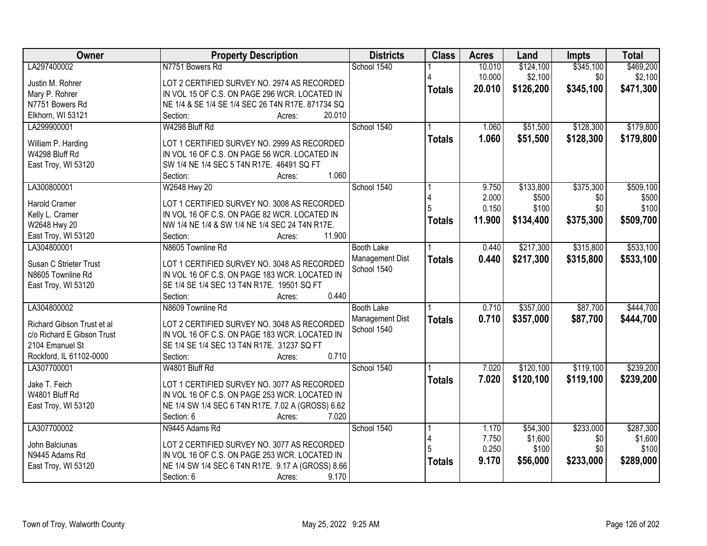| Owner                      | <b>Property Description</b>                        | <b>Districts</b>  | <b>Class</b>  | <b>Acres</b>   | Land               | Impts            | <b>Total</b>       |
|----------------------------|----------------------------------------------------|-------------------|---------------|----------------|--------------------|------------------|--------------------|
| LA297400002                | N7751 Bowers Rd                                    | School 1540       |               | 10.010         | \$124,100          | \$345,100        | \$469,200          |
| Justin M. Rohrer           | LOT 2 CERTIFIED SURVEY NO. 2974 AS RECORDED        |                   |               | 10.000         | \$2,100            | \$0              | \$2,100            |
| Mary P. Rohrer             | IN VOL 15 OF C.S. ON PAGE 296 WCR. LOCATED IN      |                   | <b>Totals</b> | 20.010         | \$126,200          | \$345,100        | \$471,300          |
| N7751 Bowers Rd            | NE 1/4 & SE 1/4 SE 1/4 SEC 26 T4N R17E. 871734 SQ  |                   |               |                |                    |                  |                    |
| Elkhorn, WI 53121          | 20.010<br>Section:<br>Acres:                       |                   |               |                |                    |                  |                    |
| LA299900001                | W4298 Bluff Rd                                     | School 1540       |               | 1.060          | \$51,500           | \$128,300        | \$179,800          |
|                            |                                                    |                   | <b>Totals</b> | 1.060          | \$51,500           | \$128,300        | \$179,800          |
| William P. Harding         | LOT 1 CERTIFIED SURVEY NO. 2999 AS RECORDED        |                   |               |                |                    |                  |                    |
| W4298 Bluff Rd             | IN VOL 16 OF C.S. ON PAGE 56 WCR. LOCATED IN       |                   |               |                |                    |                  |                    |
| East Troy, WI 53120        | SW 1/4 NE 1/4 SEC 5 T4N R17E. 46491 SQ FT<br>1.060 |                   |               |                |                    |                  |                    |
| LA300800001                | Section:<br>Acres:                                 | School 1540       |               |                |                    |                  |                    |
|                            | W2648 Hwy 20                                       |                   |               | 9.750<br>2.000 | \$133,800<br>\$500 | \$375,300<br>\$0 | \$509,100<br>\$500 |
| <b>Harold Cramer</b>       | LOT 1 CERTIFIED SURVEY NO. 3008 AS RECORDED        |                   |               | 0.150          | \$100              | \$0              | \$100              |
| Kelly L. Cramer            | IN VOL 16 OF C.S. ON PAGE 82 WCR. LOCATED IN       |                   |               |                |                    |                  |                    |
| W2648 Hwy 20               | NW 1/4 NE 1/4 & SW 1/4 NE 1/4 SEC 24 T4N R17E.     |                   | <b>Totals</b> | 11.900         | \$134,400          | \$375,300        | \$509,700          |
| East Troy, WI 53120        | 11.900<br>Section:<br>Acres:                       |                   |               |                |                    |                  |                    |
| LA304800001                | N8605 Townline Rd                                  | <b>Booth Lake</b> |               | 0.440          | \$217,300          | \$315,800        | \$533,100          |
| Susan C Strieter Trust     | LOT 1 CERTIFIED SURVEY NO. 3048 AS RECORDED        | Management Dist   | <b>Totals</b> | 0.440          | \$217,300          | \$315,800        | \$533,100          |
| N8605 Townline Rd          | IN VOL 16 OF C.S. ON PAGE 183 WCR. LOCATED IN      | School 1540       |               |                |                    |                  |                    |
| East Troy, WI 53120        | SE 1/4 SE 1/4 SEC 13 T4N R17E. 19501 SQ FT         |                   |               |                |                    |                  |                    |
|                            | 0.440<br>Section:<br>Acres:                        |                   |               |                |                    |                  |                    |
| LA304800002                | N8609 Townline Rd                                  | <b>Booth Lake</b> |               | 0.710          | \$357,000          | \$87,700         | \$444,700          |
|                            |                                                    | Management Dist   | <b>Totals</b> | 0.710          | \$357,000          | \$87,700         | \$444,700          |
| Richard Gibson Trust et al | LOT 2 CERTIFIED SURVEY NO. 3048 AS RECORDED        | School 1540       |               |                |                    |                  |                    |
| c/o Richard E Gibson Trust | IN VOL 16 OF C.S. ON PAGE 183 WCR. LOCATED IN      |                   |               |                |                    |                  |                    |
| 2104 Emanuel St            | SE 1/4 SE 1/4 SEC 13 T4N R17E. 31237 SQ FT         |                   |               |                |                    |                  |                    |
| Rockford, IL 61102-0000    | 0.710<br>Section:<br>Acres:                        |                   |               |                |                    |                  |                    |
| LA307700001                | W4801 Bluff Rd                                     | School 1540       |               | 7.020          | \$120,100          | \$119,100        | \$239,200          |
| Jake T. Feich              | LOT 1 CERTIFIED SURVEY NO. 3077 AS RECORDED        |                   | <b>Totals</b> | 7.020          | \$120,100          | \$119,100        | \$239,200          |
| W4801 Bluff Rd             | IN VOL 16 OF C.S. ON PAGE 253 WCR. LOCATED IN      |                   |               |                |                    |                  |                    |
| East Troy, WI 53120        | NE 1/4 SW 1/4 SEC 6 T4N R17E. 7.02 A (GROSS) 6.62  |                   |               |                |                    |                  |                    |
|                            | Section: 6<br>7.020<br>Acres:                      |                   |               |                |                    |                  |                    |
| LA307700002                | N9445 Adams Rd                                     | School 1540       |               | 1.170          | \$54,300           | \$233,000        | \$287,300          |
|                            |                                                    |                   |               | 7.750          | \$1,600            | \$0              | \$1,600            |
| John Balciunas             | LOT 2 CERTIFIED SURVEY NO. 3077 AS RECORDED        |                   |               | 0.250          | \$100              | \$0              | \$100              |
| N9445 Adams Rd             | IN VOL 16 OF C.S. ON PAGE 253 WCR. LOCATED IN      |                   | <b>Totals</b> | 9.170          | \$56,000           | \$233,000        | \$289,000          |
| East Troy, WI 53120        | NE 1/4 SW 1/4 SEC 6 T4N R17E. 9.17 A (GROSS) 8.66  |                   |               |                |                    |                  |                    |
|                            | 9.170<br>Section: 6<br>Acres:                      |                   |               |                |                    |                  |                    |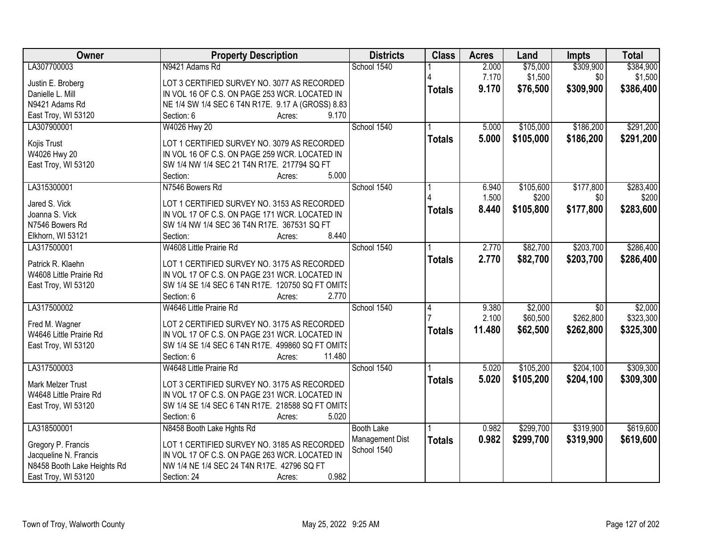| Owner                                              | <b>Property Description</b>                                                                  | <b>Districts</b>               | <b>Class</b>  | <b>Acres</b> | Land      | <b>Impts</b>    | <b>Total</b> |
|----------------------------------------------------|----------------------------------------------------------------------------------------------|--------------------------------|---------------|--------------|-----------|-----------------|--------------|
| LA307700003                                        | N9421 Adams Rd                                                                               | School 1540                    |               | 2.000        | \$75,000  | \$309,900       | \$384,900    |
| Justin E. Broberg                                  | LOT 3 CERTIFIED SURVEY NO. 3077 AS RECORDED                                                  |                                |               | 7.170        | \$1,500   | \$0             | \$1,500      |
| Danielle L. Mill                                   | IN VOL 16 OF C.S. ON PAGE 253 WCR. LOCATED IN                                                |                                | <b>Totals</b> | 9.170        | \$76,500  | \$309,900       | \$386,400    |
| N9421 Adams Rd                                     | NE 1/4 SW 1/4 SEC 6 T4N R17E. 9.17 A (GROSS) 8.83                                            |                                |               |              |           |                 |              |
| East Troy, WI 53120                                | 9.170<br>Section: 6<br>Acres:                                                                |                                |               |              |           |                 |              |
| LA307900001                                        | W4026 Hwy 20                                                                                 | School 1540                    |               | 5.000        | \$105,000 | \$186,200       | \$291,200    |
|                                                    |                                                                                              |                                | <b>Totals</b> | 5.000        | \$105,000 | \$186,200       | \$291,200    |
| Kojis Trust                                        | LOT 1 CERTIFIED SURVEY NO. 3079 AS RECORDED                                                  |                                |               |              |           |                 |              |
| W4026 Hwy 20                                       | IN VOL 16 OF C.S. ON PAGE 259 WCR. LOCATED IN                                                |                                |               |              |           |                 |              |
| East Troy, WI 53120                                | SW 1/4 NW 1/4 SEC 21 T4N R17E. 217794 SQ FT                                                  |                                |               |              |           |                 |              |
|                                                    | 5.000<br>Section:<br>Acres:                                                                  |                                |               |              |           |                 |              |
| LA315300001                                        | N7546 Bowers Rd                                                                              | School 1540                    |               | 6.940        | \$105,600 | \$177,800       | \$283,400    |
| Jared S. Vick                                      | LOT 1 CERTIFIED SURVEY NO. 3153 AS RECORDED                                                  |                                |               | 1.500        | \$200     | \$0             | \$200        |
| Joanna S. Vick                                     | IN VOL 17 OF C.S. ON PAGE 171 WCR. LOCATED IN                                                |                                | <b>Totals</b> | 8.440        | \$105,800 | \$177,800       | \$283,600    |
| N7546 Bowers Rd                                    | SW 1/4 NW 1/4 SEC 36 T4N R17E. 367531 SQ FT                                                  |                                |               |              |           |                 |              |
| Elkhorn, WI 53121                                  | 8.440<br>Section:<br>Acres:                                                                  |                                |               |              |           |                 |              |
| LA317500001                                        | W4608 Little Prairie Rd                                                                      | School 1540                    |               | 2.770        | \$82,700  | \$203,700       | \$286,400    |
|                                                    |                                                                                              |                                | <b>Totals</b> | 2.770        | \$82,700  | \$203,700       | \$286,400    |
| Patrick R. Klaehn                                  | LOT 1 CERTIFIED SURVEY NO. 3175 AS RECORDED                                                  |                                |               |              |           |                 |              |
| W4608 Little Prairie Rd                            | IN VOL 17 OF C.S. ON PAGE 231 WCR. LOCATED IN                                                |                                |               |              |           |                 |              |
| East Troy, WI 53120                                | SW 1/4 SE 1/4 SEC 6 T4N R17E. 120750 SQ FT OMITS                                             |                                |               |              |           |                 |              |
|                                                    | Section: 6<br>2.770<br>Acres:                                                                |                                |               |              |           |                 |              |
| LA317500002                                        | W4646 Little Prairie Rd                                                                      | School 1540                    | 4             | 9.380        | \$2,000   | $\overline{30}$ | \$2,000      |
| Fred M. Wagner                                     | LOT 2 CERTIFIED SURVEY NO. 3175 AS RECORDED                                                  |                                |               | 2.100        | \$60,500  | \$262,800       | \$323,300    |
| W4646 Little Prairie Rd                            | IN VOL 17 OF C.S. ON PAGE 231 WCR. LOCATED IN                                                |                                | <b>Totals</b> | 11.480       | \$62,500  | \$262,800       | \$325,300    |
| East Troy, WI 53120                                | SW 1/4 SE 1/4 SEC 6 T4N R17E. 499860 SQ FT OMITS                                             |                                |               |              |           |                 |              |
|                                                    | 11.480<br>Section: 6<br>Acres:                                                               |                                |               |              |           |                 |              |
| LA317500003                                        | W4648 Little Prairie Rd                                                                      | School 1540                    |               | 5.020        | \$105,200 | \$204,100       | \$309,300    |
|                                                    |                                                                                              |                                | <b>Totals</b> | 5.020        | \$105,200 | \$204,100       | \$309,300    |
| <b>Mark Melzer Trust</b><br>W4648 Little Praire Rd | LOT 3 CERTIFIED SURVEY NO. 3175 AS RECORDED<br>IN VOL 17 OF C.S. ON PAGE 231 WCR. LOCATED IN |                                |               |              |           |                 |              |
|                                                    | SW 1/4 SE 1/4 SEC 6 T4N R17E. 218588 SQ FT OMITS                                             |                                |               |              |           |                 |              |
| East Troy, WI 53120                                | 5.020<br>Section: 6                                                                          |                                |               |              |           |                 |              |
| LA318500001                                        | Acres:<br>N8458 Booth Lake Hghts Rd                                                          | <b>Booth Lake</b>              |               | 0.982        | \$299,700 | \$319,900       | \$619,600    |
|                                                    |                                                                                              |                                |               |              |           |                 |              |
| Gregory P. Francis                                 | LOT 1 CERTIFIED SURVEY NO. 3185 AS RECORDED                                                  | Management Dist<br>School 1540 | <b>Totals</b> | 0.982        | \$299,700 | \$319,900       | \$619,600    |
| Jacqueline N. Francis                              | IN VOL 17 OF C.S. ON PAGE 263 WCR. LOCATED IN                                                |                                |               |              |           |                 |              |
| N8458 Booth Lake Heights Rd                        | NW 1/4 NE 1/4 SEC 24 T4N R17E. 42796 SQ FT                                                   |                                |               |              |           |                 |              |
| East Troy, WI 53120                                | 0.982<br>Section: 24<br>Acres:                                                               |                                |               |              |           |                 |              |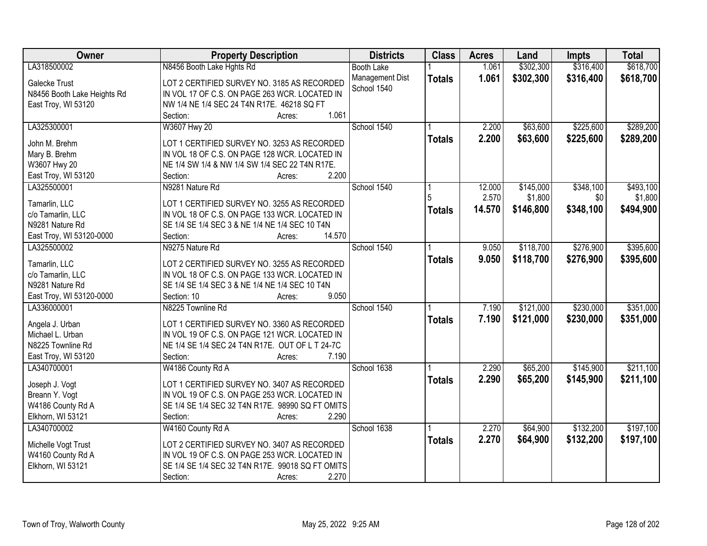| Owner                       | <b>Property Description</b>                      | <b>Districts</b>  | <b>Class</b>  | <b>Acres</b> | Land      | <b>Impts</b> | <b>Total</b> |
|-----------------------------|--------------------------------------------------|-------------------|---------------|--------------|-----------|--------------|--------------|
| LA318500002                 | N8456 Booth Lake Hghts Rd                        | <b>Booth Lake</b> |               | 1.061        | \$302,300 | \$316,400    | \$618,700    |
| Galecke Trust               | LOT 2 CERTIFIED SURVEY NO. 3185 AS RECORDED      | Management Dist   | <b>Totals</b> | 1.061        | \$302,300 | \$316,400    | \$618,700    |
| N8456 Booth Lake Heights Rd | IN VOL 17 OF C.S. ON PAGE 263 WCR. LOCATED IN    | School 1540       |               |              |           |              |              |
| East Troy, WI 53120         | NW 1/4 NE 1/4 SEC 24 T4N R17E. 46218 SQ FT       |                   |               |              |           |              |              |
|                             | 1.061<br>Section:<br>Acres:                      |                   |               |              |           |              |              |
| LA325300001                 | W3607 Hwy 20                                     | School 1540       |               | 2.200        | \$63,600  | \$225,600    | \$289,200    |
|                             |                                                  |                   | <b>Totals</b> | 2.200        | \$63,600  | \$225,600    | \$289,200    |
| John M. Brehm               | LOT 1 CERTIFIED SURVEY NO. 3253 AS RECORDED      |                   |               |              |           |              |              |
| Mary B. Brehm               | IN VOL 18 OF C.S. ON PAGE 128 WCR. LOCATED IN    |                   |               |              |           |              |              |
| W3607 Hwy 20                | NE 1/4 SW 1/4 & NW 1/4 SW 1/4 SEC 22 T4N R17E.   |                   |               |              |           |              |              |
| East Troy, WI 53120         | 2.200<br>Section:<br>Acres:                      |                   |               |              |           |              |              |
| LA325500001                 | N9281 Nature Rd                                  | School 1540       |               | 12.000       | \$145,000 | \$348,100    | \$493,100    |
| Tamarlin, LLC               | LOT 1 CERTIFIED SURVEY NO. 3255 AS RECORDED      |                   |               | 2.570        | \$1,800   | \$0          | \$1,800      |
| c/o Tamarlin, LLC           | IN VOL 18 OF C.S. ON PAGE 133 WCR. LOCATED IN    |                   | <b>Totals</b> | 14.570       | \$146,800 | \$348,100    | \$494,900    |
| N9281 Nature Rd             | SE 1/4 SE 1/4 SEC 3 & NE 1/4 NE 1/4 SEC 10 T4N   |                   |               |              |           |              |              |
| East Troy, WI 53120-0000    | 14.570<br>Section:<br>Acres:                     |                   |               |              |           |              |              |
| LA325500002                 | N9275 Nature Rd                                  | School 1540       |               | 9.050        | \$118,700 | \$276,900    | \$395,600    |
|                             |                                                  |                   |               |              |           |              |              |
| Tamarlin, LLC               | LOT 2 CERTIFIED SURVEY NO. 3255 AS RECORDED      |                   | <b>Totals</b> | 9.050        | \$118,700 | \$276,900    | \$395,600    |
| c/o Tamarlin, LLC           | IN VOL 18 OF C.S. ON PAGE 133 WCR. LOCATED IN    |                   |               |              |           |              |              |
| N9281 Nature Rd             | SE 1/4 SE 1/4 SEC 3 & NE 1/4 NE 1/4 SEC 10 T4N   |                   |               |              |           |              |              |
| East Troy, WI 53120-0000    | 9.050<br>Section: 10<br>Acres:                   |                   |               |              |           |              |              |
| LA336000001                 | N8225 Townline Rd                                | School 1540       |               | 7.190        | \$121,000 | \$230,000    | \$351,000    |
|                             |                                                  |                   | <b>Totals</b> | 7.190        | \$121,000 | \$230,000    | \$351,000    |
| Angela J. Urban             | LOT 1 CERTIFIED SURVEY NO. 3360 AS RECORDED      |                   |               |              |           |              |              |
| Michael L. Urban            | IN VOL 19 OF C.S. ON PAGE 121 WCR. LOCATED IN    |                   |               |              |           |              |              |
| N8225 Townline Rd           | NE 1/4 SE 1/4 SEC 24 T4N R17E. OUT OF L T 24-7C  |                   |               |              |           |              |              |
| East Troy, WI 53120         | 7.190<br>Section:<br>Acres:                      |                   |               |              |           |              |              |
| LA340700001                 | W4186 County Rd A                                | School 1638       |               | 2.290        | \$65,200  | \$145,900    | \$211,100    |
| Joseph J. Vogt              | LOT 1 CERTIFIED SURVEY NO. 3407 AS RECORDED      |                   | <b>Totals</b> | 2.290        | \$65,200  | \$145,900    | \$211,100    |
| Breann Y. Vogt              | IN VOL 19 OF C.S. ON PAGE 253 WCR. LOCATED IN    |                   |               |              |           |              |              |
| W4186 County Rd A           | SE 1/4 SE 1/4 SEC 32 T4N R17E. 98990 SQ FT OMITS |                   |               |              |           |              |              |
| Elkhorn, WI 53121           | 2.290<br>Section:<br>Acres:                      |                   |               |              |           |              |              |
| LA340700002                 | W4160 County Rd A                                | School 1638       |               | 2.270        | \$64,900  | \$132,200    | \$197,100    |
|                             |                                                  |                   |               | 2.270        | \$64,900  |              |              |
| Michelle Vogt Trust         | LOT 2 CERTIFIED SURVEY NO. 3407 AS RECORDED      |                   | <b>Totals</b> |              |           | \$132,200    | \$197,100    |
| W4160 County Rd A           | IN VOL 19 OF C.S. ON PAGE 253 WCR. LOCATED IN    |                   |               |              |           |              |              |
| Elkhorn, WI 53121           | SE 1/4 SE 1/4 SEC 32 T4N R17E. 99018 SQ FT OMITS |                   |               |              |           |              |              |
|                             | 2.270<br>Section:<br>Acres:                      |                   |               |              |           |              |              |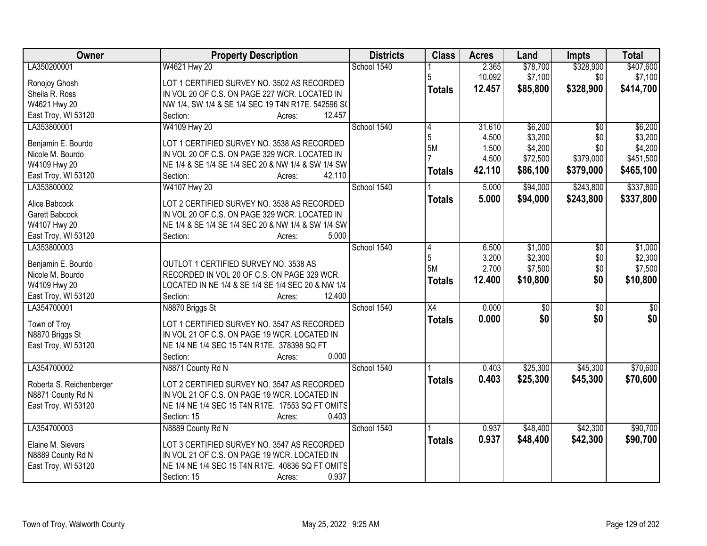| Owner                               | <b>Property Description</b>                                                        | <b>Districts</b> | <b>Class</b>    | <b>Acres</b> | Land            | <b>Impts</b>    | <b>Total</b>    |
|-------------------------------------|------------------------------------------------------------------------------------|------------------|-----------------|--------------|-----------------|-----------------|-----------------|
| LA350200001                         | W4621 Hwy 20                                                                       | School 1540      |                 | 2.365        | \$78,700        | \$328,900       | \$407,600       |
| Ronojoy Ghosh                       | LOT 1 CERTIFIED SURVEY NO. 3502 AS RECORDED                                        |                  |                 | 10.092       | \$7,100         | \$0             | \$7,100         |
| Sheila R. Ross                      | IN VOL 20 OF C.S. ON PAGE 227 WCR. LOCATED IN                                      |                  | <b>Totals</b>   | 12.457       | \$85,800        | \$328,900       | \$414,700       |
| W4621 Hwy 20                        | NW 1/4, SW 1/4 & SE 1/4 SEC 19 T4N R17E. 542596 SO                                 |                  |                 |              |                 |                 |                 |
| East Troy, WI 53120                 | 12.457<br>Section:<br>Acres:                                                       |                  |                 |              |                 |                 |                 |
| LA353800001                         | W4109 Hwy 20                                                                       | School 1540      | 4               | 31.610       | \$6,200         | $\overline{50}$ | \$6,200         |
|                                     |                                                                                    |                  | 5               | 4.500        | \$3,200         | \$0             | \$3,200         |
| Benjamin E. Bourdo                  | LOT 1 CERTIFIED SURVEY NO. 3538 AS RECORDED                                        |                  | 5M              | 1.500        | \$4,200         | \$0             | \$4,200         |
| Nicole M. Bourdo                    | IN VOL 20 OF C.S. ON PAGE 329 WCR. LOCATED IN                                      |                  |                 | 4.500        | \$72,500        | \$379,000       | \$451,500       |
| W4109 Hwy 20<br>East Troy, WI 53120 | NE 1/4 & SE 1/4 SE 1/4 SEC 20 & NW 1/4 & SW 1/4 SW<br>42.110<br>Section:<br>Acres: |                  | <b>Totals</b>   | 42.110       | \$86,100        | \$379,000       | \$465,100       |
| LA353800002                         | W4107 Hwy 20                                                                       | School 1540      |                 | 5.000        | \$94,000        | \$243,800       | \$337,800       |
|                                     |                                                                                    |                  |                 | 5.000        | \$94,000        | \$243,800       | \$337,800       |
| Alice Babcock                       | LOT 2 CERTIFIED SURVEY NO. 3538 AS RECORDED                                        |                  | <b>Totals</b>   |              |                 |                 |                 |
| Garett Babcock                      | IN VOL 20 OF C.S. ON PAGE 329 WCR. LOCATED IN                                      |                  |                 |              |                 |                 |                 |
| W4107 Hwy 20                        | NE 1/4 & SE 1/4 SE 1/4 SEC 20 & NW 1/4 & SW 1/4 SW                                 |                  |                 |              |                 |                 |                 |
| East Troy, WI 53120                 | 5.000<br>Section:<br>Acres:                                                        |                  |                 |              |                 |                 |                 |
| LA353800003                         |                                                                                    | School 1540      | 4               | 6.500        | \$1,000         | \$0             | \$1,000         |
| Benjamin E. Bourdo                  | OUTLOT 1 CERTIFIED SURVEY NO. 3538 AS                                              |                  | 5               | 3.200        | \$2,300         | \$0             | \$2,300         |
| Nicole M. Bourdo                    | RECORDED IN VOL 20 OF C.S. ON PAGE 329 WCR.                                        |                  | 5M              | 2.700        | \$7,500         | \$0             | \$7,500         |
| W4109 Hwy 20                        | LOCATED IN NE 1/4 & SE 1/4 SE 1/4 SEC 20 & NW 1/4                                  |                  | <b>Totals</b>   | 12.400       | \$10,800        | \$0             | \$10,800        |
| East Troy, WI 53120                 | Section:<br>12.400<br>Acres:                                                       |                  |                 |              |                 |                 |                 |
| LA354700001                         | N8870 Briggs St                                                                    | School 1540      | $\overline{X4}$ | 0.000        | $\overline{50}$ | $\overline{50}$ | $\overline{50}$ |
|                                     |                                                                                    |                  | <b>Totals</b>   | 0.000        | \$0             | \$0             | \$0             |
| Town of Troy                        | LOT 1 CERTIFIED SURVEY NO. 3547 AS RECORDED                                        |                  |                 |              |                 |                 |                 |
| N8870 Briggs St                     | IN VOL 21 OF C.S. ON PAGE 19 WCR. LOCATED IN                                       |                  |                 |              |                 |                 |                 |
| East Troy, WI 53120                 | NE 1/4 NE 1/4 SEC 15 T4N R17E. 378398 SQ FT                                        |                  |                 |              |                 |                 |                 |
|                                     | 0.000<br>Section:<br>Acres:                                                        |                  |                 |              |                 |                 |                 |
| LA354700002                         | N8871 County Rd N                                                                  | School 1540      |                 | 0.403        | \$25,300        | \$45,300        | \$70,600        |
| Roberta S. Reichenberger            | LOT 2 CERTIFIED SURVEY NO. 3547 AS RECORDED                                        |                  | <b>Totals</b>   | 0.403        | \$25,300        | \$45,300        | \$70,600        |
| N8871 County Rd N                   | IN VOL 21 OF C.S. ON PAGE 19 WCR. LOCATED IN                                       |                  |                 |              |                 |                 |                 |
| East Troy, WI 53120                 | NE 1/4 NE 1/4 SEC 15 T4N R17E. 17553 SQ FT OMITS                                   |                  |                 |              |                 |                 |                 |
|                                     | 0.403<br>Section: 15<br>Acres:                                                     |                  |                 |              |                 |                 |                 |
| LA354700003                         | N8889 County Rd N                                                                  | School 1540      |                 | 0.937        | \$48,400        | \$42,300        | \$90,700        |
| Elaine M. Sievers                   | LOT 3 CERTIFIED SURVEY NO. 3547 AS RECORDED                                        |                  | <b>Totals</b>   | 0.937        | \$48,400        | \$42,300        | \$90,700        |
|                                     | IN VOL 21 OF C.S. ON PAGE 19 WCR. LOCATED IN                                       |                  |                 |              |                 |                 |                 |
| N8889 County Rd N                   | NE 1/4 NE 1/4 SEC 15 T4N R17E. 40836 SQ FT OMITS                                   |                  |                 |              |                 |                 |                 |
| East Troy, WI 53120                 | 0.937<br>Section: 15                                                               |                  |                 |              |                 |                 |                 |
|                                     | Acres:                                                                             |                  |                 |              |                 |                 |                 |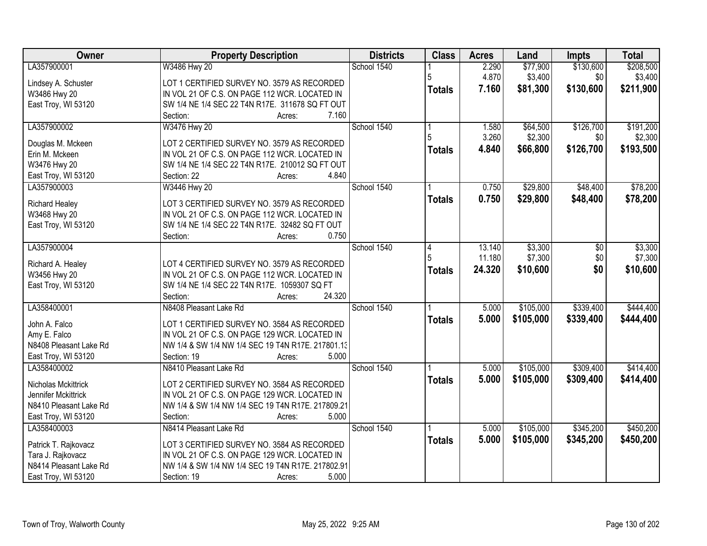| Owner                               | <b>Property Description</b>                                                                      | <b>Districts</b> | <b>Class</b>  | <b>Acres</b> | Land      | Impts     | <b>Total</b> |
|-------------------------------------|--------------------------------------------------------------------------------------------------|------------------|---------------|--------------|-----------|-----------|--------------|
| LA357900001                         | W3486 Hwy 20                                                                                     | School 1540      |               | 2.290        | \$77,900  | \$130,600 | \$208,500    |
| Lindsey A. Schuster                 | LOT 1 CERTIFIED SURVEY NO. 3579 AS RECORDED                                                      |                  |               | 4.870        | \$3,400   | \$0       | \$3,400      |
| W3486 Hwy 20                        | IN VOL 21 OF C.S. ON PAGE 112 WCR. LOCATED IN                                                    |                  | <b>Totals</b> | 7.160        | \$81,300  | \$130,600 | \$211,900    |
| East Troy, WI 53120                 | SW 1/4 NE 1/4 SEC 22 T4N R17E. 311678 SQ FT OUT                                                  |                  |               |              |           |           |              |
|                                     | 7.160<br>Section:<br>Acres:                                                                      |                  |               |              |           |           |              |
| LA357900002                         | W3476 Hwy 20                                                                                     | School 1540      |               | 1.580        | \$64,500  | \$126,700 | \$191,200    |
|                                     |                                                                                                  |                  |               | 3.260        | \$2,300   | \$0       | \$2,300      |
| Douglas M. Mckeen                   | LOT 2 CERTIFIED SURVEY NO. 3579 AS RECORDED                                                      |                  | <b>Totals</b> | 4.840        | \$66,800  | \$126,700 | \$193,500    |
| Erin M. Mckeen                      | IN VOL 21 OF C.S. ON PAGE 112 WCR. LOCATED IN<br>SW 1/4 NE 1/4 SEC 22 T4N R17E. 210012 SQ FT OUT |                  |               |              |           |           |              |
| W3476 Hwy 20<br>East Troy, WI 53120 | 4.840<br>Section: 22<br>Acres:                                                                   |                  |               |              |           |           |              |
| LA357900003                         | W3446 Hwy 20                                                                                     | School 1540      |               | 0.750        | \$29,800  | \$48,400  | \$78,200     |
|                                     |                                                                                                  |                  |               |              |           |           |              |
| <b>Richard Healey</b>               | LOT 3 CERTIFIED SURVEY NO. 3579 AS RECORDED                                                      |                  | <b>Totals</b> | 0.750        | \$29,800  | \$48,400  | \$78,200     |
| W3468 Hwy 20                        | IN VOL 21 OF C.S. ON PAGE 112 WCR. LOCATED IN                                                    |                  |               |              |           |           |              |
| East Troy, WI 53120                 | SW 1/4 NE 1/4 SEC 22 T4N R17E. 32482 SQ FT OUT                                                   |                  |               |              |           |           |              |
|                                     | 0.750<br>Section:<br>Acres:                                                                      |                  |               |              |           |           |              |
| LA357900004                         |                                                                                                  | School 1540      | 4             | 13.140       | \$3,300   | \$0       | \$3,300      |
| Richard A. Healey                   | LOT 4 CERTIFIED SURVEY NO. 3579 AS RECORDED                                                      |                  |               | 11.180       | \$7,300   | \$0       | \$7,300      |
| W3456 Hwy 20                        | IN VOL 21 OF C.S. ON PAGE 112 WCR. LOCATED IN                                                    |                  | <b>Totals</b> | 24.320       | \$10,600  | \$0       | \$10,600     |
| East Troy, WI 53120                 | SW 1/4 NE 1/4 SEC 22 T4N R17E. 1059307 SQ FT                                                     |                  |               |              |           |           |              |
|                                     | Section:<br>24.320<br>Acres:                                                                     |                  |               |              |           |           |              |
| LA358400001                         | N8408 Pleasant Lake Rd                                                                           | School 1540      |               | 5.000        | \$105,000 | \$339,400 | \$444,400    |
|                                     |                                                                                                  |                  | <b>Totals</b> | 5.000        | \$105,000 | \$339,400 | \$444,400    |
| John A. Falco                       | LOT 1 CERTIFIED SURVEY NO. 3584 AS RECORDED                                                      |                  |               |              |           |           |              |
| Amy E. Falco                        | IN VOL 21 OF C.S. ON PAGE 129 WCR. LOCATED IN                                                    |                  |               |              |           |           |              |
| N8408 Pleasant Lake Rd              | NW 1/4 & SW 1/4 NW 1/4 SEC 19 T4N R17E. 217801.13                                                |                  |               |              |           |           |              |
| East Troy, WI 53120                 | 5.000<br>Section: 19<br>Acres:                                                                   |                  |               |              |           |           |              |
| LA358400002                         | N8410 Pleasant Lake Rd                                                                           | School 1540      |               | 5.000        | \$105,000 | \$309,400 | \$414,400    |
| Nicholas Mckittrick                 | LOT 2 CERTIFIED SURVEY NO. 3584 AS RECORDED                                                      |                  | <b>Totals</b> | 5.000        | \$105,000 | \$309,400 | \$414,400    |
| Jennifer Mckittrick                 | IN VOL 21 OF C.S. ON PAGE 129 WCR. LOCATED IN                                                    |                  |               |              |           |           |              |
| N8410 Pleasant Lake Rd              | NW 1/4 & SW 1/4 NW 1/4 SEC 19 T4N R17E. 217809.21                                                |                  |               |              |           |           |              |
| East Troy, WI 53120                 | Section:<br>5.000<br>Acres:                                                                      |                  |               |              |           |           |              |
| LA358400003                         | N8414 Pleasant Lake Rd                                                                           | School 1540      |               | 5.000        | \$105,000 | \$345,200 | \$450,200    |
|                                     |                                                                                                  |                  | <b>Totals</b> | 5.000        | \$105,000 | \$345,200 | \$450,200    |
| Patrick T. Rajkovacz                | LOT 3 CERTIFIED SURVEY NO. 3584 AS RECORDED                                                      |                  |               |              |           |           |              |
| Tara J. Rajkovacz                   | IN VOL 21 OF C.S. ON PAGE 129 WCR. LOCATED IN                                                    |                  |               |              |           |           |              |
| N8414 Pleasant Lake Rd              | NW 1/4 & SW 1/4 NW 1/4 SEC 19 T4N R17E. 217802.91                                                |                  |               |              |           |           |              |
| East Troy, WI 53120                 | 5.000<br>Section: 19<br>Acres:                                                                   |                  |               |              |           |           |              |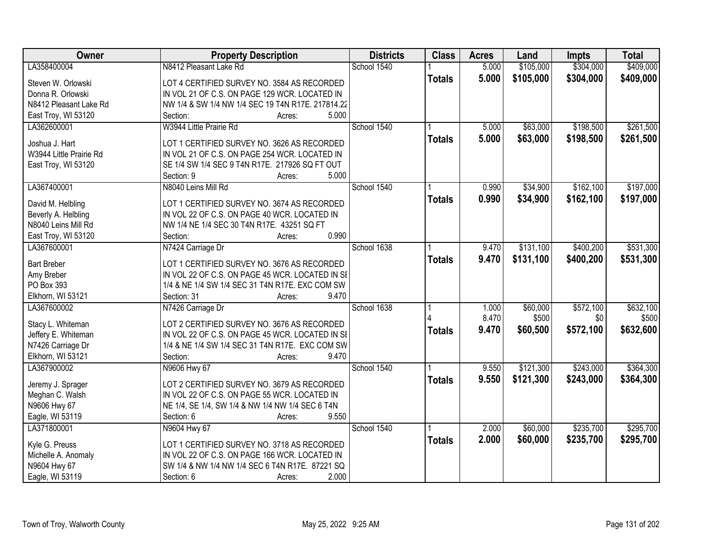| Owner                          | <b>Property Description</b>                       | <b>Districts</b> | <b>Class</b>  | <b>Acres</b> | Land      | <b>Impts</b> | <b>Total</b> |
|--------------------------------|---------------------------------------------------|------------------|---------------|--------------|-----------|--------------|--------------|
| LA358400004                    | N8412 Pleasant Lake Rd                            | School 1540      |               | 5.000        | \$105,000 | \$304,000    | \$409,000    |
| Steven W. Orlowski             | LOT 4 CERTIFIED SURVEY NO. 3584 AS RECORDED       |                  | <b>Totals</b> | 5.000        | \$105,000 | \$304,000    | \$409,000    |
| Donna R. Orlowski              | IN VOL 21 OF C.S. ON PAGE 129 WCR. LOCATED IN     |                  |               |              |           |              |              |
| N8412 Pleasant Lake Rd         | NW 1/4 & SW 1/4 NW 1/4 SEC 19 T4N R17E. 217814.22 |                  |               |              |           |              |              |
| East Troy, WI 53120            | 5.000<br>Section:<br>Acres:                       |                  |               |              |           |              |              |
| LA362600001                    | W3944 Little Prairie Rd                           | School 1540      |               | 5.000        | \$63,000  | \$198,500    | \$261,500    |
|                                |                                                   |                  | <b>Totals</b> | 5.000        | \$63,000  | \$198,500    | \$261,500    |
| Joshua J. Hart                 | LOT 1 CERTIFIED SURVEY NO. 3626 AS RECORDED       |                  |               |              |           |              |              |
| W3944 Little Prairie Rd        | IN VOL 21 OF C.S. ON PAGE 254 WCR. LOCATED IN     |                  |               |              |           |              |              |
| East Troy, WI 53120            | SE 1/4 SW 1/4 SEC 9 T4N R17E. 217926 SQ FT OUT    |                  |               |              |           |              |              |
|                                | 5.000<br>Section: 9<br>Acres:                     |                  |               |              |           |              |              |
| LA367400001                    | N8040 Leins Mill Rd                               | School 1540      |               | 0.990        | \$34,900  | \$162,100    | \$197,000    |
| David M. Helbling              | LOT 1 CERTIFIED SURVEY NO. 3674 AS RECORDED       |                  | <b>Totals</b> | 0.990        | \$34,900  | \$162,100    | \$197,000    |
| Beverly A. Helbling            | IN VOL 22 OF C.S. ON PAGE 40 WCR. LOCATED IN      |                  |               |              |           |              |              |
| N8040 Leins Mill Rd            | NW 1/4 NE 1/4 SEC 30 T4N R17E. 43251 SQ FT        |                  |               |              |           |              |              |
| East Troy, WI 53120            | 0.990<br>Section:<br>Acres:                       |                  |               |              |           |              |              |
| LA367600001                    | N7424 Carriage Dr                                 | School 1638      |               | 9.470        | \$131,100 | \$400,200    | \$531,300    |
|                                |                                                   |                  | <b>Totals</b> | 9.470        | \$131,100 | \$400,200    | \$531,300    |
| <b>Bart Breber</b>             | LOT 1 CERTIFIED SURVEY NO. 3676 AS RECORDED       |                  |               |              |           |              |              |
| Amy Breber                     | IN VOL 22 OF C.S. ON PAGE 45 WCR. LOCATED IN SI   |                  |               |              |           |              |              |
| PO Box 393                     | 1/4 & NE 1/4 SW 1/4 SEC 31 T4N R17E. EXC COM SW   |                  |               |              |           |              |              |
| Elkhorn, WI 53121              | 9.470<br>Section: 31<br>Acres:                    |                  |               |              |           |              |              |
| LA367600002                    | N7426 Carriage Dr                                 | School 1638      |               | 1.000        | \$60,000  | \$572,100    | \$632,100    |
| Stacy L. Whiteman              | LOT 2 CERTIFIED SURVEY NO. 3676 AS RECORDED       |                  |               | 8.470        | \$500     | \$0          | \$500        |
| Jeffery E. Whiteman            | IN VOL 22 OF C.S. ON PAGE 45 WCR. LOCATED IN SI   |                  | <b>Totals</b> | 9.470        | \$60,500  | \$572,100    | \$632,600    |
| N7426 Carriage Dr              | 1/4 & NE 1/4 SW 1/4 SEC 31 T4N R17E. EXC COM SW   |                  |               |              |           |              |              |
| Elkhorn, WI 53121              | 9.470<br>Section:<br>Acres:                       |                  |               |              |           |              |              |
| LA367900002                    | N9606 Hwy 67                                      | School 1540      |               | 9.550        | \$121,300 | \$243,000    | \$364,300    |
|                                |                                                   |                  | <b>Totals</b> | 9.550        | \$121,300 | \$243,000    | \$364,300    |
| Jeremy J. Sprager              | LOT 2 CERTIFIED SURVEY NO. 3679 AS RECORDED       |                  |               |              |           |              |              |
| Meghan C. Walsh                | IN VOL 22 OF C.S. ON PAGE 55 WCR. LOCATED IN      |                  |               |              |           |              |              |
| N9606 Hwy 67                   | NE 1/4, SE 1/4, SW 1/4 & NW 1/4 NW 1/4 SEC 6 T4N  |                  |               |              |           |              |              |
| Eagle, WI 53119<br>LA371800001 | Section: 6<br>9.550<br>Acres:                     | School 1540      |               |              |           |              |              |
|                                | N9604 Hwy 67                                      |                  |               | 2.000        | \$60,000  | \$235,700    | \$295,700    |
| Kyle G. Preuss                 | LOT 1 CERTIFIED SURVEY NO. 3718 AS RECORDED       |                  | <b>Totals</b> | 2.000        | \$60,000  | \$235,700    | \$295,700    |
| Michelle A. Anomaly            | IN VOL 22 OF C.S. ON PAGE 166 WCR. LOCATED IN     |                  |               |              |           |              |              |
| N9604 Hwy 67                   | SW 1/4 & NW 1/4 NW 1/4 SEC 6 T4N R17E. 87221 SQ   |                  |               |              |           |              |              |
| Eagle, WI 53119                | 2.000<br>Section: 6<br>Acres:                     |                  |               |              |           |              |              |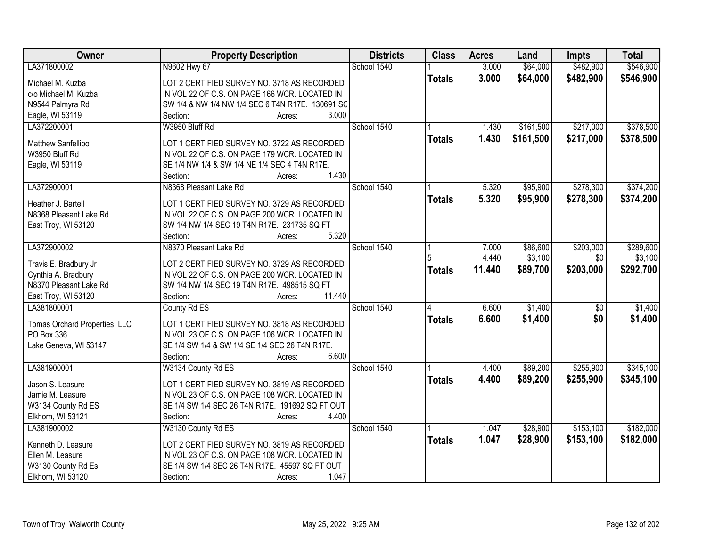| Owner                         | <b>Property Description</b>                      | <b>Districts</b> | <b>Class</b>            | <b>Acres</b> | Land      | <b>Impts</b>    | <b>Total</b> |
|-------------------------------|--------------------------------------------------|------------------|-------------------------|--------------|-----------|-----------------|--------------|
| LA371800002                   | N9602 Hwy 67                                     | School 1540      |                         | 3.000        | \$64,000  | \$482,900       | \$546,900    |
| Michael M. Kuzba              | LOT 2 CERTIFIED SURVEY NO. 3718 AS RECORDED      |                  | <b>Totals</b>           | 3.000        | \$64,000  | \$482,900       | \$546,900    |
| c/o Michael M. Kuzba          | IN VOL 22 OF C.S. ON PAGE 166 WCR. LOCATED IN    |                  |                         |              |           |                 |              |
| N9544 Palmyra Rd              | SW 1/4 & NW 1/4 NW 1/4 SEC 6 T4N R17E. 130691 SC |                  |                         |              |           |                 |              |
| Eagle, WI 53119               | 3.000<br>Section:<br>Acres:                      |                  |                         |              |           |                 |              |
| LA372200001                   | W3950 Bluff Rd                                   | School 1540      |                         | 1.430        | \$161,500 | \$217,000       | \$378,500    |
|                               |                                                  |                  | <b>Totals</b>           | 1.430        | \$161,500 | \$217,000       | \$378,500    |
| Matthew Sanfellipo            | LOT 1 CERTIFIED SURVEY NO. 3722 AS RECORDED      |                  |                         |              |           |                 |              |
| W3950 Bluff Rd                | IN VOL 22 OF C.S. ON PAGE 179 WCR. LOCATED IN    |                  |                         |              |           |                 |              |
| Eagle, WI 53119               | SE 1/4 NW 1/4 & SW 1/4 NE 1/4 SEC 4 T4N R17E.    |                  |                         |              |           |                 |              |
|                               | 1.430<br>Section:<br>Acres:                      |                  |                         |              |           |                 |              |
| LA372900001                   | N8368 Pleasant Lake Rd                           | School 1540      |                         | 5.320        | \$95,900  | \$278,300       | \$374,200    |
| Heather J. Bartell            | LOT 1 CERTIFIED SURVEY NO. 3729 AS RECORDED      |                  | <b>Totals</b>           | 5.320        | \$95,900  | \$278,300       | \$374,200    |
| N8368 Pleasant Lake Rd        | IN VOL 22 OF C.S. ON PAGE 200 WCR. LOCATED IN    |                  |                         |              |           |                 |              |
| East Troy, WI 53120           | SW 1/4 NW 1/4 SEC 19 T4N R17E. 231735 SQ FT      |                  |                         |              |           |                 |              |
|                               | 5.320<br>Section:<br>Acres:                      |                  |                         |              |           |                 |              |
| LA372900002                   | N8370 Pleasant Lake Rd                           | School 1540      |                         | 7.000        | \$86,600  | \$203,000       | \$289,600    |
|                               |                                                  |                  | 5                       | 4.440        | \$3,100   | \$0             | \$3,100      |
| Travis E. Bradbury Jr         | LOT 2 CERTIFIED SURVEY NO. 3729 AS RECORDED      |                  | <b>Totals</b>           | 11.440       | \$89,700  | \$203,000       | \$292,700    |
| Cynthia A. Bradbury           | IN VOL 22 OF C.S. ON PAGE 200 WCR. LOCATED IN    |                  |                         |              |           |                 |              |
| N8370 Pleasant Lake Rd        | SW 1/4 NW 1/4 SEC 19 T4N R17E. 498515 SQ FT      |                  |                         |              |           |                 |              |
| East Troy, WI 53120           | Section:<br>11.440<br>Acres:                     |                  |                         |              |           |                 |              |
| LA381800001                   | County Rd ES                                     | School 1540      | $\overline{\mathbf{A}}$ | 6.600        | \$1,400   | $\overline{50}$ | \$1,400      |
| Tomas Orchard Properties, LLC | LOT 1 CERTIFIED SURVEY NO. 3818 AS RECORDED      |                  | <b>Totals</b>           | 6.600        | \$1,400   | \$0             | \$1,400      |
| PO Box 336                    | IN VOL 23 OF C.S. ON PAGE 106 WCR. LOCATED IN    |                  |                         |              |           |                 |              |
| Lake Geneva, WI 53147         | SE 1/4 SW 1/4 & SW 1/4 SE 1/4 SEC 26 T4N R17E.   |                  |                         |              |           |                 |              |
|                               | 6.600<br>Section:<br>Acres:                      |                  |                         |              |           |                 |              |
| LA381900001                   | W3134 County Rd ES                               | School 1540      |                         | 4.400        | \$89,200  | \$255,900       | \$345,100    |
|                               |                                                  |                  | <b>Totals</b>           | 4.400        | \$89,200  | \$255,900       | \$345,100    |
| Jason S. Leasure              | LOT 1 CERTIFIED SURVEY NO. 3819 AS RECORDED      |                  |                         |              |           |                 |              |
| Jamie M. Leasure              | IN VOL 23 OF C.S. ON PAGE 108 WCR. LOCATED IN    |                  |                         |              |           |                 |              |
| W3134 County Rd ES            | SE 1/4 SW 1/4 SEC 26 T4N R17E. 191692 SQ FT OUT  |                  |                         |              |           |                 |              |
| Elkhorn, WI 53121             | 4.400<br>Section:<br>Acres:                      |                  |                         |              |           |                 |              |
| LA381900002                   | W3130 County Rd ES                               | School 1540      |                         | 1.047        | \$28,900  | \$153,100       | \$182,000    |
| Kenneth D. Leasure            | LOT 2 CERTIFIED SURVEY NO. 3819 AS RECORDED      |                  | <b>Totals</b>           | 1.047        | \$28,900  | \$153,100       | \$182,000    |
| Ellen M. Leasure              | IN VOL 23 OF C.S. ON PAGE 108 WCR. LOCATED IN    |                  |                         |              |           |                 |              |
| W3130 County Rd Es            | SE 1/4 SW 1/4 SEC 26 T4N R17E. 45597 SQ FT OUT   |                  |                         |              |           |                 |              |
| Elkhorn, WI 53120             | 1.047<br>Section:<br>Acres:                      |                  |                         |              |           |                 |              |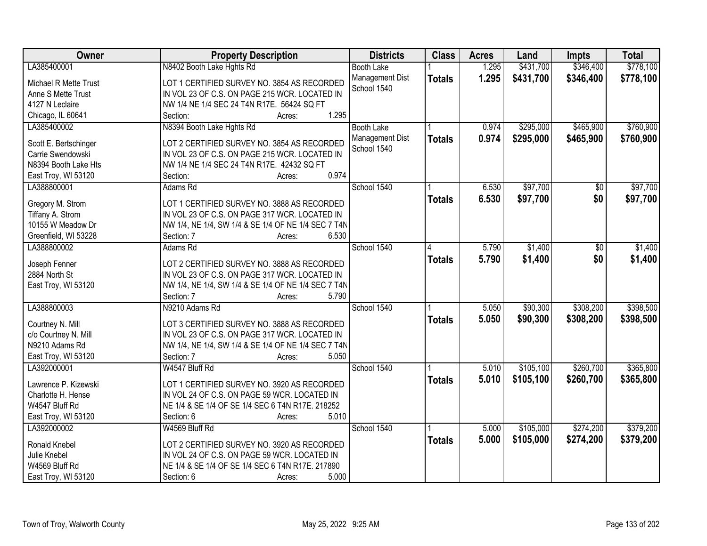| Owner                 | <b>Property Description</b>                         | <b>Districts</b>  | <b>Class</b>  | <b>Acres</b> | Land      | <b>Impts</b> | <b>Total</b> |
|-----------------------|-----------------------------------------------------|-------------------|---------------|--------------|-----------|--------------|--------------|
| LA385400001           | N8402 Booth Lake Hghts Rd                           | <b>Booth Lake</b> |               | 1.295        | \$431,700 | \$346,400    | \$778,100    |
| Michael R Mette Trust | LOT 1 CERTIFIED SURVEY NO. 3854 AS RECORDED         | Management Dist   | <b>Totals</b> | 1.295        | \$431,700 | \$346,400    | \$778,100    |
| Anne S Mette Trust    | IN VOL 23 OF C.S. ON PAGE 215 WCR. LOCATED IN       | School 1540       |               |              |           |              |              |
| 4127 N Leclaire       | NW 1/4 NE 1/4 SEC 24 T4N R17E. 56424 SQ FT          |                   |               |              |           |              |              |
| Chicago, IL 60641     | 1.295<br>Section:<br>Acres:                         |                   |               |              |           |              |              |
| LA385400002           | N8394 Booth Lake Hghts Rd                           | <b>Booth Lake</b> |               | 0.974        | \$295,000 | \$465,900    | \$760,900    |
|                       |                                                     | Management Dist   | <b>Totals</b> | 0.974        | \$295,000 | \$465,900    | \$760,900    |
| Scott E. Bertschinger | LOT 2 CERTIFIED SURVEY NO. 3854 AS RECORDED         | School 1540       |               |              |           |              |              |
| Carrie Swendowski     | IN VOL 23 OF C.S. ON PAGE 215 WCR. LOCATED IN       |                   |               |              |           |              |              |
| N8394 Booth Lake Hts  | NW 1/4 NE 1/4 SEC 24 T4N R17E. 42432 SQ FT          |                   |               |              |           |              |              |
| East Troy, WI 53120   | 0.974<br>Section:<br>Acres:                         |                   |               |              |           |              |              |
| LA388800001           | Adams Rd                                            | School 1540       |               | 6.530        | \$97,700  | \$0          | \$97,700     |
| Gregory M. Strom      | LOT 1 CERTIFIED SURVEY NO. 3888 AS RECORDED         |                   | <b>Totals</b> | 6.530        | \$97,700  | \$0          | \$97,700     |
| Tiffany A. Strom      | IN VOL 23 OF C.S. ON PAGE 317 WCR. LOCATED IN       |                   |               |              |           |              |              |
| 10155 W Meadow Dr     | NW 1/4, NE 1/4, SW 1/4 & SE 1/4 OF NE 1/4 SEC 7 T4N |                   |               |              |           |              |              |
| Greenfield, WI 53228  | 6.530<br>Section: 7<br>Acres:                       |                   |               |              |           |              |              |
| LA388800002           | Adams Rd                                            | School 1540       |               | 5.790        | \$1,400   | \$0          | \$1,400      |
|                       |                                                     |                   | 4             |              |           |              |              |
| Joseph Fenner         | LOT 2 CERTIFIED SURVEY NO. 3888 AS RECORDED         |                   | <b>Totals</b> | 5.790        | \$1,400   | \$0          | \$1,400      |
| 2884 North St         | IN VOL 23 OF C.S. ON PAGE 317 WCR. LOCATED IN       |                   |               |              |           |              |              |
| East Troy, WI 53120   | NW 1/4, NE 1/4, SW 1/4 & SE 1/4 OF NE 1/4 SEC 7 T4N |                   |               |              |           |              |              |
|                       | 5.790<br>Section: 7<br>Acres:                       |                   |               |              |           |              |              |
| LA388800003           | N9210 Adams Rd                                      | School 1540       |               | 5.050        | \$90,300  | \$308,200    | \$398,500    |
|                       |                                                     |                   | <b>Totals</b> | 5.050        | \$90,300  | \$308,200    | \$398,500    |
| Courtney N. Mill      | LOT 3 CERTIFIED SURVEY NO. 3888 AS RECORDED         |                   |               |              |           |              |              |
| c/o Courtney N. Mill  | IN VOL 23 OF C.S. ON PAGE 317 WCR. LOCATED IN       |                   |               |              |           |              |              |
| N9210 Adams Rd        | NW 1/4, NE 1/4, SW 1/4 & SE 1/4 OF NE 1/4 SEC 7 T4N |                   |               |              |           |              |              |
| East Troy, WI 53120   | 5.050<br>Section: 7<br>Acres:                       |                   |               |              |           |              |              |
| LA392000001           | W4547 Bluff Rd                                      | School 1540       |               | 5.010        | \$105,100 | \$260,700    | \$365,800    |
| Lawrence P. Kizewski  | LOT 1 CERTIFIED SURVEY NO. 3920 AS RECORDED         |                   | <b>Totals</b> | 5.010        | \$105,100 | \$260,700    | \$365,800    |
| Charlotte H. Hense    | IN VOL 24 OF C.S. ON PAGE 59 WCR. LOCATED IN        |                   |               |              |           |              |              |
| W4547 Bluff Rd        | NE 1/4 & SE 1/4 OF SE 1/4 SEC 6 T4N R17E. 218252    |                   |               |              |           |              |              |
| East Troy, WI 53120   | 5.010<br>Section: 6<br>Acres:                       |                   |               |              |           |              |              |
| LA392000002           | W4569 Bluff Rd                                      | School 1540       |               | 5.000        | \$105,000 | \$274,200    | \$379,200    |
|                       |                                                     |                   | <b>Totals</b> | 5.000        | \$105,000 | \$274,200    | \$379,200    |
| Ronald Knebel         | LOT 2 CERTIFIED SURVEY NO. 3920 AS RECORDED         |                   |               |              |           |              |              |
| Julie Knebel          | IN VOL 24 OF C.S. ON PAGE 59 WCR. LOCATED IN        |                   |               |              |           |              |              |
| W4569 Bluff Rd        | NE 1/4 & SE 1/4 OF SE 1/4 SEC 6 T4N R17E. 217890    |                   |               |              |           |              |              |
| East Troy, WI 53120   | Section: 6<br>5.000<br>Acres:                       |                   |               |              |           |              |              |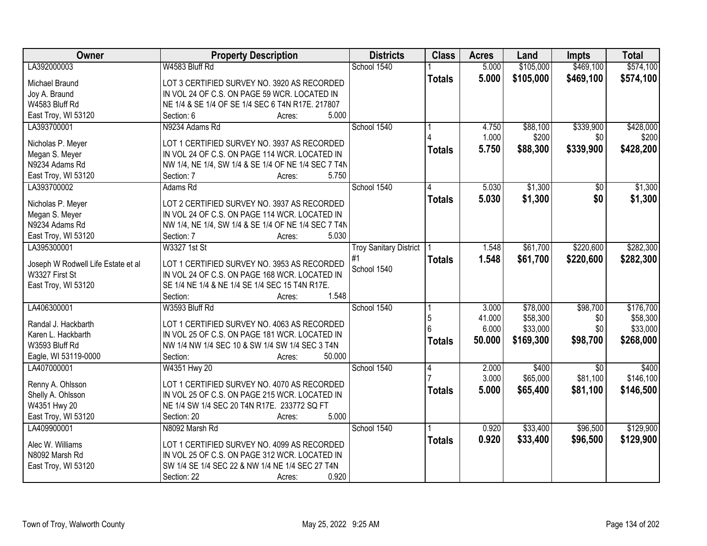| <b>Owner</b>                       | <b>Property Description</b>                         | <b>Districts</b>              | <b>Class</b>  | <b>Acres</b> | Land      | <b>Impts</b>    | <b>Total</b> |
|------------------------------------|-----------------------------------------------------|-------------------------------|---------------|--------------|-----------|-----------------|--------------|
| LA392000003                        | W4583 Bluff Rd                                      | School 1540                   |               | 5.000        | \$105,000 | \$469,100       | \$574,100    |
| Michael Braund                     | LOT 3 CERTIFIED SURVEY NO. 3920 AS RECORDED         |                               | <b>Totals</b> | 5.000        | \$105,000 | \$469,100       | \$574,100    |
| Joy A. Braund                      | IN VOL 24 OF C.S. ON PAGE 59 WCR. LOCATED IN        |                               |               |              |           |                 |              |
| W4583 Bluff Rd                     | NE 1/4 & SE 1/4 OF SE 1/4 SEC 6 T4N R17E. 217807    |                               |               |              |           |                 |              |
| East Troy, WI 53120                | 5.000<br>Section: 6<br>Acres:                       |                               |               |              |           |                 |              |
| LA393700001                        | N9234 Adams Rd                                      | School 1540                   |               | 4.750        | \$88,100  | \$339,900       | \$428,000    |
|                                    |                                                     |                               |               | 1.000        | \$200     | \$0             | \$200        |
| Nicholas P. Meyer                  | LOT 1 CERTIFIED SURVEY NO. 3937 AS RECORDED         |                               | <b>Totals</b> | 5.750        | \$88,300  | \$339,900       | \$428,200    |
| Megan S. Meyer                     | IN VOL 24 OF C.S. ON PAGE 114 WCR. LOCATED IN       |                               |               |              |           |                 |              |
| N9234 Adams Rd                     | NW 1/4, NE 1/4, SW 1/4 & SE 1/4 OF NE 1/4 SEC 7 T4N |                               |               |              |           |                 |              |
| East Troy, WI 53120                | 5.750<br>Section: 7<br>Acres:                       |                               |               |              |           |                 |              |
| LA393700002                        | Adams Rd                                            | School 1540                   |               | 5.030        | \$1,300   | $\sqrt{50}$     | \$1,300      |
| Nicholas P. Meyer                  | LOT 2 CERTIFIED SURVEY NO. 3937 AS RECORDED         |                               | <b>Totals</b> | 5.030        | \$1,300   | \$0             | \$1,300      |
| Megan S. Meyer                     | IN VOL 24 OF C.S. ON PAGE 114 WCR. LOCATED IN       |                               |               |              |           |                 |              |
| N9234 Adams Rd                     | NW 1/4, NE 1/4, SW 1/4 & SE 1/4 OF NE 1/4 SEC 7 T4N |                               |               |              |           |                 |              |
| East Troy, WI 53120                | 5.030<br>Section: 7<br>Acres:                       |                               |               |              |           |                 |              |
| LA395300001                        | W3327 1st St                                        | <b>Troy Sanitary District</b> |               | 1.548        | \$61,700  | \$220,600       | \$282,300    |
|                                    |                                                     | #1                            | <b>Totals</b> | 1.548        | \$61,700  | \$220,600       | \$282,300    |
| Joseph W Rodwell Life Estate et al | LOT 1 CERTIFIED SURVEY NO. 3953 AS RECORDED         | School 1540                   |               |              |           |                 |              |
| W3327 First St                     | IN VOL 24 OF C.S. ON PAGE 168 WCR. LOCATED IN       |                               |               |              |           |                 |              |
| East Troy, WI 53120                | SE 1/4 NE 1/4 & NE 1/4 SE 1/4 SEC 15 T4N R17E.      |                               |               |              |           |                 |              |
|                                    | 1.548<br>Section:<br>Acres:                         |                               |               |              |           |                 |              |
| LA406300001                        | W3593 Bluff Rd                                      | School 1540                   |               | 3.000        | \$78,000  | \$98,700        | \$176,700    |
| Randal J. Hackbarth                | LOT 1 CERTIFIED SURVEY NO. 4063 AS RECORDED         |                               | 5             | 41.000       | \$58,300  | \$0             | \$58,300     |
| Karen L. Hackbarth                 | IN VOL 25 OF C.S. ON PAGE 181 WCR. LOCATED IN       |                               |               | 6.000        | \$33,000  | \$0             | \$33,000     |
| W3593 Bluff Rd                     | NW 1/4 NW 1/4 SEC 10 & SW 1/4 SW 1/4 SEC 3 T4N      |                               | <b>Totals</b> | 50.000       | \$169,300 | \$98,700        | \$268,000    |
| Eagle, WI 53119-0000               | 50.000<br>Section:<br>Acres:                        |                               |               |              |           |                 |              |
| LA407000001                        |                                                     | School 1540                   |               | 2.000        | \$400     | $\overline{50}$ | \$400        |
|                                    | W4351 Hwy 20                                        |                               | 4             | 3.000        | \$65,000  | \$81,100        | \$146,100    |
| Renny A. Ohlsson                   | LOT 1 CERTIFIED SURVEY NO. 4070 AS RECORDED         |                               |               |              |           |                 |              |
| Shelly A. Ohlsson                  | IN VOL 25 OF C.S. ON PAGE 215 WCR. LOCATED IN       |                               | <b>Totals</b> | 5.000        | \$65,400  | \$81,100        | \$146,500    |
| W4351 Hwy 20                       | NE 1/4 SW 1/4 SEC 20 T4N R17E. 233772 SQ FT         |                               |               |              |           |                 |              |
| East Troy, WI 53120                | 5.000<br>Section: 20<br>Acres:                      |                               |               |              |           |                 |              |
| LA409900001                        | N8092 Marsh Rd                                      | School 1540                   |               | 0.920        | \$33,400  | \$96,500        | \$129,900    |
|                                    |                                                     |                               | <b>Totals</b> | 0.920        | \$33,400  | \$96,500        | \$129,900    |
| Alec W. Williams                   | LOT 1 CERTIFIED SURVEY NO. 4099 AS RECORDED         |                               |               |              |           |                 |              |
| N8092 Marsh Rd                     | IN VOL 25 OF C.S. ON PAGE 312 WCR. LOCATED IN       |                               |               |              |           |                 |              |
| East Troy, WI 53120                | SW 1/4 SE 1/4 SEC 22 & NW 1/4 NE 1/4 SEC 27 T4N     |                               |               |              |           |                 |              |
|                                    | 0.920<br>Section: 22<br>Acres:                      |                               |               |              |           |                 |              |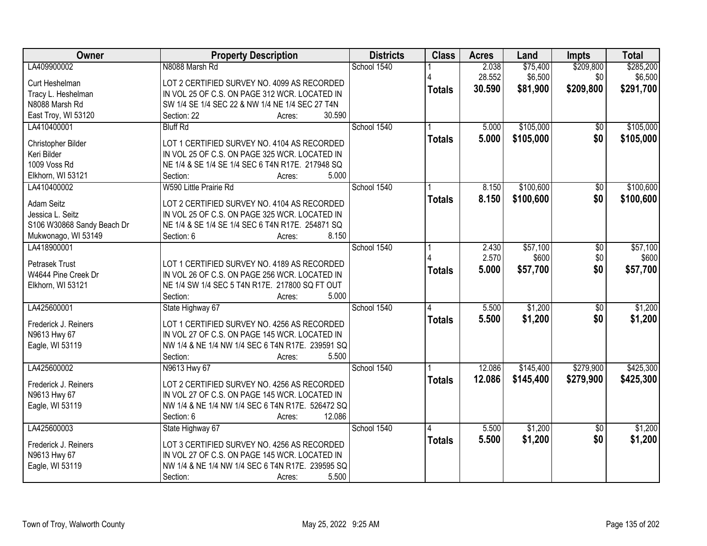| Owner                                        | <b>Property Description</b>                                                   | <b>Districts</b> | <b>Class</b>            | <b>Acres</b> | Land      | Impts           | <b>Total</b> |
|----------------------------------------------|-------------------------------------------------------------------------------|------------------|-------------------------|--------------|-----------|-----------------|--------------|
| LA409900002                                  | N8088 Marsh Rd                                                                | School 1540      |                         | 2.038        | \$75,400  | \$209,800       | \$285,200    |
| Curt Heshelman                               | LOT 2 CERTIFIED SURVEY NO. 4099 AS RECORDED                                   |                  |                         | 28.552       | \$6,500   | \$0             | \$6,500      |
| Tracy L. Heshelman                           | IN VOL 25 OF C.S. ON PAGE 312 WCR. LOCATED IN                                 |                  | <b>Totals</b>           | 30.590       | \$81,900  | \$209,800       | \$291,700    |
| N8088 Marsh Rd                               | SW 1/4 SE 1/4 SEC 22 & NW 1/4 NE 1/4 SEC 27 T4N                               |                  |                         |              |           |                 |              |
| East Troy, WI 53120                          | 30.590<br>Section: 22<br>Acres:                                               |                  |                         |              |           |                 |              |
| LA410400001                                  | <b>Bluff Rd</b>                                                               | School 1540      |                         | 5.000        | \$105,000 | \$0             | \$105,000    |
|                                              |                                                                               |                  | <b>Totals</b>           | 5.000        | \$105,000 | \$0             | \$105,000    |
| Christopher Bilder                           | LOT 1 CERTIFIED SURVEY NO. 4104 AS RECORDED                                   |                  |                         |              |           |                 |              |
| Keri Bilder                                  | IN VOL 25 OF C.S. ON PAGE 325 WCR. LOCATED IN                                 |                  |                         |              |           |                 |              |
| 1009 Voss Rd                                 | NE 1/4 & SE 1/4 SE 1/4 SEC 6 T4N R17E. 217948 SQ<br>5.000                     |                  |                         |              |           |                 |              |
| Elkhorn, WI 53121                            | Section:<br>Acres:<br>W590 Little Prairie Rd                                  | School 1540      |                         |              | \$100,600 |                 | \$100,600    |
| LA410400002                                  |                                                                               |                  |                         | 8.150        |           | $\sqrt[6]{30}$  |              |
| <b>Adam Seitz</b>                            | LOT 2 CERTIFIED SURVEY NO. 4104 AS RECORDED                                   |                  | <b>Totals</b>           | 8.150        | \$100,600 | \$0             | \$100,600    |
| Jessica L. Seitz                             | IN VOL 25 OF C.S. ON PAGE 325 WCR. LOCATED IN                                 |                  |                         |              |           |                 |              |
| S106 W30868 Sandy Beach Dr                   | NE 1/4 & SE 1/4 SE 1/4 SEC 6 T4N R17E. 254871 SQ                              |                  |                         |              |           |                 |              |
| Mukwonago, WI 53149                          | 8.150<br>Section: 6<br>Acres:                                                 |                  |                         |              |           |                 |              |
| LA418900001                                  |                                                                               | School 1540      |                         | 2.430        | \$57,100  | \$0             | \$57,100     |
|                                              |                                                                               |                  |                         | 2.570        | \$600     | \$0             | \$600        |
| <b>Petrasek Trust</b><br>W4644 Pine Creek Dr | LOT 1 CERTIFIED SURVEY NO. 4189 AS RECORDED                                   |                  | <b>Totals</b>           | 5.000        | \$57,700  | \$0             | \$57,700     |
|                                              | IN VOL 26 OF C.S. ON PAGE 256 WCR. LOCATED IN                                 |                  |                         |              |           |                 |              |
| Elkhorn, WI 53121                            | NE 1/4 SW 1/4 SEC 5 T4N R17E. 217800 SQ FT OUT<br>Section:<br>5.000<br>Acres: |                  |                         |              |           |                 |              |
| LA425600001                                  | State Highway 67                                                              | School 1540      | $\overline{\mathbf{A}}$ | 5.500        | \$1,200   | $\overline{50}$ | \$1,200      |
|                                              |                                                                               |                  |                         |              |           |                 |              |
| Frederick J. Reiners                         | LOT 1 CERTIFIED SURVEY NO. 4256 AS RECORDED                                   |                  | <b>Totals</b>           | 5.500        | \$1,200   | \$0             | \$1,200      |
| N9613 Hwy 67                                 | IN VOL 27 OF C.S. ON PAGE 145 WCR. LOCATED IN                                 |                  |                         |              |           |                 |              |
| Eagle, WI 53119                              | NW 1/4 & NE 1/4 NW 1/4 SEC 6 T4N R17E. 239591 SQ                              |                  |                         |              |           |                 |              |
|                                              | 5.500<br>Section:<br>Acres:                                                   |                  |                         |              |           |                 |              |
| LA425600002                                  | N9613 Hwy 67                                                                  | School 1540      |                         | 12.086       | \$145,400 | \$279,900       | \$425,300    |
| Frederick J. Reiners                         | LOT 2 CERTIFIED SURVEY NO. 4256 AS RECORDED                                   |                  | <b>Totals</b>           | 12.086       | \$145,400 | \$279,900       | \$425,300    |
|                                              | IN VOL 27 OF C.S. ON PAGE 145 WCR. LOCATED IN                                 |                  |                         |              |           |                 |              |
| N9613 Hwy 67<br>Eagle, WI 53119              | NW 1/4 & NE 1/4 NW 1/4 SEC 6 T4N R17E. 526472 SQ                              |                  |                         |              |           |                 |              |
|                                              | 12.086<br>Section: 6                                                          |                  |                         |              |           |                 |              |
| LA425600003                                  | Acres:<br>State Highway 67                                                    | School 1540      |                         | 5.500        | \$1,200   | $\overline{30}$ | \$1,200      |
|                                              |                                                                               |                  |                         |              |           |                 |              |
| Frederick J. Reiners                         | LOT 3 CERTIFIED SURVEY NO. 4256 AS RECORDED                                   |                  | <b>Totals</b>           | 5.500        | \$1,200   | \$0             | \$1,200      |
| N9613 Hwy 67                                 | IN VOL 27 OF C.S. ON PAGE 145 WCR. LOCATED IN                                 |                  |                         |              |           |                 |              |
| Eagle, WI 53119                              | NW 1/4 & NE 1/4 NW 1/4 SEC 6 T4N R17E. 239595 SQ                              |                  |                         |              |           |                 |              |
|                                              | 5.500<br>Section:<br>Acres:                                                   |                  |                         |              |           |                 |              |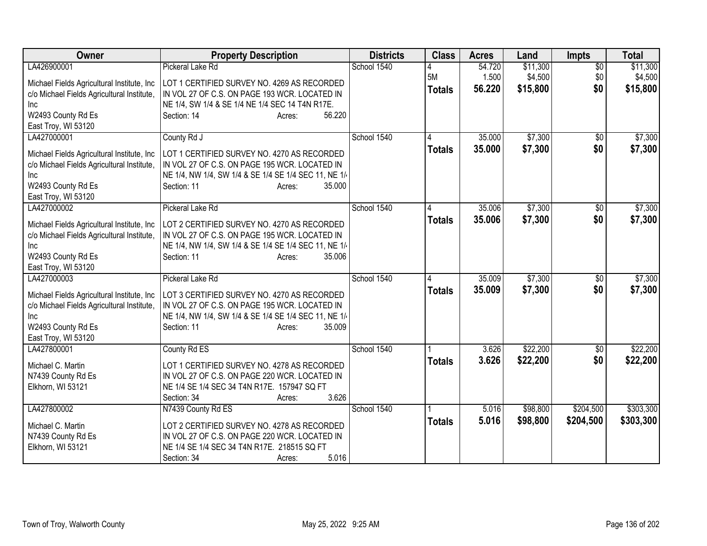| Owner                                                                                                                                                               | <b>Property Description</b>                                                                                                                                                                                  | <b>Districts</b> | <b>Class</b>        | <b>Acres</b>     | Land                 | <b>Impts</b>           | <b>Total</b>           |
|---------------------------------------------------------------------------------------------------------------------------------------------------------------------|--------------------------------------------------------------------------------------------------------------------------------------------------------------------------------------------------------------|------------------|---------------------|------------------|----------------------|------------------------|------------------------|
| LA426900001                                                                                                                                                         | Pickeral Lake Rd                                                                                                                                                                                             | School 1540      | 4                   | 54.720           | \$11,300             | $\overline{50}$        | \$11,300               |
| Michael Fields Agricultural Institute, Inc<br>c/o Michael Fields Agricultural Institute,<br>Inc<br>W2493 County Rd Es<br>East Troy, WI 53120                        | LOT 1 CERTIFIED SURVEY NO. 4269 AS RECORDED<br>IN VOL 27 OF C.S. ON PAGE 193 WCR. LOCATED IN<br>NE 1/4, SW 1/4 & SE 1/4 NE 1/4 SEC 14 T4N R17E.<br>56.220<br>Section: 14<br>Acres:                           |                  | 5M<br><b>Totals</b> | 1.500<br>56.220  | \$4,500<br>\$15,800  | \$0<br>\$0             | \$4,500<br>\$15,800    |
| LA427000001                                                                                                                                                         | County Rd J                                                                                                                                                                                                  | School 1540      |                     | 35.000           | \$7,300              | $\sqrt{$0}$            | \$7,300                |
| Michael Fields Agricultural Institute, Inc.<br>c/o Michael Fields Agricultural Institute,<br>Inc<br>W2493 County Rd Es<br>East Troy, WI 53120                       | LOT 1 CERTIFIED SURVEY NO. 4270 AS RECORDED<br>IN VOL 27 OF C.S. ON PAGE 195 WCR. LOCATED IN<br>NE 1/4, NW 1/4, SW 1/4 & SE 1/4 SE 1/4 SEC 11, NE 1/<br>Section: 11<br>35.000<br>Acres:                      |                  | <b>Totals</b>       | 35.000           | \$7,300              | \$0                    | \$7,300                |
| LA427000002<br>Michael Fields Agricultural Institute, Inc.<br>c/o Michael Fields Agricultural Institute,<br>Inc<br>W2493 County Rd Es<br>East Troy, WI 53120        | Pickeral Lake Rd<br>LOT 2 CERTIFIED SURVEY NO. 4270 AS RECORDED<br>IN VOL 27 OF C.S. ON PAGE 195 WCR. LOCATED IN<br>NE 1/4, NW 1/4, SW 1/4 & SE 1/4 SE 1/4 SEC 11, NE 1/-<br>Section: 11<br>35.006<br>Acres: | School 1540      | <b>Totals</b>       | 35.006<br>35.006 | \$7,300<br>\$7,300   | \$0<br>\$0             | \$7,300<br>\$7,300     |
| LA427000003<br>Michael Fields Agricultural Institute, Inc.<br>c/o Michael Fields Agricultural Institute,<br><b>Inc</b><br>W2493 County Rd Es<br>East Troy, WI 53120 | Pickeral Lake Rd<br>LOT 3 CERTIFIED SURVEY NO. 4270 AS RECORDED<br>IN VOL 27 OF C.S. ON PAGE 195 WCR. LOCATED IN<br>NE 1/4, NW 1/4, SW 1/4 & SE 1/4 SE 1/4 SEC 11, NE 1/<br>35.009<br>Section: 11<br>Acres:  | School 1540      | 4<br><b>Totals</b>  | 35.009<br>35.009 | \$7,300<br>\$7,300   | $\sqrt{6}$<br>\$0      | \$7,300<br>\$7,300     |
| LA427800001<br>Michael C. Martin<br>N7439 County Rd Es<br>Elkhorn, WI 53121                                                                                         | County Rd ES<br>LOT 1 CERTIFIED SURVEY NO. 4278 AS RECORDED<br>IN VOL 27 OF C.S. ON PAGE 220 WCR. LOCATED IN<br>NE 1/4 SE 1/4 SEC 34 T4N R17E. 157947 SQ FT<br>3.626<br>Section: 34<br>Acres:                | School 1540      | <b>Totals</b>       | 3.626<br>3.626   | \$22,200<br>\$22,200 | \$0<br>\$0             | \$22,200<br>\$22,200   |
| LA427800002<br>Michael C. Martin<br>N7439 County Rd Es<br>Elkhorn, WI 53121                                                                                         | N7439 County Rd ES<br>LOT 2 CERTIFIED SURVEY NO. 4278 AS RECORDED<br>IN VOL 27 OF C.S. ON PAGE 220 WCR. LOCATED IN<br>NE 1/4 SE 1/4 SEC 34 T4N R17E. 218515 SQ FT<br>5.016<br>Section: 34<br>Acres:          | School 1540      | <b>Totals</b>       | 5.016<br>5.016   | \$98,800<br>\$98,800 | \$204,500<br>\$204,500 | \$303,300<br>\$303,300 |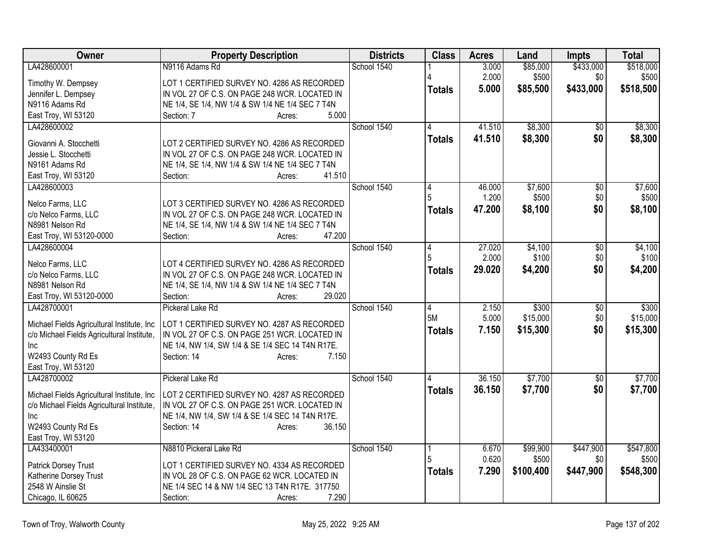| Owner                                             | <b>Property Description</b>                                                                  | <b>Districts</b> | <b>Class</b>  | <b>Acres</b> | Land      | <b>Impts</b>    | <b>Total</b> |
|---------------------------------------------------|----------------------------------------------------------------------------------------------|------------------|---------------|--------------|-----------|-----------------|--------------|
| LA428600001                                       | N9116 Adams Rd                                                                               | School 1540      |               | 3.000        | \$85,000  | \$433,000       | \$518,000    |
| Timothy W. Dempsey                                | LOT 1 CERTIFIED SURVEY NO. 4286 AS RECORDED                                                  |                  |               | 2.000        | \$500     | \$0             | \$500        |
| Jennifer L. Dempsey                               | IN VOL 27 OF C.S. ON PAGE 248 WCR. LOCATED IN                                                |                  | <b>Totals</b> | 5.000        | \$85,500  | \$433,000       | \$518,500    |
| N9116 Adams Rd                                    | NE 1/4, SE 1/4, NW 1/4 & SW 1/4 NE 1/4 SEC 7 T4N                                             |                  |               |              |           |                 |              |
| East Troy, WI 53120                               | 5.000<br>Section: 7<br>Acres:                                                                |                  |               |              |           |                 |              |
| LA428600002                                       |                                                                                              | School 1540      |               | 41.510       | \$8,300   | \$0             | \$8,300      |
|                                                   |                                                                                              |                  | <b>Totals</b> | 41.510       | \$8,300   | \$0             | \$8,300      |
| Giovanni A. Stocchetti<br>Jessie L. Stocchetti    | LOT 2 CERTIFIED SURVEY NO. 4286 AS RECORDED<br>IN VOL 27 OF C.S. ON PAGE 248 WCR. LOCATED IN |                  |               |              |           |                 |              |
| N9161 Adams Rd                                    | NE 1/4, SE 1/4, NW 1/4 & SW 1/4 NE 1/4 SEC 7 T4N                                             |                  |               |              |           |                 |              |
| East Troy, WI 53120                               | 41.510<br>Section:<br>Acres:                                                                 |                  |               |              |           |                 |              |
| LA428600003                                       |                                                                                              | School 1540      | 4             | 46.000       | \$7,600   | $\overline{50}$ | \$7,600      |
|                                                   |                                                                                              |                  | 5             | 1.200        | \$500     | \$0             | \$500        |
| Nelco Farms, LLC                                  | LOT 3 CERTIFIED SURVEY NO. 4286 AS RECORDED                                                  |                  | <b>Totals</b> | 47.200       | \$8,100   | \$0             | \$8,100      |
| c/o Nelco Farms, LLC                              | IN VOL 27 OF C.S. ON PAGE 248 WCR. LOCATED IN                                                |                  |               |              |           |                 |              |
| N8981 Nelson Rd                                   | NE 1/4, SE 1/4, NW 1/4 & SW 1/4 NE 1/4 SEC 7 T4N                                             |                  |               |              |           |                 |              |
| East Troy, WI 53120-0000                          | 47.200<br>Section:<br>Acres:                                                                 |                  |               |              |           |                 |              |
| LA428600004                                       |                                                                                              | School 1540      | 4             | 27.020       | \$4,100   | \$0             | \$4,100      |
| Nelco Farms, LLC                                  | LOT 4 CERTIFIED SURVEY NO. 4286 AS RECORDED                                                  |                  |               | 2.000        | \$100     | \$0             | \$100        |
| c/o Nelco Farms, LLC                              | IN VOL 27 OF C.S. ON PAGE 248 WCR. LOCATED IN                                                |                  | <b>Totals</b> | 29.020       | \$4,200   | \$0             | \$4,200      |
| N8981 Nelson Rd                                   | NE 1/4, SE 1/4, NW 1/4 & SW 1/4 NE 1/4 SEC 7 T4N                                             |                  |               |              |           |                 |              |
| East Troy, WI 53120-0000                          | Section:<br>29.020<br>Acres:                                                                 |                  |               |              |           |                 |              |
| LA428700001                                       | Pickeral Lake Rd                                                                             | School 1540      | 4             | 2.150        | \$300     | $\overline{50}$ | \$300        |
|                                                   |                                                                                              |                  | 5M            | 5.000        | \$15,000  | \$0             | \$15,000     |
| Michael Fields Agricultural Institute, Inc        | LOT 1 CERTIFIED SURVEY NO. 4287 AS RECORDED<br>IN VOL 27 OF C.S. ON PAGE 251 WCR. LOCATED IN |                  | <b>Totals</b> | 7.150        | \$15,300  | \$0             | \$15,300     |
| c/o Michael Fields Agricultural Institute,<br>Inc | NE 1/4, NW 1/4, SW 1/4 & SE 1/4 SEC 14 T4N R17E.                                             |                  |               |              |           |                 |              |
| W2493 County Rd Es                                | Section: 14<br>7.150<br>Acres:                                                               |                  |               |              |           |                 |              |
| East Troy, WI 53120                               |                                                                                              |                  |               |              |           |                 |              |
| LA428700002                                       | Pickeral Lake Rd                                                                             | School 1540      |               | 36.150       | \$7,700   | $\overline{50}$ | \$7,700      |
|                                                   |                                                                                              |                  | <b>Totals</b> | 36.150       | \$7,700   | \$0             | \$7,700      |
| Michael Fields Agricultural Institute, Inc.       | LOT 2 CERTIFIED SURVEY NO. 4287 AS RECORDED                                                  |                  |               |              |           |                 |              |
| c/o Michael Fields Agricultural Institute,        | IN VOL 27 OF C.S. ON PAGE 251 WCR. LOCATED IN                                                |                  |               |              |           |                 |              |
| <b>Inc</b>                                        | NE 1/4, NW 1/4, SW 1/4 & SE 1/4 SEC 14 T4N R17E.                                             |                  |               |              |           |                 |              |
| W2493 County Rd Es                                | 36.150<br>Section: 14<br>Acres:                                                              |                  |               |              |           |                 |              |
| East Troy, WI 53120                               |                                                                                              |                  |               |              |           |                 |              |
| LA433400001                                       | N8810 Pickeral Lake Rd                                                                       | School 1540      | 5             | 6.670        | \$99,900  | \$447,900       | \$547,800    |
| Patrick Dorsey Trust                              | LOT 1 CERTIFIED SURVEY NO. 4334 AS RECORDED                                                  |                  |               | 0.620        | \$500     | \$0             | \$500        |
| Katherine Dorsey Trust                            | IN VOL 28 OF C.S. ON PAGE 62 WCR. LOCATED IN                                                 |                  | <b>Totals</b> | 7.290        | \$100,400 | \$447,900       | \$548,300    |
| 2548 W Ainslie St                                 | NE 1/4 SEC 14 & NW 1/4 SEC 13 T4N R17E. 317750                                               |                  |               |              |           |                 |              |
| Chicago, IL 60625                                 | Section:<br>7.290<br>Acres:                                                                  |                  |               |              |           |                 |              |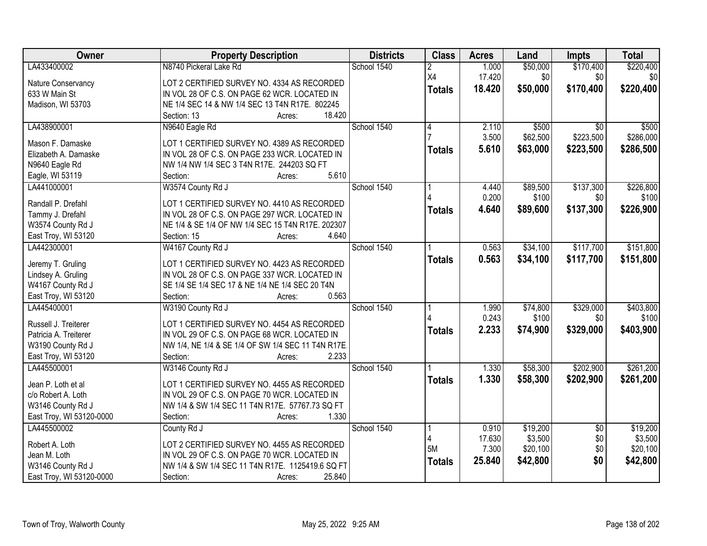| Owner                                    | <b>Property Description</b>                                                                  | <b>Districts</b> | <b>Class</b>  | <b>Acres</b> | Land     | Impts           | <b>Total</b> |
|------------------------------------------|----------------------------------------------------------------------------------------------|------------------|---------------|--------------|----------|-----------------|--------------|
| LA433400002                              | N8740 Pickeral Lake Rd                                                                       | School 1540      | 2             | 1.000        | \$50,000 | \$170,400       | \$220,400    |
| Nature Conservancy                       | LOT 2 CERTIFIED SURVEY NO. 4334 AS RECORDED                                                  |                  | X4            | 17.420       | \$0      | \$0             | \$0          |
| 633 W Main St                            | IN VOL 28 OF C.S. ON PAGE 62 WCR. LOCATED IN                                                 |                  | <b>Totals</b> | 18.420       | \$50,000 | \$170,400       | \$220,400    |
| Madison, WI 53703                        | NE 1/4 SEC 14 & NW 1/4 SEC 13 T4N R17E. 802245                                               |                  |               |              |          |                 |              |
|                                          | 18.420<br>Section: 13<br>Acres:                                                              |                  |               |              |          |                 |              |
| LA438900001                              | N9640 Eagle Rd                                                                               | School 1540      | 4             | 2.110        | \$500    | $\overline{30}$ | \$500        |
|                                          |                                                                                              |                  |               | 3.500        | \$62,500 | \$223,500       | \$286,000    |
| Mason F. Damaske<br>Elizabeth A. Damaske | LOT 1 CERTIFIED SURVEY NO. 4389 AS RECORDED<br>IN VOL 28 OF C.S. ON PAGE 233 WCR. LOCATED IN |                  | <b>Totals</b> | 5.610        | \$63,000 | \$223,500       | \$286,500    |
|                                          | NW 1/4 NW 1/4 SEC 3 T4N R17E. 244203 SQ FT                                                   |                  |               |              |          |                 |              |
| N9640 Eagle Rd<br>Eagle, WI 53119        | 5.610<br>Section:<br>Acres:                                                                  |                  |               |              |          |                 |              |
| LA441000001                              | W3574 County Rd J                                                                            | School 1540      |               | 4.440        | \$89,500 | \$137,300       | \$226,800    |
|                                          |                                                                                              |                  |               | 0.200        | \$100    | \$0             | \$100        |
| Randall P. Drefahl                       | LOT 1 CERTIFIED SURVEY NO. 4410 AS RECORDED                                                  |                  |               | 4.640        |          |                 |              |
| Tammy J. Drefahl                         | IN VOL 28 OF C.S. ON PAGE 297 WCR. LOCATED IN                                                |                  | <b>Totals</b> |              | \$89,600 | \$137,300       | \$226,900    |
| W3574 County Rd J                        | NE 1/4 & SE 1/4 OF NW 1/4 SEC 15 T4N R17E. 202307                                            |                  |               |              |          |                 |              |
| East Troy, WI 53120                      | 4.640<br>Section: 15<br>Acres:                                                               |                  |               |              |          |                 |              |
| LA442300001                              | W4167 County Rd J                                                                            | School 1540      |               | 0.563        | \$34,100 | \$117,700       | \$151,800    |
|                                          | LOT 1 CERTIFIED SURVEY NO. 4423 AS RECORDED                                                  |                  | <b>Totals</b> | 0.563        | \$34,100 | \$117,700       | \$151,800    |
| Jeremy T. Gruling                        | IN VOL 28 OF C.S. ON PAGE 337 WCR. LOCATED IN                                                |                  |               |              |          |                 |              |
| Lindsey A. Gruling<br>W4167 County Rd J  | SE 1/4 SE 1/4 SEC 17 & NE 1/4 NE 1/4 SEC 20 T4N                                              |                  |               |              |          |                 |              |
| East Troy, WI 53120                      | Section:<br>0.563<br>Acres:                                                                  |                  |               |              |          |                 |              |
| LA445400001                              | W3190 County Rd J                                                                            | School 1540      |               | 1.990        | \$74,800 | \$329,000       | \$403,800    |
|                                          |                                                                                              |                  |               | 0.243        | \$100    | \$0             | \$100        |
| Russell J. Treiterer                     | LOT 1 CERTIFIED SURVEY NO. 4454 AS RECORDED                                                  |                  |               | 2.233        |          | \$329,000       | \$403,900    |
| Patricia A. Treiterer                    | IN VOL 29 OF C.S. ON PAGE 68 WCR. LOCATED IN                                                 |                  | <b>Totals</b> |              | \$74,900 |                 |              |
| W3190 County Rd J                        | NW 1/4, NE 1/4 & SE 1/4 OF SW 1/4 SEC 11 T4N R17E.                                           |                  |               |              |          |                 |              |
| East Troy, WI 53120                      | 2.233<br>Section:<br>Acres:                                                                  |                  |               |              |          |                 |              |
| LA445500001                              | W3146 County Rd J                                                                            | School 1540      |               | 1.330        | \$58,300 | \$202,900       | \$261,200    |
| Jean P. Loth et al                       | LOT 1 CERTIFIED SURVEY NO. 4455 AS RECORDED                                                  |                  | <b>Totals</b> | 1.330        | \$58,300 | \$202,900       | \$261,200    |
| c/o Robert A. Loth                       | IN VOL 29 OF C.S. ON PAGE 70 WCR. LOCATED IN                                                 |                  |               |              |          |                 |              |
| W3146 County Rd J                        | NW 1/4 & SW 1/4 SEC 11 T4N R17E. 57767.73 SQ FT                                              |                  |               |              |          |                 |              |
| East Troy, WI 53120-0000                 | 1.330<br>Section:<br>Acres:                                                                  |                  |               |              |          |                 |              |
| LA445500002                              | County Rd J                                                                                  | School 1540      |               | 0.910        | \$19,200 | $\overline{50}$ | \$19,200     |
|                                          |                                                                                              |                  |               | 17.630       | \$3,500  | \$0             | \$3,500      |
| Robert A. Loth                           | LOT 2 CERTIFIED SURVEY NO. 4455 AS RECORDED                                                  |                  | 5M            | 7.300        | \$20,100 | \$0             | \$20,100     |
| Jean M. Loth                             | IN VOL 29 OF C.S. ON PAGE 70 WCR. LOCATED IN                                                 |                  | <b>Totals</b> | 25.840       | \$42,800 | \$0             | \$42,800     |
| W3146 County Rd J                        | NW 1/4 & SW 1/4 SEC 11 T4N R17E. 1125419.6 SQ FT                                             |                  |               |              |          |                 |              |
| East Troy, WI 53120-0000                 | 25.840<br>Section:<br>Acres:                                                                 |                  |               |              |          |                 |              |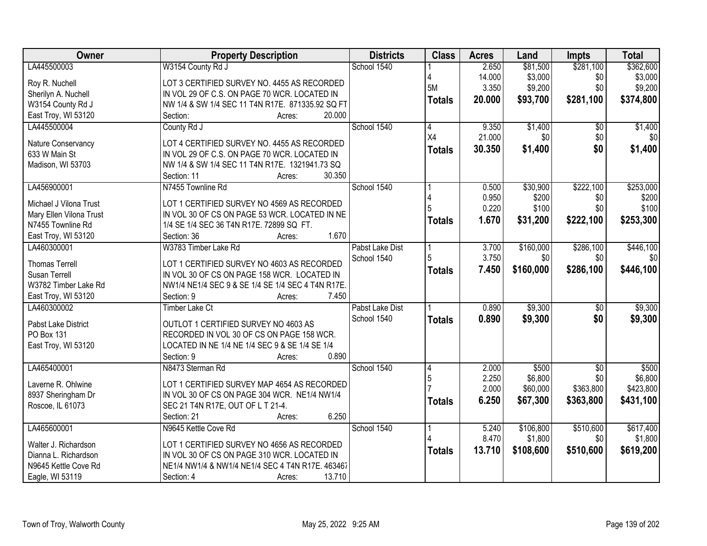| Owner                                  | <b>Property Description</b>                       | <b>Districts</b> | <b>Class</b>  | <b>Acres</b> | Land      | Impts           | <b>Total</b> |
|----------------------------------------|---------------------------------------------------|------------------|---------------|--------------|-----------|-----------------|--------------|
| LA445500003                            | W3154 County Rd J                                 | School 1540      |               | 2.650        | \$81,500  | \$281,100       | \$362,600    |
| Roy R. Nuchell                         | LOT 3 CERTIFIED SURVEY NO. 4455 AS RECORDED       |                  |               | 14.000       | \$3,000   | \$0             | \$3,000      |
| Sherilyn A. Nuchell                    | IN VOL 29 OF C.S. ON PAGE 70 WCR. LOCATED IN      |                  | 5M            | 3.350        | \$9,200   | \$0             | \$9,200      |
| W3154 County Rd J                      | NW 1/4 & SW 1/4 SEC 11 T4N R17E. 871335.92 SQ FT  |                  | <b>Totals</b> | 20.000       | \$93,700  | \$281,100       | \$374,800    |
| East Troy, WI 53120                    | 20.000<br>Section:<br>Acres:                      |                  |               |              |           |                 |              |
| LA445500004                            | County Rd J                                       | School 1540      | 4             | 9.350        | \$1,400   | $\overline{50}$ | \$1,400      |
|                                        |                                                   |                  | X4            | 21.000       | \$0       | \$0             | \$0          |
| Nature Conservancy                     | LOT 4 CERTIFIED SURVEY NO. 4455 AS RECORDED       |                  | <b>Totals</b> | 30.350       | \$1,400   | \$0             | \$1,400      |
| 633 W Main St                          | IN VOL 29 OF C.S. ON PAGE 70 WCR. LOCATED IN      |                  |               |              |           |                 |              |
| Madison, WI 53703                      | NW 1/4 & SW 1/4 SEC 11 T4N R17E. 1321941.73 SQ    |                  |               |              |           |                 |              |
|                                        | 30.350<br>Section: 11<br>Acres:                   |                  |               |              |           |                 |              |
| LA456900001                            | N7455 Townline Rd                                 | School 1540      |               | 0.500        | \$30,900  | \$222,100       | \$253,000    |
| Michael J Vilona Trust                 | LOT 1 CERTIFIED SURVEY NO 4569 AS RECORDED        |                  |               | 0.950        | \$200     | \$0             | \$200        |
| Mary Ellen Vilona Trust                | IN VOL 30 OF CS ON PAGE 53 WCR. LOCATED IN NE     |                  |               | 0.220        | \$100     | \$0             | \$100        |
| N7455 Townline Rd                      | 1/4 SE 1/4 SEC 36 T4N R17E. 72899 SQ FT.          |                  | <b>Totals</b> | 1.670        | \$31,200  | \$222,100       | \$253,300    |
| East Troy, WI 53120                    | 1.670<br>Section: 36<br>Acres:                    |                  |               |              |           |                 |              |
| LA460300001                            | W3783 Timber Lake Rd                              | Pabst Lake Dist  |               | 3.700        | \$160,000 | \$286,100       | \$446,100    |
|                                        |                                                   | School 1540      | 5             | 3.750        | \$0       | \$0             | \$0          |
| <b>Thomas Terrell</b>                  | LOT 1 CERTIFIED SURVEY NO 4603 AS RECORDED        |                  | <b>Totals</b> | 7.450        | \$160,000 | \$286,100       | \$446,100    |
| Susan Terrell                          | IN VOL 30 OF CS ON PAGE 158 WCR. LOCATED IN       |                  |               |              |           |                 |              |
| W3782 Timber Lake Rd                   | NW1/4 NE1/4 SEC 9 & SE 1/4 SE 1/4 SEC 4 T4N R17E. |                  |               |              |           |                 |              |
| East Troy, WI 53120                    | 7.450<br>Section: 9<br>Acres:                     |                  |               |              |           |                 |              |
| LA460300002                            | <b>Timber Lake Ct</b>                             | Pabst Lake Dist  |               | 0.890        | \$9,300   | $\overline{50}$ | \$9,300      |
| Pabst Lake District                    | OUTLOT 1 CERTIFIED SURVEY NO 4603 AS              | School 1540      | <b>Totals</b> | 0.890        | \$9,300   | \$0             | \$9,300      |
| PO Box 131                             | RECORDED IN VOL 30 OF CS ON PAGE 158 WCR.         |                  |               |              |           |                 |              |
| East Troy, WI 53120                    | LOCATED IN NE 1/4 NE 1/4 SEC 9 & SE 1/4 SE 1/4    |                  |               |              |           |                 |              |
|                                        | Section: 9<br>0.890<br>Acres:                     |                  |               |              |           |                 |              |
| LA465400001                            | N8473 Sterman Rd                                  | School 1540      | 4             | 2.000        | \$500     | $\overline{50}$ | \$500        |
| Laverne R. Ohlwine                     | LOT 1 CERTIFIED SURVEY MAP 4654 AS RECORDED       |                  | 5             | 2.250        | \$6,800   | \$0             | \$6,800      |
|                                        | IN VOL 30 OF CS ON PAGE 304 WCR. NE1/4 NW1/4      |                  |               | 2.000        | \$60,000  | \$363,800       | \$423,800    |
| 8937 Sheringham Dr<br>Roscoe, IL 61073 | SEC 21 T4N R17E, OUT OF L T 21-4.                 |                  | <b>Totals</b> | 6.250        | \$67,300  | \$363,800       | \$431,100    |
|                                        | 6.250<br>Section: 21<br>Acres:                    |                  |               |              |           |                 |              |
| LA465600001                            | N9645 Kettle Cove Rd                              | School 1540      |               | 5.240        | \$106,800 | \$510,600       | \$617,400    |
|                                        |                                                   |                  |               | 8.470        | \$1,800   | \$0             | \$1,800      |
| Walter J. Richardson                   | LOT 1 CERTIFIED SURVEY NO 4656 AS RECORDED        |                  |               | 13.710       |           | \$510,600       |              |
| Dianna L. Richardson                   | IN VOL 30 OF CS ON PAGE 310 WCR. LOCATED IN       |                  | <b>Totals</b> |              | \$108,600 |                 | \$619,200    |
| N9645 Kettle Cove Rd                   | NE1/4 NW1/4 & NW1/4 NE1/4 SEC 4 T4N R17E. 463467  |                  |               |              |           |                 |              |
| Eagle, WI 53119                        | 13.710<br>Section: 4<br>Acres:                    |                  |               |              |           |                 |              |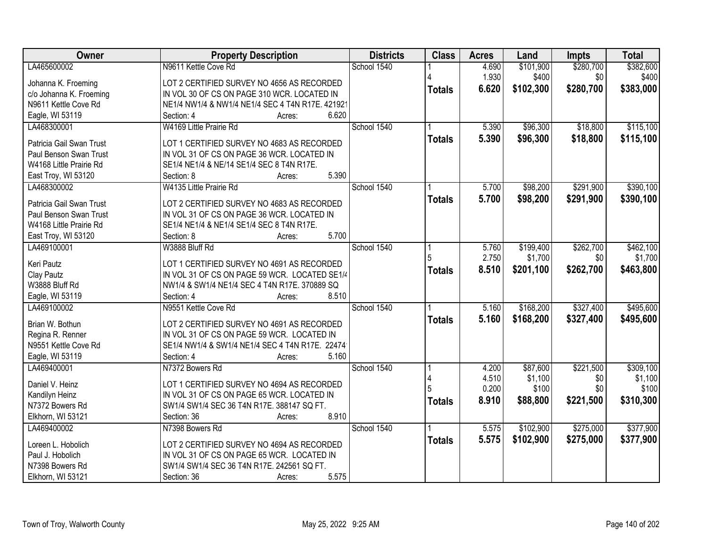| Owner                    | <b>Property Description</b>                        | <b>Districts</b> | <b>Class</b>  | <b>Acres</b> | Land      | Impts     | <b>Total</b> |
|--------------------------|----------------------------------------------------|------------------|---------------|--------------|-----------|-----------|--------------|
| LA465600002              | N9611 Kettle Cove Rd                               | School 1540      |               | 4.690        | \$101,900 | \$280,700 | \$382,600    |
| Johanna K. Froeming      | LOT 2 CERTIFIED SURVEY NO 4656 AS RECORDED         |                  |               | 1.930        | \$400     | \$0       | \$400        |
| c/o Johanna K. Froeming  | IN VOL 30 OF CS ON PAGE 310 WCR. LOCATED IN        |                  | <b>Totals</b> | 6.620        | \$102,300 | \$280,700 | \$383,000    |
| N9611 Kettle Cove Rd     | NE1/4 NW1/4 & NW1/4 NE1/4 SEC 4 T4N R17E. 421921   |                  |               |              |           |           |              |
| Eagle, WI 53119          | 6.620<br>Section: 4<br>Acres:                      |                  |               |              |           |           |              |
| LA468300001              | W4169 Little Prairie Rd                            | School 1540      |               | 5.390        | \$96,300  | \$18,800  | \$115,100    |
|                          |                                                    |                  | <b>Totals</b> | 5.390        | \$96,300  | \$18,800  | \$115,100    |
| Patricia Gail Swan Trust | LOT 1 CERTIFIED SURVEY NO 4683 AS RECORDED         |                  |               |              |           |           |              |
| Paul Benson Swan Trust   | IN VOL 31 OF CS ON PAGE 36 WCR. LOCATED IN         |                  |               |              |           |           |              |
| W4168 Little Prairie Rd  | SE1/4 NE1/4 & NE/14 SE1/4 SEC 8 T4N R17E.<br>5.390 |                  |               |              |           |           |              |
| East Troy, WI 53120      | Section: 8<br>Acres:<br>W4135 Little Prairie Rd    | School 1540      |               |              |           | \$291,900 | \$390,100    |
| LA468300002              |                                                    |                  |               | 5.700        | \$98,200  |           |              |
| Patricia Gail Swan Trust | LOT 2 CERTIFIED SURVEY NO 4683 AS RECORDED         |                  | <b>Totals</b> | 5.700        | \$98,200  | \$291,900 | \$390,100    |
| Paul Benson Swan Trust   | IN VOL 31 OF CS ON PAGE 36 WCR. LOCATED IN         |                  |               |              |           |           |              |
| W4168 Little Prairie Rd  | SE1/4 NE1/4 & NE1/4 SE1/4 SEC 8 T4N R17E.          |                  |               |              |           |           |              |
| East Troy, WI 53120      | 5.700<br>Section: 8<br>Acres:                      |                  |               |              |           |           |              |
| LA469100001              | W3888 Bluff Rd                                     | School 1540      |               | 5.760        | \$199,400 | \$262,700 | \$462,100    |
| Keri Pautz               | LOT 1 CERTIFIED SURVEY NO 4691 AS RECORDED         |                  | 5             | 2.750        | \$1,700   | \$0       | \$1,700      |
| Clay Pautz               | IN VOL 31 OF CS ON PAGE 59 WCR. LOCATED SE1/4      |                  | <b>Totals</b> | 8.510        | \$201,100 | \$262,700 | \$463,800    |
| W3888 Bluff Rd           | NW1/4 & SW1/4 NE1/4 SEC 4 T4N R17E, 370889 SQ      |                  |               |              |           |           |              |
| Eagle, WI 53119          | Section: 4<br>8.510<br>Acres:                      |                  |               |              |           |           |              |
| LA469100002              | N9551 Kettle Cove Rd                               | School 1540      |               | 5.160        | \$168,200 | \$327,400 | \$495,600    |
|                          |                                                    |                  | <b>Totals</b> | 5.160        | \$168,200 | \$327,400 | \$495,600    |
| Brian W. Bothun          | LOT 2 CERTIFIED SURVEY NO 4691 AS RECORDED         |                  |               |              |           |           |              |
| Regina R. Renner         | IN VOL 31 OF CS ON PAGE 59 WCR. LOCATED IN         |                  |               |              |           |           |              |
| N9551 Kettle Cove Rd     | SE1/4 NW1/4 & SW1/4 NE1/4 SEC 4 T4N R17E. 22474    |                  |               |              |           |           |              |
| Eagle, WI 53119          | 5.160<br>Section: 4<br>Acres:                      |                  |               |              |           |           |              |
| LA469400001              | N7372 Bowers Rd                                    | School 1540      |               | 4.200        | \$87,600  | \$221,500 | \$309,100    |
| Daniel V. Heinz          | LOT 1 CERTIFIED SURVEY NO 4694 AS RECORDED         |                  |               | 4.510        | \$1,100   | \$0       | \$1,100      |
| Kandilyn Heinz           | IN VOL 31 OF CS ON PAGE 65 WCR. LOCATED IN         |                  |               | 0.200        | \$100     | \$0       | \$100        |
| N7372 Bowers Rd          | SW1/4 SW1/4 SEC 36 T4N R17E. 388147 SQ FT.         |                  | <b>Totals</b> | 8.910        | \$88,800  | \$221,500 | \$310,300    |
| Elkhorn, WI 53121        | 8.910<br>Section: 36<br>Acres:                     |                  |               |              |           |           |              |
| LA469400002              | N7398 Bowers Rd                                    | School 1540      |               | 5.575        | \$102,900 | \$275,000 | \$377,900    |
|                          |                                                    |                  | <b>Totals</b> | 5.575        | \$102,900 | \$275,000 | \$377,900    |
| Loreen L. Hobolich       | LOT 2 CERTIFIED SURVEY NO 4694 AS RECORDED         |                  |               |              |           |           |              |
| Paul J. Hobolich         | IN VOL 31 OF CS ON PAGE 65 WCR. LOCATED IN         |                  |               |              |           |           |              |
| N7398 Bowers Rd          | SW1/4 SW1/4 SEC 36 T4N R17E. 242561 SQ FT.         |                  |               |              |           |           |              |
| Elkhorn, WI 53121        | 5.575<br>Section: 36<br>Acres:                     |                  |               |              |           |           |              |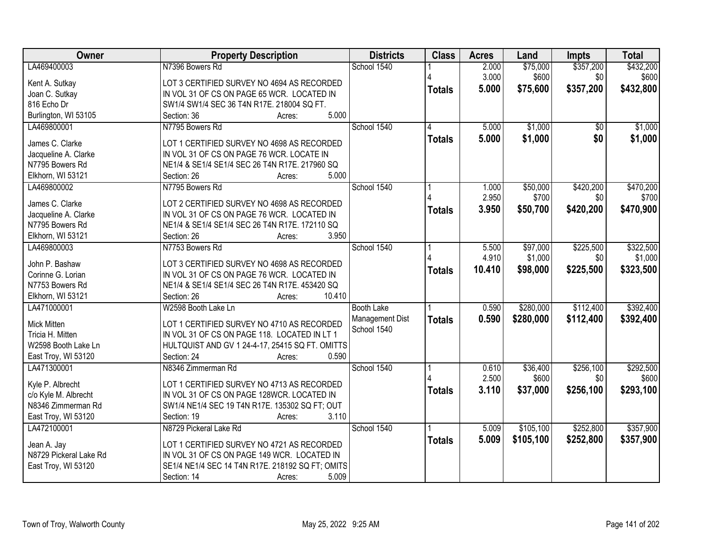| Owner                               | <b>Property Description</b>                                                              | <b>Districts</b>               | <b>Class</b>  | <b>Acres</b>   | Land              | Impts            | <b>Total</b>       |
|-------------------------------------|------------------------------------------------------------------------------------------|--------------------------------|---------------|----------------|-------------------|------------------|--------------------|
| LA469400003                         | N7396 Bowers Rd                                                                          | School 1540                    |               | 2.000          | \$75,000          | \$357,200        | \$432,200          |
| Kent A. Sutkay                      | LOT 3 CERTIFIED SURVEY NO 4694 AS RECORDED                                               |                                |               | 3.000          | \$600             | \$0              | \$600              |
| Joan C. Sutkay                      | IN VOL 31 OF CS ON PAGE 65 WCR. LOCATED IN                                               |                                | <b>Totals</b> | 5.000          | \$75,600          | \$357,200        | \$432,800          |
| 816 Echo Dr                         | SW1/4 SW1/4 SEC 36 T4N R17E. 218004 SQ FT.                                               |                                |               |                |                   |                  |                    |
| Burlington, WI 53105                | 5.000<br>Section: 36<br>Acres:                                                           |                                |               |                |                   |                  |                    |
| LA469800001                         | N7795 Bowers Rd                                                                          | School 1540                    | 4             | 5.000          | \$1,000           | \$0              | \$1,000            |
|                                     |                                                                                          |                                | <b>Totals</b> | 5.000          | \$1,000           | \$0              | \$1,000            |
| James C. Clarke                     | LOT 1 CERTIFIED SURVEY NO 4698 AS RECORDED                                               |                                |               |                |                   |                  |                    |
| Jacqueline A. Clarke                | IN VOL 31 OF CS ON PAGE 76 WCR. LOCATE IN                                                |                                |               |                |                   |                  |                    |
| N7795 Bowers Rd                     | NE1/4 & SE1/4 SE1/4 SEC 26 T4N R17E. 217960 SQ<br>5.000                                  |                                |               |                |                   |                  |                    |
| Elkhorn, WI 53121                   | Section: 26<br>Acres:                                                                    | School 1540                    |               |                |                   |                  |                    |
| LA469800002                         | N7795 Bowers Rd                                                                          |                                |               | 1.000<br>2.950 | \$50,000<br>\$700 | \$420,200<br>\$0 | \$470,200<br>\$700 |
| James C. Clarke                     | LOT 2 CERTIFIED SURVEY NO 4698 AS RECORDED                                               |                                |               |                |                   |                  |                    |
| Jacqueline A. Clarke                | IN VOL 31 OF CS ON PAGE 76 WCR. LOCATED IN                                               |                                | <b>Totals</b> | 3.950          | \$50,700          | \$420,200        | \$470,900          |
| N7795 Bowers Rd                     | NE1/4 & SE1/4 SE1/4 SEC 26 T4N R17E. 172110 SQ                                           |                                |               |                |                   |                  |                    |
| Elkhorn, WI 53121                   | 3.950<br>Section: 26<br>Acres:                                                           |                                |               |                |                   |                  |                    |
| LA469800003                         | N7753 Bowers Rd                                                                          | School 1540                    |               | 5.500          | \$97,000          | \$225,500        | \$322,500          |
|                                     |                                                                                          |                                |               | 4.910          | \$1,000           | \$0              | \$1,000            |
| John P. Bashaw<br>Corinne G. Lorian | LOT 3 CERTIFIED SURVEY NO 4698 AS RECORDED<br>IN VOL 31 OF CS ON PAGE 76 WCR. LOCATED IN |                                | <b>Totals</b> | 10.410         | \$98,000          | \$225,500        | \$323,500          |
| N7753 Bowers Rd                     | NE1/4 & SE1/4 SE1/4 SEC 26 T4N R17E. 453420 SQ                                           |                                |               |                |                   |                  |                    |
| Elkhorn, WI 53121                   | Section: 26<br>10.410<br>Acres:                                                          |                                |               |                |                   |                  |                    |
| LA471000001                         | W2598 Booth Lake Ln                                                                      |                                |               | 0.590          | \$280,000         | \$112,400        | \$392,400          |
|                                     |                                                                                          | <b>Booth Lake</b>              |               |                |                   |                  |                    |
| Mick Mitten                         | LOT 1 CERTIFIED SURVEY NO 4710 AS RECORDED                                               | Management Dist<br>School 1540 | <b>Totals</b> | 0.590          | \$280,000         | \$112,400        | \$392,400          |
| Tricia H. Mitten                    | IN VOL 31 OF CS ON PAGE 118. LOCATED IN LT 1                                             |                                |               |                |                   |                  |                    |
| W2598 Booth Lake Ln                 | HULTQUIST AND GV 1 24-4-17, 25415 SQ FT. OMITTS                                          |                                |               |                |                   |                  |                    |
| East Troy, WI 53120                 | 0.590<br>Section: 24<br>Acres:                                                           |                                |               |                |                   |                  |                    |
| LA471300001                         | N8346 Zimmerman Rd                                                                       | School 1540                    |               | 0.610          | \$36,400          | \$256,100        | \$292,500          |
| Kyle P. Albrecht                    | LOT 1 CERTIFIED SURVEY NO 4713 AS RECORDED                                               |                                |               | 2.500          | \$600             | \$0              | \$600              |
| c/o Kyle M. Albrecht                | IN VOL 31 OF CS ON PAGE 128WCR. LOCATED IN                                               |                                | <b>Totals</b> | 3.110          | \$37,000          | \$256,100        | \$293,100          |
| N8346 Zimmerman Rd                  | SW1/4 NE1/4 SEC 19 T4N R17E. 135302 SQ FT; OUT                                           |                                |               |                |                   |                  |                    |
| East Troy, WI 53120                 | 3.110<br>Section: 19<br>Acres:                                                           |                                |               |                |                   |                  |                    |
| LA472100001                         | N8729 Pickeral Lake Rd                                                                   | School 1540                    |               | 5.009          | \$105,100         | \$252,800        | \$357,900          |
|                                     |                                                                                          |                                | <b>Totals</b> | 5.009          | \$105,100         | \$252,800        | \$357,900          |
| Jean A. Jay                         | LOT 1 CERTIFIED SURVEY NO 4721 AS RECORDED                                               |                                |               |                |                   |                  |                    |
| N8729 Pickeral Lake Rd              | IN VOL 31 OF CS ON PAGE 149 WCR. LOCATED IN                                              |                                |               |                |                   |                  |                    |
| East Troy, WI 53120                 | SE1/4 NE1/4 SEC 14 T4N R17E. 218192 SQ FT; OMITS                                         |                                |               |                |                   |                  |                    |
|                                     | 5.009<br>Section: 14<br>Acres:                                                           |                                |               |                |                   |                  |                    |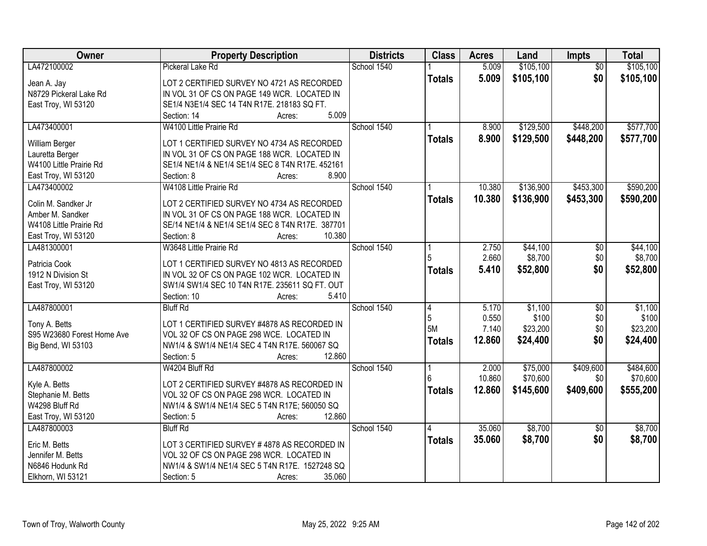| Owner                                | <b>Property Description</b>                               | <b>Districts</b> | <b>Class</b>  | <b>Acres</b> | Land      | Impts           | <b>Total</b> |
|--------------------------------------|-----------------------------------------------------------|------------------|---------------|--------------|-----------|-----------------|--------------|
| LA472100002                          | Pickeral Lake Rd                                          | School 1540      |               | 5.009        | \$105,100 | $\overline{50}$ | \$105,100    |
| Jean A. Jay                          | LOT 2 CERTIFIED SURVEY NO 4721 AS RECORDED                |                  | <b>Totals</b> | 5.009        | \$105,100 | \$0             | \$105,100    |
| N8729 Pickeral Lake Rd               | IN VOL 31 OF CS ON PAGE 149 WCR. LOCATED IN               |                  |               |              |           |                 |              |
| East Troy, WI 53120                  | SE1/4 N3E1/4 SEC 14 T4N R17E. 218183 SQ FT.               |                  |               |              |           |                 |              |
|                                      | 5.009<br>Section: 14<br>Acres:                            |                  |               |              |           |                 |              |
| LA473400001                          | W4100 Little Prairie Rd                                   | School 1540      |               | 8.900        | \$129,500 | \$448,200       | \$577,700    |
|                                      |                                                           |                  | <b>Totals</b> | 8.900        | \$129,500 | \$448,200       | \$577,700    |
| William Berger                       | LOT 1 CERTIFIED SURVEY NO 4734 AS RECORDED                |                  |               |              |           |                 |              |
| Lauretta Berger                      | IN VOL 31 OF CS ON PAGE 188 WCR. LOCATED IN               |                  |               |              |           |                 |              |
| W4100 Little Prairie Rd              | SE1/4 NE1/4 & NE1/4 SE1/4 SEC 8 T4N R17E. 452161<br>8.900 |                  |               |              |           |                 |              |
| East Troy, WI 53120                  | Section: 8<br>Acres:                                      | School 1540      |               |              |           |                 |              |
| LA473400002                          | W4108 Little Prairie Rd                                   |                  |               | 10.380       | \$136,900 | \$453,300       | \$590,200    |
| Colin M. Sandker Jr                  | LOT 2 CERTIFIED SURVEY NO 4734 AS RECORDED                |                  | <b>Totals</b> | 10.380       | \$136,900 | \$453,300       | \$590,200    |
| Amber M. Sandker                     | IN VOL 31 OF CS ON PAGE 188 WCR. LOCATED IN               |                  |               |              |           |                 |              |
| W4108 Little Prairie Rd              | SE/14 NE1/4 & NE1/4 SE1/4 SEC 8 T4N R17E. 387701          |                  |               |              |           |                 |              |
| East Troy, WI 53120                  | 10.380<br>Section: 8<br>Acres:                            |                  |               |              |           |                 |              |
| LA481300001                          | W3648 Little Prairie Rd                                   | School 1540      |               | 2.750        | \$44,100  | \$0             | \$44,100     |
|                                      |                                                           |                  |               | 2.660        | \$8,700   | \$0             | \$8,700      |
| Patricia Cook                        | LOT 1 CERTIFIED SURVEY NO 4813 AS RECORDED                |                  | <b>Totals</b> | 5.410        | \$52,800  | \$0             | \$52,800     |
| 1912 N Division St                   | IN VOL 32 OF CS ON PAGE 102 WCR. LOCATED IN               |                  |               |              |           |                 |              |
| East Troy, WI 53120                  | SW1/4 SW1/4 SEC 10 T4N R17E. 235611 SQ FT. OUT            |                  |               |              |           |                 |              |
|                                      | 5.410<br>Section: 10<br>Acres:                            |                  |               |              |           |                 |              |
| LA487800001                          | <b>Bluff Rd</b>                                           | School 1540      | 4             | 5.170        | \$1,100   | $\overline{50}$ | \$1,100      |
| Tony A. Betts                        | LOT 1 CERTIFIED SURVEY #4878 AS RECORDED IN               |                  | 5<br>5M       | 0.550        | \$100     | \$0             | \$100        |
| S95 W23680 Forest Home Ave           | VOL 32 OF CS ON PAGE 298 WCE. LOCATED IN                  |                  |               | 7.140        | \$23,200  | \$0             | \$23,200     |
| Big Bend, WI 53103                   | NW1/4 & SW1/4 NE1/4 SEC 4 T4N R17E. 560067 SQ             |                  | <b>Totals</b> | 12.860       | \$24,400  | \$0             | \$24,400     |
|                                      | 12.860<br>Section: 5<br>Acres:                            |                  |               |              |           |                 |              |
| LA487800002                          | W4204 Bluff Rd                                            | School 1540      |               | 2.000        | \$75,000  | \$409,600       | \$484,600    |
|                                      |                                                           |                  |               | 10.860       | \$70,600  | \$0             | \$70,600     |
| Kyle A. Betts                        | LOT 2 CERTIFIED SURVEY #4878 AS RECORDED IN               |                  | <b>Totals</b> | 12.860       | \$145,600 | \$409,600       | \$555,200    |
| Stephanie M. Betts<br>W4298 Bluff Rd | VOL 32 OF CS ON PAGE 298 WCR. LOCATED IN                  |                  |               |              |           |                 |              |
|                                      | NW1/4 & SW1/4 NE1/4 SEC 5 T4N R17E; 560050 SQ<br>12.860   |                  |               |              |           |                 |              |
| East Troy, WI 53120<br>LA487800003   | Section: 5<br>Acres:<br><b>Bluff Rd</b>                   | School 1540      |               | 35.060       | \$8,700   |                 | \$8,700      |
|                                      |                                                           |                  | 4             |              |           | $\overline{30}$ |              |
| Eric M. Betts                        | LOT 3 CERTIFIED SURVEY #4878 AS RECORDED IN               |                  | <b>Totals</b> | 35.060       | \$8,700   | \$0             | \$8,700      |
| Jennifer M. Betts                    | VOL 32 OF CS ON PAGE 298 WCR. LOCATED IN                  |                  |               |              |           |                 |              |
| N6846 Hodunk Rd                      | NW1/4 & SW1/4 NE1/4 SEC 5 T4N R17E. 1527248 SQ            |                  |               |              |           |                 |              |
| Elkhorn, WI 53121                    | 35.060<br>Section: 5<br>Acres:                            |                  |               |              |           |                 |              |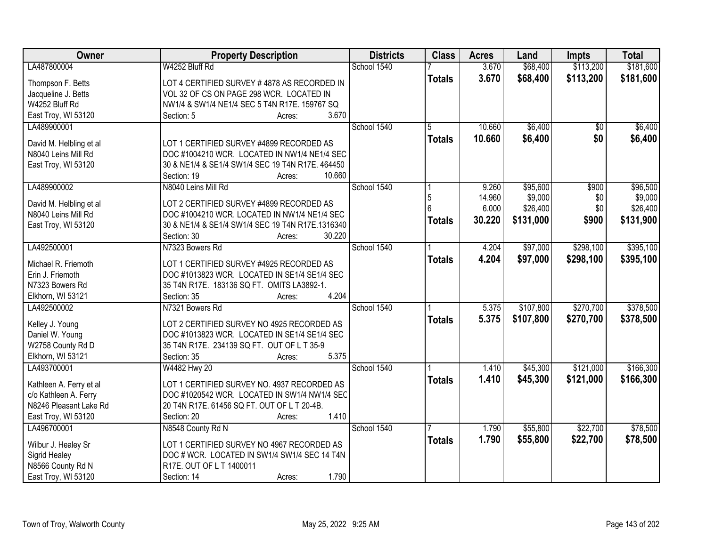| LA487800004<br>W4252 Bluff Rd<br>School 1540<br>3.670<br>\$68,400<br>\$181,600<br>3.670<br>\$68,400<br>\$113,200<br>\$181,600<br><b>Totals</b><br>LOT 4 CERTIFIED SURVEY #4878 AS RECORDED IN<br>Thompson F. Betts<br>Jacqueline J. Betts<br>VOL 32 OF CS ON PAGE 298 WCR. LOCATED IN<br>W4252 Bluff Rd<br>NW1/4 & SW1/4 NE1/4 SEC 5 T4N R17E. 159767 SQ<br>East Troy, WI 53120<br>3.670<br>Section: 5<br>Acres:<br>\$6,400<br>LA489900001<br>School 1540<br>10.660<br>5<br>\$0<br>\$0<br>10.660<br>\$6,400<br><b>Totals</b><br>David M. Helbling et al<br>LOT 1 CERTIFIED SURVEY #4899 RECORDED AS<br>DOC #1004210 WCR. LOCATED IN NW1/4 NE1/4 SEC<br>N8040 Leins Mill Rd<br>East Troy, WI 53120<br>30 & NE1/4 & SE1/4 SW1/4 SEC 19 T4N R17E. 464450<br>10.660<br>Section: 19<br>Acres:<br>LA489900002<br>School 1540<br>\$95,600<br>N8040 Leins Mill Rd<br>\$900<br>\$96,500<br>9.260<br>\$9,000<br>14.960<br>5<br>\$0<br>LOT 2 CERTIFIED SURVEY #4899 RECORDED AS<br>David M. Helbling et al<br>6.000<br>\$26,400<br>\$0<br>N8040 Leins Mill Rd<br>DOC #1004210 WCR. LOCATED IN NW1/4 NE1/4 SEC<br>30.220<br>\$900<br>\$131,000<br><b>Totals</b><br>30 & NE1/4 & SE1/4 SW1/4 SEC 19 T4N R17E.1316340<br>East Troy, WI 53120<br>30.220<br>Section: 30<br>Acres:<br>N7323 Bowers Rd<br>School 1540<br>\$97,000<br>\$298,100<br>LA492500001<br>4.204<br>4.204<br>\$97,000<br>\$298,100<br><b>Totals</b><br>Michael R. Friemoth<br>LOT 1 CERTIFIED SURVEY #4925 RECORDED AS<br>Erin J. Friemoth<br>DOC #1013823 WCR. LOCATED IN SE1/4 SE1/4 SEC<br>35 T4N R17E. 183136 SQ FT. OMITS LA3892-1.<br>N7323 Bowers Rd<br>4.204<br>Elkhorn, WI 53121<br>Section: 35<br>Acres:<br>\$107,800<br>\$270,700<br>LA492500002<br>N7321 Bowers Rd<br>School 1540<br>5.375<br>5.375<br>\$107,800<br>\$270,700<br><b>Totals</b><br>Kelley J. Young<br>LOT 2 CERTIFIED SURVEY NO 4925 RECORDED AS<br>DOC #1013823 WCR. LOCATED IN SE1/4 SE1/4 SEC<br>Daniel W. Young<br>W2758 County Rd D<br>35 T4N R17E. 234139 SQ FT. OUT OF L T 35-9<br>Elkhorn, WI 53121<br>5.375<br>Section: 35<br>Acres:<br>School 1540<br>\$121,000<br>LA493700001<br>\$45,300<br>W4482 Hwy 20<br>1.410<br>1.410<br>\$45,300<br>\$121,000<br><b>Totals</b><br>Kathleen A. Ferry et al<br>LOT 1 CERTIFIED SURVEY NO. 4937 RECORDED AS<br>DOC #1020542 WCR. LOCATED IN SW1/4 NW1/4 SEC<br>c/o Kathleen A. Ferry<br>N8246 Pleasant Lake Rd<br>20 T4N R17E. 61456 SQ FT. OUT OF L T 20-4B.<br>1.410<br>East Troy, WI 53120<br>Section: 20<br>Acres:<br>School 1540<br>\$55,800<br>\$22,700<br>LA496700001<br>N8548 County Rd N<br>1.790<br>1.790<br>\$55,800<br>\$22,700<br><b>Totals</b><br>Wilbur J. Healey Sr<br>LOT 1 CERTIFIED SURVEY NO 4967 RECORDED AS<br>Sigrid Healey<br>DOC # WCR. LOCATED IN SW1/4 SW1/4 SEC 14 T4N<br>N8566 County Rd N<br>R17E. OUT OF L T 1400011 | Owner | <b>Property Description</b> | <b>Districts</b> | <b>Class</b> | <b>Acres</b> | Land | <b>Impts</b> | <b>Total</b> |
|-----------------------------------------------------------------------------------------------------------------------------------------------------------------------------------------------------------------------------------------------------------------------------------------------------------------------------------------------------------------------------------------------------------------------------------------------------------------------------------------------------------------------------------------------------------------------------------------------------------------------------------------------------------------------------------------------------------------------------------------------------------------------------------------------------------------------------------------------------------------------------------------------------------------------------------------------------------------------------------------------------------------------------------------------------------------------------------------------------------------------------------------------------------------------------------------------------------------------------------------------------------------------------------------------------------------------------------------------------------------------------------------------------------------------------------------------------------------------------------------------------------------------------------------------------------------------------------------------------------------------------------------------------------------------------------------------------------------------------------------------------------------------------------------------------------------------------------------------------------------------------------------------------------------------------------------------------------------------------------------------------------------------------------------------------------------------------------------------------------------------------------------------------------------------------------------------------------------------------------------------------------------------------------------------------------------------------------------------------------------------------------------------------------------------------------------------------------------------------------------------------------------------------------------------------------------------------------------------------------------------------------------------------------------------------------------------------------------------------------------------------------------------------------------------------------------------------------|-------|-----------------------------|------------------|--------------|--------------|------|--------------|--------------|
|                                                                                                                                                                                                                                                                                                                                                                                                                                                                                                                                                                                                                                                                                                                                                                                                                                                                                                                                                                                                                                                                                                                                                                                                                                                                                                                                                                                                                                                                                                                                                                                                                                                                                                                                                                                                                                                                                                                                                                                                                                                                                                                                                                                                                                                                                                                                                                                                                                                                                                                                                                                                                                                                                                                                                                                                                                   |       |                             |                  |              |              |      | \$113,200    |              |
|                                                                                                                                                                                                                                                                                                                                                                                                                                                                                                                                                                                                                                                                                                                                                                                                                                                                                                                                                                                                                                                                                                                                                                                                                                                                                                                                                                                                                                                                                                                                                                                                                                                                                                                                                                                                                                                                                                                                                                                                                                                                                                                                                                                                                                                                                                                                                                                                                                                                                                                                                                                                                                                                                                                                                                                                                                   |       |                             |                  |              |              |      |              |              |
| \$6,400<br>\$6,400<br>\$9,000<br>\$26,400<br>\$131,900<br>\$395,100<br>\$395,100<br>\$378,500<br>\$78,500                                                                                                                                                                                                                                                                                                                                                                                                                                                                                                                                                                                                                                                                                                                                                                                                                                                                                                                                                                                                                                                                                                                                                                                                                                                                                                                                                                                                                                                                                                                                                                                                                                                                                                                                                                                                                                                                                                                                                                                                                                                                                                                                                                                                                                                                                                                                                                                                                                                                                                                                                                                                                                                                                                                         |       |                             |                  |              |              |      |              |              |
|                                                                                                                                                                                                                                                                                                                                                                                                                                                                                                                                                                                                                                                                                                                                                                                                                                                                                                                                                                                                                                                                                                                                                                                                                                                                                                                                                                                                                                                                                                                                                                                                                                                                                                                                                                                                                                                                                                                                                                                                                                                                                                                                                                                                                                                                                                                                                                                                                                                                                                                                                                                                                                                                                                                                                                                                                                   |       |                             |                  |              |              |      |              |              |
|                                                                                                                                                                                                                                                                                                                                                                                                                                                                                                                                                                                                                                                                                                                                                                                                                                                                                                                                                                                                                                                                                                                                                                                                                                                                                                                                                                                                                                                                                                                                                                                                                                                                                                                                                                                                                                                                                                                                                                                                                                                                                                                                                                                                                                                                                                                                                                                                                                                                                                                                                                                                                                                                                                                                                                                                                                   |       |                             |                  |              |              |      |              |              |
|                                                                                                                                                                                                                                                                                                                                                                                                                                                                                                                                                                                                                                                                                                                                                                                                                                                                                                                                                                                                                                                                                                                                                                                                                                                                                                                                                                                                                                                                                                                                                                                                                                                                                                                                                                                                                                                                                                                                                                                                                                                                                                                                                                                                                                                                                                                                                                                                                                                                                                                                                                                                                                                                                                                                                                                                                                   |       |                             |                  |              |              |      |              |              |
|                                                                                                                                                                                                                                                                                                                                                                                                                                                                                                                                                                                                                                                                                                                                                                                                                                                                                                                                                                                                                                                                                                                                                                                                                                                                                                                                                                                                                                                                                                                                                                                                                                                                                                                                                                                                                                                                                                                                                                                                                                                                                                                                                                                                                                                                                                                                                                                                                                                                                                                                                                                                                                                                                                                                                                                                                                   |       |                             |                  |              |              |      |              |              |
|                                                                                                                                                                                                                                                                                                                                                                                                                                                                                                                                                                                                                                                                                                                                                                                                                                                                                                                                                                                                                                                                                                                                                                                                                                                                                                                                                                                                                                                                                                                                                                                                                                                                                                                                                                                                                                                                                                                                                                                                                                                                                                                                                                                                                                                                                                                                                                                                                                                                                                                                                                                                                                                                                                                                                                                                                                   |       |                             |                  |              |              |      |              |              |
|                                                                                                                                                                                                                                                                                                                                                                                                                                                                                                                                                                                                                                                                                                                                                                                                                                                                                                                                                                                                                                                                                                                                                                                                                                                                                                                                                                                                                                                                                                                                                                                                                                                                                                                                                                                                                                                                                                                                                                                                                                                                                                                                                                                                                                                                                                                                                                                                                                                                                                                                                                                                                                                                                                                                                                                                                                   |       |                             |                  |              |              |      |              |              |
|                                                                                                                                                                                                                                                                                                                                                                                                                                                                                                                                                                                                                                                                                                                                                                                                                                                                                                                                                                                                                                                                                                                                                                                                                                                                                                                                                                                                                                                                                                                                                                                                                                                                                                                                                                                                                                                                                                                                                                                                                                                                                                                                                                                                                                                                                                                                                                                                                                                                                                                                                                                                                                                                                                                                                                                                                                   |       |                             |                  |              |              |      |              |              |
|                                                                                                                                                                                                                                                                                                                                                                                                                                                                                                                                                                                                                                                                                                                                                                                                                                                                                                                                                                                                                                                                                                                                                                                                                                                                                                                                                                                                                                                                                                                                                                                                                                                                                                                                                                                                                                                                                                                                                                                                                                                                                                                                                                                                                                                                                                                                                                                                                                                                                                                                                                                                                                                                                                                                                                                                                                   |       |                             |                  |              |              |      |              |              |
|                                                                                                                                                                                                                                                                                                                                                                                                                                                                                                                                                                                                                                                                                                                                                                                                                                                                                                                                                                                                                                                                                                                                                                                                                                                                                                                                                                                                                                                                                                                                                                                                                                                                                                                                                                                                                                                                                                                                                                                                                                                                                                                                                                                                                                                                                                                                                                                                                                                                                                                                                                                                                                                                                                                                                                                                                                   |       |                             |                  |              |              |      |              |              |
|                                                                                                                                                                                                                                                                                                                                                                                                                                                                                                                                                                                                                                                                                                                                                                                                                                                                                                                                                                                                                                                                                                                                                                                                                                                                                                                                                                                                                                                                                                                                                                                                                                                                                                                                                                                                                                                                                                                                                                                                                                                                                                                                                                                                                                                                                                                                                                                                                                                                                                                                                                                                                                                                                                                                                                                                                                   |       |                             |                  |              |              |      |              |              |
|                                                                                                                                                                                                                                                                                                                                                                                                                                                                                                                                                                                                                                                                                                                                                                                                                                                                                                                                                                                                                                                                                                                                                                                                                                                                                                                                                                                                                                                                                                                                                                                                                                                                                                                                                                                                                                                                                                                                                                                                                                                                                                                                                                                                                                                                                                                                                                                                                                                                                                                                                                                                                                                                                                                                                                                                                                   |       |                             |                  |              |              |      |              |              |
|                                                                                                                                                                                                                                                                                                                                                                                                                                                                                                                                                                                                                                                                                                                                                                                                                                                                                                                                                                                                                                                                                                                                                                                                                                                                                                                                                                                                                                                                                                                                                                                                                                                                                                                                                                                                                                                                                                                                                                                                                                                                                                                                                                                                                                                                                                                                                                                                                                                                                                                                                                                                                                                                                                                                                                                                                                   |       |                             |                  |              |              |      |              |              |
|                                                                                                                                                                                                                                                                                                                                                                                                                                                                                                                                                                                                                                                                                                                                                                                                                                                                                                                                                                                                                                                                                                                                                                                                                                                                                                                                                                                                                                                                                                                                                                                                                                                                                                                                                                                                                                                                                                                                                                                                                                                                                                                                                                                                                                                                                                                                                                                                                                                                                                                                                                                                                                                                                                                                                                                                                                   |       |                             |                  |              |              |      |              |              |
|                                                                                                                                                                                                                                                                                                                                                                                                                                                                                                                                                                                                                                                                                                                                                                                                                                                                                                                                                                                                                                                                                                                                                                                                                                                                                                                                                                                                                                                                                                                                                                                                                                                                                                                                                                                                                                                                                                                                                                                                                                                                                                                                                                                                                                                                                                                                                                                                                                                                                                                                                                                                                                                                                                                                                                                                                                   |       |                             |                  |              |              |      |              |              |
|                                                                                                                                                                                                                                                                                                                                                                                                                                                                                                                                                                                                                                                                                                                                                                                                                                                                                                                                                                                                                                                                                                                                                                                                                                                                                                                                                                                                                                                                                                                                                                                                                                                                                                                                                                                                                                                                                                                                                                                                                                                                                                                                                                                                                                                                                                                                                                                                                                                                                                                                                                                                                                                                                                                                                                                                                                   |       |                             |                  |              |              |      |              |              |
|                                                                                                                                                                                                                                                                                                                                                                                                                                                                                                                                                                                                                                                                                                                                                                                                                                                                                                                                                                                                                                                                                                                                                                                                                                                                                                                                                                                                                                                                                                                                                                                                                                                                                                                                                                                                                                                                                                                                                                                                                                                                                                                                                                                                                                                                                                                                                                                                                                                                                                                                                                                                                                                                                                                                                                                                                                   |       |                             |                  |              |              |      |              |              |
|                                                                                                                                                                                                                                                                                                                                                                                                                                                                                                                                                                                                                                                                                                                                                                                                                                                                                                                                                                                                                                                                                                                                                                                                                                                                                                                                                                                                                                                                                                                                                                                                                                                                                                                                                                                                                                                                                                                                                                                                                                                                                                                                                                                                                                                                                                                                                                                                                                                                                                                                                                                                                                                                                                                                                                                                                                   |       |                             |                  |              |              |      |              |              |
| \$378,500<br>\$166,300<br>\$166,300<br>\$78,500                                                                                                                                                                                                                                                                                                                                                                                                                                                                                                                                                                                                                                                                                                                                                                                                                                                                                                                                                                                                                                                                                                                                                                                                                                                                                                                                                                                                                                                                                                                                                                                                                                                                                                                                                                                                                                                                                                                                                                                                                                                                                                                                                                                                                                                                                                                                                                                                                                                                                                                                                                                                                                                                                                                                                                                   |       |                             |                  |              |              |      |              |              |
|                                                                                                                                                                                                                                                                                                                                                                                                                                                                                                                                                                                                                                                                                                                                                                                                                                                                                                                                                                                                                                                                                                                                                                                                                                                                                                                                                                                                                                                                                                                                                                                                                                                                                                                                                                                                                                                                                                                                                                                                                                                                                                                                                                                                                                                                                                                                                                                                                                                                                                                                                                                                                                                                                                                                                                                                                                   |       |                             |                  |              |              |      |              |              |
|                                                                                                                                                                                                                                                                                                                                                                                                                                                                                                                                                                                                                                                                                                                                                                                                                                                                                                                                                                                                                                                                                                                                                                                                                                                                                                                                                                                                                                                                                                                                                                                                                                                                                                                                                                                                                                                                                                                                                                                                                                                                                                                                                                                                                                                                                                                                                                                                                                                                                                                                                                                                                                                                                                                                                                                                                                   |       |                             |                  |              |              |      |              |              |
|                                                                                                                                                                                                                                                                                                                                                                                                                                                                                                                                                                                                                                                                                                                                                                                                                                                                                                                                                                                                                                                                                                                                                                                                                                                                                                                                                                                                                                                                                                                                                                                                                                                                                                                                                                                                                                                                                                                                                                                                                                                                                                                                                                                                                                                                                                                                                                                                                                                                                                                                                                                                                                                                                                                                                                                                                                   |       |                             |                  |              |              |      |              |              |
|                                                                                                                                                                                                                                                                                                                                                                                                                                                                                                                                                                                                                                                                                                                                                                                                                                                                                                                                                                                                                                                                                                                                                                                                                                                                                                                                                                                                                                                                                                                                                                                                                                                                                                                                                                                                                                                                                                                                                                                                                                                                                                                                                                                                                                                                                                                                                                                                                                                                                                                                                                                                                                                                                                                                                                                                                                   |       |                             |                  |              |              |      |              |              |
|                                                                                                                                                                                                                                                                                                                                                                                                                                                                                                                                                                                                                                                                                                                                                                                                                                                                                                                                                                                                                                                                                                                                                                                                                                                                                                                                                                                                                                                                                                                                                                                                                                                                                                                                                                                                                                                                                                                                                                                                                                                                                                                                                                                                                                                                                                                                                                                                                                                                                                                                                                                                                                                                                                                                                                                                                                   |       |                             |                  |              |              |      |              |              |
|                                                                                                                                                                                                                                                                                                                                                                                                                                                                                                                                                                                                                                                                                                                                                                                                                                                                                                                                                                                                                                                                                                                                                                                                                                                                                                                                                                                                                                                                                                                                                                                                                                                                                                                                                                                                                                                                                                                                                                                                                                                                                                                                                                                                                                                                                                                                                                                                                                                                                                                                                                                                                                                                                                                                                                                                                                   |       |                             |                  |              |              |      |              |              |
|                                                                                                                                                                                                                                                                                                                                                                                                                                                                                                                                                                                                                                                                                                                                                                                                                                                                                                                                                                                                                                                                                                                                                                                                                                                                                                                                                                                                                                                                                                                                                                                                                                                                                                                                                                                                                                                                                                                                                                                                                                                                                                                                                                                                                                                                                                                                                                                                                                                                                                                                                                                                                                                                                                                                                                                                                                   |       |                             |                  |              |              |      |              |              |
|                                                                                                                                                                                                                                                                                                                                                                                                                                                                                                                                                                                                                                                                                                                                                                                                                                                                                                                                                                                                                                                                                                                                                                                                                                                                                                                                                                                                                                                                                                                                                                                                                                                                                                                                                                                                                                                                                                                                                                                                                                                                                                                                                                                                                                                                                                                                                                                                                                                                                                                                                                                                                                                                                                                                                                                                                                   |       |                             |                  |              |              |      |              |              |
|                                                                                                                                                                                                                                                                                                                                                                                                                                                                                                                                                                                                                                                                                                                                                                                                                                                                                                                                                                                                                                                                                                                                                                                                                                                                                                                                                                                                                                                                                                                                                                                                                                                                                                                                                                                                                                                                                                                                                                                                                                                                                                                                                                                                                                                                                                                                                                                                                                                                                                                                                                                                                                                                                                                                                                                                                                   |       |                             |                  |              |              |      |              |              |
|                                                                                                                                                                                                                                                                                                                                                                                                                                                                                                                                                                                                                                                                                                                                                                                                                                                                                                                                                                                                                                                                                                                                                                                                                                                                                                                                                                                                                                                                                                                                                                                                                                                                                                                                                                                                                                                                                                                                                                                                                                                                                                                                                                                                                                                                                                                                                                                                                                                                                                                                                                                                                                                                                                                                                                                                                                   |       |                             |                  |              |              |      |              |              |
|                                                                                                                                                                                                                                                                                                                                                                                                                                                                                                                                                                                                                                                                                                                                                                                                                                                                                                                                                                                                                                                                                                                                                                                                                                                                                                                                                                                                                                                                                                                                                                                                                                                                                                                                                                                                                                                                                                                                                                                                                                                                                                                                                                                                                                                                                                                                                                                                                                                                                                                                                                                                                                                                                                                                                                                                                                   |       |                             |                  |              |              |      |              |              |
|                                                                                                                                                                                                                                                                                                                                                                                                                                                                                                                                                                                                                                                                                                                                                                                                                                                                                                                                                                                                                                                                                                                                                                                                                                                                                                                                                                                                                                                                                                                                                                                                                                                                                                                                                                                                                                                                                                                                                                                                                                                                                                                                                                                                                                                                                                                                                                                                                                                                                                                                                                                                                                                                                                                                                                                                                                   |       |                             |                  |              |              |      |              |              |
|                                                                                                                                                                                                                                                                                                                                                                                                                                                                                                                                                                                                                                                                                                                                                                                                                                                                                                                                                                                                                                                                                                                                                                                                                                                                                                                                                                                                                                                                                                                                                                                                                                                                                                                                                                                                                                                                                                                                                                                                                                                                                                                                                                                                                                                                                                                                                                                                                                                                                                                                                                                                                                                                                                                                                                                                                                   |       |                             |                  |              |              |      |              |              |
|                                                                                                                                                                                                                                                                                                                                                                                                                                                                                                                                                                                                                                                                                                                                                                                                                                                                                                                                                                                                                                                                                                                                                                                                                                                                                                                                                                                                                                                                                                                                                                                                                                                                                                                                                                                                                                                                                                                                                                                                                                                                                                                                                                                                                                                                                                                                                                                                                                                                                                                                                                                                                                                                                                                                                                                                                                   |       |                             |                  |              |              |      |              |              |
|                                                                                                                                                                                                                                                                                                                                                                                                                                                                                                                                                                                                                                                                                                                                                                                                                                                                                                                                                                                                                                                                                                                                                                                                                                                                                                                                                                                                                                                                                                                                                                                                                                                                                                                                                                                                                                                                                                                                                                                                                                                                                                                                                                                                                                                                                                                                                                                                                                                                                                                                                                                                                                                                                                                                                                                                                                   |       |                             |                  |              |              |      |              |              |
|                                                                                                                                                                                                                                                                                                                                                                                                                                                                                                                                                                                                                                                                                                                                                                                                                                                                                                                                                                                                                                                                                                                                                                                                                                                                                                                                                                                                                                                                                                                                                                                                                                                                                                                                                                                                                                                                                                                                                                                                                                                                                                                                                                                                                                                                                                                                                                                                                                                                                                                                                                                                                                                                                                                                                                                                                                   |       |                             |                  |              |              |      |              |              |
| 1.790<br>East Troy, WI 53120<br>Section: 14<br>Acres:                                                                                                                                                                                                                                                                                                                                                                                                                                                                                                                                                                                                                                                                                                                                                                                                                                                                                                                                                                                                                                                                                                                                                                                                                                                                                                                                                                                                                                                                                                                                                                                                                                                                                                                                                                                                                                                                                                                                                                                                                                                                                                                                                                                                                                                                                                                                                                                                                                                                                                                                                                                                                                                                                                                                                                             |       |                             |                  |              |              |      |              |              |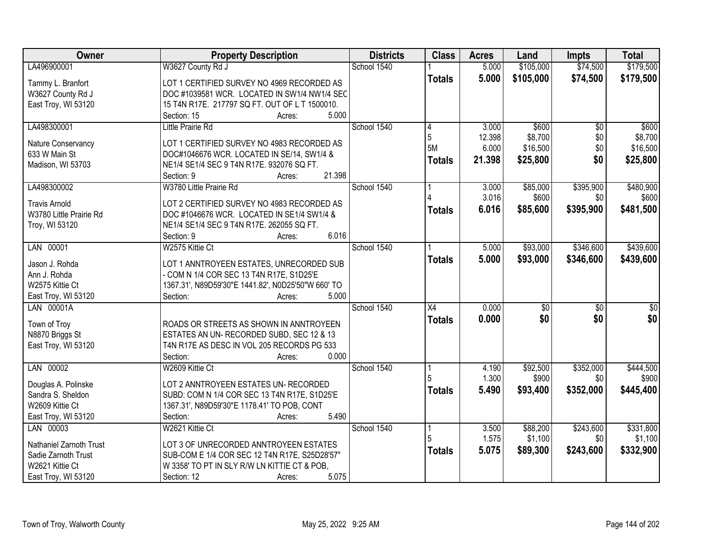| Owner                   | <b>Property Description</b>                         | <b>Districts</b> | <b>Class</b>    | <b>Acres</b>   | Land              | <b>Impts</b>     | <b>Total</b>       |
|-------------------------|-----------------------------------------------------|------------------|-----------------|----------------|-------------------|------------------|--------------------|
| LA496900001             | W3627 County Rd J                                   | School 1540      |                 | 5.000          | \$105,000         | \$74,500         | \$179,500          |
| Tammy L. Branfort       | LOT 1 CERTIFIED SURVEY NO 4969 RECORDED AS          |                  | <b>Totals</b>   | 5.000          | \$105,000         | \$74,500         | \$179,500          |
| W3627 County Rd J       | DOC #1039581 WCR. LOCATED IN SW1/4 NW1/4 SEC        |                  |                 |                |                   |                  |                    |
| East Troy, WI 53120     | 15 T4N R17E. 217797 SQ FT. OUT OF L T 1500010.      |                  |                 |                |                   |                  |                    |
|                         | 5.000<br>Section: 15<br>Acres:                      |                  |                 |                |                   |                  |                    |
| LA498300001             | <b>Little Prairie Rd</b>                            | School 1540      | 4               | 3.000          | \$600             | $\overline{30}$  | \$600              |
|                         |                                                     |                  | 5               | 12.398         | \$8,700           | \$0              | \$8,700            |
| Nature Conservancy      | LOT 1 CERTIFIED SURVEY NO 4983 RECORDED AS          |                  | 5M              | 6.000          | \$16,500          | \$0              | \$16,500           |
| 633 W Main St           | DOC#1046676 WCR. LOCATED IN SE/14, SW1/4 &          |                  | <b>Totals</b>   | 21.398         | \$25,800          | \$0              | \$25,800           |
| Madison, WI 53703       | NE1/4 SE1/4 SEC 9 T4N R17E. 932076 SQ FT.<br>21.398 |                  |                 |                |                   |                  |                    |
|                         | Section: 9<br>Acres:                                |                  |                 |                |                   |                  |                    |
| LA498300002             | W3780 Little Prairie Rd                             | School 1540      |                 | 3.000<br>3.016 | \$85,000<br>\$600 | \$395,900<br>\$0 | \$480,900<br>\$600 |
| <b>Travis Arnold</b>    | LOT 2 CERTIFIED SURVEY NO 4983 RECORDED AS          |                  |                 |                |                   |                  |                    |
| W3780 Little Prairie Rd | DOC #1046676 WCR. LOCATED IN SE1/4 SW1/4 &          |                  | Totals          | 6.016          | \$85,600          | \$395,900        | \$481,500          |
| Troy, WI 53120          | NE1/4 SE1/4 SEC 9 T4N R17E. 262055 SQ FT.           |                  |                 |                |                   |                  |                    |
|                         | 6.016<br>Section: 9<br>Acres:                       |                  |                 |                |                   |                  |                    |
| LAN 00001               | W2575 Kittie Ct                                     | School 1540      |                 | 5.000          | \$93,000          | \$346,600        | \$439,600          |
| Jason J. Rohda          | LOT 1 ANNTROYEEN ESTATES, UNRECORDED SUB            |                  | <b>Totals</b>   | 5.000          | \$93,000          | \$346,600        | \$439,600          |
| Ann J. Rohda            | - COM N 1/4 COR SEC 13 T4N R17E, S1D25'E            |                  |                 |                |                   |                  |                    |
| W2575 Kittie Ct         | 1367.31', N89D59'30"E 1441.82', N0D25'50"W 660' TO  |                  |                 |                |                   |                  |                    |
| East Troy, WI 53120     | 5.000<br>Section:<br>Acres:                         |                  |                 |                |                   |                  |                    |
| LAN 00001A              |                                                     | School 1540      | $\overline{X4}$ | 0.000          | \$0               | $\overline{50}$  | $\sqrt{50}$        |
|                         |                                                     |                  | <b>Totals</b>   | 0.000          | \$0               | \$0              | \$0                |
| Town of Troy            | ROADS OR STREETS AS SHOWN IN ANNTROYEEN             |                  |                 |                |                   |                  |                    |
| N8870 Briggs St         | ESTATES AN UN-RECORDED SUBD, SEC 12 & 13            |                  |                 |                |                   |                  |                    |
| East Troy, WI 53120     | T4N R17E AS DESC IN VOL 205 RECORDS PG 533          |                  |                 |                |                   |                  |                    |
|                         | 0.000<br>Section:<br>Acres:                         |                  |                 |                |                   |                  |                    |
| LAN 00002               | W2609 Kittie Ct                                     | School 1540      |                 | 4.190          | \$92,500          | \$352,000        | \$444,500          |
| Douglas A. Polinske     | LOT 2 ANNTROYEEN ESTATES UN- RECORDED               |                  |                 | 1.300          | \$900             | \$0              | \$900              |
| Sandra S. Sheldon       | SUBD: COM N 1/4 COR SEC 13 T4N R17E, S1D25'E        |                  | <b>Totals</b>   | 5.490          | \$93,400          | \$352,000        | \$445,400          |
| W2609 Kittie Ct         | 1367.31', N89D59'30"E 1178.41' TO POB, CONT         |                  |                 |                |                   |                  |                    |
| East Troy, WI 53120     | 5.490<br>Section:<br>Acres:                         |                  |                 |                |                   |                  |                    |
| LAN 00003               | W2621 Kittie Ct                                     | School 1540      | 1               | 3.500          | \$88,200          | \$243,600        | \$331,800          |
|                         |                                                     |                  |                 | 1.575          | \$1,100           | \$0              | \$1,100            |
| Nathaniel Zarnoth Trust | LOT 3 OF UNRECORDED ANNTROYEEN ESTATES              |                  | <b>Totals</b>   | 5.075          | \$89,300          | \$243,600        | \$332,900          |
| Sadie Zarnoth Trust     | SUB-COM E 1/4 COR SEC 12 T4N R17E, S25D28'57"       |                  |                 |                |                   |                  |                    |
| W2621 Kittie Ct         | W 3358' TO PT IN SLY R/W LN KITTIE CT & POB,        |                  |                 |                |                   |                  |                    |
| East Troy, WI 53120     | 5.075<br>Section: 12<br>Acres:                      |                  |                 |                |                   |                  |                    |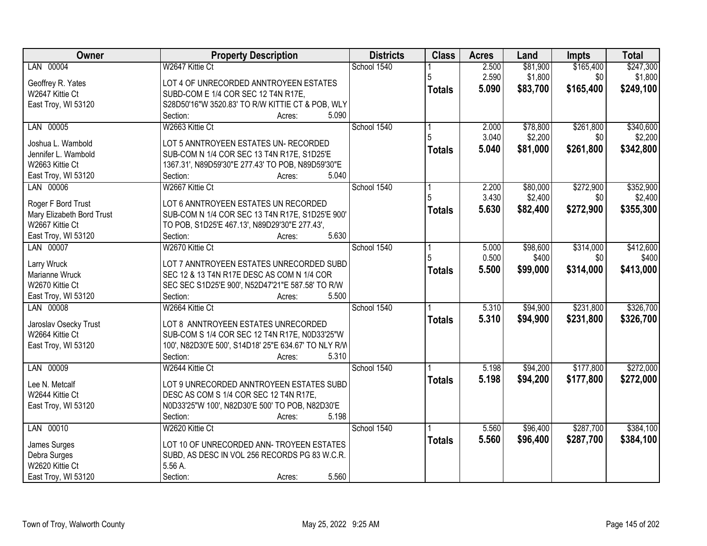| Owner                                  | <b>Property Description</b>                                                            | <b>Districts</b> | <b>Class</b>  | <b>Acres</b> | Land     | <b>Impts</b> | <b>Total</b> |
|----------------------------------------|----------------------------------------------------------------------------------------|------------------|---------------|--------------|----------|--------------|--------------|
| LAN 00004                              | W2647 Kittie Ct                                                                        | School 1540      |               | 2.500        | \$81,900 | \$165,400    | \$247,300    |
| Geoffrey R. Yates                      | LOT 4 OF UNRECORDED ANNTROYEEN ESTATES                                                 |                  | 5             | 2.590        | \$1,800  | \$0          | \$1,800      |
| W2647 Kittie Ct                        | SUBD-COM E 1/4 COR SEC 12 T4N R17E,                                                    |                  | <b>Totals</b> | 5.090        | \$83,700 | \$165,400    | \$249,100    |
| East Troy, WI 53120                    | S28D50'16"W 3520.83' TO R/W KITTIE CT & POB, WLY                                       |                  |               |              |          |              |              |
|                                        | 5.090<br>Section:<br>Acres:                                                            |                  |               |              |          |              |              |
| LAN 00005                              | W2663 Kittie Ct                                                                        | School 1540      |               | 2.000        | \$78,800 | \$261,800    | \$340,600    |
|                                        |                                                                                        |                  |               | 3.040        | \$2,200  | \$0          | \$2,200      |
| Joshua L. Wambold                      | LOT 5 ANNTROYEEN ESTATES UN- RECORDED                                                  |                  | <b>Totals</b> | 5.040        | \$81,000 | \$261,800    | \$342,800    |
| Jennifer L. Wambold                    | SUB-COM N 1/4 COR SEC 13 T4N R17E, S1D25'E                                             |                  |               |              |          |              |              |
| W2663 Kittie Ct<br>East Troy, WI 53120 | 1367.31', N89D59'30"E 277.43' TO POB, N89D59'30"E<br>5.040<br>Section:                 |                  |               |              |          |              |              |
| LAN 00006                              | Acres:<br>W2667 Kittie Ct                                                              | School 1540      |               | 2.200        | \$80,000 | \$272,900    | \$352,900    |
|                                        |                                                                                        |                  |               | 3.430        | \$2,400  | \$0          | \$2,400      |
| Roger F Bord Trust                     | LOT 6 ANNTROYEEN ESTATES UN RECORDED                                                   |                  |               |              |          |              |              |
| Mary Elizabeth Bord Trust              | SUB-COM N 1/4 COR SEC 13 T4N R17E, S1D25'E 900'                                        |                  | <b>Totals</b> | 5.630        | \$82,400 | \$272,900    | \$355,300    |
| W2667 Kittie Ct                        | TO POB, S1D25'E 467.13', N89D29'30"E 277.43',                                          |                  |               |              |          |              |              |
| East Troy, WI 53120                    | 5.630<br>Section:<br>Acres:                                                            |                  |               |              |          |              |              |
| LAN 00007                              | W2670 Kittie Ct                                                                        | School 1540      |               | 5.000        | \$98,600 | \$314,000    | \$412,600    |
|                                        |                                                                                        |                  | 5             | 0.500        | \$400    | \$0          | \$400        |
| Larry Wruck<br>Marianne Wruck          | LOT 7 ANNTROYEEN ESTATES UNRECORDED SUBD<br>SEC 12 & 13 T4N R17E DESC AS COM N 1/4 COR |                  | <b>Totals</b> | 5.500        | \$99,000 | \$314,000    | \$413,000    |
| W2670 Kittie Ct                        | SEC SEC S1D25'E 900', N52D47'21"E 587.58' TO R/W                                       |                  |               |              |          |              |              |
| East Troy, WI 53120                    | 5.500<br>Section:                                                                      |                  |               |              |          |              |              |
| LAN 00008                              | Acres:<br>W2664 Kittie Ct                                                              | School 1540      |               | 5.310        | \$94,900 | \$231,800    | \$326,700    |
|                                        |                                                                                        |                  |               |              |          |              |              |
| Jaroslav Osecky Trust                  | LOT 8 ANNTROYEEN ESTATES UNRECORDED                                                    |                  | <b>Totals</b> | 5.310        | \$94,900 | \$231,800    | \$326,700    |
| W2664 Kittie Ct                        | SUB-COM S 1/4 COR SEC 12 T4N R17E, N0D33'25"W                                          |                  |               |              |          |              |              |
| East Troy, WI 53120                    | 100', N82D30'E 500', S14D18' 25"E 634.67' TO NLY R/W                                   |                  |               |              |          |              |              |
|                                        | 5.310<br>Section:<br>Acres:                                                            |                  |               |              |          |              |              |
| LAN 00009                              | W2644 Kittie Ct                                                                        | School 1540      |               | 5.198        | \$94,200 | \$177,800    | \$272,000    |
| Lee N. Metcalf                         | LOT 9 UNRECORDED ANNTROYEEN ESTATES SUBD                                               |                  | <b>Totals</b> | 5.198        | \$94,200 | \$177,800    | \$272,000    |
| W2644 Kittie Ct                        | DESC AS COM S 1/4 COR SEC 12 T4N R17E,                                                 |                  |               |              |          |              |              |
| East Troy, WI 53120                    | N0D33'25"W 100', N82D30'E 500' TO POB, N82D30'E                                        |                  |               |              |          |              |              |
|                                        | 5.198<br>Section:<br>Acres:                                                            |                  |               |              |          |              |              |
| LAN 00010                              | W2620 Kittie Ct                                                                        | School 1540      |               | 5.560        | \$96,400 | \$287,700    | \$384,100    |
|                                        |                                                                                        |                  | <b>Totals</b> | 5.560        | \$96,400 | \$287,700    | \$384,100    |
| James Surges                           | LOT 10 OF UNRECORDED ANN- TROYEEN ESTATES                                              |                  |               |              |          |              |              |
| Debra Surges                           | SUBD, AS DESC IN VOL 256 RECORDS PG 83 W.C.R.                                          |                  |               |              |          |              |              |
| W2620 Kittie Ct                        | 5.56 A.                                                                                |                  |               |              |          |              |              |
| East Troy, WI 53120                    | 5.560<br>Section:<br>Acres:                                                            |                  |               |              |          |              |              |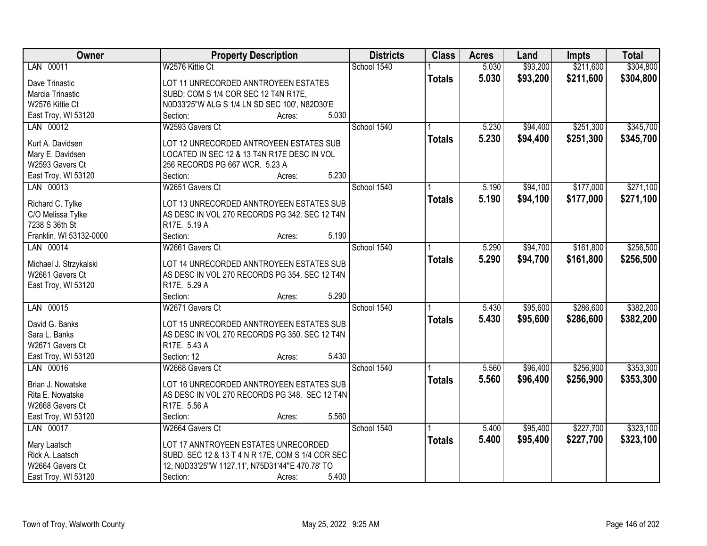| Owner                   | <b>Property Description</b>                      | <b>Districts</b> | <b>Class</b>  | <b>Acres</b> | Land     | <b>Impts</b> | <b>Total</b> |
|-------------------------|--------------------------------------------------|------------------|---------------|--------------|----------|--------------|--------------|
| LAN 00011               | W2576 Kittie Ct                                  | School 1540      |               | 5.030        | \$93,200 | \$211,600    | \$304,800    |
| Dave Trinastic          | LOT 11 UNRECORDED ANNTROYEEN ESTATES             |                  | <b>Totals</b> | 5.030        | \$93,200 | \$211,600    | \$304,800    |
| Marcia Trinastic        | SUBD: COM S 1/4 COR SEC 12 T4N R17E,             |                  |               |              |          |              |              |
| W2576 Kittie Ct         | N0D33'25"W ALG S 1/4 LN SD SEC 100', N82D30'E    |                  |               |              |          |              |              |
| East Troy, WI 53120     | 5.030<br>Section:<br>Acres:                      |                  |               |              |          |              |              |
| LAN 00012               | W2593 Gavers Ct                                  | School 1540      |               | 5.230        | \$94,400 | \$251,300    | \$345,700    |
|                         |                                                  |                  | <b>Totals</b> | 5.230        | \$94,400 | \$251,300    | \$345,700    |
| Kurt A. Davidsen        | LOT 12 UNRECORDED ANTROYEEN ESTATES SUB          |                  |               |              |          |              |              |
| Mary E. Davidsen        | LOCATED IN SEC 12 & 13 T4N R17E DESC IN VOL      |                  |               |              |          |              |              |
| W2593 Gavers Ct         | 256 RECORDS PG 667 WCR. 5.23 A                   |                  |               |              |          |              |              |
| East Troy, WI 53120     | 5.230<br>Section:<br>Acres:                      |                  |               |              |          |              |              |
| LAN 00013               | W2651 Gavers Ct                                  | School 1540      |               | 5.190        | \$94,100 | \$177,000    | \$271,100    |
| Richard C. Tylke        | LOT 13 UNRECORDED ANNTROYEEN ESTATES SUB         |                  | <b>Totals</b> | 5.190        | \$94,100 | \$177,000    | \$271,100    |
| C/O Melissa Tylke       | AS DESC IN VOL 270 RECORDS PG 342. SEC 12 T4N    |                  |               |              |          |              |              |
| 7238 S 36th St          | R17E. 5.19 A                                     |                  |               |              |          |              |              |
| Franklin, WI 53132-0000 | 5.190<br>Section:<br>Acres:                      |                  |               |              |          |              |              |
| LAN 00014               | W2661 Gavers Ct                                  | School 1540      |               | 5.290        | \$94,700 | \$161,800    | \$256,500    |
|                         |                                                  |                  | <b>Totals</b> | 5.290        | \$94,700 | \$161,800    | \$256,500    |
| Michael J. Strzykalski  | LOT 14 UNRECORDED ANNTROYEEN ESTATES SUB         |                  |               |              |          |              |              |
| W2661 Gavers Ct         | AS DESC IN VOL 270 RECORDS PG 354. SEC 12 T4N    |                  |               |              |          |              |              |
| East Troy, WI 53120     | R17E. 5.29 A                                     |                  |               |              |          |              |              |
|                         | Section:<br>5.290<br>Acres:                      |                  |               |              |          |              |              |
| LAN 00015               | W2671 Gavers Ct                                  | School 1540      |               | 5.430        | \$95,600 | \$286,600    | \$382,200    |
| David G. Banks          | LOT 15 UNRECORDED ANNTROYEEN ESTATES SUB         |                  | <b>Totals</b> | 5.430        | \$95,600 | \$286,600    | \$382,200    |
| Sara L. Banks           | AS DESC IN VOL 270 RECORDS PG 350. SEC 12 T4N    |                  |               |              |          |              |              |
| W2671 Gavers Ct         | R17E. 5.43 A                                     |                  |               |              |          |              |              |
| East Troy, WI 53120     | 5.430<br>Section: 12<br>Acres:                   |                  |               |              |          |              |              |
| LAN 00016               | W2668 Gavers Ct                                  | School 1540      |               | 5.560        | \$96,400 | \$256,900    | \$353,300    |
|                         |                                                  |                  |               |              |          |              |              |
| Brian J. Nowatske       | LOT 16 UNRECORDED ANNTROYEEN ESTATES SUB         |                  | <b>Totals</b> | 5.560        | \$96,400 | \$256,900    | \$353,300    |
| Rita E. Nowatske        | AS DESC IN VOL 270 RECORDS PG 348. SEC 12 T4N    |                  |               |              |          |              |              |
| W2668 Gavers Ct         | R17E. 5.56 A                                     |                  |               |              |          |              |              |
| East Troy, WI 53120     | Section:<br>5.560<br>Acres:                      |                  |               |              |          |              |              |
| LAN 00017               | W2664 Gavers Ct                                  | School 1540      |               | 5.400        | \$95,400 | \$227,700    | \$323,100    |
|                         |                                                  |                  | <b>Totals</b> | 5.400        | \$95,400 | \$227,700    | \$323,100    |
| Mary Laatsch            | LOT 17 ANNTROYEEN ESTATES UNRECORDED             |                  |               |              |          |              |              |
| Rick A. Laatsch         | SUBD, SEC 12 & 13 T 4 N R 17E, COM S 1/4 COR SEC |                  |               |              |          |              |              |
| W2664 Gavers Ct         | 12, N0D33'25"W 1127.11', N75D31'44"E 470.78' TO  |                  |               |              |          |              |              |
| East Troy, WI 53120     | 5.400<br>Section:<br>Acres:                      |                  |               |              |          |              |              |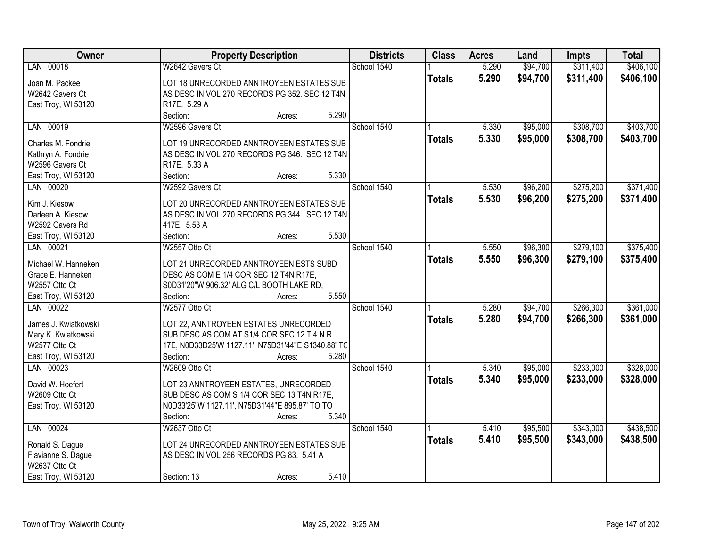| Owner                | <b>Property Description</b>                        | <b>Districts</b> | <b>Class</b>  | <b>Acres</b> | Land     | <b>Impts</b> | <b>Total</b> |
|----------------------|----------------------------------------------------|------------------|---------------|--------------|----------|--------------|--------------|
| LAN 00018            | W2642 Gavers Ct                                    | School 1540      |               | 5.290        | \$94,700 | \$311,400    | \$406,100    |
| Joan M. Packee       | LOT 18 UNRECORDED ANNTROYEEN ESTATES SUB           |                  | <b>Totals</b> | 5.290        | \$94,700 | \$311,400    | \$406,100    |
| W2642 Gavers Ct      | AS DESC IN VOL 270 RECORDS PG 352. SEC 12 T4N      |                  |               |              |          |              |              |
| East Troy, WI 53120  | R17E. 5.29 A                                       |                  |               |              |          |              |              |
|                      | 5.290<br>Section:<br>Acres:                        |                  |               |              |          |              |              |
| LAN 00019            | W2596 Gavers Ct                                    | School 1540      |               | 5.330        | \$95,000 | \$308,700    | \$403,700    |
|                      |                                                    |                  | <b>Totals</b> | 5.330        | \$95,000 | \$308,700    | \$403,700    |
| Charles M. Fondrie   | LOT 19 UNRECORDED ANNTROYEEN ESTATES SUB           |                  |               |              |          |              |              |
| Kathryn A. Fondrie   | AS DESC IN VOL 270 RECORDS PG 346. SEC 12 T4N      |                  |               |              |          |              |              |
| W2596 Gavers Ct      | R17E. 5.33 A<br>5.330                              |                  |               |              |          |              |              |
| East Troy, WI 53120  | Section:<br>Acres:                                 |                  |               |              |          |              |              |
| LAN 00020            | W2592 Gavers Ct                                    | School 1540      |               | 5.530        | \$96,200 | \$275,200    | \$371,400    |
| Kim J. Kiesow        | LOT 20 UNRECORDED ANNTROYEEN ESTATES SUB           |                  | <b>Totals</b> | 5.530        | \$96,200 | \$275,200    | \$371,400    |
| Darleen A. Kiesow    | AS DESC IN VOL 270 RECORDS PG 344. SEC 12 T4N      |                  |               |              |          |              |              |
| W2592 Gavers Rd      | 417E. 5.53 A                                       |                  |               |              |          |              |              |
| East Troy, WI 53120  | 5.530<br>Section:<br>Acres:                        |                  |               |              |          |              |              |
| LAN 00021            | W2557 Otto Ct                                      | School 1540      |               | 5.550        | \$96,300 | \$279,100    | \$375,400    |
|                      |                                                    |                  | <b>Totals</b> | 5.550        | \$96,300 | \$279,100    | \$375,400    |
| Michael W. Hanneken  | LOT 21 UNRECORDED ANNTROYEEN ESTS SUBD             |                  |               |              |          |              |              |
| Grace E. Hanneken    | DESC AS COM E 1/4 COR SEC 12 T4N R17E,             |                  |               |              |          |              |              |
| W2557 Otto Ct        | S0D31'20"W 906.32' ALG C/L BOOTH LAKE RD,          |                  |               |              |          |              |              |
| East Troy, WI 53120  | 5.550<br>Section:<br>Acres:                        |                  |               |              |          |              |              |
| LAN 00022            | W2577 Otto Ct                                      | School 1540      |               | 5.280        | \$94,700 | \$266,300    | \$361,000    |
| James J. Kwiatkowski | LOT 22, ANNTROYEEN ESTATES UNRECORDED              |                  | <b>Totals</b> | 5.280        | \$94,700 | \$266,300    | \$361,000    |
| Mary K. Kwiatkowski  | SUB DESC AS COM AT S1/4 COR SEC 12 T 4 N R         |                  |               |              |          |              |              |
| W2577 Otto Ct        | 17E, N0D33D25'W 1127.11', N75D31'44"E S1340.88' TC |                  |               |              |          |              |              |
| East Troy, WI 53120  | 5.280<br>Section:<br>Acres:                        |                  |               |              |          |              |              |
| LAN 00023            | W2609 Otto Ct                                      | School 1540      |               | 5.340        | \$95,000 | \$233,000    | \$328,000    |
|                      |                                                    |                  | <b>Totals</b> | 5.340        | \$95,000 | \$233,000    | \$328,000    |
| David W. Hoefert     | LOT 23 ANNTROYEEN ESTATES, UNRECORDED              |                  |               |              |          |              |              |
| W2609 Otto Ct        | SUB DESC AS COM S 1/4 COR SEC 13 T4N R17E,         |                  |               |              |          |              |              |
| East Troy, WI 53120  | N0D33'25"W 1127.11', N75D31'44"E 895.87' TO TO     |                  |               |              |          |              |              |
|                      | 5.340<br>Section:<br>Acres:                        |                  |               |              |          |              |              |
| LAN 00024            | W2637 Otto Ct                                      | School 1540      |               | 5.410        | \$95,500 | \$343,000    | \$438,500    |
| Ronald S. Dague      | LOT 24 UNRECORDED ANNTROYEEN ESTATES SUB           |                  | <b>Totals</b> | 5.410        | \$95,500 | \$343,000    | \$438,500    |
| Flavianne S. Dague   | AS DESC IN VOL 256 RECORDS PG 83. 5.41 A           |                  |               |              |          |              |              |
| W2637 Otto Ct        |                                                    |                  |               |              |          |              |              |
| East Troy, WI 53120  | 5.410<br>Section: 13<br>Acres:                     |                  |               |              |          |              |              |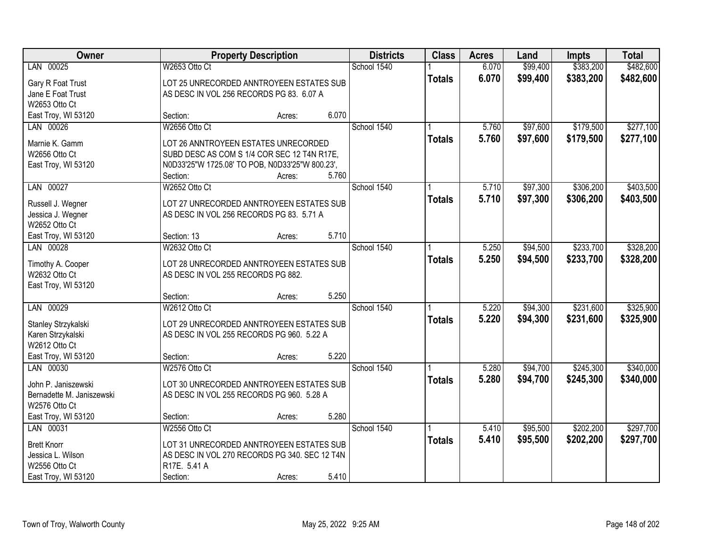| Owner                     |                                                 | <b>Property Description</b> |       |             | <b>Class</b>  | <b>Acres</b> | Land     | <b>Impts</b> | <b>Total</b> |
|---------------------------|-------------------------------------------------|-----------------------------|-------|-------------|---------------|--------------|----------|--------------|--------------|
| LAN 00025                 | W2653 Otto Ct                                   |                             |       | School 1540 |               | 6.070        | \$99,400 | \$383,200    | \$482,600    |
| Gary R Foat Trust         | LOT 25 UNRECORDED ANNTROYEEN ESTATES SUB        |                             |       |             | <b>Totals</b> | 6.070        | \$99,400 | \$383,200    | \$482,600    |
| Jane E Foat Trust         | AS DESC IN VOL 256 RECORDS PG 83. 6.07 A        |                             |       |             |               |              |          |              |              |
| W2653 Otto Ct             |                                                 |                             |       |             |               |              |          |              |              |
| East Troy, WI 53120       | Section:                                        | Acres:                      | 6.070 |             |               |              |          |              |              |
| LAN 00026                 | W2656 Otto Ct                                   |                             |       | School 1540 |               | 5.760        | \$97,600 | \$179,500    | \$277,100    |
| Marnie K. Gamm            | LOT 26 ANNTROYEEN ESTATES UNRECORDED            |                             |       |             | <b>Totals</b> | 5.760        | \$97,600 | \$179,500    | \$277,100    |
| W2656 Otto Ct             | SUBD DESC AS COM S 1/4 COR SEC 12 T4N R17E,     |                             |       |             |               |              |          |              |              |
| East Troy, WI 53120       | N0D33'25"W 1725.08' TO POB, N0D33'25"W 800.23', |                             |       |             |               |              |          |              |              |
|                           | Section:                                        | Acres:                      | 5.760 |             |               |              |          |              |              |
| LAN 00027                 | W2652 Otto Ct                                   |                             |       | School 1540 |               | 5.710        | \$97,300 | \$306,200    | \$403,500    |
|                           |                                                 |                             |       |             | <b>Totals</b> | 5.710        | \$97,300 | \$306,200    | \$403,500    |
| Russell J. Wegner         | LOT 27 UNRECORDED ANNTROYEEN ESTATES SUB        |                             |       |             |               |              |          |              |              |
| Jessica J. Wegner         | AS DESC IN VOL 256 RECORDS PG 83. 5.71 A        |                             |       |             |               |              |          |              |              |
| W2652 Otto Ct             |                                                 |                             |       |             |               |              |          |              |              |
| East Troy, WI 53120       | Section: 13                                     | Acres:                      | 5.710 |             |               |              |          |              |              |
| LAN 00028                 | W2632 Otto Ct                                   |                             |       | School 1540 |               | 5.250        | \$94,500 | \$233,700    | \$328,200    |
| Timothy A. Cooper         | LOT 28 UNRECORDED ANNTROYEEN ESTATES SUB        |                             |       |             | <b>Totals</b> | 5.250        | \$94,500 | \$233,700    | \$328,200    |
| W2632 Otto Ct             | AS DESC IN VOL 255 RECORDS PG 882.              |                             |       |             |               |              |          |              |              |
| East Troy, WI 53120       |                                                 |                             |       |             |               |              |          |              |              |
|                           | Section:                                        | Acres:                      | 5.250 |             |               |              |          |              |              |
| LAN 00029                 | W2612 Otto Ct                                   |                             |       | School 1540 |               | 5.220        | \$94,300 | \$231,600    | \$325,900    |
| Stanley Strzykalski       | LOT 29 UNRECORDED ANNTROYEEN ESTATES SUB        |                             |       |             | <b>Totals</b> | 5.220        | \$94,300 | \$231,600    | \$325,900    |
| Karen Strzykalski         | AS DESC IN VOL 255 RECORDS PG 960. 5.22 A       |                             |       |             |               |              |          |              |              |
| W2612 Otto Ct             |                                                 |                             |       |             |               |              |          |              |              |
| East Troy, WI 53120       | Section:                                        | Acres:                      | 5.220 |             |               |              |          |              |              |
| LAN 00030                 | W2576 Otto Ct                                   |                             |       | School 1540 |               | 5.280        | \$94,700 | \$245,300    | \$340,000    |
|                           |                                                 |                             |       |             | <b>Totals</b> | 5.280        | \$94,700 | \$245,300    | \$340,000    |
| John P. Janiszewski       | LOT 30 UNRECORDED ANNTROYEEN ESTATES SUB        |                             |       |             |               |              |          |              |              |
| Bernadette M. Janiszewski | AS DESC IN VOL 255 RECORDS PG 960. 5.28 A       |                             |       |             |               |              |          |              |              |
| W2576 Otto Ct             |                                                 |                             |       |             |               |              |          |              |              |
| East Troy, WI 53120       | Section:                                        | Acres:                      | 5.280 |             |               |              |          |              |              |
| LAN 00031                 | W2556 Otto Ct                                   |                             |       | School 1540 |               | 5.410        | \$95,500 | \$202,200    | \$297,700    |
| <b>Brett Knorr</b>        | LOT 31 UNRECORDED ANNTROYEEN ESTATES SUB        |                             |       |             | <b>Totals</b> | 5.410        | \$95,500 | \$202,200    | \$297,700    |
| Jessica L. Wilson         | AS DESC IN VOL 270 RECORDS PG 340. SEC 12 T4N   |                             |       |             |               |              |          |              |              |
| W2556 Otto Ct             | R17E. 5.41 A                                    |                             |       |             |               |              |          |              |              |
| East Troy, WI 53120       | Section:                                        | Acres:                      | 5.410 |             |               |              |          |              |              |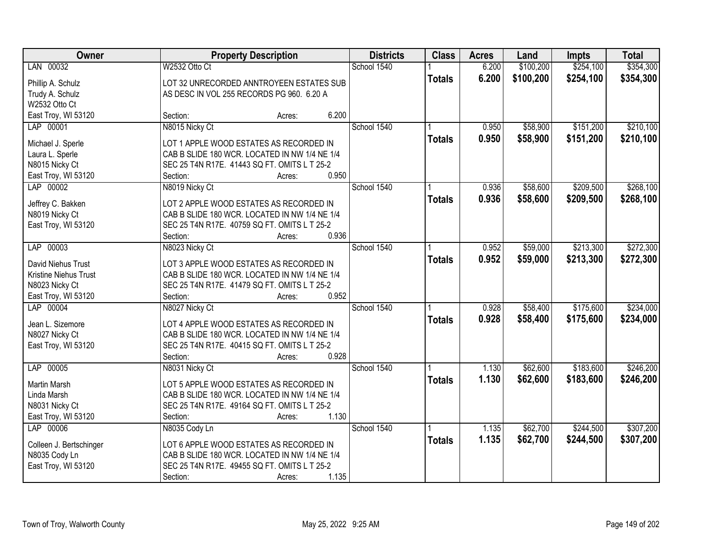| Owner                            | <b>Property Description</b>                           | <b>Districts</b> | <b>Class</b>  | <b>Acres</b> | Land      | <b>Impts</b> | <b>Total</b> |
|----------------------------------|-------------------------------------------------------|------------------|---------------|--------------|-----------|--------------|--------------|
| LAN 00032                        | W2532 Otto Ct                                         | School 1540      |               | 6.200        | \$100,200 | \$254,100    | \$354,300    |
| Phillip A. Schulz                | LOT 32 UNRECORDED ANNTROYEEN ESTATES SUB              |                  | <b>Totals</b> | 6.200        | \$100,200 | \$254,100    | \$354,300    |
| Trudy A. Schulz                  | AS DESC IN VOL 255 RECORDS PG 960. 6.20 A             |                  |               |              |           |              |              |
| W2532 Otto Ct                    |                                                       |                  |               |              |           |              |              |
| East Troy, WI 53120              | 6.200<br>Section:<br>Acres:                           |                  |               |              |           |              |              |
| LAP 00001                        | N8015 Nicky Ct                                        | School 1540      |               | 0.950        | \$58,900  | \$151,200    | \$210,100    |
| Michael J. Sperle                | LOT 1 APPLE WOOD ESTATES AS RECORDED IN               |                  | <b>Totals</b> | 0.950        | \$58,900  | \$151,200    | \$210,100    |
| Laura L. Sperle                  | CAB B SLIDE 180 WCR. LOCATED IN NW 1/4 NE 1/4         |                  |               |              |           |              |              |
| N8015 Nicky Ct                   | SEC 25 T4N R17E. 41443 SQ FT. OMITS L T 25-2          |                  |               |              |           |              |              |
| East Troy, WI 53120              | 0.950<br>Section:<br>Acres:                           |                  |               |              |           |              |              |
| LAP 00002                        | N8019 Nicky Ct                                        | School 1540      |               | 0.936        | \$58,600  | \$209,500    | \$268,100    |
|                                  |                                                       |                  | <b>Totals</b> | 0.936        | \$58,600  | \$209,500    | \$268,100    |
| Jeffrey C. Bakken                | LOT 2 APPLE WOOD ESTATES AS RECORDED IN               |                  |               |              |           |              |              |
| N8019 Nicky Ct                   | CAB B SLIDE 180 WCR. LOCATED IN NW 1/4 NE 1/4         |                  |               |              |           |              |              |
| East Troy, WI 53120              | SEC 25 T4N R17E. 40759 SQ FT. OMITS L T 25-2          |                  |               |              |           |              |              |
|                                  | 0.936<br>Section:<br>Acres:                           |                  |               |              |           |              |              |
| LAP 00003                        | N8023 Nicky Ct                                        | School 1540      |               | 0.952        | \$59,000  | \$213,300    | \$272,300    |
| David Niehus Trust               | LOT 3 APPLE WOOD ESTATES AS RECORDED IN               |                  | <b>Totals</b> | 0.952        | \$59,000  | \$213,300    | \$272,300    |
| Kristine Niehus Trust            | CAB B SLIDE 180 WCR. LOCATED IN NW 1/4 NE 1/4         |                  |               |              |           |              |              |
| N8023 Nicky Ct                   | SEC 25 T4N R17E. 41479 SQ FT. OMITS L T 25-2          |                  |               |              |           |              |              |
| East Troy, WI 53120              | 0.952<br>Section:<br>Acres:                           |                  |               |              |           |              |              |
| LAP 00004                        | N8027 Nicky Ct                                        | School 1540      |               | 0.928        | \$58,400  | \$175,600    | \$234,000    |
| Jean L. Sizemore                 | LOT 4 APPLE WOOD ESTATES AS RECORDED IN               |                  | <b>Totals</b> | 0.928        | \$58,400  | \$175,600    | \$234,000    |
| N8027 Nicky Ct                   | CAB B SLIDE 180 WCR. LOCATED IN NW 1/4 NE 1/4         |                  |               |              |           |              |              |
| East Troy, WI 53120              | SEC 25 T4N R17E. 40415 SQ FT. OMITS L T 25-2          |                  |               |              |           |              |              |
|                                  | 0.928<br>Section:<br>Acres:                           |                  |               |              |           |              |              |
| LAP 00005                        | N8031 Nicky Ct                                        | School 1540      |               | 1.130        | \$62,600  | \$183,600    | \$246,200    |
|                                  |                                                       |                  | <b>Totals</b> | 1.130        | \$62,600  | \$183,600    | \$246,200    |
| Martin Marsh                     | LOT 5 APPLE WOOD ESTATES AS RECORDED IN               |                  |               |              |           |              |              |
| Linda Marsh                      | CAB B SLIDE 180 WCR. LOCATED IN NW 1/4 NE 1/4         |                  |               |              |           |              |              |
| N8031 Nicky Ct                   | SEC 25 T4N R17E. 49164 SQ FT. OMITS L T 25-2<br>1.130 |                  |               |              |           |              |              |
| East Troy, WI 53120<br>LAP 00006 | Section:<br>Acres:                                    | School 1540      |               | 1.135        | \$62,700  | \$244,500    | \$307,200    |
|                                  | N8035 Cody Ln                                         |                  |               |              |           |              |              |
| Colleen J. Bertschinger          | LOT 6 APPLE WOOD ESTATES AS RECORDED IN               |                  | <b>Totals</b> | 1.135        | \$62,700  | \$244,500    | \$307,200    |
| N8035 Cody Ln                    | CAB B SLIDE 180 WCR. LOCATED IN NW 1/4 NE 1/4         |                  |               |              |           |              |              |
| East Troy, WI 53120              | SEC 25 T4N R17E. 49455 SQ FT. OMITS L T 25-2          |                  |               |              |           |              |              |
|                                  | 1.135<br>Section:<br>Acres:                           |                  |               |              |           |              |              |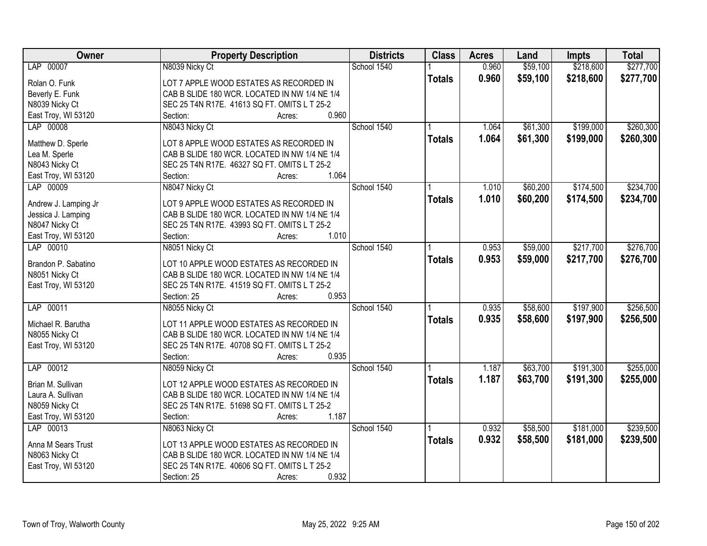| Owner                | <b>Property Description</b>                   | <b>Districts</b> | <b>Class</b>  | <b>Acres</b> | Land     | <b>Impts</b> | <b>Total</b> |
|----------------------|-----------------------------------------------|------------------|---------------|--------------|----------|--------------|--------------|
| LAP 00007            | N8039 Nicky Ct                                | School 1540      |               | 0.960        | \$59,100 | \$218,600    | \$277,700    |
| Rolan O. Funk        | LOT 7 APPLE WOOD ESTATES AS RECORDED IN       |                  | <b>Totals</b> | 0.960        | \$59,100 | \$218,600    | \$277,700    |
| Beverly E. Funk      | CAB B SLIDE 180 WCR. LOCATED IN NW 1/4 NE 1/4 |                  |               |              |          |              |              |
| N8039 Nicky Ct       | SEC 25 T4N R17E. 41613 SQ FT. OMITS L T 25-2  |                  |               |              |          |              |              |
| East Troy, WI 53120  | 0.960<br>Section:<br>Acres:                   |                  |               |              |          |              |              |
| LAP 00008            | N8043 Nicky Ct                                | School 1540      |               | 1.064        | \$61,300 | \$199,000    | \$260,300    |
|                      |                                               |                  | <b>Totals</b> | 1.064        | \$61,300 | \$199,000    | \$260,300    |
| Matthew D. Sperle    | LOT 8 APPLE WOOD ESTATES AS RECORDED IN       |                  |               |              |          |              |              |
| Lea M. Sperle        | CAB B SLIDE 180 WCR. LOCATED IN NW 1/4 NE 1/4 |                  |               |              |          |              |              |
| N8043 Nicky Ct       | SEC 25 T4N R17E. 46327 SQ FT. OMITS L T 25-2  |                  |               |              |          |              |              |
| East Troy, WI 53120  | 1.064<br>Section:<br>Acres:                   |                  |               |              |          |              |              |
| LAP 00009            | N8047 Nicky Ct                                | School 1540      |               | 1.010        | \$60,200 | \$174,500    | \$234,700    |
| Andrew J. Lamping Jr | LOT 9 APPLE WOOD ESTATES AS RECORDED IN       |                  | <b>Totals</b> | 1.010        | \$60,200 | \$174,500    | \$234,700    |
| Jessica J. Lamping   | CAB B SLIDE 180 WCR. LOCATED IN NW 1/4 NE 1/4 |                  |               |              |          |              |              |
| N8047 Nicky Ct       | SEC 25 T4N R17E. 43993 SQ FT. OMITS L T 25-2  |                  |               |              |          |              |              |
| East Troy, WI 53120  | 1.010<br>Section:<br>Acres:                   |                  |               |              |          |              |              |
| LAP 00010            | N8051 Nicky Ct                                | School 1540      |               | 0.953        | \$59,000 | \$217,700    | \$276,700    |
|                      |                                               |                  | <b>Totals</b> | 0.953        | \$59,000 | \$217,700    | \$276,700    |
| Brandon P. Sabatino  | LOT 10 APPLE WOOD ESTATES AS RECORDED IN      |                  |               |              |          |              |              |
| N8051 Nicky Ct       | CAB B SLIDE 180 WCR. LOCATED IN NW 1/4 NE 1/4 |                  |               |              |          |              |              |
| East Troy, WI 53120  | SEC 25 T4N R17E. 41519 SQ FT. OMITS L T 25-2  |                  |               |              |          |              |              |
|                      | Section: 25<br>0.953<br>Acres:                |                  |               |              |          |              |              |
| LAP 00011            | N8055 Nicky Ct                                | School 1540      |               | 0.935        | \$58,600 | \$197,900    | \$256,500    |
| Michael R. Barutha   | LOT 11 APPLE WOOD ESTATES AS RECORDED IN      |                  | <b>Totals</b> | 0.935        | \$58,600 | \$197,900    | \$256,500    |
| N8055 Nicky Ct       | CAB B SLIDE 180 WCR. LOCATED IN NW 1/4 NE 1/4 |                  |               |              |          |              |              |
| East Troy, WI 53120  | SEC 25 T4N R17E. 40708 SQ FT. OMITS L T 25-2  |                  |               |              |          |              |              |
|                      | 0.935<br>Section:<br>Acres:                   |                  |               |              |          |              |              |
| LAP 00012            | N8059 Nicky Ct                                | School 1540      |               | 1.187        | \$63,700 | \$191,300    | \$255,000    |
|                      |                                               |                  | <b>Totals</b> | 1.187        | \$63,700 | \$191,300    | \$255,000    |
| Brian M. Sullivan    | LOT 12 APPLE WOOD ESTATES AS RECORDED IN      |                  |               |              |          |              |              |
| Laura A. Sullivan    | CAB B SLIDE 180 WCR. LOCATED IN NW 1/4 NE 1/4 |                  |               |              |          |              |              |
| N8059 Nicky Ct       | SEC 25 T4N R17E. 51698 SQ FT. OMITS L T 25-2  |                  |               |              |          |              |              |
| East Troy, WI 53120  | 1.187<br>Section:<br>Acres:                   |                  |               |              |          |              |              |
| LAP 00013            | N8063 Nicky Ct                                | School 1540      |               | 0.932        | \$58,500 | \$181,000    | \$239,500    |
| Anna M Sears Trust   | LOT 13 APPLE WOOD ESTATES AS RECORDED IN      |                  | <b>Totals</b> | 0.932        | \$58,500 | \$181,000    | \$239,500    |
| N8063 Nicky Ct       | CAB B SLIDE 180 WCR. LOCATED IN NW 1/4 NE 1/4 |                  |               |              |          |              |              |
| East Troy, WI 53120  | SEC 25 T4N R17E. 40606 SQ FT. OMITS L T 25-2  |                  |               |              |          |              |              |
|                      | 0.932<br>Section: 25<br>Acres:                |                  |               |              |          |              |              |
|                      |                                               |                  |               |              |          |              |              |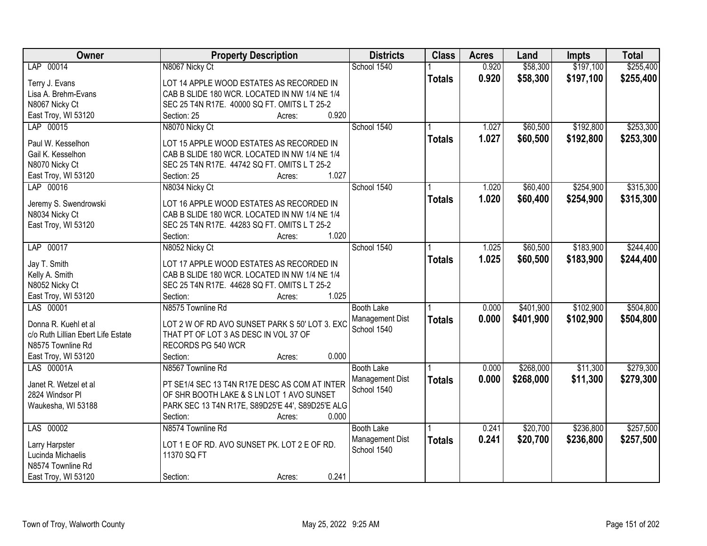| Owner                                   | <b>Property Description</b>                                       | <b>Districts</b>  | <b>Class</b>  | <b>Acres</b> | Land      | <b>Impts</b> | <b>Total</b> |
|-----------------------------------------|-------------------------------------------------------------------|-------------------|---------------|--------------|-----------|--------------|--------------|
| LAP 00014                               | N8067 Nicky Ct                                                    | School 1540       |               | 0.920        | \$58,300  | \$197,100    | \$255,400    |
| Terry J. Evans                          | LOT 14 APPLE WOOD ESTATES AS RECORDED IN                          |                   | <b>Totals</b> | 0.920        | \$58,300  | \$197,100    | \$255,400    |
| Lisa A. Brehm-Evans                     | CAB B SLIDE 180 WCR. LOCATED IN NW 1/4 NE 1/4                     |                   |               |              |           |              |              |
| N8067 Nicky Ct                          | SEC 25 T4N R17E. 40000 SQ FT. OMITS L T 25-2                      |                   |               |              |           |              |              |
| East Troy, WI 53120                     | 0.920<br>Section: 25<br>Acres:                                    |                   |               |              |           |              |              |
| LAP 00015                               | N8070 Nicky Ct                                                    | School 1540       |               | 1.027        | \$60,500  | \$192,800    | \$253,300    |
|                                         |                                                                   |                   | <b>Totals</b> | 1.027        | \$60,500  | \$192,800    | \$253,300    |
| Paul W. Kesselhon                       | LOT 15 APPLE WOOD ESTATES AS RECORDED IN                          |                   |               |              |           |              |              |
| Gail K. Kesselhon                       | CAB B SLIDE 180 WCR. LOCATED IN NW 1/4 NE 1/4                     |                   |               |              |           |              |              |
| N8070 Nicky Ct                          | SEC 25 T4N R17E. 44742 SQ FT. OMITS L T 25-2                      |                   |               |              |           |              |              |
| East Troy, WI 53120                     | 1.027<br>Section: 25<br>Acres:                                    |                   |               |              |           |              |              |
| LAP 00016                               | N8034 Nicky Ct                                                    | School 1540       |               | 1.020        | \$60,400  | \$254,900    | \$315,300    |
|                                         | LOT 16 APPLE WOOD ESTATES AS RECORDED IN                          |                   | <b>Totals</b> | 1.020        | \$60,400  | \$254,900    | \$315,300    |
| Jeremy S. Swendrowski<br>N8034 Nicky Ct | CAB B SLIDE 180 WCR. LOCATED IN NW 1/4 NE 1/4                     |                   |               |              |           |              |              |
|                                         |                                                                   |                   |               |              |           |              |              |
| East Troy, WI 53120                     | SEC 25 T4N R17E. 44283 SQ FT. OMITS L T 25-2<br>1.020<br>Section: |                   |               |              |           |              |              |
| LAP 00017                               | Acres:                                                            |                   |               |              | \$60,500  | \$183,900    | \$244,400    |
|                                         | N8052 Nicky Ct                                                    | School 1540       |               | 1.025        |           |              |              |
| Jay T. Smith                            | LOT 17 APPLE WOOD ESTATES AS RECORDED IN                          |                   | <b>Totals</b> | 1.025        | \$60,500  | \$183,900    | \$244,400    |
| Kelly A. Smith                          | CAB B SLIDE 180 WCR. LOCATED IN NW 1/4 NE 1/4                     |                   |               |              |           |              |              |
| N8052 Nicky Ct                          | SEC 25 T4N R17E. 44628 SQ FT. OMITS L T 25-2                      |                   |               |              |           |              |              |
| East Troy, WI 53120                     | Section:<br>1.025<br>Acres:                                       |                   |               |              |           |              |              |
| LAS 00001                               | N8575 Townline Rd                                                 | <b>Booth Lake</b> |               | 0.000        | \$401,900 | \$102,900    | \$504,800    |
|                                         |                                                                   | Management Dist   | <b>Totals</b> | 0.000        | \$401,900 | \$102,900    | \$504,800    |
| Donna R. Kuehl et al                    | LOT 2 W OF RD AVO SUNSET PARK S 50' LOT 3. EXC                    | School 1540       |               |              |           |              |              |
| c/o Ruth Lillian Ebert Life Estate      | THAT PT OF LOT 3 AS DESC IN VOL 37 OF                             |                   |               |              |           |              |              |
| N8575 Townline Rd                       | RECORDS PG 540 WCR                                                |                   |               |              |           |              |              |
| East Troy, WI 53120                     | 0.000<br>Section:<br>Acres:                                       |                   |               |              |           |              |              |
| LAS 00001A                              | N8567 Townline Rd                                                 | <b>Booth Lake</b> |               | 0.000        | \$268,000 | \$11,300     | \$279,300    |
| Janet R. Wetzel et al                   | PT SE1/4 SEC 13 T4N R17E DESC AS COM AT INTER                     | Management Dist   | <b>Totals</b> | 0.000        | \$268,000 | \$11,300     | \$279,300    |
| 2824 Windsor Pl                         | OF SHR BOOTH LAKE & S LN LOT 1 AVO SUNSET                         | School 1540       |               |              |           |              |              |
| Waukesha, WI 53188                      | PARK SEC 13 T4N R17E, S89D25'E 44', S89D25'E ALG                  |                   |               |              |           |              |              |
|                                         | 0.000<br>Section:<br>Acres:                                       |                   |               |              |           |              |              |
| LAS 00002                               | N8574 Townline Rd                                                 | <b>Booth Lake</b> |               | 0.241        | \$20,700  | \$236,800    | \$257,500    |
|                                         |                                                                   | Management Dist   | <b>Totals</b> | 0.241        | \$20,700  | \$236,800    | \$257,500    |
| Larry Harpster                          | LOT 1 E OF RD. AVO SUNSET PK. LOT 2 E OF RD.                      | School 1540       |               |              |           |              |              |
| Lucinda Michaelis                       | 11370 SQ FT                                                       |                   |               |              |           |              |              |
| N8574 Townline Rd                       |                                                                   |                   |               |              |           |              |              |
| East Troy, WI 53120                     | 0.241<br>Section:<br>Acres:                                       |                   |               |              |           |              |              |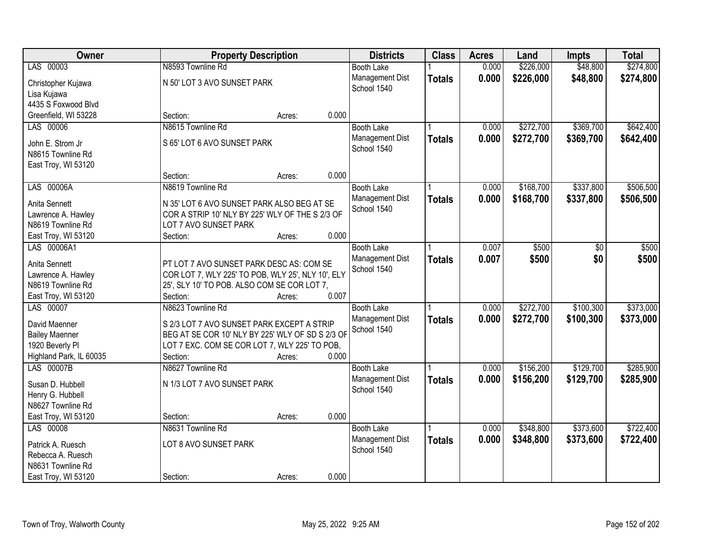| Owner                                  |                                                   | <b>Property Description</b> |       | <b>Districts</b>  | <b>Class</b>  | <b>Acres</b> | Land      | <b>Impts</b> | <b>Total</b> |
|----------------------------------------|---------------------------------------------------|-----------------------------|-------|-------------------|---------------|--------------|-----------|--------------|--------------|
| LAS 00003                              | N8593 Townline Rd                                 |                             |       | <b>Booth Lake</b> |               | 0.000        | \$226,000 | \$48,800     | \$274,800    |
| Christopher Kujawa                     | N 50' LOT 3 AVO SUNSET PARK                       |                             |       | Management Dist   | <b>Totals</b> | 0.000        | \$226,000 | \$48,800     | \$274,800    |
| Lisa Kujawa                            |                                                   |                             |       | School 1540       |               |              |           |              |              |
| 4435 S Foxwood Blvd                    |                                                   |                             |       |                   |               |              |           |              |              |
| Greenfield, WI 53228                   | Section:                                          | Acres:                      | 0.000 |                   |               |              |           |              |              |
| LAS 00006                              | N8615 Townline Rd                                 |                             |       | <b>Booth Lake</b> |               | 0.000        | \$272,700 | \$369,700    | \$642,400    |
|                                        |                                                   |                             |       | Management Dist   | <b>Totals</b> | 0.000        | \$272,700 | \$369,700    | \$642,400    |
| John E. Strom Jr                       | S 65' LOT 6 AVO SUNSET PARK                       |                             |       | School 1540       |               |              |           |              |              |
| N8615 Townline Rd                      |                                                   |                             |       |                   |               |              |           |              |              |
| East Troy, WI 53120                    |                                                   |                             | 0.000 |                   |               |              |           |              |              |
|                                        | Section:                                          | Acres:                      |       |                   |               |              |           |              |              |
| LAS 00006A                             | N8619 Townline Rd                                 |                             |       | <b>Booth Lake</b> |               | 0.000        | \$168,700 | \$337,800    | \$506,500    |
| Anita Sennett                          | N 35' LOT 6 AVO SUNSET PARK ALSO BEG AT SE        |                             |       | Management Dist   | <b>Totals</b> | 0.000        | \$168,700 | \$337,800    | \$506,500    |
| Lawrence A. Hawley                     | COR A STRIP 10' NLY BY 225' WLY OF THE S 2/3 OF   |                             |       | School 1540       |               |              |           |              |              |
| N8619 Townline Rd                      | LOT 7 AVO SUNSET PARK                             |                             |       |                   |               |              |           |              |              |
| East Troy, WI 53120                    | Section:                                          | Acres:                      | 0.000 |                   |               |              |           |              |              |
| LAS 00006A1                            |                                                   |                             |       | <b>Booth Lake</b> |               | 0.007        | \$500     | \$0          | \$500        |
| Anita Sennett                          | PT LOT 7 AVO SUNSET PARK DESC AS: COM SE          |                             |       | Management Dist   | <b>Totals</b> | 0.007        | \$500     | \$0          | \$500        |
| Lawrence A. Hawley                     | COR LOT 7, WLY 225' TO POB, WLY 25', NLY 10', ELY |                             |       | School 1540       |               |              |           |              |              |
| N8619 Townline Rd                      | 25', SLY 10' TO POB. ALSO COM SE COR LOT 7,       |                             |       |                   |               |              |           |              |              |
| East Troy, WI 53120                    | Section:                                          | Acres:                      | 0.007 |                   |               |              |           |              |              |
| LAS 00007                              | N8623 Townline Rd                                 |                             |       | <b>Booth Lake</b> |               | 0.000        | \$272,700 | \$100,300    | \$373,000    |
|                                        |                                                   |                             |       | Management Dist   | <b>Totals</b> | 0.000        | \$272,700 | \$100,300    | \$373,000    |
| David Maenner                          | S 2/3 LOT 7 AVO SUNSET PARK EXCEPT A STRIP        |                             |       | School 1540       |               |              |           |              |              |
| <b>Bailey Maenner</b>                  | BEG AT SE COR 10' NLY BY 225' WLY OF SD S 2/3 OF  |                             |       |                   |               |              |           |              |              |
| 1920 Beverly PI                        | LOT 7 EXC. COM SE COR LOT 7, WLY 225' TO POB,     |                             |       |                   |               |              |           |              |              |
| Highland Park, IL 60035                | Section:                                          | Acres:                      | 0.000 |                   |               |              |           |              |              |
| LAS 00007B                             | N8627 Townline Rd                                 |                             |       | <b>Booth Lake</b> |               | 0.000        | \$156,200 | \$129,700    | \$285,900    |
| Susan D. Hubbell                       | N 1/3 LOT 7 AVO SUNSET PARK                       |                             |       | Management Dist   | <b>Totals</b> | 0.000        | \$156,200 | \$129,700    | \$285,900    |
| Henry G. Hubbell                       |                                                   |                             |       | School 1540       |               |              |           |              |              |
| N8627 Townline Rd                      |                                                   |                             |       |                   |               |              |           |              |              |
| East Troy, WI 53120                    | Section:                                          | Acres:                      | 0.000 |                   |               |              |           |              |              |
| LAS 00008                              | N8631 Townline Rd                                 |                             |       | <b>Booth Lake</b> |               | 0.000        | \$348,800 | \$373,600    | \$722,400    |
|                                        |                                                   |                             |       | Management Dist   | <b>Totals</b> | 0.000        | \$348,800 | \$373,600    | \$722,400    |
| Patrick A. Ruesch                      | LOT 8 AVO SUNSET PARK                             |                             |       | School 1540       |               |              |           |              |              |
| Rebecca A. Ruesch<br>N8631 Townline Rd |                                                   |                             |       |                   |               |              |           |              |              |
| East Troy, WI 53120                    | Section:                                          |                             | 0.000 |                   |               |              |           |              |              |
|                                        |                                                   | Acres:                      |       |                   |               |              |           |              |              |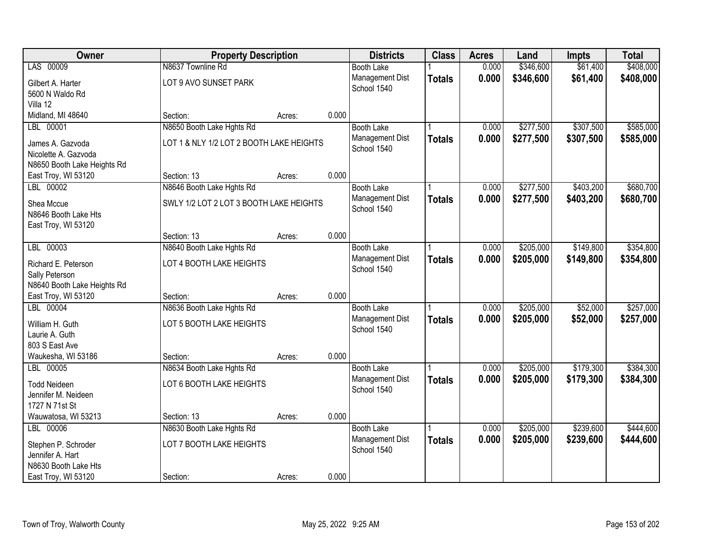| Owner                                         |                                          | <b>Property Description</b> |       |                                      | <b>Class</b>  | <b>Acres</b>   | Land      | <b>Impts</b> | <b>Total</b> |
|-----------------------------------------------|------------------------------------------|-----------------------------|-------|--------------------------------------|---------------|----------------|-----------|--------------|--------------|
| LAS 00009                                     | N8637 Townline Rd                        |                             |       | <b>Booth Lake</b>                    |               | 0.000          | \$346,600 | \$61,400     | \$408,000    |
| Gilbert A. Harter                             | LOT 9 AVO SUNSET PARK                    |                             |       | Management Dist                      | <b>Totals</b> | 0.000          | \$346,600 | \$61,400     | \$408,000    |
| 5600 N Waldo Rd                               |                                          |                             |       | School 1540                          |               |                |           |              |              |
| Villa 12                                      |                                          |                             |       |                                      |               |                |           |              |              |
| Midland, MI 48640                             | Section:                                 | Acres:                      | 0.000 |                                      |               |                |           |              |              |
| LBL 00001                                     | N8650 Booth Lake Hghts Rd                |                             |       | <b>Booth Lake</b>                    |               | 0.000          | \$277,500 | \$307,500    | \$585,000    |
| James A. Gazvoda                              | LOT 1 & NLY 1/2 LOT 2 BOOTH LAKE HEIGHTS |                             |       | Management Dist                      | <b>Totals</b> | 0.000          | \$277,500 | \$307,500    | \$585,000    |
| Nicolette A. Gazvoda                          |                                          |                             |       | School 1540                          |               |                |           |              |              |
| N8650 Booth Lake Heights Rd                   |                                          |                             |       |                                      |               |                |           |              |              |
| East Troy, WI 53120                           | Section: 13                              | Acres:                      | 0.000 |                                      |               |                |           |              |              |
| LBL 00002                                     | N8646 Booth Lake Hghts Rd                |                             |       | <b>Booth Lake</b>                    |               | 0.000          | \$277,500 | \$403,200    | \$680,700    |
|                                               |                                          |                             |       | Management Dist                      | <b>Totals</b> | 0.000          | \$277,500 | \$403,200    | \$680,700    |
| Shea Mccue<br>N8646 Booth Lake Hts            | SWLY 1/2 LOT 2 LOT 3 BOOTH LAKE HEIGHTS  |                             |       | School 1540                          |               |                |           |              |              |
| East Troy, WI 53120                           |                                          |                             |       |                                      |               |                |           |              |              |
|                                               | Section: 13                              | Acres:                      | 0.000 |                                      |               |                |           |              |              |
| LBL 00003                                     | N8640 Booth Lake Hghts Rd                |                             |       | <b>Booth Lake</b>                    |               | 0.000          | \$205,000 | \$149,800    | \$354,800    |
|                                               |                                          |                             |       | Management Dist                      | <b>Totals</b> | 0.000          | \$205,000 | \$149,800    | \$354,800    |
| Richard E. Peterson                           | LOT 4 BOOTH LAKE HEIGHTS                 |                             |       | School 1540                          |               |                |           |              |              |
| Sally Peterson<br>N8640 Booth Lake Heights Rd |                                          |                             |       |                                      |               |                |           |              |              |
| East Troy, WI 53120                           | Section:                                 | Acres:                      | 0.000 |                                      |               |                |           |              |              |
| LBL 00004                                     | N8636 Booth Lake Hghts Rd                |                             |       | <b>Booth Lake</b>                    |               | 0.000          | \$205,000 | \$52,000     | \$257,000    |
|                                               |                                          |                             |       | Management Dist                      | <b>Totals</b> | 0.000          | \$205,000 | \$52,000     | \$257,000    |
| William H. Guth                               | LOT 5 BOOTH LAKE HEIGHTS                 |                             |       | School 1540                          |               |                |           |              |              |
| Laurie A. Guth                                |                                          |                             |       |                                      |               |                |           |              |              |
| 803 S East Ave                                |                                          |                             |       |                                      |               |                |           |              |              |
| Waukesha, WI 53186<br>LBL 00005               | Section:                                 | Acres:                      | 0.000 |                                      |               |                | \$205,000 | \$179,300    | \$384,300    |
|                                               | N8634 Booth Lake Hghts Rd                |                             |       | <b>Booth Lake</b><br>Management Dist |               | 0.000<br>0.000 | \$205,000 | \$179,300    |              |
| <b>Todd Neideen</b>                           | LOT 6 BOOTH LAKE HEIGHTS                 |                             |       | School 1540                          | <b>Totals</b> |                |           |              | \$384,300    |
| Jennifer M. Neideen                           |                                          |                             |       |                                      |               |                |           |              |              |
| 1727 N 71st St                                |                                          |                             |       |                                      |               |                |           |              |              |
| Wauwatosa, WI 53213                           | Section: 13                              | Acres:                      | 0.000 |                                      |               |                |           |              |              |
| LBL 00006                                     | N8630 Booth Lake Hghts Rd                |                             |       | <b>Booth Lake</b>                    |               | 0.000          | \$205,000 | \$239,600    | \$444,600    |
| Stephen P. Schroder                           | LOT 7 BOOTH LAKE HEIGHTS                 |                             |       | Management Dist<br>School 1540       | <b>Totals</b> | 0.000          | \$205,000 | \$239,600    | \$444,600    |
| Jennifer A. Hart                              |                                          |                             |       |                                      |               |                |           |              |              |
| N8630 Booth Lake Hts                          |                                          |                             |       |                                      |               |                |           |              |              |
| East Troy, WI 53120                           | Section:                                 | Acres:                      | 0.000 |                                      |               |                |           |              |              |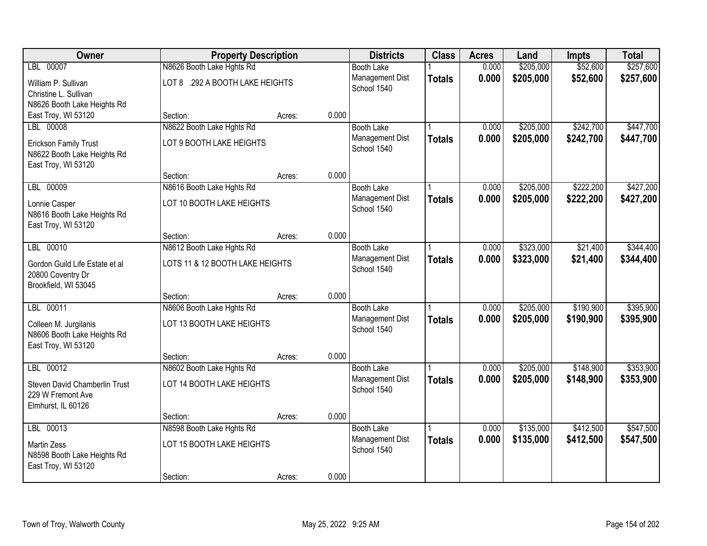| Owner                                                                              | <b>Property Description</b>     |        |       | <b>Districts</b>               | <b>Class</b>  | <b>Acres</b> | Land      | <b>Impts</b> | <b>Total</b> |
|------------------------------------------------------------------------------------|---------------------------------|--------|-------|--------------------------------|---------------|--------------|-----------|--------------|--------------|
| LBL 00007                                                                          | N8626 Booth Lake Hghts Rd       |        |       | <b>Booth Lake</b>              |               | 0.000        | \$205,000 | \$52,600     | \$257,600    |
| William P. Sullivan<br>Christine L. Sullivan                                       | LOT 8 .292 A BOOTH LAKE HEIGHTS |        |       | Management Dist<br>School 1540 | <b>Totals</b> | 0.000        | \$205,000 | \$52,600     | \$257,600    |
| N8626 Booth Lake Heights Rd                                                        |                                 |        |       |                                |               |              |           |              |              |
| East Troy, WI 53120                                                                | Section:                        | Acres: | 0.000 |                                |               |              |           |              |              |
| LBL 00008                                                                          | N8622 Booth Lake Hghts Rd       |        |       | <b>Booth Lake</b>              |               | 0.000        | \$205,000 | \$242,700    | \$447,700    |
| <b>Erickson Family Trust</b><br>N8622 Booth Lake Heights Rd<br>East Troy, WI 53120 | LOT 9 BOOTH LAKE HEIGHTS        |        |       | Management Dist<br>School 1540 | <b>Totals</b> | 0.000        | \$205,000 | \$242,700    | \$447,700    |
|                                                                                    | Section:                        | Acres: | 0.000 |                                |               |              |           |              |              |
| LBL 00009                                                                          | N8616 Booth Lake Hghts Rd       |        |       | <b>Booth Lake</b>              |               | 0.000        | \$205,000 | \$222,200    | \$427,200    |
| Lonnie Casper<br>N8616 Booth Lake Heights Rd<br>East Troy, WI 53120                | LOT 10 BOOTH LAKE HEIGHTS       |        |       | Management Dist<br>School 1540 | <b>Totals</b> | 0.000        | \$205,000 | \$222,200    | \$427,200    |
|                                                                                    | Section:                        | Acres: | 0.000 |                                |               |              |           |              |              |
| LBL 00010                                                                          | N8612 Booth Lake Hghts Rd       |        |       | <b>Booth Lake</b>              |               | 0.000        | \$323,000 | \$21,400     | \$344,400    |
| Gordon Guild Life Estate et al<br>20800 Coventry Dr<br>Brookfield, WI 53045        | LOTS 11 & 12 BOOTH LAKE HEIGHTS |        |       | Management Dist<br>School 1540 | <b>Totals</b> | 0.000        | \$323,000 | \$21,400     | \$344,400    |
|                                                                                    | Section:                        | Acres: | 0.000 |                                |               |              |           |              |              |
| LBL 00011                                                                          | N8606 Booth Lake Hghts Rd       |        |       | <b>Booth Lake</b>              |               | 0.000        | \$205,000 | \$190,900    | \$395,900    |
| Colleen M. Jurgilanis<br>N8606 Booth Lake Heights Rd<br>East Troy, WI 53120        | LOT 13 BOOTH LAKE HEIGHTS       |        |       | Management Dist<br>School 1540 | <b>Totals</b> | 0.000        | \$205,000 | \$190,900    | \$395,900    |
|                                                                                    | Section:                        | Acres: | 0.000 |                                |               |              |           |              |              |
| LBL 00012                                                                          | N8602 Booth Lake Hghts Rd       |        |       | <b>Booth Lake</b>              |               | 0.000        | \$205,000 | \$148,900    | \$353,900    |
| Steven David Chamberlin Trust<br>229 W Fremont Ave<br>Elmhurst, IL 60126           | LOT 14 BOOTH LAKE HEIGHTS       |        |       | Management Dist<br>School 1540 | <b>Totals</b> | 0.000        | \$205,000 | \$148,900    | \$353,900    |
|                                                                                    | Section:                        | Acres: | 0.000 |                                |               |              |           |              |              |
| LBL 00013                                                                          | N8598 Booth Lake Hghts Rd       |        |       | <b>Booth Lake</b>              |               | 0.000        | \$135,000 | \$412,500    | \$547,500    |
| <b>Martin Zess</b><br>N8598 Booth Lake Heights Rd<br>East Troy, WI 53120           | LOT 15 BOOTH LAKE HEIGHTS       |        |       | Management Dist<br>School 1540 | <b>Totals</b> | 0.000        | \$135,000 | \$412,500    | \$547,500    |
|                                                                                    | Section:                        | Acres: | 0.000 |                                |               |              |           |              |              |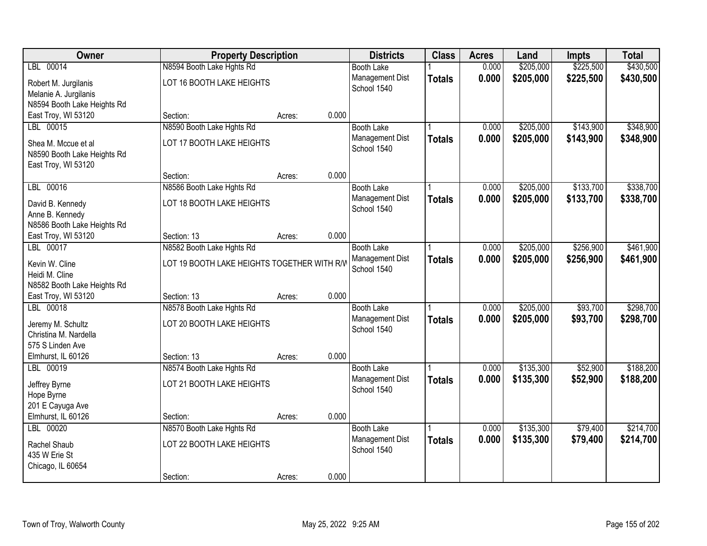| Owner                                     | <b>Property Description</b>                 |        |       | <b>Districts</b>  | <b>Class</b>  | <b>Acres</b> | Land      | <b>Impts</b> | <b>Total</b> |
|-------------------------------------------|---------------------------------------------|--------|-------|-------------------|---------------|--------------|-----------|--------------|--------------|
| LBL 00014                                 | N8594 Booth Lake Hghts Rd                   |        |       | <b>Booth Lake</b> |               | 0.000        | \$205,000 | \$225,500    | \$430,500    |
| Robert M. Jurgilanis                      | LOT 16 BOOTH LAKE HEIGHTS                   |        |       | Management Dist   | <b>Totals</b> | 0.000        | \$205,000 | \$225,500    | \$430,500    |
| Melanie A. Jurgilanis                     |                                             |        |       | School 1540       |               |              |           |              |              |
| N8594 Booth Lake Heights Rd               |                                             |        |       |                   |               |              |           |              |              |
| East Troy, WI 53120                       | Section:                                    | Acres: | 0.000 |                   |               |              |           |              |              |
| LBL 00015                                 | N8590 Booth Lake Hghts Rd                   |        |       | <b>Booth Lake</b> |               | 0.000        | \$205,000 | \$143,900    | \$348,900    |
| Shea M. Mccue et al                       | LOT 17 BOOTH LAKE HEIGHTS                   |        |       | Management Dist   | <b>Totals</b> | 0.000        | \$205,000 | \$143,900    | \$348,900    |
| N8590 Booth Lake Heights Rd               |                                             |        |       | School 1540       |               |              |           |              |              |
| East Troy, WI 53120                       |                                             |        |       |                   |               |              |           |              |              |
|                                           | Section:                                    | Acres: | 0.000 |                   |               |              |           |              |              |
| LBL 00016                                 | N8586 Booth Lake Hghts Rd                   |        |       | <b>Booth Lake</b> |               | 0.000        | \$205,000 | \$133,700    | \$338,700    |
| David B. Kennedy                          | LOT 18 BOOTH LAKE HEIGHTS                   |        |       | Management Dist   | <b>Totals</b> | 0.000        | \$205,000 | \$133,700    | \$338,700    |
| Anne B. Kennedy                           |                                             |        |       | School 1540       |               |              |           |              |              |
| N8586 Booth Lake Heights Rd               |                                             |        |       |                   |               |              |           |              |              |
| East Troy, WI 53120                       | Section: 13                                 | Acres: | 0.000 |                   |               |              |           |              |              |
| LBL 00017                                 | N8582 Booth Lake Hghts Rd                   |        |       | <b>Booth Lake</b> |               | 0.000        | \$205,000 | \$256,900    | \$461,900    |
| Kevin W. Cline                            | LOT 19 BOOTH LAKE HEIGHTS TOGETHER WITH R/W |        |       | Management Dist   | <b>Totals</b> | 0.000        | \$205,000 | \$256,900    | \$461,900    |
| Heidi M. Cline                            |                                             |        |       | School 1540       |               |              |           |              |              |
| N8582 Booth Lake Heights Rd               |                                             |        |       |                   |               |              |           |              |              |
| East Troy, WI 53120                       | Section: 13                                 | Acres: | 0.000 |                   |               |              |           |              |              |
| LBL 00018                                 | N8578 Booth Lake Hghts Rd                   |        |       | <b>Booth Lake</b> |               | 0.000        | \$205,000 | \$93,700     | \$298,700    |
|                                           |                                             |        |       | Management Dist   | <b>Totals</b> | 0.000        | \$205,000 | \$93,700     | \$298,700    |
| Jeremy M. Schultz                         | LOT 20 BOOTH LAKE HEIGHTS                   |        |       | School 1540       |               |              |           |              |              |
| Christina M. Nardella<br>575 S Linden Ave |                                             |        |       |                   |               |              |           |              |              |
| Elmhurst, IL 60126                        | Section: 13                                 | Acres: | 0.000 |                   |               |              |           |              |              |
| LBL 00019                                 | N8574 Booth Lake Hghts Rd                   |        |       | <b>Booth Lake</b> |               | 0.000        | \$135,300 | \$52,900     | \$188,200    |
|                                           |                                             |        |       | Management Dist   | <b>Totals</b> | 0.000        | \$135,300 | \$52,900     | \$188,200    |
| Jeffrey Byrne                             | LOT 21 BOOTH LAKE HEIGHTS                   |        |       | School 1540       |               |              |           |              |              |
| Hope Byrne                                |                                             |        |       |                   |               |              |           |              |              |
| 201 E Cayuga Ave                          |                                             |        | 0.000 |                   |               |              |           |              |              |
| Elmhurst, IL 60126<br>LBL 00020           | Section:<br>N8570 Booth Lake Hghts Rd       | Acres: |       | <b>Booth Lake</b> |               | 0.000        | \$135,300 | \$79,400     | \$214,700    |
|                                           |                                             |        |       | Management Dist   | <b>Totals</b> | 0.000        | \$135,300 | \$79,400     | \$214,700    |
| Rachel Shaub                              | LOT 22 BOOTH LAKE HEIGHTS                   |        |       | School 1540       |               |              |           |              |              |
| 435 W Erie St                             |                                             |        |       |                   |               |              |           |              |              |
| Chicago, IL 60654                         |                                             |        |       |                   |               |              |           |              |              |
|                                           | Section:                                    | Acres: | 0.000 |                   |               |              |           |              |              |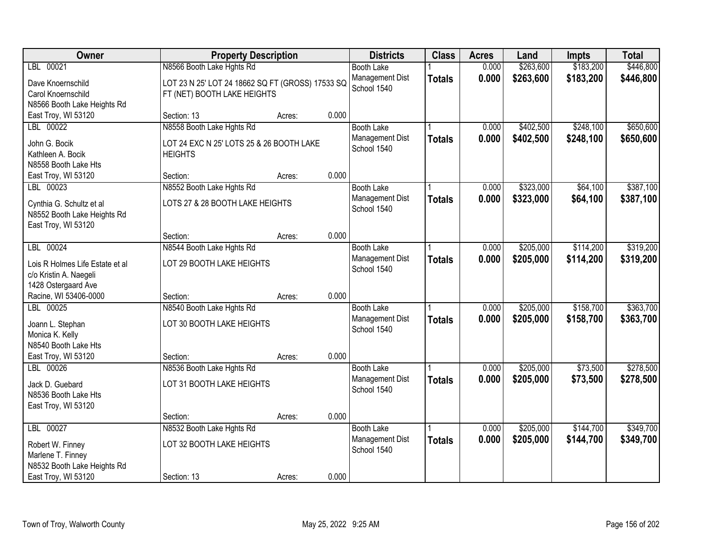| Owner                                                                                           |                                                                                         | <b>Property Description</b> |       | <b>Districts</b>                                    | <b>Class</b>  | <b>Acres</b>   | Land                   | <b>Impts</b>           | <b>Total</b>           |
|-------------------------------------------------------------------------------------------------|-----------------------------------------------------------------------------------------|-----------------------------|-------|-----------------------------------------------------|---------------|----------------|------------------------|------------------------|------------------------|
| LBL 00021                                                                                       | N8566 Booth Lake Hghts Rd                                                               |                             |       | <b>Booth Lake</b>                                   |               | 0.000          | \$263,600              | \$183,200              | \$446,800              |
| Dave Knoernschild<br>Carol Knoernschild<br>N8566 Booth Lake Heights Rd                          | LOT 23 N 25' LOT 24 18662 SQ FT (GROSS) 17533 SQ<br>FT (NET) BOOTH LAKE HEIGHTS         |                             |       | Management Dist<br>School 1540                      | <b>Totals</b> | 0.000          | \$263,600              | \$183,200              | \$446,800              |
| East Troy, WI 53120                                                                             | Section: 13                                                                             | Acres:                      | 0.000 |                                                     |               |                |                        |                        |                        |
| LBL 00022<br>John G. Bocik<br>Kathleen A. Bocik<br>N8558 Booth Lake Hts                         | N8558 Booth Lake Hghts Rd<br>LOT 24 EXC N 25' LOTS 25 & 26 BOOTH LAKE<br><b>HEIGHTS</b> |                             |       | <b>Booth Lake</b><br>Management Dist<br>School 1540 | <b>Totals</b> | 0.000<br>0.000 | \$402,500<br>\$402,500 | \$248,100<br>\$248,100 | \$650,600<br>\$650,600 |
| East Troy, WI 53120                                                                             | Section:                                                                                | Acres:                      | 0.000 |                                                     |               |                |                        |                        |                        |
| LBL 00023                                                                                       | N8552 Booth Lake Hghts Rd                                                               |                             |       | <b>Booth Lake</b>                                   |               | 0.000          | \$323,000              | \$64,100               | \$387,100              |
| Cynthia G. Schultz et al<br>N8552 Booth Lake Heights Rd<br>East Troy, WI 53120                  | LOTS 27 & 28 BOOTH LAKE HEIGHTS                                                         |                             |       | Management Dist<br>School 1540                      | <b>Totals</b> | 0.000          | \$323,000              | \$64,100               | \$387,100              |
|                                                                                                 | Section:                                                                                | Acres:                      | 0.000 |                                                     |               |                |                        |                        |                        |
| LBL 00024                                                                                       | N8544 Booth Lake Hghts Rd                                                               |                             |       | <b>Booth Lake</b>                                   |               | 0.000          | \$205,000              | \$114,200              | \$319,200              |
| Lois R Holmes Life Estate et al<br>c/o Kristin A. Naegeli<br>1428 Ostergaard Ave                | LOT 29 BOOTH LAKE HEIGHTS                                                               |                             |       | Management Dist<br>School 1540                      | <b>Totals</b> | 0.000          | \$205,000              | \$114,200              | \$319,200              |
| Racine, WI 53406-0000                                                                           | Section:                                                                                | Acres:                      | 0.000 |                                                     |               |                |                        |                        |                        |
| LBL 00025<br>Joann L. Stephan<br>Monica K. Kelly<br>N8540 Booth Lake Hts<br>East Troy, WI 53120 | N8540 Booth Lake Hghts Rd<br>LOT 30 BOOTH LAKE HEIGHTS<br>Section:                      | Acres:                      | 0.000 | <b>Booth Lake</b><br>Management Dist<br>School 1540 | <b>Totals</b> | 0.000<br>0.000 | \$205,000<br>\$205,000 | \$158,700<br>\$158,700 | \$363,700<br>\$363,700 |
| LBL 00026                                                                                       | N8536 Booth Lake Hghts Rd                                                               |                             |       | <b>Booth Lake</b>                                   |               | 0.000          | \$205,000              | \$73,500               | \$278,500              |
| Jack D. Guebard<br>N8536 Booth Lake Hts<br>East Troy, WI 53120                                  | LOT 31 BOOTH LAKE HEIGHTS                                                               |                             |       | Management Dist<br>School 1540                      | <b>Totals</b> | 0.000          | \$205,000              | \$73,500               | \$278,500              |
|                                                                                                 | Section:                                                                                | Acres:                      | 0.000 |                                                     |               |                |                        |                        |                        |
| LBL 00027                                                                                       | N8532 Booth Lake Hghts Rd                                                               |                             |       | <b>Booth Lake</b>                                   |               | 0.000          | \$205,000              | \$144,700              | \$349,700              |
| Robert W. Finney<br>Marlene T. Finney<br>N8532 Booth Lake Heights Rd                            | LOT 32 BOOTH LAKE HEIGHTS                                                               |                             |       | Management Dist<br>School 1540                      | <b>Totals</b> | 0.000          | \$205,000              | \$144,700              | \$349,700              |
| East Troy, WI 53120                                                                             | Section: 13                                                                             | Acres:                      | 0.000 |                                                     |               |                |                        |                        |                        |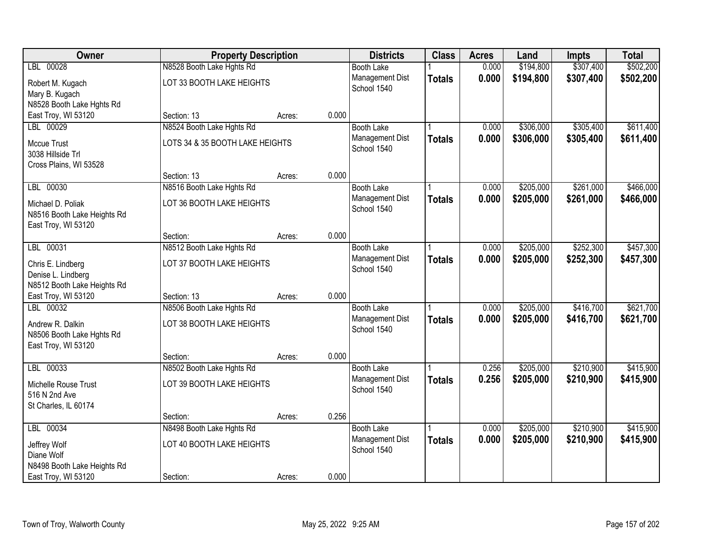| Owner                                                         | <b>Property Description</b>     |        |       | <b>Districts</b>               | <b>Class</b>  | <b>Acres</b> | Land      | <b>Impts</b> | <b>Total</b> |
|---------------------------------------------------------------|---------------------------------|--------|-------|--------------------------------|---------------|--------------|-----------|--------------|--------------|
| LBL 00028                                                     | N8528 Booth Lake Hghts Rd       |        |       | <b>Booth Lake</b>              |               | 0.000        | \$194,800 | \$307,400    | \$502,200    |
| Robert M. Kugach<br>Mary B. Kugach                            | LOT 33 BOOTH LAKE HEIGHTS       |        |       | Management Dist<br>School 1540 | <b>Totals</b> | 0.000        | \$194,800 | \$307,400    | \$502,200    |
| N8528 Booth Lake Hghts Rd                                     |                                 |        |       |                                |               |              |           |              |              |
| East Troy, WI 53120                                           | Section: 13                     | Acres: | 0.000 |                                |               |              |           |              |              |
| LBL 00029                                                     | N8524 Booth Lake Hghts Rd       |        |       | <b>Booth Lake</b>              |               | 0.000        | \$306,000 | \$305,400    | \$611,400    |
| Mccue Trust<br>3038 Hillside Trl                              | LOTS 34 & 35 BOOTH LAKE HEIGHTS |        |       | Management Dist<br>School 1540 | <b>Totals</b> | 0.000        | \$306,000 | \$305,400    | \$611,400    |
| Cross Plains, WI 53528                                        | Section: 13                     | Acres: | 0.000 |                                |               |              |           |              |              |
| LBL 00030                                                     | N8516 Booth Lake Hghts Rd       |        |       | <b>Booth Lake</b>              |               | 0.000        | \$205,000 | \$261,000    | \$466,000    |
| Michael D. Poliak<br>N8516 Booth Lake Heights Rd              | LOT 36 BOOTH LAKE HEIGHTS       |        |       | Management Dist<br>School 1540 | <b>Totals</b> | 0.000        | \$205,000 | \$261,000    | \$466,000    |
| East Troy, WI 53120                                           | Section:                        | Acres: | 0.000 |                                |               |              |           |              |              |
| LBL 00031                                                     | N8512 Booth Lake Hghts Rd       |        |       | <b>Booth Lake</b>              |               | 0.000        | \$205,000 | \$252,300    | \$457,300    |
| Chris E. Lindberg<br>Denise L. Lindberg                       | LOT 37 BOOTH LAKE HEIGHTS       |        |       | Management Dist<br>School 1540 | <b>Totals</b> | 0.000        | \$205,000 | \$252,300    | \$457,300    |
| N8512 Booth Lake Heights Rd<br>East Troy, WI 53120            | Section: 13                     | Acres: | 0.000 |                                |               |              |           |              |              |
| LBL 00032                                                     | N8506 Booth Lake Hghts Rd       |        |       | <b>Booth Lake</b>              |               | 0.000        | \$205,000 | \$416,700    | \$621,700    |
| Andrew R. Dalkin<br>N8506 Booth Lake Hghts Rd                 | LOT 38 BOOTH LAKE HEIGHTS       |        |       | Management Dist<br>School 1540 | <b>Totals</b> | 0.000        | \$205,000 | \$416,700    | \$621,700    |
| East Troy, WI 53120                                           |                                 |        |       |                                |               |              |           |              |              |
|                                                               | Section:                        | Acres: | 0.000 |                                |               |              |           |              |              |
| LBL 00033                                                     | N8502 Booth Lake Hghts Rd       |        |       | <b>Booth Lake</b>              |               | 0.256        | \$205,000 | \$210,900    | \$415,900    |
| Michelle Rouse Trust<br>516 N 2nd Ave<br>St Charles, IL 60174 | LOT 39 BOOTH LAKE HEIGHTS       |        |       | Management Dist<br>School 1540 | <b>Totals</b> | 0.256        | \$205,000 | \$210,900    | \$415,900    |
|                                                               | Section:                        | Acres: | 0.256 |                                |               |              |           |              |              |
| LBL 00034                                                     | N8498 Booth Lake Hghts Rd       |        |       | <b>Booth Lake</b>              |               | 0.000        | \$205,000 | \$210,900    | \$415,900    |
| Jeffrey Wolf<br>Diane Wolf                                    | LOT 40 BOOTH LAKE HEIGHTS       |        |       | Management Dist<br>School 1540 | <b>Totals</b> | 0.000        | \$205,000 | \$210,900    | \$415,900    |
| N8498 Booth Lake Heights Rd<br>East Troy, WI 53120            | Section:                        | Acres: | 0.000 |                                |               |              |           |              |              |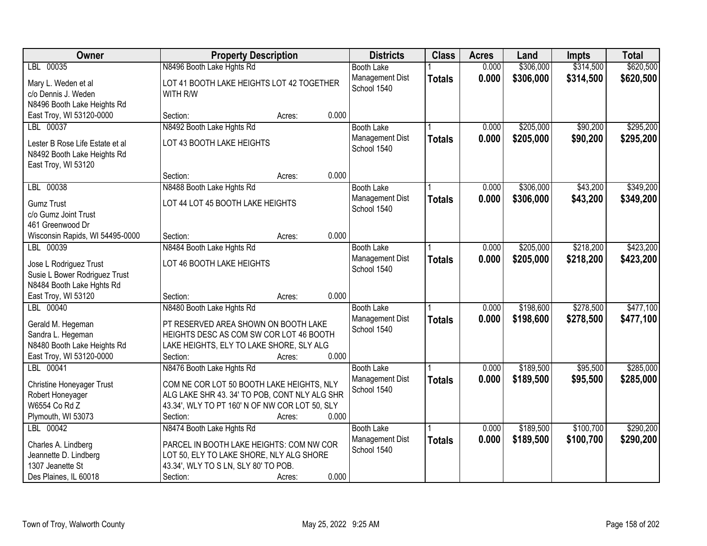| Owner                                                          |                                                       | <b>Property Description</b> |       | <b>Districts</b>               | <b>Class</b>  | <b>Acres</b> | Land      | <b>Impts</b> | <b>Total</b> |
|----------------------------------------------------------------|-------------------------------------------------------|-----------------------------|-------|--------------------------------|---------------|--------------|-----------|--------------|--------------|
| LBL 00035                                                      | N8496 Booth Lake Hghts Rd                             |                             |       | <b>Booth Lake</b>              |               | 0.000        | \$306,000 | \$314,500    | \$620,500    |
| Mary L. Weden et al<br>c/o Dennis J. Weden                     | LOT 41 BOOTH LAKE HEIGHTS LOT 42 TOGETHER<br>WITH R/W |                             |       | Management Dist<br>School 1540 | <b>Totals</b> | 0.000        | \$306,000 | \$314,500    | \$620,500    |
| N8496 Booth Lake Heights Rd<br>East Troy, WI 53120-0000        | Section:                                              |                             | 0.000 |                                |               |              |           |              |              |
| LBL 00037                                                      | N8492 Booth Lake Hghts Rd                             | Acres:                      |       | <b>Booth Lake</b>              |               | 0.000        | \$205,000 | \$90,200     | \$295,200    |
|                                                                |                                                       |                             |       | Management Dist                |               | 0.000        | \$205,000 | \$90,200     | \$295,200    |
| Lester B Rose Life Estate et al<br>N8492 Booth Lake Heights Rd | LOT 43 BOOTH LAKE HEIGHTS                             |                             |       | School 1540                    | <b>Totals</b> |              |           |              |              |
| East Troy, WI 53120                                            | Section:                                              | Acres:                      | 0.000 |                                |               |              |           |              |              |
| LBL 00038                                                      | N8488 Booth Lake Hghts Rd                             |                             |       | <b>Booth Lake</b>              |               | 0.000        | \$306,000 | \$43,200     | \$349,200    |
| <b>Gumz Trust</b><br>c/o Gumz Joint Trust                      | LOT 44 LOT 45 BOOTH LAKE HEIGHTS                      |                             |       | Management Dist<br>School 1540 | <b>Totals</b> | 0.000        | \$306,000 | \$43,200     | \$349,200    |
| 461 Greenwood Dr                                               |                                                       |                             |       |                                |               |              |           |              |              |
| Wisconsin Rapids, WI 54495-0000                                | Section:                                              | Acres:                      | 0.000 |                                |               |              |           |              |              |
| LBL 00039                                                      | N8484 Booth Lake Hghts Rd                             |                             |       | <b>Booth Lake</b>              |               | 0.000        | \$205,000 | \$218,200    | \$423,200    |
| Jose L Rodriguez Trust                                         | LOT 46 BOOTH LAKE HEIGHTS                             |                             |       | Management Dist<br>School 1540 | <b>Totals</b> | 0.000        | \$205,000 | \$218,200    | \$423,200    |
| Susie L Bower Rodriguez Trust<br>N8484 Booth Lake Hghts Rd     |                                                       |                             |       |                                |               |              |           |              |              |
| East Troy, WI 53120                                            | Section:                                              | Acres:                      | 0.000 |                                |               |              |           |              |              |
| LBL 00040                                                      | N8480 Booth Lake Hghts Rd                             |                             |       | <b>Booth Lake</b>              |               | 0.000        | \$198,600 | \$278,500    | \$477,100    |
|                                                                |                                                       |                             |       | Management Dist                | <b>Totals</b> | 0.000        | \$198,600 | \$278,500    | \$477,100    |
| Gerald M. Hegeman                                              | PT RESERVED AREA SHOWN ON BOOTH LAKE                  |                             |       | School 1540                    |               |              |           |              |              |
| Sandra L. Hegeman                                              | HEIGHTS DESC AS COM SW COR LOT 46 BOOTH               |                             |       |                                |               |              |           |              |              |
| N8480 Booth Lake Heights Rd                                    | LAKE HEIGHTS, ELY TO LAKE SHORE, SLY ALG              |                             |       |                                |               |              |           |              |              |
| East Troy, WI 53120-0000                                       | Section:                                              | Acres:                      | 0.000 |                                |               |              |           |              |              |
| LBL 00041                                                      | N8476 Booth Lake Hghts Rd                             |                             |       | <b>Booth Lake</b>              |               | 0.000        | \$189,500 | \$95,500     | \$285,000    |
| <b>Christine Honeyager Trust</b>                               | COM NE COR LOT 50 BOOTH LAKE HEIGHTS, NLY             |                             |       | Management Dist                | <b>Totals</b> | 0.000        | \$189,500 | \$95,500     | \$285,000    |
| Robert Honeyager                                               | ALG LAKE SHR 43. 34' TO POB, CONT NLY ALG SHR         |                             |       | School 1540                    |               |              |           |              |              |
| W6554 Co Rd Z                                                  | 43.34', WLY TO PT 160' N OF NW COR LOT 50, SLY        |                             |       |                                |               |              |           |              |              |
| Plymouth, WI 53073                                             | Section:                                              | Acres:                      | 0.000 |                                |               |              |           |              |              |
| LBL 00042                                                      | N8474 Booth Lake Hghts Rd                             |                             |       | <b>Booth Lake</b>              |               | 0.000        | \$189,500 | \$100,700    | \$290,200    |
| Charles A. Lindberg                                            | PARCEL IN BOOTH LAKE HEIGHTS: COM NW COR              |                             |       | Management Dist                | <b>Totals</b> | 0.000        | \$189,500 | \$100,700    | \$290,200    |
| Jeannette D. Lindberg                                          | LOT 50, ELY TO LAKE SHORE, NLY ALG SHORE              |                             |       | School 1540                    |               |              |           |              |              |
| 1307 Jeanette St                                               | 43.34', WLY TO S LN, SLY 80' TO POB.                  |                             |       |                                |               |              |           |              |              |
| Des Plaines, IL 60018                                          | Section:                                              | Acres:                      | 0.000 |                                |               |              |           |              |              |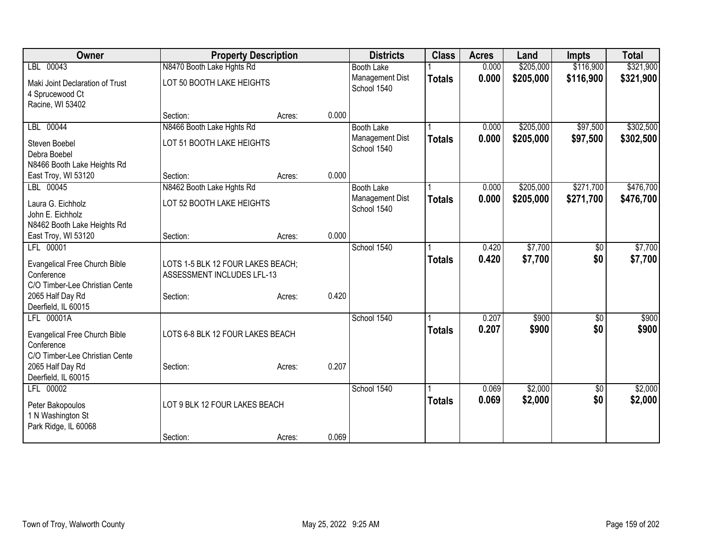| Owner                           | <b>Property Description</b>       |        |       | <b>Districts</b>  | <b>Class</b>  | <b>Acres</b> | Land      | <b>Impts</b> | <b>Total</b> |
|---------------------------------|-----------------------------------|--------|-------|-------------------|---------------|--------------|-----------|--------------|--------------|
| LBL 00043                       | N8470 Booth Lake Hghts Rd         |        |       | <b>Booth Lake</b> |               | 0.000        | \$205,000 | \$116,900    | \$321,900    |
| Maki Joint Declaration of Trust | LOT 50 BOOTH LAKE HEIGHTS         |        |       | Management Dist   | <b>Totals</b> | 0.000        | \$205,000 | \$116,900    | \$321,900    |
| 4 Sprucewood Ct                 |                                   |        |       | School 1540       |               |              |           |              |              |
| Racine, WI 53402                |                                   |        |       |                   |               |              |           |              |              |
|                                 | Section:                          | Acres: | 0.000 |                   |               |              |           |              |              |
| LBL 00044                       | N8466 Booth Lake Hghts Rd         |        |       | <b>Booth Lake</b> |               | 0.000        | \$205,000 | \$97,500     | \$302,500    |
| Steven Boebel                   | LOT 51 BOOTH LAKE HEIGHTS         |        |       | Management Dist   | <b>Totals</b> | 0.000        | \$205,000 | \$97,500     | \$302,500    |
| Debra Boebel                    |                                   |        |       | School 1540       |               |              |           |              |              |
| N8466 Booth Lake Heights Rd     |                                   |        |       |                   |               |              |           |              |              |
| East Troy, WI 53120             | Section:                          | Acres: | 0.000 |                   |               |              |           |              |              |
| LBL 00045                       | N8462 Booth Lake Hghts Rd         |        |       | <b>Booth Lake</b> |               | 0.000        | \$205,000 | \$271,700    | \$476,700    |
| Laura G. Eichholz               | LOT 52 BOOTH LAKE HEIGHTS         |        |       | Management Dist   | <b>Totals</b> | 0.000        | \$205,000 | \$271,700    | \$476,700    |
| John E. Eichholz                |                                   |        |       | School 1540       |               |              |           |              |              |
| N8462 Booth Lake Heights Rd     |                                   |        |       |                   |               |              |           |              |              |
| East Troy, WI 53120             | Section:                          | Acres: | 0.000 |                   |               |              |           |              |              |
| LFL 00001                       |                                   |        |       | School 1540       |               | 0.420        | \$7,700   | \$0          | \$7,700      |
| Evangelical Free Church Bible   | LOTS 1-5 BLK 12 FOUR LAKES BEACH; |        |       |                   | <b>Totals</b> | 0.420        | \$7,700   | \$0          | \$7,700      |
| Conference                      | ASSESSMENT INCLUDES LFL-13        |        |       |                   |               |              |           |              |              |
| C/O Timber-Lee Christian Cente  |                                   |        |       |                   |               |              |           |              |              |
| 2065 Half Day Rd                | Section:                          | Acres: | 0.420 |                   |               |              |           |              |              |
| Deerfield, IL 60015             |                                   |        |       |                   |               |              |           |              |              |
| LFL 00001A                      |                                   |        |       | School 1540       |               | 0.207        | \$900     | \$0          | \$900        |
| Evangelical Free Church Bible   | LOTS 6-8 BLK 12 FOUR LAKES BEACH  |        |       |                   | <b>Totals</b> | 0.207        | \$900     | \$0          | \$900        |
| Conference                      |                                   |        |       |                   |               |              |           |              |              |
| C/O Timber-Lee Christian Cente  |                                   |        |       |                   |               |              |           |              |              |
| 2065 Half Day Rd                | Section:                          | Acres: | 0.207 |                   |               |              |           |              |              |
| Deerfield, IL 60015             |                                   |        |       |                   |               |              |           |              |              |
| LFL 00002                       |                                   |        |       | School 1540       |               | 0.069        | \$2,000   | \$0          | \$2,000      |
| Peter Bakopoulos                | LOT 9 BLK 12 FOUR LAKES BEACH     |        |       |                   | <b>Totals</b> | 0.069        | \$2,000   | \$0          | \$2,000      |
| 1 N Washington St               |                                   |        |       |                   |               |              |           |              |              |
| Park Ridge, IL 60068            |                                   |        |       |                   |               |              |           |              |              |
|                                 | Section:                          | Acres: | 0.069 |                   |               |              |           |              |              |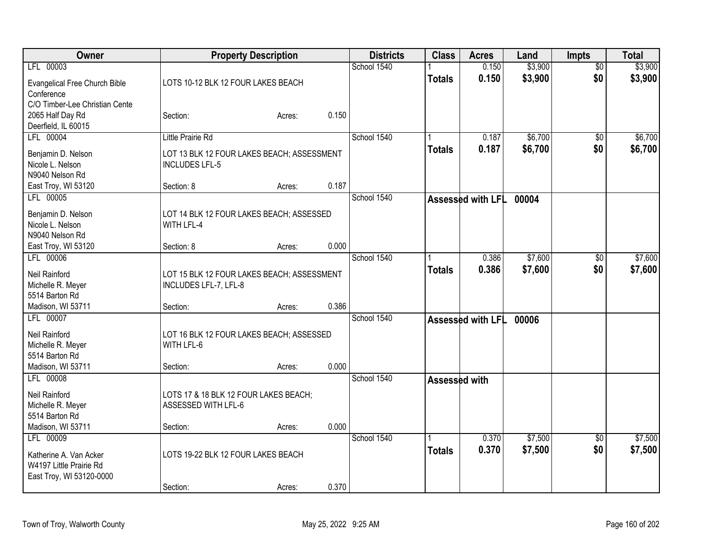| Owner                          |                                            | <b>Property Description</b> |       | <b>Districts</b> | <b>Class</b>  | <b>Acres</b>      | Land    | <b>Impts</b>    | <b>Total</b> |
|--------------------------------|--------------------------------------------|-----------------------------|-------|------------------|---------------|-------------------|---------|-----------------|--------------|
| LFL 00003                      |                                            |                             |       | School 1540      |               | 0.150             | \$3,900 | $\overline{50}$ | \$3,900      |
| Evangelical Free Church Bible  | LOTS 10-12 BLK 12 FOUR LAKES BEACH         |                             |       |                  | <b>Totals</b> | 0.150             | \$3,900 | \$0             | \$3,900      |
| Conference                     |                                            |                             |       |                  |               |                   |         |                 |              |
| C/O Timber-Lee Christian Cente |                                            |                             |       |                  |               |                   |         |                 |              |
| 2065 Half Day Rd               | Section:                                   | Acres:                      | 0.150 |                  |               |                   |         |                 |              |
| Deerfield, IL 60015            |                                            |                             |       |                  |               |                   |         |                 |              |
| LFL 00004                      | <b>Little Prairie Rd</b>                   |                             |       | School 1540      |               | 0.187             | \$6,700 | $\sqrt{$0}$     | \$6,700      |
| Benjamin D. Nelson             | LOT 13 BLK 12 FOUR LAKES BEACH; ASSESSMENT |                             |       |                  | <b>Totals</b> | 0.187             | \$6,700 | \$0             | \$6,700      |
| Nicole L. Nelson               | <b>INCLUDES LFL-5</b>                      |                             |       |                  |               |                   |         |                 |              |
| N9040 Nelson Rd                |                                            |                             |       |                  |               |                   |         |                 |              |
| East Troy, WI 53120            | Section: 8                                 | Acres:                      | 0.187 |                  |               |                   |         |                 |              |
| LFL 00005                      |                                            |                             |       | School 1540      |               | Assessed with LFL | 00004   |                 |              |
|                                |                                            |                             |       |                  |               |                   |         |                 |              |
| Benjamin D. Nelson             | LOT 14 BLK 12 FOUR LAKES BEACH; ASSESSED   |                             |       |                  |               |                   |         |                 |              |
| Nicole L. Nelson               | WITH LFL-4                                 |                             |       |                  |               |                   |         |                 |              |
| N9040 Nelson Rd                |                                            |                             |       |                  |               |                   |         |                 |              |
| East Troy, WI 53120            | Section: 8                                 | Acres:                      | 0.000 |                  |               |                   |         |                 |              |
| LFL 00006                      |                                            |                             |       | School 1540      |               | 0.386             | \$7,600 | $\sqrt[6]{3}$   | \$7,600      |
| Neil Rainford                  | LOT 15 BLK 12 FOUR LAKES BEACH; ASSESSMENT |                             |       |                  | <b>Totals</b> | 0.386             | \$7,600 | \$0             | \$7,600      |
| Michelle R. Meyer              | INCLUDES LFL-7, LFL-8                      |                             |       |                  |               |                   |         |                 |              |
| 5514 Barton Rd                 |                                            |                             |       |                  |               |                   |         |                 |              |
| Madison, WI 53711              | Section:                                   | Acres:                      | 0.386 |                  |               |                   |         |                 |              |
| LFL 00007                      |                                            |                             |       | School 1540      |               | Assessed with LFL | 00006   |                 |              |
| Neil Rainford                  | LOT 16 BLK 12 FOUR LAKES BEACH; ASSESSED   |                             |       |                  |               |                   |         |                 |              |
| Michelle R. Meyer              | WITH LFL-6                                 |                             |       |                  |               |                   |         |                 |              |
| 5514 Barton Rd                 |                                            |                             |       |                  |               |                   |         |                 |              |
| Madison, WI 53711              | Section:                                   | Acres:                      | 0.000 |                  |               |                   |         |                 |              |
| LFL 00008                      |                                            |                             |       | School 1540      | Assessed with |                   |         |                 |              |
| Neil Rainford                  | LOTS 17 & 18 BLK 12 FOUR LAKES BEACH;      |                             |       |                  |               |                   |         |                 |              |
| Michelle R. Meyer              | ASSESSED WITH LFL-6                        |                             |       |                  |               |                   |         |                 |              |
| 5514 Barton Rd                 |                                            |                             |       |                  |               |                   |         |                 |              |
| Madison, WI 53711              | Section:                                   | Acres:                      | 0.000 |                  |               |                   |         |                 |              |
| LFL 00009                      |                                            |                             |       | School 1540      |               | 0.370             | \$7,500 | $\overline{50}$ | \$7,500      |
|                                |                                            |                             |       |                  | <b>Totals</b> | 0.370             | \$7,500 | \$0             | \$7,500      |
| Katherine A. Van Acker         | LOTS 19-22 BLK 12 FOUR LAKES BEACH         |                             |       |                  |               |                   |         |                 |              |
| W4197 Little Prairie Rd        |                                            |                             |       |                  |               |                   |         |                 |              |
| East Troy, WI 53120-0000       |                                            |                             |       |                  |               |                   |         |                 |              |
|                                | Section:                                   | Acres:                      | 0.370 |                  |               |                   |         |                 |              |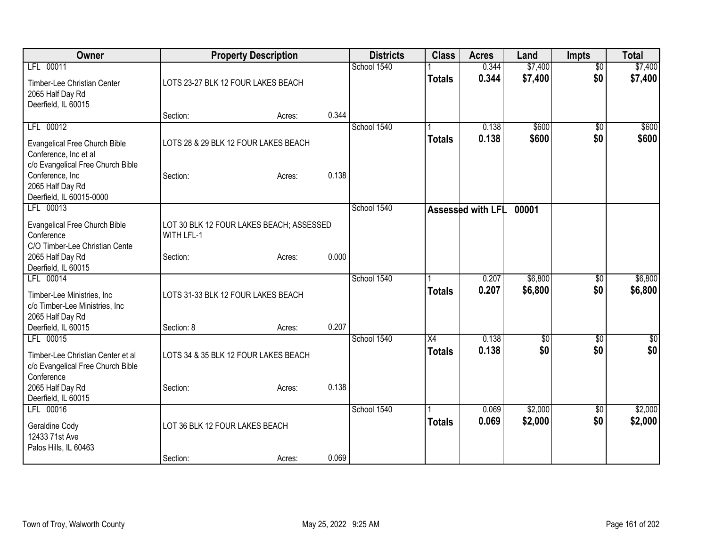| Owner                                                                                              | <b>Property Description</b>                            |                 | <b>Districts</b> | <b>Class</b>        | <b>Acres</b>      | Land               | <b>Impts</b>          | <b>Total</b>       |
|----------------------------------------------------------------------------------------------------|--------------------------------------------------------|-----------------|------------------|---------------------|-------------------|--------------------|-----------------------|--------------------|
| LFL 00011                                                                                          |                                                        |                 | School 1540      |                     | 0.344             | \$7,400            | $\overline{50}$       | \$7,400            |
| Timber-Lee Christian Center<br>2065 Half Day Rd<br>Deerfield, IL 60015                             | LOTS 23-27 BLK 12 FOUR LAKES BEACH                     |                 |                  | <b>Totals</b>       | 0.344             | \$7,400            | \$0                   | \$7,400            |
|                                                                                                    | Section:                                               | 0.344<br>Acres: |                  |                     |                   |                    |                       |                    |
| LFL 00012                                                                                          |                                                        |                 | School 1540      |                     | 0.138             | \$600              | \$0                   | \$600              |
| <b>Evangelical Free Church Bible</b><br>Conference, Inc et al<br>c/o Evangelical Free Church Bible | LOTS 28 & 29 BLK 12 FOUR LAKES BEACH                   |                 |                  | <b>Totals</b>       | 0.138             | \$600              | \$0                   | \$600              |
| Conference, Inc<br>2065 Half Day Rd<br>Deerfield, IL 60015-0000                                    | Section:                                               | 0.138<br>Acres: |                  |                     |                   |                    |                       |                    |
| LFL 00013                                                                                          |                                                        |                 | School 1540      |                     | Assessed with LFL | 00001              |                       |                    |
| Evangelical Free Church Bible<br>Conference<br>C/O Timber-Lee Christian Cente                      | LOT 30 BLK 12 FOUR LAKES BEACH; ASSESSED<br>WITH LFL-1 |                 |                  |                     |                   |                    |                       |                    |
| 2065 Half Day Rd<br>Deerfield, IL 60015                                                            | Section:                                               | 0.000<br>Acres: |                  |                     |                   |                    |                       |                    |
| LFL 00014<br>Timber-Lee Ministries, Inc.<br>c/o Timber-Lee Ministries, Inc.<br>2065 Half Day Rd    | LOTS 31-33 BLK 12 FOUR LAKES BEACH                     |                 | School 1540      | <b>Totals</b>       | 0.207<br>0.207    | \$6,800<br>\$6,800 | \$0<br>\$0            | \$6,800<br>\$6,800 |
| Deerfield, IL 60015                                                                                | Section: 8                                             | 0.207<br>Acres: |                  |                     |                   |                    |                       |                    |
| LFL 00015<br>Timber-Lee Christian Center et al<br>c/o Evangelical Free Church Bible<br>Conference  | LOTS 34 & 35 BLK 12 FOUR LAKES BEACH                   |                 | School 1540      | X4<br><b>Totals</b> | 0.138<br>0.138    | \$0<br>\$0         | \$0<br>\$0            | \$0<br>\$0         |
| 2065 Half Day Rd<br>Deerfield, IL 60015                                                            | Section:                                               | 0.138<br>Acres: |                  |                     |                   |                    |                       |                    |
| LFL 00016<br>Geraldine Cody<br>12433 71st Ave<br>Palos Hills, IL 60463                             | LOT 36 BLK 12 FOUR LAKES BEACH                         |                 | School 1540      | <b>Totals</b>       | 0.069<br>0.069    | \$2,000<br>\$2,000 | $\sqrt[6]{30}$<br>\$0 | \$2,000<br>\$2,000 |
|                                                                                                    | Section:                                               | 0.069<br>Acres: |                  |                     |                   |                    |                       |                    |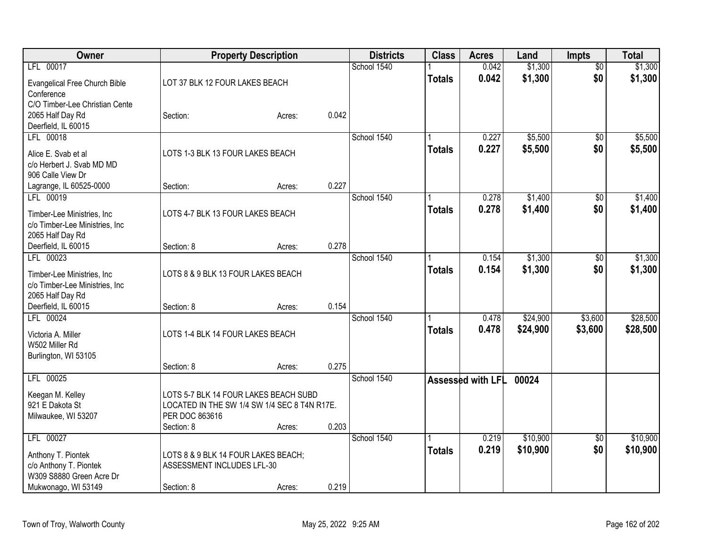| Owner                                                         |                                              | <b>Property Description</b> |       | <b>Districts</b> | <b>Class</b>  | <b>Acres</b>      | Land               | <b>Impts</b>    | <b>Total</b>       |
|---------------------------------------------------------------|----------------------------------------------|-----------------------------|-------|------------------|---------------|-------------------|--------------------|-----------------|--------------------|
| LFL 00017                                                     |                                              |                             |       | School 1540      |               | 0.042             | \$1,300            | $\overline{50}$ | \$1,300            |
| Evangelical Free Church Bible                                 | LOT 37 BLK 12 FOUR LAKES BEACH               |                             |       |                  | <b>Totals</b> | 0.042             | \$1,300            | \$0             | \$1,300            |
| Conference                                                    |                                              |                             |       |                  |               |                   |                    |                 |                    |
| C/O Timber-Lee Christian Cente                                |                                              |                             |       |                  |               |                   |                    |                 |                    |
| 2065 Half Day Rd                                              | Section:                                     | Acres:                      | 0.042 |                  |               |                   |                    |                 |                    |
| Deerfield, IL 60015                                           |                                              |                             |       |                  |               |                   |                    |                 |                    |
| LFL 00018                                                     |                                              |                             |       | School 1540      |               | 0.227<br>0.227    | \$5,500<br>\$5,500 | \$0<br>\$0      | \$5,500<br>\$5,500 |
| Alice E. Svab et al                                           | LOTS 1-3 BLK 13 FOUR LAKES BEACH             |                             |       |                  | <b>Totals</b> |                   |                    |                 |                    |
| c/o Herbert J. Svab MD MD                                     |                                              |                             |       |                  |               |                   |                    |                 |                    |
| 906 Calle View Dr<br>Lagrange, IL 60525-0000                  | Section:                                     |                             | 0.227 |                  |               |                   |                    |                 |                    |
| LFL 00019                                                     |                                              | Acres:                      |       | School 1540      |               | 0.278             | \$1,400            | \$0             | \$1,400            |
|                                                               |                                              |                             |       |                  | <b>Totals</b> | 0.278             | \$1,400            | \$0             | \$1,400            |
| Timber-Lee Ministries, Inc                                    | LOTS 4-7 BLK 13 FOUR LAKES BEACH             |                             |       |                  |               |                   |                    |                 |                    |
| c/o Timber-Lee Ministries, Inc<br>2065 Half Day Rd            |                                              |                             |       |                  |               |                   |                    |                 |                    |
| Deerfield, IL 60015                                           | Section: 8                                   | Acres:                      | 0.278 |                  |               |                   |                    |                 |                    |
| LFL 00023                                                     |                                              |                             |       | School 1540      |               | 0.154             | \$1,300            | \$0             | \$1,300            |
|                                                               |                                              |                             |       |                  | <b>Totals</b> | 0.154             | \$1,300            | \$0             | \$1,300            |
| Timber-Lee Ministries, Inc.<br>c/o Timber-Lee Ministries, Inc | LOTS 8 & 9 BLK 13 FOUR LAKES BEACH           |                             |       |                  |               |                   |                    |                 |                    |
| 2065 Half Day Rd                                              |                                              |                             |       |                  |               |                   |                    |                 |                    |
| Deerfield, IL 60015                                           | Section: 8                                   | Acres:                      | 0.154 |                  |               |                   |                    |                 |                    |
| LFL 00024                                                     |                                              |                             |       | School 1540      |               | 0.478             | \$24,900           | \$3,600         | \$28,500           |
| Victoria A. Miller                                            | LOTS 1-4 BLK 14 FOUR LAKES BEACH             |                             |       |                  | <b>Totals</b> | 0.478             | \$24,900           | \$3,600         | \$28,500           |
| W502 Miller Rd                                                |                                              |                             |       |                  |               |                   |                    |                 |                    |
| Burlington, WI 53105                                          |                                              |                             |       |                  |               |                   |                    |                 |                    |
|                                                               | Section: 8                                   | Acres:                      | 0.275 |                  |               |                   |                    |                 |                    |
| LFL 00025                                                     |                                              |                             |       | School 1540      |               | Assessed with LFL | 00024              |                 |                    |
| Keegan M. Kelley                                              | LOTS 5-7 BLK 14 FOUR LAKES BEACH SUBD        |                             |       |                  |               |                   |                    |                 |                    |
| 921 E Dakota St                                               | LOCATED IN THE SW 1/4 SW 1/4 SEC 8 T4N R17E. |                             |       |                  |               |                   |                    |                 |                    |
| Milwaukee, WI 53207                                           | PER DOC 863616                               |                             |       |                  |               |                   |                    |                 |                    |
|                                                               | Section: 8                                   | Acres:                      | 0.203 |                  |               |                   |                    |                 |                    |
| LFL 00027                                                     |                                              |                             |       | School 1540      |               | 0.219             | \$10,900           | $\overline{50}$ | \$10,900           |
| Anthony T. Piontek                                            | LOTS 8 & 9 BLK 14 FOUR LAKES BEACH;          |                             |       |                  | Totals        | 0.219             | \$10,900           | \$0             | \$10,900           |
| c/o Anthony T. Piontek                                        | ASSESSMENT INCLUDES LFL-30                   |                             |       |                  |               |                   |                    |                 |                    |
| W309 S8880 Green Acre Dr                                      |                                              |                             |       |                  |               |                   |                    |                 |                    |
| Mukwonago, WI 53149                                           | Section: 8                                   | Acres:                      | 0.219 |                  |               |                   |                    |                 |                    |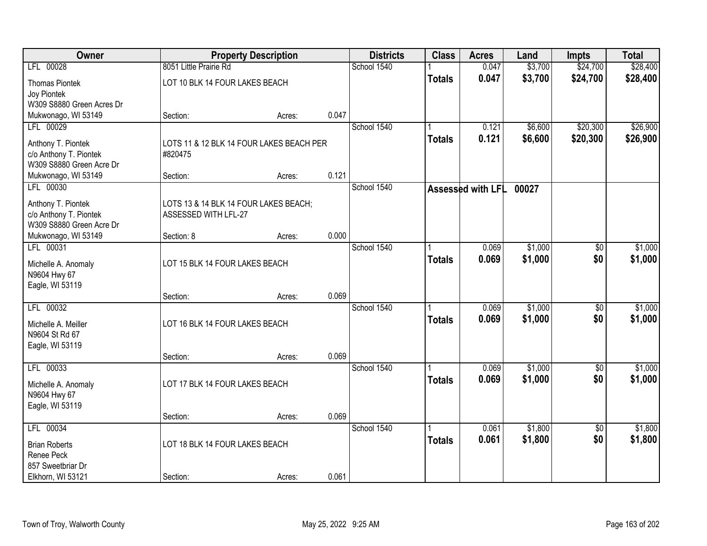| Owner                     |                                          | <b>Property Description</b> |       | <b>Districts</b> | <b>Class</b>  | <b>Acres</b>      | Land    | <b>Impts</b>    | <b>Total</b> |
|---------------------------|------------------------------------------|-----------------------------|-------|------------------|---------------|-------------------|---------|-----------------|--------------|
| LFL 00028                 | 8051 Little Prairie Rd                   |                             |       | School 1540      |               | 0.047             | \$3,700 | \$24,700        | \$28,400     |
| <b>Thomas Piontek</b>     | LOT 10 BLK 14 FOUR LAKES BEACH           |                             |       |                  | <b>Totals</b> | 0.047             | \$3,700 | \$24,700        | \$28,400     |
| Joy Piontek               |                                          |                             |       |                  |               |                   |         |                 |              |
| W309 S8880 Green Acres Dr |                                          |                             |       |                  |               |                   |         |                 |              |
| Mukwonago, WI 53149       | Section:                                 | Acres:                      | 0.047 |                  |               |                   |         |                 |              |
| LFL 00029                 |                                          |                             |       | School 1540      |               | 0.121             | \$6,600 | \$20,300        | \$26,900     |
| Anthony T. Piontek        | LOTS 11 & 12 BLK 14 FOUR LAKES BEACH PER |                             |       |                  | <b>Totals</b> | 0.121             | \$6,600 | \$20,300        | \$26,900     |
| c/o Anthony T. Piontek    | #820475                                  |                             |       |                  |               |                   |         |                 |              |
| W309 S8880 Green Acre Dr  |                                          |                             |       |                  |               |                   |         |                 |              |
| Mukwonago, WI 53149       | Section:                                 | Acres:                      | 0.121 |                  |               |                   |         |                 |              |
| LFL 00030                 |                                          |                             |       | School 1540      |               | Assessed with LFL | 00027   |                 |              |
| Anthony T. Piontek        | LOTS 13 & 14 BLK 14 FOUR LAKES BEACH;    |                             |       |                  |               |                   |         |                 |              |
| c/o Anthony T. Piontek    | ASSESSED WITH LFL-27                     |                             |       |                  |               |                   |         |                 |              |
| W309 S8880 Green Acre Dr  |                                          |                             |       |                  |               |                   |         |                 |              |
| Mukwonago, WI 53149       | Section: 8                               | Acres:                      | 0.000 |                  |               |                   |         |                 |              |
| LFL 00031                 |                                          |                             |       | School 1540      |               | 0.069             | \$1,000 | \$0             | \$1,000      |
| Michelle A. Anomaly       | LOT 15 BLK 14 FOUR LAKES BEACH           |                             |       |                  | <b>Totals</b> | 0.069             | \$1,000 | \$0             | \$1,000      |
| N9604 Hwy 67              |                                          |                             |       |                  |               |                   |         |                 |              |
| Eagle, WI 53119           |                                          |                             |       |                  |               |                   |         |                 |              |
|                           | Section:                                 | Acres:                      | 0.069 |                  |               |                   |         |                 |              |
| LFL 00032                 |                                          |                             |       | School 1540      |               | 0.069             | \$1,000 | $\overline{50}$ | \$1,000      |
| Michelle A. Meiller       | LOT 16 BLK 14 FOUR LAKES BEACH           |                             |       |                  | <b>Totals</b> | 0.069             | \$1,000 | \$0             | \$1,000      |
| N9604 St Rd 67            |                                          |                             |       |                  |               |                   |         |                 |              |
| Eagle, WI 53119           |                                          |                             |       |                  |               |                   |         |                 |              |
|                           | Section:                                 | Acres:                      | 0.069 |                  |               |                   |         |                 |              |
| LFL 00033                 |                                          |                             |       | School 1540      |               | 0.069             | \$1,000 | $\sqrt{6}$      | \$1,000      |
| Michelle A. Anomaly       | LOT 17 BLK 14 FOUR LAKES BEACH           |                             |       |                  | <b>Totals</b> | 0.069             | \$1,000 | \$0             | \$1,000      |
| N9604 Hwy 67              |                                          |                             |       |                  |               |                   |         |                 |              |
| Eagle, WI 53119           |                                          |                             |       |                  |               |                   |         |                 |              |
|                           | Section:                                 | Acres:                      | 0.069 |                  |               |                   |         |                 |              |
| LFL 00034                 |                                          |                             |       | School 1540      |               | 0.061             | \$1,800 | $\overline{50}$ | \$1,800      |
| <b>Brian Roberts</b>      | LOT 18 BLK 14 FOUR LAKES BEACH           |                             |       |                  | <b>Totals</b> | 0.061             | \$1,800 | \$0             | \$1,800      |
| Renee Peck                |                                          |                             |       |                  |               |                   |         |                 |              |
| 857 Sweetbriar Dr         |                                          |                             |       |                  |               |                   |         |                 |              |
| Elkhorn, WI 53121         | Section:                                 | Acres:                      | 0.061 |                  |               |                   |         |                 |              |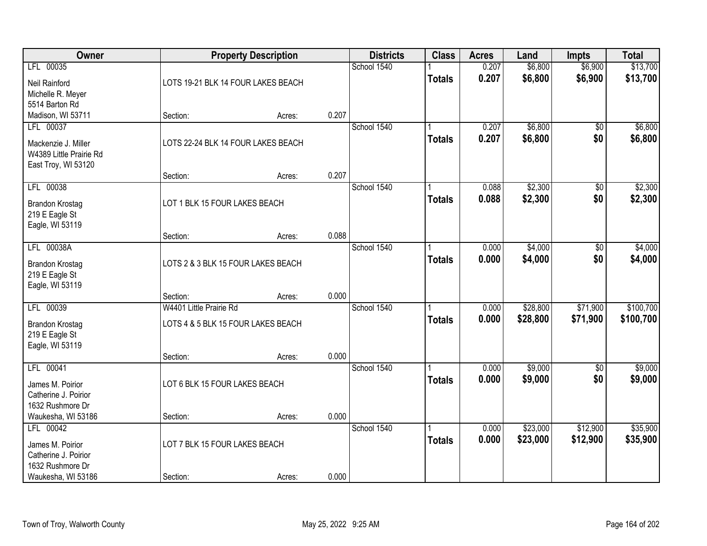| Owner                             |                                    | <b>Property Description</b> |       | <b>Districts</b> | <b>Class</b>  | <b>Acres</b> | Land     | <b>Impts</b> | <b>Total</b> |
|-----------------------------------|------------------------------------|-----------------------------|-------|------------------|---------------|--------------|----------|--------------|--------------|
| LFL 00035                         |                                    |                             |       | School 1540      |               | 0.207        | \$6,800  | \$6,900      | \$13,700     |
| Neil Rainford                     | LOTS 19-21 BLK 14 FOUR LAKES BEACH |                             |       |                  | <b>Totals</b> | 0.207        | \$6,800  | \$6,900      | \$13,700     |
| Michelle R. Meyer                 |                                    |                             |       |                  |               |              |          |              |              |
| 5514 Barton Rd                    |                                    |                             |       |                  |               |              |          |              |              |
| Madison, WI 53711                 | Section:                           | Acres:                      | 0.207 |                  |               |              |          |              |              |
| LFL 00037                         |                                    |                             |       | School 1540      |               | 0.207        | \$6,800  | \$0          | \$6,800      |
| Mackenzie J. Miller               | LOTS 22-24 BLK 14 FOUR LAKES BEACH |                             |       |                  | <b>Totals</b> | 0.207        | \$6,800  | \$0          | \$6,800      |
| W4389 Little Prairie Rd           |                                    |                             |       |                  |               |              |          |              |              |
| East Troy, WI 53120               |                                    |                             | 0.207 |                  |               |              |          |              |              |
| LFL 00038                         | Section:                           | Acres:                      |       | School 1540      |               | 0.088        | \$2,300  | \$0          | \$2,300      |
|                                   |                                    |                             |       |                  | <b>Totals</b> | 0.088        | \$2,300  | \$0          | \$2,300      |
| <b>Brandon Krostag</b>            | LOT 1 BLK 15 FOUR LAKES BEACH      |                             |       |                  |               |              |          |              |              |
| 219 E Eagle St                    |                                    |                             |       |                  |               |              |          |              |              |
| Eagle, WI 53119                   | Section:                           | Acres:                      | 0.088 |                  |               |              |          |              |              |
| LFL 00038A                        |                                    |                             |       | School 1540      |               | 0.000        | \$4,000  | \$0          | \$4,000      |
|                                   |                                    |                             |       |                  | <b>Totals</b> | 0.000        | \$4,000  | \$0          | \$4,000      |
| <b>Brandon Krostag</b>            | LOTS 2 & 3 BLK 15 FOUR LAKES BEACH |                             |       |                  |               |              |          |              |              |
| 219 E Eagle St<br>Eagle, WI 53119 |                                    |                             |       |                  |               |              |          |              |              |
|                                   | Section:                           | Acres:                      | 0.000 |                  |               |              |          |              |              |
| LFL 00039                         | W4401 Little Prairie Rd            |                             |       | School 1540      |               | 0.000        | \$28,800 | \$71,900     | \$100,700    |
| <b>Brandon Krostag</b>            | LOTS 4 & 5 BLK 15 FOUR LAKES BEACH |                             |       |                  | <b>Totals</b> | 0.000        | \$28,800 | \$71,900     | \$100,700    |
| 219 E Eagle St                    |                                    |                             |       |                  |               |              |          |              |              |
| Eagle, WI 53119                   |                                    |                             |       |                  |               |              |          |              |              |
|                                   | Section:                           | Acres:                      | 0.000 |                  |               |              |          |              |              |
| LFL 00041                         |                                    |                             |       | School 1540      |               | 0.000        | \$9,000  | $\sqrt{6}$   | \$9,000      |
| James M. Poirior                  | LOT 6 BLK 15 FOUR LAKES BEACH      |                             |       |                  | <b>Totals</b> | 0.000        | \$9,000  | \$0          | \$9,000      |
| Catherine J. Poirior              |                                    |                             |       |                  |               |              |          |              |              |
| 1632 Rushmore Dr                  |                                    |                             |       |                  |               |              |          |              |              |
| Waukesha, WI 53186                | Section:                           | Acres:                      | 0.000 |                  |               |              |          |              |              |
| LFL 00042                         |                                    |                             |       | School 1540      |               | 0.000        | \$23,000 | \$12,900     | \$35,900     |
| James M. Poirior                  | LOT 7 BLK 15 FOUR LAKES BEACH      |                             |       |                  | <b>Totals</b> | 0.000        | \$23,000 | \$12,900     | \$35,900     |
| Catherine J. Poirior              |                                    |                             |       |                  |               |              |          |              |              |
| 1632 Rushmore Dr                  |                                    |                             |       |                  |               |              |          |              |              |
| Waukesha, WI 53186                | Section:                           | Acres:                      | 0.000 |                  |               |              |          |              |              |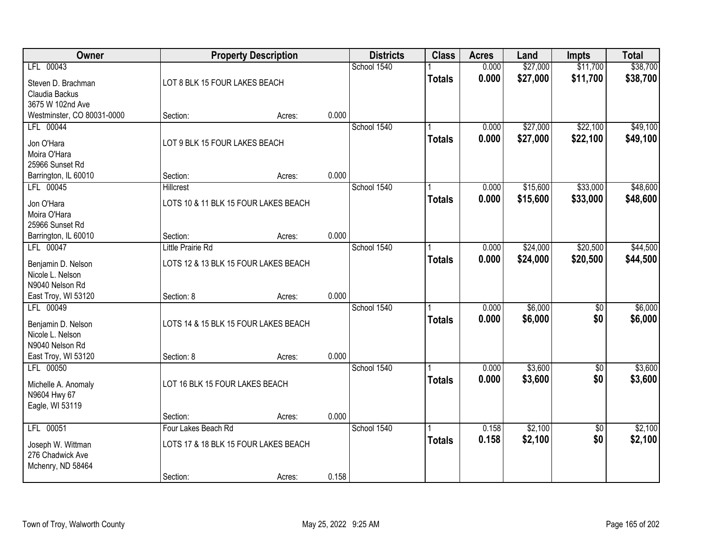| Owner                                   |                                      | <b>Property Description</b> |       | <b>Districts</b> | <b>Class</b>  | <b>Acres</b>   | Land               | <b>Impts</b>           | <b>Total</b>       |
|-----------------------------------------|--------------------------------------|-----------------------------|-------|------------------|---------------|----------------|--------------------|------------------------|--------------------|
| LFL 00043                               |                                      |                             |       | School 1540      |               | 0.000          | \$27,000           | \$11,700               | \$38,700           |
| Steven D. Brachman                      | LOT 8 BLK 15 FOUR LAKES BEACH        |                             |       |                  | <b>Totals</b> | 0.000          | \$27,000           | \$11,700               | \$38,700           |
| Claudia Backus<br>3675 W 102nd Ave      |                                      |                             |       |                  |               |                |                    |                        |                    |
| Westminster, CO 80031-0000              | Section:                             | Acres:                      | 0.000 |                  |               |                |                    |                        |                    |
| LFL 00044                               |                                      |                             |       | School 1540      |               | 0.000          | \$27,000           | \$22,100               | \$49,100           |
| Jon O'Hara                              | LOT 9 BLK 15 FOUR LAKES BEACH        |                             |       |                  | <b>Totals</b> | 0.000          | \$27,000           | \$22,100               | \$49,100           |
| Moira O'Hara<br>25966 Sunset Rd         |                                      |                             |       |                  |               |                |                    |                        |                    |
| Barrington, IL 60010                    | Section:                             | Acres:                      | 0.000 |                  |               |                |                    |                        |                    |
| LFL 00045                               | <b>Hillcrest</b>                     |                             |       | School 1540      |               | 0.000          | \$15,600           | \$33,000               | \$48,600           |
| Jon O'Hara                              | LOTS 10 & 11 BLK 15 FOUR LAKES BEACH |                             |       |                  | <b>Totals</b> | 0.000          | \$15,600           | \$33,000               | \$48,600           |
| Moira O'Hara                            |                                      |                             |       |                  |               |                |                    |                        |                    |
| 25966 Sunset Rd<br>Barrington, IL 60010 | Section:                             | Acres:                      | 0.000 |                  |               |                |                    |                        |                    |
| LFL 00047                               | <b>Little Prairie Rd</b>             |                             |       | School 1540      |               | 0.000          | \$24,000           | \$20,500               | \$44,500           |
| Benjamin D. Nelson                      | LOTS 12 & 13 BLK 15 FOUR LAKES BEACH |                             |       |                  | <b>Totals</b> | 0.000          | \$24,000           | \$20,500               | \$44,500           |
| Nicole L. Nelson                        |                                      |                             |       |                  |               |                |                    |                        |                    |
| N9040 Nelson Rd<br>East Troy, WI 53120  | Section: 8                           | Acres:                      | 0.000 |                  |               |                |                    |                        |                    |
| LFL 00049                               |                                      |                             |       | School 1540      |               | 0.000          | \$6,000            | $\overline{50}$        | \$6,000            |
| Benjamin D. Nelson                      | LOTS 14 & 15 BLK 15 FOUR LAKES BEACH |                             |       |                  | <b>Totals</b> | 0.000          | \$6,000            | \$0                    | \$6,000            |
| Nicole L. Nelson                        |                                      |                             |       |                  |               |                |                    |                        |                    |
| N9040 Nelson Rd                         |                                      |                             |       |                  |               |                |                    |                        |                    |
| East Troy, WI 53120<br>LFL 00050        | Section: 8                           | Acres:                      | 0.000 | School 1540      |               | 0.000          | \$3,600            | $\sqrt{6}$             | \$3,600            |
|                                         |                                      |                             |       |                  | <b>Totals</b> | 0.000          | \$3,600            | \$0                    | \$3,600            |
| Michelle A. Anomaly<br>N9604 Hwy 67     | LOT 16 BLK 15 FOUR LAKES BEACH       |                             |       |                  |               |                |                    |                        |                    |
| Eagle, WI 53119                         |                                      |                             |       |                  |               |                |                    |                        |                    |
|                                         | Section:                             | Acres:                      | 0.000 |                  |               |                |                    |                        |                    |
| LFL 00051                               | Four Lakes Beach Rd                  |                             |       | School 1540      |               | 0.158<br>0.158 | \$2,100<br>\$2,100 | $\overline{50}$<br>\$0 | \$2,100<br>\$2,100 |
| Joseph W. Wittman                       | LOTS 17 & 18 BLK 15 FOUR LAKES BEACH |                             |       |                  | <b>Totals</b> |                |                    |                        |                    |
| 276 Chadwick Ave<br>Mchenry, ND 58464   |                                      |                             |       |                  |               |                |                    |                        |                    |
|                                         | Section:                             | Acres:                      | 0.158 |                  |               |                |                    |                        |                    |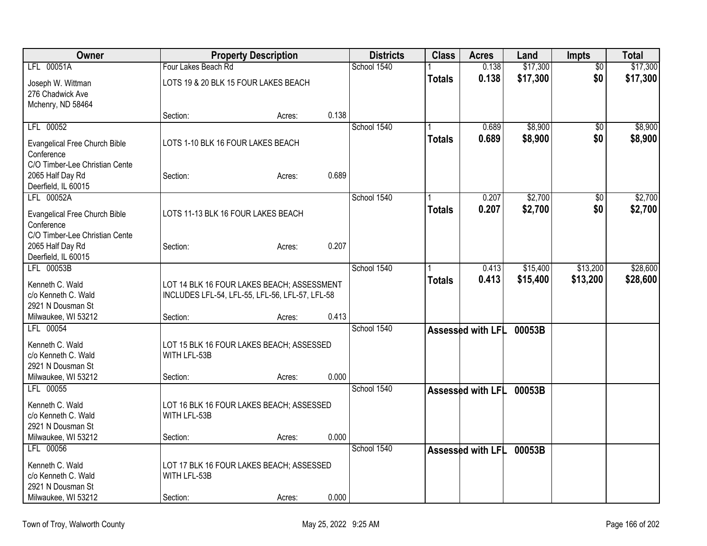| Owner                                   |                                                 | <b>Property Description</b> |       | <b>Districts</b> | <b>Class</b>  | <b>Acres</b>      | Land     | <b>Impts</b>    | <b>Total</b> |
|-----------------------------------------|-------------------------------------------------|-----------------------------|-------|------------------|---------------|-------------------|----------|-----------------|--------------|
| LFL 00051A                              | Four Lakes Beach Rd                             |                             |       | School 1540      |               | 0.138             | \$17,300 | \$0             | \$17,300     |
| Joseph W. Wittman                       | LOTS 19 & 20 BLK 15 FOUR LAKES BEACH            |                             |       |                  | <b>Totals</b> | 0.138             | \$17,300 | \$0             | \$17,300     |
| 276 Chadwick Ave                        |                                                 |                             |       |                  |               |                   |          |                 |              |
| Mchenry, ND 58464                       |                                                 |                             |       |                  |               |                   |          |                 |              |
|                                         | Section:                                        | Acres:                      | 0.138 |                  |               |                   |          |                 |              |
| LFL 00052                               |                                                 |                             |       | School 1540      |               | 0.689             | \$8,900  | $\overline{50}$ | \$8,900      |
| <b>Evangelical Free Church Bible</b>    | LOTS 1-10 BLK 16 FOUR LAKES BEACH               |                             |       |                  | <b>Totals</b> | 0.689             | \$8,900  | \$0             | \$8,900      |
| Conference                              |                                                 |                             |       |                  |               |                   |          |                 |              |
| C/O Timber-Lee Christian Cente          |                                                 |                             |       |                  |               |                   |          |                 |              |
| 2065 Half Day Rd                        | Section:                                        | Acres:                      | 0.689 |                  |               |                   |          |                 |              |
| Deerfield, IL 60015                     |                                                 |                             |       |                  |               |                   |          |                 |              |
| LFL 00052A                              |                                                 |                             |       | School 1540      |               | 0.207             | \$2,700  | $\overline{50}$ | \$2,700      |
| <b>Evangelical Free Church Bible</b>    | LOTS 11-13 BLK 16 FOUR LAKES BEACH              |                             |       |                  | <b>Totals</b> | 0.207             | \$2,700  | \$0             | \$2,700      |
| Conference                              |                                                 |                             |       |                  |               |                   |          |                 |              |
| C/O Timber-Lee Christian Cente          |                                                 |                             | 0.207 |                  |               |                   |          |                 |              |
| 2065 Half Day Rd<br>Deerfield, IL 60015 | Section:                                        | Acres:                      |       |                  |               |                   |          |                 |              |
| LFL 00053B                              |                                                 |                             |       | School 1540      |               | 0.413             | \$15,400 | \$13,200        | \$28,600     |
|                                         |                                                 |                             |       |                  | <b>Totals</b> | 0.413             | \$15,400 | \$13,200        | \$28,600     |
| Kenneth C. Wald<br>c/o Kenneth C. Wald  | LOT 14 BLK 16 FOUR LAKES BEACH; ASSESSMENT      |                             |       |                  |               |                   |          |                 |              |
| 2921 N Dousman St                       | INCLUDES LFL-54, LFL-55, LFL-56, LFL-57, LFL-58 |                             |       |                  |               |                   |          |                 |              |
| Milwaukee, WI 53212                     | Section:                                        | Acres:                      | 0.413 |                  |               |                   |          |                 |              |
| LFL 00054                               |                                                 |                             |       | School 1540      |               | Assessed with LFL | 00053B   |                 |              |
| Kenneth C. Wald                         | LOT 15 BLK 16 FOUR LAKES BEACH; ASSESSED        |                             |       |                  |               |                   |          |                 |              |
| c/o Kenneth C. Wald                     | WITH LFL-53B                                    |                             |       |                  |               |                   |          |                 |              |
| 2921 N Dousman St                       |                                                 |                             |       |                  |               |                   |          |                 |              |
| Milwaukee, WI 53212                     | Section:                                        | Acres:                      | 0.000 |                  |               |                   |          |                 |              |
| LFL 00055                               |                                                 |                             |       | School 1540      |               | Assessed with LFL | 00053B   |                 |              |
| Kenneth C. Wald                         | LOT 16 BLK 16 FOUR LAKES BEACH; ASSESSED        |                             |       |                  |               |                   |          |                 |              |
| c/o Kenneth C. Wald                     | WITH LFL-53B                                    |                             |       |                  |               |                   |          |                 |              |
| 2921 N Dousman St                       |                                                 |                             |       |                  |               |                   |          |                 |              |
| Milwaukee, WI 53212                     | Section:                                        | Acres:                      | 0.000 |                  |               |                   |          |                 |              |
| LFL 00056                               |                                                 |                             |       | School 1540      |               | Assessed with LFL | 00053B   |                 |              |
| Kenneth C. Wald                         | LOT 17 BLK 16 FOUR LAKES BEACH; ASSESSED        |                             |       |                  |               |                   |          |                 |              |
| c/o Kenneth C. Wald                     | WITH LFL-53B                                    |                             |       |                  |               |                   |          |                 |              |
| 2921 N Dousman St                       |                                                 |                             |       |                  |               |                   |          |                 |              |
| Milwaukee, WI 53212                     | Section:                                        | Acres:                      | 0.000 |                  |               |                   |          |                 |              |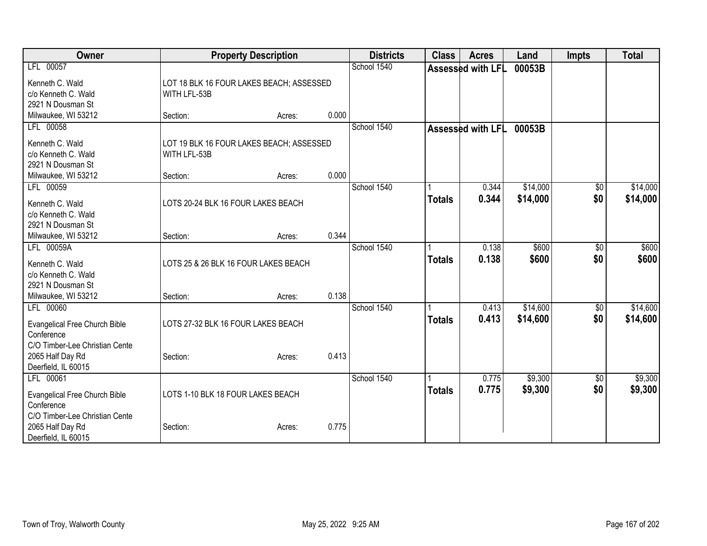| <b>Owner</b>                                 | <b>Property Description</b>              |       | <b>Districts</b> | <b>Class</b>  | <b>Acres</b>      | Land     | <b>Impts</b> | <b>Total</b> |
|----------------------------------------------|------------------------------------------|-------|------------------|---------------|-------------------|----------|--------------|--------------|
| LFL 00057                                    |                                          |       | School 1540      |               | Assessed with LFL | 00053B   |              |              |
| Kenneth C. Wald                              | LOT 18 BLK 16 FOUR LAKES BEACH; ASSESSED |       |                  |               |                   |          |              |              |
| c/o Kenneth C. Wald<br>WITH LFL-53B          |                                          |       |                  |               |                   |          |              |              |
| 2921 N Dousman St                            |                                          |       |                  |               |                   |          |              |              |
| Milwaukee, WI 53212<br>Section:              | Acres:                                   | 0.000 |                  |               |                   |          |              |              |
| LFL 00058                                    |                                          |       | School 1540      |               | Assessed with LFL | 00053B   |              |              |
| Kenneth C. Wald                              | LOT 19 BLK 16 FOUR LAKES BEACH; ASSESSED |       |                  |               |                   |          |              |              |
| c/o Kenneth C. Wald<br>WITH LFL-53B          |                                          |       |                  |               |                   |          |              |              |
| 2921 N Dousman St                            |                                          |       |                  |               |                   |          |              |              |
| Milwaukee, WI 53212<br>Section:              | Acres:                                   | 0.000 |                  |               |                   |          |              |              |
| LFL 00059                                    |                                          |       | School 1540      |               | 0.344             | \$14,000 | \$0          | \$14,000     |
| Kenneth C. Wald                              | LOTS 20-24 BLK 16 FOUR LAKES BEACH       |       |                  | <b>Totals</b> | 0.344             | \$14,000 | \$0          | \$14,000     |
| c/o Kenneth C. Wald                          |                                          |       |                  |               |                   |          |              |              |
| 2921 N Dousman St                            |                                          |       |                  |               |                   |          |              |              |
| Milwaukee, WI 53212<br>Section:              | Acres:                                   | 0.344 |                  |               |                   |          |              |              |
| LFL 00059A                                   |                                          |       | School 1540      |               | 0.138             | \$600    | \$0          | \$600        |
| Kenneth C. Wald                              | LOTS 25 & 26 BLK 16 FOUR LAKES BEACH     |       |                  | <b>Totals</b> | 0.138             | \$600    | \$0          | \$600        |
| c/o Kenneth C. Wald                          |                                          |       |                  |               |                   |          |              |              |
| 2921 N Dousman St                            |                                          |       |                  |               |                   |          |              |              |
| Milwaukee, WI 53212<br>Section:              | Acres:                                   | 0.138 |                  |               |                   |          |              |              |
| LFL 00060                                    |                                          |       | School 1540      |               | 0.413             | \$14,600 | \$0          | \$14,600     |
|                                              |                                          |       |                  | <b>Totals</b> | 0.413             | \$14,600 | \$0          | \$14,600     |
| Evangelical Free Church Bible                | LOTS 27-32 BLK 16 FOUR LAKES BEACH       |       |                  |               |                   |          |              |              |
| Conference<br>C/O Timber-Lee Christian Cente |                                          |       |                  |               |                   |          |              |              |
| 2065 Half Day Rd<br>Section:                 | Acres:                                   | 0.413 |                  |               |                   |          |              |              |
| Deerfield, IL 60015                          |                                          |       |                  |               |                   |          |              |              |
| LFL 00061                                    |                                          |       | School 1540      |               | 0.775             | \$9,300  | \$0          | \$9,300      |
|                                              |                                          |       |                  | <b>Totals</b> | 0.775             | \$9,300  | \$0          | \$9,300      |
| Evangelical Free Church Bible                | LOTS 1-10 BLK 18 FOUR LAKES BEACH        |       |                  |               |                   |          |              |              |
| Conference<br>C/O Timber-Lee Christian Cente |                                          |       |                  |               |                   |          |              |              |
| 2065 Half Day Rd<br>Section:                 | Acres:                                   | 0.775 |                  |               |                   |          |              |              |
| Deerfield, IL 60015                          |                                          |       |                  |               |                   |          |              |              |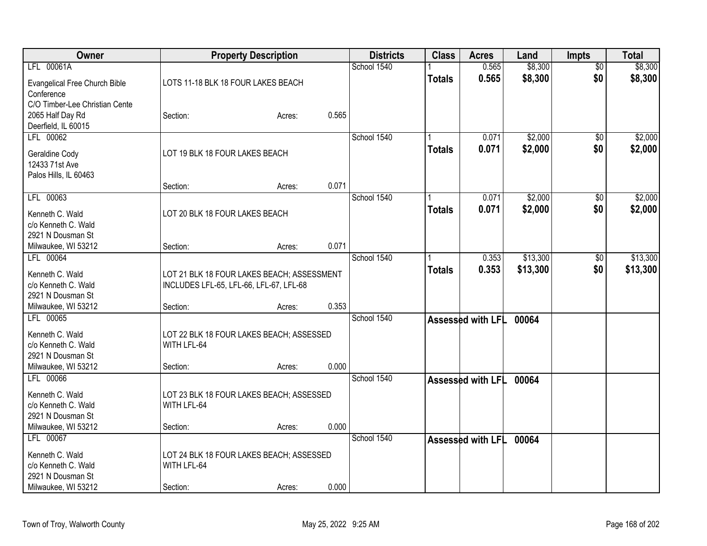| Owner                                    |                                            | <b>Property Description</b> |       | <b>Districts</b> | <b>Class</b>  | <b>Acres</b>             | Land     | <b>Impts</b>    | <b>Total</b> |
|------------------------------------------|--------------------------------------------|-----------------------------|-------|------------------|---------------|--------------------------|----------|-----------------|--------------|
| LFL 00061A                               |                                            |                             |       | School 1540      |               | 0.565                    | \$8,300  | $\overline{50}$ | \$8,300      |
| Evangelical Free Church Bible            | LOTS 11-18 BLK 18 FOUR LAKES BEACH         |                             |       |                  | <b>Totals</b> | 0.565                    | \$8,300  | \$0             | \$8,300      |
| Conference                               |                                            |                             |       |                  |               |                          |          |                 |              |
| C/O Timber-Lee Christian Cente           |                                            |                             |       |                  |               |                          |          |                 |              |
| 2065 Half Day Rd                         | Section:                                   | Acres:                      | 0.565 |                  |               |                          |          |                 |              |
| Deerfield, IL 60015                      |                                            |                             |       |                  |               |                          |          |                 |              |
| LFL 00062                                |                                            |                             |       | School 1540      |               | 0.071                    | \$2,000  | \$0             | \$2,000      |
| Geraldine Cody                           | LOT 19 BLK 18 FOUR LAKES BEACH             |                             |       |                  | <b>Totals</b> | 0.071                    | \$2,000  | \$0             | \$2,000      |
| 12433 71st Ave                           |                                            |                             |       |                  |               |                          |          |                 |              |
| Palos Hills, IL 60463                    |                                            |                             |       |                  |               |                          |          |                 |              |
|                                          | Section:                                   | Acres:                      | 0.071 |                  |               |                          |          |                 |              |
| LFL 00063                                |                                            |                             |       | School 1540      |               | 0.071                    | \$2,000  | \$0             | \$2,000      |
| Kenneth C. Wald                          | LOT 20 BLK 18 FOUR LAKES BEACH             |                             |       |                  | <b>Totals</b> | 0.071                    | \$2,000  | \$0             | \$2,000      |
| c/o Kenneth C. Wald                      |                                            |                             |       |                  |               |                          |          |                 |              |
| 2921 N Dousman St                        |                                            |                             |       |                  |               |                          |          |                 |              |
| Milwaukee, WI 53212                      | Section:                                   | Acres:                      | 0.071 |                  |               |                          |          |                 |              |
| LFL 00064                                |                                            |                             |       | School 1540      |               | 0.353                    | \$13,300 | \$0             | \$13,300     |
|                                          |                                            |                             |       |                  | <b>Totals</b> | 0.353                    | \$13,300 | \$0             | \$13,300     |
| Kenneth C. Wald<br>c/o Kenneth C. Wald   | LOT 21 BLK 18 FOUR LAKES BEACH; ASSESSMENT |                             |       |                  |               |                          |          |                 |              |
| 2921 N Dousman St                        | INCLUDES LFL-65, LFL-66, LFL-67, LFL-68    |                             |       |                  |               |                          |          |                 |              |
| Milwaukee, WI 53212                      | Section:                                   | Acres:                      | 0.353 |                  |               |                          |          |                 |              |
| LFL 00065                                |                                            |                             |       | School 1540      |               | Assessed with LFL        | 00064    |                 |              |
|                                          |                                            |                             |       |                  |               |                          |          |                 |              |
| Kenneth C. Wald                          | LOT 22 BLK 18 FOUR LAKES BEACH; ASSESSED   |                             |       |                  |               |                          |          |                 |              |
| c/o Kenneth C. Wald                      | WITH LFL-64                                |                             |       |                  |               |                          |          |                 |              |
| 2921 N Dousman St<br>Milwaukee, WI 53212 | Section:                                   | Acres:                      | 0.000 |                  |               |                          |          |                 |              |
| LFL 00066                                |                                            |                             |       | School 1540      |               |                          |          |                 |              |
|                                          |                                            |                             |       |                  |               | Assessed with LFL        | 00064    |                 |              |
| Kenneth C. Wald                          | LOT 23 BLK 18 FOUR LAKES BEACH; ASSESSED   |                             |       |                  |               |                          |          |                 |              |
| c/o Kenneth C. Wald                      | WITH LFL-64                                |                             |       |                  |               |                          |          |                 |              |
| 2921 N Dousman St                        |                                            |                             |       |                  |               |                          |          |                 |              |
| Milwaukee, WI 53212                      | Section:                                   | Acres:                      | 0.000 |                  |               |                          |          |                 |              |
| LFL 00067                                |                                            |                             |       | School 1540      |               | <b>Assessed with LFL</b> | 00064    |                 |              |
| Kenneth C. Wald                          | LOT 24 BLK 18 FOUR LAKES BEACH; ASSESSED   |                             |       |                  |               |                          |          |                 |              |
| c/o Kenneth C. Wald                      | WITH LFL-64                                |                             |       |                  |               |                          |          |                 |              |
| 2921 N Dousman St                        |                                            |                             |       |                  |               |                          |          |                 |              |
| Milwaukee, WI 53212                      | Section:                                   | Acres:                      | 0.000 |                  |               |                          |          |                 |              |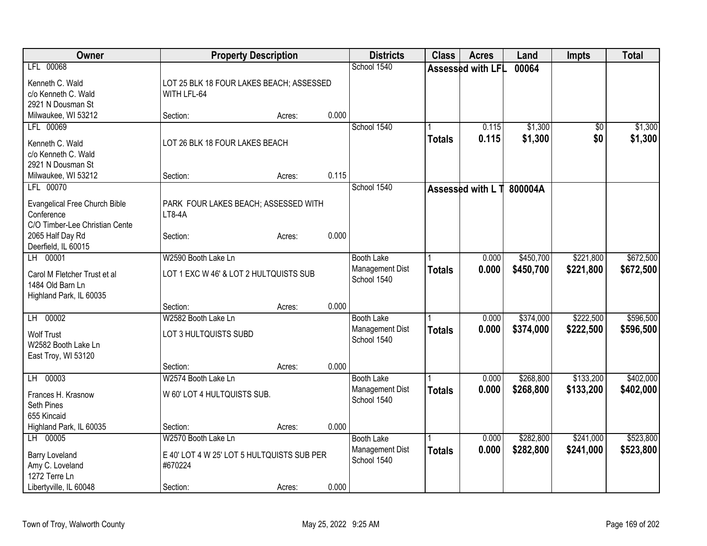| <b>Assessed with LFL</b><br>00064<br>Kenneth C. Wald<br>LOT 25 BLK 18 FOUR LAKES BEACH; ASSESSED<br>c/o Kenneth C. Wald<br>WITH LFL-64<br>2921 N Dousman St<br>0.000<br>Milwaukee, WI 53212<br>Section:<br>Acres:<br>LFL 00069<br>School 1540<br>\$1,300<br>0.115<br>$\overline{50}$<br>0.115<br>\$1,300<br>\$0<br><b>Totals</b><br>LOT 26 BLK 18 FOUR LAKES BEACH<br>Kenneth C. Wald<br>c/o Kenneth C. Wald<br>2921 N Dousman St<br>0.115<br>Milwaukee, WI 53212<br>Section:<br>Acres:<br>School 1540<br>LFL 00070<br>Assessed with L T 800004A<br><b>Evangelical Free Church Bible</b><br>PARK FOUR LAKES BEACH; ASSESSED WITH<br>Conference<br>LT8-4A<br>C/O Timber-Lee Christian Cente<br>0.000<br>2065 Half Day Rd<br>Section:<br>Acres:<br>Deerfield, IL 60015<br>LH 00001<br>\$450,700<br>\$221,800<br>W2590 Booth Lake Ln<br>0.000<br><b>Booth Lake</b> | Owner     | <b>Property Description</b> |  | <b>Districts</b> | <b>Class</b> | <b>Acres</b> | Land | Impts | <b>Total</b> |
|-----------------------------------------------------------------------------------------------------------------------------------------------------------------------------------------------------------------------------------------------------------------------------------------------------------------------------------------------------------------------------------------------------------------------------------------------------------------------------------------------------------------------------------------------------------------------------------------------------------------------------------------------------------------------------------------------------------------------------------------------------------------------------------------------------------------------------------------------------------------|-----------|-----------------------------|--|------------------|--------------|--------------|------|-------|--------------|
|                                                                                                                                                                                                                                                                                                                                                                                                                                                                                                                                                                                                                                                                                                                                                                                                                                                                 | LFL 00068 |                             |  | School 1540      |              |              |      |       |              |
|                                                                                                                                                                                                                                                                                                                                                                                                                                                                                                                                                                                                                                                                                                                                                                                                                                                                 |           |                             |  |                  |              |              |      |       |              |
|                                                                                                                                                                                                                                                                                                                                                                                                                                                                                                                                                                                                                                                                                                                                                                                                                                                                 |           |                             |  |                  |              |              |      |       |              |
|                                                                                                                                                                                                                                                                                                                                                                                                                                                                                                                                                                                                                                                                                                                                                                                                                                                                 |           |                             |  |                  |              |              |      |       |              |
|                                                                                                                                                                                                                                                                                                                                                                                                                                                                                                                                                                                                                                                                                                                                                                                                                                                                 |           |                             |  |                  |              |              |      |       |              |
|                                                                                                                                                                                                                                                                                                                                                                                                                                                                                                                                                                                                                                                                                                                                                                                                                                                                 |           |                             |  |                  |              |              |      |       | \$1,300      |
|                                                                                                                                                                                                                                                                                                                                                                                                                                                                                                                                                                                                                                                                                                                                                                                                                                                                 |           |                             |  |                  |              |              |      |       | \$1,300      |
|                                                                                                                                                                                                                                                                                                                                                                                                                                                                                                                                                                                                                                                                                                                                                                                                                                                                 |           |                             |  |                  |              |              |      |       |              |
|                                                                                                                                                                                                                                                                                                                                                                                                                                                                                                                                                                                                                                                                                                                                                                                                                                                                 |           |                             |  |                  |              |              |      |       |              |
|                                                                                                                                                                                                                                                                                                                                                                                                                                                                                                                                                                                                                                                                                                                                                                                                                                                                 |           |                             |  |                  |              |              |      |       |              |
|                                                                                                                                                                                                                                                                                                                                                                                                                                                                                                                                                                                                                                                                                                                                                                                                                                                                 |           |                             |  |                  |              |              |      |       |              |
|                                                                                                                                                                                                                                                                                                                                                                                                                                                                                                                                                                                                                                                                                                                                                                                                                                                                 |           |                             |  |                  |              |              |      |       |              |
|                                                                                                                                                                                                                                                                                                                                                                                                                                                                                                                                                                                                                                                                                                                                                                                                                                                                 |           |                             |  |                  |              |              |      |       |              |
|                                                                                                                                                                                                                                                                                                                                                                                                                                                                                                                                                                                                                                                                                                                                                                                                                                                                 |           |                             |  |                  |              |              |      |       |              |
|                                                                                                                                                                                                                                                                                                                                                                                                                                                                                                                                                                                                                                                                                                                                                                                                                                                                 |           |                             |  |                  |              |              |      |       |              |
|                                                                                                                                                                                                                                                                                                                                                                                                                                                                                                                                                                                                                                                                                                                                                                                                                                                                 |           |                             |  |                  |              |              |      |       |              |
|                                                                                                                                                                                                                                                                                                                                                                                                                                                                                                                                                                                                                                                                                                                                                                                                                                                                 |           |                             |  |                  |              |              |      |       | \$672,500    |
| Management Dist<br>\$450,700<br>0.000<br>\$221,800<br><b>Totals</b><br>LOT 1 EXC W 46' & LOT 2 HULTQUISTS SUB<br>Carol M Fletcher Trust et al                                                                                                                                                                                                                                                                                                                                                                                                                                                                                                                                                                                                                                                                                                                   |           |                             |  |                  |              |              |      |       | \$672,500    |
| School 1540<br>1484 Old Barn Ln                                                                                                                                                                                                                                                                                                                                                                                                                                                                                                                                                                                                                                                                                                                                                                                                                                 |           |                             |  |                  |              |              |      |       |              |
| Highland Park, IL 60035                                                                                                                                                                                                                                                                                                                                                                                                                                                                                                                                                                                                                                                                                                                                                                                                                                         |           |                             |  |                  |              |              |      |       |              |
| 0.000<br>Section:<br>Acres:                                                                                                                                                                                                                                                                                                                                                                                                                                                                                                                                                                                                                                                                                                                                                                                                                                     |           |                             |  |                  |              |              |      |       |              |
| W2582 Booth Lake Ln<br>\$222,500<br>LH 00002<br>\$374,000<br><b>Booth Lake</b><br>0.000                                                                                                                                                                                                                                                                                                                                                                                                                                                                                                                                                                                                                                                                                                                                                                         |           |                             |  |                  |              |              |      |       | \$596,500    |
| Management Dist<br>0.000<br>\$374,000<br>\$222,500<br><b>Totals</b><br>LOT 3 HULTQUISTS SUBD<br><b>Wolf Trust</b>                                                                                                                                                                                                                                                                                                                                                                                                                                                                                                                                                                                                                                                                                                                                               |           |                             |  |                  |              |              |      |       | \$596,500    |
| School 1540<br>W2582 Booth Lake Ln                                                                                                                                                                                                                                                                                                                                                                                                                                                                                                                                                                                                                                                                                                                                                                                                                              |           |                             |  |                  |              |              |      |       |              |
| East Troy, WI 53120                                                                                                                                                                                                                                                                                                                                                                                                                                                                                                                                                                                                                                                                                                                                                                                                                                             |           |                             |  |                  |              |              |      |       |              |
| 0.000<br>Section:<br>Acres:                                                                                                                                                                                                                                                                                                                                                                                                                                                                                                                                                                                                                                                                                                                                                                                                                                     |           |                             |  |                  |              |              |      |       |              |
| \$133,200<br>LH 00003<br>W2574 Booth Lake Ln<br>\$268,800<br><b>Booth Lake</b><br>0.000                                                                                                                                                                                                                                                                                                                                                                                                                                                                                                                                                                                                                                                                                                                                                                         |           |                             |  |                  |              |              |      |       | \$402,000    |
| 0.000<br>Management Dist<br>\$268,800<br>\$133,200<br><b>Totals</b><br>Frances H. Krasnow<br>W 60' LOT 4 HULTQUISTS SUB.                                                                                                                                                                                                                                                                                                                                                                                                                                                                                                                                                                                                                                                                                                                                        |           |                             |  |                  |              |              |      |       | \$402,000    |
| School 1540<br>Seth Pines                                                                                                                                                                                                                                                                                                                                                                                                                                                                                                                                                                                                                                                                                                                                                                                                                                       |           |                             |  |                  |              |              |      |       |              |
| 655 Kincaid                                                                                                                                                                                                                                                                                                                                                                                                                                                                                                                                                                                                                                                                                                                                                                                                                                                     |           |                             |  |                  |              |              |      |       |              |
| Highland Park, IL 60035<br>0.000<br>Section:<br>Acres:                                                                                                                                                                                                                                                                                                                                                                                                                                                                                                                                                                                                                                                                                                                                                                                                          |           |                             |  |                  |              |              |      |       |              |
| LH 00005<br>W2570 Booth Lake Ln<br>\$282,800<br>\$241,000<br><b>Booth Lake</b><br>0.000                                                                                                                                                                                                                                                                                                                                                                                                                                                                                                                                                                                                                                                                                                                                                                         |           |                             |  |                  |              |              |      |       | \$523,800    |
| Management Dist<br>0.000<br>\$282,800<br>\$241,000<br><b>Totals</b>                                                                                                                                                                                                                                                                                                                                                                                                                                                                                                                                                                                                                                                                                                                                                                                             |           |                             |  |                  |              |              |      |       | \$523,800    |
| E 40' LOT 4 W 25' LOT 5 HULTQUISTS SUB PER<br><b>Barry Loveland</b><br>School 1540<br>Amy C. Loveland<br>#670224                                                                                                                                                                                                                                                                                                                                                                                                                                                                                                                                                                                                                                                                                                                                                |           |                             |  |                  |              |              |      |       |              |
| 1272 Terre Ln                                                                                                                                                                                                                                                                                                                                                                                                                                                                                                                                                                                                                                                                                                                                                                                                                                                   |           |                             |  |                  |              |              |      |       |              |
| 0.000<br>Libertyville, IL 60048<br>Section:<br>Acres:                                                                                                                                                                                                                                                                                                                                                                                                                                                                                                                                                                                                                                                                                                                                                                                                           |           |                             |  |                  |              |              |      |       |              |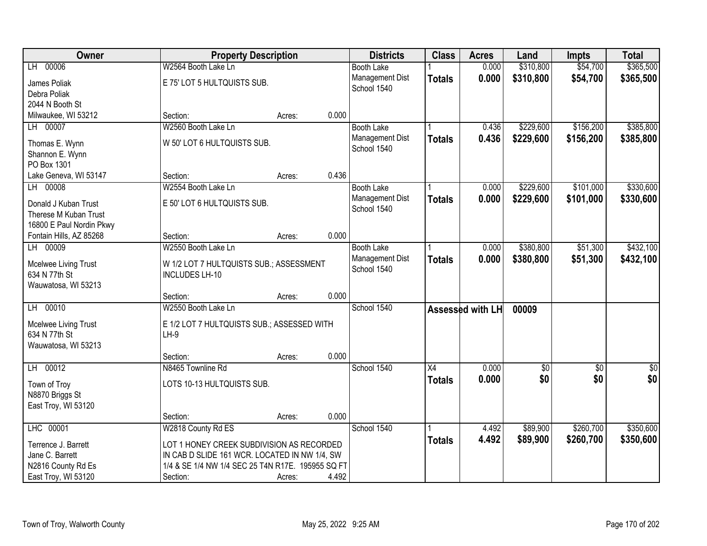| Owner                                | <b>Property Description</b>                       |        |       | <b>Districts</b>  | <b>Class</b>    | <b>Acres</b>     | Land        | <b>Impts</b> | <b>Total</b>  |
|--------------------------------------|---------------------------------------------------|--------|-------|-------------------|-----------------|------------------|-------------|--------------|---------------|
| LH 00006                             | W2564 Booth Lake Ln                               |        |       | <b>Booth Lake</b> |                 | 0.000            | \$310,800   | \$54,700     | \$365,500     |
| James Poliak                         | E 75' LOT 5 HULTQUISTS SUB.                       |        |       | Management Dist   | <b>Totals</b>   | 0.000            | \$310,800   | \$54,700     | \$365,500     |
| Debra Poliak                         |                                                   |        |       | School 1540       |                 |                  |             |              |               |
| 2044 N Booth St                      |                                                   |        |       |                   |                 |                  |             |              |               |
| Milwaukee, WI 53212                  | Section:                                          | Acres: | 0.000 |                   |                 |                  |             |              |               |
| LH 00007                             | W2560 Booth Lake Ln                               |        |       | <b>Booth Lake</b> |                 | 0.436            | \$229,600   | \$156,200    | \$385,800     |
|                                      |                                                   |        |       | Management Dist   | <b>Totals</b>   | 0.436            | \$229,600   | \$156,200    | \$385,800     |
| Thomas E. Wynn                       | W 50' LOT 6 HULTQUISTS SUB.                       |        |       | School 1540       |                 |                  |             |              |               |
| Shannon E. Wynn                      |                                                   |        |       |                   |                 |                  |             |              |               |
| PO Box 1301<br>Lake Geneva, WI 53147 | Section:                                          |        | 0.436 |                   |                 |                  |             |              |               |
| LH 00008                             | W2554 Booth Lake Ln                               | Acres: |       | <b>Booth Lake</b> |                 | 0.000            | \$229,600   | \$101,000    | \$330,600     |
|                                      |                                                   |        |       | Management Dist   |                 |                  |             |              |               |
| Donald J Kuban Trust                 | E 50' LOT 6 HULTQUISTS SUB.                       |        |       | School 1540       | <b>Totals</b>   | 0.000            | \$229,600   | \$101,000    | \$330,600     |
| Therese M Kuban Trust                |                                                   |        |       |                   |                 |                  |             |              |               |
| 16800 E Paul Nordin Pkwy             |                                                   |        |       |                   |                 |                  |             |              |               |
| Fontain Hills, AZ 85268              | Section:                                          | Acres: | 0.000 |                   |                 |                  |             |              |               |
| LH 00009                             | W2550 Booth Lake Ln                               |        |       | <b>Booth Lake</b> |                 | 0.000            | \$380,800   | \$51,300     | \$432,100     |
| Mcelwee Living Trust                 | W 1/2 LOT 7 HULTQUISTS SUB.; ASSESSMENT           |        |       | Management Dist   | <b>Totals</b>   | 0.000            | \$380,800   | \$51,300     | \$432,100     |
| 634 N 77th St                        | <b>INCLUDES LH-10</b>                             |        |       | School 1540       |                 |                  |             |              |               |
| Wauwatosa, WI 53213                  |                                                   |        |       |                   |                 |                  |             |              |               |
|                                      | Section:                                          | Acres: | 0.000 |                   |                 |                  |             |              |               |
| LH 00010                             | W2550 Booth Lake Ln                               |        |       | School 1540       |                 | Assessed with LH | 00009       |              |               |
|                                      |                                                   |        |       |                   |                 |                  |             |              |               |
| Mcelwee Living Trust                 | E 1/2 LOT 7 HULTQUISTS SUB.; ASSESSED WITH        |        |       |                   |                 |                  |             |              |               |
| 634 N 77th St<br>Wauwatosa, WI 53213 | $LH-9$                                            |        |       |                   |                 |                  |             |              |               |
|                                      | Section:                                          | Acres: | 0.000 |                   |                 |                  |             |              |               |
| LH 00012                             | N8465 Townline Rd                                 |        |       | School 1540       | $\overline{X4}$ | 0.000            | $\sqrt{30}$ | $\sqrt{6}$   | $\frac{6}{3}$ |
|                                      |                                                   |        |       |                   | <b>Totals</b>   | 0.000            | \$0         | \$0          | \$0           |
| Town of Troy                         | LOTS 10-13 HULTQUISTS SUB.                        |        |       |                   |                 |                  |             |              |               |
| N8870 Briggs St                      |                                                   |        |       |                   |                 |                  |             |              |               |
| East Troy, WI 53120                  |                                                   |        |       |                   |                 |                  |             |              |               |
|                                      | Section:                                          | Acres: | 0.000 |                   |                 |                  |             |              |               |
| LHC 00001                            | W2818 County Rd ES                                |        |       | School 1540       |                 | 4.492            | \$89,900    | \$260,700    | \$350,600     |
| Terrence J. Barrett                  | LOT 1 HONEY CREEK SUBDIVISION AS RECORDED         |        |       |                   | <b>Totals</b>   | 4.492            | \$89,900    | \$260,700    | \$350,600     |
| Jane C. Barrett                      | IN CAB D SLIDE 161 WCR. LOCATED IN NW 1/4, SW     |        |       |                   |                 |                  |             |              |               |
| N2816 County Rd Es                   | 1/4 & SE 1/4 NW 1/4 SEC 25 T4N R17E. 195955 SQ FT |        |       |                   |                 |                  |             |              |               |
| East Troy, WI 53120                  | Section:                                          | Acres: | 4.492 |                   |                 |                  |             |              |               |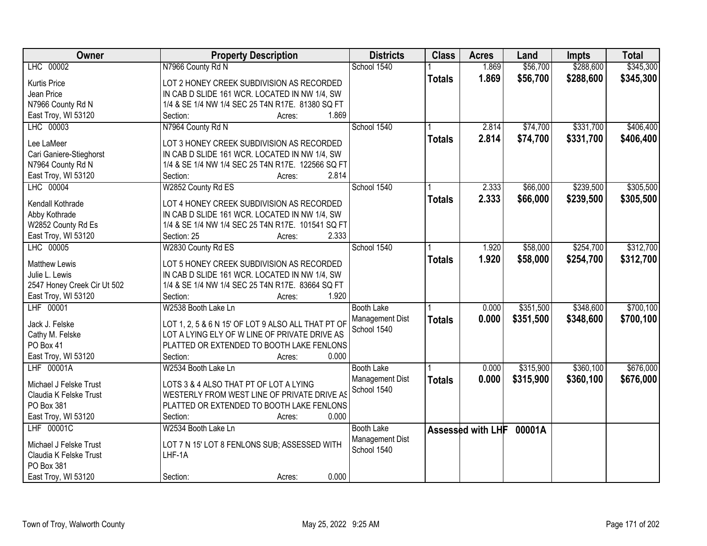| Owner                       | <b>Property Description</b>                                | <b>Districts</b>  | <b>Class</b>  | <b>Acres</b>      | Land      | <b>Impts</b> | <b>Total</b> |
|-----------------------------|------------------------------------------------------------|-------------------|---------------|-------------------|-----------|--------------|--------------|
| LHC 00002                   | N7966 County Rd N                                          | School 1540       |               | 1.869             | \$56,700  | \$288,600    | \$345,300    |
| <b>Kurtis Price</b>         | LOT 2 HONEY CREEK SUBDIVISION AS RECORDED                  |                   | <b>Totals</b> | 1.869             | \$56,700  | \$288,600    | \$345,300    |
| Jean Price                  | IN CAB D SLIDE 161 WCR. LOCATED IN NW 1/4, SW              |                   |               |                   |           |              |              |
| N7966 County Rd N           | 1/4 & SE 1/4 NW 1/4 SEC 25 T4N R17E. 81380 SQ FT           |                   |               |                   |           |              |              |
| East Troy, WI 53120         | 1.869<br>Section:<br>Acres:                                |                   |               |                   |           |              |              |
| LHC 00003                   | N7964 County Rd N                                          | School 1540       |               | 2.814             | \$74,700  | \$331,700    | \$406,400    |
|                             |                                                            |                   |               | 2.814             | \$74,700  | \$331,700    | \$406,400    |
| Lee LaMeer                  | LOT 3 HONEY CREEK SUBDIVISION AS RECORDED                  |                   | <b>Totals</b> |                   |           |              |              |
| Cari Ganiere-Stieghorst     | IN CAB D SLIDE 161 WCR. LOCATED IN NW 1/4, SW              |                   |               |                   |           |              |              |
| N7964 County Rd N           | 1/4 & SE 1/4 NW 1/4 SEC 25 T4N R17E. 122566 SQ FT          |                   |               |                   |           |              |              |
| East Troy, WI 53120         | 2.814<br>Section:<br>Acres:                                |                   |               |                   |           |              |              |
| LHC 00004                   | W2852 County Rd ES                                         | School 1540       |               | 2.333             | \$66,000  | \$239,500    | \$305,500    |
|                             | LOT 4 HONEY CREEK SUBDIVISION AS RECORDED                  |                   | <b>Totals</b> | 2.333             | \$66,000  | \$239,500    | \$305,500    |
| Kendall Kothrade            |                                                            |                   |               |                   |           |              |              |
| Abby Kothrade               | IN CAB D SLIDE 161 WCR. LOCATED IN NW 1/4, SW              |                   |               |                   |           |              |              |
| W2852 County Rd Es          | 1/4 & SE 1/4 NW 1/4 SEC 25 T4N R17E. 101541 SQ FT<br>2.333 |                   |               |                   |           |              |              |
| East Troy, WI 53120         | Section: 25<br>Acres:                                      |                   |               |                   |           |              |              |
| LHC 00005                   | W2830 County Rd ES                                         | School 1540       |               | 1.920             | \$58,000  | \$254,700    | \$312,700    |
| <b>Matthew Lewis</b>        | LOT 5 HONEY CREEK SUBDIVISION AS RECORDED                  |                   | <b>Totals</b> | 1.920             | \$58,000  | \$254,700    | \$312,700    |
| Julie L. Lewis              | IN CAB D SLIDE 161 WCR. LOCATED IN NW 1/4, SW              |                   |               |                   |           |              |              |
| 2547 Honey Creek Cir Ut 502 | 1/4 & SE 1/4 NW 1/4 SEC 25 T4N R17E. 83664 SQ FT           |                   |               |                   |           |              |              |
| East Troy, WI 53120         | Section:<br>1.920<br>Acres:                                |                   |               |                   |           |              |              |
| LHF 00001                   | W2538 Booth Lake Ln                                        | <b>Booth Lake</b> |               | 0.000             | \$351,500 | \$348,600    | \$700,100    |
|                             |                                                            | Management Dist   | <b>Totals</b> | 0.000             | \$351,500 | \$348,600    | \$700,100    |
| Jack J. Felske              | LOT 1, 2, 5 & 6 N 15' OF LOT 9 ALSO ALL THAT PT OF         | School 1540       |               |                   |           |              |              |
| Cathy M. Felske             | LOT A LYING ELY OF W LINE OF PRIVATE DRIVE AS              |                   |               |                   |           |              |              |
| PO Box 41                   | PLATTED OR EXTENDED TO BOOTH LAKE FENLONS                  |                   |               |                   |           |              |              |
| East Troy, WI 53120         | 0.000<br>Section:<br>Acres:                                |                   |               |                   |           |              |              |
| LHF 00001A                  | W2534 Booth Lake Ln                                        | <b>Booth Lake</b> |               | 0.000             | \$315,900 | \$360,100    | \$676,000    |
| Michael J Felske Trust      | LOTS 3 & 4 ALSO THAT PT OF LOT A LYING                     | Management Dist   | <b>Totals</b> | 0.000             | \$315,900 | \$360,100    | \$676,000    |
| Claudia K Felske Trust      | WESTERLY FROM WEST LINE OF PRIVATE DRIVE AS                | School 1540       |               |                   |           |              |              |
| PO Box 381                  | PLATTED OR EXTENDED TO BOOTH LAKE FENLONS                  |                   |               |                   |           |              |              |
| East Troy, WI 53120         | 0.000<br>Section:<br>Acres:                                |                   |               |                   |           |              |              |
| LHF 00001C                  | W2534 Booth Lake Ln                                        | <b>Booth Lake</b> |               | Assessed with LHF | 00001A    |              |              |
|                             |                                                            | Management Dist   |               |                   |           |              |              |
| Michael J Felske Trust      | LOT 7 N 15' LOT 8 FENLONS SUB; ASSESSED WITH               | School 1540       |               |                   |           |              |              |
| Claudia K Felske Trust      | LHF-1A                                                     |                   |               |                   |           |              |              |
| PO Box 381                  |                                                            |                   |               |                   |           |              |              |
| East Troy, WI 53120         | 0.000<br>Section:<br>Acres:                                |                   |               |                   |           |              |              |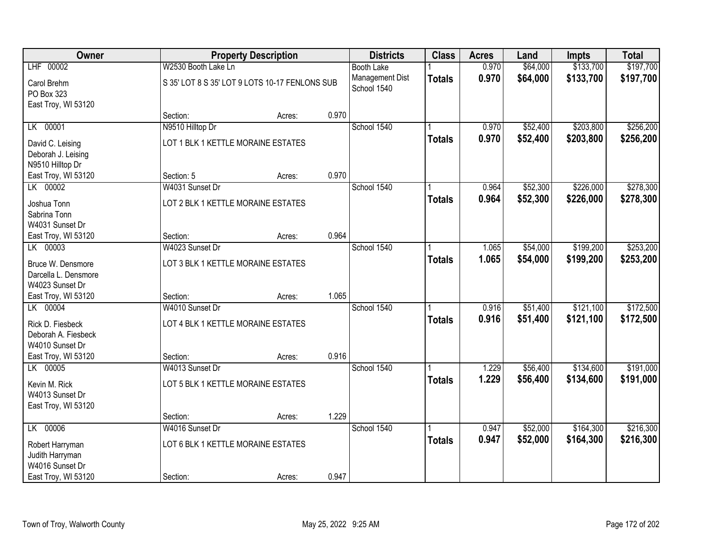| Owner                     |                                                | <b>Property Description</b> |       | <b>Districts</b>               | <b>Class</b>  | <b>Acres</b> | Land     | <b>Impts</b> | <b>Total</b> |
|---------------------------|------------------------------------------------|-----------------------------|-------|--------------------------------|---------------|--------------|----------|--------------|--------------|
| LHF 00002                 | W2530 Booth Lake Ln                            |                             |       | <b>Booth Lake</b>              |               | 0.970        | \$64,000 | \$133,700    | \$197,700    |
| Carol Brehm<br>PO Box 323 | S 35' LOT 8 S 35' LOT 9 LOTS 10-17 FENLONS SUB |                             |       | Management Dist<br>School 1540 | <b>Totals</b> | 0.970        | \$64,000 | \$133,700    | \$197,700    |
| East Troy, WI 53120       |                                                |                             |       |                                |               |              |          |              |              |
|                           | Section:                                       | Acres:                      | 0.970 |                                |               |              |          |              |              |
| LK 00001                  | N9510 Hilltop Dr                               |                             |       | School 1540                    |               | 0.970        | \$52,400 | \$203,800    | \$256,200    |
| David C. Leising          | LOT 1 BLK 1 KETTLE MORAINE ESTATES             |                             |       |                                | <b>Totals</b> | 0.970        | \$52,400 | \$203,800    | \$256,200    |
| Deborah J. Leising        |                                                |                             |       |                                |               |              |          |              |              |
| N9510 Hilltop Dr          |                                                |                             |       |                                |               |              |          |              |              |
| East Troy, WI 53120       | Section: 5                                     | Acres:                      | 0.970 |                                |               |              |          |              |              |
| LK 00002                  | W4031 Sunset Dr                                |                             |       | School 1540                    |               | 0.964        | \$52,300 | \$226,000    | \$278,300    |
| Joshua Tonn               | LOT 2 BLK 1 KETTLE MORAINE ESTATES             |                             |       |                                | <b>Totals</b> | 0.964        | \$52,300 | \$226,000    | \$278,300    |
| Sabrina Tonn              |                                                |                             |       |                                |               |              |          |              |              |
| W4031 Sunset Dr           |                                                |                             |       |                                |               |              |          |              |              |
| East Troy, WI 53120       | Section:                                       | Acres:                      | 0.964 |                                |               |              |          |              |              |
| LK 00003                  | W4023 Sunset Dr                                |                             |       | School 1540                    |               | 1.065        | \$54,000 | \$199,200    | \$253,200    |
| Bruce W. Densmore         | LOT 3 BLK 1 KETTLE MORAINE ESTATES             |                             |       |                                | <b>Totals</b> | 1.065        | \$54,000 | \$199,200    | \$253,200    |
| Darcella L. Densmore      |                                                |                             |       |                                |               |              |          |              |              |
| W4023 Sunset Dr           |                                                |                             |       |                                |               |              |          |              |              |
| East Troy, WI 53120       | Section:                                       | Acres:                      | 1.065 |                                |               |              |          |              |              |
| LK 00004                  | W4010 Sunset Dr                                |                             |       | School 1540                    |               | 0.916        | \$51,400 | \$121,100    | \$172,500    |
| Rick D. Fiesbeck          | LOT 4 BLK 1 KETTLE MORAINE ESTATES             |                             |       |                                | <b>Totals</b> | 0.916        | \$51,400 | \$121,100    | \$172,500    |
| Deborah A. Fiesbeck       |                                                |                             |       |                                |               |              |          |              |              |
| W4010 Sunset Dr           |                                                |                             |       |                                |               |              |          |              |              |
| East Troy, WI 53120       | Section:                                       | Acres:                      | 0.916 |                                |               |              |          |              |              |
| LK 00005                  | W4013 Sunset Dr                                |                             |       | School 1540                    |               | 1.229        | \$56,400 | \$134,600    | \$191,000    |
| Kevin M. Rick             | LOT 5 BLK 1 KETTLE MORAINE ESTATES             |                             |       |                                | <b>Totals</b> | 1.229        | \$56,400 | \$134,600    | \$191,000    |
| W4013 Sunset Dr           |                                                |                             |       |                                |               |              |          |              |              |
| East Troy, WI 53120       |                                                |                             |       |                                |               |              |          |              |              |
|                           | Section:                                       | Acres:                      | 1.229 |                                |               |              |          |              |              |
| LK 00006                  | W4016 Sunset Dr                                |                             |       | School 1540                    |               | 0.947        | \$52,000 | \$164,300    | \$216,300    |
| Robert Harryman           | LOT 6 BLK 1 KETTLE MORAINE ESTATES             |                             |       |                                | <b>Totals</b> | 0.947        | \$52,000 | \$164,300    | \$216,300    |
| Judith Harryman           |                                                |                             |       |                                |               |              |          |              |              |
| W4016 Sunset Dr           |                                                |                             |       |                                |               |              |          |              |              |
| East Troy, WI 53120       | Section:                                       | Acres:                      | 0.947 |                                |               |              |          |              |              |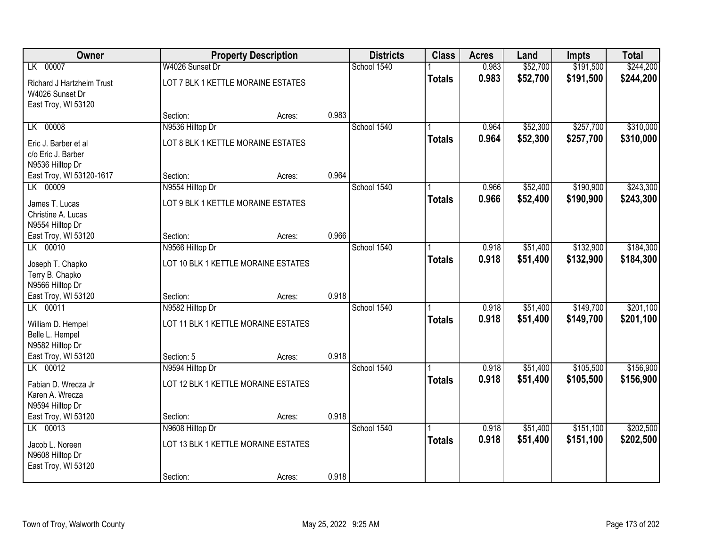| Owner                                                                |                                                         | <b>Property Description</b> |       | <b>Districts</b> | <b>Class</b>  | <b>Acres</b>   | Land                 | <b>Impts</b>           | <b>Total</b>           |
|----------------------------------------------------------------------|---------------------------------------------------------|-----------------------------|-------|------------------|---------------|----------------|----------------------|------------------------|------------------------|
| LK 00007                                                             | W4026 Sunset Dr                                         |                             |       | School 1540      |               | 0.983          | \$52,700             | \$191,500              | \$244,200              |
| Richard J Hartzheim Trust<br>W4026 Sunset Dr<br>East Troy, WI 53120  | LOT 7 BLK 1 KETTLE MORAINE ESTATES                      |                             |       |                  | <b>Totals</b> | 0.983          | \$52,700             | \$191,500              | \$244,200              |
|                                                                      | Section:                                                | Acres:                      | 0.983 |                  |               |                |                      |                        |                        |
| LK 00008                                                             | N9536 Hilltop Dr                                        |                             |       | School 1540      |               | 0.964          | \$52,300             | \$257,700              | \$310,000              |
| Eric J. Barber et al<br>c/o Eric J. Barber<br>N9536 Hilltop Dr       | LOT 8 BLK 1 KETTLE MORAINE ESTATES                      |                             |       |                  | <b>Totals</b> | 0.964          | \$52,300             | \$257,700              | \$310,000              |
| East Troy, WI 53120-1617                                             | Section:                                                | Acres:                      | 0.964 |                  |               |                |                      |                        |                        |
| LK 00009                                                             | N9554 Hilltop Dr                                        |                             |       | School 1540      |               | 0.966          | \$52,400             | \$190,900              | \$243,300              |
| James T. Lucas<br>Christine A. Lucas<br>N9554 Hilltop Dr             | LOT 9 BLK 1 KETTLE MORAINE ESTATES                      |                             |       |                  | <b>Totals</b> | 0.966          | \$52,400             | \$190,900              | \$243,300              |
| East Troy, WI 53120                                                  | Section:                                                | Acres:                      | 0.966 |                  |               |                |                      |                        |                        |
| LK 00010                                                             | N9566 Hilltop Dr                                        |                             |       | School 1540      |               | 0.918          | \$51,400             | \$132,900              | \$184,300              |
| Joseph T. Chapko<br>Terry B. Chapko<br>N9566 Hilltop Dr              | LOT 10 BLK 1 KETTLE MORAINE ESTATES                     |                             |       |                  | <b>Totals</b> | 0.918          | \$51,400             | \$132,900              | \$184,300              |
| East Troy, WI 53120                                                  | Section:                                                | Acres:                      | 0.918 |                  |               |                |                      |                        |                        |
| LK 00011<br>William D. Hempel<br>Belle L. Hempel<br>N9582 Hilltop Dr | N9582 Hilltop Dr<br>LOT 11 BLK 1 KETTLE MORAINE ESTATES |                             |       | School 1540      | <b>Totals</b> | 0.918<br>0.918 | \$51,400<br>\$51,400 | \$149,700<br>\$149,700 | \$201,100<br>\$201,100 |
| East Troy, WI 53120                                                  | Section: 5                                              | Acres:                      | 0.918 |                  |               |                |                      |                        |                        |
| LK 00012                                                             | N9594 Hilltop Dr                                        |                             |       | School 1540      |               | 0.918          | \$51,400             | \$105,500              | \$156,900              |
| Fabian D. Wrecza Jr<br>Karen A. Wrecza<br>N9594 Hilltop Dr           | LOT 12 BLK 1 KETTLE MORAINE ESTATES                     |                             |       |                  | <b>Totals</b> | 0.918          | \$51,400             | \$105,500              | \$156,900              |
| East Troy, WI 53120                                                  | Section:                                                | Acres:                      | 0.918 |                  |               |                |                      |                        |                        |
| LK 00013                                                             | N9608 Hilltop Dr                                        |                             |       | School 1540      |               | 0.918          | \$51,400             | \$151,100              | \$202,500              |
| Jacob L. Noreen<br>N9608 Hilltop Dr<br>East Troy, WI 53120           | LOT 13 BLK 1 KETTLE MORAINE ESTATES                     |                             |       |                  | <b>Totals</b> | 0.918          | \$51,400             | \$151,100              | \$202,500              |
|                                                                      | Section:                                                | Acres:                      | 0.918 |                  |               |                |                      |                        |                        |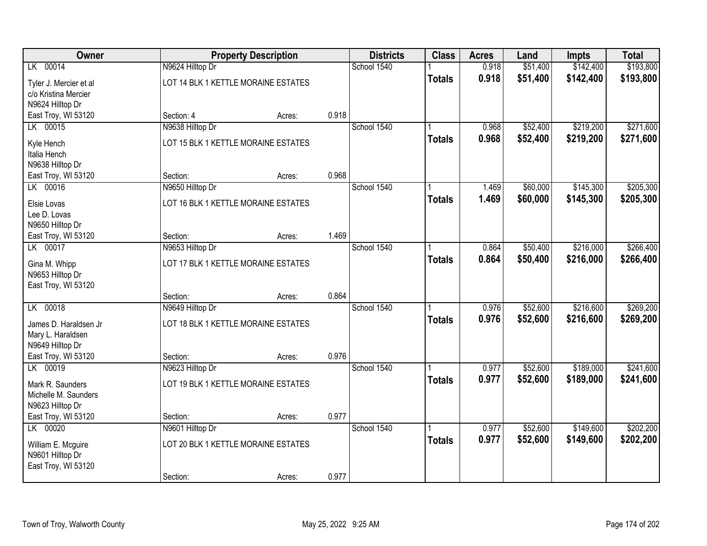| Owner                  |                                     | <b>Property Description</b> |       | <b>Districts</b> | <b>Class</b>  | <b>Acres</b> | Land     | <b>Impts</b> | <b>Total</b> |
|------------------------|-------------------------------------|-----------------------------|-------|------------------|---------------|--------------|----------|--------------|--------------|
| LK 00014               | N9624 Hilltop Dr                    |                             |       | School 1540      |               | 0.918        | \$51,400 | \$142,400    | \$193,800    |
| Tyler J. Mercier et al | LOT 14 BLK 1 KETTLE MORAINE ESTATES |                             |       |                  | <b>Totals</b> | 0.918        | \$51,400 | \$142,400    | \$193,800    |
| c/o Kristina Mercier   |                                     |                             |       |                  |               |              |          |              |              |
| N9624 Hilltop Dr       |                                     |                             |       |                  |               |              |          |              |              |
| East Troy, WI 53120    | Section: 4                          | Acres:                      | 0.918 |                  |               |              |          |              |              |
| LK 00015               | N9638 Hilltop Dr                    |                             |       | School 1540      |               | 0.968        | \$52,400 | \$219,200    | \$271,600    |
| Kyle Hench             | LOT 15 BLK 1 KETTLE MORAINE ESTATES |                             |       |                  | <b>Totals</b> | 0.968        | \$52,400 | \$219,200    | \$271,600    |
| Italia Hench           |                                     |                             |       |                  |               |              |          |              |              |
| N9638 Hilltop Dr       |                                     |                             |       |                  |               |              |          |              |              |
| East Troy, WI 53120    | Section:                            | Acres:                      | 0.968 |                  |               |              |          |              |              |
| LK 00016               | N9650 Hilltop Dr                    |                             |       | School 1540      |               | 1.469        | \$60,000 | \$145,300    | \$205,300    |
| Elsie Lovas            | LOT 16 BLK 1 KETTLE MORAINE ESTATES |                             |       |                  | <b>Totals</b> | 1.469        | \$60,000 | \$145,300    | \$205,300    |
| Lee D. Lovas           |                                     |                             |       |                  |               |              |          |              |              |
| N9650 Hilltop Dr       |                                     |                             |       |                  |               |              |          |              |              |
| East Troy, WI 53120    | Section:                            | Acres:                      | 1.469 |                  |               |              |          |              |              |
| LK 00017               | N9653 Hilltop Dr                    |                             |       | School 1540      |               | 0.864        | \$50,400 | \$216,000    | \$266,400    |
| Gina M. Whipp          | LOT 17 BLK 1 KETTLE MORAINE ESTATES |                             |       |                  | <b>Totals</b> | 0.864        | \$50,400 | \$216,000    | \$266,400    |
| N9653 Hilltop Dr       |                                     |                             |       |                  |               |              |          |              |              |
| East Troy, WI 53120    |                                     |                             |       |                  |               |              |          |              |              |
|                        | Section:                            | Acres:                      | 0.864 |                  |               |              |          |              |              |
| LK 00018               | N9649 Hilltop Dr                    |                             |       | School 1540      |               | 0.976        | \$52,600 | \$216,600    | \$269,200    |
| James D. Haraldsen Jr  | LOT 18 BLK 1 KETTLE MORAINE ESTATES |                             |       |                  | <b>Totals</b> | 0.976        | \$52,600 | \$216,600    | \$269,200    |
| Mary L. Haraldsen      |                                     |                             |       |                  |               |              |          |              |              |
| N9649 Hilltop Dr       |                                     |                             |       |                  |               |              |          |              |              |
| East Troy, WI 53120    | Section:                            | Acres:                      | 0.976 |                  |               |              |          |              |              |
| LK 00019               | N9623 Hilltop Dr                    |                             |       | School 1540      |               | 0.977        | \$52,600 | \$189,000    | \$241,600    |
| Mark R. Saunders       | LOT 19 BLK 1 KETTLE MORAINE ESTATES |                             |       |                  | <b>Totals</b> | 0.977        | \$52,600 | \$189,000    | \$241,600    |
| Michelle M. Saunders   |                                     |                             |       |                  |               |              |          |              |              |
| N9623 Hilltop Dr       |                                     |                             |       |                  |               |              |          |              |              |
| East Troy, WI 53120    | Section:                            | Acres:                      | 0.977 |                  |               |              |          |              |              |
| LK 00020               | N9601 Hilltop Dr                    |                             |       | School 1540      |               | 0.977        | \$52,600 | \$149,600    | \$202,200    |
| William E. Mcguire     | LOT 20 BLK 1 KETTLE MORAINE ESTATES |                             |       |                  | <b>Totals</b> | 0.977        | \$52,600 | \$149,600    | \$202,200    |
| N9601 Hilltop Dr       |                                     |                             |       |                  |               |              |          |              |              |
| East Troy, WI 53120    |                                     |                             |       |                  |               |              |          |              |              |
|                        | Section:                            | Acres:                      | 0.977 |                  |               |              |          |              |              |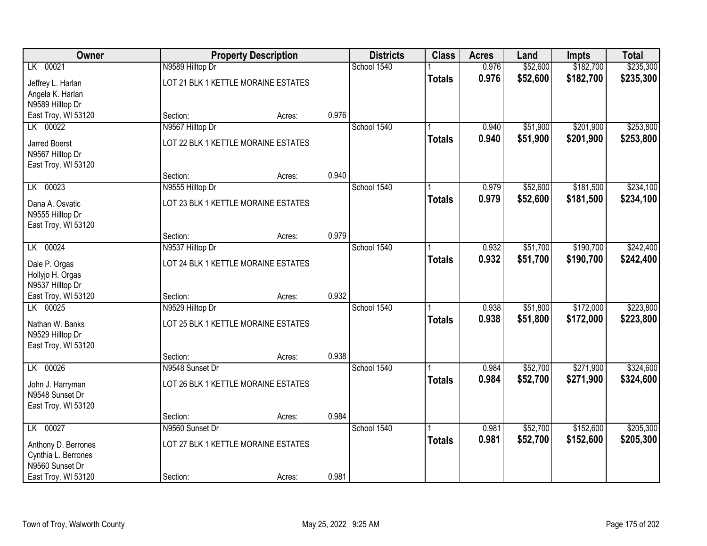| Owner                                   |                                     | <b>Property Description</b> |       | <b>Districts</b> | <b>Class</b>  | <b>Acres</b>   | Land     | <b>Impts</b> | <b>Total</b> |
|-----------------------------------------|-------------------------------------|-----------------------------|-------|------------------|---------------|----------------|----------|--------------|--------------|
| LK 00021                                | N9589 Hilltop Dr                    |                             |       | School 1540      |               | 0.976          | \$52,600 | \$182,700    | \$235,300    |
| Jeffrey L. Harlan                       | LOT 21 BLK 1 KETTLE MORAINE ESTATES |                             |       |                  | <b>Totals</b> | 0.976          | \$52,600 | \$182,700    | \$235,300    |
| Angela K. Harlan                        |                                     |                             |       |                  |               |                |          |              |              |
| N9589 Hilltop Dr                        |                                     |                             |       |                  |               |                |          |              |              |
| East Troy, WI 53120                     | Section:                            | Acres:                      | 0.976 |                  |               |                |          |              |              |
| LK 00022                                | N9567 Hilltop Dr                    |                             |       | School 1540      |               | 0.940          | \$51,900 | \$201,900    | \$253,800    |
| <b>Jarred Boerst</b>                    | LOT 22 BLK 1 KETTLE MORAINE ESTATES |                             |       |                  | <b>Totals</b> | 0.940          | \$51,900 | \$201,900    | \$253,800    |
| N9567 Hilltop Dr                        |                                     |                             |       |                  |               |                |          |              |              |
| East Troy, WI 53120                     |                                     |                             |       |                  |               |                |          |              |              |
|                                         | Section:                            | Acres:                      | 0.940 |                  |               |                |          |              |              |
| LK 00023                                | N9555 Hilltop Dr                    |                             |       | School 1540      |               | 0.979          | \$52,600 | \$181,500    | \$234,100    |
| Dana A. Osvatic                         | LOT 23 BLK 1 KETTLE MORAINE ESTATES |                             |       |                  | <b>Totals</b> | 0.979          | \$52,600 | \$181,500    | \$234,100    |
| N9555 Hilltop Dr                        |                                     |                             |       |                  |               |                |          |              |              |
| East Troy, WI 53120                     |                                     |                             |       |                  |               |                |          |              |              |
| LK 00024                                | Section:                            | Acres:                      | 0.979 | School 1540      |               |                | \$51,700 | \$190,700    | \$242,400    |
|                                         | N9537 Hilltop Dr                    |                             |       |                  |               | 0.932<br>0.932 | \$51,700 | \$190,700    | \$242,400    |
| Dale P. Orgas                           | LOT 24 BLK 1 KETTLE MORAINE ESTATES |                             |       |                  | <b>Totals</b> |                |          |              |              |
| Hollyjo H. Orgas                        |                                     |                             |       |                  |               |                |          |              |              |
| N9537 Hilltop Dr<br>East Troy, WI 53120 | Section:                            |                             | 0.932 |                  |               |                |          |              |              |
| LK 00025                                | N9529 Hilltop Dr                    | Acres:                      |       | School 1540      |               | 0.938          | \$51,800 | \$172,000    | \$223,800    |
|                                         |                                     |                             |       |                  | <b>Totals</b> | 0.938          | \$51,800 | \$172,000    | \$223,800    |
| Nathan W. Banks                         | LOT 25 BLK 1 KETTLE MORAINE ESTATES |                             |       |                  |               |                |          |              |              |
| N9529 Hilltop Dr<br>East Troy, WI 53120 |                                     |                             |       |                  |               |                |          |              |              |
|                                         | Section:                            | Acres:                      | 0.938 |                  |               |                |          |              |              |
| LK 00026                                | N9548 Sunset Dr                     |                             |       | School 1540      |               | 0.984          | \$52,700 | \$271,900    | \$324,600    |
|                                         | LOT 26 BLK 1 KETTLE MORAINE ESTATES |                             |       |                  | <b>Totals</b> | 0.984          | \$52,700 | \$271,900    | \$324,600    |
| John J. Harryman<br>N9548 Sunset Dr     |                                     |                             |       |                  |               |                |          |              |              |
| East Troy, WI 53120                     |                                     |                             |       |                  |               |                |          |              |              |
|                                         | Section:                            | Acres:                      | 0.984 |                  |               |                |          |              |              |
| LK 00027                                | N9560 Sunset Dr                     |                             |       | School 1540      |               | 0.981          | \$52,700 | \$152,600    | \$205,300    |
| Anthony D. Berrones                     | LOT 27 BLK 1 KETTLE MORAINE ESTATES |                             |       |                  | <b>Totals</b> | 0.981          | \$52,700 | \$152,600    | \$205,300    |
| Cynthia L. Berrones                     |                                     |                             |       |                  |               |                |          |              |              |
| N9560 Sunset Dr                         |                                     |                             |       |                  |               |                |          |              |              |
| East Troy, WI 53120                     | Section:                            | Acres:                      | 0.981 |                  |               |                |          |              |              |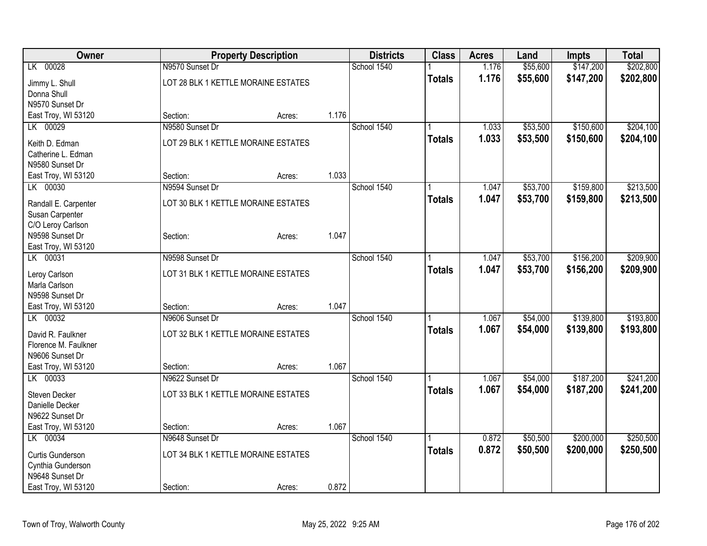| Owner                |                                     | <b>Property Description</b> |       | <b>Districts</b> | <b>Class</b>  | <b>Acres</b> | Land     | <b>Impts</b> | <b>Total</b> |
|----------------------|-------------------------------------|-----------------------------|-------|------------------|---------------|--------------|----------|--------------|--------------|
| LK 00028             | N9570 Sunset Dr                     |                             |       | School 1540      |               | 1.176        | \$55,600 | \$147,200    | \$202,800    |
| Jimmy L. Shull       | LOT 28 BLK 1 KETTLE MORAINE ESTATES |                             |       |                  | <b>Totals</b> | 1.176        | \$55,600 | \$147,200    | \$202,800    |
| Donna Shull          |                                     |                             |       |                  |               |              |          |              |              |
| N9570 Sunset Dr      |                                     |                             |       |                  |               |              |          |              |              |
| East Troy, WI 53120  | Section:                            | Acres:                      | 1.176 |                  |               |              |          |              |              |
| LK 00029             | N9580 Sunset Dr                     |                             |       | School 1540      |               | 1.033        | \$53,500 | \$150,600    | \$204,100    |
| Keith D. Edman       | LOT 29 BLK 1 KETTLE MORAINE ESTATES |                             |       |                  | <b>Totals</b> | 1.033        | \$53,500 | \$150,600    | \$204,100    |
| Catherine L. Edman   |                                     |                             |       |                  |               |              |          |              |              |
| N9580 Sunset Dr      |                                     |                             |       |                  |               |              |          |              |              |
| East Troy, WI 53120  | Section:                            | Acres:                      | 1.033 |                  |               |              |          |              |              |
| LK 00030             | N9594 Sunset Dr                     |                             |       | School 1540      |               | 1.047        | \$53,700 | \$159,800    | \$213,500    |
| Randall E. Carpenter | LOT 30 BLK 1 KETTLE MORAINE ESTATES |                             |       |                  | <b>Totals</b> | 1.047        | \$53,700 | \$159,800    | \$213,500    |
| Susan Carpenter      |                                     |                             |       |                  |               |              |          |              |              |
| C/O Leroy Carlson    |                                     |                             |       |                  |               |              |          |              |              |
| N9598 Sunset Dr      | Section:                            | Acres:                      | 1.047 |                  |               |              |          |              |              |
| East Troy, WI 53120  |                                     |                             |       |                  |               |              |          |              |              |
| LK 00031             | N9598 Sunset Dr                     |                             |       | School 1540      |               | 1.047        | \$53,700 | \$156,200    | \$209,900    |
| Leroy Carlson        | LOT 31 BLK 1 KETTLE MORAINE ESTATES |                             |       |                  | <b>Totals</b> | 1.047        | \$53,700 | \$156,200    | \$209,900    |
| Marla Carlson        |                                     |                             |       |                  |               |              |          |              |              |
| N9598 Sunset Dr      |                                     |                             |       |                  |               |              |          |              |              |
| East Troy, WI 53120  | Section:                            | Acres:                      | 1.047 |                  |               |              |          |              |              |
| LK 00032             | N9606 Sunset Dr                     |                             |       | School 1540      |               | 1.067        | \$54,000 | \$139,800    | \$193,800    |
| David R. Faulkner    | LOT 32 BLK 1 KETTLE MORAINE ESTATES |                             |       |                  | <b>Totals</b> | 1.067        | \$54,000 | \$139,800    | \$193,800    |
| Florence M. Faulkner |                                     |                             |       |                  |               |              |          |              |              |
| N9606 Sunset Dr      |                                     |                             |       |                  |               |              |          |              |              |
| East Troy, WI 53120  | Section:                            | Acres:                      | 1.067 |                  |               |              |          |              |              |
| LK 00033             | N9622 Sunset Dr                     |                             |       | School 1540      |               | 1.067        | \$54,000 | \$187,200    | \$241,200    |
| Steven Decker        | LOT 33 BLK 1 KETTLE MORAINE ESTATES |                             |       |                  | <b>Totals</b> | 1.067        | \$54,000 | \$187,200    | \$241,200    |
| Danielle Decker      |                                     |                             |       |                  |               |              |          |              |              |
| N9622 Sunset Dr      |                                     |                             |       |                  |               |              |          |              |              |
| East Troy, WI 53120  | Section:                            | Acres:                      | 1.067 |                  |               |              |          |              |              |
| LK 00034             | N9648 Sunset Dr                     |                             |       | School 1540      |               | 0.872        | \$50,500 | \$200,000    | \$250,500    |
| Curtis Gunderson     | LOT 34 BLK 1 KETTLE MORAINE ESTATES |                             |       |                  | <b>Totals</b> | 0.872        | \$50,500 | \$200,000    | \$250,500    |
| Cynthia Gunderson    |                                     |                             |       |                  |               |              |          |              |              |
| N9648 Sunset Dr      |                                     |                             |       |                  |               |              |          |              |              |
| East Troy, WI 53120  | Section:                            | Acres:                      | 0.872 |                  |               |              |          |              |              |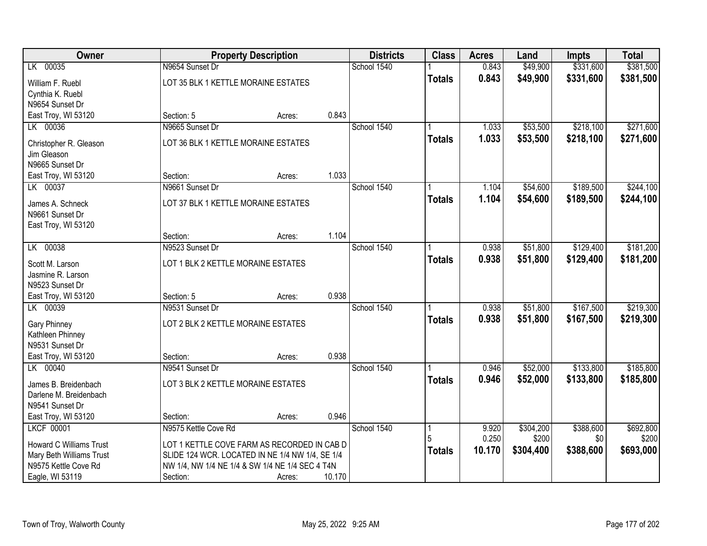| Owner                                          |                                                 | <b>Property Description</b> |        | <b>Districts</b> | <b>Class</b>  | <b>Acres</b>   | Land      | <b>Impts</b> | <b>Total</b> |
|------------------------------------------------|-------------------------------------------------|-----------------------------|--------|------------------|---------------|----------------|-----------|--------------|--------------|
| LK 00035                                       | N9654 Sunset Dr                                 |                             |        | School 1540      |               | 0.843          | \$49,900  | \$331,600    | \$381,500    |
| William F. Ruebl                               | LOT 35 BLK 1 KETTLE MORAINE ESTATES             |                             |        |                  | <b>Totals</b> | 0.843          | \$49,900  | \$331,600    | \$381,500    |
| Cynthia K. Ruebl<br>N9654 Sunset Dr            |                                                 |                             |        |                  |               |                |           |              |              |
| East Troy, WI 53120                            | Section: 5                                      | Acres:                      | 0.843  |                  |               |                |           |              |              |
| LK 00036                                       | N9665 Sunset Dr                                 |                             |        | School 1540      |               | 1.033          | \$53,500  | \$218,100    | \$271,600    |
| Christopher R. Gleason                         | LOT 36 BLK 1 KETTLE MORAINE ESTATES             |                             |        |                  | <b>Totals</b> | 1.033          | \$53,500  | \$218,100    | \$271,600    |
| Jim Gleason                                    |                                                 |                             |        |                  |               |                |           |              |              |
| N9665 Sunset Dr                                |                                                 |                             |        |                  |               |                |           |              |              |
| East Troy, WI 53120                            | Section:                                        | Acres:                      | 1.033  |                  |               |                |           |              |              |
| LK 00037                                       | N9661 Sunset Dr                                 |                             |        | School 1540      |               | 1.104          | \$54,600  | \$189,500    | \$244,100    |
| James A. Schneck                               | LOT 37 BLK 1 KETTLE MORAINE ESTATES             |                             |        |                  | <b>Totals</b> | 1.104          | \$54,600  | \$189,500    | \$244,100    |
| N9661 Sunset Dr                                |                                                 |                             |        |                  |               |                |           |              |              |
| East Troy, WI 53120                            |                                                 |                             |        |                  |               |                |           |              |              |
|                                                | Section:                                        | Acres:                      | 1.104  |                  |               |                |           |              |              |
| LK 00038                                       | N9523 Sunset Dr                                 |                             |        | School 1540      |               | 0.938          | \$51,800  | \$129,400    | \$181,200    |
| Scott M. Larson                                | LOT 1 BLK 2 KETTLE MORAINE ESTATES              |                             |        |                  | <b>Totals</b> | 0.938          | \$51,800  | \$129,400    | \$181,200    |
| Jasmine R. Larson                              |                                                 |                             |        |                  |               |                |           |              |              |
| N9523 Sunset Dr                                |                                                 |                             |        |                  |               |                |           |              |              |
| East Troy, WI 53120                            | Section: 5                                      | Acres:                      | 0.938  |                  |               |                |           |              |              |
| LK 00039                                       | N9531 Sunset Dr                                 |                             |        | School 1540      |               | 0.938<br>0.938 | \$51,800  | \$167,500    | \$219,300    |
| Gary Phinney                                   | LOT 2 BLK 2 KETTLE MORAINE ESTATES              |                             |        |                  | <b>Totals</b> |                | \$51,800  | \$167,500    | \$219,300    |
| Kathleen Phinney                               |                                                 |                             |        |                  |               |                |           |              |              |
| N9531 Sunset Dr<br>East Troy, WI 53120         | Section:                                        | Acres:                      | 0.938  |                  |               |                |           |              |              |
| LK 00040                                       | N9541 Sunset Dr                                 |                             |        | School 1540      |               | 0.946          | \$52,000  | \$133,800    | \$185,800    |
|                                                |                                                 |                             |        |                  | <b>Totals</b> | 0.946          | \$52,000  | \$133,800    | \$185,800    |
| James B. Breidenbach<br>Darlene M. Breidenbach | LOT 3 BLK 2 KETTLE MORAINE ESTATES              |                             |        |                  |               |                |           |              |              |
| N9541 Sunset Dr                                |                                                 |                             |        |                  |               |                |           |              |              |
| East Troy, WI 53120                            | Section:                                        | Acres:                      | 0.946  |                  |               |                |           |              |              |
| <b>LKCF 00001</b>                              | N9575 Kettle Cove Rd                            |                             |        | School 1540      |               | 9.920          | \$304,200 | \$388,600    | \$692,800    |
| <b>Howard C Williams Trust</b>                 | LOT 1 KETTLE COVE FARM AS RECORDED IN CAB D     |                             |        |                  | 5             | 0.250          | \$200     | \$0          | \$200        |
| Mary Beth Williams Trust                       | SLIDE 124 WCR. LOCATED IN NE 1/4 NW 1/4, SE 1/4 |                             |        |                  | <b>Totals</b> | 10.170         | \$304,400 | \$388,600    | \$693,000    |
| N9575 Kettle Cove Rd                           | NW 1/4, NW 1/4 NE 1/4 & SW 1/4 NE 1/4 SEC 4 T4N |                             |        |                  |               |                |           |              |              |
| Eagle, WI 53119                                | Section:                                        | Acres:                      | 10.170 |                  |               |                |           |              |              |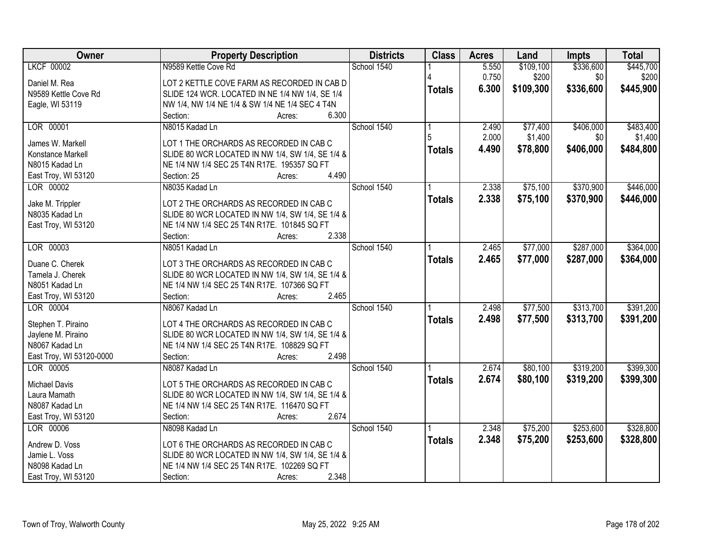| Owner                           | <b>Property Description</b>                                                                     | <b>Districts</b> | <b>Class</b>  | <b>Acres</b> | Land      | <b>Impts</b> | <b>Total</b> |
|---------------------------------|-------------------------------------------------------------------------------------------------|------------------|---------------|--------------|-----------|--------------|--------------|
| <b>LKCF 00002</b>               | N9589 Kettle Cove Rd                                                                            | School 1540      |               | 5.550        | \$109,100 | \$336,600    | \$445,700    |
| Daniel M. Rea                   | LOT 2 KETTLE COVE FARM AS RECORDED IN CAB D                                                     |                  |               | 0.750        | \$200     | \$0          | \$200        |
| N9589 Kettle Cove Rd            | SLIDE 124 WCR. LOCATED IN NE 1/4 NW 1/4, SE 1/4                                                 |                  | <b>Totals</b> | 6.300        | \$109,300 | \$336,600    | \$445,900    |
| Eagle, WI 53119                 | NW 1/4, NW 1/4 NE 1/4 & SW 1/4 NE 1/4 SEC 4 T4N                                                 |                  |               |              |           |              |              |
|                                 | 6.300<br>Section:<br>Acres:                                                                     |                  |               |              |           |              |              |
| LOR 00001                       | N8015 Kadad Ln                                                                                  | School 1540      |               | 2.490        | \$77,400  | \$406,000    | \$483,400    |
|                                 |                                                                                                 |                  |               | 2.000        | \$1,400   | \$0          | \$1,400      |
| James W. Markell                | LOT 1 THE ORCHARDS AS RECORDED IN CAB C                                                         |                  |               | 4.490        | \$78,800  | \$406,000    | \$484,800    |
| Konstance Markell               | SLIDE 80 WCR LOCATED IN NW 1/4, SW 1/4, SE 1/4 &                                                |                  | <b>Totals</b> |              |           |              |              |
| N8015 Kadad Ln                  | NE 1/4 NW 1/4 SEC 25 T4N R17E. 195357 SQ FT                                                     |                  |               |              |           |              |              |
| East Troy, WI 53120             | 4.490<br>Section: 25<br>Acres:                                                                  |                  |               |              |           |              |              |
| LOR 00002                       | N8035 Kadad Ln                                                                                  | School 1540      |               | 2.338        | \$75,100  | \$370,900    | \$446,000    |
|                                 | LOT 2 THE ORCHARDS AS RECORDED IN CAB C                                                         |                  | <b>Totals</b> | 2.338        | \$75,100  | \$370,900    | \$446,000    |
| Jake M. Trippler                |                                                                                                 |                  |               |              |           |              |              |
| N8035 Kadad Ln                  | SLIDE 80 WCR LOCATED IN NW 1/4, SW 1/4, SE 1/4 &<br>NE 1/4 NW 1/4 SEC 25 T4N R17E. 101845 SQ FT |                  |               |              |           |              |              |
| East Troy, WI 53120             | 2.338<br>Section:<br>Acres:                                                                     |                  |               |              |           |              |              |
| LOR 00003                       | N8051 Kadad Ln                                                                                  | School 1540      |               | 2.465        | \$77,000  | \$287,000    | \$364,000    |
|                                 |                                                                                                 |                  |               |              |           |              |              |
| Duane C. Cherek                 | LOT 3 THE ORCHARDS AS RECORDED IN CAB C                                                         |                  | <b>Totals</b> | 2.465        | \$77,000  | \$287,000    | \$364,000    |
| Tamela J. Cherek                | SLIDE 80 WCR LOCATED IN NW 1/4, SW 1/4, SE 1/4 &                                                |                  |               |              |           |              |              |
| N8051 Kadad Ln                  | NE 1/4 NW 1/4 SEC 25 T4N R17E. 107366 SQ FT                                                     |                  |               |              |           |              |              |
| East Troy, WI 53120             | 2.465<br>Section:<br>Acres:                                                                     |                  |               |              |           |              |              |
| LOR 00004                       | N8067 Kadad Ln                                                                                  | School 1540      |               | 2.498        | \$77,500  | \$313,700    | \$391,200    |
|                                 |                                                                                                 |                  | <b>Totals</b> | 2.498        | \$77,500  | \$313,700    | \$391,200    |
| Stephen T. Piraino              | LOT 4 THE ORCHARDS AS RECORDED IN CAB C                                                         |                  |               |              |           |              |              |
| Jaylene M. Piraino              | SLIDE 80 WCR LOCATED IN NW 1/4, SW 1/4, SE 1/4 &                                                |                  |               |              |           |              |              |
| N8067 Kadad Ln                  | NE 1/4 NW 1/4 SEC 25 T4N R17E. 108829 SQ FT<br>2.498                                            |                  |               |              |           |              |              |
| East Troy, WI 53120-0000        | Section:<br>Acres:                                                                              |                  |               |              |           |              |              |
| LOR 00005                       | N8087 Kadad Ln                                                                                  | School 1540      |               | 2.674        | \$80,100  | \$319,200    | \$399,300    |
| <b>Michael Davis</b>            | LOT 5 THE ORCHARDS AS RECORDED IN CAB C                                                         |                  | <b>Totals</b> | 2.674        | \$80,100  | \$319,200    | \$399,300    |
| Laura Mamath                    | SLIDE 80 WCR LOCATED IN NW 1/4, SW 1/4, SE 1/4 &                                                |                  |               |              |           |              |              |
| N8087 Kadad Ln                  | NE 1/4 NW 1/4 SEC 25 T4N R17E. 116470 SQ FT                                                     |                  |               |              |           |              |              |
| East Troy, WI 53120             | 2.674<br>Section:<br>Acres:                                                                     |                  |               |              |           |              |              |
| LOR 00006                       | N8098 Kadad Ln                                                                                  | School 1540      |               | 2.348        | \$75,200  | \$253,600    | \$328,800    |
|                                 |                                                                                                 |                  | <b>Totals</b> | 2.348        | \$75,200  | \$253,600    | \$328,800    |
| Andrew D. Voss                  | LOT 6 THE ORCHARDS AS RECORDED IN CAB C                                                         |                  |               |              |           |              |              |
| Jamie L. Voss<br>N8098 Kadad Ln | SLIDE 80 WCR LOCATED IN NW 1/4, SW 1/4, SE 1/4 &<br>NE 1/4 NW 1/4 SEC 25 T4N R17E. 102269 SQ FT |                  |               |              |           |              |              |
|                                 |                                                                                                 |                  |               |              |           |              |              |
| East Troy, WI 53120             | 2.348<br>Section:<br>Acres:                                                                     |                  |               |              |           |              |              |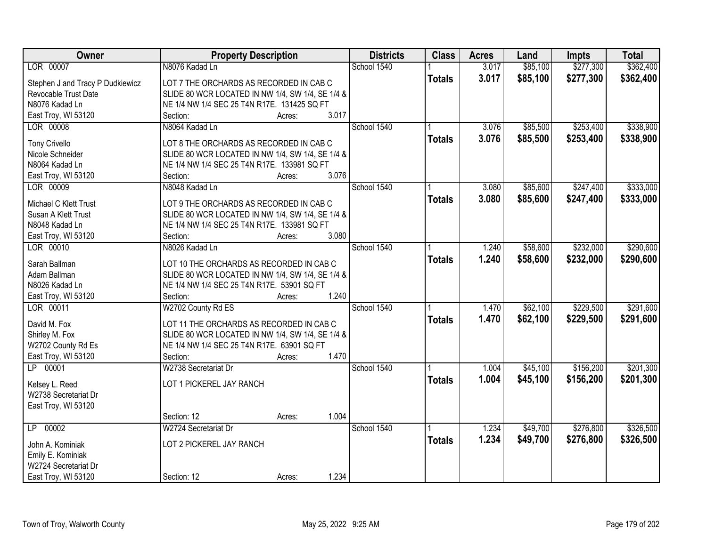| Owner                            | <b>Property Description</b>                      | <b>Districts</b> | <b>Class</b>  | <b>Acres</b> | Land     | <b>Impts</b> | <b>Total</b> |
|----------------------------------|--------------------------------------------------|------------------|---------------|--------------|----------|--------------|--------------|
| LOR 00007                        | N8076 Kadad Ln                                   | School 1540      |               | 3.017        | \$85,100 | \$277,300    | \$362,400    |
| Stephen J and Tracy P Dudkiewicz | LOT 7 THE ORCHARDS AS RECORDED IN CAB C          |                  | <b>Totals</b> | 3.017        | \$85,100 | \$277,300    | \$362,400    |
| Revocable Trust Date             | SLIDE 80 WCR LOCATED IN NW 1/4, SW 1/4, SE 1/4 & |                  |               |              |          |              |              |
| N8076 Kadad Ln                   | NE 1/4 NW 1/4 SEC 25 T4N R17E. 131425 SQ FT      |                  |               |              |          |              |              |
| East Troy, WI 53120              | 3.017<br>Section:<br>Acres:                      |                  |               |              |          |              |              |
| LOR 00008                        | N8064 Kadad Ln                                   | School 1540      |               | 3.076        | \$85,500 | \$253,400    | \$338,900    |
|                                  |                                                  |                  | <b>Totals</b> | 3.076        | \$85,500 | \$253,400    | \$338,900    |
| <b>Tony Crivello</b>             | LOT 8 THE ORCHARDS AS RECORDED IN CAB C          |                  |               |              |          |              |              |
| Nicole Schneider                 | SLIDE 80 WCR LOCATED IN NW 1/4, SW 1/4, SE 1/4 & |                  |               |              |          |              |              |
| N8064 Kadad Ln                   | NE 1/4 NW 1/4 SEC 25 T4N R17E. 133981 SQ FT      |                  |               |              |          |              |              |
| East Troy, WI 53120              | 3.076<br>Section:<br>Acres:                      |                  |               |              |          |              |              |
| LOR 00009                        | N8048 Kadad Ln                                   | School 1540      |               | 3.080        | \$85,600 | \$247,400    | \$333,000    |
| Michael C Klett Trust            | LOT 9 THE ORCHARDS AS RECORDED IN CAB C          |                  | <b>Totals</b> | 3.080        | \$85,600 | \$247,400    | \$333,000    |
| Susan A Klett Trust              | SLIDE 80 WCR LOCATED IN NW 1/4, SW 1/4, SE 1/4 & |                  |               |              |          |              |              |
| N8048 Kadad Ln                   | NE 1/4 NW 1/4 SEC 25 T4N R17E. 133981 SQ FT      |                  |               |              |          |              |              |
| East Troy, WI 53120              | 3.080<br>Section:<br>Acres:                      |                  |               |              |          |              |              |
| LOR 00010                        | N8026 Kadad Ln                                   | School 1540      |               | 1.240        | \$58,600 | \$232,000    | \$290,600    |
|                                  |                                                  |                  | <b>Totals</b> | 1.240        | \$58,600 | \$232,000    | \$290,600    |
| Sarah Ballman                    | LOT 10 THE ORCHARDS AS RECORDED IN CAB C         |                  |               |              |          |              |              |
| Adam Ballman                     | SLIDE 80 WCR LOCATED IN NW 1/4, SW 1/4, SE 1/4 & |                  |               |              |          |              |              |
| N8026 Kadad Ln                   | NE 1/4 NW 1/4 SEC 25 T4N R17E. 53901 SQ FT       |                  |               |              |          |              |              |
| East Troy, WI 53120              | 1.240<br>Section:<br>Acres:                      |                  |               |              |          |              |              |
| LOR 00011                        | W2702 County Rd ES                               | School 1540      |               | 1.470        | \$62,100 | \$229,500    | \$291,600    |
| David M. Fox                     | LOT 11 THE ORCHARDS AS RECORDED IN CAB C         |                  | <b>Totals</b> | 1.470        | \$62,100 | \$229,500    | \$291,600    |
| Shirley M. Fox                   | SLIDE 80 WCR LOCATED IN NW 1/4, SW 1/4, SE 1/4 & |                  |               |              |          |              |              |
| W2702 County Rd Es               | NE 1/4 NW 1/4 SEC 25 T4N R17E. 63901 SQ FT       |                  |               |              |          |              |              |
| East Troy, WI 53120              | 1.470<br>Section:                                |                  |               |              |          |              |              |
| LP 00001                         | Acres:                                           |                  |               |              |          |              |              |
|                                  | W2738 Secretariat Dr                             | School 1540      |               | 1.004        | \$45,100 | \$156,200    | \$201,300    |
| Kelsey L. Reed                   | LOT 1 PICKEREL JAY RANCH                         |                  | <b>Totals</b> | 1.004        | \$45,100 | \$156,200    | \$201,300    |
| W2738 Secretariat Dr             |                                                  |                  |               |              |          |              |              |
| East Troy, WI 53120              |                                                  |                  |               |              |          |              |              |
|                                  | 1.004<br>Section: 12<br>Acres:                   |                  |               |              |          |              |              |
| LP 00002                         | W2724 Secretariat Dr                             | School 1540      |               | 1.234        | \$49,700 | \$276,800    | \$326,500    |
|                                  |                                                  |                  | <b>Totals</b> | 1.234        | \$49,700 | \$276,800    | \$326,500    |
| John A. Kominiak                 | LOT 2 PICKEREL JAY RANCH                         |                  |               |              |          |              |              |
| Emily E. Kominiak                |                                                  |                  |               |              |          |              |              |
| W2724 Secretariat Dr             |                                                  |                  |               |              |          |              |              |
| East Troy, WI 53120              | 1.234<br>Section: 12<br>Acres:                   |                  |               |              |          |              |              |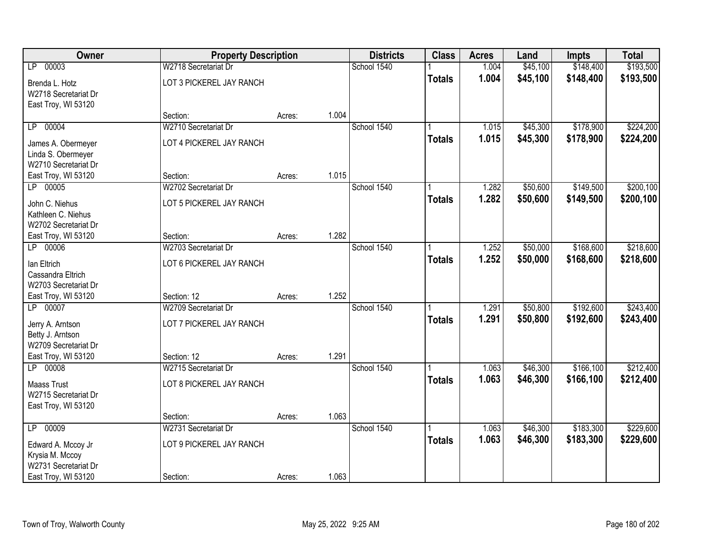| Owner                | <b>Property Description</b> |        |       | <b>Districts</b> | <b>Class</b>  | <b>Acres</b> | Land     | <b>Impts</b> | <b>Total</b> |
|----------------------|-----------------------------|--------|-------|------------------|---------------|--------------|----------|--------------|--------------|
| LP 00003             | W2718 Secretariat Dr        |        |       | School 1540      |               | 1.004        | \$45,100 | \$148,400    | \$193,500    |
| Brenda L. Hotz       | LOT 3 PICKEREL JAY RANCH    |        |       |                  | <b>Totals</b> | 1.004        | \$45,100 | \$148,400    | \$193,500    |
| W2718 Secretariat Dr |                             |        |       |                  |               |              |          |              |              |
| East Troy, WI 53120  |                             |        |       |                  |               |              |          |              |              |
|                      | Section:                    | Acres: | 1.004 |                  |               |              |          |              |              |
| LP 00004             | W2710 Secretariat Dr        |        |       | School 1540      |               | 1.015        | \$45,300 | \$178,900    | \$224,200    |
| James A. Obermeyer   | LOT 4 PICKEREL JAY RANCH    |        |       |                  | <b>Totals</b> | 1.015        | \$45,300 | \$178,900    | \$224,200    |
| Linda S. Obermeyer   |                             |        |       |                  |               |              |          |              |              |
| W2710 Secretariat Dr |                             |        |       |                  |               |              |          |              |              |
| East Troy, WI 53120  | Section:                    | Acres: | 1.015 |                  |               |              |          |              |              |
| LP 00005             | W2702 Secretariat Dr        |        |       | School 1540      |               | 1.282        | \$50,600 | \$149,500    | \$200,100    |
| John C. Niehus       | LOT 5 PICKEREL JAY RANCH    |        |       |                  | <b>Totals</b> | 1.282        | \$50,600 | \$149,500    | \$200,100    |
| Kathleen C. Niehus   |                             |        |       |                  |               |              |          |              |              |
| W2702 Secretariat Dr |                             |        |       |                  |               |              |          |              |              |
| East Troy, WI 53120  | Section:                    | Acres: | 1.282 |                  |               |              |          |              |              |
| LP 00006             | W2703 Secretariat Dr        |        |       | School 1540      |               | 1.252        | \$50,000 | \$168,600    | \$218,600    |
| Ian Eltrich          | LOT 6 PICKEREL JAY RANCH    |        |       |                  | <b>Totals</b> | 1.252        | \$50,000 | \$168,600    | \$218,600    |
| Cassandra Eltrich    |                             |        |       |                  |               |              |          |              |              |
| W2703 Secretariat Dr |                             |        |       |                  |               |              |          |              |              |
| East Troy, WI 53120  | Section: 12                 | Acres: | 1.252 |                  |               |              |          |              |              |
| LP 00007             | W2709 Secretariat Dr        |        |       | School 1540      |               | 1.291        | \$50,800 | \$192,600    | \$243,400    |
| Jerry A. Arntson     | LOT 7 PICKEREL JAY RANCH    |        |       |                  | <b>Totals</b> | 1.291        | \$50,800 | \$192,600    | \$243,400    |
| Betty J. Arntson     |                             |        |       |                  |               |              |          |              |              |
| W2709 Secretariat Dr |                             |        |       |                  |               |              |          |              |              |
| East Troy, WI 53120  | Section: 12                 | Acres: | 1.291 |                  |               |              |          |              |              |
| LP 00008             | W2715 Secretariat Dr        |        |       | School 1540      |               | 1.063        | \$46,300 | \$166, 100   | \$212,400    |
| <b>Maass Trust</b>   | LOT 8 PICKEREL JAY RANCH    |        |       |                  | <b>Totals</b> | 1.063        | \$46,300 | \$166,100    | \$212,400    |
| W2715 Secretariat Dr |                             |        |       |                  |               |              |          |              |              |
| East Troy, WI 53120  |                             |        |       |                  |               |              |          |              |              |
|                      | Section:                    | Acres: | 1.063 |                  |               |              |          |              |              |
| 00009<br>LP          | W2731 Secretariat Dr        |        |       | School 1540      |               | 1.063        | \$46,300 | \$183,300    | \$229,600    |
| Edward A. Mccoy Jr   | LOT 9 PICKEREL JAY RANCH    |        |       |                  | <b>Totals</b> | 1.063        | \$46,300 | \$183,300    | \$229,600    |
| Krysia M. Mccoy      |                             |        |       |                  |               |              |          |              |              |
| W2731 Secretariat Dr |                             |        |       |                  |               |              |          |              |              |
| East Troy, WI 53120  | Section:                    | Acres: | 1.063 |                  |               |              |          |              |              |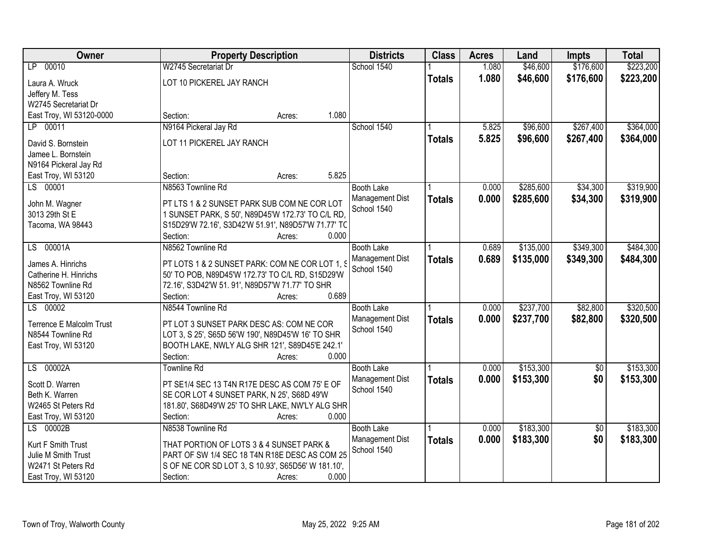| <b>Owner</b>                               | <b>Property Description</b>                                                                         | <b>Districts</b>  | <b>Class</b>  | <b>Acres</b> | Land      | <b>Impts</b>    | <b>Total</b> |
|--------------------------------------------|-----------------------------------------------------------------------------------------------------|-------------------|---------------|--------------|-----------|-----------------|--------------|
| LP 00010                                   | W2745 Secretariat Dr                                                                                | School 1540       |               | 1.080        | \$46,600  | \$176,600       | \$223,200    |
| Laura A. Wruck                             | LOT 10 PICKEREL JAY RANCH                                                                           |                   | <b>Totals</b> | 1.080        | \$46,600  | \$176,600       | \$223,200    |
| Jeffery M. Tess                            |                                                                                                     |                   |               |              |           |                 |              |
| W2745 Secretariat Dr                       |                                                                                                     |                   |               |              |           |                 |              |
| East Troy, WI 53120-0000                   | 1.080<br>Section:<br>Acres:                                                                         |                   |               |              |           |                 |              |
| LP 00011                                   | N9164 Pickeral Jay Rd                                                                               | School 1540       |               | 5.825        | \$96,600  | \$267,400       | \$364,000    |
| David S. Bornstein                         | LOT 11 PICKEREL JAY RANCH                                                                           |                   | <b>Totals</b> | 5.825        | \$96,600  | \$267,400       | \$364,000    |
| Jamee L. Bornstein                         |                                                                                                     |                   |               |              |           |                 |              |
| N9164 Pickeral Jay Rd                      |                                                                                                     |                   |               |              |           |                 |              |
| East Troy, WI 53120                        | 5.825<br>Section:<br>Acres:                                                                         |                   |               |              |           |                 |              |
| LS 00001                                   | N8563 Townline Rd                                                                                   | <b>Booth Lake</b> |               | 0.000        | \$285,600 | \$34,300        | \$319,900    |
|                                            | PT LTS 1 & 2 SUNSET PARK SUB COM NE COR LOT                                                         | Management Dist   | <b>Totals</b> | 0.000        | \$285,600 | \$34,300        | \$319,900    |
| John M. Wagner<br>3013 29th St E           | 1 SUNSET PARK, S 50', N89D45'W 172.73' TO C/L RD,                                                   | School 1540       |               |              |           |                 |              |
| Tacoma, WA 98443                           | S15D29'W 72.16', S3D42'W 51.91', N89D57'W 71.77' TC                                                 |                   |               |              |           |                 |              |
|                                            | 0.000<br>Section:<br>Acres:                                                                         |                   |               |              |           |                 |              |
| LS 00001A                                  | N8562 Townline Rd                                                                                   | <b>Booth Lake</b> |               | 0.689        | \$135,000 | \$349,300       | \$484,300    |
|                                            |                                                                                                     | Management Dist   | <b>Totals</b> | 0.689        | \$135,000 | \$349,300       | \$484,300    |
| James A. Hinrichs<br>Catherine H. Hinrichs | PT LOTS 1 & 2 SUNSET PARK: COM NE COR LOT 1, S<br>50' TO POB, N89D45'W 172.73' TO C/L RD, S15D29'W  | School 1540       |               |              |           |                 |              |
| N8562 Townline Rd                          | 72.16', S3D42'W 51.91', N89D57'W 71.77' TO SHR                                                      |                   |               |              |           |                 |              |
| East Troy, WI 53120                        | 0.689<br>Section:<br>Acres:                                                                         |                   |               |              |           |                 |              |
| LS 00002                                   | N8544 Townline Rd                                                                                   | <b>Booth Lake</b> |               | 0.000        | \$237,700 | \$82,800        | \$320,500    |
|                                            |                                                                                                     | Management Dist   | <b>Totals</b> | 0.000        | \$237,700 | \$82,800        | \$320,500    |
| Terrence E Malcolm Trust                   | PT LOT 3 SUNSET PARK DESC AS: COM NE COR                                                            | School 1540       |               |              |           |                 |              |
| N8544 Townline Rd<br>East Troy, WI 53120   | LOT 3, S 25', S65D 56'W 190', N89D45'W 16' TO SHR<br>BOOTH LAKE, NWLY ALG SHR 121', S89D45'E 242.1' |                   |               |              |           |                 |              |
|                                            | 0.000<br>Section:<br>Acres:                                                                         |                   |               |              |           |                 |              |
| LS 00002A                                  | Townline Rd                                                                                         | <b>Booth Lake</b> |               | 0.000        | \$153,300 | $\overline{50}$ | \$153,300    |
|                                            |                                                                                                     | Management Dist   | <b>Totals</b> | 0.000        | \$153,300 | \$0             | \$153,300    |
| Scott D. Warren                            | PT SE1/4 SEC 13 T4N R17E DESC AS COM 75' E OF                                                       | School 1540       |               |              |           |                 |              |
| Beth K. Warren                             | SE COR LOT 4 SUNSET PARK, N 25', S68D 49'W                                                          |                   |               |              |           |                 |              |
| W2465 St Peters Rd                         | 181.80', S68D49'W 25' TO SHR LAKE, NW'LY ALG SHR<br>0.000                                           |                   |               |              |           |                 |              |
| East Troy, WI 53120<br>LS 00002B           | Section:<br>Acres:<br>N8538 Townline Rd                                                             | <b>Booth Lake</b> |               | 0.000        | \$183,300 | $\overline{50}$ | \$183,300    |
|                                            |                                                                                                     | Management Dist   |               | 0.000        | \$183,300 | \$0             |              |
| Kurt F Smith Trust                         | THAT PORTION OF LOTS 3 & 4 SUNSET PARK &                                                            | School 1540       | <b>Totals</b> |              |           |                 | \$183,300    |
| Julie M Smith Trust                        | PART OF SW 1/4 SEC 18 T4N R18E DESC AS COM 25                                                       |                   |               |              |           |                 |              |
| W2471 St Peters Rd                         | S OF NE COR SD LOT 3, S 10.93', S65D56' W 181.10',                                                  |                   |               |              |           |                 |              |
| East Troy, WI 53120                        | 0.000<br>Section:<br>Acres:                                                                         |                   |               |              |           |                 |              |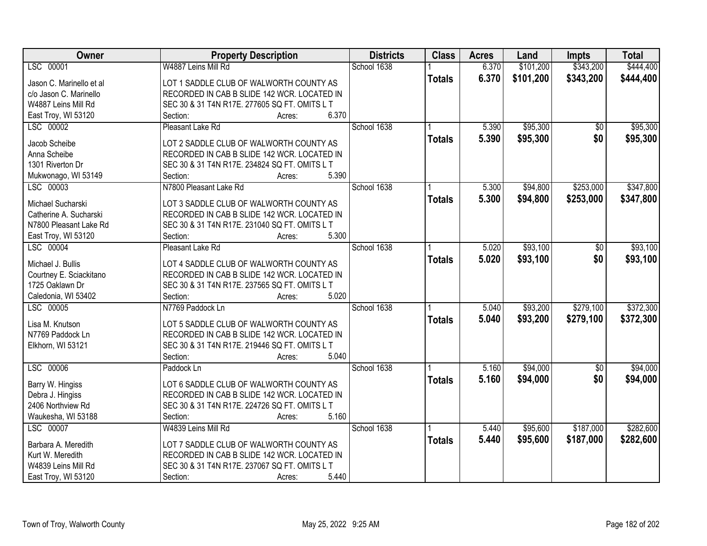| Owner                    | <b>Property Description</b>                   | <b>Districts</b> | <b>Class</b>  | <b>Acres</b> | Land      | <b>Impts</b>    | <b>Total</b> |
|--------------------------|-----------------------------------------------|------------------|---------------|--------------|-----------|-----------------|--------------|
| LSC 00001                | W4887 Leins Mill Rd                           | School 1638      |               | 6.370        | \$101,200 | \$343,200       | \$444,400    |
| Jason C. Marinello et al | LOT 1 SADDLE CLUB OF WALWORTH COUNTY AS       |                  | <b>Totals</b> | 6.370        | \$101,200 | \$343,200       | \$444,400    |
| c/o Jason C. Marinello   | RECORDED IN CAB B SLIDE 142 WCR. LOCATED IN   |                  |               |              |           |                 |              |
| W4887 Leins Mill Rd      | SEC 30 & 31 T4N R17E. 277605 SQ FT. OMITS L T |                  |               |              |           |                 |              |
| East Troy, WI 53120      | 6.370<br>Section:<br>Acres:                   |                  |               |              |           |                 |              |
| LSC 00002                | Pleasant Lake Rd                              | School 1638      |               | 5.390        | \$95,300  | \$0             | \$95,300     |
|                          |                                               |                  | <b>Totals</b> | 5.390        | \$95,300  | \$0             | \$95,300     |
| Jacob Scheibe            | LOT 2 SADDLE CLUB OF WALWORTH COUNTY AS       |                  |               |              |           |                 |              |
| Anna Scheibe             | RECORDED IN CAB B SLIDE 142 WCR. LOCATED IN   |                  |               |              |           |                 |              |
| 1301 Riverton Dr         | SEC 30 & 31 T4N R17E. 234824 SQ FT. OMITS L T |                  |               |              |           |                 |              |
| Mukwonago, WI 53149      | 5.390<br>Section:<br>Acres:                   |                  |               |              |           |                 |              |
| LSC 00003                | N7800 Pleasant Lake Rd                        | School 1638      |               | 5.300        | \$94,800  | \$253,000       | \$347,800    |
| Michael Sucharski        | LOT 3 SADDLE CLUB OF WALWORTH COUNTY AS       |                  | <b>Totals</b> | 5.300        | \$94,800  | \$253,000       | \$347,800    |
| Catherine A. Sucharski   | RECORDED IN CAB B SLIDE 142 WCR. LOCATED IN   |                  |               |              |           |                 |              |
| N7800 Pleasant Lake Rd   | SEC 30 & 31 T4N R17E. 231040 SQ FT. OMITS L T |                  |               |              |           |                 |              |
| East Troy, WI 53120      | 5.300<br>Section:<br>Acres:                   |                  |               |              |           |                 |              |
| LSC 00004                | Pleasant Lake Rd                              | School 1638      |               | 5.020        | \$93,100  | $\frac{1}{20}$  | \$93,100     |
|                          |                                               |                  | <b>Totals</b> | 5.020        | \$93,100  | \$0             | \$93,100     |
| Michael J. Bullis        | LOT 4 SADDLE CLUB OF WALWORTH COUNTY AS       |                  |               |              |           |                 |              |
| Courtney E. Sciackitano  | RECORDED IN CAB B SLIDE 142 WCR. LOCATED IN   |                  |               |              |           |                 |              |
| 1725 Oaklawn Dr          | SEC 30 & 31 T4N R17E. 237565 SQ FT. OMITS L T |                  |               |              |           |                 |              |
| Caledonia, WI 53402      | Section:<br>5.020<br>Acres:                   |                  |               |              |           |                 |              |
| LSC 00005                | N7769 Paddock Ln                              | School 1638      |               | 5.040        | \$93,200  | \$279,100       | \$372,300    |
| Lisa M. Knutson          | LOT 5 SADDLE CLUB OF WALWORTH COUNTY AS       |                  | <b>Totals</b> | 5.040        | \$93,200  | \$279,100       | \$372,300    |
| N7769 Paddock Ln         | RECORDED IN CAB B SLIDE 142 WCR. LOCATED IN   |                  |               |              |           |                 |              |
| Elkhorn, WI 53121        | SEC 30 & 31 T4N R17E. 219446 SQ FT. OMITS L T |                  |               |              |           |                 |              |
|                          | 5.040<br>Section:<br>Acres:                   |                  |               |              |           |                 |              |
| LSC 00006                | Paddock Ln                                    | School 1638      |               | 5.160        | \$94,000  | $\overline{60}$ | \$94,000     |
|                          |                                               |                  | <b>Totals</b> | 5.160        | \$94,000  | \$0             | \$94,000     |
| Barry W. Hingiss         | LOT 6 SADDLE CLUB OF WALWORTH COUNTY AS       |                  |               |              |           |                 |              |
| Debra J. Hingiss         | RECORDED IN CAB B SLIDE 142 WCR. LOCATED IN   |                  |               |              |           |                 |              |
| 2406 Northview Rd        | SEC 30 & 31 T4N R17E. 224726 SQ FT. OMITS L T |                  |               |              |           |                 |              |
| Waukesha, WI 53188       | 5.160<br>Section:<br>Acres:                   |                  |               |              |           |                 |              |
| LSC 00007                | W4839 Leins Mill Rd                           | School 1638      |               | 5.440        | \$95,600  | \$187,000       | \$282,600    |
| Barbara A. Meredith      | LOT 7 SADDLE CLUB OF WALWORTH COUNTY AS       |                  | <b>Totals</b> | 5.440        | \$95,600  | \$187,000       | \$282,600    |
| Kurt W. Meredith         | RECORDED IN CAB B SLIDE 142 WCR. LOCATED IN   |                  |               |              |           |                 |              |
| W4839 Leins Mill Rd      | SEC 30 & 31 T4N R17E. 237067 SQ FT. OMITS L T |                  |               |              |           |                 |              |
| East Troy, WI 53120      | 5.440<br>Section:<br>Acres:                   |                  |               |              |           |                 |              |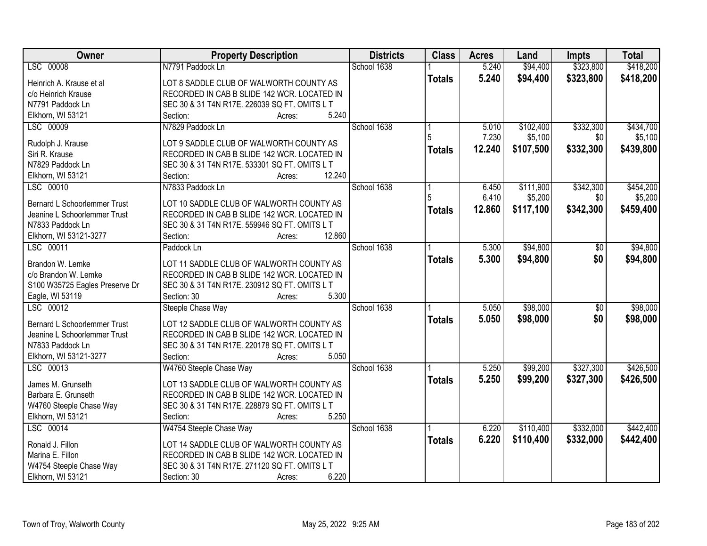| Owner                               | <b>Property Description</b>                   | <b>Districts</b> | <b>Class</b>  | <b>Acres</b> | Land      | <b>Impts</b>    | <b>Total</b> |
|-------------------------------------|-----------------------------------------------|------------------|---------------|--------------|-----------|-----------------|--------------|
| LSC 00008                           | N7791 Paddock Ln                              | School 1638      |               | 5.240        | \$94,400  | \$323,800       | \$418,200    |
| Heinrich A. Krause et al            | LOT 8 SADDLE CLUB OF WALWORTH COUNTY AS       |                  | <b>Totals</b> | 5.240        | \$94,400  | \$323,800       | \$418,200    |
| c/o Heinrich Krause                 | RECORDED IN CAB B SLIDE 142 WCR. LOCATED IN   |                  |               |              |           |                 |              |
| N7791 Paddock Ln                    | SEC 30 & 31 T4N R17E. 226039 SQ FT. OMITS L T |                  |               |              |           |                 |              |
| Elkhorn, WI 53121                   | 5.240<br>Section:<br>Acres:                   |                  |               |              |           |                 |              |
| LSC 00009                           | N7829 Paddock Ln                              | School 1638      |               | 5.010        | \$102,400 | \$332,300       | \$434,700    |
|                                     |                                               |                  |               | 7.230        | \$5,100   | \$0             | \$5,100      |
| Rudolph J. Krause                   | LOT 9 SADDLE CLUB OF WALWORTH COUNTY AS       |                  | <b>Totals</b> | 12.240       | \$107,500 | \$332,300       | \$439,800    |
| Siri R. Krause                      | RECORDED IN CAB B SLIDE 142 WCR. LOCATED IN   |                  |               |              |           |                 |              |
| N7829 Paddock Ln                    | SEC 30 & 31 T4N R17E. 533301 SQ FT. OMITS L T |                  |               |              |           |                 |              |
| Elkhorn, WI 53121                   | 12.240<br>Section:<br>Acres:                  |                  |               |              |           |                 |              |
| LSC 00010                           | N7833 Paddock Ln                              | School 1638      |               | 6.450        | \$111,900 | \$342,300       | \$454,200    |
| <b>Bernard L Schoorlemmer Trust</b> | LOT 10 SADDLE CLUB OF WALWORTH COUNTY AS      |                  |               | 6.410        | \$5,200   | \$0             | \$5,200      |
| Jeanine L Schoorlemmer Trust        | RECORDED IN CAB B SLIDE 142 WCR. LOCATED IN   |                  | <b>Totals</b> | 12.860       | \$117,100 | \$342,300       | \$459,400    |
| N7833 Paddock Ln                    | SEC 30 & 31 T4N R17E. 559946 SQ FT. OMITS L T |                  |               |              |           |                 |              |
| Elkhorn, WI 53121-3277              | 12.860<br>Section:<br>Acres:                  |                  |               |              |           |                 |              |
| LSC 00011                           | Paddock Ln                                    | School 1638      |               | 5.300        | \$94,800  | $\overline{50}$ | \$94,800     |
|                                     |                                               |                  |               |              |           |                 |              |
| Brandon W. Lemke                    | LOT 11 SADDLE CLUB OF WALWORTH COUNTY AS      |                  | <b>Totals</b> | 5.300        | \$94,800  | \$0             | \$94,800     |
| c/o Brandon W. Lemke                | RECORDED IN CAB B SLIDE 142 WCR. LOCATED IN   |                  |               |              |           |                 |              |
| S100 W35725 Eagles Preserve Dr      | SEC 30 & 31 T4N R17E. 230912 SQ FT. OMITS L T |                  |               |              |           |                 |              |
| Eagle, WI 53119                     | Section: 30<br>5.300<br>Acres:                |                  |               |              |           |                 |              |
| LSC 00012                           | Steeple Chase Way                             | School 1638      |               | 5.050        | \$98,000  | $\overline{50}$ | \$98,000     |
|                                     |                                               |                  | <b>Totals</b> | 5.050        | \$98,000  | \$0             | \$98,000     |
| Bernard L Schoorlemmer Trust        | LOT 12 SADDLE CLUB OF WALWORTH COUNTY AS      |                  |               |              |           |                 |              |
| Jeanine L Schoorlemmer Trust        | RECORDED IN CAB B SLIDE 142 WCR. LOCATED IN   |                  |               |              |           |                 |              |
| N7833 Paddock Ln                    | SEC 30 & 31 T4N R17E. 220178 SQ FT. OMITS L T |                  |               |              |           |                 |              |
| Elkhorn, WI 53121-3277              | 5.050<br>Section:<br>Acres:                   |                  |               |              |           |                 |              |
| LSC 00013                           | W4760 Steeple Chase Way                       | School 1638      |               | 5.250        | \$99,200  | \$327,300       | \$426,500    |
| James M. Grunseth                   | LOT 13 SADDLE CLUB OF WALWORTH COUNTY AS      |                  | <b>Totals</b> | 5.250        | \$99,200  | \$327,300       | \$426,500    |
| Barbara E. Grunseth                 | RECORDED IN CAB B SLIDE 142 WCR. LOCATED IN   |                  |               |              |           |                 |              |
| W4760 Steeple Chase Way             | SEC 30 & 31 T4N R17E. 228879 SQ FT. OMITS L T |                  |               |              |           |                 |              |
| Elkhorn, WI 53121                   | 5.250<br>Section:<br>Acres:                   |                  |               |              |           |                 |              |
| LSC 00014                           | W4754 Steeple Chase Way                       | School 1638      |               | 6.220        | \$110,400 | \$332,000       | \$442,400    |
|                                     |                                               |                  | <b>Totals</b> | 6.220        | \$110,400 | \$332,000       | \$442,400    |
| Ronald J. Fillon                    | LOT 14 SADDLE CLUB OF WALWORTH COUNTY AS      |                  |               |              |           |                 |              |
| Marina E. Fillon                    | RECORDED IN CAB B SLIDE 142 WCR. LOCATED IN   |                  |               |              |           |                 |              |
| W4754 Steeple Chase Way             | SEC 30 & 31 T4N R17E. 271120 SQ FT. OMITS L T |                  |               |              |           |                 |              |
| Elkhorn, WI 53121                   | 6.220<br>Section: 30<br>Acres:                |                  |               |              |           |                 |              |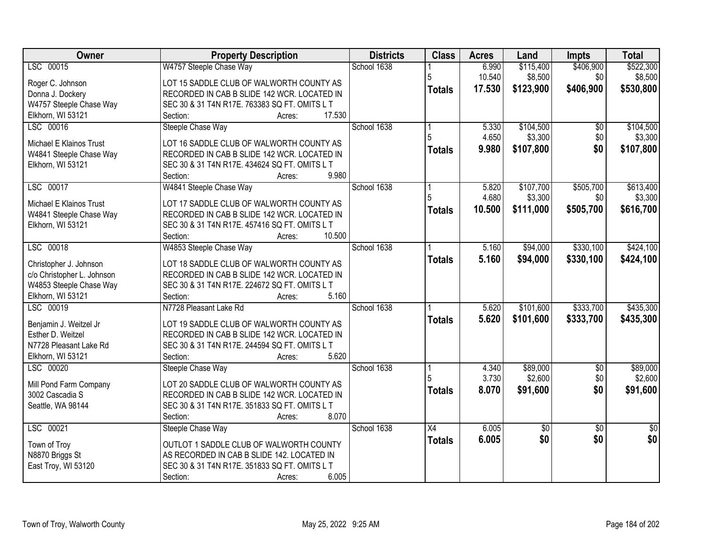| Owner                      | <b>Property Description</b>                   | <b>Districts</b> | <b>Class</b>    | <b>Acres</b> | Land            | <b>Impts</b>    | <b>Total</b>    |
|----------------------------|-----------------------------------------------|------------------|-----------------|--------------|-----------------|-----------------|-----------------|
| LSC 00015                  | W4757 Steeple Chase Way                       | School 1638      |                 | 6.990        | \$115,400       | \$406,900       | \$522,300       |
| Roger C. Johnson           | LOT 15 SADDLE CLUB OF WALWORTH COUNTY AS      |                  | 5               | 10.540       | \$8,500         | \$0             | \$8,500         |
| Donna J. Dockery           | RECORDED IN CAB B SLIDE 142 WCR. LOCATED IN   |                  | <b>Totals</b>   | 17.530       | \$123,900       | \$406,900       | \$530,800       |
| W4757 Steeple Chase Way    | SEC 30 & 31 T4N R17E. 763383 SQ FT. OMITS L T |                  |                 |              |                 |                 |                 |
| Elkhorn, WI 53121          | 17.530<br>Section:<br>Acres:                  |                  |                 |              |                 |                 |                 |
| LSC 00016                  | Steeple Chase Way                             | School 1638      |                 | 5.330        | \$104,500       | $\overline{50}$ | \$104,500       |
|                            |                                               |                  | 5               | 4.650        | \$3,300         | \$0             | \$3,300         |
| Michael E Klainos Trust    | LOT 16 SADDLE CLUB OF WALWORTH COUNTY AS      |                  | <b>Totals</b>   | 9.980        | \$107,800       | \$0             | \$107,800       |
| W4841 Steeple Chase Way    | RECORDED IN CAB B SLIDE 142 WCR. LOCATED IN   |                  |                 |              |                 |                 |                 |
| Elkhorn, WI 53121          | SEC 30 & 31 T4N R17E. 434624 SQ FT. OMITS L T |                  |                 |              |                 |                 |                 |
|                            | 9.980<br>Section:<br>Acres:                   |                  |                 |              |                 |                 |                 |
| LSC 00017                  | W4841 Steeple Chase Way                       | School 1638      |                 | 5.820        | \$107,700       | \$505,700       | \$613,400       |
| Michael E Klainos Trust    | LOT 17 SADDLE CLUB OF WALWORTH COUNTY AS      |                  |                 | 4.680        | \$3,300         | \$0             | \$3,300         |
| W4841 Steeple Chase Way    | RECORDED IN CAB B SLIDE 142 WCR. LOCATED IN   |                  | <b>Totals</b>   | 10.500       | \$111,000       | \$505,700       | \$616,700       |
| Elkhorn, WI 53121          | SEC 30 & 31 T4N R17E. 457416 SQ FT. OMITS L T |                  |                 |              |                 |                 |                 |
|                            | 10.500<br>Section:<br>Acres:                  |                  |                 |              |                 |                 |                 |
| LSC 00018                  | W4853 Steeple Chase Way                       | School 1638      |                 | 5.160        | \$94,000        | \$330,100       | \$424,100       |
|                            |                                               |                  | <b>Totals</b>   | 5.160        | \$94,000        | \$330,100       | \$424,100       |
| Christopher J. Johnson     | LOT 18 SADDLE CLUB OF WALWORTH COUNTY AS      |                  |                 |              |                 |                 |                 |
| c/o Christopher L. Johnson | RECORDED IN CAB B SLIDE 142 WCR. LOCATED IN   |                  |                 |              |                 |                 |                 |
| W4853 Steeple Chase Way    | SEC 30 & 31 T4N R17E. 224672 SQ FT. OMITS L T |                  |                 |              |                 |                 |                 |
| Elkhorn, WI 53121          | Section:<br>5.160<br>Acres:                   |                  |                 |              |                 |                 |                 |
| LSC 00019                  | N7728 Pleasant Lake Rd                        | School 1638      |                 | 5.620        | \$101,600       | \$333,700       | \$435,300       |
| Benjamin J. Weitzel Jr     | LOT 19 SADDLE CLUB OF WALWORTH COUNTY AS      |                  | <b>Totals</b>   | 5.620        | \$101,600       | \$333,700       | \$435,300       |
| Esther D. Weitzel          | RECORDED IN CAB B SLIDE 142 WCR. LOCATED IN   |                  |                 |              |                 |                 |                 |
| N7728 Pleasant Lake Rd     | SEC 30 & 31 T4N R17E. 244594 SQ FT. OMITS L T |                  |                 |              |                 |                 |                 |
| Elkhorn, WI 53121          | 5.620<br>Section:<br>Acres:                   |                  |                 |              |                 |                 |                 |
| LSC 00020                  | Steeple Chase Way                             | School 1638      |                 | 4.340        | \$89,000        | $\overline{50}$ | \$89,000        |
|                            |                                               |                  |                 | 3.730        | \$2,600         | \$0             | \$2,600         |
| Mill Pond Farm Company     | LOT 20 SADDLE CLUB OF WALWORTH COUNTY AS      |                  | <b>Totals</b>   | 8.070        | \$91,600        | \$0             | \$91,600        |
| 3002 Cascadia S            | RECORDED IN CAB B SLIDE 142 WCR. LOCATED IN   |                  |                 |              |                 |                 |                 |
| Seattle, WA 98144          | SEC 30 & 31 T4N R17E. 351833 SQ FT. OMITS L T |                  |                 |              |                 |                 |                 |
| LSC 00021                  | 8.070<br>Section:<br>Acres:                   | School 1638      |                 |              |                 |                 |                 |
|                            | Steeple Chase Way                             |                  | $\overline{X4}$ | 6.005        | $\overline{50}$ | $\overline{30}$ | $\overline{50}$ |
| Town of Troy               | OUTLOT 1 SADDLE CLUB OF WALWORTH COUNTY       |                  | <b>Totals</b>   | 6.005        | \$0             | \$0             | \$0             |
| N8870 Briggs St            | AS RECORDED IN CAB B SLIDE 142. LOCATED IN    |                  |                 |              |                 |                 |                 |
| East Troy, WI 53120        | SEC 30 & 31 T4N R17E. 351833 SQ FT. OMITS L T |                  |                 |              |                 |                 |                 |
|                            | 6.005<br>Section:<br>Acres:                   |                  |                 |              |                 |                 |                 |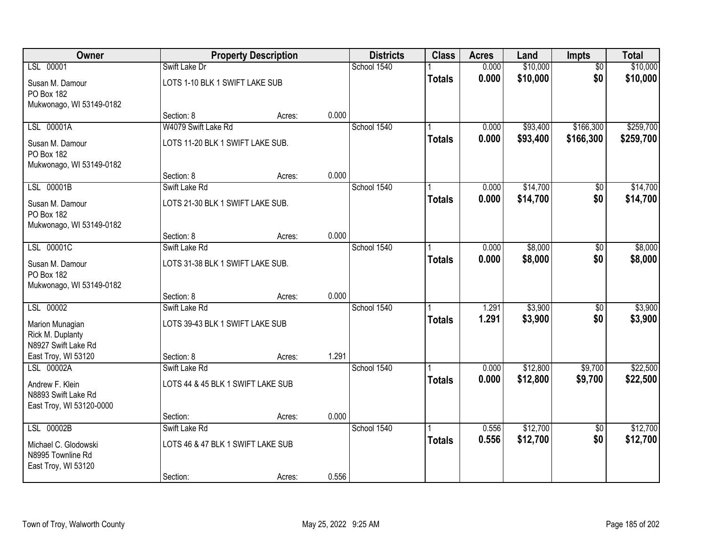| Owner                                                                   |                                                  | <b>Property Description</b> |       | <b>Districts</b> | <b>Class</b>  | <b>Acres</b>   | Land               | <b>Impts</b>           | <b>Total</b>       |
|-------------------------------------------------------------------------|--------------------------------------------------|-----------------------------|-------|------------------|---------------|----------------|--------------------|------------------------|--------------------|
| LSL 00001                                                               | Swift Lake Dr                                    |                             |       | School 1540      |               | 0.000          | \$10,000           | $\overline{50}$        | \$10,000           |
| Susan M. Damour<br>PO Box 182<br>Mukwonago, WI 53149-0182               | LOTS 1-10 BLK 1 SWIFT LAKE SUB                   |                             |       |                  | <b>Totals</b> | 0.000          | \$10,000           | \$0                    | \$10,000           |
|                                                                         | Section: 8                                       | Acres:                      | 0.000 |                  |               |                |                    |                        |                    |
| LSL 00001A                                                              | W4079 Swift Lake Rd                              |                             |       | School 1540      |               | 0.000          | \$93,400           | \$166,300              | \$259,700          |
| Susan M. Damour<br><b>PO Box 182</b><br>Mukwonago, WI 53149-0182        | LOTS 11-20 BLK 1 SWIFT LAKE SUB.                 |                             |       |                  | <b>Totals</b> | 0.000          | \$93,400           | \$166,300              | \$259,700          |
|                                                                         | Section: 8                                       | Acres:                      | 0.000 |                  |               |                |                    |                        |                    |
| LSL 00001B                                                              | Swift Lake Rd                                    |                             |       | School 1540      |               | 0.000          | \$14,700           | \$0                    | \$14,700           |
| Susan M. Damour<br><b>PO Box 182</b><br>Mukwonago, WI 53149-0182        | LOTS 21-30 BLK 1 SWIFT LAKE SUB.                 |                             |       |                  | <b>Totals</b> | 0.000          | \$14,700           | \$0                    | \$14,700           |
|                                                                         | Section: 8                                       | Acres:                      | 0.000 |                  |               |                |                    |                        |                    |
| LSL 00001C                                                              | Swift Lake Rd                                    |                             |       | School 1540      |               | 0.000          | \$8,000            | \$0                    | \$8,000            |
| Susan M. Damour<br>PO Box 182<br>Mukwonago, WI 53149-0182               | LOTS 31-38 BLK 1 SWIFT LAKE SUB.                 |                             |       |                  | <b>Totals</b> | 0.000          | \$8,000            | \$0                    | \$8,000            |
|                                                                         | Section: 8                                       | Acres:                      | 0.000 |                  |               |                |                    |                        |                    |
| LSL 00002<br>Marion Munagian<br>Rick M. Duplanty<br>N8927 Swift Lake Rd | Swift Lake Rd<br>LOTS 39-43 BLK 1 SWIFT LAKE SUB |                             |       | School 1540      | <b>Totals</b> | 1.291<br>1.291 | \$3,900<br>\$3,900 | $\overline{50}$<br>\$0 | \$3,900<br>\$3,900 |
| East Troy, WI 53120                                                     | Section: 8                                       | Acres:                      | 1.291 |                  |               |                |                    |                        |                    |
| LSL 00002A                                                              | Swift Lake Rd                                    |                             |       | School 1540      |               | 0.000          | \$12,800           | \$9,700                | \$22,500           |
| Andrew F. Klein<br>N8893 Swift Lake Rd<br>East Troy, WI 53120-0000      | LOTS 44 & 45 BLK 1 SWIFT LAKE SUB                |                             |       |                  | <b>Totals</b> | 0.000          | \$12,800           | \$9,700                | \$22,500           |
|                                                                         | Section:                                         | Acres:                      | 0.000 |                  |               |                |                    |                        |                    |
| LSL 00002B                                                              | Swift Lake Rd                                    |                             |       | School 1540      |               | 0.556          | \$12,700           | $\overline{50}$        | \$12,700           |
| Michael C. Glodowski<br>N8995 Townline Rd<br>East Troy, WI 53120        | LOTS 46 & 47 BLK 1 SWIFT LAKE SUB                |                             |       |                  | <b>Totals</b> | 0.556          | \$12,700           | \$0                    | \$12,700           |
|                                                                         | Section:                                         | Acres:                      | 0.556 |                  |               |                |                    |                        |                    |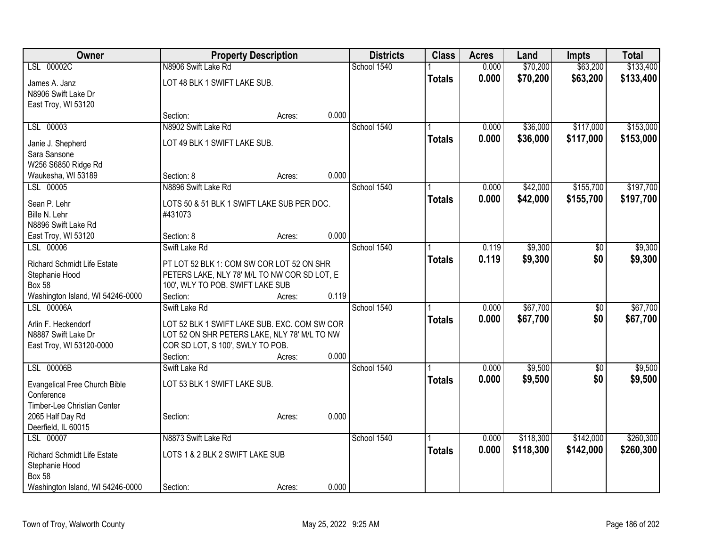| Owner                                | <b>Property Description</b>                  |        |             | <b>Districts</b> | <b>Class</b>  | <b>Acres</b> | Land      | <b>Impts</b>    | <b>Total</b> |
|--------------------------------------|----------------------------------------------|--------|-------------|------------------|---------------|--------------|-----------|-----------------|--------------|
| LSL 00002C                           | N8906 Swift Lake Rd                          |        | School 1540 |                  |               | 0.000        | \$70,200  | \$63,200        | \$133,400    |
| James A. Janz                        | LOT 48 BLK 1 SWIFT LAKE SUB.                 |        |             |                  | <b>Totals</b> | 0.000        | \$70,200  | \$63,200        | \$133,400    |
| N8906 Swift Lake Dr                  |                                              |        |             |                  |               |              |           |                 |              |
| East Troy, WI 53120                  |                                              |        |             |                  |               |              |           |                 |              |
|                                      | Section:                                     | Acres: | 0.000       |                  |               |              |           |                 |              |
| LSL 00003                            | N8902 Swift Lake Rd                          |        | School 1540 |                  |               | 0.000        | \$36,000  | \$117,000       | \$153,000    |
| Janie J. Shepherd                    | LOT 49 BLK 1 SWIFT LAKE SUB.                 |        |             |                  | <b>Totals</b> | 0.000        | \$36,000  | \$117,000       | \$153,000    |
| Sara Sansone                         |                                              |        |             |                  |               |              |           |                 |              |
| W256 S6850 Ridge Rd                  |                                              |        |             |                  |               |              |           |                 |              |
| Waukesha, WI 53189                   | Section: 8                                   | Acres: | 0.000       |                  |               |              |           |                 |              |
| LSL 00005                            | N8896 Swift Lake Rd                          |        | School 1540 |                  |               | 0.000        | \$42,000  | \$155,700       | \$197,700    |
| Sean P. Lehr                         | LOTS 50 & 51 BLK 1 SWIFT LAKE SUB PER DOC.   |        |             |                  | <b>Totals</b> | 0.000        | \$42,000  | \$155,700       | \$197,700    |
| Bille N. Lehr                        | #431073                                      |        |             |                  |               |              |           |                 |              |
| N8896 Swift Lake Rd                  |                                              |        |             |                  |               |              |           |                 |              |
| East Troy, WI 53120                  | Section: 8                                   | Acres: | 0.000       |                  |               |              |           |                 |              |
| LSL 00006                            | Swift Lake Rd                                |        | School 1540 |                  |               | 0.119        | \$9,300   | \$0             | \$9,300      |
| <b>Richard Schmidt Life Estate</b>   | PT LOT 52 BLK 1: COM SW COR LOT 52 ON SHR    |        |             |                  | <b>Totals</b> | 0.119        | \$9,300   | \$0             | \$9,300      |
| Stephanie Hood                       | PETERS LAKE, NLY 78' M/L TO NW COR SD LOT, E |        |             |                  |               |              |           |                 |              |
| <b>Box 58</b>                        | 100', WLY TO POB. SWIFT LAKE SUB             |        |             |                  |               |              |           |                 |              |
| Washington Island, WI 54246-0000     | Section:                                     | Acres: | 0.119       |                  |               |              |           |                 |              |
| LSL 00006A                           | Swift Lake Rd                                |        | School 1540 |                  |               | 0.000        | \$67,700  | $\overline{50}$ | \$67,700     |
| Arlin F. Heckendorf                  | LOT 52 BLK 1 SWIFT LAKE SUB. EXC. COM SW COR |        |             |                  | <b>Totals</b> | 0.000        | \$67,700  | \$0             | \$67,700     |
| N8887 Swift Lake Dr                  | LOT 52 ON SHR PETERS LAKE, NLY 78' M/L TO NW |        |             |                  |               |              |           |                 |              |
| East Troy, WI 53120-0000             | COR SD LOT, S 100', SWLY TO POB.             |        |             |                  |               |              |           |                 |              |
|                                      | Section:                                     | Acres: | 0.000       |                  |               |              |           |                 |              |
| LSL 00006B                           | Swift Lake Rd                                |        | School 1540 |                  |               | 0.000        | \$9,500   | $\sqrt{6}$      | \$9,500      |
| <b>Evangelical Free Church Bible</b> | LOT 53 BLK 1 SWIFT LAKE SUB.                 |        |             |                  | <b>Totals</b> | 0.000        | \$9,500   | \$0             | \$9,500      |
| Conference                           |                                              |        |             |                  |               |              |           |                 |              |
| Timber-Lee Christian Center          |                                              |        |             |                  |               |              |           |                 |              |
| 2065 Half Day Rd                     | Section:                                     | Acres: | 0.000       |                  |               |              |           |                 |              |
| Deerfield, IL 60015                  |                                              |        |             |                  |               |              |           |                 |              |
| LSL 00007                            | N8873 Swift Lake Rd                          |        | School 1540 |                  |               | 0.000        | \$118,300 | \$142,000       | \$260,300    |
| <b>Richard Schmidt Life Estate</b>   | LOTS 1 & 2 BLK 2 SWIFT LAKE SUB              |        |             |                  | <b>Totals</b> | 0.000        | \$118,300 | \$142,000       | \$260,300    |
| Stephanie Hood                       |                                              |        |             |                  |               |              |           |                 |              |
| <b>Box 58</b>                        |                                              |        |             |                  |               |              |           |                 |              |
| Washington Island, WI 54246-0000     | Section:                                     | Acres: | 0.000       |                  |               |              |           |                 |              |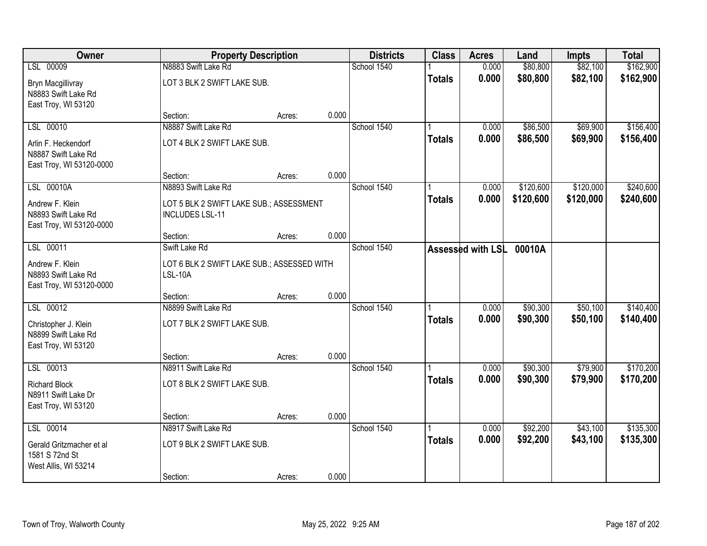| Owner                                                                  |                                                                   | <b>Property Description</b> |       | <b>Districts</b> | <b>Class</b>  | <b>Acres</b>             | Land      | <b>Impts</b> | <b>Total</b> |
|------------------------------------------------------------------------|-------------------------------------------------------------------|-----------------------------|-------|------------------|---------------|--------------------------|-----------|--------------|--------------|
| LSL 00009                                                              | N8883 Swift Lake Rd                                               |                             |       | School 1540      |               | 0.000                    | \$80,800  | \$82,100     | \$162,900    |
| Bryn Macgillivray<br>N8883 Swift Lake Rd<br>East Troy, WI 53120        | LOT 3 BLK 2 SWIFT LAKE SUB.                                       |                             |       |                  | <b>Totals</b> | 0.000                    | \$80,800  | \$82,100     | \$162,900    |
|                                                                        | Section:                                                          | Acres:                      | 0.000 |                  |               |                          |           |              |              |
| LSL 00010                                                              | N8887 Swift Lake Rd                                               |                             |       | School 1540      |               | 0.000                    | \$86,500  | \$69,900     | \$156,400    |
| Arlin F. Heckendorf<br>N8887 Swift Lake Rd<br>East Troy, WI 53120-0000 | LOT 4 BLK 2 SWIFT LAKE SUB.                                       |                             |       |                  | <b>Totals</b> | 0.000                    | \$86,500  | \$69,900     | \$156,400    |
|                                                                        | Section:                                                          | Acres:                      | 0.000 |                  |               |                          |           |              |              |
| LSL 00010A                                                             | N8893 Swift Lake Rd                                               |                             |       | School 1540      |               | 0.000                    | \$120,600 | \$120,000    | \$240,600    |
| Andrew F. Klein<br>N8893 Swift Lake Rd<br>East Troy, WI 53120-0000     | LOT 5 BLK 2 SWIFT LAKE SUB.; ASSESSMENT<br><b>INCLUDES LSL-11</b> |                             |       |                  | <b>Totals</b> | 0.000                    | \$120,600 | \$120,000    | \$240,600    |
|                                                                        | Section:                                                          | Acres:                      | 0.000 |                  |               |                          |           |              |              |
| LSL 00011                                                              | Swift Lake Rd                                                     |                             |       | School 1540      |               | <b>Assessed with LSL</b> | 00010A    |              |              |
| Andrew F. Klein<br>N8893 Swift Lake Rd<br>East Troy, WI 53120-0000     | LOT 6 BLK 2 SWIFT LAKE SUB.; ASSESSED WITH<br><b>LSL-10A</b>      |                             |       |                  |               |                          |           |              |              |
|                                                                        | Section:                                                          | Acres:                      | 0.000 |                  |               |                          |           |              |              |
| LSL 00012                                                              | N8899 Swift Lake Rd                                               |                             |       | School 1540      |               | 0.000                    | \$90,300  | \$50,100     | \$140,400    |
| Christopher J. Klein<br>N8899 Swift Lake Rd<br>East Troy, WI 53120     | LOT 7 BLK 2 SWIFT LAKE SUB.                                       |                             |       |                  | <b>Totals</b> | 0.000                    | \$90,300  | \$50,100     | \$140,400    |
|                                                                        | Section:                                                          | Acres:                      | 0.000 |                  |               |                          |           |              |              |
| LSL 00013                                                              | N8911 Swift Lake Rd                                               |                             |       | School 1540      |               | 0.000                    | \$90,300  | \$79,900     | \$170,200    |
| <b>Richard Block</b><br>N8911 Swift Lake Dr<br>East Troy, WI 53120     | LOT 8 BLK 2 SWIFT LAKE SUB.                                       |                             |       |                  | <b>Totals</b> | 0.000                    | \$90,300  | \$79,900     | \$170,200    |
|                                                                        | Section:                                                          | Acres:                      | 0.000 |                  |               |                          |           |              |              |
| LSL 00014                                                              | N8917 Swift Lake Rd                                               |                             |       | School 1540      |               | 0.000                    | \$92,200  | \$43,100     | \$135,300    |
| Gerald Gritzmacher et al<br>1581 S 72nd St<br>West Allis, WI 53214     | LOT 9 BLK 2 SWIFT LAKE SUB.                                       |                             |       |                  | <b>Totals</b> | 0.000                    | \$92,200  | \$43,100     | \$135,300    |
|                                                                        | Section:                                                          | Acres:                      | 0.000 |                  |               |                          |           |              |              |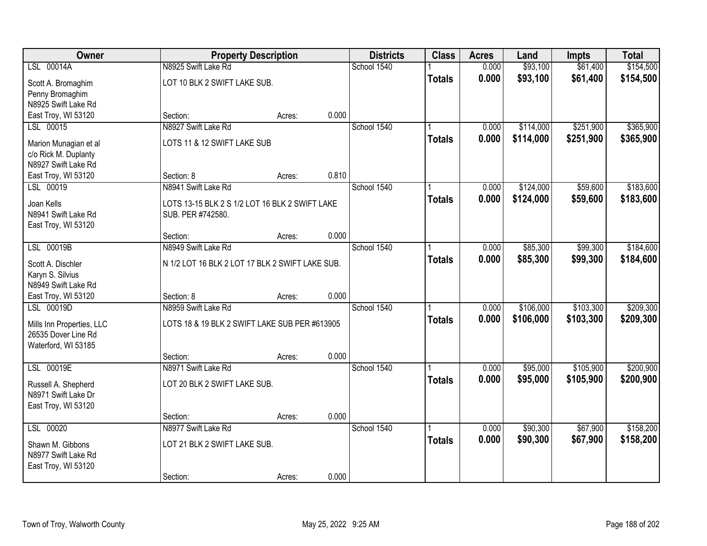| Owner                                      |                                                                     | <b>Property Description</b> |       | <b>Districts</b> | <b>Class</b>  | <b>Acres</b>   | Land                 | <b>Impts</b> | <b>Total</b> |
|--------------------------------------------|---------------------------------------------------------------------|-----------------------------|-------|------------------|---------------|----------------|----------------------|--------------|--------------|
| LSL 00014A                                 | N8925 Swift Lake Rd                                                 |                             |       | School 1540      |               | 0.000          | \$93,100             | \$61,400     | \$154,500    |
| Scott A. Bromaghim                         | LOT 10 BLK 2 SWIFT LAKE SUB.                                        |                             |       |                  | <b>Totals</b> | 0.000          | \$93,100             | \$61,400     | \$154,500    |
| Penny Bromaghim                            |                                                                     |                             |       |                  |               |                |                      |              |              |
| N8925 Swift Lake Rd                        |                                                                     |                             |       |                  |               |                |                      |              |              |
| East Troy, WI 53120                        | Section:                                                            | Acres:                      | 0.000 |                  |               |                |                      |              |              |
| LSL 00015                                  | N8927 Swift Lake Rd                                                 |                             |       | School 1540      |               | 0.000<br>0.000 | \$114,000            | \$251,900    | \$365,900    |
| Marion Munagian et al                      | LOTS 11 & 12 SWIFT LAKE SUB                                         |                             |       |                  | <b>Totals</b> |                | \$114,000            | \$251,900    | \$365,900    |
| c/o Rick M. Duplanty                       |                                                                     |                             |       |                  |               |                |                      |              |              |
| N8927 Swift Lake Rd<br>East Troy, WI 53120 | Section: 8                                                          | Acres:                      | 0.810 |                  |               |                |                      |              |              |
| LSL 00019                                  | N8941 Swift Lake Rd                                                 |                             |       | School 1540      |               | 0.000          | \$124,000            | \$59,600     | \$183,600    |
|                                            |                                                                     |                             |       |                  | <b>Totals</b> | 0.000          | \$124,000            | \$59,600     | \$183,600    |
| Joan Kells<br>N8941 Swift Lake Rd          | LOTS 13-15 BLK 2 S 1/2 LOT 16 BLK 2 SWIFT LAKE<br>SUB. PER #742580. |                             |       |                  |               |                |                      |              |              |
| East Troy, WI 53120                        |                                                                     |                             |       |                  |               |                |                      |              |              |
|                                            | Section:                                                            | Acres:                      | 0.000 |                  |               |                |                      |              |              |
| LSL 00019B                                 | N8949 Swift Lake Rd                                                 |                             |       | School 1540      |               | 0.000          | \$85,300             | \$99,300     | \$184,600    |
| Scott A. Dischler                          | N 1/2 LOT 16 BLK 2 LOT 17 BLK 2 SWIFT LAKE SUB.                     |                             |       |                  | <b>Totals</b> | 0.000          | \$85,300             | \$99,300     | \$184,600    |
| Karyn S. Silvius                           |                                                                     |                             |       |                  |               |                |                      |              |              |
| N8949 Swift Lake Rd                        |                                                                     |                             |       |                  |               |                |                      |              |              |
| East Troy, WI 53120                        | Section: 8                                                          | Acres:                      | 0.000 |                  |               |                |                      |              |              |
| LSL 00019D                                 | N8959 Swift Lake Rd                                                 |                             |       | School 1540      |               | 0.000          | \$106,000            | \$103,300    | \$209,300    |
| Mills Inn Properties, LLC                  | LOTS 18 & 19 BLK 2 SWIFT LAKE SUB PER #613905                       |                             |       |                  | <b>Totals</b> | 0.000          | \$106,000            | \$103,300    | \$209,300    |
| 26535 Dover Line Rd                        |                                                                     |                             |       |                  |               |                |                      |              |              |
| Waterford, WI 53185                        |                                                                     |                             |       |                  |               |                |                      |              |              |
| LSL 00019E                                 | Section:<br>N8971 Swift Lake Rd                                     | Acres:                      | 0.000 | School 1540      |               |                |                      | \$105,900    | \$200,900    |
|                                            |                                                                     |                             |       |                  | <b>Totals</b> | 0.000<br>0.000 | \$95,000<br>\$95,000 | \$105,900    | \$200,900    |
| Russell A. Shepherd                        | LOT 20 BLK 2 SWIFT LAKE SUB.                                        |                             |       |                  |               |                |                      |              |              |
| N8971 Swift Lake Dr                        |                                                                     |                             |       |                  |               |                |                      |              |              |
| East Troy, WI 53120                        | Section:                                                            | Acres:                      | 0.000 |                  |               |                |                      |              |              |
| LSL 00020                                  | N8977 Swift Lake Rd                                                 |                             |       | School 1540      |               | 0.000          | \$90,300             | \$67,900     | \$158,200    |
| Shawn M. Gibbons                           | LOT 21 BLK 2 SWIFT LAKE SUB.                                        |                             |       |                  | <b>Totals</b> | 0.000          | \$90,300             | \$67,900     | \$158,200    |
| N8977 Swift Lake Rd                        |                                                                     |                             |       |                  |               |                |                      |              |              |
| East Troy, WI 53120                        |                                                                     |                             |       |                  |               |                |                      |              |              |
|                                            | Section:                                                            | Acres:                      | 0.000 |                  |               |                |                      |              |              |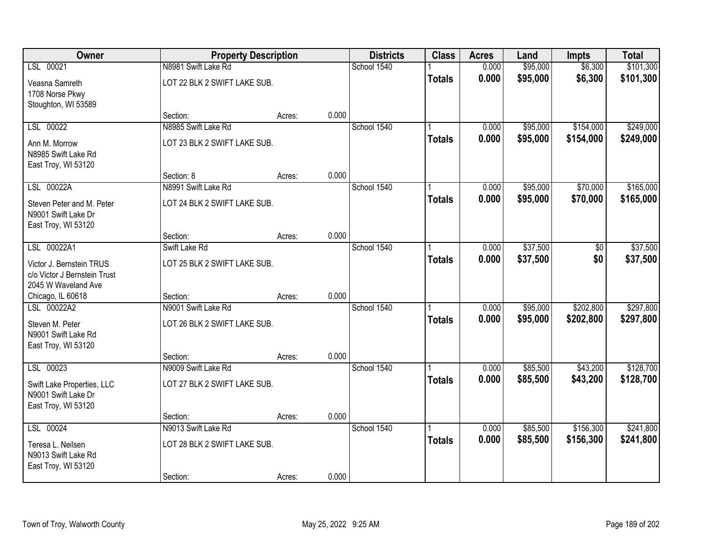| Owner                                                                           |                              | <b>Property Description</b> |       | <b>Districts</b> | <b>Class</b>  | <b>Acres</b> | Land     | <b>Impts</b> | <b>Total</b> |
|---------------------------------------------------------------------------------|------------------------------|-----------------------------|-------|------------------|---------------|--------------|----------|--------------|--------------|
| LSL 00021                                                                       | N8981 Swift Lake Rd          |                             |       | School 1540      |               | 0.000        | \$95,000 | \$6,300      | \$101,300    |
| Veasna Samreth<br>1708 Norse Pkwy                                               | LOT 22 BLK 2 SWIFT LAKE SUB. |                             |       |                  | <b>Totals</b> | 0.000        | \$95,000 | \$6,300      | \$101,300    |
| Stoughton, WI 53589                                                             |                              |                             |       |                  |               |              |          |              |              |
|                                                                                 | Section:                     | Acres:                      | 0.000 |                  |               |              |          |              |              |
| LSL 00022                                                                       | N8985 Swift Lake Rd          |                             |       | School 1540      |               | 0.000        | \$95,000 | \$154,000    | \$249,000    |
| Ann M. Morrow<br>N8985 Swift Lake Rd<br>East Troy, WI 53120                     | LOT 23 BLK 2 SWIFT LAKE SUB. |                             |       |                  | <b>Totals</b> | 0.000        | \$95,000 | \$154,000    | \$249,000    |
|                                                                                 | Section: 8                   | Acres:                      | 0.000 |                  |               |              |          |              |              |
| LSL 00022A                                                                      | N8991 Swift Lake Rd          |                             |       | School 1540      |               | 0.000        | \$95,000 | \$70,000     | \$165,000    |
| Steven Peter and M. Peter<br>N9001 Swift Lake Dr<br>East Troy, WI 53120         | LOT 24 BLK 2 SWIFT LAKE SUB. |                             |       |                  | <b>Totals</b> | 0.000        | \$95,000 | \$70,000     | \$165,000    |
|                                                                                 | Section:                     | Acres:                      | 0.000 |                  |               |              |          |              |              |
| LSL 00022A1                                                                     | Swift Lake Rd                |                             |       | School 1540      |               | 0.000        | \$37,500 | \$0          | \$37,500     |
| Victor J. Bernstein TRUS<br>c/o Victor J Bernstein Trust<br>2045 W Waveland Ave | LOT 25 BLK 2 SWIFT LAKE SUB. |                             |       |                  | <b>Totals</b> | 0.000        | \$37,500 | \$0          | \$37,500     |
| Chicago, IL 60618                                                               | Section:                     | Acres:                      | 0.000 |                  |               |              |          |              |              |
| LSL 00022A2                                                                     | N9001 Swift Lake Rd          |                             |       | School 1540      |               | 0.000        | \$95,000 | \$202,800    | \$297,800    |
| Steven M. Peter<br>N9001 Swift Lake Rd<br>East Troy, WI 53120                   | LOT 26 BLK 2 SWIFT LAKE SUB. |                             |       |                  | <b>Totals</b> | 0.000        | \$95,000 | \$202,800    | \$297,800    |
|                                                                                 | Section:                     | Acres:                      | 0.000 |                  |               |              |          |              |              |
| LSL 00023                                                                       | N9009 Swift Lake Rd          |                             |       | School 1540      |               | 0.000        | \$85,500 | \$43,200     | \$128,700    |
| Swift Lake Properties, LLC<br>N9001 Swift Lake Dr<br>East Troy, WI 53120        | LOT 27 BLK 2 SWIFT LAKE SUB. |                             |       |                  | <b>Totals</b> | 0.000        | \$85,500 | \$43,200     | \$128,700    |
|                                                                                 | Section:                     | Acres:                      | 0.000 |                  |               |              |          |              |              |
| LSL 00024                                                                       | N9013 Swift Lake Rd          |                             |       | School 1540      |               | 0.000        | \$85,500 | \$156,300    | \$241,800    |
| Teresa L. Neilsen<br>N9013 Swift Lake Rd<br>East Troy, WI 53120                 | LOT 28 BLK 2 SWIFT LAKE SUB. |                             |       |                  | <b>Totals</b> | 0.000        | \$85,500 | \$156,300    | \$241,800    |
|                                                                                 | Section:                     | Acres:                      | 0.000 |                  |               |              |          |              |              |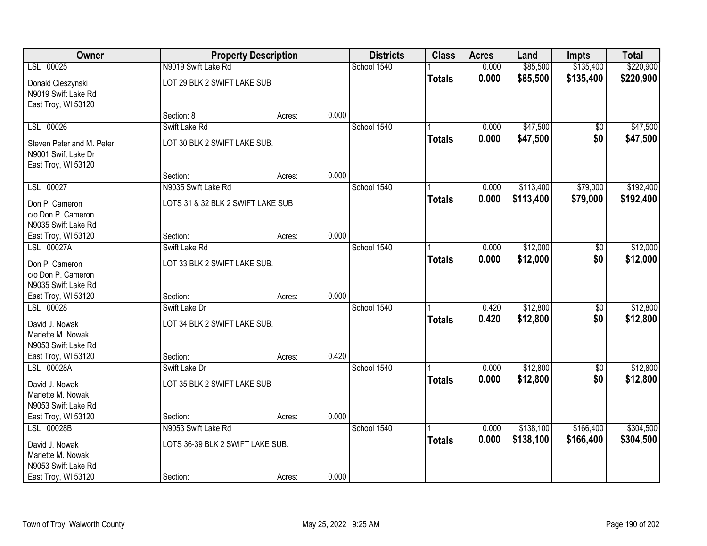| Owner                                                                   |                                               | <b>Property Description</b> |       | <b>Districts</b> | <b>Class</b>  | <b>Acres</b>   | Land                 | <b>Impts</b>           | <b>Total</b>         |
|-------------------------------------------------------------------------|-----------------------------------------------|-----------------------------|-------|------------------|---------------|----------------|----------------------|------------------------|----------------------|
| LSL 00025                                                               | N9019 Swift Lake Rd                           |                             |       | School 1540      |               | 0.000          | \$85,500             | \$135,400              | \$220,900            |
| Donald Cieszynski<br>N9019 Swift Lake Rd<br>East Troy, WI 53120         | LOT 29 BLK 2 SWIFT LAKE SUB                   |                             |       |                  | <b>Totals</b> | 0.000          | \$85,500             | \$135,400              | \$220,900            |
|                                                                         | Section: 8                                    | Acres:                      | 0.000 |                  |               |                |                      |                        |                      |
| LSL 00026                                                               | Swift Lake Rd                                 |                             |       | School 1540      |               | 0.000          | \$47,500             | $\overline{50}$        | \$47,500             |
| Steven Peter and M. Peter<br>N9001 Swift Lake Dr<br>East Troy, WI 53120 | LOT 30 BLK 2 SWIFT LAKE SUB.                  |                             |       |                  | <b>Totals</b> | 0.000          | \$47,500             | \$0                    | \$47,500             |
|                                                                         | Section:                                      | Acres:                      | 0.000 |                  |               |                |                      |                        |                      |
| LSL 00027                                                               | N9035 Swift Lake Rd                           |                             |       | School 1540      |               | 0.000          | \$113,400            | \$79,000               | \$192,400            |
| Don P. Cameron<br>c/o Don P. Cameron<br>N9035 Swift Lake Rd             | LOTS 31 & 32 BLK 2 SWIFT LAKE SUB             |                             |       |                  | <b>Totals</b> | 0.000          | \$113,400            | \$79,000               | \$192,400            |
| East Troy, WI 53120                                                     | Section:                                      | Acres:                      | 0.000 |                  |               |                |                      |                        |                      |
| LSL 00027A                                                              | Swift Lake Rd                                 |                             |       | School 1540      |               | 0.000          | \$12,000             | \$0                    | \$12,000             |
| Don P. Cameron<br>c/o Don P. Cameron<br>N9035 Swift Lake Rd             | LOT 33 BLK 2 SWIFT LAKE SUB.                  |                             |       |                  | <b>Totals</b> | 0.000          | \$12,000             | \$0                    | \$12,000             |
| East Troy, WI 53120                                                     | Section:                                      | Acres:                      | 0.000 |                  |               |                |                      |                        |                      |
| LSL 00028<br>David J. Nowak                                             | Swift Lake Dr<br>LOT 34 BLK 2 SWIFT LAKE SUB. |                             |       | School 1540      | <b>Totals</b> | 0.420<br>0.420 | \$12,800<br>\$12,800 | $\overline{50}$<br>\$0 | \$12,800<br>\$12,800 |
| Mariette M. Nowak<br>N9053 Swift Lake Rd                                |                                               |                             |       |                  |               |                |                      |                        |                      |
| East Troy, WI 53120                                                     | Section:                                      | Acres:                      | 0.420 |                  |               |                |                      |                        |                      |
| LSL 00028A                                                              | Swift Lake Dr                                 |                             |       | School 1540      |               | 0.000          | \$12,800             | $\overline{50}$        | \$12,800             |
| David J. Nowak<br>Mariette M. Nowak<br>N9053 Swift Lake Rd              | LOT 35 BLK 2 SWIFT LAKE SUB                   |                             |       |                  | <b>Totals</b> | 0.000          | \$12,800             | \$0                    | \$12,800             |
| East Troy, WI 53120                                                     | Section:                                      | Acres:                      | 0.000 |                  |               |                |                      |                        |                      |
| LSL 00028B                                                              | N9053 Swift Lake Rd                           |                             |       | School 1540      |               | 0.000          | \$138,100            | \$166,400              | \$304,500            |
| David J. Nowak<br>Mariette M. Nowak<br>N9053 Swift Lake Rd              | LOTS 36-39 BLK 2 SWIFT LAKE SUB.              |                             |       |                  | <b>Totals</b> | 0.000          | \$138,100            | \$166,400              | \$304,500            |
| East Troy, WI 53120                                                     | Section:                                      | Acres:                      | 0.000 |                  |               |                |                      |                        |                      |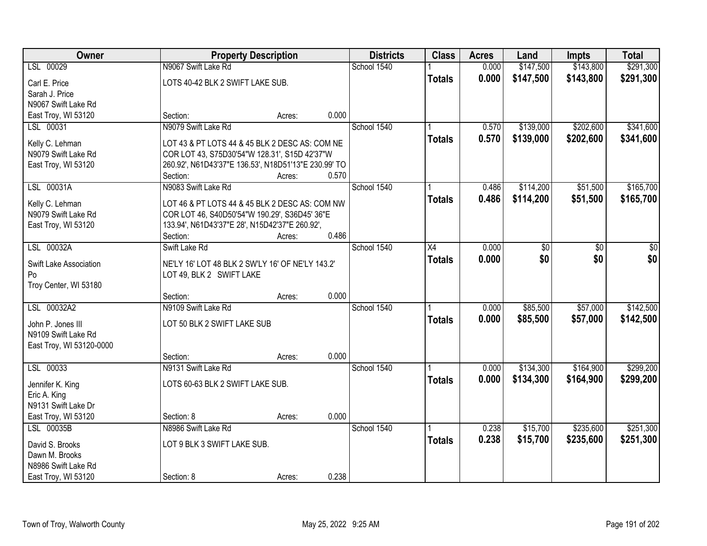| Owner                    | <b>Property Description</b>                          |       | <b>Districts</b> | <b>Class</b>  | <b>Acres</b> | Land      | <b>Impts</b> | <b>Total</b> |
|--------------------------|------------------------------------------------------|-------|------------------|---------------|--------------|-----------|--------------|--------------|
| LSL 00029                | N9067 Swift Lake Rd                                  |       | School 1540      |               | 0.000        | \$147,500 | \$143,800    | \$291,300    |
| Carl E. Price            | LOTS 40-42 BLK 2 SWIFT LAKE SUB.                     |       |                  | <b>Totals</b> | 0.000        | \$147,500 | \$143,800    | \$291,300    |
| Sarah J. Price           |                                                      |       |                  |               |              |           |              |              |
| N9067 Swift Lake Rd      |                                                      |       |                  |               |              |           |              |              |
| East Troy, WI 53120      | Section:<br>Acres:                                   | 0.000 |                  |               |              |           |              |              |
| LSL 00031                | N9079 Swift Lake Rd                                  |       | School 1540      |               | 0.570        | \$139,000 | \$202,600    | \$341,600    |
| Kelly C. Lehman          | LOT 43 & PT LOTS 44 & 45 BLK 2 DESC AS: COM NE       |       |                  | <b>Totals</b> | 0.570        | \$139,000 | \$202,600    | \$341,600    |
| N9079 Swift Lake Rd      | COR LOT 43, S75D30'54"W 128.31', S15D 42'37"W        |       |                  |               |              |           |              |              |
| East Troy, WI 53120      | 260.92', N61D43'37"E 136.53', N18D51'13"E 230.99' TO |       |                  |               |              |           |              |              |
|                          | Section:<br>Acres:                                   | 0.570 |                  |               |              |           |              |              |
| LSL 00031A               | N9083 Swift Lake Rd                                  |       | School 1540      |               | 0.486        | \$114,200 | \$51,500     | \$165,700    |
| Kelly C. Lehman          | LOT 46 & PT LOTS 44 & 45 BLK 2 DESC AS: COM NW       |       |                  | <b>Totals</b> | 0.486        | \$114,200 | \$51,500     | \$165,700    |
| N9079 Swift Lake Rd      | COR LOT 46, S40D50'54"W 190.29', S36D45' 36"E        |       |                  |               |              |           |              |              |
| East Troy, WI 53120      | 133.94', N61D43'37"E 28', N15D42'37"E 260.92',       |       |                  |               |              |           |              |              |
|                          | Section:<br>Acres:                                   | 0.486 |                  |               |              |           |              |              |
| LSL 00032A               | Swift Lake Rd                                        |       | School 1540      | X4            | 0.000        | \$0       | \$0          | \$0          |
| Swift Lake Association   | NE'LY 16' LOT 48 BLK 2 SW'LY 16' OF NE'LY 143.2'     |       |                  | <b>Totals</b> | 0.000        | \$0       | \$0          | \$0          |
| Po                       | LOT 49, BLK 2 SWIFT LAKE                             |       |                  |               |              |           |              |              |
| Troy Center, WI 53180    |                                                      |       |                  |               |              |           |              |              |
|                          | Section:<br>Acres:                                   | 0.000 |                  |               |              |           |              |              |
| LSL 00032A2              | N9109 Swift Lake Rd                                  |       | School 1540      |               | 0.000        | \$85,500  | \$57,000     | \$142,500    |
| John P. Jones III        | LOT 50 BLK 2 SWIFT LAKE SUB                          |       |                  | <b>Totals</b> | 0.000        | \$85,500  | \$57,000     | \$142,500    |
| N9109 Swift Lake Rd      |                                                      |       |                  |               |              |           |              |              |
| East Troy, WI 53120-0000 |                                                      |       |                  |               |              |           |              |              |
|                          | Section:<br>Acres:                                   | 0.000 |                  |               |              |           |              |              |
| LSL 00033                | N9131 Swift Lake Rd                                  |       | School 1540      |               | 0.000        | \$134,300 | \$164,900    | \$299,200    |
| Jennifer K. King         | LOTS 60-63 BLK 2 SWIFT LAKE SUB.                     |       |                  | <b>Totals</b> | 0.000        | \$134,300 | \$164,900    | \$299,200    |
| Eric A. King             |                                                      |       |                  |               |              |           |              |              |
| N9131 Swift Lake Dr      |                                                      |       |                  |               |              |           |              |              |
| East Troy, WI 53120      | Section: 8<br>Acres:                                 | 0.000 |                  |               |              |           |              |              |
| LSL 00035B               | N8986 Swift Lake Rd                                  |       | School 1540      |               | 0.238        | \$15,700  | \$235,600    | \$251,300    |
| David S. Brooks          | LOT 9 BLK 3 SWIFT LAKE SUB.                          |       |                  | <b>Totals</b> | 0.238        | \$15,700  | \$235,600    | \$251,300    |
| Dawn M. Brooks           |                                                      |       |                  |               |              |           |              |              |
| N8986 Swift Lake Rd      |                                                      |       |                  |               |              |           |              |              |
| East Troy, WI 53120      | Section: 8<br>Acres:                                 | 0.238 |                  |               |              |           |              |              |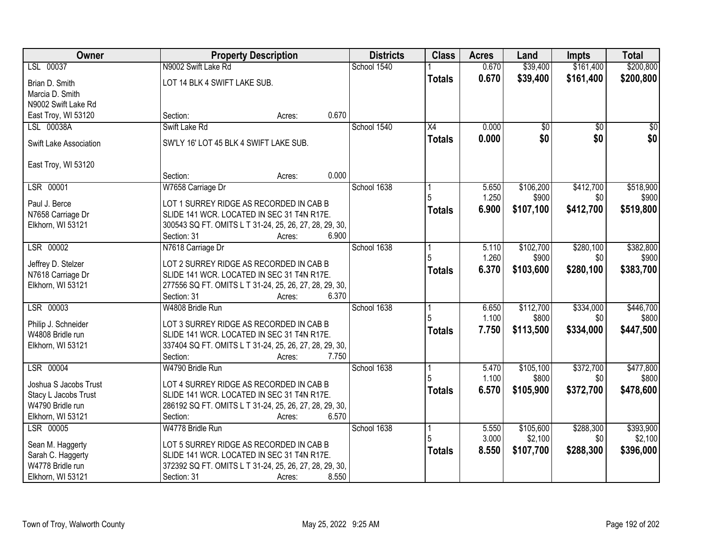| Owner                  | <b>Property Description</b>                                                 | <b>Districts</b> | <b>Class</b>  | <b>Acres</b>   | Land            | <b>Impts</b>    | <b>Total</b> |
|------------------------|-----------------------------------------------------------------------------|------------------|---------------|----------------|-----------------|-----------------|--------------|
| LSL 00037              | N9002 Swift Lake Rd                                                         | School 1540      |               | 0.670          | \$39,400        | \$161,400       | \$200,800    |
| Brian D. Smith         | LOT 14 BLK 4 SWIFT LAKE SUB.                                                |                  | <b>Totals</b> | 0.670          | \$39,400        | \$161,400       | \$200,800    |
| Marcia D. Smith        |                                                                             |                  |               |                |                 |                 |              |
| N9002 Swift Lake Rd    |                                                                             |                  |               |                |                 |                 |              |
| East Troy, WI 53120    | 0.670<br>Section:<br>Acres:                                                 |                  |               |                |                 |                 |              |
| LSL 00038A             | Swift Lake Rd                                                               | School 1540      | X4            | 0.000          | $\overline{50}$ | $\overline{30}$ | $\sqrt{50}$  |
|                        |                                                                             |                  | <b>Totals</b> | 0.000          | \$0             | \$0             | \$0          |
| Swift Lake Association | SW'LY 16' LOT 45 BLK 4 SWIFT LAKE SUB.                                      |                  |               |                |                 |                 |              |
| East Troy, WI 53120    |                                                                             |                  |               |                |                 |                 |              |
|                        | 0.000<br>Section:<br>Acres:                                                 |                  |               |                |                 |                 |              |
| LSR 00001              | W7658 Carriage Dr                                                           | School 1638      |               | 5.650          | \$106,200       | \$412,700       | \$518,900    |
|                        |                                                                             |                  |               | 1.250          | \$900           | \$0             | \$900        |
| Paul J. Berce          | LOT 1 SURREY RIDGE AS RECORDED IN CAB B                                     |                  | <b>Totals</b> | 6.900          | \$107,100       | \$412,700       | \$519,800    |
| N7658 Carriage Dr      | SLIDE 141 WCR. LOCATED IN SEC 31 T4N R17E.                                  |                  |               |                |                 |                 |              |
| Elkhorn, WI 53121      | 300543 SQ FT. OMITS L T 31-24, 25, 26, 27, 28, 29, 30,                      |                  |               |                |                 |                 |              |
|                        | 6.900<br>Section: 31<br>Acres:                                              |                  |               |                |                 |                 |              |
| LSR 00002              | N7618 Carriage Dr                                                           | School 1638      |               | 5.110          | \$102,700       | \$280,100       | \$382,800    |
| Jeffrey D. Stelzer     | LOT 2 SURREY RIDGE AS RECORDED IN CAB B                                     |                  | 5             | 1.260          | \$900           | \$0             | \$900        |
| N7618 Carriage Dr      | SLIDE 141 WCR. LOCATED IN SEC 31 T4N R17E.                                  |                  | <b>Totals</b> | 6.370          | \$103,600       | \$280,100       | \$383,700    |
| Elkhorn, WI 53121      | 277556 SQ FT. OMITS L T 31-24, 25, 26, 27, 28, 29, 30,                      |                  |               |                |                 |                 |              |
|                        | 6.370<br>Section: 31<br>Acres:                                              |                  |               |                |                 |                 |              |
| LSR 00003              | W4808 Bridle Run                                                            | School 1638      |               | 6.650          | \$112,700       | \$334,000       | \$446,700    |
|                        |                                                                             |                  | 5             | 1.100          | \$800           | \$0             | \$800        |
| Philip J. Schneider    | LOT 3 SURREY RIDGE AS RECORDED IN CAB B                                     |                  | <b>Totals</b> | 7.750          | \$113,500       | \$334,000       | \$447,500    |
| W4808 Bridle run       | SLIDE 141 WCR. LOCATED IN SEC 31 T4N R17E.                                  |                  |               |                |                 |                 |              |
| Elkhorn, WI 53121      | 337404 SQ FT. OMITS L T 31-24, 25, 26, 27, 28, 29, 30,<br>Section:<br>7.750 |                  |               |                |                 |                 |              |
| LSR 00004              | Acres:<br>W4790 Bridle Run                                                  | School 1638      |               |                | \$105,100       | \$372,700       | \$477,800    |
|                        |                                                                             |                  |               | 5.470<br>1.100 | \$800           | \$0             | \$800        |
| Joshua S Jacobs Trust  | LOT 4 SURREY RIDGE AS RECORDED IN CAB B                                     |                  |               |                |                 |                 |              |
| Stacy L Jacobs Trust   | SLIDE 141 WCR. LOCATED IN SEC 31 T4N R17E.                                  |                  | <b>Totals</b> | 6.570          | \$105,900       | \$372,700       | \$478,600    |
| W4790 Bridle run       | 286192 SQ FT. OMITS L T 31-24, 25, 26, 27, 28, 29, 30,                      |                  |               |                |                 |                 |              |
| Elkhorn, WI 53121      | 6.570<br>Section:<br>Acres:                                                 |                  |               |                |                 |                 |              |
| LSR 00005              | W4778 Bridle Run                                                            | School 1638      | 1             | 5.550          | \$105,600       | \$288,300       | \$393,900    |
| Sean M. Haggerty       | LOT 5 SURREY RIDGE AS RECORDED IN CAB B                                     |                  |               | 3.000          | \$2,100         | \$0             | \$2,100      |
| Sarah C. Haggerty      | SLIDE 141 WCR. LOCATED IN SEC 31 T4N R17E.                                  |                  | <b>Totals</b> | 8.550          | \$107,700       | \$288,300       | \$396,000    |
| W4778 Bridle run       | 372392 SQ FT. OMITS L T 31-24, 25, 26, 27, 28, 29, 30,                      |                  |               |                |                 |                 |              |
| Elkhorn, WI 53121      | 8.550<br>Section: 31<br>Acres:                                              |                  |               |                |                 |                 |              |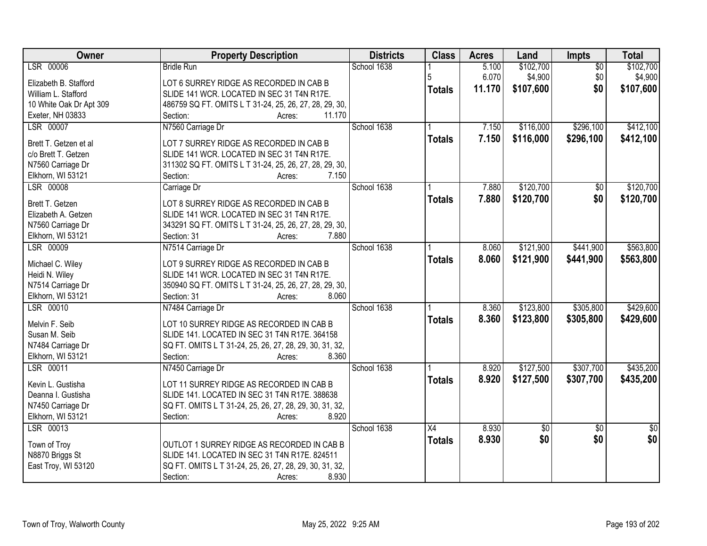| Owner                                        | <b>Property Description</b>                                                           | <b>Districts</b> | <b>Class</b>    | <b>Acres</b> | Land        | <b>Impts</b>    | <b>Total</b>    |
|----------------------------------------------|---------------------------------------------------------------------------------------|------------------|-----------------|--------------|-------------|-----------------|-----------------|
| LSR 00006                                    | <b>Bridle Run</b>                                                                     | School 1638      |                 | 5.100        | \$102,700   | $\overline{50}$ | \$102,700       |
| Elizabeth B. Stafford                        | LOT 6 SURREY RIDGE AS RECORDED IN CAB B                                               |                  | 5               | 6.070        | \$4,900     | \$0             | \$4,900         |
| William L. Stafford                          | SLIDE 141 WCR. LOCATED IN SEC 31 T4N R17E.                                            |                  | <b>Totals</b>   | 11.170       | \$107,600   | \$0             | \$107,600       |
| 10 White Oak Dr Apt 309                      | 486759 SQ FT. OMITS L T 31-24, 25, 26, 27, 28, 29, 30,                                |                  |                 |              |             |                 |                 |
| Exeter, NH 03833                             | 11.170<br>Section:<br>Acres:                                                          |                  |                 |              |             |                 |                 |
| LSR 00007                                    | N7560 Carriage Dr                                                                     | School 1638      |                 | 7.150        | \$116,000   | \$296,100       | \$412,100       |
|                                              |                                                                                       |                  | <b>Totals</b>   | 7.150        | \$116,000   | \$296,100       | \$412,100       |
| Brett T. Getzen et al<br>c/o Brett T. Getzen | LOT 7 SURREY RIDGE AS RECORDED IN CAB B<br>SLIDE 141 WCR. LOCATED IN SEC 31 T4N R17E. |                  |                 |              |             |                 |                 |
| N7560 Carriage Dr                            | 311302 SQ FT. OMITS L T 31-24, 25, 26, 27, 28, 29, 30,                                |                  |                 |              |             |                 |                 |
| Elkhorn, WI 53121                            | Section:<br>7.150<br>Acres:                                                           |                  |                 |              |             |                 |                 |
| LSR 00008                                    | Carriage Dr                                                                           | School 1638      |                 | 7.880        | \$120,700   | \$0             | \$120,700       |
|                                              |                                                                                       |                  |                 | 7.880        |             | \$0             |                 |
| Brett T. Getzen                              | LOT 8 SURREY RIDGE AS RECORDED IN CAB B                                               |                  | <b>Totals</b>   |              | \$120,700   |                 | \$120,700       |
| Elizabeth A. Getzen                          | SLIDE 141 WCR. LOCATED IN SEC 31 T4N R17E.                                            |                  |                 |              |             |                 |                 |
| N7560 Carriage Dr                            | 343291 SQ FT. OMITS L T 31-24, 25, 26, 27, 28, 29, 30,                                |                  |                 |              |             |                 |                 |
| Elkhorn, WI 53121                            | 7.880<br>Section: 31<br>Acres:                                                        |                  |                 |              |             |                 |                 |
| LSR 00009                                    | N7514 Carriage Dr                                                                     | School 1638      |                 | 8.060        | \$121,900   | \$441,900       | \$563,800       |
| Michael C. Wiley                             | LOT 9 SURREY RIDGE AS RECORDED IN CAB B                                               |                  | <b>Totals</b>   | 8.060        | \$121,900   | \$441,900       | \$563,800       |
| Heidi N. Wiley                               | SLIDE 141 WCR. LOCATED IN SEC 31 T4N R17E.                                            |                  |                 |              |             |                 |                 |
| N7514 Carriage Dr                            | 350940 SQ FT. OMITS L T 31-24, 25, 26, 27, 28, 29, 30,                                |                  |                 |              |             |                 |                 |
| Elkhorn, WI 53121                            | 8.060<br>Section: 31<br>Acres:                                                        |                  |                 |              |             |                 |                 |
| LSR 00010                                    | N7484 Carriage Dr                                                                     | School 1638      |                 | 8.360        | \$123,800   | \$305,800       | \$429,600       |
|                                              |                                                                                       |                  | <b>Totals</b>   | 8.360        | \$123,800   | \$305,800       | \$429,600       |
| Melvin F. Seib                               | LOT 10 SURREY RIDGE AS RECORDED IN CAB B                                              |                  |                 |              |             |                 |                 |
| Susan M. Seib                                | SLIDE 141. LOCATED IN SEC 31 T4N R17E. 364158                                         |                  |                 |              |             |                 |                 |
| N7484 Carriage Dr                            | SQ FT. OMITS L T 31-24, 25, 26, 27, 28, 29, 30, 31, 32,                               |                  |                 |              |             |                 |                 |
| Elkhorn, WI 53121                            | 8.360<br>Section:<br>Acres:                                                           |                  |                 |              |             |                 |                 |
| LSR 00011                                    | N7450 Carriage Dr                                                                     | School 1638      |                 | 8.920        | \$127,500   | \$307,700       | \$435,200       |
| Kevin L. Gustisha                            | LOT 11 SURREY RIDGE AS RECORDED IN CAB B                                              |                  | <b>Totals</b>   | 8.920        | \$127,500   | \$307,700       | \$435,200       |
| Deanna I. Gustisha                           | SLIDE 141. LOCATED IN SEC 31 T4N R17E. 388638                                         |                  |                 |              |             |                 |                 |
| N7450 Carriage Dr                            | SQ FT. OMITS L T 31-24, 25, 26, 27, 28, 29, 30, 31, 32,                               |                  |                 |              |             |                 |                 |
| Elkhorn, WI 53121                            | 8.920<br>Section:<br>Acres:                                                           |                  |                 |              |             |                 |                 |
| LSR 00013                                    |                                                                                       | School 1638      | $\overline{X4}$ | 8.930        | $\sqrt{$0}$ | $\overline{50}$ | $\overline{50}$ |
|                                              |                                                                                       |                  | <b>Totals</b>   | 8.930        | \$0         | \$0             | \$0             |
| Town of Troy                                 | OUTLOT 1 SURREY RIDGE AS RECORDED IN CAB B                                            |                  |                 |              |             |                 |                 |
| N8870 Briggs St                              | SLIDE 141. LOCATED IN SEC 31 T4N R17E. 824511                                         |                  |                 |              |             |                 |                 |
| East Troy, WI 53120                          | SQ FT. OMITS L T 31-24, 25, 26, 27, 28, 29, 30, 31, 32,                               |                  |                 |              |             |                 |                 |
|                                              | 8.930<br>Section:<br>Acres:                                                           |                  |                 |              |             |                 |                 |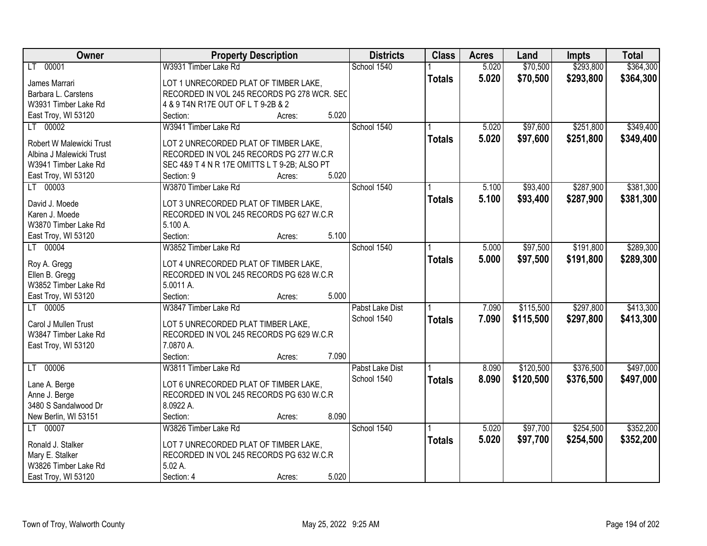| Owner                    | <b>Property Description</b>                  |        |       | <b>Districts</b> | <b>Class</b>  | <b>Acres</b> | Land      | <b>Impts</b> | <b>Total</b> |
|--------------------------|----------------------------------------------|--------|-------|------------------|---------------|--------------|-----------|--------------|--------------|
| LT 00001                 | W3931 Timber Lake Rd                         |        |       | School 1540      |               | 5.020        | \$70,500  | \$293,800    | \$364,300    |
| James Marrari            | LOT 1 UNRECORDED PLAT OF TIMBER LAKE,        |        |       |                  | <b>Totals</b> | 5.020        | \$70,500  | \$293,800    | \$364,300    |
| Barbara L. Carstens      | RECORDED IN VOL 245 RECORDS PG 278 WCR. SEC  |        |       |                  |               |              |           |              |              |
| W3931 Timber Lake Rd     | 4 & 9 T4N R17E OUT OF L T 9-2B & 2           |        |       |                  |               |              |           |              |              |
| East Troy, WI 53120      | Section:                                     | Acres: | 5.020 |                  |               |              |           |              |              |
| LT 00002                 | W3941 Timber Lake Rd                         |        |       | School 1540      |               | 5.020        | \$97,600  | \$251,800    | \$349,400    |
|                          |                                              |        |       |                  | <b>Totals</b> | 5.020        | \$97,600  | \$251,800    | \$349,400    |
| Robert W Malewicki Trust | LOT 2 UNRECORDED PLAT OF TIMBER LAKE,        |        |       |                  |               |              |           |              |              |
| Albina J Malewicki Trust | RECORDED IN VOL 245 RECORDS PG 277 W.C.R     |        |       |                  |               |              |           |              |              |
| W3941 Timber Lake Rd     | SEC 4&9 T 4 N R 17E OMITTS L T 9-2B; ALSO PT |        |       |                  |               |              |           |              |              |
| East Troy, WI 53120      | Section: 9                                   | Acres: | 5.020 |                  |               |              |           |              |              |
| LT 00003                 | W3870 Timber Lake Rd                         |        |       | School 1540      |               | 5.100        | \$93,400  | \$287,900    | \$381,300    |
| David J. Moede           | LOT 3 UNRECORDED PLAT OF TIMBER LAKE,        |        |       |                  | <b>Totals</b> | 5.100        | \$93,400  | \$287,900    | \$381,300    |
| Karen J. Moede           | RECORDED IN VOL 245 RECORDS PG 627 W.C.R     |        |       |                  |               |              |           |              |              |
| W3870 Timber Lake Rd     | 5.100 A.                                     |        |       |                  |               |              |           |              |              |
| East Troy, WI 53120      | Section:                                     | Acres: | 5.100 |                  |               |              |           |              |              |
| LT 00004                 | W3852 Timber Lake Rd                         |        |       | School 1540      |               | 5.000        | \$97,500  | \$191,800    | \$289,300    |
|                          |                                              |        |       |                  | <b>Totals</b> | 5.000        | \$97,500  | \$191,800    | \$289,300    |
| Roy A. Gregg             | LOT 4 UNRECORDED PLAT OF TIMBER LAKE,        |        |       |                  |               |              |           |              |              |
| Ellen B. Gregg           | RECORDED IN VOL 245 RECORDS PG 628 W.C.R     |        |       |                  |               |              |           |              |              |
| W3852 Timber Lake Rd     | 5.0011 A.                                    |        |       |                  |               |              |           |              |              |
| East Troy, WI 53120      | Section:                                     | Acres: | 5.000 |                  |               |              |           |              |              |
| LT 00005                 | W3847 Timber Lake Rd                         |        |       | Pabst Lake Dist  |               | 7.090        | \$115,500 | \$297,800    | \$413,300    |
| Carol J Mullen Trust     | LOT 5 UNRECORDED PLAT TIMBER LAKE,           |        |       | School 1540      | <b>Totals</b> | 7.090        | \$115,500 | \$297,800    | \$413,300    |
| W3847 Timber Lake Rd     | RECORDED IN VOL 245 RECORDS PG 629 W.C.R     |        |       |                  |               |              |           |              |              |
| East Troy, WI 53120      | 7.0870 A.                                    |        |       |                  |               |              |           |              |              |
|                          | Section:                                     | Acres: | 7.090 |                  |               |              |           |              |              |
| LT 00006                 | W3811 Timber Lake Rd                         |        |       | Pabst Lake Dist  |               | 8.090        | \$120,500 | \$376,500    | \$497,000    |
|                          |                                              |        |       | School 1540      | <b>Totals</b> | 8.090        | \$120,500 | \$376,500    | \$497,000    |
| Lane A. Berge            | LOT 6 UNRECORDED PLAT OF TIMBER LAKE,        |        |       |                  |               |              |           |              |              |
| Anne J. Berge            | RECORDED IN VOL 245 RECORDS PG 630 W.C.R     |        |       |                  |               |              |           |              |              |
| 3480 S Sandalwood Dr     | 8.0922 A.                                    |        |       |                  |               |              |           |              |              |
| New Berlin, WI 53151     | Section:                                     | Acres: | 8.090 |                  |               |              |           |              |              |
| LT 00007                 | W3826 Timber Lake Rd                         |        |       | School 1540      |               | 5.020        | \$97,700  | \$254,500    | \$352,200    |
| Ronald J. Stalker        | LOT 7 UNRECORDED PLAT OF TIMBER LAKE,        |        |       |                  | <b>Totals</b> | 5.020        | \$97,700  | \$254,500    | \$352,200    |
| Mary E. Stalker          | RECORDED IN VOL 245 RECORDS PG 632 W.C.R     |        |       |                  |               |              |           |              |              |
| W3826 Timber Lake Rd     | 5.02 A.                                      |        |       |                  |               |              |           |              |              |
| East Troy, WI 53120      | Section: 4                                   | Acres: | 5.020 |                  |               |              |           |              |              |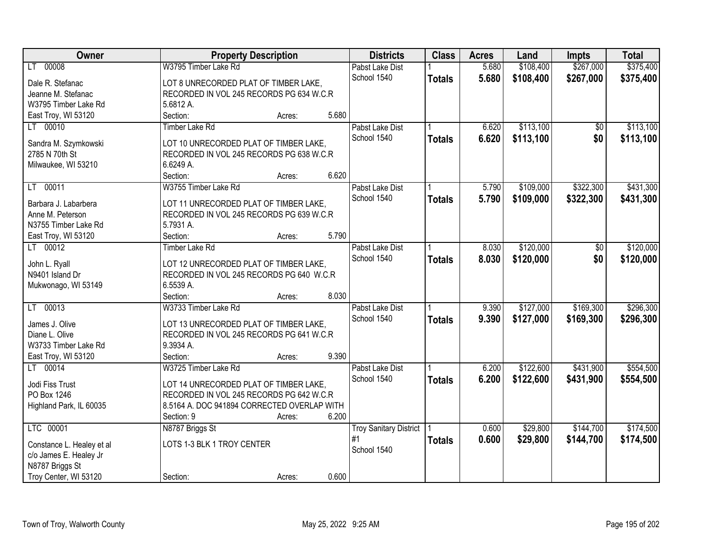| Owner                     | <b>Property Description</b>                 |        |       | <b>Districts</b>              | <b>Class</b>  | <b>Acres</b> | Land      | <b>Impts</b>   | <b>Total</b> |
|---------------------------|---------------------------------------------|--------|-------|-------------------------------|---------------|--------------|-----------|----------------|--------------|
| LT 00008                  | W3795 Timber Lake Rd                        |        |       | Pabst Lake Dist               |               | 5.680        | \$108,400 | \$267,000      | \$375,400    |
| Dale R. Stefanac          | LOT 8 UNRECORDED PLAT OF TIMBER LAKE,       |        |       | School 1540                   | <b>Totals</b> | 5.680        | \$108,400 | \$267,000      | \$375,400    |
| Jeanne M. Stefanac        | RECORDED IN VOL 245 RECORDS PG 634 W.C.R    |        |       |                               |               |              |           |                |              |
| W3795 Timber Lake Rd      | 5.6812 A.                                   |        |       |                               |               |              |           |                |              |
| East Troy, WI 53120       | Section:                                    | Acres: | 5.680 |                               |               |              |           |                |              |
| LT 00010                  | <b>Timber Lake Rd</b>                       |        |       | Pabst Lake Dist               |               | 6.620        | \$113,100 | \$0            | \$113,100    |
|                           |                                             |        |       | School 1540                   | <b>Totals</b> | 6.620        | \$113,100 | \$0            | \$113,100    |
| Sandra M. Szymkowski      | LOT 10 UNRECORDED PLAT OF TIMBER LAKE,      |        |       |                               |               |              |           |                |              |
| 2785 N 70th St            | RECORDED IN VOL 245 RECORDS PG 638 W.C.R    |        |       |                               |               |              |           |                |              |
| Milwaukee, WI 53210       | 6.6249 A.                                   |        |       |                               |               |              |           |                |              |
|                           | Section:                                    | Acres: | 6.620 |                               |               |              |           |                |              |
| LT 00011                  | W3755 Timber Lake Rd                        |        |       | Pabst Lake Dist               |               | 5.790        | \$109,000 | \$322,300      | \$431,300    |
| Barbara J. Labarbera      | LOT 11 UNRECORDED PLAT OF TIMBER LAKE,      |        |       | School 1540                   | <b>Totals</b> | 5.790        | \$109,000 | \$322,300      | \$431,300    |
| Anne M. Peterson          | RECORDED IN VOL 245 RECORDS PG 639 W.C.R    |        |       |                               |               |              |           |                |              |
| N3755 Timber Lake Rd      | 5.7931 A.                                   |        |       |                               |               |              |           |                |              |
| East Troy, WI 53120       | Section:                                    | Acres: | 5.790 |                               |               |              |           |                |              |
| LT 00012                  | <b>Timber Lake Rd</b>                       |        |       | Pabst Lake Dist               |               | 8.030        | \$120,000 | $\frac{1}{20}$ | \$120,000    |
|                           |                                             |        |       | School 1540                   | <b>Totals</b> | 8.030        | \$120,000 | \$0            | \$120,000    |
| John L. Ryall             | LOT 12 UNRECORDED PLAT OF TIMBER LAKE,      |        |       |                               |               |              |           |                |              |
| N9401 Island Dr           | RECORDED IN VOL 245 RECORDS PG 640 W.C.R    |        |       |                               |               |              |           |                |              |
| Mukwonago, WI 53149       | 6.5539 A.                                   |        |       |                               |               |              |           |                |              |
|                           | Section:                                    | Acres: | 8.030 |                               |               |              |           |                |              |
| 00013<br>LT –             | W3733 Timber Lake Rd                        |        |       | Pabst Lake Dist               |               | 9.390        | \$127,000 | \$169,300      | \$296,300    |
| James J. Olive            | LOT 13 UNRECORDED PLAT OF TIMBER LAKE,      |        |       | School 1540                   | <b>Totals</b> | 9.390        | \$127,000 | \$169,300      | \$296,300    |
| Diane L. Olive            | RECORDED IN VOL 245 RECORDS PG 641 W.C.R    |        |       |                               |               |              |           |                |              |
| W3733 Timber Lake Rd      | 9.3934 A.                                   |        |       |                               |               |              |           |                |              |
| East Troy, WI 53120       | Section:                                    | Acres: | 9.390 |                               |               |              |           |                |              |
| LT 00014                  | W3725 Timber Lake Rd                        |        |       | Pabst Lake Dist               |               | 6.200        | \$122,600 | \$431,900      | \$554,500    |
|                           |                                             |        |       | School 1540                   |               | 6.200        | \$122,600 | \$431,900      |              |
| Jodi Fiss Trust           | LOT 14 UNRECORDED PLAT OF TIMBER LAKE,      |        |       |                               | <b>Totals</b> |              |           |                | \$554,500    |
| PO Box 1246               | RECORDED IN VOL 245 RECORDS PG 642 W.C.R    |        |       |                               |               |              |           |                |              |
| Highland Park, IL 60035   | 8.5164 A. DOC 941894 CORRECTED OVERLAP WITH |        |       |                               |               |              |           |                |              |
|                           | Section: 9                                  | Acres: | 6.200 |                               |               |              |           |                |              |
| LTC 00001                 | N8787 Briggs St                             |        |       | <b>Troy Sanitary District</b> |               | 0.600        | \$29,800  | \$144,700      | \$174,500    |
| Constance L. Healey et al | LOTS 1-3 BLK 1 TROY CENTER                  |        |       | #1                            | <b>Totals</b> | 0.600        | \$29,800  | \$144,700      | \$174,500    |
| c/o James E. Healey Jr    |                                             |        |       | School 1540                   |               |              |           |                |              |
| N8787 Briggs St           |                                             |        |       |                               |               |              |           |                |              |
|                           |                                             |        | 0.600 |                               |               |              |           |                |              |
| Troy Center, WI 53120     | Section:                                    | Acres: |       |                               |               |              |           |                |              |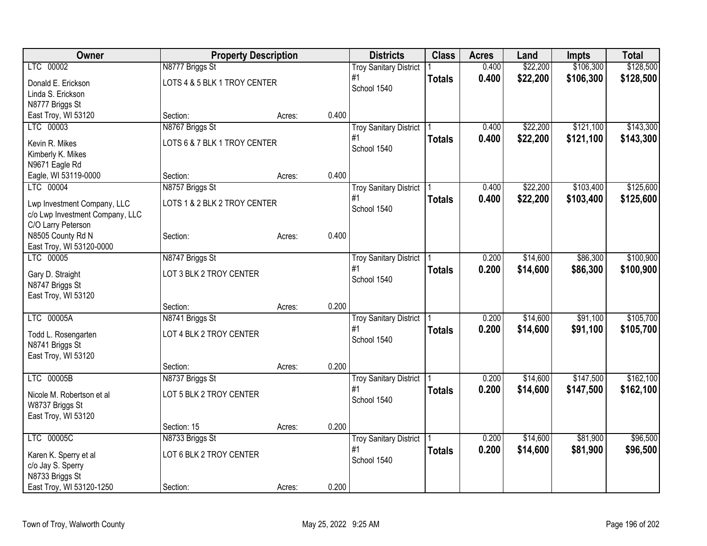| LTC 00002<br>\$22,200<br>\$106,300<br>\$128,500<br>N8777 Briggs St<br>0.400<br><b>Troy Sanitary District</b><br>\$22,200<br>0.400<br>\$106,300<br>\$128,500<br>#1<br><b>Totals</b><br>LOTS 4 & 5 BLK 1 TROY CENTER<br>Donald E. Erickson<br>School 1540<br>Linda S. Erickson<br>N8777 Briggs St<br>0.400<br>East Troy, WI 53120<br>Section:<br>Acres:<br>LTC 00003<br>N8767 Briggs St<br>\$22,200<br>\$121,100<br>\$143,300<br>0.400<br><b>Troy Sanitary District</b><br>0.400<br>\$22,200<br>\$121,100<br>#1<br>\$143,300<br><b>Totals</b><br>LOTS 6 & 7 BLK 1 TROY CENTER<br>Kevin R. Mikes<br>School 1540<br>Kimberly K. Mikes<br>N9671 Eagle Rd<br>0.400<br>Eagle, WI 53119-0000<br>Section:<br>Acres:<br>LTC 00004<br>\$22,200<br>\$103,400<br>\$125,600<br>N8757 Briggs St<br>0.400<br><b>Troy Sanitary District</b><br>#1<br>0.400<br>\$22,200<br>\$103,400<br>\$125,600<br><b>Totals</b><br>LOTS 1 & 2 BLK 2 TROY CENTER<br>Lwp Investment Company, LLC<br>School 1540<br>c/o Lwp Investment Company, LLC<br>C/O Larry Peterson<br>0.400<br>N8505 County Rd N<br>Section:<br>Acres:<br>East Troy, WI 53120-0000<br>LTC 00005<br>N8747 Briggs St<br>\$14,600<br>\$86,300<br>\$100,900<br>0.200<br><b>Troy Sanitary District</b><br>#1<br>0.200<br>\$14,600<br>\$86,300<br>\$100,900<br><b>Totals</b><br>LOT 3 BLK 2 TROY CENTER<br>Gary D. Straight<br>School 1540<br>N8747 Briggs St<br>East Troy, WI 53120<br>0.200<br>Section:<br>Acres:<br>LTC 00005A<br>\$14,600<br>\$91,100<br>\$105,700<br>N8741 Briggs St<br>0.200<br><b>Troy Sanitary District</b><br>0.200<br>#1<br>\$14,600<br>\$91,100<br>\$105,700<br><b>Totals</b><br>LOT 4 BLK 2 TROY CENTER<br>Todd L. Rosengarten<br>School 1540<br>N8741 Briggs St<br>East Troy, WI 53120<br>0.200<br>Section:<br>Acres:<br>LTC 00005B<br>N8737 Briggs St<br>\$14,600<br>\$147,500<br><b>Troy Sanitary District</b><br>0.200<br>#1<br>0.200<br>\$14,600<br>\$147,500<br>\$162,100<br><b>Totals</b><br>LOT 5 BLK 2 TROY CENTER<br>Nicole M. Robertson et al<br>School 1540<br>W8737 Briggs St<br>East Troy, WI 53120<br>0.200<br>Section: 15<br>Acres:<br>LTC 00005C<br>\$14,600<br>\$81,900<br>\$96,500<br>N8733 Briggs St<br>0.200<br><b>Troy Sanitary District</b><br>#1<br>0.200<br>\$14,600<br><b>Totals</b><br>\$81,900<br>\$96,500<br>LOT 6 BLK 2 TROY CENTER<br>Karen K. Sperry et al<br>School 1540<br>c/o Jay S. Sperry<br>N8733 Briggs St | Owner                    | <b>Property Description</b> |       | <b>Districts</b> | <b>Class</b> | <b>Acres</b> | Land | Impts | <b>Total</b> |
|--------------------------------------------------------------------------------------------------------------------------------------------------------------------------------------------------------------------------------------------------------------------------------------------------------------------------------------------------------------------------------------------------------------------------------------------------------------------------------------------------------------------------------------------------------------------------------------------------------------------------------------------------------------------------------------------------------------------------------------------------------------------------------------------------------------------------------------------------------------------------------------------------------------------------------------------------------------------------------------------------------------------------------------------------------------------------------------------------------------------------------------------------------------------------------------------------------------------------------------------------------------------------------------------------------------------------------------------------------------------------------------------------------------------------------------------------------------------------------------------------------------------------------------------------------------------------------------------------------------------------------------------------------------------------------------------------------------------------------------------------------------------------------------------------------------------------------------------------------------------------------------------------------------------------------------------------------------------------------------------------------------------------------------------------------------------------------------------------------------------------------------------------------------------------------------------------------------------------------------------------------------------------------------------------------------------------------------------------------------------------------------------------------------|--------------------------|-----------------------------|-------|------------------|--------------|--------------|------|-------|--------------|
|                                                                                                                                                                                                                                                                                                                                                                                                                                                                                                                                                                                                                                                                                                                                                                                                                                                                                                                                                                                                                                                                                                                                                                                                                                                                                                                                                                                                                                                                                                                                                                                                                                                                                                                                                                                                                                                                                                                                                                                                                                                                                                                                                                                                                                                                                                                                                                                                              |                          |                             |       |                  |              |              |      |       |              |
|                                                                                                                                                                                                                                                                                                                                                                                                                                                                                                                                                                                                                                                                                                                                                                                                                                                                                                                                                                                                                                                                                                                                                                                                                                                                                                                                                                                                                                                                                                                                                                                                                                                                                                                                                                                                                                                                                                                                                                                                                                                                                                                                                                                                                                                                                                                                                                                                              |                          |                             |       |                  |              |              |      |       |              |
|                                                                                                                                                                                                                                                                                                                                                                                                                                                                                                                                                                                                                                                                                                                                                                                                                                                                                                                                                                                                                                                                                                                                                                                                                                                                                                                                                                                                                                                                                                                                                                                                                                                                                                                                                                                                                                                                                                                                                                                                                                                                                                                                                                                                                                                                                                                                                                                                              |                          |                             |       |                  |              |              |      |       |              |
|                                                                                                                                                                                                                                                                                                                                                                                                                                                                                                                                                                                                                                                                                                                                                                                                                                                                                                                                                                                                                                                                                                                                                                                                                                                                                                                                                                                                                                                                                                                                                                                                                                                                                                                                                                                                                                                                                                                                                                                                                                                                                                                                                                                                                                                                                                                                                                                                              |                          |                             |       |                  |              |              |      |       |              |
|                                                                                                                                                                                                                                                                                                                                                                                                                                                                                                                                                                                                                                                                                                                                                                                                                                                                                                                                                                                                                                                                                                                                                                                                                                                                                                                                                                                                                                                                                                                                                                                                                                                                                                                                                                                                                                                                                                                                                                                                                                                                                                                                                                                                                                                                                                                                                                                                              |                          |                             |       |                  |              |              |      |       |              |
|                                                                                                                                                                                                                                                                                                                                                                                                                                                                                                                                                                                                                                                                                                                                                                                                                                                                                                                                                                                                                                                                                                                                                                                                                                                                                                                                                                                                                                                                                                                                                                                                                                                                                                                                                                                                                                                                                                                                                                                                                                                                                                                                                                                                                                                                                                                                                                                                              |                          |                             |       |                  |              |              |      |       |              |
|                                                                                                                                                                                                                                                                                                                                                                                                                                                                                                                                                                                                                                                                                                                                                                                                                                                                                                                                                                                                                                                                                                                                                                                                                                                                                                                                                                                                                                                                                                                                                                                                                                                                                                                                                                                                                                                                                                                                                                                                                                                                                                                                                                                                                                                                                                                                                                                                              |                          |                             |       |                  |              |              |      |       |              |
|                                                                                                                                                                                                                                                                                                                                                                                                                                                                                                                                                                                                                                                                                                                                                                                                                                                                                                                                                                                                                                                                                                                                                                                                                                                                                                                                                                                                                                                                                                                                                                                                                                                                                                                                                                                                                                                                                                                                                                                                                                                                                                                                                                                                                                                                                                                                                                                                              |                          |                             |       |                  |              |              |      |       |              |
|                                                                                                                                                                                                                                                                                                                                                                                                                                                                                                                                                                                                                                                                                                                                                                                                                                                                                                                                                                                                                                                                                                                                                                                                                                                                                                                                                                                                                                                                                                                                                                                                                                                                                                                                                                                                                                                                                                                                                                                                                                                                                                                                                                                                                                                                                                                                                                                                              |                          |                             |       |                  |              |              |      |       |              |
|                                                                                                                                                                                                                                                                                                                                                                                                                                                                                                                                                                                                                                                                                                                                                                                                                                                                                                                                                                                                                                                                                                                                                                                                                                                                                                                                                                                                                                                                                                                                                                                                                                                                                                                                                                                                                                                                                                                                                                                                                                                                                                                                                                                                                                                                                                                                                                                                              |                          |                             |       |                  |              |              |      |       |              |
|                                                                                                                                                                                                                                                                                                                                                                                                                                                                                                                                                                                                                                                                                                                                                                                                                                                                                                                                                                                                                                                                                                                                                                                                                                                                                                                                                                                                                                                                                                                                                                                                                                                                                                                                                                                                                                                                                                                                                                                                                                                                                                                                                                                                                                                                                                                                                                                                              |                          |                             |       |                  |              |              |      |       |              |
|                                                                                                                                                                                                                                                                                                                                                                                                                                                                                                                                                                                                                                                                                                                                                                                                                                                                                                                                                                                                                                                                                                                                                                                                                                                                                                                                                                                                                                                                                                                                                                                                                                                                                                                                                                                                                                                                                                                                                                                                                                                                                                                                                                                                                                                                                                                                                                                                              |                          |                             |       |                  |              |              |      |       |              |
|                                                                                                                                                                                                                                                                                                                                                                                                                                                                                                                                                                                                                                                                                                                                                                                                                                                                                                                                                                                                                                                                                                                                                                                                                                                                                                                                                                                                                                                                                                                                                                                                                                                                                                                                                                                                                                                                                                                                                                                                                                                                                                                                                                                                                                                                                                                                                                                                              |                          |                             |       |                  |              |              |      |       |              |
|                                                                                                                                                                                                                                                                                                                                                                                                                                                                                                                                                                                                                                                                                                                                                                                                                                                                                                                                                                                                                                                                                                                                                                                                                                                                                                                                                                                                                                                                                                                                                                                                                                                                                                                                                                                                                                                                                                                                                                                                                                                                                                                                                                                                                                                                                                                                                                                                              |                          |                             |       |                  |              |              |      |       |              |
|                                                                                                                                                                                                                                                                                                                                                                                                                                                                                                                                                                                                                                                                                                                                                                                                                                                                                                                                                                                                                                                                                                                                                                                                                                                                                                                                                                                                                                                                                                                                                                                                                                                                                                                                                                                                                                                                                                                                                                                                                                                                                                                                                                                                                                                                                                                                                                                                              |                          |                             |       |                  |              |              |      |       |              |
|                                                                                                                                                                                                                                                                                                                                                                                                                                                                                                                                                                                                                                                                                                                                                                                                                                                                                                                                                                                                                                                                                                                                                                                                                                                                                                                                                                                                                                                                                                                                                                                                                                                                                                                                                                                                                                                                                                                                                                                                                                                                                                                                                                                                                                                                                                                                                                                                              |                          |                             |       |                  |              |              |      |       |              |
|                                                                                                                                                                                                                                                                                                                                                                                                                                                                                                                                                                                                                                                                                                                                                                                                                                                                                                                                                                                                                                                                                                                                                                                                                                                                                                                                                                                                                                                                                                                                                                                                                                                                                                                                                                                                                                                                                                                                                                                                                                                                                                                                                                                                                                                                                                                                                                                                              |                          |                             |       |                  |              |              |      |       |              |
|                                                                                                                                                                                                                                                                                                                                                                                                                                                                                                                                                                                                                                                                                                                                                                                                                                                                                                                                                                                                                                                                                                                                                                                                                                                                                                                                                                                                                                                                                                                                                                                                                                                                                                                                                                                                                                                                                                                                                                                                                                                                                                                                                                                                                                                                                                                                                                                                              |                          |                             |       |                  |              |              |      |       |              |
|                                                                                                                                                                                                                                                                                                                                                                                                                                                                                                                                                                                                                                                                                                                                                                                                                                                                                                                                                                                                                                                                                                                                                                                                                                                                                                                                                                                                                                                                                                                                                                                                                                                                                                                                                                                                                                                                                                                                                                                                                                                                                                                                                                                                                                                                                                                                                                                                              |                          |                             |       |                  |              |              |      |       |              |
|                                                                                                                                                                                                                                                                                                                                                                                                                                                                                                                                                                                                                                                                                                                                                                                                                                                                                                                                                                                                                                                                                                                                                                                                                                                                                                                                                                                                                                                                                                                                                                                                                                                                                                                                                                                                                                                                                                                                                                                                                                                                                                                                                                                                                                                                                                                                                                                                              |                          |                             |       |                  |              |              |      |       |              |
|                                                                                                                                                                                                                                                                                                                                                                                                                                                                                                                                                                                                                                                                                                                                                                                                                                                                                                                                                                                                                                                                                                                                                                                                                                                                                                                                                                                                                                                                                                                                                                                                                                                                                                                                                                                                                                                                                                                                                                                                                                                                                                                                                                                                                                                                                                                                                                                                              |                          |                             |       |                  |              |              |      |       |              |
|                                                                                                                                                                                                                                                                                                                                                                                                                                                                                                                                                                                                                                                                                                                                                                                                                                                                                                                                                                                                                                                                                                                                                                                                                                                                                                                                                                                                                                                                                                                                                                                                                                                                                                                                                                                                                                                                                                                                                                                                                                                                                                                                                                                                                                                                                                                                                                                                              |                          |                             |       |                  |              |              |      |       |              |
|                                                                                                                                                                                                                                                                                                                                                                                                                                                                                                                                                                                                                                                                                                                                                                                                                                                                                                                                                                                                                                                                                                                                                                                                                                                                                                                                                                                                                                                                                                                                                                                                                                                                                                                                                                                                                                                                                                                                                                                                                                                                                                                                                                                                                                                                                                                                                                                                              |                          |                             |       |                  |              |              |      |       |              |
|                                                                                                                                                                                                                                                                                                                                                                                                                                                                                                                                                                                                                                                                                                                                                                                                                                                                                                                                                                                                                                                                                                                                                                                                                                                                                                                                                                                                                                                                                                                                                                                                                                                                                                                                                                                                                                                                                                                                                                                                                                                                                                                                                                                                                                                                                                                                                                                                              |                          |                             |       |                  |              |              |      |       |              |
|                                                                                                                                                                                                                                                                                                                                                                                                                                                                                                                                                                                                                                                                                                                                                                                                                                                                                                                                                                                                                                                                                                                                                                                                                                                                                                                                                                                                                                                                                                                                                                                                                                                                                                                                                                                                                                                                                                                                                                                                                                                                                                                                                                                                                                                                                                                                                                                                              |                          |                             |       |                  |              |              |      |       |              |
| \$162,100                                                                                                                                                                                                                                                                                                                                                                                                                                                                                                                                                                                                                                                                                                                                                                                                                                                                                                                                                                                                                                                                                                                                                                                                                                                                                                                                                                                                                                                                                                                                                                                                                                                                                                                                                                                                                                                                                                                                                                                                                                                                                                                                                                                                                                                                                                                                                                                                    |                          |                             |       |                  |              |              |      |       |              |
|                                                                                                                                                                                                                                                                                                                                                                                                                                                                                                                                                                                                                                                                                                                                                                                                                                                                                                                                                                                                                                                                                                                                                                                                                                                                                                                                                                                                                                                                                                                                                                                                                                                                                                                                                                                                                                                                                                                                                                                                                                                                                                                                                                                                                                                                                                                                                                                                              |                          |                             |       |                  |              |              |      |       |              |
|                                                                                                                                                                                                                                                                                                                                                                                                                                                                                                                                                                                                                                                                                                                                                                                                                                                                                                                                                                                                                                                                                                                                                                                                                                                                                                                                                                                                                                                                                                                                                                                                                                                                                                                                                                                                                                                                                                                                                                                                                                                                                                                                                                                                                                                                                                                                                                                                              |                          |                             |       |                  |              |              |      |       |              |
|                                                                                                                                                                                                                                                                                                                                                                                                                                                                                                                                                                                                                                                                                                                                                                                                                                                                                                                                                                                                                                                                                                                                                                                                                                                                                                                                                                                                                                                                                                                                                                                                                                                                                                                                                                                                                                                                                                                                                                                                                                                                                                                                                                                                                                                                                                                                                                                                              |                          |                             |       |                  |              |              |      |       |              |
|                                                                                                                                                                                                                                                                                                                                                                                                                                                                                                                                                                                                                                                                                                                                                                                                                                                                                                                                                                                                                                                                                                                                                                                                                                                                                                                                                                                                                                                                                                                                                                                                                                                                                                                                                                                                                                                                                                                                                                                                                                                                                                                                                                                                                                                                                                                                                                                                              |                          |                             |       |                  |              |              |      |       |              |
|                                                                                                                                                                                                                                                                                                                                                                                                                                                                                                                                                                                                                                                                                                                                                                                                                                                                                                                                                                                                                                                                                                                                                                                                                                                                                                                                                                                                                                                                                                                                                                                                                                                                                                                                                                                                                                                                                                                                                                                                                                                                                                                                                                                                                                                                                                                                                                                                              |                          |                             |       |                  |              |              |      |       |              |
|                                                                                                                                                                                                                                                                                                                                                                                                                                                                                                                                                                                                                                                                                                                                                                                                                                                                                                                                                                                                                                                                                                                                                                                                                                                                                                                                                                                                                                                                                                                                                                                                                                                                                                                                                                                                                                                                                                                                                                                                                                                                                                                                                                                                                                                                                                                                                                                                              |                          |                             |       |                  |              |              |      |       |              |
|                                                                                                                                                                                                                                                                                                                                                                                                                                                                                                                                                                                                                                                                                                                                                                                                                                                                                                                                                                                                                                                                                                                                                                                                                                                                                                                                                                                                                                                                                                                                                                                                                                                                                                                                                                                                                                                                                                                                                                                                                                                                                                                                                                                                                                                                                                                                                                                                              |                          |                             |       |                  |              |              |      |       |              |
|                                                                                                                                                                                                                                                                                                                                                                                                                                                                                                                                                                                                                                                                                                                                                                                                                                                                                                                                                                                                                                                                                                                                                                                                                                                                                                                                                                                                                                                                                                                                                                                                                                                                                                                                                                                                                                                                                                                                                                                                                                                                                                                                                                                                                                                                                                                                                                                                              |                          |                             |       |                  |              |              |      |       |              |
|                                                                                                                                                                                                                                                                                                                                                                                                                                                                                                                                                                                                                                                                                                                                                                                                                                                                                                                                                                                                                                                                                                                                                                                                                                                                                                                                                                                                                                                                                                                                                                                                                                                                                                                                                                                                                                                                                                                                                                                                                                                                                                                                                                                                                                                                                                                                                                                                              |                          |                             |       |                  |              |              |      |       |              |
|                                                                                                                                                                                                                                                                                                                                                                                                                                                                                                                                                                                                                                                                                                                                                                                                                                                                                                                                                                                                                                                                                                                                                                                                                                                                                                                                                                                                                                                                                                                                                                                                                                                                                                                                                                                                                                                                                                                                                                                                                                                                                                                                                                                                                                                                                                                                                                                                              |                          |                             |       |                  |              |              |      |       |              |
| Acres:                                                                                                                                                                                                                                                                                                                                                                                                                                                                                                                                                                                                                                                                                                                                                                                                                                                                                                                                                                                                                                                                                                                                                                                                                                                                                                                                                                                                                                                                                                                                                                                                                                                                                                                                                                                                                                                                                                                                                                                                                                                                                                                                                                                                                                                                                                                                                                                                       | East Troy, WI 53120-1250 | Section:                    | 0.200 |                  |              |              |      |       |              |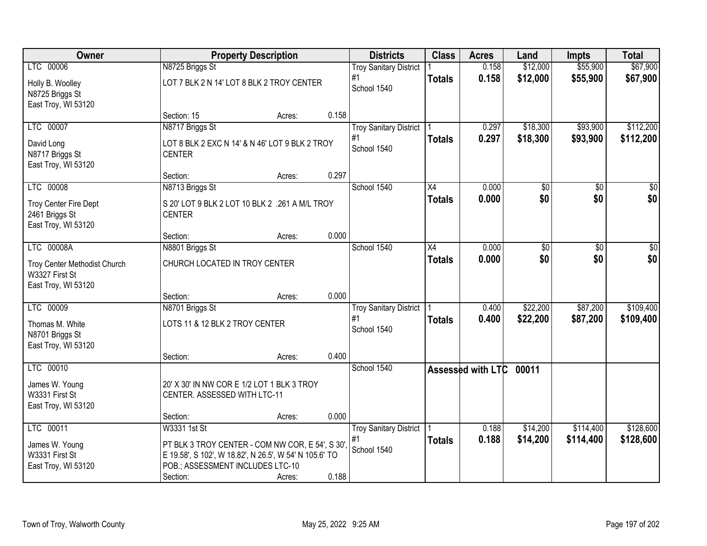| Owner                                                                               |                                                                                                                                                                            | <b>Property Description</b> |       | <b>Districts</b>                                   | <b>Class</b>        | <b>Acres</b>      | Land                 | <b>Impts</b>           | <b>Total</b>           |
|-------------------------------------------------------------------------------------|----------------------------------------------------------------------------------------------------------------------------------------------------------------------------|-----------------------------|-------|----------------------------------------------------|---------------------|-------------------|----------------------|------------------------|------------------------|
| LTC 00006<br>Holly B. Woolley<br>N8725 Briggs St                                    | N8725 Briggs St<br>LOT 7 BLK 2 N 14' LOT 8 BLK 2 TROY CENTER                                                                                                               |                             |       | <b>Troy Sanitary District</b><br>#1<br>School 1540 | <b>Totals</b>       | 0.158<br>0.158    | \$12,000<br>\$12,000 | \$55,900<br>\$55,900   | \$67,900<br>\$67,900   |
| East Troy, WI 53120                                                                 | Section: 15                                                                                                                                                                | Acres:                      | 0.158 |                                                    |                     |                   |                      |                        |                        |
| LTC 00007<br>David Long<br>N8717 Briggs St<br>East Troy, WI 53120                   | N8717 Briggs St<br>LOT 8 BLK 2 EXC N 14' & N 46' LOT 9 BLK 2 TROY<br><b>CENTER</b>                                                                                         |                             |       | <b>Troy Sanitary District</b><br>#1<br>School 1540 | <b>Totals</b>       | 0.297<br>0.297    | \$18,300<br>\$18,300 | \$93,900<br>\$93,900   | \$112,200<br>\$112,200 |
| LTC 00008                                                                           | Section:<br>N8713 Briggs St                                                                                                                                                | Acres:                      | 0.297 | School 1540                                        | X4                  | 0.000             | \$0                  | \$0                    | \$0                    |
| Troy Center Fire Dept<br>2461 Briggs St<br>East Troy, WI 53120                      | S 20' LOT 9 BLK 2 LOT 10 BLK 2 .261 A M/L TROY<br><b>CENTER</b>                                                                                                            |                             |       |                                                    | <b>Totals</b>       | 0.000             | \$0                  | \$0                    | \$0                    |
|                                                                                     | Section:                                                                                                                                                                   | Acres:                      | 0.000 |                                                    |                     |                   |                      |                        |                        |
| LTC 00008A<br>Troy Center Methodist Church<br>W3327 First St<br>East Troy, WI 53120 | N8801 Briggs St<br>CHURCH LOCATED IN TROY CENTER                                                                                                                           |                             |       | School 1540                                        | X4<br><b>Totals</b> | 0.000<br>0.000    | \$0<br>\$0           | \$0<br>\$0             | \$0<br>\$0             |
|                                                                                     | Section:                                                                                                                                                                   | Acres:                      | 0.000 |                                                    |                     |                   |                      |                        |                        |
| LTC 00009<br>Thomas M. White<br>N8701 Briggs St<br>East Troy, WI 53120              | N8701 Briggs St<br>LOTS 11 & 12 BLK 2 TROY CENTER<br>Section:                                                                                                              | Acres:                      | 0.400 | <b>Troy Sanitary District</b><br>#1<br>School 1540 | <b>Totals</b>       | 0.400<br>0.400    | \$22,200<br>\$22,200 | \$87,200<br>\$87,200   | \$109,400<br>\$109,400 |
| LTC 00010                                                                           |                                                                                                                                                                            |                             |       | School 1540                                        |                     | Assessed with LTC | 00011                |                        |                        |
| James W. Young<br>W3331 First St<br>East Troy, WI 53120                             | 20' X 30' IN NW COR E 1/2 LOT 1 BLK 3 TROY<br>CENTER. ASSESSED WITH LTC-11                                                                                                 |                             |       |                                                    |                     |                   |                      |                        |                        |
|                                                                                     | Section:                                                                                                                                                                   | Acres:                      | 0.000 |                                                    |                     |                   |                      |                        |                        |
| LTC 00011<br>James W. Young<br>W3331 First St<br>East Troy, WI 53120                | W3331 1st St<br>PT BLK 3 TROY CENTER - COM NW COR, E 54', S 30',<br>E 19.58', S 102', W 18.82', N 26.5', W 54' N 105.6' TO<br>POB.; ASSESSMENT INCLUDES LTC-10<br>Section: | Acres:                      | 0.188 | <b>Troy Sanitary District</b><br>#1<br>School 1540 | <b>Totals</b>       | 0.188<br>0.188    | \$14,200<br>\$14,200 | \$114,400<br>\$114,400 | \$128,600<br>\$128,600 |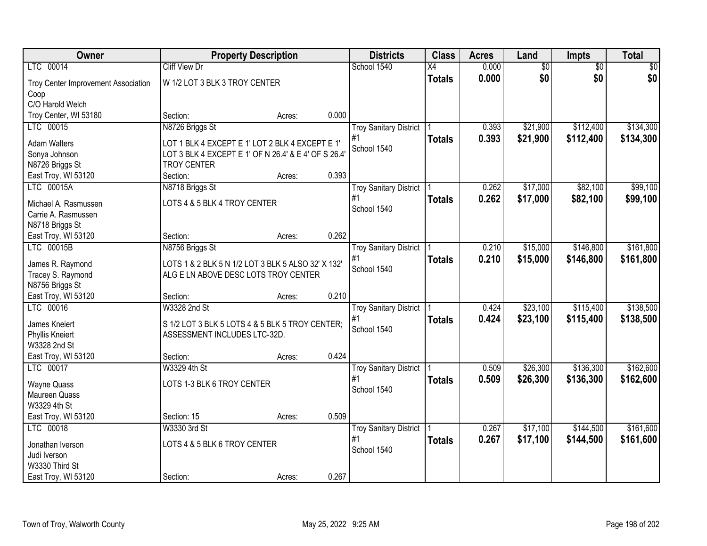| Owner                                 |                                                                                 | <b>Property Description</b> |       | <b>Districts</b>              | <b>Class</b>    | <b>Acres</b> | Land            | Impts           | <b>Total</b> |
|---------------------------------------|---------------------------------------------------------------------------------|-----------------------------|-------|-------------------------------|-----------------|--------------|-----------------|-----------------|--------------|
| LTC 00014                             | <b>Cliff View Dr</b>                                                            |                             |       | School 1540                   | $\overline{X4}$ | 0.000        | $\overline{60}$ | $\overline{50}$ | \$0          |
| Troy Center Improvement Association   | W 1/2 LOT 3 BLK 3 TROY CENTER                                                   |                             |       |                               | <b>Totals</b>   | 0.000        | \$0             | \$0             | \$0          |
| Coop                                  |                                                                                 |                             |       |                               |                 |              |                 |                 |              |
| C/O Harold Welch                      |                                                                                 |                             |       |                               |                 |              |                 |                 |              |
| Troy Center, WI 53180                 | Section:                                                                        | Acres:                      | 0.000 |                               |                 |              |                 |                 |              |
| LTC 00015                             | N8726 Briggs St                                                                 |                             |       | <b>Troy Sanitary District</b> |                 | 0.393        | \$21,900        | \$112,400       | \$134,300    |
| <b>Adam Walters</b>                   | LOT 1 BLK 4 EXCEPT E 1' LOT 2 BLK 4 EXCEPT E 1'                                 |                             |       | #1                            | <b>Totals</b>   | 0.393        | \$21,900        | \$112,400       | \$134,300    |
| Sonya Johnson                         | LOT 3 BLK 4 EXCEPT E 1' OF N 26.4' & E 4' OF S 26.4'                            |                             |       | School 1540                   |                 |              |                 |                 |              |
| N8726 Briggs St                       | <b>TROY CENTER</b>                                                              |                             |       |                               |                 |              |                 |                 |              |
| East Troy, WI 53120                   | Section:                                                                        | Acres:                      | 0.393 |                               |                 |              |                 |                 |              |
| LTC 00015A                            | N8718 Briggs St                                                                 |                             |       | <b>Troy Sanitary District</b> |                 | 0.262        | \$17,000        | \$82,100        | \$99,100     |
| Michael A. Rasmussen                  | LOTS 4 & 5 BLK 4 TROY CENTER                                                    |                             |       | #1                            | <b>Totals</b>   | 0.262        | \$17,000        | \$82,100        | \$99,100     |
| Carrie A. Rasmussen                   |                                                                                 |                             |       | School 1540                   |                 |              |                 |                 |              |
| N8718 Briggs St                       |                                                                                 |                             |       |                               |                 |              |                 |                 |              |
| East Troy, WI 53120                   | Section:                                                                        | Acres:                      | 0.262 |                               |                 |              |                 |                 |              |
| LTC 00015B                            | N8756 Briggs St                                                                 |                             |       | <b>Troy Sanitary District</b> |                 | 0.210        | \$15,000        | \$146,800       | \$161,800    |
| James R. Raymond                      | LOTS 1 & 2 BLK 5 N 1/2 LOT 3 BLK 5 ALSO 32' X 132'                              |                             |       | #1                            | <b>Totals</b>   | 0.210        | \$15,000        | \$146,800       | \$161,800    |
| Tracey S. Raymond                     | ALG E LN ABOVE DESC LOTS TROY CENTER                                            |                             |       | School 1540                   |                 |              |                 |                 |              |
| N8756 Briggs St                       |                                                                                 |                             |       |                               |                 |              |                 |                 |              |
| East Troy, WI 53120                   | Section:                                                                        | Acres:                      | 0.210 |                               |                 |              |                 |                 |              |
| LTC 00016                             | W3328 2nd St                                                                    |                             |       | <b>Troy Sanitary District</b> |                 | 0.424        | \$23,100        | \$115,400       | \$138,500    |
|                                       |                                                                                 |                             |       | #1                            | <b>Totals</b>   | 0.424        | \$23,100        | \$115,400       | \$138,500    |
| James Kneiert<br>Phyllis Kneiert      | S 1/2 LOT 3 BLK 5 LOTS 4 & 5 BLK 5 TROY CENTER;<br>ASSESSMENT INCLUDES LTC-32D. |                             |       | School 1540                   |                 |              |                 |                 |              |
| W3328 2nd St                          |                                                                                 |                             |       |                               |                 |              |                 |                 |              |
| East Troy, WI 53120                   | Section:                                                                        | Acres:                      | 0.424 |                               |                 |              |                 |                 |              |
| LTC 00017                             | W3329 4th St                                                                    |                             |       | <b>Troy Sanitary District</b> |                 | 0.509        | \$26,300        | \$136,300       | \$162,600    |
|                                       |                                                                                 |                             |       | #1                            | <b>Totals</b>   | 0.509        | \$26,300        | \$136,300       | \$162,600    |
| Wayne Quass<br>Maureen Quass          | LOTS 1-3 BLK 6 TROY CENTER                                                      |                             |       | School 1540                   |                 |              |                 |                 |              |
| W3329 4th St                          |                                                                                 |                             |       |                               |                 |              |                 |                 |              |
| East Troy, WI 53120                   | Section: 15                                                                     | Acres:                      | 0.509 |                               |                 |              |                 |                 |              |
| LTC 00018                             | W3330 3rd St                                                                    |                             |       | <b>Troy Sanitary District</b> |                 | 0.267        | \$17,100        | \$144,500       | \$161,600    |
|                                       |                                                                                 |                             |       | #1                            | <b>Totals</b>   | 0.267        | \$17,100        | \$144,500       | \$161,600    |
| Jonathan Iverson                      | LOTS 4 & 5 BLK 6 TROY CENTER                                                    |                             |       | School 1540                   |                 |              |                 |                 |              |
| Judi Iverson                          |                                                                                 |                             |       |                               |                 |              |                 |                 |              |
| W3330 Third St<br>East Troy, WI 53120 | Section:                                                                        |                             | 0.267 |                               |                 |              |                 |                 |              |
|                                       |                                                                                 | Acres:                      |       |                               |                 |              |                 |                 |              |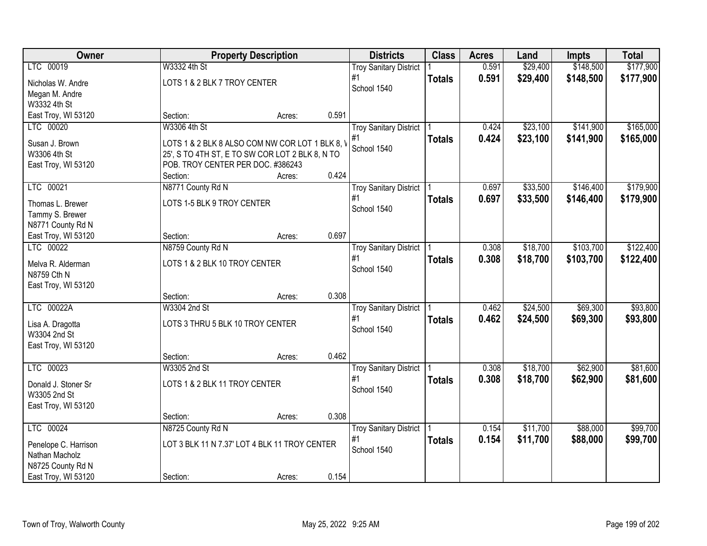| Owner                |                                                 | <b>Property Description</b> |       | <b>Districts</b>              | <b>Class</b>  | <b>Acres</b> | Land     | <b>Impts</b> | <b>Total</b> |
|----------------------|-------------------------------------------------|-----------------------------|-------|-------------------------------|---------------|--------------|----------|--------------|--------------|
| LTC 00019            | W3332 4th St                                    |                             |       | <b>Troy Sanitary District</b> |               | 0.591        | \$29,400 | \$148,500    | \$177,900    |
| Nicholas W. Andre    | LOTS 1 & 2 BLK 7 TROY CENTER                    |                             |       | #1                            | <b>Totals</b> | 0.591        | \$29,400 | \$148,500    | \$177,900    |
| Megan M. Andre       |                                                 |                             |       | School 1540                   |               |              |          |              |              |
| W3332 4th St         |                                                 |                             |       |                               |               |              |          |              |              |
| East Troy, WI 53120  | Section:                                        | Acres:                      | 0.591 |                               |               |              |          |              |              |
| LTC 00020            | W3306 4th St                                    |                             |       | <b>Troy Sanitary District</b> |               | 0.424        | \$23,100 | \$141,900    | \$165,000    |
| Susan J. Brown       | LOTS 1 & 2 BLK 8 ALSO COM NW COR LOT 1 BLK 8, V |                             |       | #1                            | <b>Totals</b> | 0.424        | \$23,100 | \$141,900    | \$165,000    |
| W3306 4th St         | 25', S TO 4TH ST, E TO SW COR LOT 2 BLK 8, N TO |                             |       | School 1540                   |               |              |          |              |              |
| East Troy, WI 53120  | POB. TROY CENTER PER DOC. #386243               |                             |       |                               |               |              |          |              |              |
|                      | Section:                                        | Acres:                      | 0.424 |                               |               |              |          |              |              |
| LTC 00021            | N8771 County Rd N                               |                             |       | <b>Troy Sanitary District</b> |               | 0.697        | \$33,500 | \$146,400    | \$179,900    |
| Thomas L. Brewer     | LOTS 1-5 BLK 9 TROY CENTER                      |                             |       | #1                            | <b>Totals</b> | 0.697        | \$33,500 | \$146,400    | \$179,900    |
| Tammy S. Brewer      |                                                 |                             |       | School 1540                   |               |              |          |              |              |
| N8771 County Rd N    |                                                 |                             |       |                               |               |              |          |              |              |
| East Troy, WI 53120  | Section:                                        | Acres:                      | 0.697 |                               |               |              |          |              |              |
| LTC 00022            | N8759 County Rd N                               |                             |       | <b>Troy Sanitary District</b> |               | 0.308        | \$18,700 | \$103,700    | \$122,400    |
| Melva R. Alderman    | LOTS 1 & 2 BLK 10 TROY CENTER                   |                             |       | #1                            | <b>Totals</b> | 0.308        | \$18,700 | \$103,700    | \$122,400    |
| N8759 Cth N          |                                                 |                             |       | School 1540                   |               |              |          |              |              |
| East Troy, WI 53120  |                                                 |                             |       |                               |               |              |          |              |              |
|                      | Section:                                        | Acres:                      | 0.308 |                               |               |              |          |              |              |
| LTC 00022A           | W3304 2nd St                                    |                             |       | <b>Troy Sanitary District</b> |               | 0.462        | \$24,500 | \$69,300     | \$93,800     |
| Lisa A. Dragotta     | LOTS 3 THRU 5 BLK 10 TROY CENTER                |                             |       | #1                            | <b>Totals</b> | 0.462        | \$24,500 | \$69,300     | \$93,800     |
| W3304 2nd St         |                                                 |                             |       | School 1540                   |               |              |          |              |              |
| East Troy, WI 53120  |                                                 |                             |       |                               |               |              |          |              |              |
|                      | Section:                                        | Acres:                      | 0.462 |                               |               |              |          |              |              |
| LTC 00023            | W3305 2nd St                                    |                             |       | <b>Troy Sanitary District</b> |               | 0.308        | \$18,700 | \$62,900     | \$81,600     |
| Donald J. Stoner Sr  | LOTS 1 & 2 BLK 11 TROY CENTER                   |                             |       | #1                            | <b>Totals</b> | 0.308        | \$18,700 | \$62,900     | \$81,600     |
| W3305 2nd St         |                                                 |                             |       | School 1540                   |               |              |          |              |              |
| East Troy, WI 53120  |                                                 |                             |       |                               |               |              |          |              |              |
|                      | Section:                                        | Acres:                      | 0.308 |                               |               |              |          |              |              |
| LTC 00024            | N8725 County Rd N                               |                             |       | <b>Troy Sanitary District</b> |               | 0.154        | \$11,700 | \$88,000     | \$99,700     |
| Penelope C. Harrison | LOT 3 BLK 11 N 7.37' LOT 4 BLK 11 TROY CENTER   |                             |       | #1                            | <b>Totals</b> | 0.154        | \$11,700 | \$88,000     | \$99,700     |
| Nathan Macholz       |                                                 |                             |       | School 1540                   |               |              |          |              |              |
| N8725 County Rd N    |                                                 |                             |       |                               |               |              |          |              |              |
| East Troy, WI 53120  | Section:                                        | Acres:                      | 0.154 |                               |               |              |          |              |              |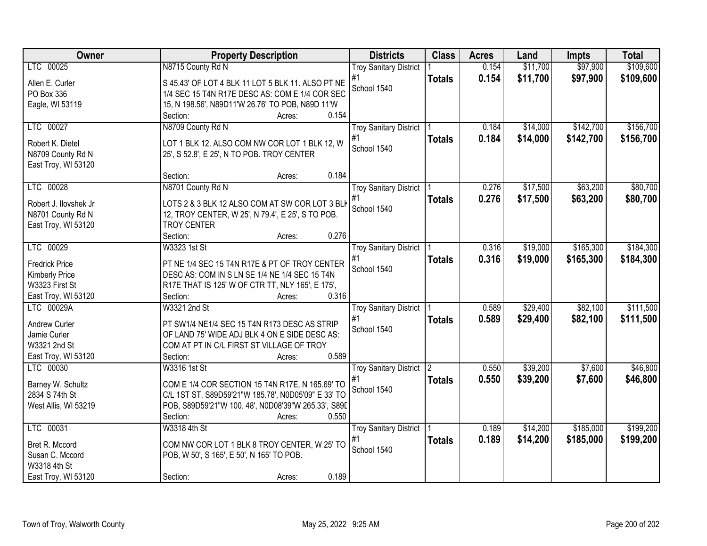| Owner                 | <b>Property Description</b>                         | <b>Districts</b>              | <b>Class</b>   | <b>Acres</b> | Land     | <b>Impts</b> | <b>Total</b> |
|-----------------------|-----------------------------------------------------|-------------------------------|----------------|--------------|----------|--------------|--------------|
| LTC 00025             | N8715 County Rd N                                   | <b>Troy Sanitary District</b> |                | 0.154        | \$11,700 | \$97,900     | \$109,600    |
| Allen E. Curler       | S 45.43' OF LOT 4 BLK 11 LOT 5 BLK 11. ALSO PT NE   | #1                            | <b>Totals</b>  | 0.154        | \$11,700 | \$97,900     | \$109,600    |
| PO Box 336            | 1/4 SEC 15 T4N R17E DESC AS: COM E 1/4 COR SEC      | School 1540                   |                |              |          |              |              |
| Eagle, WI 53119       | 15, N 198.56', N89D11'W 26.76' TO POB, N89D 11'W    |                               |                |              |          |              |              |
|                       | 0.154<br>Section:<br>Acres:                         |                               |                |              |          |              |              |
| LTC 00027             | N8709 County Rd N                                   | <b>Troy Sanitary District</b> |                | 0.184        | \$14,000 | \$142,700    | \$156,700    |
|                       |                                                     | #1                            | <b>Totals</b>  | 0.184        | \$14,000 | \$142,700    | \$156,700    |
| Robert K. Dietel      | LOT 1 BLK 12. ALSO COM NW COR LOT 1 BLK 12, W       | School 1540                   |                |              |          |              |              |
| N8709 County Rd N     | 25', S 52.8', E 25', N TO POB. TROY CENTER          |                               |                |              |          |              |              |
| East Troy, WI 53120   | 0.184<br>Section:<br>Acres:                         |                               |                |              |          |              |              |
| LTC 00028             | N8701 County Rd N                                   | <b>Troy Sanitary District</b> |                | 0.276        | \$17,500 | \$63,200     | \$80,700     |
|                       |                                                     | #1                            |                | 0.276        | \$17,500 | \$63,200     | \$80,700     |
| Robert J. Ilovshek Jr | LOTS 2 & 3 BLK 12 ALSO COM AT SW COR LOT 3 BLK      | School 1540                   | <b>Totals</b>  |              |          |              |              |
| N8701 County Rd N     | 12, TROY CENTER, W 25', N 79.4', E 25', S TO POB.   |                               |                |              |          |              |              |
| East Troy, WI 53120   | <b>TROY CENTER</b>                                  |                               |                |              |          |              |              |
|                       | 0.276<br>Section:<br>Acres:                         |                               |                |              |          |              |              |
| LTC 00029             | W3323 1st St                                        | <b>Troy Sanitary District</b> |                | 0.316        | \$19,000 | \$165,300    | \$184,300    |
| <b>Fredrick Price</b> | PT NE 1/4 SEC 15 T4N R17E & PT OF TROY CENTER       | #1                            | <b>Totals</b>  | 0.316        | \$19,000 | \$165,300    | \$184,300    |
| Kimberly Price        | DESC AS: COM IN S LN SE 1/4 NE 1/4 SEC 15 T4N       | School 1540                   |                |              |          |              |              |
| W3323 First St        | R17E THAT IS 125' W OF CTR TT, NLY 165', E 175',    |                               |                |              |          |              |              |
| East Troy, WI 53120   | 0.316<br>Section:<br>Acres:                         |                               |                |              |          |              |              |
| LTC 00029A            | W3321 2nd St                                        | <b>Troy Sanitary District</b> |                | 0.589        | \$29,400 | \$82,100     | \$111,500    |
|                       |                                                     | #1                            | <b>Totals</b>  | 0.589        | \$29,400 | \$82,100     | \$111,500    |
| Andrew Curler         | PT SW1/4 NE1/4 SEC 15 T4N R173 DESC AS STRIP        | School 1540                   |                |              |          |              |              |
| Jamie Curler          | OF LAND 75' WIDE ADJ BLK 4 ON E SIDE DESC AS:       |                               |                |              |          |              |              |
| W3321 2nd St          | COM AT PT IN C/L FIRST ST VILLAGE OF TROY<br>0.589  |                               |                |              |          |              |              |
| East Troy, WI 53120   | Section:<br>Acres:                                  |                               |                |              |          |              |              |
| LTC 00030             | W3316 1st St                                        | <b>Troy Sanitary District</b> | $\overline{2}$ | 0.550        | \$39,200 | \$7,600      | \$46,800     |
| Barney W. Schultz     | COM E 1/4 COR SECTION 15 T4N R17E, N 165.69' TO     | #1<br>School 1540             | <b>Totals</b>  | 0.550        | \$39,200 | \$7,600      | \$46,800     |
| 2834 S 74th St        | C/L 1ST ST, S89D59'21"W 185.78', N0D05'09" E 33' TO |                               |                |              |          |              |              |
| West Allis, WI 53219  | POB, S89D59'21"W 100.48', N0D08'39"W 265.33', S89D  |                               |                |              |          |              |              |
|                       | 0.550<br>Section:<br>Acres:                         |                               |                |              |          |              |              |
| LTC 00031             | W3318 4th St                                        | <b>Troy Sanitary District</b> |                | 0.189        | \$14,200 | \$185,000    | \$199,200    |
| Bret R. Mccord        | COM NW COR LOT 1 BLK 8 TROY CENTER, W 25' TO        | #1                            | <b>Totals</b>  | 0.189        | \$14,200 | \$185,000    | \$199,200    |
| Susan C. Mccord       | POB, W 50', S 165', E 50', N 165' TO POB.           | School 1540                   |                |              |          |              |              |
| W3318 4th St          |                                                     |                               |                |              |          |              |              |
| East Troy, WI 53120   | 0.189<br>Section:<br>Acres:                         |                               |                |              |          |              |              |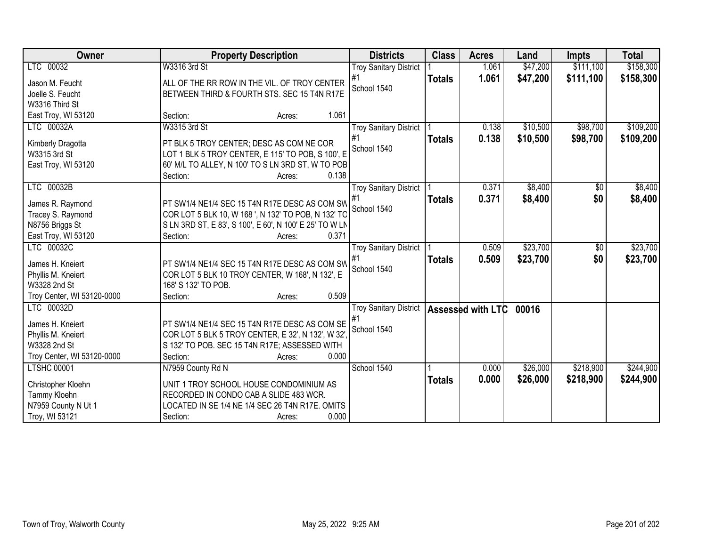| Owner                      | <b>Property Description</b>                             |                 | <b>Districts</b>              | <b>Class</b>  | <b>Acres</b>       | Land     | <b>Impts</b> | <b>Total</b> |
|----------------------------|---------------------------------------------------------|-----------------|-------------------------------|---------------|--------------------|----------|--------------|--------------|
| LTC 00032                  | W3316 3rd St                                            |                 | <b>Troy Sanitary District</b> |               | $1.\overline{061}$ | \$47,200 | \$111,100    | \$158,300    |
| Jason M. Feucht            | ALL OF THE RR ROW IN THE VIL. OF TROY CENTER            |                 | #1                            | <b>Totals</b> | 1.061              | \$47,200 | \$111,100    | \$158,300    |
| Joelle S. Feucht           | BETWEEN THIRD & FOURTH STS. SEC 15 T4N R17E             |                 | School 1540                   |               |                    |          |              |              |
| W3316 Third St             |                                                         |                 |                               |               |                    |          |              |              |
| East Troy, WI 53120        | Section:                                                | 1.061<br>Acres: |                               |               |                    |          |              |              |
| LTC 00032A                 | W3315 3rd St                                            |                 | <b>Troy Sanitary District</b> |               | 0.138              | \$10,500 | \$98,700     | \$109,200    |
| Kimberly Dragotta          | PT BLK 5 TROY CENTER; DESC AS COM NE COR                |                 | #1                            | <b>Totals</b> | 0.138              | \$10,500 | \$98,700     | \$109,200    |
| W3315 3rd St               | LOT 1 BLK 5 TROY CENTER, E 115' TO POB, S 100', E       |                 | School 1540                   |               |                    |          |              |              |
| East Troy, WI 53120        | 60' M/L TO ALLEY, N 100' TO S LN 3RD ST, W TO POB       |                 |                               |               |                    |          |              |              |
|                            | Section:                                                | 0.138<br>Acres: |                               |               |                    |          |              |              |
| LTC 00032B                 |                                                         |                 | <b>Troy Sanitary District</b> |               | 0.371              | \$8,400  | \$0          | \$8,400      |
|                            |                                                         |                 | #1                            | <b>Totals</b> | 0.371              | \$8,400  | \$0          | \$8,400      |
| James R. Raymond           | PT SW1/4 NE1/4 SEC 15 T4N R17E DESC AS COM SW           |                 | School 1540                   |               |                    |          |              |              |
| Tracey S. Raymond          | COR LOT 5 BLK 10, W 168 ', N 132' TO POB, N 132' TO     |                 |                               |               |                    |          |              |              |
| N8756 Briggs St            | S LN 3RD ST, E 83', S 100', E 60', N 100' E 25' TO W LN |                 |                               |               |                    |          |              |              |
| East Troy, WI 53120        | Section:                                                | 0.371<br>Acres: |                               |               |                    |          |              |              |
| LTC 00032C                 |                                                         |                 | <b>Troy Sanitary District</b> |               | 0.509              | \$23,700 | $\sqrt[6]{}$ | \$23,700     |
| James H. Kneiert           | PT SW1/4 NE1/4 SEC 15 T4N R17E DESC AS COM SW           |                 | #1                            | <b>Totals</b> | 0.509              | \$23,700 | \$0          | \$23,700     |
| Phyllis M. Kneiert         | COR LOT 5 BLK 10 TROY CENTER, W 168', N 132', E         |                 | School 1540                   |               |                    |          |              |              |
| W3328 2nd St               | 168' S 132' TO POB.                                     |                 |                               |               |                    |          |              |              |
| Troy Center, WI 53120-0000 | Section:                                                | 0.509<br>Acres: |                               |               |                    |          |              |              |
| LTC 00032D                 |                                                         |                 | <b>Troy Sanitary District</b> |               | Assessed with LTC  | 00016    |              |              |
| James H. Kneiert           | PT SW1/4 NE1/4 SEC 15 T4N R17E DESC AS COM SE           |                 | #1                            |               |                    |          |              |              |
| Phyllis M. Kneiert         | COR LOT 5 BLK 5 TROY CENTER, E 32', N 132', W 32'.      |                 | School 1540                   |               |                    |          |              |              |
| W3328 2nd St               | S 132' TO POB. SEC 15 T4N R17E; ASSESSED WITH           |                 |                               |               |                    |          |              |              |
| Troy Center, WI 53120-0000 | Section:                                                | 0.000<br>Acres: |                               |               |                    |          |              |              |
| <b>LTSHC 00001</b>         | N7959 County Rd N                                       |                 | School 1540                   |               | 0.000              | \$26,000 | \$218,900    | \$244,900    |
|                            |                                                         |                 |                               | <b>Totals</b> | 0.000              | \$26,000 | \$218,900    | \$244,900    |
| Christopher Kloehn         | UNIT 1 TROY SCHOOL HOUSE CONDOMINIUM AS                 |                 |                               |               |                    |          |              |              |
| Tammy Kloehn               | RECORDED IN CONDO CAB A SLIDE 483 WCR.                  |                 |                               |               |                    |          |              |              |
| N7959 County N Ut 1        | LOCATED IN SE 1/4 NE 1/4 SEC 26 T4N R17E. OMITS         | 0.000           |                               |               |                    |          |              |              |
| Troy, WI 53121             | Section:                                                | Acres:          |                               |               |                    |          |              |              |